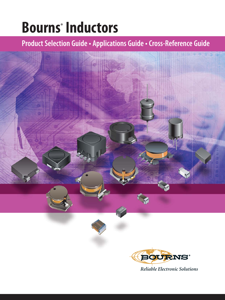# **Bourns® Inductors**

### **Product Selection Guide • Applications Guide • Cross-Reference Guide**



*Reliable Electronic Solutions*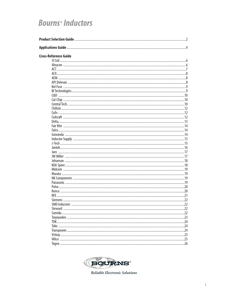### **Bourns<sup>®</sup>** Inductors

| <b>Cross-Reference Guide</b> |  |
|------------------------------|--|
|                              |  |
|                              |  |
|                              |  |
|                              |  |
|                              |  |
|                              |  |
|                              |  |
|                              |  |
|                              |  |
|                              |  |
|                              |  |
|                              |  |
|                              |  |
|                              |  |
|                              |  |
|                              |  |
|                              |  |
|                              |  |
|                              |  |
|                              |  |
|                              |  |
|                              |  |
|                              |  |
|                              |  |
|                              |  |
|                              |  |
|                              |  |
|                              |  |
|                              |  |
|                              |  |
|                              |  |
|                              |  |
|                              |  |
|                              |  |
|                              |  |
|                              |  |
|                              |  |
|                              |  |
|                              |  |
|                              |  |
|                              |  |
|                              |  |
|                              |  |



Reliable Electronic Solutions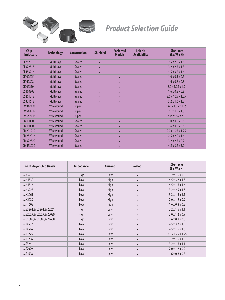

## *Product Selection Guide*

| <b>Chip</b><br><b>Inductors</b> | <b>Technology</b> | <b>Construction</b> | <b>Shielded</b> | <b>Preferred</b><br><b>Models</b> | <b>Lab Kit</b><br><b>Availability</b> | Size - mm<br>$(L \times W \times H)$ |
|---------------------------------|-------------------|---------------------|-----------------|-----------------------------------|---------------------------------------|--------------------------------------|
| CF252016                        | Multi-layer       | <b>Sealed</b>       | ٠               |                                   | $\bullet$                             | $2.5 \times 2.0 \times 1.6$          |
| CF322513                        | Multi-layer       | <b>Sealed</b>       | $\bullet$       |                                   | $\bullet$                             | $3.2 \times 2.5 \times 1.3$          |
| CF453216                        | Multi-layer       | <b>Sealed</b>       | ٠               |                                   | ٠                                     | $4.5 \times 3.2 \times 1.6$          |
| CI100505                        | Multi-layer       | <b>Sealed</b>       |                 | $\bullet$                         | $\bullet$                             | $1.0 \times 0.5 \times 0.5$          |
| CI160808                        | Multi-layer       | <b>Sealed</b>       |                 | $\bullet$                         | $\bullet$                             | $1.6 \times 0.8 \times 0.8$          |
| C <sub>201210</sub>             | Multi-layer       | <b>Sealed</b>       |                 | $\bullet$                         | $\bullet$                             | $2.0 \times 1.25 \times 1.0$         |
| CS160808                        | Multi-layer       | <b>Sealed</b>       | $\bullet$       | $\bullet$                         | ٠                                     | $1.6 \times 0.8 \times 0.8$          |
| CS201212                        | Multi-layer       | <b>Sealed</b>       | ٠               | $\bullet$                         | ٠                                     | $2.0 \times 1.25 \times 1.25$        |
| CS321613                        | Multi-layer       | <b>Sealed</b>       | ٠               | $\bullet$                         | ٠                                     | $3.2 \times 1.6 \times 1.3$          |
| CW160808                        | Wirewound         | Open                |                 |                                   | $\bullet$                             | $1.65$ x $1.05$ x $1.05$             |
| CW201212                        | <b>Wirewound</b>  | Open                |                 |                                   | $\bullet$                             | $2.1 \times 1.5 \times 1.3$          |
| CW252016                        | Wirewound         | <b>Open</b>         |                 |                                   | ٠                                     | $2.75 \times 2.6 \times 2.0$         |
| CM100505                        | Wirewound         | <b>Sealed</b>       |                 | $\bullet$                         |                                       | $1.0 \times 0.5 \times 0.5$          |
| CM160808                        | Wirewound         | <b>Sealed</b>       |                 | $\bullet$                         | $\bullet$                             | $1.6 \times 0.8 \times 0.8$          |
| CM201212                        | Wirewound         | <b>Sealed</b>       |                 | ٠                                 | ٠                                     | $2.0 \times 1.25 \times 1.25$        |
| CM252016                        | Wirewound         | <b>Sealed</b>       |                 | $\bullet$                         | $\bullet$                             | $2.5 \times 2.0 \times 1.6$          |
| CM322522                        | Wirewound         | <b>Sealed</b>       |                 | $\bullet$                         | $\bullet$                             | $3.2 \times 2.5 \times 2.2$          |
| CM453232                        | Wirewound         | <b>Sealed</b>       |                 | $\bullet$                         | $\bullet$                             | $4.5 \times 3.2 \times 3.2$          |

| <b>Multi-layer Chip Beads</b> | <b>Impedance</b> | <b>Current</b> | <b>Sealed</b> | Size - mm<br>$(L \times W \times H)$ |
|-------------------------------|------------------|----------------|---------------|--------------------------------------|
| MA3216                        | High             | Low            | $\bullet$     | $3.2 \times 1.6 \times 0.8$          |
| MH4532                        | Low              | High           | $\bullet$     | $4.5 \times 3.2 \times 1.5$          |
| MH4516                        | Low              | High           | $\bullet$     | $4.5 \times 1.6 \times 1.6$          |
| MH3225                        | Low              | High           | $\bullet$     | $3.2 \times 2.5 \times 1.3$          |
| MH3261                        | Low              | High           | $\bullet$     | $3.2 \times 1.6 \times 1.1$          |
| MH2029                        | Low              | High           | $\bullet$     | $2.0 \times 1.2 \times 0.9$          |
| MH1608                        | Low              | High           | $\bullet$     | $1.6 \times 0.8 \times 0.8$          |
| MG3261, MU3261, MZ3261        | High             | Low            | $\bullet$     | $3.2 \times 1.6 \times 1.1$          |
| MG2029, MU2029, MZ2029        | High             | Low            | $\bullet$     | $2.0 \times 1.2 \times 0.9$          |
| MG1608, MU1608, MZ1608        | High             | Low            | $\bullet$     | $1.6 \times 0.8 \times 0.8$          |
| MT4532                        | Low              | Low            | $\bullet$     | $4.5 \times 3.2 \times 1.5$          |
| MT4516                        | Low              | Low            | $\bullet$     | $4.5 \times 1.6 \times 1.6$          |
| MT3225                        | Low              | Low            | $\bullet$     | $2.0 \times 1.25 \times 1.25$        |
| MT3266                        | Low              | Low            | $\bullet$     | $3.2 \times 1.6 \times 1.6$          |
| MT3261                        | Low              | Low            | $\bullet$     | $3.2 \times 1.6 \times 1.1$          |
| MT2029                        | Low              | Low            | $\bullet$     | $2.0 \times 1.2 \times 0.9$          |
| MT1608                        | Low              | Low            | $\bullet$     | $1.6 \times 0.8 \times 0.8$          |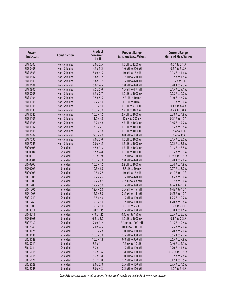| <b>Power</b><br><b>Inductors</b> | <b>Construction</b> | <b>Product</b><br>Size (mm)<br>L x H | <b>Product Range</b><br><b>Min. and Max. Values</b> | <b>Current Range</b><br><b>Min. and Max. Values</b> |
|----------------------------------|---------------------|--------------------------------------|-----------------------------------------------------|-----------------------------------------------------|
| SDR0302                          | Non-Shielded        | 3.0 x 2.5                            | 1.0 uH to 1200 uH                                   | 0.6 A to 2.1 A                                      |
| SDR0403                          | Non-Shielded        | $4.5 \times 3.2$                     | 1.0 uH to 220 uH                                    | 0.2 A to 3.8 A                                      |
| <b>SDR0503</b>                   | Non-Shielded        | 5.0 x 4.5                            | 10 uH to 15 mH                                      | 0.03 A to 1.6 A                                     |
| SDR0602                          | Non-Shielded        | $5.8 \times 2.2$                     | 2.7 uH to 560 uH                                    | 0.12 A to 1.5 A                                     |
| SDR0603                          | Non-Shielded        | 5.6x3.7                              | 1.5 uH to 470 uH                                    | 0.15 A to 3 A                                       |
| SDR0604                          | Non-Shielded        | 5.6x4.5                              | 1.0 uH to 820 uH                                    | 0.20 A to 7.3 A                                     |
| <b>SDR0805</b>                   | Non-Shielded        | $7.5 \times 5.0$                     | 1.5 uH to 4.7 mH                                    | 0.15 A to 9.1 A                                     |
| <b>SDR0703</b>                   | Non-Shielded        | $6.5 \times 2.7$                     | 1.0 uH to 1000 uH                                   | 0.08 A to 2.2 A                                     |
| SDR0906                          | Non-Shielded        | $9.5 \times 5.5$                     | 2.2 uH to 10 mH                                     | 0.10 A to 6.7 A                                     |
| <b>SDR1005</b>                   | Non-Shielded        | $12.7 \times 5.0$                    | 1.0 uH to 10 mH                                     | 0.11 A to 9.0 A                                     |
| SDR1006                          | Non-Shielded        | $10.5 \times 6.0$                    | 1.5 uH to 4700 uH                                   | 0.1 A to 6.4 A                                      |
| <b>SDR1030</b>                   | Non-Shielded        | $10.0 \times 3.0$                    | 2.7 uH to 1000 uH                                   | 0.2 A to 3.0 A                                      |
| <b>SDR1045</b>                   | Non-Shielded        | 10.0 x 4.5                           | 2.7 uH to 1000 uH                                   | 0.38 A to 4.8 A                                     |
| <b>SDR1105</b>                   | Non-Shielded        | $11.0 \times 4.8$                    | 10 uH to 200 uH                                     | 0.24 A to 10 A                                      |
| <b>SDR1305</b>                   | Non-Shielded        | $12.7 \times 4.8$                    | 2.5 uH to 1000 uH                                   | 0.46 A to 7.2 A                                     |
| <b>SDR1307</b>                   | Non-Shielded        | $13.0 \times 7.3$                    | 1.5 uH to 1000 uH                                   | 0.65 A to 9.5 A                                     |
| <b>SDR1806</b>                   | Non-Shielded        | $18.3 \times 6.6$                    | 1.0 uH to 1000 uH                                   | 0.5 A to 10 A                                       |
| <b>SDR2207</b>                   | Non-Shielded        | 22.0 x 7.0                           | 0.8 uH to 100 uH                                    | 3.0 A to 35 A                                       |
| SDR7030                          | Non-Shielded        | 7.0 x 3.0                            | 1.0 uH to 1000 uH                                   | 0.15 A to 3.0 A                                     |
| <b>SDR7045</b>                   | Non-Shielded        | 7.0 x 4.5                            | 1.2 uH to 1000 uH                                   | 0.22 A to 3.8 A                                     |
| <b>SRR0603</b>                   | Shielded            | $6.5 \times 3.3$                     | 1.5 uH to 1000 uH                                   | 0.13 A to 3.5 A                                     |
| SRR0604                          | Shielded            | 6.5x4.8                              | 1.5 uH to 1000 uH                                   | 0.15 A to 3.9 A                                     |
| <b>SRR0618</b>                   | Shielded            | $6.3 \times 1.9$                     | 2.2 uH to 100 uH                                    | 0.23 A to 1.70 A                                    |
| <b>SRR0804</b>                   | Shielded            | $10.5 \times 3.8$                    | 5.0 uH to 470 uH                                    | 0.28 A to 2.8 A                                     |
| <b>SRR0805</b>                   | Shielded            | $10.5 \times 4.5$                    | 2.2 uH to 1000 uH                                   | 0.24 A to 4.9 A                                     |
| <b>SRR0906</b>                   | Shielded            | $10.5 \times 6.0$                    | 2.7 uH to 10 mH                                     | 0.07 A to 3.2 A                                     |
| <b>SRR0908</b>                   | Shielded            | $10.5 \times 7.5$                    | 10 uH to 15 mH                                      | 0.12 A to 10 A                                      |
| <b>SRR1003</b>                   | Shielded            | $12.7 \times 2.7$                    | 1.5 uH to 470 uH                                    | 0.45 A to 8.0 A                                     |
| <b>SRR1005</b>                   | Shielded            | 12.7 x 4.9                           | 2.2 uH to 3.3 mH                                    | 0.17 A to 8.0 A                                     |
| <b>SRR1205</b>                   | Shielded            | 12.7 x 5.0                           | 2.5 uH to 820 uH                                    | 0.57 A to 10 A                                      |
| <b>SRR1206</b>                   | Shielded            | $12.7 \times 6.0$                    | 2.5 uH to 1.5 mH                                    | 0.42 A to 10 A                                      |
| <b>SRR1208</b>                   | Shielded            | $12.7 \times 8.0$                    | 2.5 uH to 1.5 mH                                    | 0.55 A to 10 A                                      |
| <b>SRR1240</b>                   | Shielded            | $12.5 \times 4.0$                    | 1.5 uH to 100 uH                                    | 1.25 A to 9.2 A                                     |
| <b>SRR1260</b>                   | Shielded            | $12.5 \times 6.0$                    | 1.2 uH to 100 uH                                    | 1.70 A to 9.8 A                                     |
| <b>SRR1305</b>                   | Shielded            | $12.5 \times 5.0$                    | 0.9 uH to 2.7 uH                                    | 12 A to 20 A                                        |
| <b>SRR3011</b>                   | Shielded            | 3.8 x 1.15                           | 1.5 uH to 100 uH                                    | 0.18 A to 1.6 A                                     |
| <b>SRR4011</b>                   | Shielded            | 4.8 x 1.15                           | 0.47 uH to 150 uH                                   | 0.25 A to 3.2 A                                     |
| SRR6603                          | Shielded            | 6.6 to 3.0                           | 1.0 uH to 1000 uH                                   | 0.1 A to 2.2 A                                      |
| <b>SRR7032</b>                   | Shielded            | 7.0x3.2                              | 3.3 uH to 1000 mH                                   | 0.15 A to 2.4 A                                     |
| <b>SRR7045</b>                   | Shielded            | 7.0x4.5                              | 10 uH to 1000 uH                                    | 0.25 A to 2.0 A                                     |
| <b>SRU1028</b>                   | Shielded            | $10.0 \times 2.8$                    | 1.0 uH to 150 uH                                    | 0.70 A to 7.0 A                                     |
| <b>SRU1038</b>                   | Shielded            | $10.0 \times 3.8$                    | 1.5 uH to 330 uH                                    | 0.55 A to 7.2 A                                     |
| <b>SRU1048</b>                   | Shielded            | $10.0 \times 4.8$                    | 0.8 uH to 330 uH                                    | 0.65 A to 7.8 A                                     |
| SRU3011                          | Shielded            | $3.5 \times 1.1$                     | 1.5 uH to 10 uH                                     | 0.40 A to 1.1 A                                     |
| SRU5011                          | Shielded            | $5.2 \times 1.1$                     | 1.5 uH to 100 uH                                    | 0.20 A to 1.8 A                                     |
| SRU5016                          | Shielded            | $5.2 \times 1.6$                     | 1.8 uH to 100 uH                                    | 0.30 A to 1.75 A                                    |
| <b>SRU5018</b>                   | Shielded            | $5.2 \times 1.8$                     | 1.0 uH to 100 uH                                    | 0.32 A to 2.8 A                                     |
| <b>SRU5028</b>                   | Shielded            | $5.2 \times 2.8$                     | 1.2 uH to 100 uH                                    | 0.47 A to 3.5 A                                     |
| <b>SRU8028</b>                   | Shielded            | $8.0 \times 2.8$                     | 2.5 uH to 100 uH                                    | 0.75 A to 4.5 A                                     |
| SRU8043                          | Shielded            | 8.0 x 4.3                            | 2.2 uH to 100 uH                                    | 1.0 A to 5.4 A                                      |

*Complete specifications for all of Bourns® Inductive Products are available at www.bourns.com*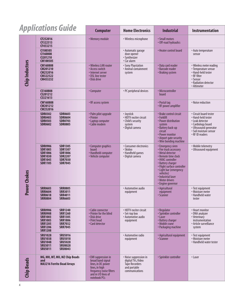#### *Applications Guide***Computer Home Electronics Industrial Instrumentation CF252016** • Memory module • Wireless microphone • Small motors<br>**CF322513** • Off-road hydra • Off-road hydraulics **CF453215 CI100505** • Automatic garage • Heater control board • Auto temperature **CI160808** door opener sensor **CI201210** • Synthesizer **Chip Inductors CM100505** • Car alarm **Chip Inductors CM160808** • Wireless LAN router • Sony Playstation • Data card reader • Wireless meter reading • Recrease • Nulless meter reading • Recrease • Animal containment • Barcode reader • Temperature sensor **CM201210** • Access switch • Animal containment • Barcode reader • Temperature sensor **CM252016** • Internet server **CM3225222** • DSL line tester **• REGIST • REGIST • REGIST • REGIST • REGIST • REGIST • REGIST • REGIST • REGIST • REGIST • REGIST • REGIST • REGIST • REGIST • REGIST • REGIST • REGIST • REGIST CM252016** • Internet server system **• Braking system • Hand-held tester** • **Hand-held tester CM453232** • Disk drive • Sensor • Radiation detector • Altimeter **CS160808** • Computer • Computer • PC peripheral devices • Microcontroller **CS201212 CS201212** board **CS321613 CW160808** • RF access system • Postal tag • Noise reduction **CW201212** • RF power amplifier **CW252016 SDR0403 SDR0604** • Printer • **• Printer • Printer • Printer • Printer • Printer • Printer • Printer • Printer • P SDR0503 SDR0703** • Laptop computer • Child's security • Power distribution • Leak detector **SDR0602 SDR0805** • Cable modem system system • Cardiology board

|                   | <b>CWIOUOUO</b><br><b>CW201212</b><br><b>CW252016</b>                                                                                                                                                                                  | <b>• NE dCCESS SYSTEMI</b>                                                                                                                          |                                                                                                  | * rustal tay<br>• RF power amplifier                                                                                                                                                                                                                                 | • INDISE LEQUELIOII                                                                                                                                          |
|-------------------|----------------------------------------------------------------------------------------------------------------------------------------------------------------------------------------------------------------------------------------|-----------------------------------------------------------------------------------------------------------------------------------------------------|--------------------------------------------------------------------------------------------------|----------------------------------------------------------------------------------------------------------------------------------------------------------------------------------------------------------------------------------------------------------------------|--------------------------------------------------------------------------------------------------------------------------------------------------------------|
|                   | <b>SDR0302</b><br><b>SDR0603</b><br><b>SDR0403</b><br><b>SDR0604</b><br><b>SDR0703</b><br><b>SDR0503</b><br><b>SDR0602</b><br><b>SDR0805</b>                                                                                           | • Palm pilot upgrade<br>• Printer<br>• Laptop computer<br>· Cable modem                                                                             | · Joystick<br>• HDTV exciter circuit<br>• Child's security<br>system<br>· Digital camera         | · Brake control circuit<br>• Forklift<br>• Power distribution<br>system<br>• Battery back-up<br><b>circuit</b><br>• Power monitor<br>• Airport gate security<br>• Wire bonding machine                                                                               | • Circuit board tester<br>• Hand-held tester<br>• Leak detector<br>• Cardiology board<br>· Ultrasound generator<br>· Soil moisture sensor<br>• RF ID readers |
| Power Chokes      | <b>SDR0906</b><br><b>SDR1305</b><br><b>SDR1005</b><br><b>SDR1307</b><br><b>SDR1006</b><br><b>SDR1806</b><br><b>SDR1030</b><br><b>SDR2207</b><br><b>SDR1045</b><br><b>SDR7030</b><br><b>SDR1105</b><br><b>SDR7045</b>                   | • Computer graphics<br>board<br>• Handheld computer<br>• Vehicle computer                                                                           | • Consumer electronics<br>· Skidoo<br>• Handheld games<br>· Digital camera                       | • Emergency siren<br>• Fire truck accessory<br>· Metal detector<br>• Remote time clock<br>• HVAC controller<br>• Battery charger<br>· Flight surface controller<br>• Light bar (emergency<br>vehicles)<br>· Industrial laser<br>• Motor drivers<br>• Engine governor | • Mobile telemetry<br>• Ultrasound equipment                                                                                                                 |
|                   | <b>SRR0603</b><br><b>SRR0805</b><br><b>SRR0604</b><br><b>SRR3011</b><br><b>SRR0618</b><br><b>SRR4011</b><br><b>SRR0804</b><br><b>SRR6603</b>                                                                                           |                                                                                                                                                     | • Automotive audio<br>equipment                                                                  | • Agricultural<br>equipment<br>• Scanner                                                                                                                                                                                                                             | • Test equipment<br>• Moisture meter<br>• Handheld water<br>tester                                                                                           |
|                   | <b>SRR0906</b><br><b>SRR1240</b><br><b>SRR0908</b><br><b>SRR1260</b><br><b>SRR1003</b><br><b>SRR1305</b><br><b>SRR1005</b><br><b>SRR1806</b><br><b>SRR1205</b><br><b>SRR7032</b><br><b>SRR7045</b><br><b>SRR1206</b><br><b>SRR1208</b> | • Cable connector<br>• Printer for the blind<br>• Disk drive<br>• Print head<br>• Card detector                                                     | • HDTV exciter circuit<br>• Set-top box<br>• Automotive audio<br>equipment                       | • Regulator<br>· Sprinkler controller<br>• Laser<br>• Battery charger<br>· Mobile crane<br>• Packaging machine                                                                                                                                                       | • Heart monitor<br>• DNA analyzer<br>• Veterinary<br>instrumentation<br>• Article survelliance<br>system                                                     |
|                   | <b>SRU1028</b><br><b>SRU5016</b><br><b>SRU1038</b><br><b>SRU5018</b><br><b>SRU1048</b><br><b>SRU5028</b><br><b>SRU3011</b><br><b>SRU8028</b><br><b>SRU5011</b><br><b>SRU8043</b>                                                       |                                                                                                                                                     | • Automotive radio<br>equipment                                                                  | • Agricultural equipment<br>• Scanner                                                                                                                                                                                                                                | • Test equipment<br>• Moisture meter<br>• Handheld water tester                                                                                              |
| <b>Chip Beads</b> | MG, MH, MT, MU, MZ Chip Beads<br>and<br><b>MA3216 Ferrite Bead Arrays</b>                                                                                                                                                              | • EMI suppression in<br>broad band signal<br>lines, in DC power<br>lines, in high<br>frequency noise filters<br>and in I/O lines of<br>notebook PCs | • Noise suppression in<br>digital TVs, Video<br>Tape Recorders<br>and portable<br>communications | • Sprinkler controller                                                                                                                                                                                                                                               | • Laser                                                                                                                                                      |
|                   |                                                                                                                                                                                                                                        |                                                                                                                                                     |                                                                                                  |                                                                                                                                                                                                                                                                      |                                                                                                                                                              |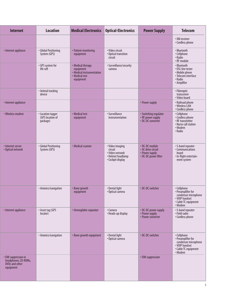| <b>Internet</b>                                                             | <b>Location</b>                                   | <b>Medical Electronics</b>                                                                 | <b>Optical-Electronics</b>                                                              | <b>Power Supply</b>                                                            | <b>Telecom</b>                                                                                                 |
|-----------------------------------------------------------------------------|---------------------------------------------------|--------------------------------------------------------------------------------------------|-----------------------------------------------------------------------------------------|--------------------------------------------------------------------------------|----------------------------------------------------------------------------------------------------------------|
|                                                                             |                                                   |                                                                                            |                                                                                         |                                                                                | • XM receiver<br>• Cordless phone                                                                              |
| • Internet appliance                                                        | · Global Positioning<br>System (GPS)              | • Patient monitoring<br>equipment                                                          | · Video circuit<br>• Optical transition<br>circuit                                      |                                                                                | • Bluetooth<br>• Cellphone<br>• Radio<br>• RF module                                                           |
|                                                                             | • GPS system for<br>life raft                     | • Medical therapy<br>equipment<br>· Medical instrumentation<br>• Medical test<br>equipment | • Surveillance/security<br>camera                                                       |                                                                                | · Bluetooth<br>• DSL line tester<br>• Mobile phone<br>• Telecom interface<br>• Radio<br>• Amplifier            |
|                                                                             | • Animal tracking<br>device                       |                                                                                            |                                                                                         |                                                                                | • Fiberoptic<br>transceiver<br>· Video board                                                                   |
| • Internet appliance                                                        |                                                   |                                                                                            |                                                                                         | • Power supply                                                                 | • Railroad phone<br>• Wireless LAN<br>• Cordless phone                                                         |
| • Wireless modem                                                            | • Location tagger<br>(GPS location of<br>package) | • Medical test<br>equipment                                                                | • Surveillance<br>instrumentation                                                       | • Switching regulator<br>• RF power supply<br>• DC-DC converter                | • Cellphone<br>· Cordless phone<br>• RF transmitter<br>• Nurse call station<br>• Modem<br>• Radio              |
| • Internet server<br>• Optical network                                      | · Global Positioning<br>System (GPS)              | • Medical scanner                                                                          | • Video imaging<br>circuit<br>• Video network<br>• Helmet headlamp<br>• Cockpit display | • DC-DC module<br>• AC drive circuit<br>• Power supply<br>• DC-DC power filter | • S-band repeater<br>• Communications<br>board<br>· In-flight entertain-<br>ment system                        |
|                                                                             | • Avionics/navigation                             | Bone growth<br>equipment                                                                   | • Dental light<br>• Optical camera                                                      | • DC-DC switcher                                                               | · Cellphone<br>• Preamplifier for<br>condensor microphone<br>• VOIP handset<br>• Cable TC equipment<br>• Modem |
| • Internet appliance                                                        | • Asset tag (GPS<br>locator)                      | • Hemoglobin separator                                                                     | • Camera<br>• Heads-up display                                                          | • DC-DC power supply<br>• Power supply<br>• Power converter                    | • S-band repeater<br>· Field radio<br>• Cordless phone                                                         |
|                                                                             | • Avionics/navigation                             | • Bone growth equipment                                                                    | • Dental light<br>· Optical camera                                                      | • DC-DC switcher                                                               | • Cellphone<br>• Preamplifier for<br>condensor microphone<br>• VOIP handset<br>• Cable TC equipment<br>• Modem |
| • EMI suppression in<br>headphones, CD-ROMs,<br>DVDs and other<br>equipment |                                                   |                                                                                            |                                                                                         | • EMI suppression                                                              |                                                                                                                |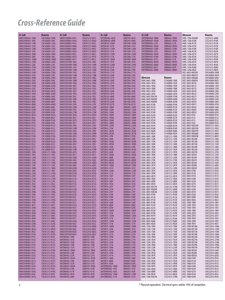### *Cross-Reference Guide*

| 3L Coil                              | <b>Bourns</b>                  | 3L Coil                                        | Bourns                         | 3L Coil                                      | <b>Bourns</b>                | <b>3L Coil</b>                              | Bourns                         | Abracon                              | <b>Bourns</b>                  |
|--------------------------------------|--------------------------------|------------------------------------------------|--------------------------------|----------------------------------------------|------------------------------|---------------------------------------------|--------------------------------|--------------------------------------|--------------------------------|
| SMDCHSR0603-10NG                     | CW160808-10NG                  | SMDCHSR0805-R47J                               | CW201212-R47J                  | SMTDR0402-681K                               | SDR0703-681K                 | SMTDRRI0402-1ROM                            | SRR6603-1R0M                   | AIML-1206-R068M                      | CS321613-68NK                  |
| SMDCHSR0603-10NJ                     | CW160808-10NJ                  | SMDCHSR0805-R56G                               | CW201212-R56G                  | SMTDR0402-6R8K                               | SDR0703-6R8K                 | SMTDRRI0402-1R5M                            | SRR6603-1R5M                   | AIML-1206-R10K                       | CS321613-R10K                  |
| SMDCHSR0603-12NG<br>SMDCHSR0603-12NJ | CW160808-12NG<br>CW160808-12NJ | SMDCHSR0805-R56J<br>SMDCHSR0805-R68G           | CW201212-R56J<br>CW201212-R68G | SMTDR105-100M<br><b>SMTDR105-101K</b>        | SDR1006-100M<br>SDR1006-101K | <b>SMTDRRI0402-221K</b><br>SMTDRRI0402-2R2M | SRR6603-221K<br>SRR6603-2R2M   | AIML-1206-R12K<br>AIML-1206-R15K     | CS321613-R12K<br>CS321613-R15K |
| SMDCHSR0603-15NG                     | CW160808-15NG                  | SMDCHSR0805-R68J                               | CW201212-R68J                  | SMTDR105-120M                                | SDR1006-120M                 | SMTDRRI0402-330M                            | SRR6603-330M                   | AIML-1206-R18K                       | CS321613-R18K                  |
| SMDCHSR0603-15NJ                     | CW160808-15NJ                  | SMDCHSR0805-R82G                               | CW201212-R82G                  | <b>SMTDR105-121K</b>                         | SDR1006-121K                 | <b>SMTDRRI0402-331K</b>                     | SRR6603-331K                   | AIML-1206-R22K                       | CS321613-R22K                  |
| SMDCHSR0603-18NG                     | CW160808-18NG                  | SMDCHSR0805-R82J                               | CW201212-R82J                  | <b>SMTDR105-150M</b>                         | SDR1006-150M                 | SMTDRRI0402-3R3M                            | SRR6603-3R3M                   | AIML-1206-R27K                       | CS321613-R27K                  |
| SMDCHSR0603-18NJ                     | CW160808-18NJ                  | SMDCHSR0805-R91G                               | CW201212-R91G                  | <b>SMTDR105-151K</b>                         | SDR1006-151K                 | SMTDRRI0402-470M                            | SRR6603-470M                   | AIML-1206-R33K                       | CS321613-R33K                  |
| SMDCHSR0603-1N8M<br>SMDCHSR0603-22NG | CW160808-1N8M<br>CW160808-22NG | SMDCHSR0805-R91J<br>SMDCHSR1008-10NJ           | CW201212-R91J<br>CW252016-10NJ | SMTDR105-180M<br><b>SMTDR105-181K</b>        | SDR1006-180M<br>SDR1006-181K | <b>SMTDRRI0402-471K</b><br>SMTDRRI0402-4R7M | SRR6603-471K<br>SRR6603-4R7M   | AIML-1206-R39K<br>AIML-1206-R47K     | CS321613-R39K<br>CS321613-R47K |
| SMDCHSR0603-22NJ                     | CW160808-22NJ                  | SMDCHSR1008-10NK                               | <b>CW252016-10NK</b>           | SMTDR105-220M                                | SDR1006-220M                 | SMTDRRI0402-680M                            | SRR6603-680M                   | AIML-1206-R56K                       | CS321613-R56K                  |
| SMDCHSR0603-27NG                     | CW160808-27NG                  | SMDCHSR1008-12NJ                               | CW252016-12NJ                  | <b>SMTDR105-221K</b>                         | SDR1006-221K                 | <b>SMTDRRI0402-681K</b>                     | SRR6603-681K                   | AIML-1206-R68K                       | CS321613-R68K                  |
| SMDCHSR0603-27NJ                     | CW160808-27NJ                  | SMDCHSR1008-12NK                               | CW252016-12NK                  | <b>SMTDR105-270K</b>                         | SDR1006-270K                 | SMTDRRI0402-6R8M                            | SRR6603-6R8M                   | AIML-1206-R82K                       | CS321613-R82K                  |
| SMDCHSR0603-33NG<br>SMDCHSR0603-33NJ | CW160808-33NG<br>CW160808-33NJ | SMDCHSR1008-15NJ<br>SMDCHSR1008-15NK           | CW252016-15NJ<br>CW252016-15NK | <b>SMTDR105-271K</b><br><b>SMTDR105-330K</b> | SDR1006-271K<br>SDR1006-330K |                                             |                                | AISC-0603-R0039K<br>AISC-0603-R0047K | CW160808-3N9K<br>CW160808-4N7K |
| SMDCHSR0603-39NG                     | CW160808-39NG                  | SMDCHSR1008-18NJ                               | CW252016-18NJ                  | <b>SMTDR105-331K</b>                         | SDR1006-331K                 | Abracon                                     | <b>Bourns</b>                  | AISC-0603-R0068K                     | CW160808-6N8J                  |
| SMDCHSR0603-39NJ                     | CW160808-39NJ                  | SMDCHSR1008-18NK                               | CW252016-18NK                  | <b>SMTDR105-390K</b>                         | SDR1006-390K                 | AIML-0603-1R0K                              | CS160808-1R0K                  | AISC-0603-R0082K                     | CW160808-8N2J                  |
| SMDCHSR0603-3N9K                     | CW160808-3N9K                  | SMDCHSR1008-1R0G                               | CW252016-1R0G                  | <b>SMTDR105-391K</b>                         | SDR1006-391K                 | AIML-0603-1R2K                              | CS160808-1R2K                  | AISC-0603-R010J                      | CW160808-10NJ                  |
| SMDCHSR0603-47NG<br>SMDCHSR0603-47NJ | CW160808-47NG<br>CW160808-47NJ | SMDCHSR1008-1R0J<br>SMDCHSR1008-1R2G           | CW252016-1R0J<br>CW252016-1R2G | <b>SMTDR105-470K</b><br><b>SMTDR105-471K</b> | SDR1006-470K                 | AIML-0603-1R5K<br>AIML-0603-1R8K            | CS160808-1R5K<br>CS160808-1R8K | AISC-0603-R012J<br>AISC-0603-R015J   | CW160808-12NJ<br>CW160808-15NJ |
| SMDCHSR0603-4N7K                     | CW160808-4N7K                  | SMDCHSR1008-1R2J                               | CW252016-1R2J                  | <b>SMTDR105-560K</b>                         | SDR1006-471K<br>SDR1006-560K | AIML-0603-2R2K                              | CS160808-2R2K                  | AISC-0603-R018J                      | CW160808-18NJ                  |
| SMDCHSR0603-56NG                     | CW160808-56NG                  | SMDCHSR1008-1R5G                               | CW252016-1R5G                  | SMTDR105-561K                                | SDR1006-561K                 | AIML-0603-2R7K                              | CS160808-2R7K                  | AISC-0603-R022J                      | CW160808-22NJ                  |
| SMDCHSR0603-56NJ                     | CW160808-56NJ                  | SMDCHSR1008-1R5J                               | CW252016-1R5J                  | <b>SMTDR105-680K</b>                         | SDR1006-680K                 | AIML-0603-R047M                             | CS160808-47NK                  | AISC-0603-R027J                      | CW160808-27NJ                  |
| SMDCHSR0603-68NG                     | CW160808-68NG                  | SMDCHSR1008-1R8G                               | CW252016-1R8G                  | <b>SMTDR105-681K</b>                         | SDR1006-681K                 | AIML-0603-R068M                             | CS160808-68NK                  | AISC-0603-R033J                      | CW160808-33NJ                  |
| SMDCHSR0603-68NJ<br>SMDCHSR0603-6N8G | CW160808-68NJ<br>CW160808-6N8G | SMDCHSR1008-1R8J<br>SMDCHSR1008-22NJ           | CW252016-1R8J<br>CW252016-22NJ | <b>SMTDR105-820K</b><br><b>SMTDR105-821K</b> | SDR1006-820K<br>SDR1006-821K | AIML-0603-R068M<br>AIML-0603-R10K           | CS160808-82NK<br>CS160808-R10K | AISC-0603-R039J<br>AISC-0603-R047J   | CW160808-39NJ<br>CW160808-47NJ |
| SMDCHSR0603-6N8J                     | CW160808-6N8J                  | SMDCHSR1008-22NK                               | CW252016-22NK                  | <b>SMTDR43-100M</b>                          | SDR0403-100M                 | AIML-0603-R12K                              | CS160808-R12K                  | AISC-0603-R056J                      | CW160808-56NJ                  |
| SMDCHSR0603-82NG                     | CW160808-82NG                  | SMDCHSR1008-27NJ                               | CW252016-27NJ                  | <b>SMTDR43-120M</b>                          | SDR0403-120M                 | AIML-0603-R15K                              | CS160808-R15K                  | AISC-0603-R068J                      | CW160808-68NJ                  |
| SMDCHSR0603-82NJ                     | CW160808-82NJ                  | SMDCHSR1008-27NK                               | CW252016-27NK                  | <b>SMTDR43-150M</b>                          | SDR0403-150M                 | AIML-0603-R18K                              | CS160808-R18K                  | AISC-0603-R082J                      | CW160808-82NJ                  |
| SMDCHSR0603-8N2G<br>SMDCHSR0603-8N2J | CW160808-8N2G<br>CW160808-8N2J | SMDCHSR1008-2R2G<br>SMDCHSR1008-2R2J           | CW252016-2R2G<br>CW252016-2R2J | <b>SMTDR43-180M</b><br>SMTDR43-1ROM          | SDR0403-180M<br>SDR0403-1R0M | AIML-0603-R22K<br>AIML-0603-R27K            | CS160808-R22K<br>CS160808-R27K | AISC-0603-R10J<br>AISC-0603-R12J     | CW160808-R10J<br>CW160808-R12J |
| SMDCHSR0603-R10G                     | CW160808-R10G                  | SMDCHSR1008-2R7G                               | CW252016-2R7G                  | SMTDR43-1R4M                                 | SDR0403-1R4M                 | AIML-0603-R33K                              | CS160808-R33K                  | AISC-0603-R15J                       | CW160808-R15J                  |
| SMDCHSR0603-R10J                     | CW160808-R10J                  | SMDCHSR1008-2R7J                               | CW252016-2R7J                  | SMTDR43-1R8M                                 | SDR0403-1R8M                 | AIML-0603-R39K                              | CS160808-R39K                  | AISC-0603-R18J                       | CW160808-R18J                  |
| SMDCHSR0603-R12G                     | CW160808-R12G                  | SMDCHSR1008-33NJ                               | CW252016-33NJ                  | <b>SMTDR43-220M</b>                          | SDR0403-220M                 | AIML-0603-R47K                              | CS160808-R47K                  | AISC-0805-R0022M                     | CW201212-2N2J                  |
| SMDCHSR0603-R12J                     | CW160808-R12J                  | SMDCHSR1008-33NK                               | CW252016-33NK                  | <b>SMTDR43-270K</b>                          | SDR0403-270K                 | AIML-0603-R56K                              | CS160808-R56K                  | AISC-0805-R0033M                     | CW201212-3N3J                  |
| SMDCHSR0603-R15G<br>SMDCHSR0603-R15J | CW160808-R15G<br>CW160808-R15J | SMDCHSR1008-39NJ<br>SMDCHSR1008-39NK           | CW252016-39NJ<br>CW252016-39NK | SMTDR43-2R2M<br>SMTDR43-2R7M                 | SDR0403-2R2M<br>SDR0403-2R7M | AIML-0603-R68K<br>AIML-0603-R82K            | CS160808-R68K<br>CS160808-R82K | AISC-0805-R0047M<br>AISC-0805-R0068M | CW201212-4N7J<br>CW201212-6N8J |
| SMDCHSR0603-R18G                     | CW160808-R18G                  | SMDCHSR1008-3R3G                               | CW252016-3R3G                  | <b>SMTDR43-330K</b>                          | SDR0403-330K                 | AIML-0805-100K                              | CS201212-100K                  | AISC-0805-R0082M                     | CW201212-8N2J                  |
| SMDCHSR0603-R18J                     | CW160808-R18J                  | SMDCHSR1008-3R3J                               | CW252016-3R3J                  | <b>SMTDR43-390K</b>                          | SDR0403-390K                 | AIML-0805-120K                              | CS201212-120K                  | AISC-0805-R010M                      | CW201212-10NJ                  |
| SMDCHSR0603-R22G                     | CW160808-R22G                  | SMDCHSR1008-3R9G                               | CW252016-3R9G                  | SMTDR43-3R3M                                 | SDR0403-3R3M                 | AIML-0805-150K                              | CS201212-150K                  | AISC-0805-R012M                      | CW201212-12NJ                  |
| SMDCHSR0603-R22J<br>SMDCHSR0603-R27G | CW160808-R22J<br>CW160808-R27G | SMDCHSR1008-3R9J<br>SMDCHSR1008-47NJ           | CW252016-3R9J<br>CW252016-47NJ | SMTDR43-3R9M<br><b>SMTDR43-470K</b>          | SDR0403-3R9M<br>SDR0403-470K | AIML-0805-180K<br>AIML-0805-1R0K            | CS201212-180K<br>CS201212-1R0K | AISC-0805-R015M<br>AISC-0805-R018M   | CW201212-15NJ<br>CW201212-18NJ |
| SMDCHSR0603-R27J                     | CW160808-R27J                  | SMDCHSR1008-47NK                               | CW252016-47NK                  | SMTDR43-4R7M                                 | SDR0403-4R7M                 | AIML-0805-1R2K                              | CS201212-1R2K                  | AISC-0805-R022M                      | CW201212-22NJ                  |
| SMDCHSR0805-10NG                     | CW201212-10NG                  | SMDCHSR1008-4R7G                               | CW252016-4R7G                  | <b>SMTDR43-560K</b>                          | SDR0403-560K                 | AIML-0805-1R5K                              | CS201212-1R5K                  | AISC-0805-R027M                      | CW201212-27NJ                  |
| SMDCHSR0805-10NJ                     | CW201212-10NJ                  | SMDCHSR1008-4R7J                               | CW252016-4R7J                  | SMTDR43-5R6M                                 | SDR0403-5R6M                 | AIML-0805-1R8K                              | CS201212-1R8K                  | AISC-0805-R033K                      | CW201212-33NJ                  |
| SMDCHSR0805-12NG<br>SMDCHSR0805-12NJ | CW201212-12NG<br>CW201212-12NJ | SMDCHSR1008-56NG<br>SMDCHSR1008-56NJ           | CW252016-56NG<br>CW252016-56NJ | <b>SMTDR43-680K</b><br>SMTDR43-6R8M          | SDR0403-680K<br>SDR0403-6R8M | AIML-0805-220K<br>AIML-0805-270K            | CS201212-220K<br>CS201212-270K | AISC-0805-R039K<br>AISC-0805-R047K   | CW201212-39NJ<br>CW201212-47NJ |
| SMDCHSR0805-15NG                     | CW201212-15NG                  | SMDCHSR1008-68NG                               | CW252016-68NG                  | SMTDR43-8R2M                                 | SDR0403-8R2M                 | AIML-0805-2R2K                              | CS201212-2R2K                  | AISC-0805-R056K                      | CW201212-56NJ                  |
| SMDCHSR0805-15NJ                     | CW201212-15NJ                  | SMDCHSR1008-68NJ                               | CW252016-68NJ                  | <b>SMTDR54-100M</b>                          | SDR0604-100M                 | AIML-0805-2R7K                              | CS201212-2R7K                  | AISC-0805-R068K                      | CW201212-68NJ                  |
| SMDCHSR0805-18NG                     | CW201212-18NG                  | SMDCHSR1008-82NG                               | CW252016-82NG                  | <b>SMTDR54-101K</b>                          | SDR0604-101K                 | AIML-0805-330K                              | CS201212-330K                  | AISC-0805-R082K                      | CW201212-82NJ                  |
| SMDCHSR0805-18NJ<br>SMDCHSR0805-22NG | CW201212-18NJ<br>CW201212-22NG | SMDCHSR1008-82NJ<br>SMDCHSR1008-R10G           | CW252016-82NJ<br>CW252016-R10G | <b>SMTDR54-120M</b><br><b>SMTDR54-121K</b>   | SDR0604-120M<br>SDR0604-121K | AIML-0805-3R3K<br>AIML-0805-3R9K            | CS201212-3R3K<br>CS201212-3R9K | AISC-0805-R10K<br>AISC-0805-R12K     | CW201212-R10J<br>CW201212-R12J |
| SMDCHSR0805-22NJ                     | CW201212-22NJ                  | SMDCHSR1008-R10J                               | CW252016-R10J                  | <b>SMTDR54-150Y</b>                          | SDR0604-150Y                 | AIML-0805-4R7K                              | CS201212-4R7K                  | AISC-0805-R15K                       | CW201212-R15J                  |
| SMDCHSR0805-27NG                     | CW201212-27NG                  | SMDCHSR1008-R12G                               | CW252016-R12G                  | <b>SMTDR54-151K</b>                          | SDR0604-151K                 | AIML-0805-5R6K                              | CS201212-5R6K                  | AISC-0805-R18K                       | CW201212-R18J                  |
| SMDCHSR0805-27NJ                     | CW201212-27NJ                  | SMDCHSR1008-R12J                               | CW252016-R12J                  | <b>SMTDR54-180Y</b>                          | SDR0604-180Y                 | AIML-0805-6R8K                              | CS201212-6R8K                  | AISC-0805-R22K                       | CW201212-R22J                  |
| SMDCHSR0805-2N2J<br>SMDCHSR0805-33NG | CW201212-2N2J<br>CW201212-33NG | SMDCHSR1008-R15G<br>SMDCHSR1008-R15J           | CW252016-R15G<br>CW252016-R15J | <b>SMTDR54-181K</b><br><b>SMTDR54-220Y</b>   | SDR0604-181K                 | AIML-0805-8R2K<br>AIML-0805-R047M           | CS201212-8R2K                  | AISC-0805-R27K<br>AISC-0805-R33K     | CW201212-R27J<br>CW201212-R33J |
| SMDCHSR0805-33NJ                     | CW201212-33NJ                  | SMDCHSR1008-R18G                               | CW252016-R18G                  | <b>SMTDR54-221K</b>                          | SDR0604-220Y<br>SDR0604-221K | AIML-0805-R068M                             | CS201212-47NK<br>CS201212-68NK | AISC-0805-R39K                       | CW201212-R39J                  |
| SMDCHSR0805-39NG                     | CW201212-39NG                  | SMDCHSR1008-R18J                               | CW252016-R18J                  | <b>SMTDR54-270Y</b>                          | SDR0604-270Y                 | AIML-0805-R082M                             | CS201212-82NK                  | AISC-0805-R47K                       | CW201212-R47J                  |
| SMDCHSR0805-39NJ                     | CW201212-39NJ                  | SMDCHSR1008-R22G                               | CW252016-R22G                  | <b>SMTDR54-330K</b>                          | SDR0604-330K                 | AIML-0805-R10K                              | CS201212-R10K                  | AISC-0805-R56K                       | CW201212-R56J                  |
| SMDCHSR0805-3N3J                     | CW201212-3N3J                  | SMDCHSR1008-R22J                               | CW252016-R22J                  | <b>SMTDR54-390K</b><br><b>SMTDR54-470K</b>   | SDR0604-390K                 | AIML-0805-R12K                              | CS201212-R12K                  | AISC-0805-R68K                       | CW201212-R68J                  |
| SMDCHSR0805-47NG<br>SMDCHSR0805-47NJ | CW201212-47NG<br>CW201212-47NJ | SMDCHSR1008-R27G<br>SMDCHSR1008-R27J           | CW252016-R27G<br>CW252016-R27J | <b>SMTDR54-560K</b>                          | SDR0604-470K<br>SDR0604-560K | AIML-0805-R15K<br>AIML-0805-R18K            | CS201212-R15K<br>CS201212-R18K | AISC-0805-R82K<br>AISC-1008-1R0K     | CW201212-R82J<br>CW252016-1R0J |
| SMDCHSR0805-4N7J                     | CW201212-4N7J                  | SMDCHSR1008-R33G                               | CW252016-R33G                  | <b>SMTDR54-680K</b>                          | SDR0604-680K                 | AIML-0805-R22K                              | CS201212-R22K                  | AISC-1008-1R2K                       | CW252016-1R2J                  |
| SMDCHSR0805-56NG                     | CW201212-56NG                  | SMDCHSR1008-R33J                               | CW252016-R33J                  | <b>SMTDR54-820K</b>                          | SDR0604-820K                 | AIML-0805-R27K                              | CS201212-R27K                  | AISC-1008-1R5K                       | CW252016-1R5J                  |
| SMDCHSR0805-56NJ                     | CW201212-56NJ<br>CW201212-68NG | SMDCHSR1008-R39G<br>SMDCHSR1008-R39J           | CW252016-R39G                  | <b>SMTDR75-100M</b>                          | SDR0805-100M                 | AIML-0805-R33K                              | CS201212-R33K                  | AISC-1008-1R8K<br>AISC-1008-2R2K     | CW252016-1R8J                  |
| SMDCHSR0805-68NG<br>SMDCHSR0805-68NJ | CW201212-68NJ                  | SMDCHSR1008-R47G                               | CW252016-R39J<br>CW252016-R47G | <b>SMTDR75-101K</b><br><b>SMTDR75-120M</b>   | SDR0805-101K<br>SDR0805-120M | AIML-0805-R39K<br>AIML-0805-R47K            | CS201212-R39K<br>CS201212-R47K | AISC-1008-2R7K                       | CW252016-2R2J<br>CW252016-2R7J |
| SMDCHSR0805-6N8G                     | CW201212-6N8G                  | SMDCHSR1008-R47J                               | CW252016-R47J                  | <b>SMTDR75-121K</b>                          | SDR0805-121K                 | AIML-0805-R56K                              | CS201212-R56K                  | AISC-1008-3R3K                       | CW252016-3R3J                  |
| SMDCHSR0805-6N8J                     | CW201212-6N8J                  | SMDCHSR1008-R56G                               | CW252016-R56G                  | <b>SMTDR75-150M</b>                          | SDR0805-150M                 | AIML-0805-R68K                              | CS201212-R68K                  | AISC-1008-3R9K                       | CW252016-3R9J                  |
| SMDCHSR0805-82NG                     | CW201212-82NG                  | SMDCHSR1008-R56J                               | CW252016-R56J                  | <b>SMTDR75-151K</b>                          | SDR0805-151K                 | AIML-0805-R82K                              | CS201212-R82K                  | AISC-1008-4R7K                       | CW252016-4R7J                  |
| SMDCHSR0805-82NJ<br>SMDCHSR0805-8N2G | CW201212-82NJ<br>CW201212-8N2G | SMDCHSR1008-R68G<br>SMDCHSR1008-R68J           | CW252016-R68G<br>CW252016-R68J | <b>SMTDR75-180M</b><br><b>SMTDR75-181K</b>   | SDR0805-180M<br>SDR0805-181K | AIML-1206-100K<br>AIML-1206-120K            | CS321613-100K<br>CS321613-120K | AISC-1008-R010M<br>AISC-1008-R012M   | CW252016-10NK<br>CW252016-12NK |
| SMDCHSR0805-8N2J                     | CW201212-8N2J                  | SMDCHSR1008-R82G                               | CW252016-R82G                  | <b>SMTDR75-220M</b>                          | SDR0805-220M                 | AIML-1206-150K                              | CS321613-150K                  | AISC-1008-R015M                      | CW252016-15NK                  |
| SMDCHSR0805-R10G                     | CW201212-R10G                  | SMDCHSR1008-R82J                               | CW252016-R82J                  | <b>SMTDR75-221K</b>                          | SDR0805-221K                 | AIML-1206-180K                              | CS321613-180K                  | AISC-1008-R018M                      | CW252016-18NK                  |
| SMDCHSR0805-R10J                     | CW201212-R10J                  | SMTDR0402-100K                                 | SDR0703-100K                   | <b>SMTDR75-270K</b>                          | SDR0805-270K                 | AIML-1206-1R0K                              | CS321613-1R0K                  | AISC-1008-R022M                      | CW252016-22NK                  |
| SMDCHSR0805-R12G<br>SMDCHSR0805-R12J | CW201212-R12G<br>CW201212-R12J | <b>SMTDR0402-101K</b><br><b>SMTDR0402-102K</b> | SDR0703-101K<br>SDR0703-102K   | <b>SMTDR75-271K</b><br><b>SMTDR75-330K</b>   | SDR0805-271K<br>SDR0805-330K | AIML-1206-1R2K<br>AIML-1206-1R5K            | CS321613-1R2K<br>CS321613-1R5K | AISC-1008-R027M<br>AISC-1008-R033M   | CW252016-27NK<br>CW252016-33NK |
| SMDCHSR0805-R15G                     | CW201212-R15G                  | <b>SMTDR0402-150K</b>                          | SDR0703-150K                   | <b>SMTDR75-331K</b>                          | SDR0805-331K                 | AIML-1206-1R8K                              | CS321613-1R8K                  | AISC-1008-R039M                      | CW252016-39NK                  |
| SMDCHSR0805-R15J                     | CW201212-R15J                  | SMTDR0402-151K                                 | SDR0703-151K                   | <b>SMTDR75-390K</b>                          | SDR0805-390K                 | AIML-1206-220K                              | CS321613-220K                  | AISC-1008-R047M                      | CW252016-47NK                  |
| SMDCHSR0805-R18G                     | CW201212-R18G                  | SMTDR0402-1R0M                                 | SDR0703-1R0M                   | <b>SMTDR75-391K</b>                          | SDR0805-391K                 | AIML-1206-270K                              | CS321613-270K                  | AISC-1008-R056K                      | CW252016-56NJ                  |
| SMDCHSR0805-R18J<br>SMDCHSR0805-R22G | CW201212-R18J<br>CW201212-R22G | SMTDR0402-220K<br>SMTDR0402-221K               | SDR0703-220K<br>SDR0703-221K   | <b>SMTDR75-470K</b><br><b>SMTDR75-471K</b>   | SDR0805-470K<br>SDR0805-471K | AIML-1206-2R2K<br>AIML-1206-2R7K            | CS321613-2R2K<br>CS321613-2R7K | AISC-1008-R068K<br>AISC-1008-R082K   | CW252016-68NJ<br>CW252016-82NJ |
| SMDCHSR0805-R22J                     | CW201212-R22J                  | SMTDR0402-2R2M                                 | SDR0703-2R2M                   | <b>SMTDR75-560K</b>                          | SDR0805-560K                 | AIML-1206-330K                              | CS321613-330K                  | AISC-1008-R10K                       | CW252016-R10J                  |
| SMDCHSR0805-R27G                     | CW201212-R27G                  | SMTDR0402-330K                                 | SDR0703-330K                   | <b>SMTDR75-680K</b>                          | SDR0805-680K                 | AIML-1206-3R3K                              | CS321613-3R3K                  | AISC-1008-R12K                       | CW252016-R12J                  |
| SMDCHSR0805-R27J                     | CW201212-R27J                  | SMTDR0402-331K                                 | SDR0703-331K                   | <b>SMTDR75-820K</b>                          | SDR0805-820K                 | AIML-1206-3R9K                              | CS321613-3R9K                  | AISC-1008-R15K                       | CW252016-R15J                  |
| SMDCHSR0805-R33G<br>SMDCHSR0805-R33J | CW201212-R33G<br>CW201212-R33J | SMTDR0402-3R3M<br>SMTDR0402-470K               | SDR0703-3R3M<br>SDR0703-470K   | SMTDRRI0402-100M<br><b>SMTDRRI0402-101K</b>  | SRR6603-100M<br>SRR6603-101K | AIML-1206-4R7K<br>AIML-1206-5R6K            | CS321613-4R7K<br>CS321613-5R6K | AISC-1008-R18K<br>AISC-1008-R22K     | CW252016-R18J<br>CW252016-R22J |
| SMDCHSR0805-R39G                     | CW201212-R39G                  | SMTDR0402-471K                                 | SDR0703-471K                   | <b>SMTDRRI0402-102K</b>                      | SRR6603-102K                 | AIML-1206-6R8K                              | CS321613-6R8K                  | AISC-1008-R27K                       | CW252016-R27J                  |
| SMDCHSR0805-R39J                     | CW201212-R39J                  | SMTDR0402-4R7K                                 | SDR0703-4R7K                   | <b>SMTDRRI0402-150M</b>                      | SRR6603-150M                 | AIML-1206-8R2K                              | CS321613-8R2K                  | AISC-1008-R33K                       | CW252016-R33J                  |
| SMDCHSR0805-R47G                     | CW201212-R47G                  | SMTDR0402-680K                                 | SDR0703-680K                   | <b>SMTDRRI0402-151K</b>                      | SRR6603-151K                 | AIML-1206-R047M                             | CS321613-47NK                  | AISC-1008-R39K                       | CW252016-R39J                  |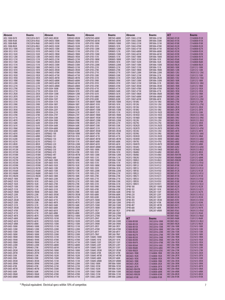| Abracon                            | <b>Bourns</b>                  | Abracon                            | <b>Bourns</b>                | Abracon                              | <b>Bourns</b>                | Abracon                            | Bourns                         | <b>ACT</b>                   | <b>Bourns</b>                  |
|------------------------------------|--------------------------------|------------------------------------|------------------------------|--------------------------------------|------------------------------|------------------------------------|--------------------------------|------------------------------|--------------------------------|
| AISC-1008-R47K                     | CW252016-R47J                  | ASPI-0403-8R2M                     | SDR0403-8R2M                 | ASPI0704S-680M                       | SRR7045-680M                 | ASPI-1306S-221M                    | SRR1806-221M                   | MIC0603-R12K                 | CS160808-R12K                  |
| AISC-1008-R56K                     | CW252016-R56J                  | ASPI-0403S-100M                    | SRR6603-100M                 | ASPI0704S-681M                       | SRR7045-681M                 | ASPI-1306S-330M                    | SRR1806-330M                   | MIC0603-R15K                 | CS160808-R15K                  |
| AISC-1008-R68K                     | CW252016-R68J                  | ASPI-0403S-101M                    | SRR6603-101M                 | ASPI-0705-100M                       | SDR0805-100M                 | ASPI-1306S-331M                    | SRR1806-331M                   | MIC0603-R18K                 | CS160808-R18K                  |
| AISC-1008-R82K<br>AISM-1812-100K   | CW252016-R82J<br>CM453232-100K | ASPI-0403S-102M<br>ASPI-0403S-150M | SRR6603-102M<br>SRR6603-150M | ASPI-0705-101K<br>ASPI-0705-120M     | SDR0805-101K<br>SDR0805-120M | ASPI-1306S-470M<br>ASPI-1306S-471M | SRR1806-470M<br>SRR1806-471M   | MIC0603-R22K<br>MIC0603-R27K | CS160808-R22K<br>CS160808-R27K |
| AISM-1812-101K                     | CM453232-101K                  | ASPI-0403S-151M                    | SRR6603-151M                 | ASPI-0705-121K                       | SDR0805-121K                 | ASPI-1306S-680M                    | SRR1806-680M                   | MIC0603-R33K                 | CS160808-R33K                  |
| AISM-1812-102K                     | CM453232-102K                  | ASPI-0403S-1R0M                    | SRR6603-1R0M                 | ASPI-0705-150M                       | SDR0805-150M                 | ASPI-1306S-681M                    | SRR1806-681M                   | MIC0603-R39K                 | CS160808-R39K                  |
| AISM-1812-120K                     | CM453232-120K                  | ASPI-0403S-1R5M                    | SRR6603-1R5M                 | ASPI-0705-151K                       | SDR0805-151K                 | ASPI-1306T-100M                    | SDR1806-100M                   | MIC0603-R47K                 | CS160808-R47K                  |
| AISM-1812-121K                     | CM453232-121K                  | ASPI-0403S-221M                    | SRR6603-221M                 | ASPI-0705-180M                       | SDR0805-180M                 | ASPI-1306T-101M                    | SDR1806-101K                   | MIC0603-R56K                 | CS160808-R56K                  |
| AISM-1812-150K                     | CM453232-150K                  | ASPI-0403S-2R2M                    | SRR6603-2R2M                 | ASPI-0705-181K                       | SDR0805-181K                 | ASPI-1306T-102M                    | SDR1806-102K                   | MIC0603-R68K                 | CS160808-R68K                  |
| AISM-1812-151K                     | CM453232-151K                  | ASPI-0403S-330M                    | SRR6603-330M                 | ASPI-0705-220M                       | SDR0805-220M                 | ASPI-1306T-150M                    | SDR1806-150M                   | MIC0603-R82K                 | CS160808-R82K                  |
| AISM-1812-180K                     | CM453232-180K<br>CM453232-181K | ASPI-0403S-331M<br>ASPI-0403S-3R3M | SRR6603-331M<br>SRR6603-3R3M | ASPI-0705-221K<br>ASPI-0705-270K     | SDR0805-221K<br>SDR0805-270K | ASPI-1306T-151M                    | SDR1806-151K<br>SDR1806-1R0M   | MIC0805-100K<br>MIC0805-120K | CS201212-100K<br>CS201212-120K |
| AISM-1812-181K<br>AISM-1812-1R0K   | CM453232-1R0K                  | ASPI-0403S-470M                    | SRR6603-470M                 | ASPI-0705-271K                       | SDR0805-271K                 | ASPI-1306T-1ROM<br>ASPI-1306T-220M | SDR1806-220M                   | MIC0805-12NJ                 | CW201212-12NJ                  |
| AISM-1812-1R2K                     | CM453232-1R2K                  | ASPI-0403S-471M                    | SRR6603-471M                 | ASPI-0705-330K                       | SDR0805-330K                 | ASPI-1306T-221M                    | SDR1806-221K                   | MIC0805-150K                 | CS201212-150K                  |
| AISM-1812-1R5K                     | CM453232-1R5K                  | ASPI-0403S-4R7M                    | SRR6603-4R7M                 | ASPI-0705-331K                       | SDR0805-331K                 | ASPI-1306T-2R2M                    | SDR1806-2R2M                   | MIC0805-15NJ                 | CW201212-15NJ                  |
| AISM-1812-1R8K                     | CM453232-1R8K                  | ASPI-0403S-680M                    | SRR6603-680M                 | ASPI-0705-390K                       | SDR0805-390K                 | ASPI-1306T-330M                    | SDR1806-330M                   | MIC0805-180K                 | CS201212-180K                  |
| AISM-1812-220K                     | CM453232-220K                  | ASPI-0403S-681M                    | SRR6603-681M                 | ASPI-0705-391K                       | SDR0805-391K                 | ASPI-1306T-331M                    | SDR1806-331K                   | MIC0805-18NJ                 | CW201212-18NJ                  |
| AISM-1812-221K                     | CM453232-221K                  | ASPI-0403S-6R8M                    | SRR6603-6R8M                 | ASPI-0705-470K                       | SDR0805-470K                 | ASPI-1306T-3R3M                    | SDR1806-3R3M<br>SDR1806-470M   | <b>MIC0805-1R0K</b>          | CS201212-1R0K                  |
| AISM-1812-270K<br>AISM-1812-271K   | CM453232-270K<br>CM453232-271K | ASPI-0504-100M<br>ASPI-0504-101K   | SDR0604-100M<br>SDR0604-101K | ASPI-0705-471K<br>ASPI-0705-560K     | SDR0805-471K<br>SDR0805-560K | ASPI-1306T-470M<br>ASPI-1306T-471M | SDR1806-471K                   | MIC0805-1R2K<br>MIC0805-1R5K | CS201212-1R2K<br>CS201212-1R5K |
| AISM-1812-2R2K                     | CM453232-2R2K                  | ASPI-0504-120M                     | SDR0604-120M                 | ASPI-0705-561K                       | SDR0805-561K                 | ASPI-1306T-5R6M                    | SDR1806-5R6M                   | <b>MIC0805-1R8K</b>          | CS201212-1R8K                  |
| AISM-1812-2R7K                     | CM453232-2R7K                  | ASPI-0504-121K                     | SDR0604-121K                 | ASPI-0705-680K                       | SDR0805-680K                 | ASPI-1306T-680M                    | SDR1806-680M                   | MIC0805-220K                 | CS201212-220K                  |
| AISM-1812-330K                     | CM453232-330K                  | ASPI-0504-150Y                     | SDR0604-150Y                 | ASPI-0705-820K                       | SDR0805-820K                 | ASPI-1306T-681M                    | SDR1806-681K                   | MIC0805-22NJ                 | CW201212-22NJ                  |
| AISM-1812-331K                     | CM453232-331K                  | ASPI-0504-151K                     | SDR0604-151K                 | ASPI-0804T-100M                      | SDR1005-100M                 | HI2012-1B10NJ                      | CI201210-10NJ                  | MIC0805-270K                 | CS201212-270K                  |
| AISM-1812-390K                     | CM453232-390K                  | ASPI-0504-180Y                     | SDR0604-180Y                 | ASPI-0804T-101K                      | SDR1005-101K                 | HI2012-1B12NJ                      | CI201210-12NJ                  | MIC0805-27NJ                 | CW201212-27NJ                  |
| AISM-1812-391K                     | CM453232-391K<br>CM453232-3R3K | ASPI-0504-181K                     | SDR0604-181K                 | ASPI-0804T-102K                      | SDR1005-102K<br>SDR1005-150M | HI2012-1B15NJ                      | CI201210-15NJ                  | MIC0805-2R2K                 | CS201212-2R2K                  |
| AISM-1812-3R3K<br>AISM-1812-3R9K   | CM453232-3R9K                  | ASPI-0504-220Y<br>ASPI-0504-221K   | SDR0604-220Y<br>SDR0604-221K | ASPI-0804T-150M<br>ASPI-0804T-151K   | SDR1005-151K                 | HI2012-1B18NJ<br>HI2012-1B1N2D     | CI201210-18NJ<br>CI201210-1N2D | MIC0805-2R7K<br>MIC0805-330K | CS201212-2R7K<br>CS201212-330K |
| AISM-1812-470K                     | CM453232-470K                  | ASPI-0504-270Y                     | SDR0604-270Y                 | ASPI-0804T-1R0M                      | SDR1005-1R0M                 | HI2012-1B1N5D                      | CI201210-1N5D                  | MIC0805-33NJ                 | CW201212-33NJ                  |
| AISM-1812-471K                     | CM453232-471K                  | ASPI-0504-330K                     | SDR0604-330K                 | ASPI-0804T-1R5M                      | SDR1005-1R5M                 | HI2012-1B1N8D                      | CI201210-1N8D                  | MIC0805-39NJ                 | CW201212-39NJ                  |
| AISM-1812-4R7K                     | CM453232-4R7K                  | ASPI-0504-390K                     | SDR0604-390K                 | ASPI-0804T-220M                      | SDR1005-220M                 | HI2012-1B22NJ                      | CI201210-22NJ                  | MIC0805-3N3J                 | CW201212-3N3J                  |
| AISM-1812-560K                     | CM453232-560K                  | ASPI-0504-470K                     | SDR0604-470K                 | ASPI-0804T-221K                      | SDR1005-221K                 | HI2012-1B27NJ                      | CI201210-27NJ                  | MIC0805-3R3K                 | CS201212-3R3K                  |
| AISM-1812-561K                     | CM453232-561K                  | ASPI-0504-560K                     | SDR0604-560K                 | ASPI-0804T-330K                      | SDR1005-330K                 | HI2012-1B2N2D                      | CI201210-2N2D                  | MIC0805-3R9K                 | CS201212-3R9K                  |
| AISM-1812-5R6K                     | CM453232-5R6K                  | ASPI-0504-680K                     | SDR0604-680K                 | ASPI-0804T-331K                      | SDR1005-331K                 | HI2012-1B2N7D                      | CI201210-2N7D                  | MIC0805-47NJ                 | CW201212-47NJ                  |
| AISM-1812-680K<br>AISM-1812-681K   | CM453232-680K<br>CM453232-681K | ASPI-0504-820K<br>ASPI0602-100     | SDR0604-820K<br>SDR7030-100M | ASPI-0804T-3R3M<br>ASPI-0804T-470K   | SDR1005-3R3M<br>SDR1005-470K | HI2012-1B33NJ<br>HI2012-1B39NJ     | CI201210-33NJ<br>CI201210-39NJ | MIC0805-4R7K<br>MIC0805-56NJ | CS201212-4R7K<br>CW201212-56NJ |
| AISM-1812-6R8K                     | CM453232-6R8K                  | ASPI0602-101                       | SDR7030-101K                 | ASPI-0804T-471K                      | SDR1005-471K                 | HI2012-1B3N3D                      | CI201210-3N3D                  | MIC0805-5R6K                 | CS201212-5R6K                  |
| AISM-1812-820K                     | CM453232-820K                  | ASPI0602-150                       | SDR7030-150M                 | ASPI-0804T-4R7M                      | SDR1005-4R7M                 | HI2012-1B3N9D                      | CI201210-3N9D                  | MIC0805-68NJ                 | CW201212-68NJ                  |
| AISM-1812-821K                     | CM453232-821K                  | ASPI0602-151                       | SDR7030-151K                 | ASPI-0804T-680K                      | SDR1005-680K                 | HI2012-1B47NJ                      | CI201210-47NJ                  | MIC0805-6N8J                 | CW201212-6N8J                  |
| AISM-1812-8R2K                     | CM453232-8R2K                  | ASPI0602-220                       | SDR7030-220M                 | ASPI-0804T-681K                      | SDR1005-681K                 | HI2012-1B4N7D                      | CI201210-4N7D                  | MIC0805-6R8K                 | CS201212-6R8K                  |
| AISM-1812-R10M                     | CM453232-R10M                  | ASPI0602-2R2                       | SDR7030-2R2M                 | ASPI-0804T-6R8M                      | SDR1005-6R8M                 | HI2012-1B56NJ                      | CI201210-56NJ                  | MIC0805-82NJ                 | CW201212-82NJ                  |
| AISM-1812-R12M<br>AISM-1812-R15M   | CM453232-R12M<br>CM453232-R15M | ASPI0602-330<br>ASPI0602-470       | SDR7030-330M<br>SDR7030-470K | ASPI-1005-100M<br>ASPI-1005-101K     | SDR1006-100M<br>SDR1006-101K | HI2012-1B5N6D<br>HI2012-1B68NJ     | CI201210-5N6D<br>CI201210-68NJ | MIC0805-8N2J<br>MIC0805-8R2K | CW201212-8N2J<br>CS201212-8R2K |
| AISM-1812-R18M                     | CM453232-R18M                  | ASPI0602-4R7                       | SDR7030-4R7M                 | ASPI-1005-120M                       | SDR1006-120M                 | HI2012-1B6N8J                      | CI201210-6N8J                  | MIC0805-R047M                | CS201212-47NK                  |
| AISM-1812-R22M                     | CM453232-R22M                  | ASPI0602-680                       | SDR7030-680K                 | ASPI-1005-121K                       | SDR1006-121K                 | HI2012-1B82NJ                      | CI201210-82NJ                  | MIC0805-R068M                | CS201212-68NK                  |
| AISM-1812-R27M                     | CM453232-R27M                  | ASPI-0603-100K                     | SDR0703-100K                 | ASPI-1005-150M                       | SDR1006-150M                 | HI2012-1B8N2J                      | CI201210-8N2J                  | MIC0805-R082M                | CS201212-82NK                  |
| AISM-1812-R33M                     | CM453232-R33M                  | ASPI-0603-101K                     | SDR0703-101K                 | ASPI-1005-151K                       | SDR1006-151K                 | HI2012-1BR10J                      | CI201210-R10J                  | MIC0805-R10J                 | CW201212-R10J                  |
| AISM-1812-R39M                     | CM453232-R39M                  | ASPI-0603-102K                     | SDR0703-102K                 | ASPI-1005-180M                       | SDR1006-180M                 | HI2012-1BR12J                      | CI201210-R12J                  | MIC0805-R10K                 | CS201212-R10K                  |
| AISM-1812-R47M<br>AISM-1812-R56M   | CM453232-R47M<br>CM453232-R56M | ASPI-0603-120K<br>ASPI-0603-150K   | SDR0703-120K<br>SDR0703-150K | ASPI-1005-181K<br>ASPI-1005-220M     | SDR1006-181K<br>SDR1006-220M | HI2012-1BR15J<br>HI2012-1BR18J     | CI201210-R15J<br>CI201210-R18J | MIC0805-R12J<br>MIC0805-R12K | CW201212-R12J<br>CS201212-R12K |
| AISM-1812-R68M                     | CM453232-R68M                  | ASPI-0603-151K                     | SDR0703-151K                 | ASPI-1005-221K                       | SDR1006-221K                 | HI2012-1BR22J                      | CI201210-R22J                  | MIC0805-R15J                 | CW201212-R15J                  |
| AISM-1812-R82M                     | CM453232-R82M                  | ASPI-0603-180K                     | SDR0703-180K                 | ASPI-1005-270K                       | SDR1006-270K                 | HI2012-1BR27J                      | CI201210-R27J                  | MIC0805-R15K                 | CS201212-R15K                  |
| ASPI-0402T-100K                    | SDR0703-100K                   | ASPI-0603-220K                     | SDR0703-220K                 | ASPI-1005-271K                       | SDR1006-271K                 | HI2012-1BR33J                      | CI201210-R33J                  | MIC0805-R18J                 | CW201212-R18J                  |
| ASPI-0402T-101K                    | SDR0703-101K                   | ASPI-0603-221K                     | SDR0703-221K                 | ASPI-1005-330K                       | SDR1006-330K                 | HI2012-1BR39J                      | CI201210-R39J                  | MIC0805-R18K                 | CS201212-R18K                  |
| ASPI-0402T-102K                    | SDR0703-102K                   | ASPI-0603-270K                     | SDR0703-270K                 | ASPI-1005-331K                       | SDR1006-331K                 | HI2012-1BR47J                      | CI201210-R47J                  | MIC0805-R22J                 | CW201212-R22J                  |
| ASPI-0402T-150K<br>ASPI-0402T-151K | SDR0703-150K                   | ASPI-0603-330K                     | SDR0703-330K                 | ASPI-1005-390K                       | SDR1006-390K                 | UP4B-100                           | SDR2207-100M                   | MIC0805-R22K                 | CS201212-R22K                  |
| ASPI-0402T-1R0M                    | SDR0703-151K<br>SDR0703-1R0M   | ASPI-0603-331K<br>ASPI-0603-390K   | SDR0703-331K<br>SDR0703-390K | ASPI-1005-470K<br>ASPI-1005-560K     | SDR1006-470K<br>SDR1006-560K | UP4B-101<br><b>UP4B-150</b>        | SDR2207-101K<br>SDR2207-150Y   | MIC0805-R27J<br>MIC0805-R27K | CW201212-R27J<br>CS201212-R27K |
| ASPI-0402T-220K                    | SDR0703-220K                   | ASPI-0603-3R3M                     | SDR0703-3R3M                 | ASPI-1005-680K                       | SDR1006-680K                 | <b>UP4B-220</b>                    | SDR2207-220Y                   | MIC0805-R33J                 | CW201212-R33J                  |
| ASPI-0402T-221K                    | SDR0703-221K                   | ASPI-0603-470K                     | SDR0703-470K                 | ASPI-1005-820K                       | SDR1006-820K                 | UP4B-330                           | SDR2207-330Y                   | MIC0805-R33K                 | CS201212-R33K                  |
| ASPI-0402T-2R2M                    | SDR0703-2R2M                   | ASPI-0603-471K                     | SDR0703-471K                 | ASPI1207S-100M                       | SRR1260-100M                 | <b>UP4B-3R3</b>                    | SDR2207-3R3M                   | MIC0805-R39J                 | CW201212-R39J                  |
| ASPI-0402T-330K                    | SDR0703-330K                   | ASPI-0603-4R7K                     | SDR0703-4R7K                 | ASPI1207S-120M                       | SRR1260-120M                 | <b>UP4B-470</b>                    | SDR2207-470K                   | MIC0805-R39K                 | CS201212-R39K                  |
| ASPI-0402T-331K                    | SDR0703-331K<br>SDR0703-3R3M   | ASPI-0603-560K                     | SDR0703-560K<br>SDR0703-680K | ASPI1207S-150M                       | SRR1260-150M                 | <b>UP4B-4R7</b>                    | SDR2207-4R7M<br>SDR2207-680K   | MIC0805-R47J                 | CW201212-R47J                  |
| ASPI-0402T-3R3M<br>ASPI-0402T-470K | SDR0703-470K                   | ASPI-0603-680K<br>ASPI-0603-681K   | SDR0703-681K                 | ASPI1207S-180M<br>ASPI1207S-1R2Y     | SRR1260-180M<br>SRR1260-1R2Y | <b>UP4B-680</b><br><b>UP4B-6R8</b> | SDR2207-6R8M                   | MIC0805-R47K<br>MIC0805-R56J | CS201212-R47K<br>CW201212-R56J |
| ASPI-0402T-471K                    | SDR0703-471K                   | ASPI-0603-6R8K                     | SDR0703-6R8K                 | ASPI1207S-220M                       | SRR1260-220M                 |                                    |                                | MIC0805-R56K                 | CS201212-R56K                  |
| ASPI-0402T-4R7K                    | SDR0703-4R7K                   | ASPI0703S-100M                     | SRR7032-100M                 | ASPI1207S-270M                       | SRR1260-270M                 |                                    |                                | MIC0805-R68J                 | CW201212-R68J                  |
| ASPI-0402T-680K                    | SDR0703-680K                   | ASPI0703S-101M                     | SRR7032-101M                 | ASPI1207S-2R4Y                       | SRR1260-2R4Y                 | ACT                                | <b>Bourns</b>                  | MIC0805-R68K                 | CS201212-R68K                  |
| ASPI-0402T-681K                    | SDR0703-681K                   | ASPI0703S-102M                     | SRR7032-102M                 | ASPI1207S-330M                       | SRR1260-330M                 | IC1008-R010K                       | CW252016-10NK                  | MIC0805-R82J                 | CW201212-R82J                  |
| ASPI-0402T-6R8K                    | SDR0703-6R8K                   | ASPI0703S-150M                     | SRR7032-150M                 | ASPI1207S-390M                       | SRR1260-390M                 | IC1008-R012K                       | CW252016-12NK                  | MIC0805-R82K                 | CS201212-R82K                  |
| ASPI-0403-100M<br>ASPI-0403-120M   | SDR0403-100M<br>SDR0403-120M   | ASPI0703S-151M<br>ASPI0703S-220M   | SRR7032-151M<br>SRR7032-220M | ASPI1207S-3R5Y<br>ASPI1207S-470M     | SRR1260-3R5Y<br>SRR1260-470M | IC1008-R015K                       | CW252016-15NK                  | MIC1206-100K<br>MIC1206-120K | CS321613-100K<br>CS321613-120K |
| ASPI-0403-150M                     | SDR0403-150M                   | ASPI0703S-221M                     | SRR7032-221M                 | ASPI1207S-6R1Y                       | SRR1260-6R1Y                 | IC1008-R018K<br>IC1008-R022K       | CW252016-18NK<br>CW252016-22NK | MIC1206-150K                 | CS321613-150K                  |
| ASPI-0403-180M                     | SDR0403-180M                   | ASPI0703S-330M                     | SRR7032-330M                 | ASPI1207S-7R6Y                       | SRR1260-7R6Y                 | IC1008-R027K                       | CW252016-27NK                  | MIC1206-180K                 | CS321613-180K                  |
| ASPI-0403-1R0M                     | SDR0403-1R0M                   | ASPI0703S-331M                     | SRR7032-331M                 | ASPI-1306HC-100M                     | SDR2207-100M                 | IC1008-R033K                       | CW252016-33NK                  | MIC1206-1R0K                 | CS321613-1R0K                  |
| ASPI-0403-1R4M                     | SDR0403-1R4M                   | ASPI0703S-470M                     | SRR7032-470M                 | ASPI-1306HC-101K                     | SDR2207-101K                 | IC1008-R039K                       | CW252016-39NK                  | MIC1206-1R2K                 | CS321613-1R2K                  |
| ASPI-0403-1R8M                     | SDR0403-1R8M                   | ASPI0703S-471M                     | SRR7032-471M                 | ASPI-1306HC-150Y                     | SDR2207-150Y                 | IC1008-R047K                       | CW252016-47NK                  | MIC1206-1R5K                 | CS321613-1R5K                  |
| ASPI-0403-220M<br>ASPI-0403-270K   | SDR0403-220M<br>SDR0403-270K   | ASPI0703S-680M<br>ASPI0703S-681M   | SRR7032-680M<br>SRR7032-681M | ASPI-1306HC-220Y<br>ASPI-1306HC-330Y | SDR2207-220Y<br>SDR2207-330Y | IC1008-R056K                       | CW252016-56NJ                  | MIC1206-1R8K<br>MIC1206-220K | CS321613-1R8K<br>CS321613-220K |
| ASPI-0403-2R2M                     | SDR0403-2R2M                   | ASPI0704S-100M                     | SRR7045-100M                 | ASPI-1306HC-3R3M                     | SDR2207-3R3M                 | IC1008-R068K<br>IC1008-R082K       | CW252016-68NJ<br>CW252016-82NJ | MIC1206-270K                 | CS321613-270K                  |
| ASPI-0403-2R7M                     | SDR0403-2R7M                   | ASPI0704S-101M                     | SRR7045-101M                 | ASPI-1306HC-470K                     | SDR2207-470K                 | <b>MIC0603-1R0K</b>                | CS160808-1R0K                  | MIC1206-2R2K                 | CS321613-2R2K                  |
| ASPI-0403-330K                     | SDR0403-330K                   | ASPI0704S-102M                     | SRR7045-102M                 | ASPI-1306HC-4R7M                     | SDR2207-4R7M                 | MIC0603-1R2K                       | CS160808-1R2K                  | MIC1206-2R7K                 | CS321613-2R7K                  |
| ASPI-0403-390K                     | SDR0403-390K                   | ASPI0704S-150M                     | SRR7045-150M                 | ASPI-1306HC-680K                     | SDR2207-680K                 | MIC0603-1R5K                       | CS160808-1R5K                  | MIC1206-330K                 | CS321613-330K                  |
| ASPI-0403-3R3M                     | SDR0403-3R3M                   | ASPI0704S-151M                     | SRR7045-151M                 | ASPI-1306HC-6R8M                     | SDR2207-6R8M                 | MIC0603-1R8K                       | CS160808-1R8K                  | MIC1206-3R3K                 | CS321613-3R3K                  |
| ASPI-0403-3R9M                     | SDR0403-3R9M                   | ASPI0704S-220M                     | SRR7045-220M                 | ASPI-1306S-100M                      | SRR1806-100M                 | MIC0603-2R2K                       | CS160808-2R2K                  | MIC1206-3R9K                 | CS321613-3R9K                  |
| ASPI-0403-470K<br>ASPI-0403-4R7M   | SDR0403-470K<br>SDR0403-4R7M   | ASPI0704S-221M<br>ASPI0704S-330M   | SRR7045-221M<br>SRR7045-330M | ASPI-1306S-101M<br>ASPI-1306S-102M   | SRR1806-101M<br>SRR1806-102M | MIC0603-2R7K<br>MIC0603-R047M      | CS160808-2R7K<br>CS160808-47NK | MIC1206-4R7K<br>MIC1206-5R6K | CS321613-4R7K<br>CS321613-5R6K |
| ASPI-0403-560K                     | SDR0403-560K                   | ASPI0704S-331M                     | SRR7045-331M                 | ASPI-1306S-150M                      | SRR1806-150M                 | MIC0603-R068M                      | CS160808-68NK                  | MIC1206-6R8K                 | CS321613-6R8K                  |
| ASPI-0403-5R6M                     | SDR0403-5R6M                   | ASPI0704S-470M                     | SRR7045-470M                 | ASPI-1306S-151M                      | SRR1806-151M                 | MIC0603-R082M                      | CS160808-82NK                  | MIC1206-8R2K                 | CS321613-8R2K                  |
| ASPI-0403-6R8M                     | SDR0403-6R8M                   | ASPI0704S-471M                     | SRR7045-471M                 | ASPI-1306S-220M                      | SRR1806-220M                 | MIC0603-R10K                       | CS160808-R10K                  | MIC1206-R10K                 | CS321613-R10K                  |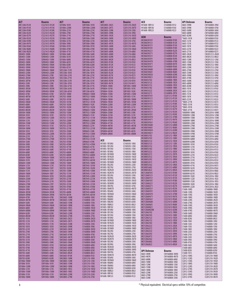| <b>ACX</b><br><b>ACT</b><br>ACT<br>ACT<br><b>API Delevan</b><br>Bourns<br><b>Bourns</b><br><b>Bourns</b><br>Bourns<br><b>Bourns</b><br>HI1608-1BR15J<br>0603-39NK<br>MIC1206-R12K<br>CS321613-R12K<br>SD1006-181K<br>SDR1006-181K<br>SMC0805-2N2S<br>CI201210-2N2D<br>CI160808-R15J<br>CW160808-39NJ<br>CS321613-R15K<br>CI201210-2N7D<br>HI1608-1BR18J<br>CI160808-R18J<br>0603-39NK<br>MIC1206-R15K<br>SD1006-220M<br>SDR1006-220M<br>SMC0805-2N7S<br>CW160808-47NJ<br>MIC1206-R18K<br>SD1006-221K<br>SDR1006-221K<br>SMC0805-33NK<br>CI201210-33NJ<br>HI1608-1BR22J<br>CI160808-R22J<br>0603-56NK<br>CW160808-56NJ<br>CS321613-R18K<br>MIC1206-R22K<br>CS321613-R22K<br>SDR1006-270K<br>SD1006-270K<br><b>SMC0805-39NK</b><br>CI201210-39NJ<br>0603-68NK<br>CW160808-68NJ<br>MIC1206-R27K<br>CS321613-R27K<br>SD1006-271K<br>SDR1006-271K<br>SMC0805-3N3K<br>CI201210-3N3D<br>0603-82NK<br>CW160808-82NJ<br><b>AEM</b><br><b>Bourns</b><br>MIC1206-R33K<br>CS321613-R33K<br>SD1006-330K<br>SDR1006-330K<br>SMC0805-3N9K<br>CI201210-3N9D<br>*0603-101K<br>CW160808-R10J<br>MCI0603H101<br>CS160808-R10K<br>MIC1206-R39K<br>0603-121K<br>CS321613-R39K<br>SD1006-331K<br>SDR1006-331K<br><b>SMC0805-47NK</b><br>CI201210-47NJ<br>CW160808-R12J<br>MCI0603H121<br>CS160808-R12K<br>MIC1206-R47K<br>CS321613-R47K<br>SD1006-390K<br>SDR1006-390K<br><b>SMC0805-4N7K</b><br>CI201210-4N7D<br>0603-151K<br>CW160808-R15J<br>MCI0603H151<br>CS160808-R15K<br>MIC1206-R56K<br>CS321613-R56K<br>SD1006-391K<br>SDR1006-391K<br><b>SMC0805-56NK</b><br>CI201210-56NJ<br>0603-181K<br>CW160808-R18J<br>MCI0603H181<br>CS160808-R18K<br>MIC1206-R68K<br>CS321613-R68K<br>SDR1006-470K<br>0603-221K<br>SD1006-470K<br>SMC0805-5N6K<br>CI201210-5N6D<br>CW160808-R22J<br>MCI0603H221<br>CS160808-R22K<br>MIC1206-R82K<br>CS321613-R82K<br>SD1006-471K<br>SDR1006-471K<br><b>SMC0805-68NK</b><br>CI201210-68NJ<br>0603-271K<br>CW160808-R27J<br>MCI0603H271<br>CS160808-R27K<br>SD0403-100M<br>SDR0403-100M<br>SD1006-560K<br>SDR1006-560K<br><b>SMC0805-6N8K</b><br>CI201210-6N8J<br>0805-2N2K<br>CW201212-2N2K<br>MCI0603H331<br>CS160808-R33K<br>0805-8N2K<br>SD0403-120M<br>SDR0403-120M<br>SD1006-561K<br>SDR1006-561K<br><b>SMC0805-82NK</b><br>CI201210-82NJ<br>CW201212-8N2J<br>MCI0603H391<br>CS160808-R39K<br>SD0403-150M<br>SDR0403-150M<br>SD1006-680K<br>SDR1006-680K<br><b>SMC0805-8N2K</b><br>CI201210-8N2J<br>0805-12NK<br>CW201212-12NJ<br>MCI0603H470<br>CS160808-47NK<br>0805-15NK<br>SD0403-180M<br>SDR0403-180M<br>SD1006-681K<br>SDR1006-681K<br><b>SMC0805-R10K</b><br>CI201210-R10J<br>CW201212-15NJ<br>MCI0603H471<br>CS160808-R47K<br>SDR0403-1R0M<br>SDR1006-820K<br>0805-18NK<br>SD0403-1R0M<br>SD1006-820K<br>SMC0805-R12K<br>CI201210-R12J<br>CW201212-18NJ<br>MCI0603H561<br>CS160808-R56K<br>SD0403-1R4M<br>SDR0403-1R4M<br>SD1006-821K<br>SDR1006-821K<br>SMC0805-R15K<br>CI201210-R15J<br>0805-22NK<br>CW201212-22NJ<br>MCI0603H680<br>CS160808-68NK<br>SD0403-1R8M<br>SDR0403-1R8M<br>SHS1206-151K<br>SRR1206-151K<br>SMC0805-R18K<br>CI201210-R18J<br>0805-27NK<br>CW201212-27NJ<br>MCI0603H681<br>CS160808-R68K<br>0805-33NK<br>SD0403-220M<br>SDR0403-220M<br>SHS1206-181K<br>SRR1206-181K<br>SMC0805-R22K<br>CI201210-R22J<br>CW201212-33NJ<br>MCI0603H820<br>CS160808-82NK<br>SD0403-270M<br>SDR0403-270K<br>SHS1206-221K<br>SRR1206-221K<br>SMC0805-R27K<br>CI201210-R27J<br>0805-39NK<br>CW201212-39NJ<br>MCI0603H821<br>CS160808-R82K<br>0805-47NK<br>SD0403-2R2M<br>SDR0403-2R2M<br>SHS1206-271K<br>SRR1206-271K<br>SMC0805-R33K<br>CI201210-R33J<br>CW201212-47NJ<br>MCI0603J102<br>CS160808-1R0K<br>SHS1206-331K<br>SRR1206-331K<br>CI201210-R39J<br>0805-56NK<br>CW201212-56NJ<br>SD0403-2R7M<br>SDR0403-2R7M<br>SMC0805-R39K<br>MCI0603J122<br>CS160808-1R2K<br>SD0403-330K<br>SDR0403-330K<br>SHS1206-391K<br>SRR1206-391K<br>SMC0805-R47K<br>CI201210-R47J<br>0805-68NK<br>CW201212-68NJ<br>MCI0603J152<br>CS160808-1R5K<br>SD0403-390K<br>SDR0403-390K<br>SHS1206-471K<br>SRR1206-471K<br>0805-82NK<br>CW201212-82NJ<br>SPI0804-100M<br>SDR1005-100M<br>MCI0603J182<br>CS160808-1R8K<br>SD0403-3R3M<br>SDR0403-3R3M<br>SHS1206-561K<br>SRR1206-561K<br>SPI0804-101M<br>SDR1005-101K<br>0805-101K<br>CW201212-R10J<br>MCI0603J222<br>CS160808-2R2K<br>SD0403-3R9M<br>SDR0403-3R9M<br>SHS1206-681K<br>SRR1206-681K<br>SPI0804-102M<br>SDR1005-102K<br>0805-121K<br>CW201212-R12J<br>MCI0603J272<br>CS160808-2R7K<br>0805-151K<br>SD0403-470K<br>SDR0403-470K<br>SHS703-100M<br>SRR0603-100M<br>SPI0804-150M<br>CW201212-R15J<br>SDR1005-150M<br>MCI0805H101<br>CS201212-R10K<br>SRR7032-100M<br>0805-181K<br>SD0403-4R7M<br>SDR0403-4R7M<br>SHS703-100M<br>SPI0804-151M<br>SDR1005-151K<br>CW201212-R18J<br>MCI0805H121<br>CS201212-R12K<br>SD0403-560K<br>SDR0403-560K<br>SHS703-101M<br>SRR0603-101K<br>SPI0804-1R0M<br>SDR1005-1R0M<br>0805-221K<br>CW201212-R22J<br>MCI0805H151<br>CS201212-R15K<br>SD0403-5R6M<br>SHS703-101M<br>SRR7032-101M<br>SPI0804-1R5M<br>SDR1005-1R5M<br>*0805-271K<br>CW201212-R27J<br>SDR0403-5R6M<br>MCI0805H181<br>CS201212-R18K<br>SD0403-680K<br>SDR0403-680K<br>SHS703-102M<br>SRR0603-102K<br>SPI0804-220M<br>SDR1005-220M<br>*0805-331K<br>CW201212-R33J<br>MCI0805H221<br>CS201212-R22K<br>SD0403-6R8M<br>SDR0403-6R8M<br>SHS703-102M<br>SRR7032-102M<br>SPI0804-221M<br>SDR1005-221K<br>*0805-391K<br>CW201212-R39J<br>MCI0805H271<br>CS201212-R27K<br>SD0403-8R2M<br>SDR0403-8R2M<br>SHS703-150M<br>SRR0603-150M<br>SPI0804-2R5M<br>SDR1005-2R5M<br>*0805-471K<br>CW201212-R47J<br>MCI0805H331<br>CS201212-R33K<br>SRR7032-150M<br>1008WW-10NK<br>SD0504-100M<br>SDR0503-100M<br>SHS703-150M<br>SPI0804-330M<br>SDR1005-330K<br>CW252016-10NK<br>MCI0805H391<br>CS201212-R39K<br>SD0504-101K<br>SDR0503-101K<br>SHS703-151M<br>SRR0603-151K<br>SPI0804-331M<br>SDR1005-331K<br>1008WW-12NK<br>CW252016-12NK<br>MCI0805H470<br>CS201212-47NK<br>SD0504-120M<br>SDR0503-120M<br>SHS703-151M<br>SRR7032-151M<br>SPI0804-3R3M<br>1008WW-15NK<br>CW252016-15NK<br>SDR1005-3R3M<br>MCI0805H471<br>CS201212-R47K<br>SD0504-121K<br>SDR0503-121K<br>SHS703-220M<br>SRR0603-220M<br>SPI0804-470M<br>SDR1005-470K<br>1008WW-18NK<br>CW252016-18NK<br>MCI0805H561<br>CS201212-R56K<br>SD0504-150M<br>SDR0503-150M<br>SHS703-220M<br>SRR7032-220M<br>SPI0804-471M<br>SDR1005-471K<br>1008WW-22NK<br>CW252016-22NK<br>MCI0805H680<br>CS201212-68NK<br>SD0504-151K<br>SDR0503-151K<br>SHS703-221M<br>SRR0603-221K<br>SPI0804-4R7M<br>1008WW-27NK<br>CW252016-27NK<br>SDR1005-4R7M<br>MCI0805H681<br>CS201212-R68K<br>SRR7032-221M<br>SD0504-180M<br>SDR0503-180M<br>SHS703-221M<br>SPI0804-680M<br>SDR1005-680K<br>1008WW-33NK<br>CW252016-33NK<br>MCI0805H820<br>CS201212-82NK<br>SD0504-181K<br>SDR0503-181K<br>SHS703-330M<br>SRR0603-330K<br>SPI0804-681M<br>SDR1005-681K<br>1008WW-39NK<br>CW252016-39NK<br>MCI0805H821<br>CS201212-R82K<br>SD0504-220M<br>SDR0503-220M<br>SHS703-330M<br>SRR7032-330M<br>1008WW-47NK<br>CW252016-47NK<br>SPI0804-6R8M<br>SDR1005-6R8M<br>MCI0805J102<br>CS201212-1R0K<br>SD0504-221K<br>SDR0503-221K<br>SHS703-331M<br>SRR0603-331K<br>1008WW-56NK<br>CW252016-56NJ<br>MCI0805J103<br>CS201212-100K<br>SD0504-270M<br>SDR0503-270M<br>SHS703-331M<br>SRR7032-331M<br>1008WW-68NK<br>CW252016-68NJ<br><b>ACX</b><br><b>Bourns</b><br>MCI0805J122<br>CS201212-1R2K<br>SD0504-330K<br>SDR0503-330K<br>SHS703-470M<br>SRR0603-470K<br>1008WW-82NK<br>CW252016-82NJ<br>HI1005-1B10NJ<br>CI100505-10NJ<br>MCI0805J123<br>CS201212-120K<br>SRR7032-470M<br>SD0504-390K<br>SDR0503-390K<br>SHS703-470M<br>1008WW-101K<br>CW252016-R10J<br>HI1005-1B12NJ<br>CI100505-12NJ<br>MCI0805J152<br>CS201212-1R5K<br>SD0504-470K<br>SDR0503-470K<br>SHS703-471M<br>SRR0603-471K<br>1008WW-121K<br>CW252016-R12J<br>HI1005-1B15NJ<br>CI100505-15NJ<br>MCI0805J182<br>CS201212-1R8K<br>SD0504-560K<br>SDR0503-560K<br>SHS703-471M<br>SRR7032-471M<br>1008WW-151K<br>CW252016-R15J<br>HI1005-1B18NJ<br>CI100505-18NJ<br>MCI0805J222<br>CS201212-2R2K<br>SD0504-680K<br>SDR0503-680K<br>SHS703-680M<br>SRR0603-680K<br>1008WW-181K<br>CW252016-R18J<br>CI100505-1N0D<br>MCI0805J272<br>CS201212-2R7K<br>HI1005-1B1N0D<br>SD0504-820K<br>SDR0503-820K<br>SHS703-680M<br>SRR7032-680M<br>1008WW-221K<br>CW252016-R22J<br>HI1005-1B1N2D<br>CI100505-1N2D<br>MCI0805J332<br>CS201212-3R3K<br>SD0604-100M<br>SDR0604-100M<br>SHS703-681M<br>SRR0603-681K<br>1008WW-271K<br>CW252016-R27J<br>CI100505-1N5D<br>MCI0805J392<br>CS201212-3R9K<br>HI1005-1B1N5D<br>SRR7032-681M<br>SD0604-101K<br>SDR0604-101K<br>SHS703-681M<br>1008WW-331K<br>CW252016-R33J<br>CI100505-1N8D<br>MCI0805J472<br>CS201212-4R7K<br>HI1005-1B1N8D<br>SD0604-120M<br>SDR0604-120M<br>SHS705-100M<br>SRR7045-100M<br>1008WW-391K<br>CW252016-R39J<br>HI1005-1B22NJ<br>CI100505-22NJ<br>MCI0805J562<br>CS201212-5R6K<br>SD0604-121K<br>SDR0604-121K<br>SHS705-101M<br>SRR7045-101M<br>1008WW-471K<br>CW252016-R47J<br>HI1005-1B27NJ<br>CI100505-27NJ<br>MCI0805J682<br>CS201212-6R8K<br>SD0604-150M<br>SDR0604-150Y<br>SHS705-102M<br>SRR7045-102M<br>1008WW-561K<br>CW252016-R56J<br>CI100505-2N2D<br>MCI0805J822<br>CS201212-8R2K<br>HI1005-1B2N2D<br>SD0604-151K<br>SDR0604-151K<br>SHS705-150M<br>SRR7045-150M<br>1008WW-681K<br>CW252016-R68J<br>HI1005-1B2N7D<br>CI100505-2N7D<br>MCI1206H101<br>CS321613-R10K<br>SD0604-180M<br>SDR0604-180Y<br>SHS705-151M<br>SRR7045-151M<br>1008WW-821K<br>CW252016-R82J<br>HI1005-1B33NJ<br>CI100505-33NJ<br>MCI1206H121<br>CS321613-R12K<br>SRR7045-220M<br>SD0604-181K<br>SDR0604-181K<br>SHS705-220M<br>1008WW-102K<br>CW252016-1R0J<br>MCI1206H151<br>CS321613-R15K<br>HI1005-1B39NJ<br>CI100505-39NJ<br>SD0604-220M<br>SDR0604-220Y<br>SHS705-221M<br>SRR7045-221M<br>1008WW-122K<br>CW252016-1R2J<br>HI1005-1B3N3D<br>CI100505-3N3D<br>MCI1206H181<br>CS321613-R18K<br>SD0604-221K<br>SHS705-330M<br>1008WW-152K<br>CW252016-1R5J<br>SDR0604-221K<br>SRR7045-330M<br>HI1005-1B3N9D<br>CI100505-3N9D<br>MCI1206H221<br>CS321613-R22K<br>SD0604-270M<br>SDR0604-270Y<br>SHS705-331M<br>SRR7045-331M<br>1008WW-182K<br>CW252016-1R8J<br>CI100505-47NJ<br>MCI1206H271<br>HI1005-1B47NJ<br>CS321613-R27K<br>SDR0604-330K<br>SHS705-470M<br>SRR7045-470M<br>1008WW-222K<br>SD0604-330K<br>CW252016-2R2J<br>MCI1206H331<br>HI1005-1B4N7D<br>CI100505-4N7D<br>CS321613-R33K<br>SD0604-390K<br>SDR0604-390K<br>SHS705-471M<br>SRR7045-471M<br>C1608-10NS<br>CI160808-1NOD<br>HI1005-1B56NJ<br>CI100505-56NJ<br>MCI1206H391<br>CS321613-R39K<br>SHS705-680M<br>SRR7045-680M<br>SD0604-3R3M<br>SDR0604-3R3M<br>C1608-12NS<br>CI160808-1N2D<br>MCI1206H470<br>HI1005-1B5N6D<br>CI100505-5N6D<br>CS321613-47NK<br>SD0604-3R9M<br>SDR0604-3R9M<br>SHS705-681M<br>SRR7045-681M<br>C1608-15NS<br>CI160808-1N5D<br>MCI1206H471<br>CS321613-R47K<br>HI1005-1B68NJ<br>CI100505-68NJ<br>SD0604-470K<br>C1608-18NS<br>SDR0604-470K<br>SMC0603-10NK<br>CI160808-10NJ<br>CI160808-1N8D<br>MCI1206H561<br>CS321613-R56K<br>HI1005-1B6N8J<br>CI100505-6N8J<br>SD0604-4R7M<br>SDR0604-4R7M<br>SMC0603-12NK<br>CI160808-12NJ<br>C1608-22NS<br>CI160808-2N2D<br>MCI1206H680<br>HI1005-1B82NJ<br>CI100505-82NJ<br>CS321613-68NK<br>SD0604-560K<br>SDR0604-560K<br>SMC0603-15NK<br>CI160808-15NJ<br>C1608-27NS<br>CI160808-2N7D<br>MCI1206H681<br>HI1005-1B8N2J<br>CI100505-8N2J<br>CS321613-R68K<br>SD0604-5R6M<br>SDR0604-5R6M<br><b>SMC0603-18NK</b><br>CI160808-18NJ<br>C1608-33NS<br>CI160808-3N3D<br>HI1005-1BR10J<br>CI100505-R10J<br>MCI1206H821<br>CS321613-R82K<br>SD0604-680K<br>SDR0604-680K<br>SMC0603-1N5S<br>CI160808-1N5D<br>C1608-39NS<br>CI160808-3N9D<br>HI1608-1B10NJ<br>CI160808-10NJ<br><b>MCI1206H82NK</b><br>CS321613-82NK<br>SD0604-6R8M<br>SDR0604-6R8M<br>CI160808-1N8D<br>SMC0603-1N8S<br>C1608-47NS<br>CI160808-4N7D<br>MCI1206J102<br>CS321613-1R0K<br>HI1608-1B12NJ<br>CI160808-12NJ<br>SD0604-820K<br>SDR0604-820K<br><b>SMC0603-22NK</b><br>CI160808-22NJ<br>C1608-56NS<br>CI160808-5N6D<br>MCI1206J103<br>CS321613-100K<br>HI1608-1B15NJ<br>CI160808-15NJ<br>SD0604-8R2M<br>SMC0603-27NK<br>CI160808-27NJ<br>C1608-68NJ<br>SDR0604-8R2M<br>CI160808-6N8J<br>MCI1206J122<br>HI1608-1B18NJ<br>CI160808-18NJ<br>CS321613-1R2K<br>CI160808-2N2D<br>SD0705-101K<br>SDR0805-101K<br>SMC0603-2N2S<br>C1608-82NJ<br>CI160808-8N2J<br>HI1608-1B1N0D<br>CI160808-1N0D<br>MCI1206J152<br>CS321613-1R5K<br>SD0705-121K<br>SDR0805-121K<br>SMC0603-2N7S<br>CI160808-2N7D<br>$C1608-100J$<br>CI160808-10NJ<br>HI1608-1B1N2D<br>CI160808-1N2D<br>MCI1206J182<br>CS321613-1R8K<br>SD0705-151K<br>SDR0805-151K<br>SMC0603-33NK<br>CI160808-33NJ<br>C1608-120J<br>CI160808-12NJ<br>HI1608-1B1N5D<br>CI160808-1N5D<br>MCI1206J222<br>CS321613-2R2K<br>SD0705-181K<br>CI160808-39NJ<br>SDR0805-181K<br>SMC0603-39NK<br>$C1608-150J$<br>CI160808-15NJ<br>CS321613-2R7K<br>HI1608-1B1N8D<br>CI160808-1N8D<br>MCI1206J272<br>SD0705-221K<br>SDR0805-221K<br>SMC0603-3N3K<br>CI160808-3N3D<br>C1608-180J<br>CI160808-18NJ<br>CS321613-3R3K<br>HI1608-1B22NJ<br>CI160808-22NJ<br>MCI1206J332<br>SD0705-270K<br>SDR0805-270K<br>SMC0603-3N9K<br>CI160808-3N9D<br>C1608-220J<br>CI160808-22NJ<br>MCI1206J392<br>HI1608-1B27NJ<br>CI160808-27NJ<br>CS321613-3R9K<br>SD0705-271K<br>SDR0805-271K<br>SMC0603-47NK<br>CI160808-47NJ<br>$C1608 - 270J$<br>CI160808-27NJ<br>HI1608-1B2N2D<br>CI160808-2N2D<br>MCI1206J472<br>CS321613-4R7K<br>SD0705-330K<br>SDR0805-330K<br>SMC0603-4N7K<br>CI160808-4N7D<br>C1608-330J<br>CI160808-33NJ<br>HI1608-1B2N7D<br>CI160808-2N7D<br>MCI1206J562<br>CS321613-5R6K<br>SD0705-331K<br>SDR0805-331K<br>SMC0603-56NK<br>CI160808-56NJ<br>C1608-390J<br>CI160808-39NJ<br>HI1608-1B33NJ<br>CI160808-33NJ<br>MCI1206J682<br>CS321613-6R8K<br>SD0705-390K<br>CI160808-5N6D<br>SDR0805-390K<br>SMC0603-5N6K<br>C1608-470J<br>CI160808-47NJ<br>CS321613-8R2K<br>HI1608-1B39NJ<br>CI160808-39NJ<br>MCI1206J822<br>SD0705-391K<br>SDR0805-391K<br>SMC0603-68NK<br>CI160808-68NJ<br>C1608-560J<br>CI160808-56NJ<br>HI1608-1B3N3D<br>CI160808-3N3D<br>SD0705-470K<br>SMC0603-6N8K<br>CI160808-6N8J<br>C1608-680J<br>SDR0805-470K<br>CI160808-68NJ<br>HI1608-1B3N9D<br>CI160808-3N9D<br>CI160808-82NJ<br>SD0705-471K<br>SDR0805-471K<br>SMC0603-82NK<br>C1608-820J<br>CI160808-82NJ<br><b>API Delevan</b><br><b>Bourns</b><br>HI1608-1B47NJ<br>CI160808-47NJ<br>SD0705-560K<br>SDR0805-560K<br>SMC0603-8N2K<br>CI160808-8N2J<br>$C1608-101J$<br>CI160808-R10J<br>0603-3N9K<br>CW160808-3N9D<br>HI1608-1B4N7D<br>CI160808-4N7D<br>SD0705-680K<br>SDR0805-680K<br>SMC0603-R10K<br>CI160808-R10J<br>CI201210-1NOD<br>C2012-10NS<br>0603-4N7K<br>CW160808-4N7D<br>HI1608-1B56NJ<br>CI160808-56NJ<br>SD0705-820K<br>SDR0805-820K<br><b>SMC0805-10NK</b><br>CI201210-10NJ<br>C2012-12NS<br>CI201210-1N2D<br>CW160808-6N8J<br>0603-6N8K<br>HI1608-1B5N6D<br>CI160808-5N6D<br>SD1006-100M<br>SDR1006-100M<br>SMC0805-12NK<br>CI201210-12NJ<br>C2012-15NS<br>CI201210-1N5D<br>CW160808-10NJ<br>0603-10NK<br>HI1608-1B68NJ<br>CI160808-68NJ<br>SD1006-101K<br><b>SMC0805-15NK</b><br>CI201210-15NJ<br>C2012-18NS<br>SDR1006-101K<br>CI201210-1N8D<br>0603-12NK<br>CW160808-12NJ<br>HI1608-1B6N8J<br>CI160808-6N8J<br>SD1006-120M<br>SDR1006-120M<br><b>SMC0805-18NK</b><br>CI201210-18NJ<br>C2012-22NS<br>CI201210-2N2D<br>CW160808-15NJ<br>0603-15NK<br>HI1608-1B82NJ<br>CI160808-82NJ<br>SD1006-121K<br>SDR1006-121K<br>SMC0805-1N5S<br>CI201210-1N5D<br>C2012-27NS<br>CI201210-2N7D<br>CW160808-18NJ<br>0603-18NK<br>HI1608-1B8N2J<br>CI160808-8N2J<br>SD1006-150M<br>SDR1006-150M<br>SMC0805-1N8S<br>CI201210-1N8D<br>C2012-33NS<br>CI201210-3N3D<br>0603-22NK<br>CW160808-22NJ<br>HI1608-1BR10J<br>CI160808-R10J<br>SD1006-151K<br>SDR1006-151K<br><b>SMC0805-22NK</b><br>CI201210-22NJ<br>C2012-39NS<br>CI201210-3N9D<br>0603-27NK<br>CW160808-27NJ<br>CI160808-R12J<br>HI1608-1BR12J<br>SD1006-180M<br>SDR1006-180M<br><b>SMC0805-27NK</b><br>C2012-47NS<br>CI201210-4N7D<br>CI201210-27NJ<br>0603-33NK<br>CW160808-33NJ |  |  |  |  |  |
|-------------------------------------------------------------------------------------------------------------------------------------------------------------------------------------------------------------------------------------------------------------------------------------------------------------------------------------------------------------------------------------------------------------------------------------------------------------------------------------------------------------------------------------------------------------------------------------------------------------------------------------------------------------------------------------------------------------------------------------------------------------------------------------------------------------------------------------------------------------------------------------------------------------------------------------------------------------------------------------------------------------------------------------------------------------------------------------------------------------------------------------------------------------------------------------------------------------------------------------------------------------------------------------------------------------------------------------------------------------------------------------------------------------------------------------------------------------------------------------------------------------------------------------------------------------------------------------------------------------------------------------------------------------------------------------------------------------------------------------------------------------------------------------------------------------------------------------------------------------------------------------------------------------------------------------------------------------------------------------------------------------------------------------------------------------------------------------------------------------------------------------------------------------------------------------------------------------------------------------------------------------------------------------------------------------------------------------------------------------------------------------------------------------------------------------------------------------------------------------------------------------------------------------------------------------------------------------------------------------------------------------------------------------------------------------------------------------------------------------------------------------------------------------------------------------------------------------------------------------------------------------------------------------------------------------------------------------------------------------------------------------------------------------------------------------------------------------------------------------------------------------------------------------------------------------------------------------------------------------------------------------------------------------------------------------------------------------------------------------------------------------------------------------------------------------------------------------------------------------------------------------------------------------------------------------------------------------------------------------------------------------------------------------------------------------------------------------------------------------------------------------------------------------------------------------------------------------------------------------------------------------------------------------------------------------------------------------------------------------------------------------------------------------------------------------------------------------------------------------------------------------------------------------------------------------------------------------------------------------------------------------------------------------------------------------------------------------------------------------------------------------------------------------------------------------------------------------------------------------------------------------------------------------------------------------------------------------------------------------------------------------------------------------------------------------------------------------------------------------------------------------------------------------------------------------------------------------------------------------------------------------------------------------------------------------------------------------------------------------------------------------------------------------------------------------------------------------------------------------------------------------------------------------------------------------------------------------------------------------------------------------------------------------------------------------------------------------------------------------------------------------------------------------------------------------------------------------------------------------------------------------------------------------------------------------------------------------------------------------------------------------------------------------------------------------------------------------------------------------------------------------------------------------------------------------------------------------------------------------------------------------------------------------------------------------------------------------------------------------------------------------------------------------------------------------------------------------------------------------------------------------------------------------------------------------------------------------------------------------------------------------------------------------------------------------------------------------------------------------------------------------------------------------------------------------------------------------------------------------------------------------------------------------------------------------------------------------------------------------------------------------------------------------------------------------------------------------------------------------------------------------------------------------------------------------------------------------------------------------------------------------------------------------------------------------------------------------------------------------------------------------------------------------------------------------------------------------------------------------------------------------------------------------------------------------------------------------------------------------------------------------------------------------------------------------------------------------------------------------------------------------------------------------------------------------------------------------------------------------------------------------------------------------------------------------------------------------------------------------------------------------------------------------------------------------------------------------------------------------------------------------------------------------------------------------------------------------------------------------------------------------------------------------------------------------------------------------------------------------------------------------------------------------------------------------------------------------------------------------------------------------------------------------------------------------------------------------------------------------------------------------------------------------------------------------------------------------------------------------------------------------------------------------------------------------------------------------------------------------------------------------------------------------------------------------------------------------------------------------------------------------------------------------------------------------------------------------------------------------------------------------------------------------------------------------------------------------------------------------------------------------------------------------------------------------------------------------------------------------------------------------------------------------------------------------------------------------------------------------------------------------------------------------------------------------------------------------------------------------------------------------------------------------------------------------------------------------------------------------------------------------------------------------------------------------------------------------------------------------------------------------------------------------------------------------------------------------------------------------------------------------------------------------------------------------------------------------------------------------------------------------------------------------------------------------------------------------------------------------------------------------------------------------------------------------------------------------------------------------------------------------------------------------------------------------------------------------------------------------------------------------------------------------------------------------------------------------------------------------------------------------------------------------------------------------------------------------------------------------------------------------------------------------------------------------------------------------------------------------------------------------------------------------------------------------------------------------------------------------------------------------------------------------------------------------------------------------------------------------------------------------------------------------------------------------------------------------------------------------------------------------------------------------------------------------------------------------------------------------------------------------------------------------------------------------------------------------------------------------------------------------------------------------------------------------------------------------------------------------------------------------------------------------------------------------------------------------------------------------------------------------------------------------------------------------------------------------------------------------------------------------------------------------------------------------------------------------------------------------------------------------------------------------------------------------------------------------------------------------------------------------------------------------------------------------------------------------------------------------------------------------------------------------------------------------------------------------------------------------------------------------------------------------------------------------------------------------------------------------------------------------------------------------------------------------------------------------------------------------------------------------------------------------------------------------------------------------------------------------------------------------------------------------------------------------------------------------------------------------------------------------------------------------------------------------------------------------------------------------------------------------------------------------------------------------------------------------------------------------------------------------------------------------------------------------------------------------------------------------------------------------------------------------------------------------------------------------------------------------------------------------------------------------------------------------------------------------------------------------------------------------------------------------------------------------------------------------------------------------------------------------------------------------------------------------------------------------------------------------------------------------------------------------------------------------------------------------------------------------------------------------------------------------------------------------------------------------------------------------------------------------------------------------------------------------------------------------------------------------------------------------------------------------------------------------------------------------------------------------------------------------------------------------------------------------------------------------------------------------------------------------------------------------------------------------------------------------------------------------------------------------------------------------------------------------------------------------------------------------------------------------------------------------------------------------------------------------------------------------------------------------------------------------------------------------------------------------------------------------------------------------------------------------------------------------------------------------------------------------------------------------------------------------------------------------------------------------------------------------------------------------------------------------------------------------------------------------------------------------------------------------------------------------------------------------------------------------------------------------------------------------------------------------------------------------------------------------------------------------------------------------------------------------------------------------------------------------------------------------------------------------------------------------------------------------------------------------------------------------------------------------------------------------------------------------------------------------------------------------------------------------------------------------------------------------------------------------------------------------------------------------------------------------------------------------------------------------------------------------------------------------------------------------------------------------------------------------------------------------------------------------------------------------------------------------------------------------------------------------------------------------------------|--|--|--|--|--|
|                                                                                                                                                                                                                                                                                                                                                                                                                                                                                                                                                                                                                                                                                                                                                                                                                                                                                                                                                                                                                                                                                                                                                                                                                                                                                                                                                                                                                                                                                                                                                                                                                                                                                                                                                                                                                                                                                                                                                                                                                                                                                                                                                                                                                                                                                                                                                                                                                                                                                                                                                                                                                                                                                                                                                                                                                                                                                                                                                                                                                                                                                                                                                                                                                                                                                                                                                                                                                                                                                                                                                                                                                                                                                                                                                                                                                                                                                                                                                                                                                                                                                                                                                                                                                                                                                                                                                                                                                                                                                                                                                                                                                                                                                                                                                                                                                                                                                                                                                                                                                                                                                                                                                                                                                                                                                                                                                                                                                                                                                                                                                                                                                                                                                                                                                                                                                                                                                                                                                                                                                                                                                                                                                                                                                                                                                                                                                                                                                                                                                                                                                                                                                                                                                                                                                                                                                                                                                                                                                                                                                                                                                                                                                                                                                                                                                                                                                                                                                                                                                                                                                                                                                                                                                                                                                                                                                                                                                                                                                                                                                                                                                                                                                                                                                                                                                                                                                                                                                                                                                                                                                                                                                                                                                                                                                                                                                                                                                                                                                                                                                                                                                                                                                                                                                                                                                                                                                                                                                                                                                                                                                                                                                                                                                                                                                                                                                                                                                                                                                                                                                                                                                                                                                                                                                                                                                                                                                                                                                                                                                                                                                                                                                                                                                                                                                                                                                                                                                                                                                                                                                                                                                                                                                                                                                                                                                                                                                                                                                                                                                                                                                                                                                                                                                                                                                                                                                                                                                                                                                                                                                                                                                                                                                                                                                                                                                                                                                                                                                                                                                                                                                                                                                                                                                                                                                                                                                                                                                                                                                                                                                                                                                                                                                                                                                                                                                                                                                                                                                                                                                                                                                                                                                                                                                                                                                                                                                                                                                                                                                                                                                                                                                                                                                                                                                                                                                                                                                                                                                                                                                                                                                                                                                                                                                                                                                                                                                                                                                                                                                                                                                                                                                                                                                                                                                                                                                                                                                                                                                                                                                                                                                                                                                                                                                                                                                                                                                                                                                                                                                                                                                         |  |  |  |  |  |
|                                                                                                                                                                                                                                                                                                                                                                                                                                                                                                                                                                                                                                                                                                                                                                                                                                                                                                                                                                                                                                                                                                                                                                                                                                                                                                                                                                                                                                                                                                                                                                                                                                                                                                                                                                                                                                                                                                                                                                                                                                                                                                                                                                                                                                                                                                                                                                                                                                                                                                                                                                                                                                                                                                                                                                                                                                                                                                                                                                                                                                                                                                                                                                                                                                                                                                                                                                                                                                                                                                                                                                                                                                                                                                                                                                                                                                                                                                                                                                                                                                                                                                                                                                                                                                                                                                                                                                                                                                                                                                                                                                                                                                                                                                                                                                                                                                                                                                                                                                                                                                                                                                                                                                                                                                                                                                                                                                                                                                                                                                                                                                                                                                                                                                                                                                                                                                                                                                                                                                                                                                                                                                                                                                                                                                                                                                                                                                                                                                                                                                                                                                                                                                                                                                                                                                                                                                                                                                                                                                                                                                                                                                                                                                                                                                                                                                                                                                                                                                                                                                                                                                                                                                                                                                                                                                                                                                                                                                                                                                                                                                                                                                                                                                                                                                                                                                                                                                                                                                                                                                                                                                                                                                                                                                                                                                                                                                                                                                                                                                                                                                                                                                                                                                                                                                                                                                                                                                                                                                                                                                                                                                                                                                                                                                                                                                                                                                                                                                                                                                                                                                                                                                                                                                                                                                                                                                                                                                                                                                                                                                                                                                                                                                                                                                                                                                                                                                                                                                                                                                                                                                                                                                                                                                                                                                                                                                                                                                                                                                                                                                                                                                                                                                                                                                                                                                                                                                                                                                                                                                                                                                                                                                                                                                                                                                                                                                                                                                                                                                                                                                                                                                                                                                                                                                                                                                                                                                                                                                                                                                                                                                                                                                                                                                                                                                                                                                                                                                                                                                                                                                                                                                                                                                                                                                                                                                                                                                                                                                                                                                                                                                                                                                                                                                                                                                                                                                                                                                                                                                                                                                                                                                                                                                                                                                                                                                                                                                                                                                                                                                                                                                                                                                                                                                                                                                                                                                                                                                                                                                                                                                                                                                                                                                                                                                                                                                                                                                                                                                                                                                                                                         |  |  |  |  |  |
|                                                                                                                                                                                                                                                                                                                                                                                                                                                                                                                                                                                                                                                                                                                                                                                                                                                                                                                                                                                                                                                                                                                                                                                                                                                                                                                                                                                                                                                                                                                                                                                                                                                                                                                                                                                                                                                                                                                                                                                                                                                                                                                                                                                                                                                                                                                                                                                                                                                                                                                                                                                                                                                                                                                                                                                                                                                                                                                                                                                                                                                                                                                                                                                                                                                                                                                                                                                                                                                                                                                                                                                                                                                                                                                                                                                                                                                                                                                                                                                                                                                                                                                                                                                                                                                                                                                                                                                                                                                                                                                                                                                                                                                                                                                                                                                                                                                                                                                                                                                                                                                                                                                                                                                                                                                                                                                                                                                                                                                                                                                                                                                                                                                                                                                                                                                                                                                                                                                                                                                                                                                                                                                                                                                                                                                                                                                                                                                                                                                                                                                                                                                                                                                                                                                                                                                                                                                                                                                                                                                                                                                                                                                                                                                                                                                                                                                                                                                                                                                                                                                                                                                                                                                                                                                                                                                                                                                                                                                                                                                                                                                                                                                                                                                                                                                                                                                                                                                                                                                                                                                                                                                                                                                                                                                                                                                                                                                                                                                                                                                                                                                                                                                                                                                                                                                                                                                                                                                                                                                                                                                                                                                                                                                                                                                                                                                                                                                                                                                                                                                                                                                                                                                                                                                                                                                                                                                                                                                                                                                                                                                                                                                                                                                                                                                                                                                                                                                                                                                                                                                                                                                                                                                                                                                                                                                                                                                                                                                                                                                                                                                                                                                                                                                                                                                                                                                                                                                                                                                                                                                                                                                                                                                                                                                                                                                                                                                                                                                                                                                                                                                                                                                                                                                                                                                                                                                                                                                                                                                                                                                                                                                                                                                                                                                                                                                                                                                                                                                                                                                                                                                                                                                                                                                                                                                                                                                                                                                                                                                                                                                                                                                                                                                                                                                                                                                                                                                                                                                                                                                                                                                                                                                                                                                                                                                                                                                                                                                                                                                                                                                                                                                                                                                                                                                                                                                                                                                                                                                                                                                                                                                                                                                                                                                                                                                                                                                                                                                                                                                                                                                                                         |  |  |  |  |  |
|                                                                                                                                                                                                                                                                                                                                                                                                                                                                                                                                                                                                                                                                                                                                                                                                                                                                                                                                                                                                                                                                                                                                                                                                                                                                                                                                                                                                                                                                                                                                                                                                                                                                                                                                                                                                                                                                                                                                                                                                                                                                                                                                                                                                                                                                                                                                                                                                                                                                                                                                                                                                                                                                                                                                                                                                                                                                                                                                                                                                                                                                                                                                                                                                                                                                                                                                                                                                                                                                                                                                                                                                                                                                                                                                                                                                                                                                                                                                                                                                                                                                                                                                                                                                                                                                                                                                                                                                                                                                                                                                                                                                                                                                                                                                                                                                                                                                                                                                                                                                                                                                                                                                                                                                                                                                                                                                                                                                                                                                                                                                                                                                                                                                                                                                                                                                                                                                                                                                                                                                                                                                                                                                                                                                                                                                                                                                                                                                                                                                                                                                                                                                                                                                                                                                                                                                                                                                                                                                                                                                                                                                                                                                                                                                                                                                                                                                                                                                                                                                                                                                                                                                                                                                                                                                                                                                                                                                                                                                                                                                                                                                                                                                                                                                                                                                                                                                                                                                                                                                                                                                                                                                                                                                                                                                                                                                                                                                                                                                                                                                                                                                                                                                                                                                                                                                                                                                                                                                                                                                                                                                                                                                                                                                                                                                                                                                                                                                                                                                                                                                                                                                                                                                                                                                                                                                                                                                                                                                                                                                                                                                                                                                                                                                                                                                                                                                                                                                                                                                                                                                                                                                                                                                                                                                                                                                                                                                                                                                                                                                                                                                                                                                                                                                                                                                                                                                                                                                                                                                                                                                                                                                                                                                                                                                                                                                                                                                                                                                                                                                                                                                                                                                                                                                                                                                                                                                                                                                                                                                                                                                                                                                                                                                                                                                                                                                                                                                                                                                                                                                                                                                                                                                                                                                                                                                                                                                                                                                                                                                                                                                                                                                                                                                                                                                                                                                                                                                                                                                                                                                                                                                                                                                                                                                                                                                                                                                                                                                                                                                                                                                                                                                                                                                                                                                                                                                                                                                                                                                                                                                                                                                                                                                                                                                                                                                                                                                                                                                                                                                                                                                                         |  |  |  |  |  |
|                                                                                                                                                                                                                                                                                                                                                                                                                                                                                                                                                                                                                                                                                                                                                                                                                                                                                                                                                                                                                                                                                                                                                                                                                                                                                                                                                                                                                                                                                                                                                                                                                                                                                                                                                                                                                                                                                                                                                                                                                                                                                                                                                                                                                                                                                                                                                                                                                                                                                                                                                                                                                                                                                                                                                                                                                                                                                                                                                                                                                                                                                                                                                                                                                                                                                                                                                                                                                                                                                                                                                                                                                                                                                                                                                                                                                                                                                                                                                                                                                                                                                                                                                                                                                                                                                                                                                                                                                                                                                                                                                                                                                                                                                                                                                                                                                                                                                                                                                                                                                                                                                                                                                                                                                                                                                                                                                                                                                                                                                                                                                                                                                                                                                                                                                                                                                                                                                                                                                                                                                                                                                                                                                                                                                                                                                                                                                                                                                                                                                                                                                                                                                                                                                                                                                                                                                                                                                                                                                                                                                                                                                                                                                                                                                                                                                                                                                                                                                                                                                                                                                                                                                                                                                                                                                                                                                                                                                                                                                                                                                                                                                                                                                                                                                                                                                                                                                                                                                                                                                                                                                                                                                                                                                                                                                                                                                                                                                                                                                                                                                                                                                                                                                                                                                                                                                                                                                                                                                                                                                                                                                                                                                                                                                                                                                                                                                                                                                                                                                                                                                                                                                                                                                                                                                                                                                                                                                                                                                                                                                                                                                                                                                                                                                                                                                                                                                                                                                                                                                                                                                                                                                                                                                                                                                                                                                                                                                                                                                                                                                                                                                                                                                                                                                                                                                                                                                                                                                                                                                                                                                                                                                                                                                                                                                                                                                                                                                                                                                                                                                                                                                                                                                                                                                                                                                                                                                                                                                                                                                                                                                                                                                                                                                                                                                                                                                                                                                                                                                                                                                                                                                                                                                                                                                                                                                                                                                                                                                                                                                                                                                                                                                                                                                                                                                                                                                                                                                                                                                                                                                                                                                                                                                                                                                                                                                                                                                                                                                                                                                                                                                                                                                                                                                                                                                                                                                                                                                                                                                                                                                                                                                                                                                                                                                                                                                                                                                                                                                                                                                                                                                         |  |  |  |  |  |
|                                                                                                                                                                                                                                                                                                                                                                                                                                                                                                                                                                                                                                                                                                                                                                                                                                                                                                                                                                                                                                                                                                                                                                                                                                                                                                                                                                                                                                                                                                                                                                                                                                                                                                                                                                                                                                                                                                                                                                                                                                                                                                                                                                                                                                                                                                                                                                                                                                                                                                                                                                                                                                                                                                                                                                                                                                                                                                                                                                                                                                                                                                                                                                                                                                                                                                                                                                                                                                                                                                                                                                                                                                                                                                                                                                                                                                                                                                                                                                                                                                                                                                                                                                                                                                                                                                                                                                                                                                                                                                                                                                                                                                                                                                                                                                                                                                                                                                                                                                                                                                                                                                                                                                                                                                                                                                                                                                                                                                                                                                                                                                                                                                                                                                                                                                                                                                                                                                                                                                                                                                                                                                                                                                                                                                                                                                                                                                                                                                                                                                                                                                                                                                                                                                                                                                                                                                                                                                                                                                                                                                                                                                                                                                                                                                                                                                                                                                                                                                                                                                                                                                                                                                                                                                                                                                                                                                                                                                                                                                                                                                                                                                                                                                                                                                                                                                                                                                                                                                                                                                                                                                                                                                                                                                                                                                                                                                                                                                                                                                                                                                                                                                                                                                                                                                                                                                                                                                                                                                                                                                                                                                                                                                                                                                                                                                                                                                                                                                                                                                                                                                                                                                                                                                                                                                                                                                                                                                                                                                                                                                                                                                                                                                                                                                                                                                                                                                                                                                                                                                                                                                                                                                                                                                                                                                                                                                                                                                                                                                                                                                                                                                                                                                                                                                                                                                                                                                                                                                                                                                                                                                                                                                                                                                                                                                                                                                                                                                                                                                                                                                                                                                                                                                                                                                                                                                                                                                                                                                                                                                                                                                                                                                                                                                                                                                                                                                                                                                                                                                                                                                                                                                                                                                                                                                                                                                                                                                                                                                                                                                                                                                                                                                                                                                                                                                                                                                                                                                                                                                                                                                                                                                                                                                                                                                                                                                                                                                                                                                                                                                                                                                                                                                                                                                                                                                                                                                                                                                                                                                                                                                                                                                                                                                                                                                                                                                                                                                                                                                                                                                                                                         |  |  |  |  |  |
|                                                                                                                                                                                                                                                                                                                                                                                                                                                                                                                                                                                                                                                                                                                                                                                                                                                                                                                                                                                                                                                                                                                                                                                                                                                                                                                                                                                                                                                                                                                                                                                                                                                                                                                                                                                                                                                                                                                                                                                                                                                                                                                                                                                                                                                                                                                                                                                                                                                                                                                                                                                                                                                                                                                                                                                                                                                                                                                                                                                                                                                                                                                                                                                                                                                                                                                                                                                                                                                                                                                                                                                                                                                                                                                                                                                                                                                                                                                                                                                                                                                                                                                                                                                                                                                                                                                                                                                                                                                                                                                                                                                                                                                                                                                                                                                                                                                                                                                                                                                                                                                                                                                                                                                                                                                                                                                                                                                                                                                                                                                                                                                                                                                                                                                                                                                                                                                                                                                                                                                                                                                                                                                                                                                                                                                                                                                                                                                                                                                                                                                                                                                                                                                                                                                                                                                                                                                                                                                                                                                                                                                                                                                                                                                                                                                                                                                                                                                                                                                                                                                                                                                                                                                                                                                                                                                                                                                                                                                                                                                                                                                                                                                                                                                                                                                                                                                                                                                                                                                                                                                                                                                                                                                                                                                                                                                                                                                                                                                                                                                                                                                                                                                                                                                                                                                                                                                                                                                                                                                                                                                                                                                                                                                                                                                                                                                                                                                                                                                                                                                                                                                                                                                                                                                                                                                                                                                                                                                                                                                                                                                                                                                                                                                                                                                                                                                                                                                                                                                                                                                                                                                                                                                                                                                                                                                                                                                                                                                                                                                                                                                                                                                                                                                                                                                                                                                                                                                                                                                                                                                                                                                                                                                                                                                                                                                                                                                                                                                                                                                                                                                                                                                                                                                                                                                                                                                                                                                                                                                                                                                                                                                                                                                                                                                                                                                                                                                                                                                                                                                                                                                                                                                                                                                                                                                                                                                                                                                                                                                                                                                                                                                                                                                                                                                                                                                                                                                                                                                                                                                                                                                                                                                                                                                                                                                                                                                                                                                                                                                                                                                                                                                                                                                                                                                                                                                                                                                                                                                                                                                                                                                                                                                                                                                                                                                                                                                                                                                                                                                                                                                                                         |  |  |  |  |  |
|                                                                                                                                                                                                                                                                                                                                                                                                                                                                                                                                                                                                                                                                                                                                                                                                                                                                                                                                                                                                                                                                                                                                                                                                                                                                                                                                                                                                                                                                                                                                                                                                                                                                                                                                                                                                                                                                                                                                                                                                                                                                                                                                                                                                                                                                                                                                                                                                                                                                                                                                                                                                                                                                                                                                                                                                                                                                                                                                                                                                                                                                                                                                                                                                                                                                                                                                                                                                                                                                                                                                                                                                                                                                                                                                                                                                                                                                                                                                                                                                                                                                                                                                                                                                                                                                                                                                                                                                                                                                                                                                                                                                                                                                                                                                                                                                                                                                                                                                                                                                                                                                                                                                                                                                                                                                                                                                                                                                                                                                                                                                                                                                                                                                                                                                                                                                                                                                                                                                                                                                                                                                                                                                                                                                                                                                                                                                                                                                                                                                                                                                                                                                                                                                                                                                                                                                                                                                                                                                                                                                                                                                                                                                                                                                                                                                                                                                                                                                                                                                                                                                                                                                                                                                                                                                                                                                                                                                                                                                                                                                                                                                                                                                                                                                                                                                                                                                                                                                                                                                                                                                                                                                                                                                                                                                                                                                                                                                                                                                                                                                                                                                                                                                                                                                                                                                                                                                                                                                                                                                                                                                                                                                                                                                                                                                                                                                                                                                                                                                                                                                                                                                                                                                                                                                                                                                                                                                                                                                                                                                                                                                                                                                                                                                                                                                                                                                                                                                                                                                                                                                                                                                                                                                                                                                                                                                                                                                                                                                                                                                                                                                                                                                                                                                                                                                                                                                                                                                                                                                                                                                                                                                                                                                                                                                                                                                                                                                                                                                                                                                                                                                                                                                                                                                                                                                                                                                                                                                                                                                                                                                                                                                                                                                                                                                                                                                                                                                                                                                                                                                                                                                                                                                                                                                                                                                                                                                                                                                                                                                                                                                                                                                                                                                                                                                                                                                                                                                                                                                                                                                                                                                                                                                                                                                                                                                                                                                                                                                                                                                                                                                                                                                                                                                                                                                                                                                                                                                                                                                                                                                                                                                                                                                                                                                                                                                                                                                                                                                                                                                                                                                                         |  |  |  |  |  |
|                                                                                                                                                                                                                                                                                                                                                                                                                                                                                                                                                                                                                                                                                                                                                                                                                                                                                                                                                                                                                                                                                                                                                                                                                                                                                                                                                                                                                                                                                                                                                                                                                                                                                                                                                                                                                                                                                                                                                                                                                                                                                                                                                                                                                                                                                                                                                                                                                                                                                                                                                                                                                                                                                                                                                                                                                                                                                                                                                                                                                                                                                                                                                                                                                                                                                                                                                                                                                                                                                                                                                                                                                                                                                                                                                                                                                                                                                                                                                                                                                                                                                                                                                                                                                                                                                                                                                                                                                                                                                                                                                                                                                                                                                                                                                                                                                                                                                                                                                                                                                                                                                                                                                                                                                                                                                                                                                                                                                                                                                                                                                                                                                                                                                                                                                                                                                                                                                                                                                                                                                                                                                                                                                                                                                                                                                                                                                                                                                                                                                                                                                                                                                                                                                                                                                                                                                                                                                                                                                                                                                                                                                                                                                                                                                                                                                                                                                                                                                                                                                                                                                                                                                                                                                                                                                                                                                                                                                                                                                                                                                                                                                                                                                                                                                                                                                                                                                                                                                                                                                                                                                                                                                                                                                                                                                                                                                                                                                                                                                                                                                                                                                                                                                                                                                                                                                                                                                                                                                                                                                                                                                                                                                                                                                                                                                                                                                                                                                                                                                                                                                                                                                                                                                                                                                                                                                                                                                                                                                                                                                                                                                                                                                                                                                                                                                                                                                                                                                                                                                                                                                                                                                                                                                                                                                                                                                                                                                                                                                                                                                                                                                                                                                                                                                                                                                                                                                                                                                                                                                                                                                                                                                                                                                                                                                                                                                                                                                                                                                                                                                                                                                                                                                                                                                                                                                                                                                                                                                                                                                                                                                                                                                                                                                                                                                                                                                                                                                                                                                                                                                                                                                                                                                                                                                                                                                                                                                                                                                                                                                                                                                                                                                                                                                                                                                                                                                                                                                                                                                                                                                                                                                                                                                                                                                                                                                                                                                                                                                                                                                                                                                                                                                                                                                                                                                                                                                                                                                                                                                                                                                                                                                                                                                                                                                                                                                                                                                                                                                                                                                                                                                         |  |  |  |  |  |
|                                                                                                                                                                                                                                                                                                                                                                                                                                                                                                                                                                                                                                                                                                                                                                                                                                                                                                                                                                                                                                                                                                                                                                                                                                                                                                                                                                                                                                                                                                                                                                                                                                                                                                                                                                                                                                                                                                                                                                                                                                                                                                                                                                                                                                                                                                                                                                                                                                                                                                                                                                                                                                                                                                                                                                                                                                                                                                                                                                                                                                                                                                                                                                                                                                                                                                                                                                                                                                                                                                                                                                                                                                                                                                                                                                                                                                                                                                                                                                                                                                                                                                                                                                                                                                                                                                                                                                                                                                                                                                                                                                                                                                                                                                                                                                                                                                                                                                                                                                                                                                                                                                                                                                                                                                                                                                                                                                                                                                                                                                                                                                                                                                                                                                                                                                                                                                                                                                                                                                                                                                                                                                                                                                                                                                                                                                                                                                                                                                                                                                                                                                                                                                                                                                                                                                                                                                                                                                                                                                                                                                                                                                                                                                                                                                                                                                                                                                                                                                                                                                                                                                                                                                                                                                                                                                                                                                                                                                                                                                                                                                                                                                                                                                                                                                                                                                                                                                                                                                                                                                                                                                                                                                                                                                                                                                                                                                                                                                                                                                                                                                                                                                                                                                                                                                                                                                                                                                                                                                                                                                                                                                                                                                                                                                                                                                                                                                                                                                                                                                                                                                                                                                                                                                                                                                                                                                                                                                                                                                                                                                                                                                                                                                                                                                                                                                                                                                                                                                                                                                                                                                                                                                                                                                                                                                                                                                                                                                                                                                                                                                                                                                                                                                                                                                                                                                                                                                                                                                                                                                                                                                                                                                                                                                                                                                                                                                                                                                                                                                                                                                                                                                                                                                                                                                                                                                                                                                                                                                                                                                                                                                                                                                                                                                                                                                                                                                                                                                                                                                                                                                                                                                                                                                                                                                                                                                                                                                                                                                                                                                                                                                                                                                                                                                                                                                                                                                                                                                                                                                                                                                                                                                                                                                                                                                                                                                                                                                                                                                                                                                                                                                                                                                                                                                                                                                                                                                                                                                                                                                                                                                                                                                                                                                                                                                                                                                                                                                                                                                                                                                                                                         |  |  |  |  |  |
|                                                                                                                                                                                                                                                                                                                                                                                                                                                                                                                                                                                                                                                                                                                                                                                                                                                                                                                                                                                                                                                                                                                                                                                                                                                                                                                                                                                                                                                                                                                                                                                                                                                                                                                                                                                                                                                                                                                                                                                                                                                                                                                                                                                                                                                                                                                                                                                                                                                                                                                                                                                                                                                                                                                                                                                                                                                                                                                                                                                                                                                                                                                                                                                                                                                                                                                                                                                                                                                                                                                                                                                                                                                                                                                                                                                                                                                                                                                                                                                                                                                                                                                                                                                                                                                                                                                                                                                                                                                                                                                                                                                                                                                                                                                                                                                                                                                                                                                                                                                                                                                                                                                                                                                                                                                                                                                                                                                                                                                                                                                                                                                                                                                                                                                                                                                                                                                                                                                                                                                                                                                                                                                                                                                                                                                                                                                                                                                                                                                                                                                                                                                                                                                                                                                                                                                                                                                                                                                                                                                                                                                                                                                                                                                                                                                                                                                                                                                                                                                                                                                                                                                                                                                                                                                                                                                                                                                                                                                                                                                                                                                                                                                                                                                                                                                                                                                                                                                                                                                                                                                                                                                                                                                                                                                                                                                                                                                                                                                                                                                                                                                                                                                                                                                                                                                                                                                                                                                                                                                                                                                                                                                                                                                                                                                                                                                                                                                                                                                                                                                                                                                                                                                                                                                                                                                                                                                                                                                                                                                                                                                                                                                                                                                                                                                                                                                                                                                                                                                                                                                                                                                                                                                                                                                                                                                                                                                                                                                                                                                                                                                                                                                                                                                                                                                                                                                                                                                                                                                                                                                                                                                                                                                                                                                                                                                                                                                                                                                                                                                                                                                                                                                                                                                                                                                                                                                                                                                                                                                                                                                                                                                                                                                                                                                                                                                                                                                                                                                                                                                                                                                                                                                                                                                                                                                                                                                                                                                                                                                                                                                                                                                                                                                                                                                                                                                                                                                                                                                                                                                                                                                                                                                                                                                                                                                                                                                                                                                                                                                                                                                                                                                                                                                                                                                                                                                                                                                                                                                                                                                                                                                                                                                                                                                                                                                                                                                                                                                                                                                                                                                                                         |  |  |  |  |  |
|                                                                                                                                                                                                                                                                                                                                                                                                                                                                                                                                                                                                                                                                                                                                                                                                                                                                                                                                                                                                                                                                                                                                                                                                                                                                                                                                                                                                                                                                                                                                                                                                                                                                                                                                                                                                                                                                                                                                                                                                                                                                                                                                                                                                                                                                                                                                                                                                                                                                                                                                                                                                                                                                                                                                                                                                                                                                                                                                                                                                                                                                                                                                                                                                                                                                                                                                                                                                                                                                                                                                                                                                                                                                                                                                                                                                                                                                                                                                                                                                                                                                                                                                                                                                                                                                                                                                                                                                                                                                                                                                                                                                                                                                                                                                                                                                                                                                                                                                                                                                                                                                                                                                                                                                                                                                                                                                                                                                                                                                                                                                                                                                                                                                                                                                                                                                                                                                                                                                                                                                                                                                                                                                                                                                                                                                                                                                                                                                                                                                                                                                                                                                                                                                                                                                                                                                                                                                                                                                                                                                                                                                                                                                                                                                                                                                                                                                                                                                                                                                                                                                                                                                                                                                                                                                                                                                                                                                                                                                                                                                                                                                                                                                                                                                                                                                                                                                                                                                                                                                                                                                                                                                                                                                                                                                                                                                                                                                                                                                                                                                                                                                                                                                                                                                                                                                                                                                                                                                                                                                                                                                                                                                                                                                                                                                                                                                                                                                                                                                                                                                                                                                                                                                                                                                                                                                                                                                                                                                                                                                                                                                                                                                                                                                                                                                                                                                                                                                                                                                                                                                                                                                                                                                                                                                                                                                                                                                                                                                                                                                                                                                                                                                                                                                                                                                                                                                                                                                                                                                                                                                                                                                                                                                                                                                                                                                                                                                                                                                                                                                                                                                                                                                                                                                                                                                                                                                                                                                                                                                                                                                                                                                                                                                                                                                                                                                                                                                                                                                                                                                                                                                                                                                                                                                                                                                                                                                                                                                                                                                                                                                                                                                                                                                                                                                                                                                                                                                                                                                                                                                                                                                                                                                                                                                                                                                                                                                                                                                                                                                                                                                                                                                                                                                                                                                                                                                                                                                                                                                                                                                                                                                                                                                                                                                                                                                                                                                                                                                                                                                                                                                                         |  |  |  |  |  |
|                                                                                                                                                                                                                                                                                                                                                                                                                                                                                                                                                                                                                                                                                                                                                                                                                                                                                                                                                                                                                                                                                                                                                                                                                                                                                                                                                                                                                                                                                                                                                                                                                                                                                                                                                                                                                                                                                                                                                                                                                                                                                                                                                                                                                                                                                                                                                                                                                                                                                                                                                                                                                                                                                                                                                                                                                                                                                                                                                                                                                                                                                                                                                                                                                                                                                                                                                                                                                                                                                                                                                                                                                                                                                                                                                                                                                                                                                                                                                                                                                                                                                                                                                                                                                                                                                                                                                                                                                                                                                                                                                                                                                                                                                                                                                                                                                                                                                                                                                                                                                                                                                                                                                                                                                                                                                                                                                                                                                                                                                                                                                                                                                                                                                                                                                                                                                                                                                                                                                                                                                                                                                                                                                                                                                                                                                                                                                                                                                                                                                                                                                                                                                                                                                                                                                                                                                                                                                                                                                                                                                                                                                                                                                                                                                                                                                                                                                                                                                                                                                                                                                                                                                                                                                                                                                                                                                                                                                                                                                                                                                                                                                                                                                                                                                                                                                                                                                                                                                                                                                                                                                                                                                                                                                                                                                                                                                                                                                                                                                                                                                                                                                                                                                                                                                                                                                                                                                                                                                                                                                                                                                                                                                                                                                                                                                                                                                                                                                                                                                                                                                                                                                                                                                                                                                                                                                                                                                                                                                                                                                                                                                                                                                                                                                                                                                                                                                                                                                                                                                                                                                                                                                                                                                                                                                                                                                                                                                                                                                                                                                                                                                                                                                                                                                                                                                                                                                                                                                                                                                                                                                                                                                                                                                                                                                                                                                                                                                                                                                                                                                                                                                                                                                                                                                                                                                                                                                                                                                                                                                                                                                                                                                                                                                                                                                                                                                                                                                                                                                                                                                                                                                                                                                                                                                                                                                                                                                                                                                                                                                                                                                                                                                                                                                                                                                                                                                                                                                                                                                                                                                                                                                                                                                                                                                                                                                                                                                                                                                                                                                                                                                                                                                                                                                                                                                                                                                                                                                                                                                                                                                                                                                                                                                                                                                                                                                                                                                                                                                                                                                                                                                         |  |  |  |  |  |
|                                                                                                                                                                                                                                                                                                                                                                                                                                                                                                                                                                                                                                                                                                                                                                                                                                                                                                                                                                                                                                                                                                                                                                                                                                                                                                                                                                                                                                                                                                                                                                                                                                                                                                                                                                                                                                                                                                                                                                                                                                                                                                                                                                                                                                                                                                                                                                                                                                                                                                                                                                                                                                                                                                                                                                                                                                                                                                                                                                                                                                                                                                                                                                                                                                                                                                                                                                                                                                                                                                                                                                                                                                                                                                                                                                                                                                                                                                                                                                                                                                                                                                                                                                                                                                                                                                                                                                                                                                                                                                                                                                                                                                                                                                                                                                                                                                                                                                                                                                                                                                                                                                                                                                                                                                                                                                                                                                                                                                                                                                                                                                                                                                                                                                                                                                                                                                                                                                                                                                                                                                                                                                                                                                                                                                                                                                                                                                                                                                                                                                                                                                                                                                                                                                                                                                                                                                                                                                                                                                                                                                                                                                                                                                                                                                                                                                                                                                                                                                                                                                                                                                                                                                                                                                                                                                                                                                                                                                                                                                                                                                                                                                                                                                                                                                                                                                                                                                                                                                                                                                                                                                                                                                                                                                                                                                                                                                                                                                                                                                                                                                                                                                                                                                                                                                                                                                                                                                                                                                                                                                                                                                                                                                                                                                                                                                                                                                                                                                                                                                                                                                                                                                                                                                                                                                                                                                                                                                                                                                                                                                                                                                                                                                                                                                                                                                                                                                                                                                                                                                                                                                                                                                                                                                                                                                                                                                                                                                                                                                                                                                                                                                                                                                                                                                                                                                                                                                                                                                                                                                                                                                                                                                                                                                                                                                                                                                                                                                                                                                                                                                                                                                                                                                                                                                                                                                                                                                                                                                                                                                                                                                                                                                                                                                                                                                                                                                                                                                                                                                                                                                                                                                                                                                                                                                                                                                                                                                                                                                                                                                                                                                                                                                                                                                                                                                                                                                                                                                                                                                                                                                                                                                                                                                                                                                                                                                                                                                                                                                                                                                                                                                                                                                                                                                                                                                                                                                                                                                                                                                                                                                                                                                                                                                                                                                                                                                                                                                                                                                                                                                                                                         |  |  |  |  |  |
|                                                                                                                                                                                                                                                                                                                                                                                                                                                                                                                                                                                                                                                                                                                                                                                                                                                                                                                                                                                                                                                                                                                                                                                                                                                                                                                                                                                                                                                                                                                                                                                                                                                                                                                                                                                                                                                                                                                                                                                                                                                                                                                                                                                                                                                                                                                                                                                                                                                                                                                                                                                                                                                                                                                                                                                                                                                                                                                                                                                                                                                                                                                                                                                                                                                                                                                                                                                                                                                                                                                                                                                                                                                                                                                                                                                                                                                                                                                                                                                                                                                                                                                                                                                                                                                                                                                                                                                                                                                                                                                                                                                                                                                                                                                                                                                                                                                                                                                                                                                                                                                                                                                                                                                                                                                                                                                                                                                                                                                                                                                                                                                                                                                                                                                                                                                                                                                                                                                                                                                                                                                                                                                                                                                                                                                                                                                                                                                                                                                                                                                                                                                                                                                                                                                                                                                                                                                                                                                                                                                                                                                                                                                                                                                                                                                                                                                                                                                                                                                                                                                                                                                                                                                                                                                                                                                                                                                                                                                                                                                                                                                                                                                                                                                                                                                                                                                                                                                                                                                                                                                                                                                                                                                                                                                                                                                                                                                                                                                                                                                                                                                                                                                                                                                                                                                                                                                                                                                                                                                                                                                                                                                                                                                                                                                                                                                                                                                                                                                                                                                                                                                                                                                                                                                                                                                                                                                                                                                                                                                                                                                                                                                                                                                                                                                                                                                                                                                                                                                                                                                                                                                                                                                                                                                                                                                                                                                                                                                                                                                                                                                                                                                                                                                                                                                                                                                                                                                                                                                                                                                                                                                                                                                                                                                                                                                                                                                                                                                                                                                                                                                                                                                                                                                                                                                                                                                                                                                                                                                                                                                                                                                                                                                                                                                                                                                                                                                                                                                                                                                                                                                                                                                                                                                                                                                                                                                                                                                                                                                                                                                                                                                                                                                                                                                                                                                                                                                                                                                                                                                                                                                                                                                                                                                                                                                                                                                                                                                                                                                                                                                                                                                                                                                                                                                                                                                                                                                                                                                                                                                                                                                                                                                                                                                                                                                                                                                                                                                                                                                                                                                                                         |  |  |  |  |  |
|                                                                                                                                                                                                                                                                                                                                                                                                                                                                                                                                                                                                                                                                                                                                                                                                                                                                                                                                                                                                                                                                                                                                                                                                                                                                                                                                                                                                                                                                                                                                                                                                                                                                                                                                                                                                                                                                                                                                                                                                                                                                                                                                                                                                                                                                                                                                                                                                                                                                                                                                                                                                                                                                                                                                                                                                                                                                                                                                                                                                                                                                                                                                                                                                                                                                                                                                                                                                                                                                                                                                                                                                                                                                                                                                                                                                                                                                                                                                                                                                                                                                                                                                                                                                                                                                                                                                                                                                                                                                                                                                                                                                                                                                                                                                                                                                                                                                                                                                                                                                                                                                                                                                                                                                                                                                                                                                                                                                                                                                                                                                                                                                                                                                                                                                                                                                                                                                                                                                                                                                                                                                                                                                                                                                                                                                                                                                                                                                                                                                                                                                                                                                                                                                                                                                                                                                                                                                                                                                                                                                                                                                                                                                                                                                                                                                                                                                                                                                                                                                                                                                                                                                                                                                                                                                                                                                                                                                                                                                                                                                                                                                                                                                                                                                                                                                                                                                                                                                                                                                                                                                                                                                                                                                                                                                                                                                                                                                                                                                                                                                                                                                                                                                                                                                                                                                                                                                                                                                                                                                                                                                                                                                                                                                                                                                                                                                                                                                                                                                                                                                                                                                                                                                                                                                                                                                                                                                                                                                                                                                                                                                                                                                                                                                                                                                                                                                                                                                                                                                                                                                                                                                                                                                                                                                                                                                                                                                                                                                                                                                                                                                                                                                                                                                                                                                                                                                                                                                                                                                                                                                                                                                                                                                                                                                                                                                                                                                                                                                                                                                                                                                                                                                                                                                                                                                                                                                                                                                                                                                                                                                                                                                                                                                                                                                                                                                                                                                                                                                                                                                                                                                                                                                                                                                                                                                                                                                                                                                                                                                                                                                                                                                                                                                                                                                                                                                                                                                                                                                                                                                                                                                                                                                                                                                                                                                                                                                                                                                                                                                                                                                                                                                                                                                                                                                                                                                                                                                                                                                                                                                                                                                                                                                                                                                                                                                                                                                                                                                                                                                                                                                                         |  |  |  |  |  |
|                                                                                                                                                                                                                                                                                                                                                                                                                                                                                                                                                                                                                                                                                                                                                                                                                                                                                                                                                                                                                                                                                                                                                                                                                                                                                                                                                                                                                                                                                                                                                                                                                                                                                                                                                                                                                                                                                                                                                                                                                                                                                                                                                                                                                                                                                                                                                                                                                                                                                                                                                                                                                                                                                                                                                                                                                                                                                                                                                                                                                                                                                                                                                                                                                                                                                                                                                                                                                                                                                                                                                                                                                                                                                                                                                                                                                                                                                                                                                                                                                                                                                                                                                                                                                                                                                                                                                                                                                                                                                                                                                                                                                                                                                                                                                                                                                                                                                                                                                                                                                                                                                                                                                                                                                                                                                                                                                                                                                                                                                                                                                                                                                                                                                                                                                                                                                                                                                                                                                                                                                                                                                                                                                                                                                                                                                                                                                                                                                                                                                                                                                                                                                                                                                                                                                                                                                                                                                                                                                                                                                                                                                                                                                                                                                                                                                                                                                                                                                                                                                                                                                                                                                                                                                                                                                                                                                                                                                                                                                                                                                                                                                                                                                                                                                                                                                                                                                                                                                                                                                                                                                                                                                                                                                                                                                                                                                                                                                                                                                                                                                                                                                                                                                                                                                                                                                                                                                                                                                                                                                                                                                                                                                                                                                                                                                                                                                                                                                                                                                                                                                                                                                                                                                                                                                                                                                                                                                                                                                                                                                                                                                                                                                                                                                                                                                                                                                                                                                                                                                                                                                                                                                                                                                                                                                                                                                                                                                                                                                                                                                                                                                                                                                                                                                                                                                                                                                                                                                                                                                                                                                                                                                                                                                                                                                                                                                                                                                                                                                                                                                                                                                                                                                                                                                                                                                                                                                                                                                                                                                                                                                                                                                                                                                                                                                                                                                                                                                                                                                                                                                                                                                                                                                                                                                                                                                                                                                                                                                                                                                                                                                                                                                                                                                                                                                                                                                                                                                                                                                                                                                                                                                                                                                                                                                                                                                                                                                                                                                                                                                                                                                                                                                                                                                                                                                                                                                                                                                                                                                                                                                                                                                                                                                                                                                                                                                                                                                                                                                                                                                                                                                         |  |  |  |  |  |
|                                                                                                                                                                                                                                                                                                                                                                                                                                                                                                                                                                                                                                                                                                                                                                                                                                                                                                                                                                                                                                                                                                                                                                                                                                                                                                                                                                                                                                                                                                                                                                                                                                                                                                                                                                                                                                                                                                                                                                                                                                                                                                                                                                                                                                                                                                                                                                                                                                                                                                                                                                                                                                                                                                                                                                                                                                                                                                                                                                                                                                                                                                                                                                                                                                                                                                                                                                                                                                                                                                                                                                                                                                                                                                                                                                                                                                                                                                                                                                                                                                                                                                                                                                                                                                                                                                                                                                                                                                                                                                                                                                                                                                                                                                                                                                                                                                                                                                                                                                                                                                                                                                                                                                                                                                                                                                                                                                                                                                                                                                                                                                                                                                                                                                                                                                                                                                                                                                                                                                                                                                                                                                                                                                                                                                                                                                                                                                                                                                                                                                                                                                                                                                                                                                                                                                                                                                                                                                                                                                                                                                                                                                                                                                                                                                                                                                                                                                                                                                                                                                                                                                                                                                                                                                                                                                                                                                                                                                                                                                                                                                                                                                                                                                                                                                                                                                                                                                                                                                                                                                                                                                                                                                                                                                                                                                                                                                                                                                                                                                                                                                                                                                                                                                                                                                                                                                                                                                                                                                                                                                                                                                                                                                                                                                                                                                                                                                                                                                                                                                                                                                                                                                                                                                                                                                                                                                                                                                                                                                                                                                                                                                                                                                                                                                                                                                                                                                                                                                                                                                                                                                                                                                                                                                                                                                                                                                                                                                                                                                                                                                                                                                                                                                                                                                                                                                                                                                                                                                                                                                                                                                                                                                                                                                                                                                                                                                                                                                                                                                                                                                                                                                                                                                                                                                                                                                                                                                                                                                                                                                                                                                                                                                                                                                                                                                                                                                                                                                                                                                                                                                                                                                                                                                                                                                                                                                                                                                                                                                                                                                                                                                                                                                                                                                                                                                                                                                                                                                                                                                                                                                                                                                                                                                                                                                                                                                                                                                                                                                                                                                                                                                                                                                                                                                                                                                                                                                                                                                                                                                                                                                                                                                                                                                                                                                                                                                                                                                                                                                                                                                                                                         |  |  |  |  |  |
|                                                                                                                                                                                                                                                                                                                                                                                                                                                                                                                                                                                                                                                                                                                                                                                                                                                                                                                                                                                                                                                                                                                                                                                                                                                                                                                                                                                                                                                                                                                                                                                                                                                                                                                                                                                                                                                                                                                                                                                                                                                                                                                                                                                                                                                                                                                                                                                                                                                                                                                                                                                                                                                                                                                                                                                                                                                                                                                                                                                                                                                                                                                                                                                                                                                                                                                                                                                                                                                                                                                                                                                                                                                                                                                                                                                                                                                                                                                                                                                                                                                                                                                                                                                                                                                                                                                                                                                                                                                                                                                                                                                                                                                                                                                                                                                                                                                                                                                                                                                                                                                                                                                                                                                                                                                                                                                                                                                                                                                                                                                                                                                                                                                                                                                                                                                                                                                                                                                                                                                                                                                                                                                                                                                                                                                                                                                                                                                                                                                                                                                                                                                                                                                                                                                                                                                                                                                                                                                                                                                                                                                                                                                                                                                                                                                                                                                                                                                                                                                                                                                                                                                                                                                                                                                                                                                                                                                                                                                                                                                                                                                                                                                                                                                                                                                                                                                                                                                                                                                                                                                                                                                                                                                                                                                                                                                                                                                                                                                                                                                                                                                                                                                                                                                                                                                                                                                                                                                                                                                                                                                                                                                                                                                                                                                                                                                                                                                                                                                                                                                                                                                                                                                                                                                                                                                                                                                                                                                                                                                                                                                                                                                                                                                                                                                                                                                                                                                                                                                                                                                                                                                                                                                                                                                                                                                                                                                                                                                                                                                                                                                                                                                                                                                                                                                                                                                                                                                                                                                                                                                                                                                                                                                                                                                                                                                                                                                                                                                                                                                                                                                                                                                                                                                                                                                                                                                                                                                                                                                                                                                                                                                                                                                                                                                                                                                                                                                                                                                                                                                                                                                                                                                                                                                                                                                                                                                                                                                                                                                                                                                                                                                                                                                                                                                                                                                                                                                                                                                                                                                                                                                                                                                                                                                                                                                                                                                                                                                                                                                                                                                                                                                                                                                                                                                                                                                                                                                                                                                                                                                                                                                                                                                                                                                                                                                                                                                                                                                                                                                                                                                                                         |  |  |  |  |  |
|                                                                                                                                                                                                                                                                                                                                                                                                                                                                                                                                                                                                                                                                                                                                                                                                                                                                                                                                                                                                                                                                                                                                                                                                                                                                                                                                                                                                                                                                                                                                                                                                                                                                                                                                                                                                                                                                                                                                                                                                                                                                                                                                                                                                                                                                                                                                                                                                                                                                                                                                                                                                                                                                                                                                                                                                                                                                                                                                                                                                                                                                                                                                                                                                                                                                                                                                                                                                                                                                                                                                                                                                                                                                                                                                                                                                                                                                                                                                                                                                                                                                                                                                                                                                                                                                                                                                                                                                                                                                                                                                                                                                                                                                                                                                                                                                                                                                                                                                                                                                                                                                                                                                                                                                                                                                                                                                                                                                                                                                                                                                                                                                                                                                                                                                                                                                                                                                                                                                                                                                                                                                                                                                                                                                                                                                                                                                                                                                                                                                                                                                                                                                                                                                                                                                                                                                                                                                                                                                                                                                                                                                                                                                                                                                                                                                                                                                                                                                                                                                                                                                                                                                                                                                                                                                                                                                                                                                                                                                                                                                                                                                                                                                                                                                                                                                                                                                                                                                                                                                                                                                                                                                                                                                                                                                                                                                                                                                                                                                                                                                                                                                                                                                                                                                                                                                                                                                                                                                                                                                                                                                                                                                                                                                                                                                                                                                                                                                                                                                                                                                                                                                                                                                                                                                                                                                                                                                                                                                                                                                                                                                                                                                                                                                                                                                                                                                                                                                                                                                                                                                                                                                                                                                                                                                                                                                                                                                                                                                                                                                                                                                                                                                                                                                                                                                                                                                                                                                                                                                                                                                                                                                                                                                                                                                                                                                                                                                                                                                                                                                                                                                                                                                                                                                                                                                                                                                                                                                                                                                                                                                                                                                                                                                                                                                                                                                                                                                                                                                                                                                                                                                                                                                                                                                                                                                                                                                                                                                                                                                                                                                                                                                                                                                                                                                                                                                                                                                                                                                                                                                                                                                                                                                                                                                                                                                                                                                                                                                                                                                                                                                                                                                                                                                                                                                                                                                                                                                                                                                                                                                                                                                                                                                                                                                                                                                                                                                                                                                                                                                                                                                                         |  |  |  |  |  |
|                                                                                                                                                                                                                                                                                                                                                                                                                                                                                                                                                                                                                                                                                                                                                                                                                                                                                                                                                                                                                                                                                                                                                                                                                                                                                                                                                                                                                                                                                                                                                                                                                                                                                                                                                                                                                                                                                                                                                                                                                                                                                                                                                                                                                                                                                                                                                                                                                                                                                                                                                                                                                                                                                                                                                                                                                                                                                                                                                                                                                                                                                                                                                                                                                                                                                                                                                                                                                                                                                                                                                                                                                                                                                                                                                                                                                                                                                                                                                                                                                                                                                                                                                                                                                                                                                                                                                                                                                                                                                                                                                                                                                                                                                                                                                                                                                                                                                                                                                                                                                                                                                                                                                                                                                                                                                                                                                                                                                                                                                                                                                                                                                                                                                                                                                                                                                                                                                                                                                                                                                                                                                                                                                                                                                                                                                                                                                                                                                                                                                                                                                                                                                                                                                                                                                                                                                                                                                                                                                                                                                                                                                                                                                                                                                                                                                                                                                                                                                                                                                                                                                                                                                                                                                                                                                                                                                                                                                                                                                                                                                                                                                                                                                                                                                                                                                                                                                                                                                                                                                                                                                                                                                                                                                                                                                                                                                                                                                                                                                                                                                                                                                                                                                                                                                                                                                                                                                                                                                                                                                                                                                                                                                                                                                                                                                                                                                                                                                                                                                                                                                                                                                                                                                                                                                                                                                                                                                                                                                                                                                                                                                                                                                                                                                                                                                                                                                                                                                                                                                                                                                                                                                                                                                                                                                                                                                                                                                                                                                                                                                                                                                                                                                                                                                                                                                                                                                                                                                                                                                                                                                                                                                                                                                                                                                                                                                                                                                                                                                                                                                                                                                                                                                                                                                                                                                                                                                                                                                                                                                                                                                                                                                                                                                                                                                                                                                                                                                                                                                                                                                                                                                                                                                                                                                                                                                                                                                                                                                                                                                                                                                                                                                                                                                                                                                                                                                                                                                                                                                                                                                                                                                                                                                                                                                                                                                                                                                                                                                                                                                                                                                                                                                                                                                                                                                                                                                                                                                                                                                                                                                                                                                                                                                                                                                                                                                                                                                                                                                                                                                                                                                         |  |  |  |  |  |
|                                                                                                                                                                                                                                                                                                                                                                                                                                                                                                                                                                                                                                                                                                                                                                                                                                                                                                                                                                                                                                                                                                                                                                                                                                                                                                                                                                                                                                                                                                                                                                                                                                                                                                                                                                                                                                                                                                                                                                                                                                                                                                                                                                                                                                                                                                                                                                                                                                                                                                                                                                                                                                                                                                                                                                                                                                                                                                                                                                                                                                                                                                                                                                                                                                                                                                                                                                                                                                                                                                                                                                                                                                                                                                                                                                                                                                                                                                                                                                                                                                                                                                                                                                                                                                                                                                                                                                                                                                                                                                                                                                                                                                                                                                                                                                                                                                                                                                                                                                                                                                                                                                                                                                                                                                                                                                                                                                                                                                                                                                                                                                                                                                                                                                                                                                                                                                                                                                                                                                                                                                                                                                                                                                                                                                                                                                                                                                                                                                                                                                                                                                                                                                                                                                                                                                                                                                                                                                                                                                                                                                                                                                                                                                                                                                                                                                                                                                                                                                                                                                                                                                                                                                                                                                                                                                                                                                                                                                                                                                                                                                                                                                                                                                                                                                                                                                                                                                                                                                                                                                                                                                                                                                                                                                                                                                                                                                                                                                                                                                                                                                                                                                                                                                                                                                                                                                                                                                                                                                                                                                                                                                                                                                                                                                                                                                                                                                                                                                                                                                                                                                                                                                                                                                                                                                                                                                                                                                                                                                                                                                                                                                                                                                                                                                                                                                                                                                                                                                                                                                                                                                                                                                                                                                                                                                                                                                                                                                                                                                                                                                                                                                                                                                                                                                                                                                                                                                                                                                                                                                                                                                                                                                                                                                                                                                                                                                                                                                                                                                                                                                                                                                                                                                                                                                                                                                                                                                                                                                                                                                                                                                                                                                                                                                                                                                                                                                                                                                                                                                                                                                                                                                                                                                                                                                                                                                                                                                                                                                                                                                                                                                                                                                                                                                                                                                                                                                                                                                                                                                                                                                                                                                                                                                                                                                                                                                                                                                                                                                                                                                                                                                                                                                                                                                                                                                                                                                                                                                                                                                                                                                                                                                                                                                                                                                                                                                                                                                                                                                                                                                                                                         |  |  |  |  |  |
|                                                                                                                                                                                                                                                                                                                                                                                                                                                                                                                                                                                                                                                                                                                                                                                                                                                                                                                                                                                                                                                                                                                                                                                                                                                                                                                                                                                                                                                                                                                                                                                                                                                                                                                                                                                                                                                                                                                                                                                                                                                                                                                                                                                                                                                                                                                                                                                                                                                                                                                                                                                                                                                                                                                                                                                                                                                                                                                                                                                                                                                                                                                                                                                                                                                                                                                                                                                                                                                                                                                                                                                                                                                                                                                                                                                                                                                                                                                                                                                                                                                                                                                                                                                                                                                                                                                                                                                                                                                                                                                                                                                                                                                                                                                                                                                                                                                                                                                                                                                                                                                                                                                                                                                                                                                                                                                                                                                                                                                                                                                                                                                                                                                                                                                                                                                                                                                                                                                                                                                                                                                                                                                                                                                                                                                                                                                                                                                                                                                                                                                                                                                                                                                                                                                                                                                                                                                                                                                                                                                                                                                                                                                                                                                                                                                                                                                                                                                                                                                                                                                                                                                                                                                                                                                                                                                                                                                                                                                                                                                                                                                                                                                                                                                                                                                                                                                                                                                                                                                                                                                                                                                                                                                                                                                                                                                                                                                                                                                                                                                                                                                                                                                                                                                                                                                                                                                                                                                                                                                                                                                                                                                                                                                                                                                                                                                                                                                                                                                                                                                                                                                                                                                                                                                                                                                                                                                                                                                                                                                                                                                                                                                                                                                                                                                                                                                                                                                                                                                                                                                                                                                                                                                                                                                                                                                                                                                                                                                                                                                                                                                                                                                                                                                                                                                                                                                                                                                                                                                                                                                                                                                                                                                                                                                                                                                                                                                                                                                                                                                                                                                                                                                                                                                                                                                                                                                                                                                                                                                                                                                                                                                                                                                                                                                                                                                                                                                                                                                                                                                                                                                                                                                                                                                                                                                                                                                                                                                                                                                                                                                                                                                                                                                                                                                                                                                                                                                                                                                                                                                                                                                                                                                                                                                                                                                                                                                                                                                                                                                                                                                                                                                                                                                                                                                                                                                                                                                                                                                                                                                                                                                                                                                                                                                                                                                                                                                                                                                                                                                                                                                                                         |  |  |  |  |  |
|                                                                                                                                                                                                                                                                                                                                                                                                                                                                                                                                                                                                                                                                                                                                                                                                                                                                                                                                                                                                                                                                                                                                                                                                                                                                                                                                                                                                                                                                                                                                                                                                                                                                                                                                                                                                                                                                                                                                                                                                                                                                                                                                                                                                                                                                                                                                                                                                                                                                                                                                                                                                                                                                                                                                                                                                                                                                                                                                                                                                                                                                                                                                                                                                                                                                                                                                                                                                                                                                                                                                                                                                                                                                                                                                                                                                                                                                                                                                                                                                                                                                                                                                                                                                                                                                                                                                                                                                                                                                                                                                                                                                                                                                                                                                                                                                                                                                                                                                                                                                                                                                                                                                                                                                                                                                                                                                                                                                                                                                                                                                                                                                                                                                                                                                                                                                                                                                                                                                                                                                                                                                                                                                                                                                                                                                                                                                                                                                                                                                                                                                                                                                                                                                                                                                                                                                                                                                                                                                                                                                                                                                                                                                                                                                                                                                                                                                                                                                                                                                                                                                                                                                                                                                                                                                                                                                                                                                                                                                                                                                                                                                                                                                                                                                                                                                                                                                                                                                                                                                                                                                                                                                                                                                                                                                                                                                                                                                                                                                                                                                                                                                                                                                                                                                                                                                                                                                                                                                                                                                                                                                                                                                                                                                                                                                                                                                                                                                                                                                                                                                                                                                                                                                                                                                                                                                                                                                                                                                                                                                                                                                                                                                                                                                                                                                                                                                                                                                                                                                                                                                                                                                                                                                                                                                                                                                                                                                                                                                                                                                                                                                                                                                                                                                                                                                                                                                                                                                                                                                                                                                                                                                                                                                                                                                                                                                                                                                                                                                                                                                                                                                                                                                                                                                                                                                                                                                                                                                                                                                                                                                                                                                                                                                                                                                                                                                                                                                                                                                                                                                                                                                                                                                                                                                                                                                                                                                                                                                                                                                                                                                                                                                                                                                                                                                                                                                                                                                                                                                                                                                                                                                                                                                                                                                                                                                                                                                                                                                                                                                                                                                                                                                                                                                                                                                                                                                                                                                                                                                                                                                                                                                                                                                                                                                                                                                                                                                                                                                                                                                                                                                                         |  |  |  |  |  |
|                                                                                                                                                                                                                                                                                                                                                                                                                                                                                                                                                                                                                                                                                                                                                                                                                                                                                                                                                                                                                                                                                                                                                                                                                                                                                                                                                                                                                                                                                                                                                                                                                                                                                                                                                                                                                                                                                                                                                                                                                                                                                                                                                                                                                                                                                                                                                                                                                                                                                                                                                                                                                                                                                                                                                                                                                                                                                                                                                                                                                                                                                                                                                                                                                                                                                                                                                                                                                                                                                                                                                                                                                                                                                                                                                                                                                                                                                                                                                                                                                                                                                                                                                                                                                                                                                                                                                                                                                                                                                                                                                                                                                                                                                                                                                                                                                                                                                                                                                                                                                                                                                                                                                                                                                                                                                                                                                                                                                                                                                                                                                                                                                                                                                                                                                                                                                                                                                                                                                                                                                                                                                                                                                                                                                                                                                                                                                                                                                                                                                                                                                                                                                                                                                                                                                                                                                                                                                                                                                                                                                                                                                                                                                                                                                                                                                                                                                                                                                                                                                                                                                                                                                                                                                                                                                                                                                                                                                                                                                                                                                                                                                                                                                                                                                                                                                                                                                                                                                                                                                                                                                                                                                                                                                                                                                                                                                                                                                                                                                                                                                                                                                                                                                                                                                                                                                                                                                                                                                                                                                                                                                                                                                                                                                                                                                                                                                                                                                                                                                                                                                                                                                                                                                                                                                                                                                                                                                                                                                                                                                                                                                                                                                                                                                                                                                                                                                                                                                                                                                                                                                                                                                                                                                                                                                                                                                                                                                                                                                                                                                                                                                                                                                                                                                                                                                                                                                                                                                                                                                                                                                                                                                                                                                                                                                                                                                                                                                                                                                                                                                                                                                                                                                                                                                                                                                                                                                                                                                                                                                                                                                                                                                                                                                                                                                                                                                                                                                                                                                                                                                                                                                                                                                                                                                                                                                                                                                                                                                                                                                                                                                                                                                                                                                                                                                                                                                                                                                                                                                                                                                                                                                                                                                                                                                                                                                                                                                                                                                                                                                                                                                                                                                                                                                                                                                                                                                                                                                                                                                                                                                                                                                                                                                                                                                                                                                                                                                                                                                                                                                                                                                         |  |  |  |  |  |
|                                                                                                                                                                                                                                                                                                                                                                                                                                                                                                                                                                                                                                                                                                                                                                                                                                                                                                                                                                                                                                                                                                                                                                                                                                                                                                                                                                                                                                                                                                                                                                                                                                                                                                                                                                                                                                                                                                                                                                                                                                                                                                                                                                                                                                                                                                                                                                                                                                                                                                                                                                                                                                                                                                                                                                                                                                                                                                                                                                                                                                                                                                                                                                                                                                                                                                                                                                                                                                                                                                                                                                                                                                                                                                                                                                                                                                                                                                                                                                                                                                                                                                                                                                                                                                                                                                                                                                                                                                                                                                                                                                                                                                                                                                                                                                                                                                                                                                                                                                                                                                                                                                                                                                                                                                                                                                                                                                                                                                                                                                                                                                                                                                                                                                                                                                                                                                                                                                                                                                                                                                                                                                                                                                                                                                                                                                                                                                                                                                                                                                                                                                                                                                                                                                                                                                                                                                                                                                                                                                                                                                                                                                                                                                                                                                                                                                                                                                                                                                                                                                                                                                                                                                                                                                                                                                                                                                                                                                                                                                                                                                                                                                                                                                                                                                                                                                                                                                                                                                                                                                                                                                                                                                                                                                                                                                                                                                                                                                                                                                                                                                                                                                                                                                                                                                                                                                                                                                                                                                                                                                                                                                                                                                                                                                                                                                                                                                                                                                                                                                                                                                                                                                                                                                                                                                                                                                                                                                                                                                                                                                                                                                                                                                                                                                                                                                                                                                                                                                                                                                                                                                                                                                                                                                                                                                                                                                                                                                                                                                                                                                                                                                                                                                                                                                                                                                                                                                                                                                                                                                                                                                                                                                                                                                                                                                                                                                                                                                                                                                                                                                                                                                                                                                                                                                                                                                                                                                                                                                                                                                                                                                                                                                                                                                                                                                                                                                                                                                                                                                                                                                                                                                                                                                                                                                                                                                                                                                                                                                                                                                                                                                                                                                                                                                                                                                                                                                                                                                                                                                                                                                                                                                                                                                                                                                                                                                                                                                                                                                                                                                                                                                                                                                                                                                                                                                                                                                                                                                                                                                                                                                                                                                                                                                                                                                                                                                                                                                                                                                                                                                                                                         |  |  |  |  |  |
|                                                                                                                                                                                                                                                                                                                                                                                                                                                                                                                                                                                                                                                                                                                                                                                                                                                                                                                                                                                                                                                                                                                                                                                                                                                                                                                                                                                                                                                                                                                                                                                                                                                                                                                                                                                                                                                                                                                                                                                                                                                                                                                                                                                                                                                                                                                                                                                                                                                                                                                                                                                                                                                                                                                                                                                                                                                                                                                                                                                                                                                                                                                                                                                                                                                                                                                                                                                                                                                                                                                                                                                                                                                                                                                                                                                                                                                                                                                                                                                                                                                                                                                                                                                                                                                                                                                                                                                                                                                                                                                                                                                                                                                                                                                                                                                                                                                                                                                                                                                                                                                                                                                                                                                                                                                                                                                                                                                                                                                                                                                                                                                                                                                                                                                                                                                                                                                                                                                                                                                                                                                                                                                                                                                                                                                                                                                                                                                                                                                                                                                                                                                                                                                                                                                                                                                                                                                                                                                                                                                                                                                                                                                                                                                                                                                                                                                                                                                                                                                                                                                                                                                                                                                                                                                                                                                                                                                                                                                                                                                                                                                                                                                                                                                                                                                                                                                                                                                                                                                                                                                                                                                                                                                                                                                                                                                                                                                                                                                                                                                                                                                                                                                                                                                                                                                                                                                                                                                                                                                                                                                                                                                                                                                                                                                                                                                                                                                                                                                                                                                                                                                                                                                                                                                                                                                                                                                                                                                                                                                                                                                                                                                                                                                                                                                                                                                                                                                                                                                                                                                                                                                                                                                                                                                                                                                                                                                                                                                                                                                                                                                                                                                                                                                                                                                                                                                                                                                                                                                                                                                                                                                                                                                                                                                                                                                                                                                                                                                                                                                                                                                                                                                                                                                                                                                                                                                                                                                                                                                                                                                                                                                                                                                                                                                                                                                                                                                                                                                                                                                                                                                                                                                                                                                                                                                                                                                                                                                                                                                                                                                                                                                                                                                                                                                                                                                                                                                                                                                                                                                                                                                                                                                                                                                                                                                                                                                                                                                                                                                                                                                                                                                                                                                                                                                                                                                                                                                                                                                                                                                                                                                                                                                                                                                                                                                                                                                                                                                                                                                                                                                                                         |  |  |  |  |  |
|                                                                                                                                                                                                                                                                                                                                                                                                                                                                                                                                                                                                                                                                                                                                                                                                                                                                                                                                                                                                                                                                                                                                                                                                                                                                                                                                                                                                                                                                                                                                                                                                                                                                                                                                                                                                                                                                                                                                                                                                                                                                                                                                                                                                                                                                                                                                                                                                                                                                                                                                                                                                                                                                                                                                                                                                                                                                                                                                                                                                                                                                                                                                                                                                                                                                                                                                                                                                                                                                                                                                                                                                                                                                                                                                                                                                                                                                                                                                                                                                                                                                                                                                                                                                                                                                                                                                                                                                                                                                                                                                                                                                                                                                                                                                                                                                                                                                                                                                                                                                                                                                                                                                                                                                                                                                                                                                                                                                                                                                                                                                                                                                                                                                                                                                                                                                                                                                                                                                                                                                                                                                                                                                                                                                                                                                                                                                                                                                                                                                                                                                                                                                                                                                                                                                                                                                                                                                                                                                                                                                                                                                                                                                                                                                                                                                                                                                                                                                                                                                                                                                                                                                                                                                                                                                                                                                                                                                                                                                                                                                                                                                                                                                                                                                                                                                                                                                                                                                                                                                                                                                                                                                                                                                                                                                                                                                                                                                                                                                                                                                                                                                                                                                                                                                                                                                                                                                                                                                                                                                                                                                                                                                                                                                                                                                                                                                                                                                                                                                                                                                                                                                                                                                                                                                                                                                                                                                                                                                                                                                                                                                                                                                                                                                                                                                                                                                                                                                                                                                                                                                                                                                                                                                                                                                                                                                                                                                                                                                                                                                                                                                                                                                                                                                                                                                                                                                                                                                                                                                                                                                                                                                                                                                                                                                                                                                                                                                                                                                                                                                                                                                                                                                                                                                                                                                                                                                                                                                                                                                                                                                                                                                                                                                                                                                                                                                                                                                                                                                                                                                                                                                                                                                                                                                                                                                                                                                                                                                                                                                                                                                                                                                                                                                                                                                                                                                                                                                                                                                                                                                                                                                                                                                                                                                                                                                                                                                                                                                                                                                                                                                                                                                                                                                                                                                                                                                                                                                                                                                                                                                                                                                                                                                                                                                                                                                                                                                                                                                                                                                                                                                                         |  |  |  |  |  |
|                                                                                                                                                                                                                                                                                                                                                                                                                                                                                                                                                                                                                                                                                                                                                                                                                                                                                                                                                                                                                                                                                                                                                                                                                                                                                                                                                                                                                                                                                                                                                                                                                                                                                                                                                                                                                                                                                                                                                                                                                                                                                                                                                                                                                                                                                                                                                                                                                                                                                                                                                                                                                                                                                                                                                                                                                                                                                                                                                                                                                                                                                                                                                                                                                                                                                                                                                                                                                                                                                                                                                                                                                                                                                                                                                                                                                                                                                                                                                                                                                                                                                                                                                                                                                                                                                                                                                                                                                                                                                                                                                                                                                                                                                                                                                                                                                                                                                                                                                                                                                                                                                                                                                                                                                                                                                                                                                                                                                                                                                                                                                                                                                                                                                                                                                                                                                                                                                                                                                                                                                                                                                                                                                                                                                                                                                                                                                                                                                                                                                                                                                                                                                                                                                                                                                                                                                                                                                                                                                                                                                                                                                                                                                                                                                                                                                                                                                                                                                                                                                                                                                                                                                                                                                                                                                                                                                                                                                                                                                                                                                                                                                                                                                                                                                                                                                                                                                                                                                                                                                                                                                                                                                                                                                                                                                                                                                                                                                                                                                                                                                                                                                                                                                                                                                                                                                                                                                                                                                                                                                                                                                                                                                                                                                                                                                                                                                                                                                                                                                                                                                                                                                                                                                                                                                                                                                                                                                                                                                                                                                                                                                                                                                                                                                                                                                                                                                                                                                                                                                                                                                                                                                                                                                                                                                                                                                                                                                                                                                                                                                                                                                                                                                                                                                                                                                                                                                                                                                                                                                                                                                                                                                                                                                                                                                                                                                                                                                                                                                                                                                                                                                                                                                                                                                                                                                                                                                                                                                                                                                                                                                                                                                                                                                                                                                                                                                                                                                                                                                                                                                                                                                                                                                                                                                                                                                                                                                                                                                                                                                                                                                                                                                                                                                                                                                                                                                                                                                                                                                                                                                                                                                                                                                                                                                                                                                                                                                                                                                                                                                                                                                                                                                                                                                                                                                                                                                                                                                                                                                                                                                                                                                                                                                                                                                                                                                                                                                                                                                                                                                                                                                         |  |  |  |  |  |
|                                                                                                                                                                                                                                                                                                                                                                                                                                                                                                                                                                                                                                                                                                                                                                                                                                                                                                                                                                                                                                                                                                                                                                                                                                                                                                                                                                                                                                                                                                                                                                                                                                                                                                                                                                                                                                                                                                                                                                                                                                                                                                                                                                                                                                                                                                                                                                                                                                                                                                                                                                                                                                                                                                                                                                                                                                                                                                                                                                                                                                                                                                                                                                                                                                                                                                                                                                                                                                                                                                                                                                                                                                                                                                                                                                                                                                                                                                                                                                                                                                                                                                                                                                                                                                                                                                                                                                                                                                                                                                                                                                                                                                                                                                                                                                                                                                                                                                                                                                                                                                                                                                                                                                                                                                                                                                                                                                                                                                                                                                                                                                                                                                                                                                                                                                                                                                                                                                                                                                                                                                                                                                                                                                                                                                                                                                                                                                                                                                                                                                                                                                                                                                                                                                                                                                                                                                                                                                                                                                                                                                                                                                                                                                                                                                                                                                                                                                                                                                                                                                                                                                                                                                                                                                                                                                                                                                                                                                                                                                                                                                                                                                                                                                                                                                                                                                                                                                                                                                                                                                                                                                                                                                                                                                                                                                                                                                                                                                                                                                                                                                                                                                                                                                                                                                                                                                                                                                                                                                                                                                                                                                                                                                                                                                                                                                                                                                                                                                                                                                                                                                                                                                                                                                                                                                                                                                                                                                                                                                                                                                                                                                                                                                                                                                                                                                                                                                                                                                                                                                                                                                                                                                                                                                                                                                                                                                                                                                                                                                                                                                                                                                                                                                                                                                                                                                                                                                                                                                                                                                                                                                                                                                                                                                                                                                                                                                                                                                                                                                                                                                                                                                                                                                                                                                                                                                                                                                                                                                                                                                                                                                                                                                                                                                                                                                                                                                                                                                                                                                                                                                                                                                                                                                                                                                                                                                                                                                                                                                                                                                                                                                                                                                                                                                                                                                                                                                                                                                                                                                                                                                                                                                                                                                                                                                                                                                                                                                                                                                                                                                                                                                                                                                                                                                                                                                                                                                                                                                                                                                                                                                                                                                                                                                                                                                                                                                                                                                                                                                                                                                                                                         |  |  |  |  |  |
|                                                                                                                                                                                                                                                                                                                                                                                                                                                                                                                                                                                                                                                                                                                                                                                                                                                                                                                                                                                                                                                                                                                                                                                                                                                                                                                                                                                                                                                                                                                                                                                                                                                                                                                                                                                                                                                                                                                                                                                                                                                                                                                                                                                                                                                                                                                                                                                                                                                                                                                                                                                                                                                                                                                                                                                                                                                                                                                                                                                                                                                                                                                                                                                                                                                                                                                                                                                                                                                                                                                                                                                                                                                                                                                                                                                                                                                                                                                                                                                                                                                                                                                                                                                                                                                                                                                                                                                                                                                                                                                                                                                                                                                                                                                                                                                                                                                                                                                                                                                                                                                                                                                                                                                                                                                                                                                                                                                                                                                                                                                                                                                                                                                                                                                                                                                                                                                                                                                                                                                                                                                                                                                                                                                                                                                                                                                                                                                                                                                                                                                                                                                                                                                                                                                                                                                                                                                                                                                                                                                                                                                                                                                                                                                                                                                                                                                                                                                                                                                                                                                                                                                                                                                                                                                                                                                                                                                                                                                                                                                                                                                                                                                                                                                                                                                                                                                                                                                                                                                                                                                                                                                                                                                                                                                                                                                                                                                                                                                                                                                                                                                                                                                                                                                                                                                                                                                                                                                                                                                                                                                                                                                                                                                                                                                                                                                                                                                                                                                                                                                                                                                                                                                                                                                                                                                                                                                                                                                                                                                                                                                                                                                                                                                                                                                                                                                                                                                                                                                                                                                                                                                                                                                                                                                                                                                                                                                                                                                                                                                                                                                                                                                                                                                                                                                                                                                                                                                                                                                                                                                                                                                                                                                                                                                                                                                                                                                                                                                                                                                                                                                                                                                                                                                                                                                                                                                                                                                                                                                                                                                                                                                                                                                                                                                                                                                                                                                                                                                                                                                                                                                                                                                                                                                                                                                                                                                                                                                                                                                                                                                                                                                                                                                                                                                                                                                                                                                                                                                                                                                                                                                                                                                                                                                                                                                                                                                                                                                                                                                                                                                                                                                                                                                                                                                                                                                                                                                                                                                                                                                                                                                                                                                                                                                                                                                                                                                                                                                                                                                                                                                                                         |  |  |  |  |  |
|                                                                                                                                                                                                                                                                                                                                                                                                                                                                                                                                                                                                                                                                                                                                                                                                                                                                                                                                                                                                                                                                                                                                                                                                                                                                                                                                                                                                                                                                                                                                                                                                                                                                                                                                                                                                                                                                                                                                                                                                                                                                                                                                                                                                                                                                                                                                                                                                                                                                                                                                                                                                                                                                                                                                                                                                                                                                                                                                                                                                                                                                                                                                                                                                                                                                                                                                                                                                                                                                                                                                                                                                                                                                                                                                                                                                                                                                                                                                                                                                                                                                                                                                                                                                                                                                                                                                                                                                                                                                                                                                                                                                                                                                                                                                                                                                                                                                                                                                                                                                                                                                                                                                                                                                                                                                                                                                                                                                                                                                                                                                                                                                                                                                                                                                                                                                                                                                                                                                                                                                                                                                                                                                                                                                                                                                                                                                                                                                                                                                                                                                                                                                                                                                                                                                                                                                                                                                                                                                                                                                                                                                                                                                                                                                                                                                                                                                                                                                                                                                                                                                                                                                                                                                                                                                                                                                                                                                                                                                                                                                                                                                                                                                                                                                                                                                                                                                                                                                                                                                                                                                                                                                                                                                                                                                                                                                                                                                                                                                                                                                                                                                                                                                                                                                                                                                                                                                                                                                                                                                                                                                                                                                                                                                                                                                                                                                                                                                                                                                                                                                                                                                                                                                                                                                                                                                                                                                                                                                                                                                                                                                                                                                                                                                                                                                                                                                                                                                                                                                                                                                                                                                                                                                                                                                                                                                                                                                                                                                                                                                                                                                                                                                                                                                                                                                                                                                                                                                                                                                                                                                                                                                                                                                                                                                                                                                                                                                                                                                                                                                                                                                                                                                                                                                                                                                                                                                                                                                                                                                                                                                                                                                                                                                                                                                                                                                                                                                                                                                                                                                                                                                                                                                                                                                                                                                                                                                                                                                                                                                                                                                                                                                                                                                                                                                                                                                                                                                                                                                                                                                                                                                                                                                                                                                                                                                                                                                                                                                                                                                                                                                                                                                                                                                                                                                                                                                                                                                                                                                                                                                                                                                                                                                                                                                                                                                                                                                                                                                                                                                                                                                                         |  |  |  |  |  |
|                                                                                                                                                                                                                                                                                                                                                                                                                                                                                                                                                                                                                                                                                                                                                                                                                                                                                                                                                                                                                                                                                                                                                                                                                                                                                                                                                                                                                                                                                                                                                                                                                                                                                                                                                                                                                                                                                                                                                                                                                                                                                                                                                                                                                                                                                                                                                                                                                                                                                                                                                                                                                                                                                                                                                                                                                                                                                                                                                                                                                                                                                                                                                                                                                                                                                                                                                                                                                                                                                                                                                                                                                                                                                                                                                                                                                                                                                                                                                                                                                                                                                                                                                                                                                                                                                                                                                                                                                                                                                                                                                                                                                                                                                                                                                                                                                                                                                                                                                                                                                                                                                                                                                                                                                                                                                                                                                                                                                                                                                                                                                                                                                                                                                                                                                                                                                                                                                                                                                                                                                                                                                                                                                                                                                                                                                                                                                                                                                                                                                                                                                                                                                                                                                                                                                                                                                                                                                                                                                                                                                                                                                                                                                                                                                                                                                                                                                                                                                                                                                                                                                                                                                                                                                                                                                                                                                                                                                                                                                                                                                                                                                                                                                                                                                                                                                                                                                                                                                                                                                                                                                                                                                                                                                                                                                                                                                                                                                                                                                                                                                                                                                                                                                                                                                                                                                                                                                                                                                                                                                                                                                                                                                                                                                                                                                                                                                                                                                                                                                                                                                                                                                                                                                                                                                                                                                                                                                                                                                                                                                                                                                                                                                                                                                                                                                                                                                                                                                                                                                                                                                                                                                                                                                                                                                                                                                                                                                                                                                                                                                                                                                                                                                                                                                                                                                                                                                                                                                                                                                                                                                                                                                                                                                                                                                                                                                                                                                                                                                                                                                                                                                                                                                                                                                                                                                                                                                                                                                                                                                                                                                                                                                                                                                                                                                                                                                                                                                                                                                                                                                                                                                                                                                                                                                                                                                                                                                                                                                                                                                                                                                                                                                                                                                                                                                                                                                                                                                                                                                                                                                                                                                                                                                                                                                                                                                                                                                                                                                                                                                                                                                                                                                                                                                                                                                                                                                                                                                                                                                                                                                                                                                                                                                                                                                                                                                                                                                                                                                                                                                                                                                         |  |  |  |  |  |
|                                                                                                                                                                                                                                                                                                                                                                                                                                                                                                                                                                                                                                                                                                                                                                                                                                                                                                                                                                                                                                                                                                                                                                                                                                                                                                                                                                                                                                                                                                                                                                                                                                                                                                                                                                                                                                                                                                                                                                                                                                                                                                                                                                                                                                                                                                                                                                                                                                                                                                                                                                                                                                                                                                                                                                                                                                                                                                                                                                                                                                                                                                                                                                                                                                                                                                                                                                                                                                                                                                                                                                                                                                                                                                                                                                                                                                                                                                                                                                                                                                                                                                                                                                                                                                                                                                                                                                                                                                                                                                                                                                                                                                                                                                                                                                                                                                                                                                                                                                                                                                                                                                                                                                                                                                                                                                                                                                                                                                                                                                                                                                                                                                                                                                                                                                                                                                                                                                                                                                                                                                                                                                                                                                                                                                                                                                                                                                                                                                                                                                                                                                                                                                                                                                                                                                                                                                                                                                                                                                                                                                                                                                                                                                                                                                                                                                                                                                                                                                                                                                                                                                                                                                                                                                                                                                                                                                                                                                                                                                                                                                                                                                                                                                                                                                                                                                                                                                                                                                                                                                                                                                                                                                                                                                                                                                                                                                                                                                                                                                                                                                                                                                                                                                                                                                                                                                                                                                                                                                                                                                                                                                                                                                                                                                                                                                                                                                                                                                                                                                                                                                                                                                                                                                                                                                                                                                                                                                                                                                                                                                                                                                                                                                                                                                                                                                                                                                                                                                                                                                                                                                                                                                                                                                                                                                                                                                                                                                                                                                                                                                                                                                                                                                                                                                                                                                                                                                                                                                                                                                                                                                                                                                                                                                                                                                                                                                                                                                                                                                                                                                                                                                                                                                                                                                                                                                                                                                                                                                                                                                                                                                                                                                                                                                                                                                                                                                                                                                                                                                                                                                                                                                                                                                                                                                                                                                                                                                                                                                                                                                                                                                                                                                                                                                                                                                                                                                                                                                                                                                                                                                                                                                                                                                                                                                                                                                                                                                                                                                                                                                                                                                                                                                                                                                                                                                                                                                                                                                                                                                                                                                                                                                                                                                                                                                                                                                                                                                                                                                                                                                                                                         |  |  |  |  |  |
|                                                                                                                                                                                                                                                                                                                                                                                                                                                                                                                                                                                                                                                                                                                                                                                                                                                                                                                                                                                                                                                                                                                                                                                                                                                                                                                                                                                                                                                                                                                                                                                                                                                                                                                                                                                                                                                                                                                                                                                                                                                                                                                                                                                                                                                                                                                                                                                                                                                                                                                                                                                                                                                                                                                                                                                                                                                                                                                                                                                                                                                                                                                                                                                                                                                                                                                                                                                                                                                                                                                                                                                                                                                                                                                                                                                                                                                                                                                                                                                                                                                                                                                                                                                                                                                                                                                                                                                                                                                                                                                                                                                                                                                                                                                                                                                                                                                                                                                                                                                                                                                                                                                                                                                                                                                                                                                                                                                                                                                                                                                                                                                                                                                                                                                                                                                                                                                                                                                                                                                                                                                                                                                                                                                                                                                                                                                                                                                                                                                                                                                                                                                                                                                                                                                                                                                                                                                                                                                                                                                                                                                                                                                                                                                                                                                                                                                                                                                                                                                                                                                                                                                                                                                                                                                                                                                                                                                                                                                                                                                                                                                                                                                                                                                                                                                                                                                                                                                                                                                                                                                                                                                                                                                                                                                                                                                                                                                                                                                                                                                                                                                                                                                                                                                                                                                                                                                                                                                                                                                                                                                                                                                                                                                                                                                                                                                                                                                                                                                                                                                                                                                                                                                                                                                                                                                                                                                                                                                                                                                                                                                                                                                                                                                                                                                                                                                                                                                                                                                                                                                                                                                                                                                                                                                                                                                                                                                                                                                                                                                                                                                                                                                                                                                                                                                                                                                                                                                                                                                                                                                                                                                                                                                                                                                                                                                                                                                                                                                                                                                                                                                                                                                                                                                                                                                                                                                                                                                                                                                                                                                                                                                                                                                                                                                                                                                                                                                                                                                                                                                                                                                                                                                                                                                                                                                                                                                                                                                                                                                                                                                                                                                                                                                                                                                                                                                                                                                                                                                                                                                                                                                                                                                                                                                                                                                                                                                                                                                                                                                                                                                                                                                                                                                                                                                                                                                                                                                                                                                                                                                                                                                                                                                                                                                                                                                                                                                                                                                                                                                                                                                                                         |  |  |  |  |  |
|                                                                                                                                                                                                                                                                                                                                                                                                                                                                                                                                                                                                                                                                                                                                                                                                                                                                                                                                                                                                                                                                                                                                                                                                                                                                                                                                                                                                                                                                                                                                                                                                                                                                                                                                                                                                                                                                                                                                                                                                                                                                                                                                                                                                                                                                                                                                                                                                                                                                                                                                                                                                                                                                                                                                                                                                                                                                                                                                                                                                                                                                                                                                                                                                                                                                                                                                                                                                                                                                                                                                                                                                                                                                                                                                                                                                                                                                                                                                                                                                                                                                                                                                                                                                                                                                                                                                                                                                                                                                                                                                                                                                                                                                                                                                                                                                                                                                                                                                                                                                                                                                                                                                                                                                                                                                                                                                                                                                                                                                                                                                                                                                                                                                                                                                                                                                                                                                                                                                                                                                                                                                                                                                                                                                                                                                                                                                                                                                                                                                                                                                                                                                                                                                                                                                                                                                                                                                                                                                                                                                                                                                                                                                                                                                                                                                                                                                                                                                                                                                                                                                                                                                                                                                                                                                                                                                                                                                                                                                                                                                                                                                                                                                                                                                                                                                                                                                                                                                                                                                                                                                                                                                                                                                                                                                                                                                                                                                                                                                                                                                                                                                                                                                                                                                                                                                                                                                                                                                                                                                                                                                                                                                                                                                                                                                                                                                                                                                                                                                                                                                                                                                                                                                                                                                                                                                                                                                                                                                                                                                                                                                                                                                                                                                                                                                                                                                                                                                                                                                                                                                                                                                                                                                                                                                                                                                                                                                                                                                                                                                                                                                                                                                                                                                                                                                                                                                                                                                                                                                                                                                                                                                                                                                                                                                                                                                                                                                                                                                                                                                                                                                                                                                                                                                                                                                                                                                                                                                                                                                                                                                                                                                                                                                                                                                                                                                                                                                                                                                                                                                                                                                                                                                                                                                                                                                                                                                                                                                                                                                                                                                                                                                                                                                                                                                                                                                                                                                                                                                                                                                                                                                                                                                                                                                                                                                                                                                                                                                                                                                                                                                                                                                                                                                                                                                                                                                                                                                                                                                                                                                                                                                                                                                                                                                                                                                                                                                                                                                                                                                                                                                                         |  |  |  |  |  |
|                                                                                                                                                                                                                                                                                                                                                                                                                                                                                                                                                                                                                                                                                                                                                                                                                                                                                                                                                                                                                                                                                                                                                                                                                                                                                                                                                                                                                                                                                                                                                                                                                                                                                                                                                                                                                                                                                                                                                                                                                                                                                                                                                                                                                                                                                                                                                                                                                                                                                                                                                                                                                                                                                                                                                                                                                                                                                                                                                                                                                                                                                                                                                                                                                                                                                                                                                                                                                                                                                                                                                                                                                                                                                                                                                                                                                                                                                                                                                                                                                                                                                                                                                                                                                                                                                                                                                                                                                                                                                                                                                                                                                                                                                                                                                                                                                                                                                                                                                                                                                                                                                                                                                                                                                                                                                                                                                                                                                                                                                                                                                                                                                                                                                                                                                                                                                                                                                                                                                                                                                                                                                                                                                                                                                                                                                                                                                                                                                                                                                                                                                                                                                                                                                                                                                                                                                                                                                                                                                                                                                                                                                                                                                                                                                                                                                                                                                                                                                                                                                                                                                                                                                                                                                                                                                                                                                                                                                                                                                                                                                                                                                                                                                                                                                                                                                                                                                                                                                                                                                                                                                                                                                                                                                                                                                                                                                                                                                                                                                                                                                                                                                                                                                                                                                                                                                                                                                                                                                                                                                                                                                                                                                                                                                                                                                                                                                                                                                                                                                                                                                                                                                                                                                                                                                                                                                                                                                                                                                                                                                                                                                                                                                                                                                                                                                                                                                                                                                                                                                                                                                                                                                                                                                                                                                                                                                                                                                                                                                                                                                                                                                                                                                                                                                                                                                                                                                                                                                                                                                                                                                                                                                                                                                                                                                                                                                                                                                                                                                                                                                                                                                                                                                                                                                                                                                                                                                                                                                                                                                                                                                                                                                                                                                                                                                                                                                                                                                                                                                                                                                                                                                                                                                                                                                                                                                                                                                                                                                                                                                                                                                                                                                                                                                                                                                                                                                                                                                                                                                                                                                                                                                                                                                                                                                                                                                                                                                                                                                                                                                                                                                                                                                                                                                                                                                                                                                                                                                                                                                                                                                                                                                                                                                                                                                                                                                                                                                                                                                                                                                                                                                         |  |  |  |  |  |
|                                                                                                                                                                                                                                                                                                                                                                                                                                                                                                                                                                                                                                                                                                                                                                                                                                                                                                                                                                                                                                                                                                                                                                                                                                                                                                                                                                                                                                                                                                                                                                                                                                                                                                                                                                                                                                                                                                                                                                                                                                                                                                                                                                                                                                                                                                                                                                                                                                                                                                                                                                                                                                                                                                                                                                                                                                                                                                                                                                                                                                                                                                                                                                                                                                                                                                                                                                                                                                                                                                                                                                                                                                                                                                                                                                                                                                                                                                                                                                                                                                                                                                                                                                                                                                                                                                                                                                                                                                                                                                                                                                                                                                                                                                                                                                                                                                                                                                                                                                                                                                                                                                                                                                                                                                                                                                                                                                                                                                                                                                                                                                                                                                                                                                                                                                                                                                                                                                                                                                                                                                                                                                                                                                                                                                                                                                                                                                                                                                                                                                                                                                                                                                                                                                                                                                                                                                                                                                                                                                                                                                                                                                                                                                                                                                                                                                                                                                                                                                                                                                                                                                                                                                                                                                                                                                                                                                                                                                                                                                                                                                                                                                                                                                                                                                                                                                                                                                                                                                                                                                                                                                                                                                                                                                                                                                                                                                                                                                                                                                                                                                                                                                                                                                                                                                                                                                                                                                                                                                                                                                                                                                                                                                                                                                                                                                                                                                                                                                                                                                                                                                                                                                                                                                                                                                                                                                                                                                                                                                                                                                                                                                                                                                                                                                                                                                                                                                                                                                                                                                                                                                                                                                                                                                                                                                                                                                                                                                                                                                                                                                                                                                                                                                                                                                                                                                                                                                                                                                                                                                                                                                                                                                                                                                                                                                                                                                                                                                                                                                                                                                                                                                                                                                                                                                                                                                                                                                                                                                                                                                                                                                                                                                                                                                                                                                                                                                                                                                                                                                                                                                                                                                                                                                                                                                                                                                                                                                                                                                                                                                                                                                                                                                                                                                                                                                                                                                                                                                                                                                                                                                                                                                                                                                                                                                                                                                                                                                                                                                                                                                                                                                                                                                                                                                                                                                                                                                                                                                                                                                                                                                                                                                                                                                                                                                                                                                                                                                                                                                                                                                                                                         |  |  |  |  |  |
|                                                                                                                                                                                                                                                                                                                                                                                                                                                                                                                                                                                                                                                                                                                                                                                                                                                                                                                                                                                                                                                                                                                                                                                                                                                                                                                                                                                                                                                                                                                                                                                                                                                                                                                                                                                                                                                                                                                                                                                                                                                                                                                                                                                                                                                                                                                                                                                                                                                                                                                                                                                                                                                                                                                                                                                                                                                                                                                                                                                                                                                                                                                                                                                                                                                                                                                                                                                                                                                                                                                                                                                                                                                                                                                                                                                                                                                                                                                                                                                                                                                                                                                                                                                                                                                                                                                                                                                                                                                                                                                                                                                                                                                                                                                                                                                                                                                                                                                                                                                                                                                                                                                                                                                                                                                                                                                                                                                                                                                                                                                                                                                                                                                                                                                                                                                                                                                                                                                                                                                                                                                                                                                                                                                                                                                                                                                                                                                                                                                                                                                                                                                                                                                                                                                                                                                                                                                                                                                                                                                                                                                                                                                                                                                                                                                                                                                                                                                                                                                                                                                                                                                                                                                                                                                                                                                                                                                                                                                                                                                                                                                                                                                                                                                                                                                                                                                                                                                                                                                                                                                                                                                                                                                                                                                                                                                                                                                                                                                                                                                                                                                                                                                                                                                                                                                                                                                                                                                                                                                                                                                                                                                                                                                                                                                                                                                                                                                                                                                                                                                                                                                                                                                                                                                                                                                                                                                                                                                                                                                                                                                                                                                                                                                                                                                                                                                                                                                                                                                                                                                                                                                                                                                                                                                                                                                                                                                                                                                                                                                                                                                                                                                                                                                                                                                                                                                                                                                                                                                                                                                                                                                                                                                                                                                                                                                                                                                                                                                                                                                                                                                                                                                                                                                                                                                                                                                                                                                                                                                                                                                                                                                                                                                                                                                                                                                                                                                                                                                                                                                                                                                                                                                                                                                                                                                                                                                                                                                                                                                                                                                                                                                                                                                                                                                                                                                                                                                                                                                                                                                                                                                                                                                                                                                                                                                                                                                                                                                                                                                                                                                                                                                                                                                                                                                                                                                                                                                                                                                                                                                                                                                                                                                                                                                                                                                                                                                                                                                                                                                                                                                                                         |  |  |  |  |  |
|                                                                                                                                                                                                                                                                                                                                                                                                                                                                                                                                                                                                                                                                                                                                                                                                                                                                                                                                                                                                                                                                                                                                                                                                                                                                                                                                                                                                                                                                                                                                                                                                                                                                                                                                                                                                                                                                                                                                                                                                                                                                                                                                                                                                                                                                                                                                                                                                                                                                                                                                                                                                                                                                                                                                                                                                                                                                                                                                                                                                                                                                                                                                                                                                                                                                                                                                                                                                                                                                                                                                                                                                                                                                                                                                                                                                                                                                                                                                                                                                                                                                                                                                                                                                                                                                                                                                                                                                                                                                                                                                                                                                                                                                                                                                                                                                                                                                                                                                                                                                                                                                                                                                                                                                                                                                                                                                                                                                                                                                                                                                                                                                                                                                                                                                                                                                                                                                                                                                                                                                                                                                                                                                                                                                                                                                                                                                                                                                                                                                                                                                                                                                                                                                                                                                                                                                                                                                                                                                                                                                                                                                                                                                                                                                                                                                                                                                                                                                                                                                                                                                                                                                                                                                                                                                                                                                                                                                                                                                                                                                                                                                                                                                                                                                                                                                                                                                                                                                                                                                                                                                                                                                                                                                                                                                                                                                                                                                                                                                                                                                                                                                                                                                                                                                                                                                                                                                                                                                                                                                                                                                                                                                                                                                                                                                                                                                                                                                                                                                                                                                                                                                                                                                                                                                                                                                                                                                                                                                                                                                                                                                                                                                                                                                                                                                                                                                                                                                                                                                                                                                                                                                                                                                                                                                                                                                                                                                                                                                                                                                                                                                                                                                                                                                                                                                                                                                                                                                                                                                                                                                                                                                                                                                                                                                                                                                                                                                                                                                                                                                                                                                                                                                                                                                                                                                                                                                                                                                                                                                                                                                                                                                                                                                                                                                                                                                                                                                                                                                                                                                                                                                                                                                                                                                                                                                                                                                                                                                                                                                                                                                                                                                                                                                                                                                                                                                                                                                                                                                                                                                                                                                                                                                                                                                                                                                                                                                                                                                                                                                                                                                                                                                                                                                                                                                                                                                                                                                                                                                                                                                                                                                                                                                                                                                                                                                                                                                                                                                                                                                                                                                                         |  |  |  |  |  |
|                                                                                                                                                                                                                                                                                                                                                                                                                                                                                                                                                                                                                                                                                                                                                                                                                                                                                                                                                                                                                                                                                                                                                                                                                                                                                                                                                                                                                                                                                                                                                                                                                                                                                                                                                                                                                                                                                                                                                                                                                                                                                                                                                                                                                                                                                                                                                                                                                                                                                                                                                                                                                                                                                                                                                                                                                                                                                                                                                                                                                                                                                                                                                                                                                                                                                                                                                                                                                                                                                                                                                                                                                                                                                                                                                                                                                                                                                                                                                                                                                                                                                                                                                                                                                                                                                                                                                                                                                                                                                                                                                                                                                                                                                                                                                                                                                                                                                                                                                                                                                                                                                                                                                                                                                                                                                                                                                                                                                                                                                                                                                                                                                                                                                                                                                                                                                                                                                                                                                                                                                                                                                                                                                                                                                                                                                                                                                                                                                                                                                                                                                                                                                                                                                                                                                                                                                                                                                                                                                                                                                                                                                                                                                                                                                                                                                                                                                                                                                                                                                                                                                                                                                                                                                                                                                                                                                                                                                                                                                                                                                                                                                                                                                                                                                                                                                                                                                                                                                                                                                                                                                                                                                                                                                                                                                                                                                                                                                                                                                                                                                                                                                                                                                                                                                                                                                                                                                                                                                                                                                                                                                                                                                                                                                                                                                                                                                                                                                                                                                                                                                                                                                                                                                                                                                                                                                                                                                                                                                                                                                                                                                                                                                                                                                                                                                                                                                                                                                                                                                                                                                                                                                                                                                                                                                                                                                                                                                                                                                                                                                                                                                                                                                                                                                                                                                                                                                                                                                                                                                                                                                                                                                                                                                                                                                                                                                                                                                                                                                                                                                                                                                                                                                                                                                                                                                                                                                                                                                                                                                                                                                                                                                                                                                                                                                                                                                                                                                                                                                                                                                                                                                                                                                                                                                                                                                                                                                                                                                                                                                                                                                                                                                                                                                                                                                                                                                                                                                                                                                                                                                                                                                                                                                                                                                                                                                                                                                                                                                                                                                                                                                                                                                                                                                                                                                                                                                                                                                                                                                                                                                                                                                                                                                                                                                                                                                                                                                                                                                                                                                                                                                         |  |  |  |  |  |
|                                                                                                                                                                                                                                                                                                                                                                                                                                                                                                                                                                                                                                                                                                                                                                                                                                                                                                                                                                                                                                                                                                                                                                                                                                                                                                                                                                                                                                                                                                                                                                                                                                                                                                                                                                                                                                                                                                                                                                                                                                                                                                                                                                                                                                                                                                                                                                                                                                                                                                                                                                                                                                                                                                                                                                                                                                                                                                                                                                                                                                                                                                                                                                                                                                                                                                                                                                                                                                                                                                                                                                                                                                                                                                                                                                                                                                                                                                                                                                                                                                                                                                                                                                                                                                                                                                                                                                                                                                                                                                                                                                                                                                                                                                                                                                                                                                                                                                                                                                                                                                                                                                                                                                                                                                                                                                                                                                                                                                                                                                                                                                                                                                                                                                                                                                                                                                                                                                                                                                                                                                                                                                                                                                                                                                                                                                                                                                                                                                                                                                                                                                                                                                                                                                                                                                                                                                                                                                                                                                                                                                                                                                                                                                                                                                                                                                                                                                                                                                                                                                                                                                                                                                                                                                                                                                                                                                                                                                                                                                                                                                                                                                                                                                                                                                                                                                                                                                                                                                                                                                                                                                                                                                                                                                                                                                                                                                                                                                                                                                                                                                                                                                                                                                                                                                                                                                                                                                                                                                                                                                                                                                                                                                                                                                                                                                                                                                                                                                                                                                                                                                                                                                                                                                                                                                                                                                                                                                                                                                                                                                                                                                                                                                                                                                                                                                                                                                                                                                                                                                                                                                                                                                                                                                                                                                                                                                                                                                                                                                                                                                                                                                                                                                                                                                                                                                                                                                                                                                                                                                                                                                                                                                                                                                                                                                                                                                                                                                                                                                                                                                                                                                                                                                                                                                                                                                                                                                                                                                                                                                                                                                                                                                                                                                                                                                                                                                                                                                                                                                                                                                                                                                                                                                                                                                                                                                                                                                                                                                                                                                                                                                                                                                                                                                                                                                                                                                                                                                                                                                                                                                                                                                                                                                                                                                                                                                                                                                                                                                                                                                                                                                                                                                                                                                                                                                                                                                                                                                                                                                                                                                                                                                                                                                                                                                                                                                                                                                                                                                                                                                                                                         |  |  |  |  |  |
|                                                                                                                                                                                                                                                                                                                                                                                                                                                                                                                                                                                                                                                                                                                                                                                                                                                                                                                                                                                                                                                                                                                                                                                                                                                                                                                                                                                                                                                                                                                                                                                                                                                                                                                                                                                                                                                                                                                                                                                                                                                                                                                                                                                                                                                                                                                                                                                                                                                                                                                                                                                                                                                                                                                                                                                                                                                                                                                                                                                                                                                                                                                                                                                                                                                                                                                                                                                                                                                                                                                                                                                                                                                                                                                                                                                                                                                                                                                                                                                                                                                                                                                                                                                                                                                                                                                                                                                                                                                                                                                                                                                                                                                                                                                                                                                                                                                                                                                                                                                                                                                                                                                                                                                                                                                                                                                                                                                                                                                                                                                                                                                                                                                                                                                                                                                                                                                                                                                                                                                                                                                                                                                                                                                                                                                                                                                                                                                                                                                                                                                                                                                                                                                                                                                                                                                                                                                                                                                                                                                                                                                                                                                                                                                                                                                                                                                                                                                                                                                                                                                                                                                                                                                                                                                                                                                                                                                                                                                                                                                                                                                                                                                                                                                                                                                                                                                                                                                                                                                                                                                                                                                                                                                                                                                                                                                                                                                                                                                                                                                                                                                                                                                                                                                                                                                                                                                                                                                                                                                                                                                                                                                                                                                                                                                                                                                                                                                                                                                                                                                                                                                                                                                                                                                                                                                                                                                                                                                                                                                                                                                                                                                                                                                                                                                                                                                                                                                                                                                                                                                                                                                                                                                                                                                                                                                                                                                                                                                                                                                                                                                                                                                                                                                                                                                                                                                                                                                                                                                                                                                                                                                                                                                                                                                                                                                                                                                                                                                                                                                                                                                                                                                                                                                                                                                                                                                                                                                                                                                                                                                                                                                                                                                                                                                                                                                                                                                                                                                                                                                                                                                                                                                                                                                                                                                                                                                                                                                                                                                                                                                                                                                                                                                                                                                                                                                                                                                                                                                                                                                                                                                                                                                                                                                                                                                                                                                                                                                                                                                                                                                                                                                                                                                                                                                                                                                                                                                                                                                                                                                                                                                                                                                                                                                                                                                                                                                                                                                                                                                                                                                                                         |  |  |  |  |  |
|                                                                                                                                                                                                                                                                                                                                                                                                                                                                                                                                                                                                                                                                                                                                                                                                                                                                                                                                                                                                                                                                                                                                                                                                                                                                                                                                                                                                                                                                                                                                                                                                                                                                                                                                                                                                                                                                                                                                                                                                                                                                                                                                                                                                                                                                                                                                                                                                                                                                                                                                                                                                                                                                                                                                                                                                                                                                                                                                                                                                                                                                                                                                                                                                                                                                                                                                                                                                                                                                                                                                                                                                                                                                                                                                                                                                                                                                                                                                                                                                                                                                                                                                                                                                                                                                                                                                                                                                                                                                                                                                                                                                                                                                                                                                                                                                                                                                                                                                                                                                                                                                                                                                                                                                                                                                                                                                                                                                                                                                                                                                                                                                                                                                                                                                                                                                                                                                                                                                                                                                                                                                                                                                                                                                                                                                                                                                                                                                                                                                                                                                                                                                                                                                                                                                                                                                                                                                                                                                                                                                                                                                                                                                                                                                                                                                                                                                                                                                                                                                                                                                                                                                                                                                                                                                                                                                                                                                                                                                                                                                                                                                                                                                                                                                                                                                                                                                                                                                                                                                                                                                                                                                                                                                                                                                                                                                                                                                                                                                                                                                                                                                                                                                                                                                                                                                                                                                                                                                                                                                                                                                                                                                                                                                                                                                                                                                                                                                                                                                                                                                                                                                                                                                                                                                                                                                                                                                                                                                                                                                                                                                                                                                                                                                                                                                                                                                                                                                                                                                                                                                                                                                                                                                                                                                                                                                                                                                                                                                                                                                                                                                                                                                                                                                                                                                                                                                                                                                                                                                                                                                                                                                                                                                                                                                                                                                                                                                                                                                                                                                                                                                                                                                                                                                                                                                                                                                                                                                                                                                                                                                                                                                                                                                                                                                                                                                                                                                                                                                                                                                                                                                                                                                                                                                                                                                                                                                                                                                                                                                                                                                                                                                                                                                                                                                                                                                                                                                                                                                                                                                                                                                                                                                                                                                                                                                                                                                                                                                                                                                                                                                                                                                                                                                                                                                                                                                                                                                                                                                                                                                                                                                                                                                                                                                                                                                                                                                                                                                                                                                                                                                                         |  |  |  |  |  |
|                                                                                                                                                                                                                                                                                                                                                                                                                                                                                                                                                                                                                                                                                                                                                                                                                                                                                                                                                                                                                                                                                                                                                                                                                                                                                                                                                                                                                                                                                                                                                                                                                                                                                                                                                                                                                                                                                                                                                                                                                                                                                                                                                                                                                                                                                                                                                                                                                                                                                                                                                                                                                                                                                                                                                                                                                                                                                                                                                                                                                                                                                                                                                                                                                                                                                                                                                                                                                                                                                                                                                                                                                                                                                                                                                                                                                                                                                                                                                                                                                                                                                                                                                                                                                                                                                                                                                                                                                                                                                                                                                                                                                                                                                                                                                                                                                                                                                                                                                                                                                                                                                                                                                                                                                                                                                                                                                                                                                                                                                                                                                                                                                                                                                                                                                                                                                                                                                                                                                                                                                                                                                                                                                                                                                                                                                                                                                                                                                                                                                                                                                                                                                                                                                                                                                                                                                                                                                                                                                                                                                                                                                                                                                                                                                                                                                                                                                                                                                                                                                                                                                                                                                                                                                                                                                                                                                                                                                                                                                                                                                                                                                                                                                                                                                                                                                                                                                                                                                                                                                                                                                                                                                                                                                                                                                                                                                                                                                                                                                                                                                                                                                                                                                                                                                                                                                                                                                                                                                                                                                                                                                                                                                                                                                                                                                                                                                                                                                                                                                                                                                                                                                                                                                                                                                                                                                                                                                                                                                                                                                                                                                                                                                                                                                                                                                                                                                                                                                                                                                                                                                                                                                                                                                                                                                                                                                                                                                                                                                                                                                                                                                                                                                                                                                                                                                                                                                                                                                                                                                                                                                                                                                                                                                                                                                                                                                                                                                                                                                                                                                                                                                                                                                                                                                                                                                                                                                                                                                                                                                                                                                                                                                                                                                                                                                                                                                                                                                                                                                                                                                                                                                                                                                                                                                                                                                                                                                                                                                                                                                                                                                                                                                                                                                                                                                                                                                                                                                                                                                                                                                                                                                                                                                                                                                                                                                                                                                                                                                                                                                                                                                                                                                                                                                                                                                                                                                                                                                                                                                                                                                                                                                                                                                                                                                                                                                                                                                                                                                                                                                                                                                         |  |  |  |  |  |
|                                                                                                                                                                                                                                                                                                                                                                                                                                                                                                                                                                                                                                                                                                                                                                                                                                                                                                                                                                                                                                                                                                                                                                                                                                                                                                                                                                                                                                                                                                                                                                                                                                                                                                                                                                                                                                                                                                                                                                                                                                                                                                                                                                                                                                                                                                                                                                                                                                                                                                                                                                                                                                                                                                                                                                                                                                                                                                                                                                                                                                                                                                                                                                                                                                                                                                                                                                                                                                                                                                                                                                                                                                                                                                                                                                                                                                                                                                                                                                                                                                                                                                                                                                                                                                                                                                                                                                                                                                                                                                                                                                                                                                                                                                                                                                                                                                                                                                                                                                                                                                                                                                                                                                                                                                                                                                                                                                                                                                                                                                                                                                                                                                                                                                                                                                                                                                                                                                                                                                                                                                                                                                                                                                                                                                                                                                                                                                                                                                                                                                                                                                                                                                                                                                                                                                                                                                                                                                                                                                                                                                                                                                                                                                                                                                                                                                                                                                                                                                                                                                                                                                                                                                                                                                                                                                                                                                                                                                                                                                                                                                                                                                                                                                                                                                                                                                                                                                                                                                                                                                                                                                                                                                                                                                                                                                                                                                                                                                                                                                                                                                                                                                                                                                                                                                                                                                                                                                                                                                                                                                                                                                                                                                                                                                                                                                                                                                                                                                                                                                                                                                                                                                                                                                                                                                                                                                                                                                                                                                                                                                                                                                                                                                                                                                                                                                                                                                                                                                                                                                                                                                                                                                                                                                                                                                                                                                                                                                                                                                                                                                                                                                                                                                                                                                                                                                                                                                                                                                                                                                                                                                                                                                                                                                                                                                                                                                                                                                                                                                                                                                                                                                                                                                                                                                                                                                                                                                                                                                                                                                                                                                                                                                                                                                                                                                                                                                                                                                                                                                                                                                                                                                                                                                                                                                                                                                                                                                                                                                                                                                                                                                                                                                                                                                                                                                                                                                                                                                                                                                                                                                                                                                                                                                                                                                                                                                                                                                                                                                                                                                                                                                                                                                                                                                                                                                                                                                                                                                                                                                                                                                                                                                                                                                                                                                                                                                                                                                                                                                                                                                                                                         |  |  |  |  |  |
|                                                                                                                                                                                                                                                                                                                                                                                                                                                                                                                                                                                                                                                                                                                                                                                                                                                                                                                                                                                                                                                                                                                                                                                                                                                                                                                                                                                                                                                                                                                                                                                                                                                                                                                                                                                                                                                                                                                                                                                                                                                                                                                                                                                                                                                                                                                                                                                                                                                                                                                                                                                                                                                                                                                                                                                                                                                                                                                                                                                                                                                                                                                                                                                                                                                                                                                                                                                                                                                                                                                                                                                                                                                                                                                                                                                                                                                                                                                                                                                                                                                                                                                                                                                                                                                                                                                                                                                                                                                                                                                                                                                                                                                                                                                                                                                                                                                                                                                                                                                                                                                                                                                                                                                                                                                                                                                                                                                                                                                                                                                                                                                                                                                                                                                                                                                                                                                                                                                                                                                                                                                                                                                                                                                                                                                                                                                                                                                                                                                                                                                                                                                                                                                                                                                                                                                                                                                                                                                                                                                                                                                                                                                                                                                                                                                                                                                                                                                                                                                                                                                                                                                                                                                                                                                                                                                                                                                                                                                                                                                                                                                                                                                                                                                                                                                                                                                                                                                                                                                                                                                                                                                                                                                                                                                                                                                                                                                                                                                                                                                                                                                                                                                                                                                                                                                                                                                                                                                                                                                                                                                                                                                                                                                                                                                                                                                                                                                                                                                                                                                                                                                                                                                                                                                                                                                                                                                                                                                                                                                                                                                                                                                                                                                                                                                                                                                                                                                                                                                                                                                                                                                                                                                                                                                                                                                                                                                                                                                                                                                                                                                                                                                                                                                                                                                                                                                                                                                                                                                                                                                                                                                                                                                                                                                                                                                                                                                                                                                                                                                                                                                                                                                                                                                                                                                                                                                                                                                                                                                                                                                                                                                                                                                                                                                                                                                                                                                                                                                                                                                                                                                                                                                                                                                                                                                                                                                                                                                                                                                                                                                                                                                                                                                                                                                                                                                                                                                                                                                                                                                                                                                                                                                                                                                                                                                                                                                                                                                                                                                                                                                                                                                                                                                                                                                                                                                                                                                                                                                                                                                                                                                                                                                                                                                                                                                                                                                                                                                                                                                                                                                                                         |  |  |  |  |  |
|                                                                                                                                                                                                                                                                                                                                                                                                                                                                                                                                                                                                                                                                                                                                                                                                                                                                                                                                                                                                                                                                                                                                                                                                                                                                                                                                                                                                                                                                                                                                                                                                                                                                                                                                                                                                                                                                                                                                                                                                                                                                                                                                                                                                                                                                                                                                                                                                                                                                                                                                                                                                                                                                                                                                                                                                                                                                                                                                                                                                                                                                                                                                                                                                                                                                                                                                                                                                                                                                                                                                                                                                                                                                                                                                                                                                                                                                                                                                                                                                                                                                                                                                                                                                                                                                                                                                                                                                                                                                                                                                                                                                                                                                                                                                                                                                                                                                                                                                                                                                                                                                                                                                                                                                                                                                                                                                                                                                                                                                                                                                                                                                                                                                                                                                                                                                                                                                                                                                                                                                                                                                                                                                                                                                                                                                                                                                                                                                                                                                                                                                                                                                                                                                                                                                                                                                                                                                                                                                                                                                                                                                                                                                                                                                                                                                                                                                                                                                                                                                                                                                                                                                                                                                                                                                                                                                                                                                                                                                                                                                                                                                                                                                                                                                                                                                                                                                                                                                                                                                                                                                                                                                                                                                                                                                                                                                                                                                                                                                                                                                                                                                                                                                                                                                                                                                                                                                                                                                                                                                                                                                                                                                                                                                                                                                                                                                                                                                                                                                                                                                                                                                                                                                                                                                                                                                                                                                                                                                                                                                                                                                                                                                                                                                                                                                                                                                                                                                                                                                                                                                                                                                                                                                                                                                                                                                                                                                                                                                                                                                                                                                                                                                                                                                                                                                                                                                                                                                                                                                                                                                                                                                                                                                                                                                                                                                                                                                                                                                                                                                                                                                                                                                                                                                                                                                                                                                                                                                                                                                                                                                                                                                                                                                                                                                                                                                                                                                                                                                                                                                                                                                                                                                                                                                                                                                                                                                                                                                                                                                                                                                                                                                                                                                                                                                                                                                                                                                                                                                                                                                                                                                                                                                                                                                                                                                                                                                                                                                                                                                                                                                                                                                                                                                                                                                                                                                                                                                                                                                                                                                                                                                                                                                                                                                                                                                                                                                                                                                                                                                                                                                                         |  |  |  |  |  |
|                                                                                                                                                                                                                                                                                                                                                                                                                                                                                                                                                                                                                                                                                                                                                                                                                                                                                                                                                                                                                                                                                                                                                                                                                                                                                                                                                                                                                                                                                                                                                                                                                                                                                                                                                                                                                                                                                                                                                                                                                                                                                                                                                                                                                                                                                                                                                                                                                                                                                                                                                                                                                                                                                                                                                                                                                                                                                                                                                                                                                                                                                                                                                                                                                                                                                                                                                                                                                                                                                                                                                                                                                                                                                                                                                                                                                                                                                                                                                                                                                                                                                                                                                                                                                                                                                                                                                                                                                                                                                                                                                                                                                                                                                                                                                                                                                                                                                                                                                                                                                                                                                                                                                                                                                                                                                                                                                                                                                                                                                                                                                                                                                                                                                                                                                                                                                                                                                                                                                                                                                                                                                                                                                                                                                                                                                                                                                                                                                                                                                                                                                                                                                                                                                                                                                                                                                                                                                                                                                                                                                                                                                                                                                                                                                                                                                                                                                                                                                                                                                                                                                                                                                                                                                                                                                                                                                                                                                                                                                                                                                                                                                                                                                                                                                                                                                                                                                                                                                                                                                                                                                                                                                                                                                                                                                                                                                                                                                                                                                                                                                                                                                                                                                                                                                                                                                                                                                                                                                                                                                                                                                                                                                                                                                                                                                                                                                                                                                                                                                                                                                                                                                                                                                                                                                                                                                                                                                                                                                                                                                                                                                                                                                                                                                                                                                                                                                                                                                                                                                                                                                                                                                                                                                                                                                                                                                                                                                                                                                                                                                                                                                                                                                                                                                                                                                                                                                                                                                                                                                                                                                                                                                                                                                                                                                                                                                                                                                                                                                                                                                                                                                                                                                                                                                                                                                                                                                                                                                                                                                                                                                                                                                                                                                                                                                                                                                                                                                                                                                                                                                                                                                                                                                                                                                                                                                                                                                                                                                                                                                                                                                                                                                                                                                                                                                                                                                                                                                                                                                                                                                                                                                                                                                                                                                                                                                                                                                                                                                                                                                                                                                                                                                                                                                                                                                                                                                                                                                                                                                                                                                                                                                                                                                                                                                                                                                                                                                                                                                                                                                                                                                         |  |  |  |  |  |
|                                                                                                                                                                                                                                                                                                                                                                                                                                                                                                                                                                                                                                                                                                                                                                                                                                                                                                                                                                                                                                                                                                                                                                                                                                                                                                                                                                                                                                                                                                                                                                                                                                                                                                                                                                                                                                                                                                                                                                                                                                                                                                                                                                                                                                                                                                                                                                                                                                                                                                                                                                                                                                                                                                                                                                                                                                                                                                                                                                                                                                                                                                                                                                                                                                                                                                                                                                                                                                                                                                                                                                                                                                                                                                                                                                                                                                                                                                                                                                                                                                                                                                                                                                                                                                                                                                                                                                                                                                                                                                                                                                                                                                                                                                                                                                                                                                                                                                                                                                                                                                                                                                                                                                                                                                                                                                                                                                                                                                                                                                                                                                                                                                                                                                                                                                                                                                                                                                                                                                                                                                                                                                                                                                                                                                                                                                                                                                                                                                                                                                                                                                                                                                                                                                                                                                                                                                                                                                                                                                                                                                                                                                                                                                                                                                                                                                                                                                                                                                                                                                                                                                                                                                                                                                                                                                                                                                                                                                                                                                                                                                                                                                                                                                                                                                                                                                                                                                                                                                                                                                                                                                                                                                                                                                                                                                                                                                                                                                                                                                                                                                                                                                                                                                                                                                                                                                                                                                                                                                                                                                                                                                                                                                                                                                                                                                                                                                                                                                                                                                                                                                                                                                                                                                                                                                                                                                                                                                                                                                                                                                                                                                                                                                                                                                                                                                                                                                                                                                                                                                                                                                                                                                                                                                                                                                                                                                                                                                                                                                                                                                                                                                                                                                                                                                                                                                                                                                                                                                                                                                                                                                                                                                                                                                                                                                                                                                                                                                                                                                                                                                                                                                                                                                                                                                                                                                                                                                                                                                                                                                                                                                                                                                                                                                                                                                                                                                                                                                                                                                                                                                                                                                                                                                                                                                                                                                                                                                                                                                                                                                                                                                                                                                                                                                                                                                                                                                                                                                                                                                                                                                                                                                                                                                                                                                                                                                                                                                                                                                                                                                                                                                                                                                                                                                                                                                                                                                                                                                                                                                                                                                                                                                                                                                                                                                                                                                                                                                                                                                                                                                                                                         |  |  |  |  |  |
|                                                                                                                                                                                                                                                                                                                                                                                                                                                                                                                                                                                                                                                                                                                                                                                                                                                                                                                                                                                                                                                                                                                                                                                                                                                                                                                                                                                                                                                                                                                                                                                                                                                                                                                                                                                                                                                                                                                                                                                                                                                                                                                                                                                                                                                                                                                                                                                                                                                                                                                                                                                                                                                                                                                                                                                                                                                                                                                                                                                                                                                                                                                                                                                                                                                                                                                                                                                                                                                                                                                                                                                                                                                                                                                                                                                                                                                                                                                                                                                                                                                                                                                                                                                                                                                                                                                                                                                                                                                                                                                                                                                                                                                                                                                                                                                                                                                                                                                                                                                                                                                                                                                                                                                                                                                                                                                                                                                                                                                                                                                                                                                                                                                                                                                                                                                                                                                                                                                                                                                                                                                                                                                                                                                                                                                                                                                                                                                                                                                                                                                                                                                                                                                                                                                                                                                                                                                                                                                                                                                                                                                                                                                                                                                                                                                                                                                                                                                                                                                                                                                                                                                                                                                                                                                                                                                                                                                                                                                                                                                                                                                                                                                                                                                                                                                                                                                                                                                                                                                                                                                                                                                                                                                                                                                                                                                                                                                                                                                                                                                                                                                                                                                                                                                                                                                                                                                                                                                                                                                                                                                                                                                                                                                                                                                                                                                                                                                                                                                                                                                                                                                                                                                                                                                                                                                                                                                                                                                                                                                                                                                                                                                                                                                                                                                                                                                                                                                                                                                                                                                                                                                                                                                                                                                                                                                                                                                                                                                                                                                                                                                                                                                                                                                                                                                                                                                                                                                                                                                                                                                                                                                                                                                                                                                                                                                                                                                                                                                                                                                                                                                                                                                                                                                                                                                                                                                                                                                                                                                                                                                                                                                                                                                                                                                                                                                                                                                                                                                                                                                                                                                                                                                                                                                                                                                                                                                                                                                                                                                                                                                                                                                                                                                                                                                                                                                                                                                                                                                                                                                                                                                                                                                                                                                                                                                                                                                                                                                                                                                                                                                                                                                                                                                                                                                                                                                                                                                                                                                                                                                                                                                                                                                                                                                                                                                                                                                                                                                                                                                                                                                                                         |  |  |  |  |  |
|                                                                                                                                                                                                                                                                                                                                                                                                                                                                                                                                                                                                                                                                                                                                                                                                                                                                                                                                                                                                                                                                                                                                                                                                                                                                                                                                                                                                                                                                                                                                                                                                                                                                                                                                                                                                                                                                                                                                                                                                                                                                                                                                                                                                                                                                                                                                                                                                                                                                                                                                                                                                                                                                                                                                                                                                                                                                                                                                                                                                                                                                                                                                                                                                                                                                                                                                                                                                                                                                                                                                                                                                                                                                                                                                                                                                                                                                                                                                                                                                                                                                                                                                                                                                                                                                                                                                                                                                                                                                                                                                                                                                                                                                                                                                                                                                                                                                                                                                                                                                                                                                                                                                                                                                                                                                                                                                                                                                                                                                                                                                                                                                                                                                                                                                                                                                                                                                                                                                                                                                                                                                                                                                                                                                                                                                                                                                                                                                                                                                                                                                                                                                                                                                                                                                                                                                                                                                                                                                                                                                                                                                                                                                                                                                                                                                                                                                                                                                                                                                                                                                                                                                                                                                                                                                                                                                                                                                                                                                                                                                                                                                                                                                                                                                                                                                                                                                                                                                                                                                                                                                                                                                                                                                                                                                                                                                                                                                                                                                                                                                                                                                                                                                                                                                                                                                                                                                                                                                                                                                                                                                                                                                                                                                                                                                                                                                                                                                                                                                                                                                                                                                                                                                                                                                                                                                                                                                                                                                                                                                                                                                                                                                                                                                                                                                                                                                                                                                                                                                                                                                                                                                                                                                                                                                                                                                                                                                                                                                                                                                                                                                                                                                                                                                                                                                                                                                                                                                                                                                                                                                                                                                                                                                                                                                                                                                                                                                                                                                                                                                                                                                                                                                                                                                                                                                                                                                                                                                                                                                                                                                                                                                                                                                                                                                                                                                                                                                                                                                                                                                                                                                                                                                                                                                                                                                                                                                                                                                                                                                                                                                                                                                                                                                                                                                                                                                                                                                                                                                                                                                                                                                                                                                                                                                                                                                                                                                                                                                                                                                                                                                                                                                                                                                                                                                                                                                                                                                                                                                                                                                                                                                                                                                                                                                                                                                                                                                                                                                                                                                                                                                                         |  |  |  |  |  |
|                                                                                                                                                                                                                                                                                                                                                                                                                                                                                                                                                                                                                                                                                                                                                                                                                                                                                                                                                                                                                                                                                                                                                                                                                                                                                                                                                                                                                                                                                                                                                                                                                                                                                                                                                                                                                                                                                                                                                                                                                                                                                                                                                                                                                                                                                                                                                                                                                                                                                                                                                                                                                                                                                                                                                                                                                                                                                                                                                                                                                                                                                                                                                                                                                                                                                                                                                                                                                                                                                                                                                                                                                                                                                                                                                                                                                                                                                                                                                                                                                                                                                                                                                                                                                                                                                                                                                                                                                                                                                                                                                                                                                                                                                                                                                                                                                                                                                                                                                                                                                                                                                                                                                                                                                                                                                                                                                                                                                                                                                                                                                                                                                                                                                                                                                                                                                                                                                                                                                                                                                                                                                                                                                                                                                                                                                                                                                                                                                                                                                                                                                                                                                                                                                                                                                                                                                                                                                                                                                                                                                                                                                                                                                                                                                                                                                                                                                                                                                                                                                                                                                                                                                                                                                                                                                                                                                                                                                                                                                                                                                                                                                                                                                                                                                                                                                                                                                                                                                                                                                                                                                                                                                                                                                                                                                                                                                                                                                                                                                                                                                                                                                                                                                                                                                                                                                                                                                                                                                                                                                                                                                                                                                                                                                                                                                                                                                                                                                                                                                                                                                                                                                                                                                                                                                                                                                                                                                                                                                                                                                                                                                                                                                                                                                                                                                                                                                                                                                                                                                                                                                                                                                                                                                                                                                                                                                                                                                                                                                                                                                                                                                                                                                                                                                                                                                                                                                                                                                                                                                                                                                                                                                                                                                                                                                                                                                                                                                                                                                                                                                                                                                                                                                                                                                                                                                                                                                                                                                                                                                                                                                                                                                                                                                                                                                                                                                                                                                                                                                                                                                                                                                                                                                                                                                                                                                                                                                                                                                                                                                                                                                                                                                                                                                                                                                                                                                                                                                                                                                                                                                                                                                                                                                                                                                                                                                                                                                                                                                                                                                                                                                                                                                                                                                                                                                                                                                                                                                                                                                                                                                                                                                                                                                                                                                                                                                                                                                                                                                                                                                                                                                         |  |  |  |  |  |
|                                                                                                                                                                                                                                                                                                                                                                                                                                                                                                                                                                                                                                                                                                                                                                                                                                                                                                                                                                                                                                                                                                                                                                                                                                                                                                                                                                                                                                                                                                                                                                                                                                                                                                                                                                                                                                                                                                                                                                                                                                                                                                                                                                                                                                                                                                                                                                                                                                                                                                                                                                                                                                                                                                                                                                                                                                                                                                                                                                                                                                                                                                                                                                                                                                                                                                                                                                                                                                                                                                                                                                                                                                                                                                                                                                                                                                                                                                                                                                                                                                                                                                                                                                                                                                                                                                                                                                                                                                                                                                                                                                                                                                                                                                                                                                                                                                                                                                                                                                                                                                                                                                                                                                                                                                                                                                                                                                                                                                                                                                                                                                                                                                                                                                                                                                                                                                                                                                                                                                                                                                                                                                                                                                                                                                                                                                                                                                                                                                                                                                                                                                                                                                                                                                                                                                                                                                                                                                                                                                                                                                                                                                                                                                                                                                                                                                                                                                                                                                                                                                                                                                                                                                                                                                                                                                                                                                                                                                                                                                                                                                                                                                                                                                                                                                                                                                                                                                                                                                                                                                                                                                                                                                                                                                                                                                                                                                                                                                                                                                                                                                                                                                                                                                                                                                                                                                                                                                                                                                                                                                                                                                                                                                                                                                                                                                                                                                                                                                                                                                                                                                                                                                                                                                                                                                                                                                                                                                                                                                                                                                                                                                                                                                                                                                                                                                                                                                                                                                                                                                                                                                                                                                                                                                                                                                                                                                                                                                                                                                                                                                                                                                                                                                                                                                                                                                                                                                                                                                                                                                                                                                                                                                                                                                                                                                                                                                                                                                                                                                                                                                                                                                                                                                                                                                                                                                                                                                                                                                                                                                                                                                                                                                                                                                                                                                                                                                                                                                                                                                                                                                                                                                                                                                                                                                                                                                                                                                                                                                                                                                                                                                                                                                                                                                                                                                                                                                                                                                                                                                                                                                                                                                                                                                                                                                                                                                                                                                                                                                                                                                                                                                                                                                                                                                                                                                                                                                                                                                                                                                                                                                                                                                                                                                                                                                                                                                                                                                                                                                                                                                                                                         |  |  |  |  |  |
|                                                                                                                                                                                                                                                                                                                                                                                                                                                                                                                                                                                                                                                                                                                                                                                                                                                                                                                                                                                                                                                                                                                                                                                                                                                                                                                                                                                                                                                                                                                                                                                                                                                                                                                                                                                                                                                                                                                                                                                                                                                                                                                                                                                                                                                                                                                                                                                                                                                                                                                                                                                                                                                                                                                                                                                                                                                                                                                                                                                                                                                                                                                                                                                                                                                                                                                                                                                                                                                                                                                                                                                                                                                                                                                                                                                                                                                                                                                                                                                                                                                                                                                                                                                                                                                                                                                                                                                                                                                                                                                                                                                                                                                                                                                                                                                                                                                                                                                                                                                                                                                                                                                                                                                                                                                                                                                                                                                                                                                                                                                                                                                                                                                                                                                                                                                                                                                                                                                                                                                                                                                                                                                                                                                                                                                                                                                                                                                                                                                                                                                                                                                                                                                                                                                                                                                                                                                                                                                                                                                                                                                                                                                                                                                                                                                                                                                                                                                                                                                                                                                                                                                                                                                                                                                                                                                                                                                                                                                                                                                                                                                                                                                                                                                                                                                                                                                                                                                                                                                                                                                                                                                                                                                                                                                                                                                                                                                                                                                                                                                                                                                                                                                                                                                                                                                                                                                                                                                                                                                                                                                                                                                                                                                                                                                                                                                                                                                                                                                                                                                                                                                                                                                                                                                                                                                                                                                                                                                                                                                                                                                                                                                                                                                                                                                                                                                                                                                                                                                                                                                                                                                                                                                                                                                                                                                                                                                                                                                                                                                                                                                                                                                                                                                                                                                                                                                                                                                                                                                                                                                                                                                                                                                                                                                                                                                                                                                                                                                                                                                                                                                                                                                                                                                                                                                                                                                                                                                                                                                                                                                                                                                                                                                                                                                                                                                                                                                                                                                                                                                                                                                                                                                                                                                                                                                                                                                                                                                                                                                                                                                                                                                                                                                                                                                                                                                                                                                                                                                                                                                                                                                                                                                                                                                                                                                                                                                                                                                                                                                                                                                                                                                                                                                                                                                                                                                                                                                                                                                                                                                                                                                                                                                                                                                                                                                                                                                                                                                                                                                                                                                                                         |  |  |  |  |  |
|                                                                                                                                                                                                                                                                                                                                                                                                                                                                                                                                                                                                                                                                                                                                                                                                                                                                                                                                                                                                                                                                                                                                                                                                                                                                                                                                                                                                                                                                                                                                                                                                                                                                                                                                                                                                                                                                                                                                                                                                                                                                                                                                                                                                                                                                                                                                                                                                                                                                                                                                                                                                                                                                                                                                                                                                                                                                                                                                                                                                                                                                                                                                                                                                                                                                                                                                                                                                                                                                                                                                                                                                                                                                                                                                                                                                                                                                                                                                                                                                                                                                                                                                                                                                                                                                                                                                                                                                                                                                                                                                                                                                                                                                                                                                                                                                                                                                                                                                                                                                                                                                                                                                                                                                                                                                                                                                                                                                                                                                                                                                                                                                                                                                                                                                                                                                                                                                                                                                                                                                                                                                                                                                                                                                                                                                                                                                                                                                                                                                                                                                                                                                                                                                                                                                                                                                                                                                                                                                                                                                                                                                                                                                                                                                                                                                                                                                                                                                                                                                                                                                                                                                                                                                                                                                                                                                                                                                                                                                                                                                                                                                                                                                                                                                                                                                                                                                                                                                                                                                                                                                                                                                                                                                                                                                                                                                                                                                                                                                                                                                                                                                                                                                                                                                                                                                                                                                                                                                                                                                                                                                                                                                                                                                                                                                                                                                                                                                                                                                                                                                                                                                                                                                                                                                                                                                                                                                                                                                                                                                                                                                                                                                                                                                                                                                                                                                                                                                                                                                                                                                                                                                                                                                                                                                                                                                                                                                                                                                                                                                                                                                                                                                                                                                                                                                                                                                                                                                                                                                                                                                                                                                                                                                                                                                                                                                                                                                                                                                                                                                                                                                                                                                                                                                                                                                                                                                                                                                                                                                                                                                                                                                                                                                                                                                                                                                                                                                                                                                                                                                                                                                                                                                                                                                                                                                                                                                                                                                                                                                                                                                                                                                                                                                                                                                                                                                                                                                                                                                                                                                                                                                                                                                                                                                                                                                                                                                                                                                                                                                                                                                                                                                                                                                                                                                                                                                                                                                                                                                                                                                                                                                                                                                                                                                                                                                                                                                                                                                                                                                                                                                                         |  |  |  |  |  |
|                                                                                                                                                                                                                                                                                                                                                                                                                                                                                                                                                                                                                                                                                                                                                                                                                                                                                                                                                                                                                                                                                                                                                                                                                                                                                                                                                                                                                                                                                                                                                                                                                                                                                                                                                                                                                                                                                                                                                                                                                                                                                                                                                                                                                                                                                                                                                                                                                                                                                                                                                                                                                                                                                                                                                                                                                                                                                                                                                                                                                                                                                                                                                                                                                                                                                                                                                                                                                                                                                                                                                                                                                                                                                                                                                                                                                                                                                                                                                                                                                                                                                                                                                                                                                                                                                                                                                                                                                                                                                                                                                                                                                                                                                                                                                                                                                                                                                                                                                                                                                                                                                                                                                                                                                                                                                                                                                                                                                                                                                                                                                                                                                                                                                                                                                                                                                                                                                                                                                                                                                                                                                                                                                                                                                                                                                                                                                                                                                                                                                                                                                                                                                                                                                                                                                                                                                                                                                                                                                                                                                                                                                                                                                                                                                                                                                                                                                                                                                                                                                                                                                                                                                                                                                                                                                                                                                                                                                                                                                                                                                                                                                                                                                                                                                                                                                                                                                                                                                                                                                                                                                                                                                                                                                                                                                                                                                                                                                                                                                                                                                                                                                                                                                                                                                                                                                                                                                                                                                                                                                                                                                                                                                                                                                                                                                                                                                                                                                                                                                                                                                                                                                                                                                                                                                                                                                                                                                                                                                                                                                                                                                                                                                                                                                                                                                                                                                                                                                                                                                                                                                                                                                                                                                                                                                                                                                                                                                                                                                                                                                                                                                                                                                                                                                                                                                                                                                                                                                                                                                                                                                                                                                                                                                                                                                                                                                                                                                                                                                                                                                                                                                                                                                                                                                                                                                                                                                                                                                                                                                                                                                                                                                                                                                                                                                                                                                                                                                                                                                                                                                                                                                                                                                                                                                                                                                                                                                                                                                                                                                                                                                                                                                                                                                                                                                                                                                                                                                                                                                                                                                                                                                                                                                                                                                                                                                                                                                                                                                                                                                                                                                                                                                                                                                                                                                                                                                                                                                                                                                                                                                                                                                                                                                                                                                                                                                                                                                                                                                                                                                                                                                         |  |  |  |  |  |
|                                                                                                                                                                                                                                                                                                                                                                                                                                                                                                                                                                                                                                                                                                                                                                                                                                                                                                                                                                                                                                                                                                                                                                                                                                                                                                                                                                                                                                                                                                                                                                                                                                                                                                                                                                                                                                                                                                                                                                                                                                                                                                                                                                                                                                                                                                                                                                                                                                                                                                                                                                                                                                                                                                                                                                                                                                                                                                                                                                                                                                                                                                                                                                                                                                                                                                                                                                                                                                                                                                                                                                                                                                                                                                                                                                                                                                                                                                                                                                                                                                                                                                                                                                                                                                                                                                                                                                                                                                                                                                                                                                                                                                                                                                                                                                                                                                                                                                                                                                                                                                                                                                                                                                                                                                                                                                                                                                                                                                                                                                                                                                                                                                                                                                                                                                                                                                                                                                                                                                                                                                                                                                                                                                                                                                                                                                                                                                                                                                                                                                                                                                                                                                                                                                                                                                                                                                                                                                                                                                                                                                                                                                                                                                                                                                                                                                                                                                                                                                                                                                                                                                                                                                                                                                                                                                                                                                                                                                                                                                                                                                                                                                                                                                                                                                                                                                                                                                                                                                                                                                                                                                                                                                                                                                                                                                                                                                                                                                                                                                                                                                                                                                                                                                                                                                                                                                                                                                                                                                                                                                                                                                                                                                                                                                                                                                                                                                                                                                                                                                                                                                                                                                                                                                                                                                                                                                                                                                                                                                                                                                                                                                                                                                                                                                                                                                                                                                                                                                                                                                                                                                                                                                                                                                                                                                                                                                                                                                                                                                                                                                                                                                                                                                                                                                                                                                                                                                                                                                                                                                                                                                                                                                                                                                                                                                                                                                                                                                                                                                                                                                                                                                                                                                                                                                                                                                                                                                                                                                                                                                                                                                                                                                                                                                                                                                                                                                                                                                                                                                                                                                                                                                                                                                                                                                                                                                                                                                                                                                                                                                                                                                                                                                                                                                                                                                                                                                                                                                                                                                                                                                                                                                                                                                                                                                                                                                                                                                                                                                                                                                                                                                                                                                                                                                                                                                                                                                                                                                                                                                                                                                                                                                                                                                                                                                                                                                                                                                                                                                                                                                                                                         |  |  |  |  |  |
|                                                                                                                                                                                                                                                                                                                                                                                                                                                                                                                                                                                                                                                                                                                                                                                                                                                                                                                                                                                                                                                                                                                                                                                                                                                                                                                                                                                                                                                                                                                                                                                                                                                                                                                                                                                                                                                                                                                                                                                                                                                                                                                                                                                                                                                                                                                                                                                                                                                                                                                                                                                                                                                                                                                                                                                                                                                                                                                                                                                                                                                                                                                                                                                                                                                                                                                                                                                                                                                                                                                                                                                                                                                                                                                                                                                                                                                                                                                                                                                                                                                                                                                                                                                                                                                                                                                                                                                                                                                                                                                                                                                                                                                                                                                                                                                                                                                                                                                                                                                                                                                                                                                                                                                                                                                                                                                                                                                                                                                                                                                                                                                                                                                                                                                                                                                                                                                                                                                                                                                                                                                                                                                                                                                                                                                                                                                                                                                                                                                                                                                                                                                                                                                                                                                                                                                                                                                                                                                                                                                                                                                                                                                                                                                                                                                                                                                                                                                                                                                                                                                                                                                                                                                                                                                                                                                                                                                                                                                                                                                                                                                                                                                                                                                                                                                                                                                                                                                                                                                                                                                                                                                                                                                                                                                                                                                                                                                                                                                                                                                                                                                                                                                                                                                                                                                                                                                                                                                                                                                                                                                                                                                                                                                                                                                                                                                                                                                                                                                                                                                                                                                                                                                                                                                                                                                                                                                                                                                                                                                                                                                                                                                                                                                                                                                                                                                                                                                                                                                                                                                                                                                                                                                                                                                                                                                                                                                                                                                                                                                                                                                                                                                                                                                                                                                                                                                                                                                                                                                                                                                                                                                                                                                                                                                                                                                                                                                                                                                                                                                                                                                                                                                                                                                                                                                                                                                                                                                                                                                                                                                                                                                                                                                                                                                                                                                                                                                                                                                                                                                                                                                                                                                                                                                                                                                                                                                                                                                                                                                                                                                                                                                                                                                                                                                                                                                                                                                                                                                                                                                                                                                                                                                                                                                                                                                                                                                                                                                                                                                                                                                                                                                                                                                                                                                                                                                                                                                                                                                                                                                                                                                                                                                                                                                                                                                                                                                                                                                                                                                                                                                                                         |  |  |  |  |  |
|                                                                                                                                                                                                                                                                                                                                                                                                                                                                                                                                                                                                                                                                                                                                                                                                                                                                                                                                                                                                                                                                                                                                                                                                                                                                                                                                                                                                                                                                                                                                                                                                                                                                                                                                                                                                                                                                                                                                                                                                                                                                                                                                                                                                                                                                                                                                                                                                                                                                                                                                                                                                                                                                                                                                                                                                                                                                                                                                                                                                                                                                                                                                                                                                                                                                                                                                                                                                                                                                                                                                                                                                                                                                                                                                                                                                                                                                                                                                                                                                                                                                                                                                                                                                                                                                                                                                                                                                                                                                                                                                                                                                                                                                                                                                                                                                                                                                                                                                                                                                                                                                                                                                                                                                                                                                                                                                                                                                                                                                                                                                                                                                                                                                                                                                                                                                                                                                                                                                                                                                                                                                                                                                                                                                                                                                                                                                                                                                                                                                                                                                                                                                                                                                                                                                                                                                                                                                                                                                                                                                                                                                                                                                                                                                                                                                                                                                                                                                                                                                                                                                                                                                                                                                                                                                                                                                                                                                                                                                                                                                                                                                                                                                                                                                                                                                                                                                                                                                                                                                                                                                                                                                                                                                                                                                                                                                                                                                                                                                                                                                                                                                                                                                                                                                                                                                                                                                                                                                                                                                                                                                                                                                                                                                                                                                                                                                                                                                                                                                                                                                                                                                                                                                                                                                                                                                                                                                                                                                                                                                                                                                                                                                                                                                                                                                                                                                                                                                                                                                                                                                                                                                                                                                                                                                                                                                                                                                                                                                                                                                                                                                                                                                                                                                                                                                                                                                                                                                                                                                                                                                                                                                                                                                                                                                                                                                                                                                                                                                                                                                                                                                                                                                                                                                                                                                                                                                                                                                                                                                                                                                                                                                                                                                                                                                                                                                                                                                                                                                                                                                                                                                                                                                                                                                                                                                                                                                                                                                                                                                                                                                                                                                                                                                                                                                                                                                                                                                                                                                                                                                                                                                                                                                                                                                                                                                                                                                                                                                                                                                                                                                                                                                                                                                                                                                                                                                                                                                                                                                                                                                                                                                                                                                                                                                                                                                                                                                                                                                                                                                                                                                                         |  |  |  |  |  |
|                                                                                                                                                                                                                                                                                                                                                                                                                                                                                                                                                                                                                                                                                                                                                                                                                                                                                                                                                                                                                                                                                                                                                                                                                                                                                                                                                                                                                                                                                                                                                                                                                                                                                                                                                                                                                                                                                                                                                                                                                                                                                                                                                                                                                                                                                                                                                                                                                                                                                                                                                                                                                                                                                                                                                                                                                                                                                                                                                                                                                                                                                                                                                                                                                                                                                                                                                                                                                                                                                                                                                                                                                                                                                                                                                                                                                                                                                                                                                                                                                                                                                                                                                                                                                                                                                                                                                                                                                                                                                                                                                                                                                                                                                                                                                                                                                                                                                                                                                                                                                                                                                                                                                                                                                                                                                                                                                                                                                                                                                                                                                                                                                                                                                                                                                                                                                                                                                                                                                                                                                                                                                                                                                                                                                                                                                                                                                                                                                                                                                                                                                                                                                                                                                                                                                                                                                                                                                                                                                                                                                                                                                                                                                                                                                                                                                                                                                                                                                                                                                                                                                                                                                                                                                                                                                                                                                                                                                                                                                                                                                                                                                                                                                                                                                                                                                                                                                                                                                                                                                                                                                                                                                                                                                                                                                                                                                                                                                                                                                                                                                                                                                                                                                                                                                                                                                                                                                                                                                                                                                                                                                                                                                                                                                                                                                                                                                                                                                                                                                                                                                                                                                                                                                                                                                                                                                                                                                                                                                                                                                                                                                                                                                                                                                                                                                                                                                                                                                                                                                                                                                                                                                                                                                                                                                                                                                                                                                                                                                                                                                                                                                                                                                                                                                                                                                                                                                                                                                                                                                                                                                                                                                                                                                                                                                                                                                                                                                                                                                                                                                                                                                                                                                                                                                                                                                                                                                                                                                                                                                                                                                                                                                                                                                                                                                                                                                                                                                                                                                                                                                                                                                                                                                                                                                                                                                                                                                                                                                                                                                                                                                                                                                                                                                                                                                                                                                                                                                                                                                                                                                                                                                                                                                                                                                                                                                                                                                                                                                                                                                                                                                                                                                                                                                                                                                                                                                                                                                                                                                                                                                                                                                                                                                                                                                                                                                                                                                                                                                                                                                                                                                         |  |  |  |  |  |
|                                                                                                                                                                                                                                                                                                                                                                                                                                                                                                                                                                                                                                                                                                                                                                                                                                                                                                                                                                                                                                                                                                                                                                                                                                                                                                                                                                                                                                                                                                                                                                                                                                                                                                                                                                                                                                                                                                                                                                                                                                                                                                                                                                                                                                                                                                                                                                                                                                                                                                                                                                                                                                                                                                                                                                                                                                                                                                                                                                                                                                                                                                                                                                                                                                                                                                                                                                                                                                                                                                                                                                                                                                                                                                                                                                                                                                                                                                                                                                                                                                                                                                                                                                                                                                                                                                                                                                                                                                                                                                                                                                                                                                                                                                                                                                                                                                                                                                                                                                                                                                                                                                                                                                                                                                                                                                                                                                                                                                                                                                                                                                                                                                                                                                                                                                                                                                                                                                                                                                                                                                                                                                                                                                                                                                                                                                                                                                                                                                                                                                                                                                                                                                                                                                                                                                                                                                                                                                                                                                                                                                                                                                                                                                                                                                                                                                                                                                                                                                                                                                                                                                                                                                                                                                                                                                                                                                                                                                                                                                                                                                                                                                                                                                                                                                                                                                                                                                                                                                                                                                                                                                                                                                                                                                                                                                                                                                                                                                                                                                                                                                                                                                                                                                                                                                                                                                                                                                                                                                                                                                                                                                                                                                                                                                                                                                                                                                                                                                                                                                                                                                                                                                                                                                                                                                                                                                                                                                                                                                                                                                                                                                                                                                                                                                                                                                                                                                                                                                                                                                                                                                                                                                                                                                                                                                                                                                                                                                                                                                                                                                                                                                                                                                                                                                                                                                                                                                                                                                                                                                                                                                                                                                                                                                                                                                                                                                                                                                                                                                                                                                                                                                                                                                                                                                                                                                                                                                                                                                                                                                                                                                                                                                                                                                                                                                                                                                                                                                                                                                                                                                                                                                                                                                                                                                                                                                                                                                                                                                                                                                                                                                                                                                                                                                                                                                                                                                                                                                                                                                                                                                                                                                                                                                                                                                                                                                                                                                                                                                                                                                                                                                                                                                                                                                                                                                                                                                                                                                                                                                                                                                                                                                                                                                                                                                                                                                                                                                                                                                                                                                                                                         |  |  |  |  |  |
|                                                                                                                                                                                                                                                                                                                                                                                                                                                                                                                                                                                                                                                                                                                                                                                                                                                                                                                                                                                                                                                                                                                                                                                                                                                                                                                                                                                                                                                                                                                                                                                                                                                                                                                                                                                                                                                                                                                                                                                                                                                                                                                                                                                                                                                                                                                                                                                                                                                                                                                                                                                                                                                                                                                                                                                                                                                                                                                                                                                                                                                                                                                                                                                                                                                                                                                                                                                                                                                                                                                                                                                                                                                                                                                                                                                                                                                                                                                                                                                                                                                                                                                                                                                                                                                                                                                                                                                                                                                                                                                                                                                                                                                                                                                                                                                                                                                                                                                                                                                                                                                                                                                                                                                                                                                                                                                                                                                                                                                                                                                                                                                                                                                                                                                                                                                                                                                                                                                                                                                                                                                                                                                                                                                                                                                                                                                                                                                                                                                                                                                                                                                                                                                                                                                                                                                                                                                                                                                                                                                                                                                                                                                                                                                                                                                                                                                                                                                                                                                                                                                                                                                                                                                                                                                                                                                                                                                                                                                                                                                                                                                                                                                                                                                                                                                                                                                                                                                                                                                                                                                                                                                                                                                                                                                                                                                                                                                                                                                                                                                                                                                                                                                                                                                                                                                                                                                                                                                                                                                                                                                                                                                                                                                                                                                                                                                                                                                                                                                                                                                                                                                                                                                                                                                                                                                                                                                                                                                                                                                                                                                                                                                                                                                                                                                                                                                                                                                                                                                                                                                                                                                                                                                                                                                                                                                                                                                                                                                                                                                                                                                                                                                                                                                                                                                                                                                                                                                                                                                                                                                                                                                                                                                                                                                                                                                                                                                                                                                                                                                                                                                                                                                                                                                                                                                                                                                                                                                                                                                                                                                                                                                                                                                                                                                                                                                                                                                                                                                                                                                                                                                                                                                                                                                                                                                                                                                                                                                                                                                                                                                                                                                                                                                                                                                                                                                                                                                                                                                                                                                                                                                                                                                                                                                                                                                                                                                                                                                                                                                                                                                                                                                                                                                                                                                                                                                                                                                                                                                                                                                                                                                                                                                                                                                                                                                                                                                                                                                                                                                                                                                                                         |  |  |  |  |  |
|                                                                                                                                                                                                                                                                                                                                                                                                                                                                                                                                                                                                                                                                                                                                                                                                                                                                                                                                                                                                                                                                                                                                                                                                                                                                                                                                                                                                                                                                                                                                                                                                                                                                                                                                                                                                                                                                                                                                                                                                                                                                                                                                                                                                                                                                                                                                                                                                                                                                                                                                                                                                                                                                                                                                                                                                                                                                                                                                                                                                                                                                                                                                                                                                                                                                                                                                                                                                                                                                                                                                                                                                                                                                                                                                                                                                                                                                                                                                                                                                                                                                                                                                                                                                                                                                                                                                                                                                                                                                                                                                                                                                                                                                                                                                                                                                                                                                                                                                                                                                                                                                                                                                                                                                                                                                                                                                                                                                                                                                                                                                                                                                                                                                                                                                                                                                                                                                                                                                                                                                                                                                                                                                                                                                                                                                                                                                                                                                                                                                                                                                                                                                                                                                                                                                                                                                                                                                                                                                                                                                                                                                                                                                                                                                                                                                                                                                                                                                                                                                                                                                                                                                                                                                                                                                                                                                                                                                                                                                                                                                                                                                                                                                                                                                                                                                                                                                                                                                                                                                                                                                                                                                                                                                                                                                                                                                                                                                                                                                                                                                                                                                                                                                                                                                                                                                                                                                                                                                                                                                                                                                                                                                                                                                                                                                                                                                                                                                                                                                                                                                                                                                                                                                                                                                                                                                                                                                                                                                                                                                                                                                                                                                                                                                                                                                                                                                                                                                                                                                                                                                                                                                                                                                                                                                                                                                                                                                                                                                                                                                                                                                                                                                                                                                                                                                                                                                                                                                                                                                                                                                                                                                                                                                                                                                                                                                                                                                                                                                                                                                                                                                                                                                                                                                                                                                                                                                                                                                                                                                                                                                                                                                                                                                                                                                                                                                                                                                                                                                                                                                                                                                                                                                                                                                                                                                                                                                                                                                                                                                                                                                                                                                                                                                                                                                                                                                                                                                                                                                                                                                                                                                                                                                                                                                                                                                                                                                                                                                                                                                                                                                                                                                                                                                                                                                                                                                                                                                                                                                                                                                                                                                                                                                                                                                                                                                                                                                                                                                                                                                                                                                                         |  |  |  |  |  |
|                                                                                                                                                                                                                                                                                                                                                                                                                                                                                                                                                                                                                                                                                                                                                                                                                                                                                                                                                                                                                                                                                                                                                                                                                                                                                                                                                                                                                                                                                                                                                                                                                                                                                                                                                                                                                                                                                                                                                                                                                                                                                                                                                                                                                                                                                                                                                                                                                                                                                                                                                                                                                                                                                                                                                                                                                                                                                                                                                                                                                                                                                                                                                                                                                                                                                                                                                                                                                                                                                                                                                                                                                                                                                                                                                                                                                                                                                                                                                                                                                                                                                                                                                                                                                                                                                                                                                                                                                                                                                                                                                                                                                                                                                                                                                                                                                                                                                                                                                                                                                                                                                                                                                                                                                                                                                                                                                                                                                                                                                                                                                                                                                                                                                                                                                                                                                                                                                                                                                                                                                                                                                                                                                                                                                                                                                                                                                                                                                                                                                                                                                                                                                                                                                                                                                                                                                                                                                                                                                                                                                                                                                                                                                                                                                                                                                                                                                                                                                                                                                                                                                                                                                                                                                                                                                                                                                                                                                                                                                                                                                                                                                                                                                                                                                                                                                                                                                                                                                                                                                                                                                                                                                                                                                                                                                                                                                                                                                                                                                                                                                                                                                                                                                                                                                                                                                                                                                                                                                                                                                                                                                                                                                                                                                                                                                                                                                                                                                                                                                                                                                                                                                                                                                                                                                                                                                                                                                                                                                                                                                                                                                                                                                                                                                                                                                                                                                                                                                                                                                                                                                                                                                                                                                                                                                                                                                                                                                                                                                                                                                                                                                                                                                                                                                                                                                                                                                                                                                                                                                                                                                                                                                                                                                                                                                                                                                                                                                                                                                                                                                                                                                                                                                                                                                                                                                                                                                                                                                                                                                                                                                                                                                                                                                                                                                                                                                                                                                                                                                                                                                                                                                                                                                                                                                                                                                                                                                                                                                                                                                                                                                                                                                                                                                                                                                                                                                                                                                                                                                                                                                                                                                                                                                                                                                                                                                                                                                                                                                                                                                                                                                                                                                                                                                                                                                                                                                                                                                                                                                                                                                                                                                                                                                                                                                                                                                                                                                                                                                                                                                                                                                         |  |  |  |  |  |
|                                                                                                                                                                                                                                                                                                                                                                                                                                                                                                                                                                                                                                                                                                                                                                                                                                                                                                                                                                                                                                                                                                                                                                                                                                                                                                                                                                                                                                                                                                                                                                                                                                                                                                                                                                                                                                                                                                                                                                                                                                                                                                                                                                                                                                                                                                                                                                                                                                                                                                                                                                                                                                                                                                                                                                                                                                                                                                                                                                                                                                                                                                                                                                                                                                                                                                                                                                                                                                                                                                                                                                                                                                                                                                                                                                                                                                                                                                                                                                                                                                                                                                                                                                                                                                                                                                                                                                                                                                                                                                                                                                                                                                                                                                                                                                                                                                                                                                                                                                                                                                                                                                                                                                                                                                                                                                                                                                                                                                                                                                                                                                                                                                                                                                                                                                                                                                                                                                                                                                                                                                                                                                                                                                                                                                                                                                                                                                                                                                                                                                                                                                                                                                                                                                                                                                                                                                                                                                                                                                                                                                                                                                                                                                                                                                                                                                                                                                                                                                                                                                                                                                                                                                                                                                                                                                                                                                                                                                                                                                                                                                                                                                                                                                                                                                                                                                                                                                                                                                                                                                                                                                                                                                                                                                                                                                                                                                                                                                                                                                                                                                                                                                                                                                                                                                                                                                                                                                                                                                                                                                                                                                                                                                                                                                                                                                                                                                                                                                                                                                                                                                                                                                                                                                                                                                                                                                                                                                                                                                                                                                                                                                                                                                                                                                                                                                                                                                                                                                                                                                                                                                                                                                                                                                                                                                                                                                                                                                                                                                                                                                                                                                                                                                                                                                                                                                                                                                                                                                                                                                                                                                                                                                                                                                                                                                                                                                                                                                                                                                                                                                                                                                                                                                                                                                                                                                                                                                                                                                                                                                                                                                                                                                                                                                                                                                                                                                                                                                                                                                                                                                                                                                                                                                                                                                                                                                                                                                                                                                                                                                                                                                                                                                                                                                                                                                                                                                                                                                                                                                                                                                                                                                                                                                                                                                                                                                                                                                                                                                                                                                                                                                                                                                                                                                                                                                                                                                                                                                                                                                                                                                                                                                                                                                                                                                                                                                                                                                                                                                                                                                                                                         |  |  |  |  |  |
|                                                                                                                                                                                                                                                                                                                                                                                                                                                                                                                                                                                                                                                                                                                                                                                                                                                                                                                                                                                                                                                                                                                                                                                                                                                                                                                                                                                                                                                                                                                                                                                                                                                                                                                                                                                                                                                                                                                                                                                                                                                                                                                                                                                                                                                                                                                                                                                                                                                                                                                                                                                                                                                                                                                                                                                                                                                                                                                                                                                                                                                                                                                                                                                                                                                                                                                                                                                                                                                                                                                                                                                                                                                                                                                                                                                                                                                                                                                                                                                                                                                                                                                                                                                                                                                                                                                                                                                                                                                                                                                                                                                                                                                                                                                                                                                                                                                                                                                                                                                                                                                                                                                                                                                                                                                                                                                                                                                                                                                                                                                                                                                                                                                                                                                                                                                                                                                                                                                                                                                                                                                                                                                                                                                                                                                                                                                                                                                                                                                                                                                                                                                                                                                                                                                                                                                                                                                                                                                                                                                                                                                                                                                                                                                                                                                                                                                                                                                                                                                                                                                                                                                                                                                                                                                                                                                                                                                                                                                                                                                                                                                                                                                                                                                                                                                                                                                                                                                                                                                                                                                                                                                                                                                                                                                                                                                                                                                                                                                                                                                                                                                                                                                                                                                                                                                                                                                                                                                                                                                                                                                                                                                                                                                                                                                                                                                                                                                                                                                                                                                                                                                                                                                                                                                                                                                                                                                                                                                                                                                                                                                                                                                                                                                                                                                                                                                                                                                                                                                                                                                                                                                                                                                                                                                                                                                                                                                                                                                                                                                                                                                                                                                                                                                                                                                                                                                                                                                                                                                                                                                                                                                                                                                                                                                                                                                                                                                                                                                                                                                                                                                                                                                                                                                                                                                                                                                                                                                                                                                                                                                                                                                                                                                                                                                                                                                                                                                                                                                                                                                                                                                                                                                                                                                                                                                                                                                                                                                                                                                                                                                                                                                                                                                                                                                                                                                                                                                                                                                                                                                                                                                                                                                                                                                                                                                                                                                                                                                                                                                                                                                                                                                                                                                                                                                                                                                                                                                                                                                                                                                                                                                                                                                                                                                                                                                                                                                                                                                                                                                                                                                                                         |  |  |  |  |  |
|                                                                                                                                                                                                                                                                                                                                                                                                                                                                                                                                                                                                                                                                                                                                                                                                                                                                                                                                                                                                                                                                                                                                                                                                                                                                                                                                                                                                                                                                                                                                                                                                                                                                                                                                                                                                                                                                                                                                                                                                                                                                                                                                                                                                                                                                                                                                                                                                                                                                                                                                                                                                                                                                                                                                                                                                                                                                                                                                                                                                                                                                                                                                                                                                                                                                                                                                                                                                                                                                                                                                                                                                                                                                                                                                                                                                                                                                                                                                                                                                                                                                                                                                                                                                                                                                                                                                                                                                                                                                                                                                                                                                                                                                                                                                                                                                                                                                                                                                                                                                                                                                                                                                                                                                                                                                                                                                                                                                                                                                                                                                                                                                                                                                                                                                                                                                                                                                                                                                                                                                                                                                                                                                                                                                                                                                                                                                                                                                                                                                                                                                                                                                                                                                                                                                                                                                                                                                                                                                                                                                                                                                                                                                                                                                                                                                                                                                                                                                                                                                                                                                                                                                                                                                                                                                                                                                                                                                                                                                                                                                                                                                                                                                                                                                                                                                                                                                                                                                                                                                                                                                                                                                                                                                                                                                                                                                                                                                                                                                                                                                                                                                                                                                                                                                                                                                                                                                                                                                                                                                                                                                                                                                                                                                                                                                                                                                                                                                                                                                                                                                                                                                                                                                                                                                                                                                                                                                                                                                                                                                                                                                                                                                                                                                                                                                                                                                                                                                                                                                                                                                                                                                                                                                                                                                                                                                                                                                                                                                                                                                                                                                                                                                                                                                                                                                                                                                                                                                                                                                                                                                                                                                                                                                                                                                                                                                                                                                                                                                                                                                                                                                                                                                                                                                                                                                                                                                                                                                                                                                                                                                                                                                                                                                                                                                                                                                                                                                                                                                                                                                                                                                                                                                                                                                                                                                                                                                                                                                                                                                                                                                                                                                                                                                                                                                                                                                                                                                                                                                                                                                                                                                                                                                                                                                                                                                                                                                                                                                                                                                                                                                                                                                                                                                                                                                                                                                                                                                                                                                                                                                                                                                                                                                                                                                                                                                                                                                                                                                                                                                                                                                                         |  |  |  |  |  |
|                                                                                                                                                                                                                                                                                                                                                                                                                                                                                                                                                                                                                                                                                                                                                                                                                                                                                                                                                                                                                                                                                                                                                                                                                                                                                                                                                                                                                                                                                                                                                                                                                                                                                                                                                                                                                                                                                                                                                                                                                                                                                                                                                                                                                                                                                                                                                                                                                                                                                                                                                                                                                                                                                                                                                                                                                                                                                                                                                                                                                                                                                                                                                                                                                                                                                                                                                                                                                                                                                                                                                                                                                                                                                                                                                                                                                                                                                                                                                                                                                                                                                                                                                                                                                                                                                                                                                                                                                                                                                                                                                                                                                                                                                                                                                                                                                                                                                                                                                                                                                                                                                                                                                                                                                                                                                                                                                                                                                                                                                                                                                                                                                                                                                                                                                                                                                                                                                                                                                                                                                                                                                                                                                                                                                                                                                                                                                                                                                                                                                                                                                                                                                                                                                                                                                                                                                                                                                                                                                                                                                                                                                                                                                                                                                                                                                                                                                                                                                                                                                                                                                                                                                                                                                                                                                                                                                                                                                                                                                                                                                                                                                                                                                                                                                                                                                                                                                                                                                                                                                                                                                                                                                                                                                                                                                                                                                                                                                                                                                                                                                                                                                                                                                                                                                                                                                                                                                                                                                                                                                                                                                                                                                                                                                                                                                                                                                                                                                                                                                                                                                                                                                                                                                                                                                                                                                                                                                                                                                                                                                                                                                                                                                                                                                                                                                                                                                                                                                                                                                                                                                                                                                                                                                                                                                                                                                                                                                                                                                                                                                                                                                                                                                                                                                                                                                                                                                                                                                                                                                                                                                                                                                                                                                                                                                                                                                                                                                                                                                                                                                                                                                                                                                                                                                                                                                                                                                                                                                                                                                                                                                                                                                                                                                                                                                                                                                                                                                                                                                                                                                                                                                                                                                                                                                                                                                                                                                                                                                                                                                                                                                                                                                                                                                                                                                                                                                                                                                                                                                                                                                                                                                                                                                                                                                                                                                                                                                                                                                                                                                                                                                                                                                                                                                                                                                                                                                                                                                                                                                                                                                                                                                                                                                                                                                                                                                                                                                                                                                                                                                                                                                         |  |  |  |  |  |
|                                                                                                                                                                                                                                                                                                                                                                                                                                                                                                                                                                                                                                                                                                                                                                                                                                                                                                                                                                                                                                                                                                                                                                                                                                                                                                                                                                                                                                                                                                                                                                                                                                                                                                                                                                                                                                                                                                                                                                                                                                                                                                                                                                                                                                                                                                                                                                                                                                                                                                                                                                                                                                                                                                                                                                                                                                                                                                                                                                                                                                                                                                                                                                                                                                                                                                                                                                                                                                                                                                                                                                                                                                                                                                                                                                                                                                                                                                                                                                                                                                                                                                                                                                                                                                                                                                                                                                                                                                                                                                                                                                                                                                                                                                                                                                                                                                                                                                                                                                                                                                                                                                                                                                                                                                                                                                                                                                                                                                                                                                                                                                                                                                                                                                                                                                                                                                                                                                                                                                                                                                                                                                                                                                                                                                                                                                                                                                                                                                                                                                                                                                                                                                                                                                                                                                                                                                                                                                                                                                                                                                                                                                                                                                                                                                                                                                                                                                                                                                                                                                                                                                                                                                                                                                                                                                                                                                                                                                                                                                                                                                                                                                                                                                                                                                                                                                                                                                                                                                                                                                                                                                                                                                                                                                                                                                                                                                                                                                                                                                                                                                                                                                                                                                                                                                                                                                                                                                                                                                                                                                                                                                                                                                                                                                                                                                                                                                                                                                                                                                                                                                                                                                                                                                                                                                                                                                                                                                                                                                                                                                                                                                                                                                                                                                                                                                                                                                                                                                                                                                                                                                                                                                                                                                                                                                                                                                                                                                                                                                                                                                                                                                                                                                                                                                                                                                                                                                                                                                                                                                                                                                                                                                                                                                                                                                                                                                                                                                                                                                                                                                                                                                                                                                                                                                                                                                                                                                                                                                                                                                                                                                                                                                                                                                                                                                                                                                                                                                                                                                                                                                                                                                                                                                                                                                                                                                                                                                                                                                                                                                                                                                                                                                                                                                                                                                                                                                                                                                                                                                                                                                                                                                                                                                                                                                                                                                                                                                                                                                                                                                                                                                                                                                                                                                                                                                                                                                                                                                                                                                                                                                                                                                                                                                                                                                                                                                                                                                                                                                                                                                                                                         |  |  |  |  |  |
|                                                                                                                                                                                                                                                                                                                                                                                                                                                                                                                                                                                                                                                                                                                                                                                                                                                                                                                                                                                                                                                                                                                                                                                                                                                                                                                                                                                                                                                                                                                                                                                                                                                                                                                                                                                                                                                                                                                                                                                                                                                                                                                                                                                                                                                                                                                                                                                                                                                                                                                                                                                                                                                                                                                                                                                                                                                                                                                                                                                                                                                                                                                                                                                                                                                                                                                                                                                                                                                                                                                                                                                                                                                                                                                                                                                                                                                                                                                                                                                                                                                                                                                                                                                                                                                                                                                                                                                                                                                                                                                                                                                                                                                                                                                                                                                                                                                                                                                                                                                                                                                                                                                                                                                                                                                                                                                                                                                                                                                                                                                                                                                                                                                                                                                                                                                                                                                                                                                                                                                                                                                                                                                                                                                                                                                                                                                                                                                                                                                                                                                                                                                                                                                                                                                                                                                                                                                                                                                                                                                                                                                                                                                                                                                                                                                                                                                                                                                                                                                                                                                                                                                                                                                                                                                                                                                                                                                                                                                                                                                                                                                                                                                                                                                                                                                                                                                                                                                                                                                                                                                                                                                                                                                                                                                                                                                                                                                                                                                                                                                                                                                                                                                                                                                                                                                                                                                                                                                                                                                                                                                                                                                                                                                                                                                                                                                                                                                                                                                                                                                                                                                                                                                                                                                                                                                                                                                                                                                                                                                                                                                                                                                                                                                                                                                                                                                                                                                                                                                                                                                                                                                                                                                                                                                                                                                                                                                                                                                                                                                                                                                                                                                                                                                                                                                                                                                                                                                                                                                                                                                                                                                                                                                                                                                                                                                                                                                                                                                                                                                                                                                                                                                                                                                                                                                                                                                                                                                                                                                                                                                                                                                                                                                                                                                                                                                                                                                                                                                                                                                                                                                                                                                                                                                                                                                                                                                                                                                                                                                                                                                                                                                                                                                                                                                                                                                                                                                                                                                                                                                                                                                                                                                                                                                                                                                                                                                                                                                                                                                                                                                                                                                                                                                                                                                                                                                                                                                                                                                                                                                                                                                                                                                                                                                                                                                                                                                                                                                                                                                                                                                                                         |  |  |  |  |  |
|                                                                                                                                                                                                                                                                                                                                                                                                                                                                                                                                                                                                                                                                                                                                                                                                                                                                                                                                                                                                                                                                                                                                                                                                                                                                                                                                                                                                                                                                                                                                                                                                                                                                                                                                                                                                                                                                                                                                                                                                                                                                                                                                                                                                                                                                                                                                                                                                                                                                                                                                                                                                                                                                                                                                                                                                                                                                                                                                                                                                                                                                                                                                                                                                                                                                                                                                                                                                                                                                                                                                                                                                                                                                                                                                                                                                                                                                                                                                                                                                                                                                                                                                                                                                                                                                                                                                                                                                                                                                                                                                                                                                                                                                                                                                                                                                                                                                                                                                                                                                                                                                                                                                                                                                                                                                                                                                                                                                                                                                                                                                                                                                                                                                                                                                                                                                                                                                                                                                                                                                                                                                                                                                                                                                                                                                                                                                                                                                                                                                                                                                                                                                                                                                                                                                                                                                                                                                                                                                                                                                                                                                                                                                                                                                                                                                                                                                                                                                                                                                                                                                                                                                                                                                                                                                                                                                                                                                                                                                                                                                                                                                                                                                                                                                                                                                                                                                                                                                                                                                                                                                                                                                                                                                                                                                                                                                                                                                                                                                                                                                                                                                                                                                                                                                                                                                                                                                                                                                                                                                                                                                                                                                                                                                                                                                                                                                                                                                                                                                                                                                                                                                                                                                                                                                                                                                                                                                                                                                                                                                                                                                                                                                                                                                                                                                                                                                                                                                                                                                                                                                                                                                                                                                                                                                                                                                                                                                                                                                                                                                                                                                                                                                                                                                                                                                                                                                                                                                                                                                                                                                                                                                                                                                                                                                                                                                                                                                                                                                                                                                                                                                                                                                                                                                                                                                                                                                                                                                                                                                                                                                                                                                                                                                                                                                                                                                                                                                                                                                                                                                                                                                                                                                                                                                                                                                                                                                                                                                                                                                                                                                                                                                                                                                                                                                                                                                                                                                                                                                                                                                                                                                                                                                                                                                                                                                                                                                                                                                                                                                                                                                                                                                                                                                                                                                                                                                                                                                                                                                                                                                                                                                                                                                                                                                                                                                                                                                                                                                                                                                                                                                                         |  |  |  |  |  |
|                                                                                                                                                                                                                                                                                                                                                                                                                                                                                                                                                                                                                                                                                                                                                                                                                                                                                                                                                                                                                                                                                                                                                                                                                                                                                                                                                                                                                                                                                                                                                                                                                                                                                                                                                                                                                                                                                                                                                                                                                                                                                                                                                                                                                                                                                                                                                                                                                                                                                                                                                                                                                                                                                                                                                                                                                                                                                                                                                                                                                                                                                                                                                                                                                                                                                                                                                                                                                                                                                                                                                                                                                                                                                                                                                                                                                                                                                                                                                                                                                                                                                                                                                                                                                                                                                                                                                                                                                                                                                                                                                                                                                                                                                                                                                                                                                                                                                                                                                                                                                                                                                                                                                                                                                                                                                                                                                                                                                                                                                                                                                                                                                                                                                                                                                                                                                                                                                                                                                                                                                                                                                                                                                                                                                                                                                                                                                                                                                                                                                                                                                                                                                                                                                                                                                                                                                                                                                                                                                                                                                                                                                                                                                                                                                                                                                                                                                                                                                                                                                                                                                                                                                                                                                                                                                                                                                                                                                                                                                                                                                                                                                                                                                                                                                                                                                                                                                                                                                                                                                                                                                                                                                                                                                                                                                                                                                                                                                                                                                                                                                                                                                                                                                                                                                                                                                                                                                                                                                                                                                                                                                                                                                                                                                                                                                                                                                                                                                                                                                                                                                                                                                                                                                                                                                                                                                                                                                                                                                                                                                                                                                                                                                                                                                                                                                                                                                                                                                                                                                                                                                                                                                                                                                                                                                                                                                                                                                                                                                                                                                                                                                                                                                                                                                                                                                                                                                                                                                                                                                                                                                                                                                                                                                                                                                                                                                                                                                                                                                                                                                                                                                                                                                                                                                                                                                                                                                                                                                                                                                                                                                                                                                                                                                                                                                                                                                                                                                                                                                                                                                                                                                                                                                                                                                                                                                                                                                                                                                                                                                                                                                                                                                                                                                                                                                                                                                                                                                                                                                                                                                                                                                                                                                                                                                                                                                                                                                                                                                                                                                                                                                                                                                                                                                                                                                                                                                                                                                                                                                                                                                                                                                                                                                                                                                                                                                                                                                                                                                                                                                                                                                         |  |  |  |  |  |
|                                                                                                                                                                                                                                                                                                                                                                                                                                                                                                                                                                                                                                                                                                                                                                                                                                                                                                                                                                                                                                                                                                                                                                                                                                                                                                                                                                                                                                                                                                                                                                                                                                                                                                                                                                                                                                                                                                                                                                                                                                                                                                                                                                                                                                                                                                                                                                                                                                                                                                                                                                                                                                                                                                                                                                                                                                                                                                                                                                                                                                                                                                                                                                                                                                                                                                                                                                                                                                                                                                                                                                                                                                                                                                                                                                                                                                                                                                                                                                                                                                                                                                                                                                                                                                                                                                                                                                                                                                                                                                                                                                                                                                                                                                                                                                                                                                                                                                                                                                                                                                                                                                                                                                                                                                                                                                                                                                                                                                                                                                                                                                                                                                                                                                                                                                                                                                                                                                                                                                                                                                                                                                                                                                                                                                                                                                                                                                                                                                                                                                                                                                                                                                                                                                                                                                                                                                                                                                                                                                                                                                                                                                                                                                                                                                                                                                                                                                                                                                                                                                                                                                                                                                                                                                                                                                                                                                                                                                                                                                                                                                                                                                                                                                                                                                                                                                                                                                                                                                                                                                                                                                                                                                                                                                                                                                                                                                                                                                                                                                                                                                                                                                                                                                                                                                                                                                                                                                                                                                                                                                                                                                                                                                                                                                                                                                                                                                                                                                                                                                                                                                                                                                                                                                                                                                                                                                                                                                                                                                                                                                                                                                                                                                                                                                                                                                                                                                                                                                                                                                                                                                                                                                                                                                                                                                                                                                                                                                                                                                                                                                                                                                                                                                                                                                                                                                                                                                                                                                                                                                                                                                                                                                                                                                                                                                                                                                                                                                                                                                                                                                                                                                                                                                                                                                                                                                                                                                                                                                                                                                                                                                                                                                                                                                                                                                                                                                                                                                                                                                                                                                                                                                                                                                                                                                                                                                                                                                                                                                                                                                                                                                                                                                                                                                                                                                                                                                                                                                                                                                                                                                                                                                                                                                                                                                                                                                                                                                                                                                                                                                                                                                                                                                                                                                                                                                                                                                                                                                                                                                                                                                                                                                                                                                                                                                                                                                                                                                                                                                                                                                                                                         |  |  |  |  |  |
|                                                                                                                                                                                                                                                                                                                                                                                                                                                                                                                                                                                                                                                                                                                                                                                                                                                                                                                                                                                                                                                                                                                                                                                                                                                                                                                                                                                                                                                                                                                                                                                                                                                                                                                                                                                                                                                                                                                                                                                                                                                                                                                                                                                                                                                                                                                                                                                                                                                                                                                                                                                                                                                                                                                                                                                                                                                                                                                                                                                                                                                                                                                                                                                                                                                                                                                                                                                                                                                                                                                                                                                                                                                                                                                                                                                                                                                                                                                                                                                                                                                                                                                                                                                                                                                                                                                                                                                                                                                                                                                                                                                                                                                                                                                                                                                                                                                                                                                                                                                                                                                                                                                                                                                                                                                                                                                                                                                                                                                                                                                                                                                                                                                                                                                                                                                                                                                                                                                                                                                                                                                                                                                                                                                                                                                                                                                                                                                                                                                                                                                                                                                                                                                                                                                                                                                                                                                                                                                                                                                                                                                                                                                                                                                                                                                                                                                                                                                                                                                                                                                                                                                                                                                                                                                                                                                                                                                                                                                                                                                                                                                                                                                                                                                                                                                                                                                                                                                                                                                                                                                                                                                                                                                                                                                                                                                                                                                                                                                                                                                                                                                                                                                                                                                                                                                                                                                                                                                                                                                                                                                                                                                                                                                                                                                                                                                                                                                                                                                                                                                                                                                                                                                                                                                                                                                                                                                                                                                                                                                                                                                                                                                                                                                                                                                                                                                                                                                                                                                                                                                                                                                                                                                                                                                                                                                                                                                                                                                                                                                                                                                                                                                                                                                                                                                                                                                                                                                                                                                                                                                                                                                                                                                                                                                                                                                                                                                                                                                                                                                                                                                                                                                                                                                                                                                                                                                                                                                                                                                                                                                                                                                                                                                                                                                                                                                                                                                                                                                                                                                                                                                                                                                                                                                                                                                                                                                                                                                                                                                                                                                                                                                                                                                                                                                                                                                                                                                                                                                                                                                                                                                                                                                                                                                                                                                                                                                                                                                                                                                                                                                                                                                                                                                                                                                                                                                                                                                                                                                                                                                                                                                                                                                                                                                                                                                                                                                                                                                                                                                                                                                                                         |  |  |  |  |  |
|                                                                                                                                                                                                                                                                                                                                                                                                                                                                                                                                                                                                                                                                                                                                                                                                                                                                                                                                                                                                                                                                                                                                                                                                                                                                                                                                                                                                                                                                                                                                                                                                                                                                                                                                                                                                                                                                                                                                                                                                                                                                                                                                                                                                                                                                                                                                                                                                                                                                                                                                                                                                                                                                                                                                                                                                                                                                                                                                                                                                                                                                                                                                                                                                                                                                                                                                                                                                                                                                                                                                                                                                                                                                                                                                                                                                                                                                                                                                                                                                                                                                                                                                                                                                                                                                                                                                                                                                                                                                                                                                                                                                                                                                                                                                                                                                                                                                                                                                                                                                                                                                                                                                                                                                                                                                                                                                                                                                                                                                                                                                                                                                                                                                                                                                                                                                                                                                                                                                                                                                                                                                                                                                                                                                                                                                                                                                                                                                                                                                                                                                                                                                                                                                                                                                                                                                                                                                                                                                                                                                                                                                                                                                                                                                                                                                                                                                                                                                                                                                                                                                                                                                                                                                                                                                                                                                                                                                                                                                                                                                                                                                                                                                                                                                                                                                                                                                                                                                                                                                                                                                                                                                                                                                                                                                                                                                                                                                                                                                                                                                                                                                                                                                                                                                                                                                                                                                                                                                                                                                                                                                                                                                                                                                                                                                                                                                                                                                                                                                                                                                                                                                                                                                                                                                                                                                                                                                                                                                                                                                                                                                                                                                                                                                                                                                                                                                                                                                                                                                                                                                                                                                                                                                                                                                                                                                                                                                                                                                                                                                                                                                                                                                                                                                                                                                                                                                                                                                                                                                                                                                                                                                                                                                                                                                                                                                                                                                                                                                                                                                                                                                                                                                                                                                                                                                                                                                                                                                                                                                                                                                                                                                                                                                                                                                                                                                                                                                                                                                                                                                                                                                                                                                                                                                                                                                                                                                                                                                                                                                                                                                                                                                                                                                                                                                                                                                                                                                                                                                                                                                                                                                                                                                                                                                                                                                                                                                                                                                                                                                                                                                                                                                                                                                                                                                                                                                                                                                                                                                                                                                                                                                                                                                                                                                                                                                                                                                                                                                                                                                                                                                                         |  |  |  |  |  |
|                                                                                                                                                                                                                                                                                                                                                                                                                                                                                                                                                                                                                                                                                                                                                                                                                                                                                                                                                                                                                                                                                                                                                                                                                                                                                                                                                                                                                                                                                                                                                                                                                                                                                                                                                                                                                                                                                                                                                                                                                                                                                                                                                                                                                                                                                                                                                                                                                                                                                                                                                                                                                                                                                                                                                                                                                                                                                                                                                                                                                                                                                                                                                                                                                                                                                                                                                                                                                                                                                                                                                                                                                                                                                                                                                                                                                                                                                                                                                                                                                                                                                                                                                                                                                                                                                                                                                                                                                                                                                                                                                                                                                                                                                                                                                                                                                                                                                                                                                                                                                                                                                                                                                                                                                                                                                                                                                                                                                                                                                                                                                                                                                                                                                                                                                                                                                                                                                                                                                                                                                                                                                                                                                                                                                                                                                                                                                                                                                                                                                                                                                                                                                                                                                                                                                                                                                                                                                                                                                                                                                                                                                                                                                                                                                                                                                                                                                                                                                                                                                                                                                                                                                                                                                                                                                                                                                                                                                                                                                                                                                                                                                                                                                                                                                                                                                                                                                                                                                                                                                                                                                                                                                                                                                                                                                                                                                                                                                                                                                                                                                                                                                                                                                                                                                                                                                                                                                                                                                                                                                                                                                                                                                                                                                                                                                                                                                                                                                                                                                                                                                                                                                                                                                                                                                                                                                                                                                                                                                                                                                                                                                                                                                                                                                                                                                                                                                                                                                                                                                                                                                                                                                                                                                                                                                                                                                                                                                                                                                                                                                                                                                                                                                                                                                                                                                                                                                                                                                                                                                                                                                                                                                                                                                                                                                                                                                                                                                                                                                                                                                                                                                                                                                                                                                                                                                                                                                                                                                                                                                                                                                                                                                                                                                                                                                                                                                                                                                                                                                                                                                                                                                                                                                                                                                                                                                                                                                                                                                                                                                                                                                                                                                                                                                                                                                                                                                                                                                                                                                                                                                                                                                                                                                                                                                                                                                                                                                                                                                                                                                                                                                                                                                                                                                                                                                                                                                                                                                                                                                                                                                                                                                                                                                                                                                                                                                                                                                                                                                                                                                                                                                         |  |  |  |  |  |
|                                                                                                                                                                                                                                                                                                                                                                                                                                                                                                                                                                                                                                                                                                                                                                                                                                                                                                                                                                                                                                                                                                                                                                                                                                                                                                                                                                                                                                                                                                                                                                                                                                                                                                                                                                                                                                                                                                                                                                                                                                                                                                                                                                                                                                                                                                                                                                                                                                                                                                                                                                                                                                                                                                                                                                                                                                                                                                                                                                                                                                                                                                                                                                                                                                                                                                                                                                                                                                                                                                                                                                                                                                                                                                                                                                                                                                                                                                                                                                                                                                                                                                                                                                                                                                                                                                                                                                                                                                                                                                                                                                                                                                                                                                                                                                                                                                                                                                                                                                                                                                                                                                                                                                                                                                                                                                                                                                                                                                                                                                                                                                                                                                                                                                                                                                                                                                                                                                                                                                                                                                                                                                                                                                                                                                                                                                                                                                                                                                                                                                                                                                                                                                                                                                                                                                                                                                                                                                                                                                                                                                                                                                                                                                                                                                                                                                                                                                                                                                                                                                                                                                                                                                                                                                                                                                                                                                                                                                                                                                                                                                                                                                                                                                                                                                                                                                                                                                                                                                                                                                                                                                                                                                                                                                                                                                                                                                                                                                                                                                                                                                                                                                                                                                                                                                                                                                                                                                                                                                                                                                                                                                                                                                                                                                                                                                                                                                                                                                                                                                                                                                                                                                                                                                                                                                                                                                                                                                                                                                                                                                                                                                                                                                                                                                                                                                                                                                                                                                                                                                                                                                                                                                                                                                                                                                                                                                                                                                                                                                                                                                                                                                                                                                                                                                                                                                                                                                                                                                                                                                                                                                                                                                                                                                                                                                                                                                                                                                                                                                                                                                                                                                                                                                                                                                                                                                                                                                                                                                                                                                                                                                                                                                                                                                                                                                                                                                                                                                                                                                                                                                                                                                                                                                                                                                                                                                                                                                                                                                                                                                                                                                                                                                                                                                                                                                                                                                                                                                                                                                                                                                                                                                                                                                                                                                                                                                                                                                                                                                                                                                                                                                                                                                                                                                                                                                                                                                                                                                                                                                                                                                                                                                                                                                                                                                                                                                                                                                                                                                                                                                                                                         |  |  |  |  |  |
|                                                                                                                                                                                                                                                                                                                                                                                                                                                                                                                                                                                                                                                                                                                                                                                                                                                                                                                                                                                                                                                                                                                                                                                                                                                                                                                                                                                                                                                                                                                                                                                                                                                                                                                                                                                                                                                                                                                                                                                                                                                                                                                                                                                                                                                                                                                                                                                                                                                                                                                                                                                                                                                                                                                                                                                                                                                                                                                                                                                                                                                                                                                                                                                                                                                                                                                                                                                                                                                                                                                                                                                                                                                                                                                                                                                                                                                                                                                                                                                                                                                                                                                                                                                                                                                                                                                                                                                                                                                                                                                                                                                                                                                                                                                                                                                                                                                                                                                                                                                                                                                                                                                                                                                                                                                                                                                                                                                                                                                                                                                                                                                                                                                                                                                                                                                                                                                                                                                                                                                                                                                                                                                                                                                                                                                                                                                                                                                                                                                                                                                                                                                                                                                                                                                                                                                                                                                                                                                                                                                                                                                                                                                                                                                                                                                                                                                                                                                                                                                                                                                                                                                                                                                                                                                                                                                                                                                                                                                                                                                                                                                                                                                                                                                                                                                                                                                                                                                                                                                                                                                                                                                                                                                                                                                                                                                                                                                                                                                                                                                                                                                                                                                                                                                                                                                                                                                                                                                                                                                                                                                                                                                                                                                                                                                                                                                                                                                                                                                                                                                                                                                                                                                                                                                                                                                                                                                                                                                                                                                                                                                                                                                                                                                                                                                                                                                                                                                                                                                                                                                                                                                                                                                                                                                                                                                                                                                                                                                                                                                                                                                                                                                                                                                                                                                                                                                                                                                                                                                                                                                                                                                                                                                                                                                                                                                                                                                                                                                                                                                                                                                                                                                                                                                                                                                                                                                                                                                                                                                                                                                                                                                                                                                                                                                                                                                                                                                                                                                                                                                                                                                                                                                                                                                                                                                                                                                                                                                                                                                                                                                                                                                                                                                                                                                                                                                                                                                                                                                                                                                                                                                                                                                                                                                                                                                                                                                                                                                                                                                                                                                                                                                                                                                                                                                                                                                                                                                                                                                                                                                                                                                                                                                                                                                                                                                                                                                                                                                                                                                                                                                                                         |  |  |  |  |  |
|                                                                                                                                                                                                                                                                                                                                                                                                                                                                                                                                                                                                                                                                                                                                                                                                                                                                                                                                                                                                                                                                                                                                                                                                                                                                                                                                                                                                                                                                                                                                                                                                                                                                                                                                                                                                                                                                                                                                                                                                                                                                                                                                                                                                                                                                                                                                                                                                                                                                                                                                                                                                                                                                                                                                                                                                                                                                                                                                                                                                                                                                                                                                                                                                                                                                                                                                                                                                                                                                                                                                                                                                                                                                                                                                                                                                                                                                                                                                                                                                                                                                                                                                                                                                                                                                                                                                                                                                                                                                                                                                                                                                                                                                                                                                                                                                                                                                                                                                                                                                                                                                                                                                                                                                                                                                                                                                                                                                                                                                                                                                                                                                                                                                                                                                                                                                                                                                                                                                                                                                                                                                                                                                                                                                                                                                                                                                                                                                                                                                                                                                                                                                                                                                                                                                                                                                                                                                                                                                                                                                                                                                                                                                                                                                                                                                                                                                                                                                                                                                                                                                                                                                                                                                                                                                                                                                                                                                                                                                                                                                                                                                                                                                                                                                                                                                                                                                                                                                                                                                                                                                                                                                                                                                                                                                                                                                                                                                                                                                                                                                                                                                                                                                                                                                                                                                                                                                                                                                                                                                                                                                                                                                                                                                                                                                                                                                                                                                                                                                                                                                                                                                                                                                                                                                                                                                                                                                                                                                                                                                                                                                                                                                                                                                                                                                                                                                                                                                                                                                                                                                                                                                                                                                                                                                                                                                                                                                                                                                                                                                                                                                                                                                                                                                                                                                                                                                                                                                                                                                                                                                                                                                                                                                                                                                                                                                                                                                                                                                                                                                                                                                                                                                                                                                                                                                                                                                                                                                                                                                                                                                                                                                                                                                                                                                                                                                                                                                                                                                                                                                                                                                                                                                                                                                                                                                                                                                                                                                                                                                                                                                                                                                                                                                                                                                                                                                                                                                                                                                                                                                                                                                                                                                                                                                                                                                                                                                                                                                                                                                                                                                                                                                                                                                                                                                                                                                                                                                                                                                                                                                                                                                                                                                                                                                                                                                                                                                                                                                                                                                                                                                                         |  |  |  |  |  |
|                                                                                                                                                                                                                                                                                                                                                                                                                                                                                                                                                                                                                                                                                                                                                                                                                                                                                                                                                                                                                                                                                                                                                                                                                                                                                                                                                                                                                                                                                                                                                                                                                                                                                                                                                                                                                                                                                                                                                                                                                                                                                                                                                                                                                                                                                                                                                                                                                                                                                                                                                                                                                                                                                                                                                                                                                                                                                                                                                                                                                                                                                                                                                                                                                                                                                                                                                                                                                                                                                                                                                                                                                                                                                                                                                                                                                                                                                                                                                                                                                                                                                                                                                                                                                                                                                                                                                                                                                                                                                                                                                                                                                                                                                                                                                                                                                                                                                                                                                                                                                                                                                                                                                                                                                                                                                                                                                                                                                                                                                                                                                                                                                                                                                                                                                                                                                                                                                                                                                                                                                                                                                                                                                                                                                                                                                                                                                                                                                                                                                                                                                                                                                                                                                                                                                                                                                                                                                                                                                                                                                                                                                                                                                                                                                                                                                                                                                                                                                                                                                                                                                                                                                                                                                                                                                                                                                                                                                                                                                                                                                                                                                                                                                                                                                                                                                                                                                                                                                                                                                                                                                                                                                                                                                                                                                                                                                                                                                                                                                                                                                                                                                                                                                                                                                                                                                                                                                                                                                                                                                                                                                                                                                                                                                                                                                                                                                                                                                                                                                                                                                                                                                                                                                                                                                                                                                                                                                                                                                                                                                                                                                                                                                                                                                                                                                                                                                                                                                                                                                                                                                                                                                                                                                                                                                                                                                                                                                                                                                                                                                                                                                                                                                                                                                                                                                                                                                                                                                                                                                                                                                                                                                                                                                                                                                                                                                                                                                                                                                                                                                                                                                                                                                                                                                                                                                                                                                                                                                                                                                                                                                                                                                                                                                                                                                                                                                                                                                                                                                                                                                                                                                                                                                                                                                                                                                                                                                                                                                                                                                                                                                                                                                                                                                                                                                                                                                                                                                                                                                                                                                                                                                                                                                                                                                                                                                                                                                                                                                                                                                                                                                                                                                                                                                                                                                                                                                                                                                                                                                                                                                                                                                                                                                                                                                                                                                                                                                                                                                                                                                                                                                         |  |  |  |  |  |
|                                                                                                                                                                                                                                                                                                                                                                                                                                                                                                                                                                                                                                                                                                                                                                                                                                                                                                                                                                                                                                                                                                                                                                                                                                                                                                                                                                                                                                                                                                                                                                                                                                                                                                                                                                                                                                                                                                                                                                                                                                                                                                                                                                                                                                                                                                                                                                                                                                                                                                                                                                                                                                                                                                                                                                                                                                                                                                                                                                                                                                                                                                                                                                                                                                                                                                                                                                                                                                                                                                                                                                                                                                                                                                                                                                                                                                                                                                                                                                                                                                                                                                                                                                                                                                                                                                                                                                                                                                                                                                                                                                                                                                                                                                                                                                                                                                                                                                                                                                                                                                                                                                                                                                                                                                                                                                                                                                                                                                                                                                                                                                                                                                                                                                                                                                                                                                                                                                                                                                                                                                                                                                                                                                                                                                                                                                                                                                                                                                                                                                                                                                                                                                                                                                                                                                                                                                                                                                                                                                                                                                                                                                                                                                                                                                                                                                                                                                                                                                                                                                                                                                                                                                                                                                                                                                                                                                                                                                                                                                                                                                                                                                                                                                                                                                                                                                                                                                                                                                                                                                                                                                                                                                                                                                                                                                                                                                                                                                                                                                                                                                                                                                                                                                                                                                                                                                                                                                                                                                                                                                                                                                                                                                                                                                                                                                                                                                                                                                                                                                                                                                                                                                                                                                                                                                                                                                                                                                                                                                                                                                                                                                                                                                                                                                                                                                                                                                                                                                                                                                                                                                                                                                                                                                                                                                                                                                                                                                                                                                                                                                                                                                                                                                                                                                                                                                                                                                                                                                                                                                                                                                                                                                                                                                                                                                                                                                                                                                                                                                                                                                                                                                                                                                                                                                                                                                                                                                                                                                                                                                                                                                                                                                                                                                                                                                                                                                                                                                                                                                                                                                                                                                                                                                                                                                                                                                                                                                                                                                                                                                                                                                                                                                                                                                                                                                                                                                                                                                                                                                                                                                                                                                                                                                                                                                                                                                                                                                                                                                                                                                                                                                                                                                                                                                                                                                                                                                                                                                                                                                                                                                                                                                                                                                                                                                                                                                                                                                                                                                                                                                                                                         |  |  |  |  |  |
|                                                                                                                                                                                                                                                                                                                                                                                                                                                                                                                                                                                                                                                                                                                                                                                                                                                                                                                                                                                                                                                                                                                                                                                                                                                                                                                                                                                                                                                                                                                                                                                                                                                                                                                                                                                                                                                                                                                                                                                                                                                                                                                                                                                                                                                                                                                                                                                                                                                                                                                                                                                                                                                                                                                                                                                                                                                                                                                                                                                                                                                                                                                                                                                                                                                                                                                                                                                                                                                                                                                                                                                                                                                                                                                                                                                                                                                                                                                                                                                                                                                                                                                                                                                                                                                                                                                                                                                                                                                                                                                                                                                                                                                                                                                                                                                                                                                                                                                                                                                                                                                                                                                                                                                                                                                                                                                                                                                                                                                                                                                                                                                                                                                                                                                                                                                                                                                                                                                                                                                                                                                                                                                                                                                                                                                                                                                                                                                                                                                                                                                                                                                                                                                                                                                                                                                                                                                                                                                                                                                                                                                                                                                                                                                                                                                                                                                                                                                                                                                                                                                                                                                                                                                                                                                                                                                                                                                                                                                                                                                                                                                                                                                                                                                                                                                                                                                                                                                                                                                                                                                                                                                                                                                                                                                                                                                                                                                                                                                                                                                                                                                                                                                                                                                                                                                                                                                                                                                                                                                                                                                                                                                                                                                                                                                                                                                                                                                                                                                                                                                                                                                                                                                                                                                                                                                                                                                                                                                                                                                                                                                                                                                                                                                                                                                                                                                                                                                                                                                                                                                                                                                                                                                                                                                                                                                                                                                                                                                                                                                                                                                                                                                                                                                                                                                                                                                                                                                                                                                                                                                                                                                                                                                                                                                                                                                                                                                                                                                                                                                                                                                                                                                                                                                                                                                                                                                                                                                                                                                                                                                                                                                                                                                                                                                                                                                                                                                                                                                                                                                                                                                                                                                                                                                                                                                                                                                                                                                                                                                                                                                                                                                                                                                                                                                                                                                                                                                                                                                                                                                                                                                                                                                                                                                                                                                                                                                                                                                                                                                                                                                                                                                                                                                                                                                                                                                                                                                                                                                                                                                                                                                                                                                                                                                                                                                                                                                                                                                                                                                                                                                                                         |  |  |  |  |  |
|                                                                                                                                                                                                                                                                                                                                                                                                                                                                                                                                                                                                                                                                                                                                                                                                                                                                                                                                                                                                                                                                                                                                                                                                                                                                                                                                                                                                                                                                                                                                                                                                                                                                                                                                                                                                                                                                                                                                                                                                                                                                                                                                                                                                                                                                                                                                                                                                                                                                                                                                                                                                                                                                                                                                                                                                                                                                                                                                                                                                                                                                                                                                                                                                                                                                                                                                                                                                                                                                                                                                                                                                                                                                                                                                                                                                                                                                                                                                                                                                                                                                                                                                                                                                                                                                                                                                                                                                                                                                                                                                                                                                                                                                                                                                                                                                                                                                                                                                                                                                                                                                                                                                                                                                                                                                                                                                                                                                                                                                                                                                                                                                                                                                                                                                                                                                                                                                                                                                                                                                                                                                                                                                                                                                                                                                                                                                                                                                                                                                                                                                                                                                                                                                                                                                                                                                                                                                                                                                                                                                                                                                                                                                                                                                                                                                                                                                                                                                                                                                                                                                                                                                                                                                                                                                                                                                                                                                                                                                                                                                                                                                                                                                                                                                                                                                                                                                                                                                                                                                                                                                                                                                                                                                                                                                                                                                                                                                                                                                                                                                                                                                                                                                                                                                                                                                                                                                                                                                                                                                                                                                                                                                                                                                                                                                                                                                                                                                                                                                                                                                                                                                                                                                                                                                                                                                                                                                                                                                                                                                                                                                                                                                                                                                                                                                                                                                                                                                                                                                                                                                                                                                                                                                                                                                                                                                                                                                                                                                                                                                                                                                                                                                                                                                                                                                                                                                                                                                                                                                                                                                                                                                                                                                                                                                                                                                                                                                                                                                                                                                                                                                                                                                                                                                                                                                                                                                                                                                                                                                                                                                                                                                                                                                                                                                                                                                                                                                                                                                                                                                                                                                                                                                                                                                                                                                                                                                                                                                                                                                                                                                                                                                                                                                                                                                                                                                                                                                                                                                                                                                                                                                                                                                                                                                                                                                                                                                                                                                                                                                                                                                                                                                                                                                                                                                                                                                                                                                                                                                                                                                                                                                                                                                                                                                                                                                                                                                                                                                                                                                                                                                                         |  |  |  |  |  |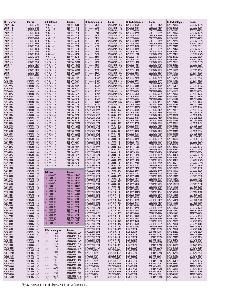| <b>API Delevan</b>       | Bourns                         | API Delevan                      | Bourns                         | <b>BI Technologies</b>                     | <b>Bourns</b>                  | <b>BI Technologies</b>                     | <b>Bourns</b>                  | <b>BI Technologies</b>     | Bourns                       |
|--------------------------|--------------------------------|----------------------------------|--------------------------------|--------------------------------------------|--------------------------------|--------------------------------------------|--------------------------------|----------------------------|------------------------------|
| C2012-56NS               | CI201210-5N6D                  | PD105-823K                       | SDR1006-820K                   | BCL453232-2R7K                             | CM453232-2R7K                  | BML0603-R15K                               | CS160808-R15K                  | HM63-20100                 | SDR0302-100M                 |
| C2012-68NJ<br>C2012-82NJ | CI201210-6N8J<br>CI201210-8N2J | PD105-104K<br>PD105-124K         | SDR1006-101K<br>SDR1006-121K   | BCL453232-330K<br>BCL453232-331K           | CM453232-330K<br>CM453232-331K | BML0603-R18K<br>BML0603-R22K               | CS160808-R18K<br>CS160808-R22K | HM63-20101<br>HM63-20120   | SDR0302-101K<br>SDR0302-120M |
| C2012-100J               | CI201210-10NJ                  | PD105-154K                       | SDR1006-151K                   | BCL453232-390K                             | CM453232-390K                  | BML0603-R27K                               | CS160808-R27K                  | HM63-20150                 | SDR0302-150M                 |
| C2012-120J               | CI201210-12NJ                  | PD105-184K                       | SDR1006-181K                   | BCL453232-391K                             | CM453232-391K                  | BML0603-R33K                               | CS160808-R33K                  | HM63-20180                 | SDR0302-180M                 |
| C2012-150J               | CI201210-15NJ                  | PD105-224K                       | SDR1006-221K                   | BCL453232-3R3K                             | CM453232-3R3K                  | BML0603-R39K                               | CS160808-R39K                  | HM63-20220                 | SDR0302-220M                 |
| C2012-180J               | CI201210-18NJ                  | PD105-274K                       | SDR1006-271K                   | BCL453232-3R9K                             | CM453232-3R9K                  | BML0603-R47K                               | CS160808-R47K                  | HM63-20270                 | SDR0302-270M                 |
| C2012-220J               | CI201210-22NJ                  | PD105-334K                       | SDR1006-331K                   | BCL453232-470K                             | CM453232-470K                  | BML0603-R56K                               | CS160808-R56K                  | HM63-202R7                 | SDR0302-2R7M                 |
| C2012-270J<br>C2012-330J | CI201210-27NJ<br>CI201210-33NJ | PD105-394K<br>PD105-474K         | SDR1006-391K<br>SDR1006-471K   | BCL453232-471K                             | CM453232-471K<br>CM453232-4R7K | BML0603-R68K<br>BML0603-R82K               | CS160808-R68K                  | HM63-20330<br>HM63-20390   | SDR0302-330K<br>SDR0302-390K |
| C2012-390J               | CI201210-39NJ                  | PD105-564K                       | SDR1006-561K                   | BCL453232-4R7K<br>BCL453232-560K           | CM453232-560K                  | BML0805-100K                               | CS160808-R82K<br>CS201212-100K | HM63-20470                 | SDR0302-470K                 |
| C2012-470J               | CI201210-47NJ                  | PD105-684K                       | SDR1006-681K                   | BCL453232-561K                             | CM453232-561K                  | BML0805-120K                               | CS201212-120K                  | HM63-204R7                 | SDR0302-4R7M                 |
| C2012-560J               | CI201210-56NJ                  | PD105-824K                       | SDR1006-821K                   | BCL453232-5R6K                             | CM453232-5R6K                  | BML0805-150K                               | CS201212-150K                  | HM63-20560                 | SDR0302-560K                 |
| C2012-680J               | CI201210-68NJ                  | SPD125-103M                      | SRR1206-100M                   | BCL453232-680K                             | CM453232-680K                  | BML0805-180K                               | CS201212-180K                  | HM63-20680                 | SDR0302-680K                 |
| C2012-820J               | CI201210-82NJ                  | SPD125-123M                      | SRR1206-120M                   | BCL453232-681K                             | CM453232-681K                  | <b>BML0805-1R0K</b>                        | CS201212-1R0K                  | HM63-206R8                 | SDR0302-6R8M                 |
| C2012-101J<br>C2012-121J | CI201210-R10J<br>CI201210-R12J | SPD125-153M                      | SRR1206-150M                   | BCL453232-6R8K                             | CM453232-6R8K                  | <b>BML0805-1R2K</b>                        | CS201212-1R2K                  | HM63-20820<br>HM63-208R2   | SDR0302-820K<br>SDR0302-8R2M |
| C2012-151J               | CI201210-R15J                  | SPD125-183M<br>SPD125-223M       | SRR1206-180M<br>SRR1206-220M   | BCL453232-820K<br>BCL453232-821K           | CM453232-820K<br>CM453232-821K | <b>BML0805-1R5K</b><br><b>BML0805-1R8K</b> | CS201212-1R5K<br>CS201212-1R8K | HM66-15100                 | SRR3011-100Y                 |
| C2012-181J               | CI201210-R18J                  | SPD125-273M                      | SRR1206-270M                   | BCL453232-8R2K                             | CM453232-8R2K                  | BML0805-220K                               | CS201212-220K                  | HM66-15150                 | SRR3011-150Y                 |
| C2012-221J               | CI201210-R22J                  | SPD125-333M                      | SRR1206-330Y                   | BCL453232-R10M                             | CM453232-R10M                  | BML0805-270K                               | CS201212-270K                  | HM66-151R5                 | SRR3011-1R5Y                 |
| C2012-271J               | CI201210-R27J                  | SPD125-393M                      | SRR1206-390Y                   | BCL453232-R12M                             | CM453232-R12M                  | <b>BML0805-2R2K</b>                        | CS201212-2R2K                  | HM66-15220                 | SRR3011-220Y                 |
| PD43-102M                | SDR0403-1R0M                   | SPD125-473M                      | SRR1206-470Y                   | BCL453232-R15M                             | CM453232-R15M                  | <b>BML0805-2R7K</b>                        | CS201212-2R7K                  | HM66-15330                 | SRR3011-330Y                 |
| PD43-182M                | SDR0403-1R8M                   | SPD125-563M                      | SRR1206-560Y                   | BCL453232-R18M                             | CM453232-R18M                  | BML0805-330K                               | CS201212-330K                  | HM66-153R3                 | SRR3011-3R3Y                 |
| PD43-222M<br>PD43-272M   | SDR0403-2R2M<br>SDR0403-2R7M   | SPD125-683M<br>SPD125-823M       | SRR1206-680Y<br>SRR1206-820Y   | BCL453232-R22M<br>BCL453232-R27M           | CM453232-R22M<br>CM453232-R27M | BML0805-3R3K<br><b>BML0805-3R9K</b>        | CS201212-3R3K<br>CS201212-3R9K | HM66-154R7<br>HM66-156R8   | SRR3011-4R7Y<br>SRR3011-6R8Y |
| PD43-332M                | SDR0403-3R3M                   | SPD125-104M                      | SRR1206-101Y                   | BCL453232-R33M                             | CM453232-R33M                  | <b>BML0805-4R7K</b>                        | CS201212-4R7K                  | HM66-20100                 | SRR4011-100Y                 |
| PD43-392M                | SDR0403-3R9M                   | SPD125-124M                      | SRR1206-121Y                   | BCL453232-R39M                             | CM453232-R39M                  | <b>BML0805-5R6K</b>                        | CS201212-5R6K                  | HM66-20150                 | SRR4011-150Y                 |
| PD43-472M                | SDR0403-4R7M                   | SPD125-154M                      | SRR1206-151K                   | BCL453232-R47M                             | CM453232-R47M                  | <b>BML0805-6R8K</b>                        | CS201212-6R8K                  | HM66-20220                 | SRR4011-220Y                 |
| PD43-562M                | SDR0403-5R6M                   | SPD125-184M                      | SRR1206-181K                   | BCL453232-R56M                             | CM453232-R56M                  | <b>BML0805-8R2K</b>                        | CS201212-8R2K                  | HM66-202R2                 | SRR4011-2R2Y                 |
| PD43-682M                | SDR0403-6R8M                   | SPD125-224M                      | SRR1206-221K                   | BCL453232-R68M                             | CM453232-R68M                  | BML0805-R047K                              | CS201212-47NK                  | HM66-20330                 | SRR4011-330Y                 |
| PD43-822M<br>PD43-103M   | SDR0403-8R2M                   | SPD125-274M                      | SRR1206-271K                   | BCL453232-R82M                             | CM453232-R82M                  | <b>BML0805-R068K</b>                       | CS201212-68NK                  | HM66-203R3                 | SRR4011-3R3Y                 |
| PD43-123M                | SDR0403-100M<br>SDR0403-120M   | SPD125-334M<br>SPD125-394M       | SRR1206-331K<br>SRR1206-391K   | BMC0402HF-10NK<br><b>BMC0402HF-1N5S</b>    | CI100505-10NJ<br>CI100505-1N5D | BML0805-R082K<br><b>BML0805-R10K</b>       | CS201212-82NK<br>CS201212-R10K | HM66-204R7<br>HM66-208R2   | SRR4011-4R7Y<br>SRR4011-8R2Y |
| PD43-153M                | SDR0403-150M                   | SPD125-474M                      | SRR1206-471K                   | <b>BMC0402HF-1N8S</b>                      | CI100505-1N8D                  | <b>BML0805-R12K</b>                        | CS201212-R12K                  | HM66-80100                 | SRU1038-100Y                 |
| PD43-183M                | SDR0403-180M                   | SPD125-564M                      | SRR1206-561K                   | BMC0402HF-2N2S                             | CI100505-2N2D                  | <b>BML0805-R15K</b>                        | CS201212-R15K                  | HM66-80101                 | SRU1038-101Y                 |
| PD43-223M                | SDR0403-220M                   | SPD125-684M                      | SRR1206-681K                   | BMC0402HF-2N7S                             | CI100505-2N7D                  | <b>BML0805-R18K</b>                        | CS201212-R18K                  | HM66-80150                 | SRU1038-150Y                 |
| PD43-273M                | SDR0403-270K                   | SPD125-824M                      | SRR1206-821K                   | BMC0402HF-3N3K                             | CI100505-3N3D                  | BML0805-R22K                               | CS201212-R22K                  | HM66-80151                 | SRU1038-151Y                 |
| PD43-333M                | SDR0403-330K                   | SPD127-103M                      | SRR1208-100M                   | BMC0402HF-3N9K                             | CI100505-3N9D                  | <b>BML0805-R27K</b>                        | CS201212-R27K                  | HM66-801R5                 | SRU1038-1R5Y                 |
| PD43-393M<br>PD43-473K   | SDR0403-390K<br>SDR0403-470K   | SPD127-123M<br>SPD127-153M       | SRR1208-120M<br>SRR1208-150M   | BMC0402HF-4N7K<br>BMC0402HF-5N6K           | CI100505-4N7D<br>CI100505-5N6D | BML0805-R33K<br>BML0805-R39K               | CS201212-R33K<br>CS201212-R39K | HM66-80220<br>HM66-80221   | SRU1038-220Y<br>SRU1038-221Y |
| PD43-563K                | SDR0403-560K                   | SPD127-183M                      | SRR1208-180M                   | BMC0402HF-6N8K                             | CI100505-6N8J                  | <b>BML0805-R47K</b>                        | CS201212-R47K                  | HM66-80330                 | SRU1038-330Y                 |
| PD43-683K                | SDR0403-680K                   | SPD127-223M                      | SRR1208-220M                   | BMC0402HF-8N2K                             | CI100505-8N2J                  | BML0805-R56K                               | CS201212-R56K                  | HM66-80331                 | SRU1038-331Y                 |
| PD54-102M                | SDR0604-1R0M                   | SPD127-273M                      | SRR1208-270M                   | BMC0603HF-10NK                             | CI160808-10NJ                  | <b>BML0805-R68K</b>                        | CS201212-R68K                  | HM66-80470                 | SRU1038-470Y                 |
| PD54-152M                | SDR0604-1R5M                   | SPD127-333M                      | SRR1208-330Y                   | BMC0603HF-12NK                             | CI160808-12NJ                  | <b>BML0805-R82K</b>                        | CS201212-R82K                  | HM66-80680                 | SRU1038-680Y                 |
| PD54-222M<br>PD54-272M   | SDR0604-2R2M<br>SDR0604-2R7M   | SPD127-393M<br>SPD127-473M       | SRR1208-390Y<br>SRR1208-470Y   | BMC0603HF-15NK<br>BMC0603HF-18NK           | CI160808-15NJ<br>CI160808-18NJ | <b>BML1206-100K</b><br>BML1206-120K        | CS321613-100K<br>CS321613-120K | HM75-40100<br>HM75-40101   | SDR2207-100M<br>SDR2207-101K |
| PD54-332M                | SDR0604-3R3M                   | SPD127-563M                      | SRR1208-560Y                   | BMC0603HF-1N5S                             | CI160808-1N5D                  | BML1206-150K                               | CS321613-150K                  | HM75-40150                 | SDR2207-150Y                 |
| PD54-472M                | SDR0604-4R7M                   | SPD127-683M                      | SRR1208-680Y                   | BMC0603HF-1N8S                             | CI160808-1N8D                  | BML1206-180K                               | CS321613-180K                  | HM75-40220                 | SDR2207-220Y                 |
| PD54-562M                | SDR0604-5R6M                   | SPD127-823M                      | SRR1208-820Y                   | BMC0603HF-22NK                             | CI160808-22NJ                  | <b>BML1206-1R0K</b>                        | CS321613-1R0K                  | HM75-40330                 | SDR2207-330Y                 |
| PD54-682M                | SDR0604-6R8M                   | SPD127-104M                      | SRR1208-101Y                   | <b>BMC0603HF-27NK</b>                      | CI160808-27NJ                  | <b>BML1206-1R2K</b>                        | CS321613-1R2K                  | HM75-403R3                 | SDR2207-3R3M                 |
| PD54-822M                | SDR0604-8R2M                   | SPD127-224M                      | SRR1208-221K                   | BMC0603HF-2N2S                             | CI160808-2N2D                  | <b>BML1206-1R5K</b>                        | CS321613-1R5K                  | HM75-40470                 | SDR2207-470K                 |
| PD54-103K<br>PD54-123K   | SDR0604-100M<br>SDR0604-120M   | SPD127-334M<br>SPD127-474M       | SRR1208-331K<br>SRR1208-471K   | BMC0603HF-2N7S<br>BMC0603HF-33NK           | CI160808-2N7D<br>CI160808-33NJ | <b>BML1206-1R8K</b><br>BML1206-220K        | CS321613-1R8K<br>CS321613-220K | HM75-404R7<br>HM75-405R6   | SDR2207-4R7M<br>SDR2207-5R6M |
| PD54-153K                | SDR0604-150M                   | SPD127-105M                      | SRR1208-102K                   | BMC0603HF-39NK                             | CI160808-39NJ                  | BML1206-270K                               | CS321613-270K                  | HM75-40680                 | SDR2207-680K                 |
| PD54-183K                | SDR0604-180M                   |                                  |                                | BMC0603HF-3N3K                             | CI160808-3N3D                  | <b>BML1206-2R2K</b>                        | CS321613-2R2K                  | HM76-10100J                | SDR0703-100J                 |
| PD54-223K                | SDR0604-220M                   | <b>Bel Fuse</b>                  | <b>Bourns</b>                  | BMC0603HF-3N9K                             | CI160808-3N9D                  | <b>BML1206-2R7K</b>                        | CS321613-2R7K                  | HM76-10150J                | SDR0703-150J                 |
| PD54-273K                | SDR0604-270M                   | S581-4000-00                     | <b>SDR1005-1ROM</b>            | BMC0603HF-47NK                             | CI160808-47NJ                  | BML1206-330K                               | CS321613-330K                  | HM76-10220J                | SDR0703-220J                 |
| PD54-333K                | SDR0604-330K                   | S581-4000-01                     | SDR1005-1R5M                   | BMC0603HF-4N7K                             | CI160808-4N7D                  | BML1206-3R3K                               | CS321613-3R3K                  | HM76-10330J                | SDR0703-330J                 |
| PD54-393K                | SDR0604-390K<br>SDR0604-470K   | S581-4000-03                     | SDR1005-3R3M                   | BMC0603HF-56NK                             | CI160808-56NJ<br>CI160808-5N6D | <b>BML1206-3R9K</b>                        | CS321613-3R9K                  | HM76-10470J                | SDR0703-470J                 |
| PD54-473K<br>PD54-563K   | SDR0604-560K                   | S581-4000-04                     | SDR1005-4R7M                   | BMC0603HF-5N6K<br>BMC0603HF-6N8K           | CI160808-6N8J                  | BML1206-4R7K<br><b>BML1206-5R6K</b>        | CS321613-4R7K<br>CS321613-5R6K | HM76-104R7J<br>HM76-106R8J | SDR0703-4R7J<br>SDR0703-6R8J |
| PD54-683K                | SDR0604-680K                   | S581-4000-05                     | SDR1005-6R8M                   | BMC0603HF-8N2K                             | CI160808-8N2J                  | <b>BML1206-6R8K</b>                        | CS321613-6R8K                  | HM76-50101                 | SDR1806-101J                 |
| PD54-823K                | SDR0604-820K                   | S581-4000-06                     | SDR1005-100M                   | BMC0805HF-10NK                             | CI201210-10NJ                  | BML1206-8R2K                               | CS321613-8R2K                  | HM76-50102                 | SDR1806-102J                 |
| PD54-104K                | SDR0604-101K                   | S581-4000-07                     | SDR1005-150M                   | <b>BMC0805HF-12NK</b>                      | CI201210-12NJ                  | BML1206-R047K                              | CS321613-47NK                  | HM76-50151                 | SDR1806-151J                 |
| PD54-124K                | SDR0604-121K                   | S581-4000-08<br>S581-4000-09     | SDR1005-220M<br>SDR1005-330K   | BMC0805HF-15NK                             | CI201210-15NJ<br>CI201210-18NJ | BML1206-R068K                              | CS321613-68NK                  | HM76-50221                 | SDR1806-221J                 |
| PD54-154K<br>PD54-184K   | SDR0604-151K<br>SDR0604-181K   | S581-4000-10                     | SDR1005-470K                   | BMC0805HF-18NK<br><b>BMC0805HF-1N5S</b>    | CI201210-1N5D                  | <b>BML1206-R10K</b><br><b>BML1206-R12K</b> | CS321613-R10K<br>CS321613-R12K | HM76-50331<br>HM76-50471   | SDR1806-331J<br>SDR1806-471J |
| PD54-224K                | SDR0604-221K                   | S581-4000-11                     | SDR1005-680K                   | BMC0805HF-1N8S                             | CI201210-1N8D                  | BML1206-R15K                               | CS321613-R15K                  | HM76-50681                 | SDR1806-681J                 |
| <b>PD75-103K</b>         | SDR0805-100M                   | S581-4000-12                     | SDR1005-101K                   | BMC0805HF-22NK                             | CI201210-22NJ                  | <b>BML1206-R18K</b>                        | CS321613-R18K                  | HM78-10100                 | SRR7032-100M                 |
| PD75-123K                | SDR0805-120M                   | S581-4000-13<br>S581-4000-14     | SDR1005-151K<br>SDR1005-221K   | <b>BMC0805HF-27NK</b>                      | CI201210-27NJ                  | BML1206-R22K                               | CS321613-R22K                  | HM78-10150                 | SRR7032-150M                 |
| PD75-153K                | SDR0805-150M                   | S581-4000-15                     | SDR1005-331K                   | BMC0805HF-2N2S                             | CI201210-2N2D                  | BML1206-R27K                               | CS321613-R27K                  | HM78-10220                 | SRR7032-220M                 |
| PD75-183K<br>PD75-223K   | SDR0805-180M<br>SDR0805-220M   | S581-4000-16                     | SDR1005-471K                   | BMC0805HF-2N7S<br>BMC0805HF-33NK           | CI201210-2N7D<br>CI201210-33NJ | BML1206-R33K<br>BML1206-R39K               | CS321613-R33K<br>CS321613-R39K | HM78-10330<br>HM78-10470   | SRR7032-330M<br>SRR7032-470M |
| PD75-273K                | SDR0805-270K                   | S581-4000-54                     | SRR1005-4R7M                   | BMC0805HF-39NK                             | CI201210-39NJ                  | BML1206-R47K                               | CS321613-R47K                  | HM78-10680                 | SRR7032-680M                 |
| PD75-333K                | SDR0805-330K                   | S581-4000-55                     | SDR0703-100K                   | BMC0805HF-3N3K                             | CI201210-3N3D                  | <b>BML1206-R56K</b>                        | CS321613-R56K                  | HM78-20100                 | SRR7045-100M                 |
| PD75-393K                | SDR0805-390K                   | S581-4000-56                     | SRR1005-470Y                   | BMC0805HF-3N9K                             | CI201210-3N9D                  | <b>BML1206-R68K</b>                        | CS321613-R68K                  | HM78-20101                 | SRR7045-101M                 |
| PD75-473K                | SDR0805-470K                   |                                  |                                | BMC0805HF-47NK                             | CI201210-47NJ                  | BML1206-R82K                               | CS321613-R82K                  | HM78-20150                 | SRR7045-150M                 |
| PD75-563K                | SDR0805-560K                   | <b>BI Technologies</b>           | <b>Bourns</b>                  | BMC0805HF-4N7K                             | CI201210-4N7D                  | HJ76-30100J                                | SDR1005-100M                   | HM78-20151                 | SRR7045-151M                 |
| PD75-683K<br>PD75-823K   | SDR0805-680K<br>SDR0805-820K   | BCL453232-100K                   | CM453232-100K                  | BMC0805HF-56NK<br>BMC0805HF-5N6K           | CI201210-56NJ<br>CI201210-5N6D | HJ76-30101J<br>HJ76-30102J                 | SDR1005-101K<br>SDR1005-102K   | HM78-20220<br>HM78-20221   | SRR7045-220M<br>SRR7045-221M |
| PD75-104K                | SDR0805-101K                   | BCL453232-101K                   | CM453232-101K                  | BMC0805HF-68NK                             | CI201210-68NJ                  | HJ76-30150J                                | SDR1005-150M                   | HM78-20330                 | SRR7045-330M                 |
| PD75-124K                | SDR0805-121K                   | BCL453232-102K                   | CM453232-102K                  | BMC0805HF-6N8K                             | CI201210-6N8J                  | HJ76-30151J                                | SDR1005-151K                   | HM78-20470                 | SRR7045-470M                 |
| PD75-154K                | SDR0805-151K                   | BCL453232-120K                   | CM453232-120K<br>CM453232-121K | BMC0805HF-82NK                             | CI201210-82NJ                  | HJ76-301R0J                                | SDR1005-1R0M                   | HM78-20680                 | SRR7045-680M                 |
| PD75-184K                | SDR0805-181K                   | BCL453232-121K<br>BCL453232-150K | CM453232-150K                  | BMC0805HF-8N2K                             | CI201210-8N2J                  | HJ76-301R5J                                | SDR1005-1R5M                   | HM78-45100                 | SRR1240-100M                 |
| *PD75-224K               | SDR0805-221K                   | BCL453232-151K                   | CM453232-151K                  | BMC0805HF-R10K                             | CI201210-R10J                  | HJ76-30220J                                | SDR1005-220M                   | HM78-45101                 | SRR1240-101M                 |
| PD105-103K<br>PD105-123K | SDR1006-100M<br>SDR1006-120M   | BCL453232-180K                   | CM453232-180K                  | <b>BML0603-1R0K</b><br><b>BML0603-1R2K</b> | CS160808-1R0K<br>CS160808-1R2K | HJ76-30221J<br>HJ76-302R5J                 | SDR1005-221K<br>SDR1005-2R5M   | HM78-45150<br>HM78-45220   | SRR1240-150M<br>SRR1240-220M |
| PD105-153K               | SDR1006-150M                   | BCL453232-181K                   | CM453232-181K                  | <b>BML0603-1R5K</b>                        | CS160808-1R5K                  | HJ76-30330J                                | SDR1005-330K                   | HM78-45330                 | SRR1240-330M                 |
| PD105-183K               | SDR1006-180M                   | BCL453232-1R0K                   | CM453232-1R0K                  | <b>BML0603-1R8K</b>                        | CS160808-1R8K                  | HJ76-30331J                                | SDR1005-331K                   | HM78-45470                 | SRR1240-470M                 |
| PD105-223K               | SDR1006-220M                   | BCL453232-1R2K<br>BCL453232-1R5K | CM453232-1R2K<br>CM453232-1R5K | BML0603-2R2K                               | CS160808-2R2K                  | HJ76-303R3J                                | SDR1005-3R3M                   | HM78-454R7                 | SRR1240-4R7Y                 |
| PD105-273K               | SDR1006-270K                   | BCL453232-1R8K                   | CM453232-1R8K                  | BML0603-2R7K                               | CS160808-2R7K                  | HJ76-30470J                                | SDR1005-470K                   | HM78-45680                 | SRR1240-680M                 |
| PD105-333K<br>PD105-393K | SDR1006-330K<br>SDR1006-390K   | BCL453232-220K                   | CM453232-220K                  | BML0603-R047K<br>BML0603-R068K             | CS160808-47NK<br>CS160808-68NK | HJ76-30471J<br>HJ76-304R7J                 | SDR1005-471K<br>SDR1005-4R7M   | HM78-456R8<br>HM78-50100   | SRR1240-6R8M<br>SRR1260-100M |
| PD105-473K               | SDR1006-470K                   | BCL453232-221K                   | CM453232-221K                  | BML0603-R082K                              | CS160808-82NK                  | HJ76-30680J                                | SDR1005-680K                   | HM78-50101                 | SRR1260-101M                 |
| PD105-563K               | SDR1006-560K                   | BCL453232-270K                   | CM453232-270K                  | <b>BML0603-R10K</b>                        | CS160808-R10K                  | HJ76-30681J                                | SDR1005-681K                   | HM78-50120                 | SRR1260-120M                 |
| PD105-683K               | SDR1006-680K                   | BCL453232-271K<br>BCL453232-2R2K | CM453232-271K<br>CM453232-2R2K | BML0603-R12K                               | CS160808-R12K                  | HJ76-306R8J                                | SDR1005-6R8M                   | HM78-50150                 | SRR1260-150M                 |
|                          |                                |                                  |                                |                                            |                                |                                            |                                |                            |                              |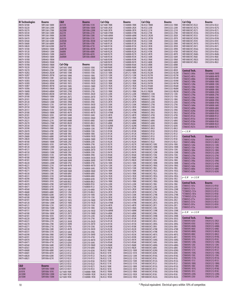| <b>BI Technologies</b>   | <b>Bourns</b>                | <b>C&amp;D</b>                             | <b>Bourns</b>                  | Cal-Chip                            | <b>Bourns</b>                  | Cal-Chip                                         | <b>Bourns</b>                  | Cal-Chip                                         | <b>Bourns</b>                  |
|--------------------------|------------------------------|--------------------------------------------|--------------------------------|-------------------------------------|--------------------------------|--------------------------------------------------|--------------------------------|--------------------------------------------------|--------------------------------|
| HM78-50180               | SRR1260-180M                 | 26151K                                     | SDR1006-151K                   | <b>GLF1608 1R8K</b>                 | CS160808-1R8K                  | <b>NL4532 1R8M</b>                               | CM453232-1R8K                  | <b>WB1008CHCS R22J</b>                           | CW252016-R22J                  |
| HM78-50220               | SRR1260-220M                 | 26180M                                     | SDR1006-180M                   | GLF1608 2R2K                        | CS160808-2R2K                  | NL4532 220K                                      | CM453232-220K                  | <b>WB1008CHCS R27G</b>                           | CW252016-R27G                  |
| HM78-50270               | SRR1260-270M                 | 26220M                                     | SDR1006-220M                   | <b>GLF1608 2R7K</b>                 | CS160808-2R7K                  | NL4532 221K                                      | CM453232-221K                  | <b>WB1008CHCS R27J</b>                           | CW252016-R27J                  |
| HM78-50330<br>HM78-50390 | SRR1260-330M<br>SRR1260-390M | 26221K<br>26330K                           | SDR1006-221K<br>SDR1006-330K   | GLF1608 47NM<br>GLF1608 68NM        | CS160808-47NK<br>CS160808-68NK | NL4532 270K<br>NL4532 2R2M                       | CM453232-270K<br>CM453232-2R2K | <b>WB1008CHCS R33G</b><br><b>WB1008CHCS R33J</b> | CW252016-R33G<br>CW252016-R33J |
| HM78-50470               | SRR1260-470M                 | 26331K                                     | SDR1006-331K                   | GLF1608 82NM                        | CS160808-82NK                  | NL4532 2R7M                                      | CM453232-2R7K                  | <b>WB1008CHCS R39G</b>                           | CW252016-R39G                  |
| HM78-50560               | SRR1260-560M                 | 263R3M                                     | SDR1006-3R3M                   | <b>GLF1608 R10K</b>                 | CS160808-R10K                  | NL4532 330K                                      | CM453232-330K                  | <b>WB1008CHCS R39J</b>                           | CW252016-R39J                  |
| HM78-50680               | SRR1260-680M                 | 26470K                                     | SDR1006-470K                   | GLF1608 R12K                        | CS160808-R12K                  | NL4532 390K                                      | CM453232-390K                  | <b>WB1008CHCS R47G</b>                           | CW252016-R47G                  |
| HM78-50820<br>HM79-10100 | SRR1260-820M<br>SDR0403-100M | 26471K<br>264R7M                           | SDR1006-471K<br>SDR1006-4R7M   | GLF1608 R15K<br><b>GLF1608 R18K</b> | CS160808-R15K<br>CS160808-R18K | NL4532 3R3K<br>NL4532 3R9K                       | CM453232-3R3K<br>CM453232-3R9K | <b>WB1008CHCS R47J</b><br><b>WB1008CHCS R56G</b> | CW252016-R47J<br>CW252016-R56G |
| HM79-10120               | SDR0403-120M                 | 26680K                                     | SDR1006-680K                   | GLF1608 R22K                        | CS160808-R22K                  | NL4532 470K                                      | CM453232-470K                  | <b>WB1008CHCS R56J</b>                           | CW252016-R56J                  |
| HM79-10150               | SDR0403-150M                 | 26681K                                     | SDR1006-681K                   | GLF1608 R27K                        | CS160808-R27K                  | NL4532 4R7K                                      | CM453232-4R7K                  | WB1008CHCS R68G                                  | CW252016-R68G                  |
| HM79-10180<br>HM79-101R0 | SDR0403-180M<br>SDR0403-1R0M | 266R8M                                     | SDR1006-6R8M                   | GLF1608 R33K<br>GLF1608 R39K        | CS160808-R33K<br>CS160808-R39K | NL4532 560K<br><b>NL4532 5R6K</b>                | CM453232-560K<br>CM453232-5R6K | WB1008CHCS R68J<br><b>WB1008CHCS R82G</b>        | CW252016-R68J<br>CW252016-R82G |
| HM79-101R4               | SDR0403-1R4M                 |                                            |                                | GLF1608 R47K                        | CS160808-R47K                  | NL4532 680K                                      | CM453232-680K                  | <b>WB1008CHCS R82J</b>                           | CW252016-R82J                  |
| HM79-101R8               | SDR0403-1R8M                 | Cal-Chip                                   | <b>Bourns</b>                  | <b>GLF1608 R56K</b>                 | CS160808-R56K                  | NL4532 6R8K                                      | CM453232-6R8K                  |                                                  |                                |
| HM79-10220               | SDR0403-220M                 | <b>GHF1005 10NK</b>                        | CI100505-10NJ                  | <b>GLF1608 R68K</b>                 | CS160808-R68K                  | NL4532 820K                                      | CM453232-820K                  |                                                  |                                |
| HM79-10270<br>HM79-102R2 | SDR0403-270K<br>SDR0403-2R2M | <b>GHF1005 12NK</b><br><b>GHF1005 15NK</b> | CI100505-12NJ<br>CI100505-15NJ | <b>GLF1608 R82K</b><br>GLF2125 100K | CS160808-R82K<br>CS201212-100K | NL4532 8R2K<br>NL4532 R22M                       | CM453232-8R2K<br>CM453232-R22M | Central Tech.                                    | <b>Bourns</b>                  |
| HM79-102R7               | SDR0403-2R7M                 | <b>GHF1005 18NK</b>                        | CI100505-18NJ                  | GLF2125 120K                        | CS201212-120K                  | NL4532 R27M                                      | CM453232-R27M                  | CT0603CS-3N9x<br>CT0603CS-4N7x                   | CW160808-3N9D<br>CW160808-4N7D |
| HM79-10330               | SDR0403-330K                 | <b>GHF1005 1N0S</b>                        | CI100505-1N0D                  | GLF2125 150K                        | CS201212-150K                  | NL4532 R33M                                      | CM453232-R33M                  | CT0603CS-6N8x                                    | CW160808-6N8J                  |
| HM79-103R3               | SDR0403-3R3M                 | GHF1005 1N2S                               | CI100505-1N2D                  | GLF2125 180K                        | CS201212-180K<br>CS201212-1R0K | NL4532 R39M<br>NL4532 R47M                       | CM453232-R39M<br>CM453232-R47M | CT0603CS-10Nx                                    | CW160808-10NJ                  |
| HM79-103R9<br>HM79-104R7 | SDR0403-3R9M<br>SDR0403-4R7M | <b>GHF1005 1N5S</b><br>GHF1005 1N8S        | CI100505-1N5D<br>CI100505-1N8D | <b>GLF2125 1ROK</b><br>GLF2125 1R2K | CS201212-1R2K                  | NL4532 R56M                                      | CM453232-R56M                  | CT0603CS-12Nx                                    | CW160808-12NJ                  |
| HM79-105R6               | SDR0403-5R6M                 | <b>GHF1005 22NK</b>                        | CI100505-22NJ                  | GLF2125 1R5K                        | CS201212-1R5K                  | <b>NL4532 R68M</b>                               | CM453232-R68M                  | CT0603CS-15Nx<br>CT0603CS-18Nx                   | CW160808-15NJ<br>CW160808-18NJ |
| HM79-106R8               | SDR0403-6R8M                 | <b>GHF1005 27NK</b>                        | CI100505-27NJ                  | <b>GLF2125 1R8K</b>                 | CS201212-1R8K                  | NL4532 R82M                                      | CM453232-R82M                  | CT0603CS-22Nx                                    | CW160808-22NJ                  |
| HM79-108R2<br>HM79-20100 | SDR0403-8R2M<br>SDR0603-100M | GHF1005 2N2S<br>GHF1005 2N7S               | CI100505-2N2D<br>CI100505-2N7D | GLF2125 220K<br>GLF2125 270K        | CS201212-220K<br>CS201212-270K | <b>WB0805CS 12NJ</b><br><b>WB0805CS 15NJ</b>     | CW201212-12NJ<br>CW201212-15NJ | CT0603CS-27Nx                                    | CW160808-27NJ                  |
| HM79-20101               | SDR0603-101K                 | <b>GHF1005 33NK</b>                        | CI100505-33NJ                  | GLF2125 2R2K                        | CS201212-2R2K                  | <b>WB0805CS 18NJ</b>                             | CW201212-18NJ                  | CT0603CS-33Nx                                    | CW160808-33NJ                  |
| HM79-20120               | SDR0603-120M                 | <b>GHF1005 39NK</b>                        | CI100505-39NJ                  | GLF2125 2R7K                        | CS201212-2R7K                  | <b>WB0805CS 22NJ</b>                             | CW201212-22NJ                  | CT0603CS-39Nx<br>CT0603CS-47Nx                   | CW160808-39NJ<br>CW160808-47NJ |
| HM79-20121               | SDR0603-121K                 | GHF1005 3N3K                               | CI100505-3N3D                  | GLF2125 330K                        | CS201212-330K                  | <b>WB0805CS 27NJ</b>                             | CW201212-27NJ                  | CT0603CS-56Nx                                    | CW160808-56NJ                  |
| HM79-20150<br>HM79-20151 | SDR0603-150M<br>SDR0603-151K | <b>GHF1005 3N9K</b><br><b>GHF1005 47NK</b> | CI100505-3N9D<br>CI100505-47NJ | GLF2125 3R3K<br>GLF2125 3R9K        | CS201212-3R3K<br>CS201212-3R9K | <b>WB0805CS 33NJ</b><br><b>WB0805CS 39NJ</b>     | CW201212-33NJ<br>CW201212-39NJ | CT0603CS-68Nx                                    | CW160808-68NJ                  |
| HM79-20180               | SDR0603-180M                 | <b>GHF1005 4N7K</b>                        | CI100505-4N7D                  | GLF2125 47NM                        | CS201212-47NK                  | <b>WB0805CS 3N3J</b>                             | CW201212-3N3J                  | CT0603CS-82Nx                                    | CW160808-82NJ                  |
| HM79-20181               | SDR0603-181K                 | <b>GHF1005 56NK</b>                        | CI100505-56NJ                  | GLF2125 4R7K                        | CS201212-4R7K                  | <b>WB0805CS 47NJ</b>                             | CW201212-47NJ                  | CT0603CS-R10x<br>CT0603CS-R12x                   | CW160808-R10J<br>CW160808-R12J |
| HM79-20220               | SDR0603-220M                 | <b>GHF1005 5N6K</b>                        | CI100505-5N6D                  | GLF2125 5R6K                        | CS201212-5R6K                  | <b>WB0805CS 56NJ</b>                             | CW201212-56NJ                  | CT0603CS-R15x                                    | CW160808-R15J                  |
| HM79-20221<br>HM79-20270 | SDR0603-221K<br>SDR0603-270M | <b>GHF1005 6N8K</b><br><b>GHF1005 8N2K</b> | CI100505-6N8J<br>CI100505-8N2J | GLF2125 68NM<br>GLF2125 6R8K        | CS201212-68NK<br>CS201212-6R8K | <b>WB0805CS 68NJ</b><br><b>WB0805CS 6N8J</b>     | CW201212-68NJ<br>CW201212-6N8J | CT0603CS-R18x                                    | CW160808-R18J                  |
| HM79-20330               | SDR0603-330K                 | <b>GHF1608 10NJ</b>                        | CI160808-10NJ                  | GLF2125 82NM                        | CS201212-82NK                  | <b>WB0805CS 82NJ</b>                             | CW201212-82NJ                  | CT0603CS-R22x<br>CT0603CS-R27x                   | CW160808-R22J<br>CW160808-R27J |
| HM79-20390               | SDR0603-390K                 | GHF1608 12NJ                               | CI160808-12NJ                  | GLF2125 8R2K                        | CS201212-8R2K                  | <b>WB0805CS 8N2J</b>                             | CW201212-8N2J                  |                                                  |                                |
| HM79-20470               | SDR0603-470K                 | GHF1608 15NJ                               | CI160808-15NJ                  | <b>GLF2125 R10K</b>                 | CS201212-R10K                  | <b>WB0805CS R10J</b>                             | CW201212-R10J                  | $x = J, K, M$                                    |                                |
| HM79-20560<br>HM79-20680 | SDR0603-560K<br>SDR0603-680K | GHF1608 18NJ<br>GHF1608 1N5S               | CI160808-18NJ<br>CI160808-1N5D | GLF2125 R12K<br>GLF2125 R15K        | CS201212-R12K<br>CS201212-R15K | <b>WB0805CS R12J</b><br><b>WB0805CS R15J</b>     | CW201212-R12J<br>CW201212-R15J | Central Tech.                                    | <b>Bourns</b>                  |
| HM79-20820               | SDR0603-820K                 | GHF1608 1N8S                               | CI160808-1N8D                  | GLF2125 R18K                        | CS201212-R18K                  | <b>WB0805CS R18J</b>                             | CW201212-R18J                  | CT0805CS-020y                                    | CW201212-2N2K                  |
| HM79-40100               | SDR0805-100M                 | GHF1608 22NJ                               | CI160808-22NJ                  | GLF2125 R22K                        | CS201212-R22K                  | <b>WB0805CS R22J</b>                             | CW201212-R22J                  | CT0805CS-080y                                    | CW201212-8N2J                  |
| HM79-40101               | SDR0805-101K                 | GHF1608 27NJ                               | CI160808-27NJ                  | GLF2125 R27K                        | CS201212-R27K                  | <b>WB1008CHCS 10NJ</b>                           | CW252016-10NJ                  | CT0805CS-120x                                    | CW201212-12NJ                  |
| HM79-40120<br>HM79-40121 | SDR0805-120M<br>SDR0805-121K | GHF1608 2N2S<br>GHF1608 2N7S               | CI160808-2N2D<br>CI160808-2N7D | GLF2125 R33K<br>GLF2125 R39K        | CS201212-R33K<br>CS201212-R39K | WB1008CHCS 10NK<br><b>WB1008CHCS 12NJ</b>        | CW252016-10NK<br>CW252016-12NJ | CT0805CS-150x                                    | CW201212-15NJ                  |
| HM79-40150               | SDR0805-150M                 | GHF1608 33NJ                               | CI160808-33NJ                  | GLF2125 R47K                        | CS201212-R47K                  | <b>WB1008CHCS 12NK</b>                           | CW252016-12NK                  | CT0805CS-180x<br>CT0805CS-220x                   | CW201212-18NJ<br>CW201212-22NJ |
| HM79-40151               | SDR0805-151K                 | GHF1608 39NJ                               | CI160808-39NJ                  | GLF2125 R56K                        | CS201212-R56K                  | <b>WB1008CHCS 15NJ</b>                           | CW252016-15NJ                  | CT0805CS-270x                                    | CW201212-27NJ                  |
| HM79-40180               | SDR0805-180M                 | GHF1608 3N3K                               | CI160808-3N3D                  | GLF2125 R68K                        | CS201212-R68K                  | WB1008CHCS 15NK                                  | CW252016-15NK                  | CT0805CS-330x                                    | CW201212-33NJ                  |
| HM79-40181<br>HM79-40220 | SDR0805-181K<br>SDR0805-220M | <b>GHF1608 3N9K</b><br>GHF1608 47NJ        | CI160808-3N9D<br>CI160808-47NJ | GLF2125 R82K<br>GLF3216 100K        | CS201212-R82K<br>CS321613-100K | <b>WB1008CHCS 18NJ</b><br>WB1008CHCS 18NK        | CW252016-18NJ<br>CW252016-18NK | CT0805CS-390x<br>CT0805CS-470x                   | CW201212-39NJ<br>CW201212-47NJ |
| HM79-40221               | SDR0805-221K                 | <b>GHF1608 4N7K</b>                        | CI160808-4N7D                  | GLF3216 120K                        | CS321613-120K                  | WB1008CHCS 1R0G                                  | CW252016-1R0G                  | CT0805CS-560x                                    | CW201212-56NJ                  |
| HM79-40270               | SDR0805-270K                 | GHF1608 56NJ                               | CI160808-56NJ                  | GLF3216 150K                        | CS321613-150K                  | WB1008CHCS 1ROJ                                  | CW252016-1R0J                  | CT0805CS-680x                                    | CW201212-68NJ                  |
| HM79-40271<br>HM79-40330 | SDR0805-271K<br>SDR0805-330K | <b>GHF1608 5N6K</b><br>GHF1608 68NJ        | CI160808-5N6D<br>CI160808-68NJ | GLF3216 180K<br><b>GLF3216 1ROK</b> | CS321613-180K<br>CS321613-1R0K | <b>WB1008CHCS 1R2G</b><br><b>WB1008CHCS 1R2J</b> | CW252016-1R2G<br>CW252016-1R2J | CT0805CS-820x                                    | CW201212-82NJ                  |
| HM79-40331               | SDR0805-331K                 | GHF1608 6N8J                               | CI160808-6N8J                  | GLF3216 1R2K                        | CS321613-1R2K                  | <b>WB1008CHCS 1R5G</b>                           | CW252016-1R5G                  |                                                  |                                |
| HM79-40390               | SDR0805-390K                 | GHF1608 82NJ                               | CI160808-82NJ                  | GLF3216 1R5K                        | CS321613-1R5K                  | <b>WB1008CHCS 1R5J</b>                           | CW252016-1R5J                  | y = K, M<br>$x = J, K, M$                        |                                |
| HM79-40391               | SDR0805-391K                 | GHF1608 8N2J                               | CI160808-8N2J                  | GLF3216 1R8K                        | CS321613-1R8K                  | WB1008CHCS 1R8G<br><b>WB1008CHCS 1R8J</b>        | CW252016-1R8G<br>CW252016-1R8J | <b>Central Tech.</b>                             | <b>Bourns</b>                  |
| HM79-40470<br>HM79-40471 | SDR0805-470K<br>SDR0805-471K | GHF1608 R10J<br>GHF1608 R12J               | CI160808-R10J<br>CI160808-R12J | GLF3216 220K<br>GLF3216 270K        | CS321613-220K<br>CS321613-270K | <b>WB1008CHCS 22NJ</b>                           | CW252016-22NJ                  | CT0805CS-101x                                    | CW201212-R10J                  |
| HM79-40560               | SDR0805-560K                 | GHF2125 10NJ                               | CI201210-6N8J                  | GLF3216 2R2K                        | CS321613-2R2K                  | WB1008CHCS 22NK                                  | CW252016-22NK                  | CT0805CS-121x                                    | CW201212-R12J                  |
| HM79-40680               | SDR0805-680K                 | GHF2125 12NJ                               | CI201210-8N2J                  | GLF3216 2R7K                        | CS321613-2R7K                  | <b>WB1008CHCS 27NJ</b>                           | CW252016-27NJ                  | *CT0805CS-151x<br>*CT0805CS-181x                 | CW201212-R15J<br>CW201212-R18J |
| HM79-40820<br>HM79-60100 | SDR0805-820K                 | GHF2125 15NJ                               | CI201210-10NJ                  | GLF3216 330K                        | CS321613-330K                  | <b>WB1008CHCS 27NK</b><br><b>WB1008CHCS 2R2G</b> | CW252016-27NK<br>CW252016-2R2G | *CT0805CS-221x                                   | CW201212-R22J                  |
| HM79-60101               | SDR1006-100M<br>SDR1006-101K | GHF2125 18NJ<br>GHF2125 1N5S               | CI201210-12NJ<br>CI201210-1N0D | GLF3216 3R3K<br>GLF3216 3R9K        | CS321613-3R3K<br>CS321613-3R9K | <b>WB1008CHCS 2R2J</b>                           | CW252016-2R2J                  | CT0805CS-271x                                    | CW201212-R27J                  |
| HM79-60120               | SDR1006-120M                 | GHF2125 1N8S                               | CI201210-1N2D                  | GLF3216 47NM                        | CS321613-47NK                  | <b>WB1008CHCS 2R7G</b>                           | CW252016-2R7G                  | CT0805CS-331x                                    | CW201212-R33J                  |
| HM79-60121               | SDR1006-121K                 | GHF2125 22NJ                               | CI201210-15NJ                  | GLF3216 4R7K                        | CS321613-4R7K                  | <b>WB1008CHCS 2R7J</b>                           | CW252016-2R7J                  | CT0805CS-391x<br>CT0805CS-471x                   | CW201212-R39J<br>CW201212-R47J |
| HM79-60150<br>HM79-60151 | SDR1006-150M<br>SDR1006-151K | GHF2125 27NJ<br>GHF2125 2N2S               | CI201210-18NJ<br>CI201210-1N5D | GLF3216 5R6K<br>GLF3216 68NM        | CS321613-5R6K<br>CS321613-68NK | <b>WB1008CHCS 33NJ</b><br><b>WB1008CHCS 33NK</b> | CW252016-33NJ<br>CW252016-33NK |                                                  |                                |
| HM79-60180               | SDR1006-180M                 | GHF2125 2N7S                               | CI201210-1N8D                  | GLF3216 6R8K                        | CS321613-6R8K                  | <b>WB1008CHCS 39NJ</b>                           | CW252016-39NJ                  | $y = K, M$ $x = J, K, M$                         |                                |
| HM79-60181               | SDR1006-181K                 | GHF2125 33NJ                               | CI201210-22NJ                  | GLF3216 8R2K                        | CS321613-8R2K                  | WB1008CHCS 39NK                                  | CW252016-39NK                  | Central Tech.                                    | <b>Bourns</b>                  |
| HM79-60220<br>HM79-60221 | SDR1006-220M<br>SDR1006-221K | GHF2125 39NJ                               | CI201210-27NJ                  | <b>GLF3216 R10K</b><br>GLF3216 R12K | CS321613-R10K<br>CS321613-R12K | <b>WB1008CHCS 3R3G</b><br><b>WB1008CHCS 3R3J</b> | CW252016-3R3G<br>CW252016-3R3J | CT0805HS-020J                                    | CW201212-2N2J                  |
| HM79-60270               | SDR1006-270K                 | GHF2125 3N3K<br>GHF2125 3N9K               | CI201210-2N2D<br>CI201210-2N7D | GLF3216 R15K                        | CS321613-R15K                  | <b>WB1008CHCS 3R9G</b>                           | CW252016-3R9G                  | CT0805HS-030J                                    | CW201212-3N3J                  |
| HM79-60271               | SDR1006-271K                 | GHF2125 47NJ                               | CI201210-33NJ                  | GLF3216 R18K                        | CS321613-R18K                  | <b>WB1008CHCS 3R9J</b>                           | CW252016-3R9J                  | CT0805HS-060G                                    | CW201212-6N8G                  |
| HM79-60330               | SDR1006-330K                 | GHF2125 4N7K                               | CI201210-3N3D                  | GLF3216 R22K                        | CS321613-R22K                  | <b>WB1008CHCS 47NK</b>                           | CW252016-47NK                  | CT0805HS-060J                                    | CW201212-6N8J                  |
| HM79-60331<br>HM79-60390 | SDR1006-331K<br>SDR1006-390K | GHF2125 56NJ<br>GHF2125 5N6K               | CI201210-39NJ<br>CI201210-3N9D | GLF3216 R27K<br>GLF3216 R33K        | CS321613-R27K<br>CS321613-R33K | <b>WB1008CHCS 47NK</b><br><b>WB1008CHCS 4R7G</b> | CW252016-47NJ<br>CW252016-4R7G | CT0805HS-080G<br>CT0805HS-080J                   | CW201212-8N2G<br>CW201212-8N2J |
| HM79-60391               | SDR1006-391K                 | GHF2125 68NJ                               | CI201210-47NJ                  | GLF3216 R39K                        | CS321613-R39K                  | <b>WB1008CHCS 4R7J</b>                           | CW252016-4R7J                  | CT0805HS-101G                                    | CW201212-R10G                  |
| HM79-60470               | SDR1006-470K                 | GHF2125 6N8J                               | CI201210-4N7D                  | GLF3216 R47K                        | CS321613-R47K                  | <b>WB1008CHCS 56NG</b>                           | CW252016-56NG                  | CT0805HS-101J                                    | CW201212-R10J                  |
| HM79-60471               | SDR1006-471K                 | GHF2125 82NJ                               | CI201210-56NJ                  | GLF3216 R56K                        | CS321613-R56K                  | <b>WB1008CHCS 56NJ</b>                           | CW252016-56NJ                  | CT0805HS-120G                                    | CW201212-12NG<br>CW201212-12NJ |
| HM79-60560<br>HM79-60561 | SDR1006-560K<br>SDR1006-561K | GHF2125 8N2J<br>GHF2125 R10J               | CI201210-5N6D<br>CI201210-68NJ | GLF3216 R68K<br>GLF3216 R82K        | CS321613-R68K<br>CS321613-R82K | <b>WB1008CHCS 68NG</b><br><b>WB1008CHCS 68NJ</b> | CW252016-68NG<br>CW252016-68NJ | CT0805HS-120J<br>CT0805HS-121G                   | CW201212-R12G                  |
| HM79-60680               | SDR1006-680K                 | GHF2125 R12J                               | CI201210-82NJ                  | NL4532 100K                         | CM453232-100K                  | <b>WB1008CHCS 82NG</b>                           | CW252016-82NG                  | CT0805HS-121J                                    | CW201212-R12J                  |
| HM79-60681               | SDR1006-681K                 | GHF2125 R15J                               | CI201210-R10J                  | NL4532 101K                         | CM453232-101K                  | <b>WB1008CHCS 82NJ</b>                           | CW252016-82NJ                  | CT0805HS-150G                                    | CW201212-15NG                  |
| HM79-60820<br>HM79-60821 | SDR1006-820K<br>SDR1006-821K | GHF2125 R18J                               | CI201210-R12J                  | NL4532 120K<br>NL4532 121K          | CM453232-120K<br>CM453232-121K | <b>WB1008CHCS R10G</b><br><b>WB1008CHCS R10J</b> | CW252016-R10G<br>CW252016-R10J | CT0805HS-150J<br>CT0805HS-151G                   | CW201212-15NJ<br>CW201212-R15G |
|                          |                              | GHF2125 R22J<br>GHF2125 R27J               | CI201210-R15J<br>CI201210-R18J | NL4532 150K                         | CM453232-150K                  | <b>WB1008CHCS R12G</b>                           | CW252016-R12G                  | CT0805HS-151J                                    | CW201212-R15J                  |
|                          |                              | GHF2125 R33J                               | CI201210-R22J                  | NL4532 151K                         | CM453232-151K                  | <b>WB1008CHCS R12J</b>                           | CW252016-R12J                  | CT0805HS-180G                                    | CW201212-18NG                  |
| C&D                      | <b>Bourns</b>                | GHF2125 R39J                               | CI201210-R27J                  | NL4532 180K                         | CM453232-180K                  | <b>WB1008CHCS R15G</b>                           | CW252016-R15G                  | CT0805HS-180J                                    | CW201212-18NJ                  |
| 26100M<br>26101K         | SDR1006-100M<br>SDR1006-101K | GHF2125 R47J<br><b>GLF1608 1R0K</b>        | CI201210-R33J<br>CS160808-1R0K | NL4532 181K<br><b>NL4532 1ROM</b>   | CM453232-181K<br>CM453232-1R0K | <b>WB1008CHCS R15J</b><br><b>WB1008CHCS R18G</b> | CW252016-R15J<br>CW252016-R18G | CT0805HS-181G<br>CT0805HS-181J                   | CW201212-R18G<br>CW201212-R18J |
| 26120M                   | SDR1006-120M                 | GLF1608 1R2K                               | CS160808-1R2K                  | NL4532 1R2M                         | CM453232-1R2K                  | <b>WB1008CHCS R18J</b>                           | CW252016-R18J                  | CT0805HS-220G                                    | CW201212-22NG                  |
| 26150M                   | SDR1006-150M                 | <b>GLF1608 1R5K</b>                        | CS160808-1R5K                  | <b>NL4532 1R5M</b>                  | CM453232-1R5K                  | <b>WB1008CHCS R22G</b>                           | CW252016-R22G                  | CT0805HS-220J                                    | CW201212-22NJ                  |

10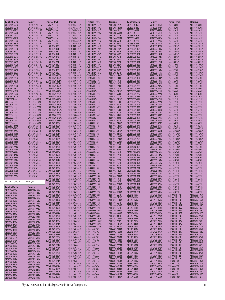| <b>Central Tech.</b>            | Bourns                         | <b>Central Tech.</b>                             | <b>Bourns</b>                | <b>Central Tech.</b>                           | <b>Bourns</b>                | <b>Central Tech.</b>              | <b>Bourns</b>                | Central Tech.                                | Bourns                         |
|---------------------------------|--------------------------------|--------------------------------------------------|------------------------------|------------------------------------------------|------------------------------|-----------------------------------|------------------------------|----------------------------------------------|--------------------------------|
| CT0805HS-221G                   | CW201212-R22G                  | CT646CY-331M                                     | SRR7045-331M                 | <b>CTCDRH127-151Y</b>                          | SRR1208-151Y                 | CTDS3316-152                      | SDR1005-1R5M                 | <b>CTGS54-680K</b>                           | SDR0604-680K                   |
| CT0805HS-221J                   | CW201212-R22J                  | CT646CY-331M                                     | SRR7045-331M                 | <b>CTCDRH127-180M</b>                          | SRR1208-180M                 | CTDS3316-332                      | SDR1005-3R3M                 | <b>CTGS54-820K</b>                           | SDR0604-820K                   |
| CT0805HS-270G<br>CT0805HS-270J  | CW201212-27NG<br>CW201212-27NJ | CT646CY-470M<br>CT646CY-470M                     | SRR7045-470M<br>SRR7045-470M | <b>CTCDRH127-181Y</b><br><b>CTCDRH127-220M</b> | SRR1208-181Y<br>SRR1208-220M | CTDS3316-472<br>CTDS3316-682      | SDR1005-4R7M<br>SDR1005-6R8M | <b>CTGS54-101K</b><br>CTGS54-121K            | SDR0604-101K<br>SDR0604-121K   |
| CT0805HS-271G                   | CW201212-R27G                  | CT646CY-471M                                     | SRR7045-471M                 | <b>CTCDRH127-221K</b>                          | SRR1208-221K                 | CTDS3316-103                      | SDR1005-100M                 | CTGS54-151K                                  | SDR0604-151K                   |
| CT0805HS-271J                   | CW201212-R27J                  | CT646CY-471M                                     | SRR7045-471M                 | <b>CTCDRH127-270M</b>                          | SRR1208-270M                 | CTDS3316-153                      | SDR1005-150M                 | CTGS54-181K                                  | SDR0604-181K                   |
| CT0805HS-330G<br>CT0805HS-330J  | CW201212-33NG<br>CW201212-33NJ | CT646CY-680M<br>CT646CY-680M                     | SRR7045-680M<br>SRR7045-680M | <b>CTCDRH127-271K</b><br><b>CTCDRH127-330Y</b> | SRR1208-271K<br>SRR1208-330Y | CTDS3316-223<br>CTDS3316-333      | SDR1005-220M<br>SDR1005-330K | <b>CTGS54-221K</b><br>CTGS75-1R4M            | SDR0604-221K<br>SDR0805-1R5M   |
| CT0805HS-331G                   | CW201212-R33G                  | <b>CTCDRH104-100</b>                             | SRU1038-100Y                 | <b>CTCDRH127-331K</b>                          | SRR1208-331K                 | CTDS3316-473                      | SDR1005-470K                 | CTGS75-2R3M                                  | SDR0805-2R5M                   |
| CT0805HS-331J                   | CW201212-R33J                  | <b>CTCDRH104-101</b>                             | SRU1038-101Y                 | <b>CTCDRH127-390Y</b>                          | SRR1208-390Y                 | CTDSS1005-102                     | <b>SRR1005-1ROM</b>          | <b>CTGS75-3R3M</b>                           | SDR0805-3R3M                   |
| CT0805HS-390G<br>CT0805HS-390J  | CW201212-39NG<br>CW201212-39NJ | <b>CTCDRH104-150</b><br><b>CTCDRH104-151</b>     | SRU1038-150Y<br>SRU1038-151Y | <b>CTCDRH127-391K</b><br><b>CTCDRH127-470Y</b> | SRR1208-391K<br>SRR1208-470Y | CTDSS1005-103<br>CTDSS1005-104    | SRR1005-100M<br>SRR1005-101K | <b>CTGS75-3R9M</b><br><b>CTGS75-4R7M</b>     | SDR0805-3R9M<br>SDR0805-4R7M   |
| CT0805HS-391G                   | CW201212-R39G                  | <b>CTCDRH104-1R5</b>                             | SRU1038-1R5Y                 | <b>CTCDRH127-471K</b>                          | SRR1208-471K                 | CTDSS1005-105                     | SRR1005-102K                 | <b>CTGS75-5R6M</b>                           | SDR0805-5R6M                   |
| CT0805HS-391J                   | CW201212-R39J                  | <b>CTCDRH104-220</b>                             | SRU1038-220Y                 | <b>CTCDRH127-560Y</b>                          | SRR1208-560Y                 | CTDSS1005-123                     | SRR1005-120M                 | CTGS75-6R8M                                  | SDR0805-6R8M                   |
| CT0805HS-470G<br>CT0805HS-470J  | CW201212-47NG<br>CW201212-47NJ | <b>CTCDRH104-221</b>                             | SRU1038-221Y                 | <b>CTCDRH127-561K</b>                          | SRR1208-561K<br>SRR1208-680Y | CTDSS1005-124                     | SRR1005-121K                 | CTGS75-8R2M<br><b>CTGS75-100K</b>            | SDR0805-8R2M                   |
| CT0805HS-471G                   | CW201212-R47G                  | <b>CTCDRH104-330</b><br><b>CTCDRH104-331</b>     | SRU1038-330Y<br>SRU1038-331Y | <b>CTCDRH127-680Y</b><br><b>CTCDRH127-681K</b> | SRR1208-681K                 | CTDSS1005-125<br>CTDSS1005-152    | SRR1005-122K<br>SRR1005-1R5M | <b>CTGS75-120K</b>                           | SDR0805-100M<br>SDR0805-120M   |
| CT0805HS-471J                   | CW201212-R47J                  | <b>CTCDRH104-470</b>                             | SRU1038-470Y                 | <b>CTCDRH127-820Y</b>                          | SRR1208-820Y                 | CTDSS1005-153                     | SRR1005-150M                 | <b>CTGS75-150K</b>                           | SDR0805-150M                   |
| CT0805HS-560G                   | CW201212-56NG                  | <b>CTCDRH104-680</b>                             | SRU1038-680Y                 | <b>CTCDRH127-821K</b>                          | SRR1208-821K                 | CTDSS1005-154                     | SRR1005-151K                 | <b>CTGS75-180K</b>                           | SDR0805-180M                   |
| CT0805HS-560J<br>CT0805HS-561G  | CW201212-56NJ<br>CW201212-R56G | <b>CTCDRH1124-100M</b><br><b>CTCDRH1124-100M</b> | SRR1240-100M<br>SRR1240-100M | CTD01608C-102<br>CTD01608C-103                 | SDR0703-1R0M<br>SDR0703-100K | CTDSS1005-155<br>CTDSS1005-183    | SRR1005-152K<br>SRR1005-180Y | CTGS75-220K<br><b>CTGS75-270K</b>            | SDR0805-220M<br>SDR0805-270K   |
| CT0805HS-561J                   | CW201212-R56J                  | CTCDRH1124-101M                                  | SRR1240-101M                 | CTD01608C-104                                  | SDR0703-101K                 | CTDSS1005-184                     | SRR1005-181K                 | <b>CTGS75-330K</b>                           | SDR0805-330K                   |
| CT0805HS-680G                   | CW201212-68NG                  | <b>CTCDRH1124-101M</b>                           | SRR1240-101M                 | CTD01608C-105                                  | SDR0703-102K                 | CTDSS1005-185                     | SRR1005-182K                 | <b>CTGS75-390K</b>                           | SDR0805-390K                   |
| CT0805HS-680J<br>CT0805HS-681G  | CW201212-68NJ<br>CW201212-R68G | <b>CTCDRH1124-150M</b><br><b>CTCDRH1124-150M</b> | SRR1240-150M<br>SRR1240-150M | CTD01608C-153<br>CTD01608C-154                 | SDR0703-150K<br>SDR0703-151K | CTDSS1005-222<br>CTDSS1005-223    | SRR1005-2R2M<br>SRR1005-220Y | <b>CTGS75-470K</b><br><b>CTGS75-560K</b>     | SDR0805-470K<br>SDR0805-560K   |
| CT0805HS-681J                   | CW201212-R68J                  | <b>CTCDRH1124-220M</b>                           | SRR1240-220M                 | CTD01608C-222                                  | SDR0703-2R2M                 | CTDSS1005-224                     | SRR1005-221K                 | CTGS75-680K                                  | SDR0805-680K                   |
| CT0805HS-820G                   | CW201212-82NG                  | <b>CTCDRH1124-220M</b>                           | SRR1240-220M                 | CTD01608C-223                                  | SDR0703-220K                 | CTDSS1005-225                     | SRR1005-222K                 | <b>CTGS75-820K</b>                           | SDR0805-820K                   |
| CT0805HS-820J<br>*CT1008CS-080z | CW201212-82NJ<br>CW252016-8N2K | <b>CTCDRH1124-330M</b><br><b>CTCDRH1124-330M</b> | SRR1240-330M<br>SRR1240-330M | CTD01608C-224<br>CTD01608C-332                 | SDR0703-221K<br>SDR0703-3R3M | CTDSS1005-273<br>CTDSS1005-274    | SRR1005-270Y<br>SRR1005-271K | <b>CTGS75-101K</b><br>CTGS75-121K            | SDR0805-101K<br>SDR0805-121K   |
| CT1008CS-100z                   | CW252016-10NK                  | <b>CTCDRH1124-470M</b>                           | SRR1240-470M                 | CTD01608C-333                                  | SDR0703-330K                 | CTDSS1005-275                     | SRR1005-272K                 | <b>CTGS75-151K</b>                           | SDR0805-151K                   |
| CT1008CS-120y                   | CW252016-12NK                  | <b>CTCDRH1124-470M</b>                           | SRR1240-470M                 | CTD01608C-334                                  | SDR0703-331K                 | CTDSS1005-302                     | SRR1005-3R0M                 | <b>CTGS75-181K</b>                           | SDR0805-181K                   |
| CT1008CS-150y<br>CT1008CS-180y  | CW252016-15NK<br>CW252016-18NK | CTCDRH1124-4R7M<br>CTCDRH1124-4R7M               | SRR1240-4R7Y<br>SRR1240-4R7Y | CTD01608C-472<br>CTD01608C-473                 | SDR0703-4R7K<br>SDR0703-470K | CTDSS1005-333<br>CTDSS1005-334    | SRR1005-330Y<br>SRR1005-331K | CTGS75-221K<br><b>CTGS75-271K</b>            | SDR0805-221K<br>SDR0805-271K   |
| CT1008CS-220y                   | CW252016-22NK                  | <b>CTCDRH1124-680M</b>                           | SRR1240-680M                 | CTD01608C-474                                  | SDR0703-471K                 | CTDSS1005-335                     | SRR1005-332K                 | <b>CTGS75-331K</b>                           | SDR0805-331K                   |
| CT1008CS-270y                   | CW252016-27NK                  | <b>CTCDRH1124-680M</b>                           | SRR1240-680M                 | CTD01608C-682                                  | SDR0703-6R8K                 | CTDSS1005-393                     | SRR1005-390Y                 | CTGS75-391K                                  | SDR0805-391K                   |
| CT1008CS-330x<br>CT1008CS-390x  | CW252016-33NK<br>CW252016-39NK | CTCDRH1124-6R8M<br>CTCDRH1124-6R8M               | SRR1240-6R8M<br>SRR1240-6R8M | CTD01608C-683<br>CTD01608C-684                 | SDR0703-680K<br>SDR0703-681K | CTDSS1005-394<br>CTDSS1005-472    | SRR1005-391K<br>SRR1005-4R7M | <b>CTGS75-471K</b><br>CTGS75-561K            | SDR0805-471K<br>SDR0805-561K   |
| CT1008CS-470x                   | CW252016-47NK                  | CTCDRH125-100M                                   | SRR1206-100M                 | CTD03316-102                                   | SDR1005-1ROM                 | CTDSS1005-473                     | SRR1005-470Y                 | CTGS75-681K                                  | SDR0805-681K                   |
| CT1008C S-560x                  | CW252016-56NJ                  | <b>CTCDRH125-100M</b>                            | SRR1260-100M                 | CTD03316-152                                   | SDR1005-1R5M                 | CTDSS1005-474                     | SRR1005-471K                 | CTGS75-821K                                  | SDR0805-821K                   |
| CT1008CS-680x<br>CT1008CS-820x  | CW252016-68NJ<br>CW252016-82NJ | <b>CTCDRH125-100M</b><br><b>CTCDRH125-101M</b>   | SRR1260-100M<br>SRR1260-101M | CTD03316-332<br>CTD03316-472                   | SDR1005-3R3M<br>SDR1005-4R7M | CTDSS1005-563<br>CTDSS1005-564    | SRR1005-560Y<br>SRR1005-561K | <b>CTGS105-4R7M</b><br>CTGS105-100M          | SDR1006-4R7M<br>SDR1006-100M   |
| CT1008CS-101x                   | CW252016-R10J                  | <b>CTCDRH125-101M</b>                            | SRR1260-101M                 | CTD03316-682                                   | SDR1005-6R8M                 | CTDSS1005-683                     | SRR1005-680Y                 | CTGS105-120M                                 | SDR1006-120M                   |
| CT1008CS-121x                   | CW252016-R12J                  | <b>CTCDRH125-101Y</b>                            | SRR1206-101Y                 | CTD03316-103                                   | SDR1005-100M                 | CTDSS1005-684                     | SRR1005-681K                 | <b>CTGS105-150M</b>                          | SDR1006-150M                   |
| CT1008CS-151x<br>CT1008CS-181x  | CW252016-R15J<br>CW252016-R18J | <b>CTCDRH125-102K</b><br><b>CTCDRH125-120M</b>   | SRR1206-102K<br>SRR1206-120M | CTD03316-153<br>CTD03316-223                   | SDR1005-150M<br>SDR1005-220M | CTDSS1005-702<br>CTDSS1005-823    | SRR1005-7R0M<br>SRR1005-820Y | CTGS105-180M<br>CTGS105-220M                 | SDR1006-180M<br>SDR1006-220M   |
| CT1008CS-221x                   | CW252016-R22J                  | <b>CTCDRH125-120M</b>                            | SRR1260-120M                 | CTD03316-333                                   | SDR1005-330K                 | CTDSS1005-824                     | SRR1005-821K                 | CTGS105-270M                                 | SDR1006-270K                   |
| CT1008CS-271x                   | CW252016-R27J                  | <b>CTCDRH125-120M</b>                            | SRR1260-120M                 | CTD03316-473                                   | SDR1005-470K                 | CTDT1608C-102                     | SRR6603-1R0M                 | CTGS105-330M                                 | SDR1006-330K                   |
| CT1008CS-331x                   | CW252016-R33J                  | <b>CTCDRH125-121Y</b>                            | SRR1206-121Y                 | CTD03316-683                                   | SDR1005-680K                 | CTDT1608C-103                     | SRR6603-100M                 | CTGS105-390M                                 | SDR1006-390K                   |
| CT1008CS-391x<br>CT1008CS-471x  | CW252016-R39J<br>CW252016-R47J | <b>CTCDRH125-150M</b><br>CTCDRH125-150M          | SRR1206-150M<br>SRR1260-150M | CTD03316-104<br>CTD03316-154                   | SDR1005-101K<br>SDR1005-151K | CTDT1608C-104<br>CTDT1608C-105    | SRR6603-101M<br>SRR6603-102M | CTGS105-470K<br>CTGS105-560K                 | SDR1006-470K<br>SDR1006-560K   |
| CT1008CS-561x                   | CW252016-R56J                  | <b>CTCDRH125-150M</b>                            | SRR1260-150M                 | CTD03316-224                                   | SDR1005-221K                 | CTDT1608C-152                     | SRR6603-1R5M                 | CTGS105-680K                                 | SDR1006-680K                   |
| CT1008CS-681x<br>CT1008CS-821x  | CW252016-R68J<br>CW252016-R82J | <b>CTCDRH125-151K</b><br>CTCDRH125-180M          | SRR1206-151K<br>SRR1206-180M | CTD03316-334<br>CTD03316-474                   | SDR1005-331K<br>SDR1005-471K | CTDT1608C-153<br>CTDT1608C-154    | SRR6603-150M<br>SRR6603-151M | CTGS105-820K<br>CTGS105-101K                 | SDR1006-820K<br>SDR1006-101K   |
| CT1008CS-102x                   | CW252016-1R0J                  | <b>CTCDRH125-180M</b>                            | SRR1260-180M                 | CTD03316-684                                   | SDR1005-681K                 | CTDT1608C-222                     | SRR6603-2R2M                 | CTGS105-121K                                 | SDR1006-121K                   |
| CT1008CS-122x                   | CW252016-1R2J                  | <b>CTCDRH125-180M</b>                            | SRR1260-180M                 | CTD03316-105                                   | SDR1005-102K                 | CTDT1608C-224                     | SRR6603-221M                 | CTGS105-151K                                 | SDR1006-151K                   |
| CT1008CS-152x<br>CT1008CS-182x  | CW252016-1R5J<br>CW252016-1R8J | <b>CTCDRH125-181K</b><br><b>CTCDRH125-220M</b>   | SRR1206-181K<br>SRR1206-220M | CTD03316-155<br>CTD05022P-102                  | SDR1005-152K<br>SDR1806-1R0M | CTDT1608C-332<br>CTDT1608C-333    | SRR6603-3R3M<br>SRR6603-330M | CTGS105-181K<br>CTGS105-221K                 | SDR1006-181K<br>SDR1006-221K   |
| CT1008CS-222x                   | CW252016-2R2J                  | <b>CTCDRH125-220M</b>                            | SRR1260-220M                 | CTD05022P-103                                  | SDR1806-100M                 | CTDT1608C-334                     | SRR6603-331M                 | CTGS105-271K                                 | SDR1006-271K                   |
|                                 |                                | <b>CTCDRH125-220M</b>                            | SRR1260-220M                 | CTD05022P-104                                  | SDR1806-101K                 | CTDT1608C-472                     | SRR6603-4R7M                 | CTGS105-331K                                 | SDR1006-331K                   |
| z= K, M<br>$y = J, K, M$        | $x=J, K, M$                    | <b>CTCDRH125-221K</b><br><b>CTCDRH125-270M</b>   | SRR1206-221K<br>SRR1206-270M | CTD05022P-105<br>CTD05022P-153                 | SDR1806-102K<br>SDR1806-150M | CTDT1608C-473<br>CTDT1608C-474    | SRR6603-470M<br>SRR6603-471M | CTGS105-391K<br>CTGS105-471K                 | SDR1006-391K<br>SDR1006-471K   |
| Central Tech.                   | <b>Bourns</b>                  | CTCDRH125-270M                                   | SRR1260-270M                 | CTD05022P-154                                  | SDR1806-151K                 | CTDT1608C-682                     | SRR6603-6R8M                 | CTGS105-561K                                 | SDR1006-561K                   |
| CT636CY-100M                    | SRR7032-100M                   | <b>CTCDRH125-270M</b>                            | SRR1260-270M                 | CTD05022P-222                                  | SDR1806-2R2M                 | CTDT1608C-683                     | SRR6603-680M                 | CTGS105-681K                                 | SDR1006-681K                   |
| CT636CY-100M                    | SRR7032-100M                   | <b>CTCDRH125-271K</b><br><b>CTCDRH125-330M</b>   | SRR1206-271K<br>SRR1260-330M | CTD05022P-223<br>CTD05022P-224                 | SDR1806-220M<br>SDR1806-221K | CTDT1608C-684<br>CTGS43-100M      | SRR6603-681M<br>SDR0403-100M | CTGS105-821K<br>CTLL1005FH10NJ               | SDR1006-821K<br>CI100505-10NJ  |
| CT636CY-101M<br>CT636CY-101M    | SRR7032-101M<br>SRR7032-101M   | <b>CTCDRH125-330M</b>                            | SRR1260-330M                 | CTD05022P-332                                  | SDR1806-3R3M                 | CTGS43-120M                       | SDR0403-120M                 | CTLL1005FH12NJ                               | CI100505-12NJ                  |
| CT636CY-150M                    | SRR7032-150M                   | <b>CTCDRH125-330Y</b>                            | SRR1206-330Y                 | CTD05022P-333                                  | SDR1806-330M                 | CTGS43-150M                       | SDR0403-150M                 | CTLL1005FH15NJ                               | CI100505-15NJ                  |
| CT636CY-150M                    | SRR7032-150M                   | <b>CTCDRH125-331K</b><br><b>CTCDRH125-390M</b>   | SRR1206-331K<br>SRR1260-390M | CTD05022P-334<br>CTD05022P-473                 | SDR1806-331K<br>SDR1806-470M | CTGS43-180M<br>CTGS43-1ROM        | SDR0403-180M<br>SDR0403-1R0M | CTLL1005FH18NJ<br>CTLL1005FH1N2S             | CI100505-18NJ<br>CI100505-1N2D |
| CT636CY-220M<br>CT636CY-220M    | SRR7032-220M<br>SRR7032-220M   | <b>CTCDRH125-390M</b>                            | SRR1260-390M                 | CTD05022P-474                                  | SDR1806-471K                 | CTGS43-1R4M                       | SDR0403-1R4M                 | CTLL1005FH1N5S                               | CI100505-1N5D                  |
| CT636CY-330M                    | SRR7032-330M                   | <b>CTCDRH125-390Y</b>                            | SRR1206-390Y                 | CTD05022P-562                                  | SDR1806-5R6M                 | <b>CTGS43-1R8M</b>                | SDR0403-1R8M                 | CTLL1005FH1N8S                               | CI100505-1N8D                  |
| CT636CY-330M                    | SRR7032-330M                   | <b>CTCDRH125-391K</b><br><b>CTCDRH125-470M</b>   | SRR1206-391K<br>SRR1260-470M | CTD05022P-683<br>CTD05022P-684                 | SDR1806-680M<br>SDR1806-681K | CTGS43-220M<br>CTGS43-270M        | SDR0403-220M<br>SDR0403-270K | CTLL1005FH1NOS<br>CTLL1005FH22NJ             | CI100505-1N0D<br>CI100505-22NJ |
| CT636CY-3R3M<br>CT636CY-3R3M    | SRR7032-3R3M<br>SRR7032-3R3M   | CTCDRH125-470M                                   | SRR1260-470M                 | CTD05022P-103HC                                | SDR2207-100M                 | CTGS43-2R2M                       | SDR0403-2R2M                 | CTLL1005FH27NJ                               | CI100505-27NJ                  |
| CT636CY-470M                    | SRR7032-470M                   | <b>CTCDRH125-470Y</b>                            | SRR1206-470Y                 | CTD05022P-153HC                                | SDR2207-150Y                 | <b>CTGS43-2R7M</b>                | SDR0403-2R7M                 | CTLL1005FH2N2S                               | CI100505-2N2D                  |
| CT636CY-470M                    | SRR7032-470M                   | <b>CTCDRH125-471K</b><br><b>CTCDRH125-560M</b>   | SRR1206-471K<br>SRR1260-560M | CTD05022P-332HC<br>CTD05022P-472HC             | SDR2207-3R3M<br>SDR2207-4R7M | CTGS43-330K<br>CTGS43-390K        | SDR0403-330K<br>SDR0403-390K | CTLL1005FH2N7S<br>CTLL1005FH33NJ             | CI100505-2N7D<br>CI100505-33NJ |
| CT636CY-4R7M<br>CT636CY-4R7M    | SRR7032-4R7M<br>SRR7032-4R7M   | <b>CTCDRH125-560M</b>                            | SRR1260-560M                 | CTDS1608C-102                                  | SRR6603-1R0M                 | CTGS43-3R3M                       | SDR0403-3R3M                 | CTLL1005FH39NJ                               | CI100505-39NJ                  |
| CT636CY-680M                    | SRR7032-680M                   | <b>CTCDRH125-560Y</b>                            | SRR1206-560Y                 | CTDS1608C-103                                  | SRR6603-100M                 | CTGS43-3R9M                       | SDR0403-3R9M                 | CTLL1005FH3N3S                               | CI100505-3N3D                  |
| CT636CY-680M                    | SRR7032-680M                   | <b>CTCDRH125-561K</b><br><b>CTCDRH125-680M</b>   | SRR1206-561K<br>SRR1260-680M | CTDS1608C-104<br>CTDS1608C-105                 | SRR6603-101M<br>SRR6603-102M | CTGS43-470K<br><b>CTGS43-4R7M</b> | SDR0403-470K<br>SDR0403-4R7M | CTLL1005FH3N9S<br>CTLL1005FH47NJ             | CI100505-3N9D<br>CI100505-47NJ |
| CT636CY-6R8M<br>CT636CY-6R8M    | SRR7032-6R8M<br>SRR7032-6R8M   | <b>CTCDRH125-680M</b>                            | SRR1260-680M                 | CTDS1608C-152                                  | SRR6603-1R5M                 | <b>CTGS43-560K</b>                | SDR0403-560K                 | CTLL1005FH4N7S                               | CI100505-4N7D                  |
| CT646CY-100M                    | SRR7045-100M                   | <b>CTCDRH125-680Y</b>                            | SRR1206-680Y                 | CTDS1608C-153                                  | SRR6603-150M                 | CTGS43-5R6M                       | SDR0403-5R6M                 | CTLL1005FH56NJ                               | CI100505-56NJ                  |
| CT646CY-100M                    | SRR7045-100M                   | <b>CTCDRH125-681K</b><br>CTCDRH125-7R6N          | SRR1206-681K<br>SRR1260-7R6Y | CTDS1608C-154<br>CTDS1608C-222                 | SRR6603-151M<br>SRR6603-2R2M | <b>CTGS43-680K</b><br>CTGS43-6R8M | SDR0403-680K<br>SDR0403-6R8M | CTLL1005FH5N6J<br>CTLL1005FH68NJ             | CI100505-5N6D<br>CI100505-68NJ |
| CT646CY-101M<br>CT646CY-101M    | SRR7045-101M<br>SRR7045-101M   | CTCDRH125-7R6N                                   | SRR1260-7R6Y                 | CTDS1608C-224                                  | SRR6603-221M                 | CTGS43-8R2M                       | SDR0403-8R2M                 | CTLL1005FH6N8J                               | CI100505-6N8J                  |
| CT646CY-150M                    | SRR7045-150M                   | <b>CTCDRH125-820M</b>                            | SRR1260-820M                 | CTDS1608C-332                                  | SRR6603-3R3M                 | CTGS54-100M                       | SDR0604-100M                 | CTLL1005FH82NJ                               | CI100505-82NJ                  |
| CT646CY-150M                    | SRR7045-150M                   | <b>CTCDRH125-820M</b><br><b>CTCDRH125-820Y</b>   | SRR1260-820M<br>SRR1206-820Y | CTDS1608C-333<br>CTDS1608C-334                 | SRR6603-330M<br>SRR6603-331M | CTGS54-120M<br><b>CTGS54-150M</b> | SDR0604-120M<br>SDR0604-150M | CTLL1005FH8N2J<br>CTLL1005FHR10J             | CI100505-8N2J<br>CI100505-R10J |
| CT646CY-151M<br>CT646CY-151M    | SRR7045-151M<br>SRR7045-151M   | <b>CTCDRH125-821K</b>                            | SRR1206-821K                 | CTDS1608C-472                                  | SRR6603-4R7M                 | <b>CTGS54-180M</b>                | SDR0604-180M                 | <b>CTLL1608-10NJ</b>                         | CI160808-10NJ                  |
| CT646CY-220M                    | SRR7045-220M                   | <b>CTCDRH127-100M</b>                            | SRR1208-100M                 | CTDS1608C-473                                  | SRR6603-470M                 | CTGS54-220M                       | SDR0604-220M                 | <b>CTLL1608-12NJ</b>                         | CI160808-12NJ                  |
| CT646CY-220M                    | SRR7045-220M                   | <b>CTCDRH127-101Y</b><br><b>CTCDRH127-102K</b>   | SRR1208-101Y<br>SRR1208-102K | CTDS1608C-474<br>CTDS1608C-682                 | SRR6603-471M<br>SRR6603-6R8M | CTGS54-270M<br>CTGS54-330K        | SDR0604-270M<br>SDR0604-330K | <b>CTLL1608-15NJ</b><br><b>CTLL1608-18NJ</b> | CI160808-15NJ<br>CI160808-18NJ |
| CT646CY-221M<br>CT646CY-221M    | SRR7045-221M<br>SRR7045-221M   | <b>CTCDRH127-120M</b>                            | SRR1208-120M                 | CTDS1608C-683                                  | SRR6603-680M                 | CTGS54-390K                       | SDR0604-390K                 | <b>CTLL1608-1N2S</b>                         | CI160808-1N2D                  |
| CT646CY-330M                    | SRR7045-330M                   | <b>CTCDRH127-121Y</b>                            | SRR1208-121Y                 | CTDS1608C-684                                  | SRR6603-681M                 | <b>CTGS54-470K</b>                | SDR0604-470K                 | <b>CTLL1608-1N5S</b>                         | CI160808-1N5D                  |
| CT646CY-330M                    | SRR7045-330M                   | <b>CTCDRH127-150M</b>                            | SRR1208-150M                 | CTDS3316-102                                   | SDR1005-1R0M                 | <b>CTGS54-560K</b>                | SDR0604-560K                 | <b>CTLL1608-1N8S</b>                         | CI160808-1N8D                  |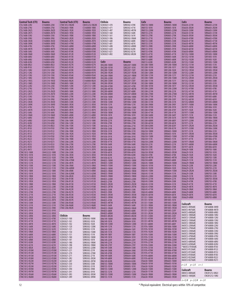| <b>Central Tech (CTI)</b>                    | <b>Bourns</b>                  | <b>Central Tech (CTI)</b>                    | Bourns                         | <b>Chilisin</b>              | Bourns                       | <b>CoEv</b>                | <b>Bourns</b>                | <b>CoEv</b>                         | <b>Bourns</b>                       |
|----------------------------------------------|--------------------------------|----------------------------------------------|--------------------------------|------------------------------|------------------------------|----------------------------|------------------------------|-------------------------------------|-------------------------------------|
| <b>CTLL1608-22NJ</b>                         | CI160808-22NJ                  | <b>CTMC1812-R82M</b>                         | CM453232-R82M                  | SCD03021-470                 | SDR0302-470K                 | DN8155-180M                | SDR0805-180M                 | DS6630-221M                         | SRR6603-221M                        |
| <b>CTLL1608-27NJ</b><br><b>CTLL1608-2N2S</b> | CI160808-27NJ<br>CI160808-2N2D | <b>CTML0603-1R0K</b><br><b>CTML0603-1R2K</b> | CS160808-1R0K<br>CS160808-1R2K | SCD03021-471<br>SCD03021-4R7 | SDR0302-471K<br>SDR0302-4R7M | DN8155-181K<br>DN8155-220M | SDR0805-181K<br>SDR0805-220M | DS6630-2R2M<br>DS6630-330M          | SRR6603-2R2M<br>SRR6603-330M        |
| <b>CTLL1608-2N7S</b>                         | CI160808-2N7D                  | <b>CTML0603-1R5K</b>                         | CS160808-1R5K                  | SCD03021-560                 | SDR0302-560K                 | DN8155-221K                | SDR0805-221K                 | DS6630-331M                         | SRR6603-331M                        |
| <b>CTLL1608-33NJ</b>                         | CI160808-33NJ                  | <b>CTML0603-1R8K</b>                         | CS160808-1R8K                  | SCD03021-561                 | SDR0302-561K                 | DN8155-270K                | SDR0805-270K                 | DS6630-3R3M                         | SRR6603-3R3M                        |
| <b>CTLL1608-39NJ</b><br><b>CTLL1608-3N3K</b> | CI160808-39NJ<br>CI160808-3N3D | <b>CTML0603-2R2K</b><br><b>CTML0603-2R7K</b> | CS160808-2R2K<br>CS160808-2R7K | SCD03021-5R6<br>SCD03021-680 | SDR0302-5R6M<br>SDR0302-680K | DN8155-271K<br>DN8155-330K | SDR0805-271K<br>SDR0805-330K | DS6630-470M<br>DS6630-471M          | SRR6603-470M<br>SRR6603-471M        |
| <b>CTLL1608-3N9K</b>                         | CI160808-3N9D                  | <b>CTML0603-47NK</b>                         | CS160808-47NK                  | SCD03021-681                 | SDR0302-681K                 | DN8155-331K                | SDR0805-331K                 | DS6630-4R7M                         | SRR6603-4R7M                        |
| <b>CTLL1608-47NJ</b>                         | CI160808-47NJ                  | <b>CTML0603-68NK</b>                         | CS160808-68NK                  | SCD03021-6R8                 | SDR0302-6R8M                 | DN8155-390K                | SDR0805-390K                 | DS6630-680M                         | SRR6603-680M                        |
| <b>CTLL1608-4N7K</b><br><b>CTLL1608-56NJ</b> | CI160808-4N7D<br>CI160808-56NJ | <b>CTML0603-82NK</b><br><b>CTML0603-R10K</b> | CS160808-82NK<br>CS160808-R10K | SCD03021-820<br>SCD03021-821 | SDR0302-820K<br>SDR0302-821K | DN8155-391K<br>DN8155-470K | SDR0805-391K<br>SDR0805-470K | DS6630-681M<br>DS6630-6R8M          | SRR6603-681M<br>SRR6603-6R8M        |
| <b>CTLL1608-5N6K</b>                         | CI160808-5N6D                  | <b>CTML0603-R12K</b>                         | CS160808-R12K                  | SCD03021-8R2                 | SDR0302-8R2M                 | DN8155-471K                | SDR0805-471K                 | DU1352-100M                         | SDR1005-100M                        |
| <b>CTLL1608-68NJ</b><br><b>CTLL1608-6N8J</b> | CI160808-68NJ<br>CI160808-6N8J | <b>CTML0603-R15K</b><br><b>CTML0603-R18K</b> | CS160808-R15K<br>CS160808-R18K |                              |                              | DN8155-560K<br>DN8155-680K | SDR0805-560K<br>SDR0805-680K | DU1352-101M<br>DU1352-102M          | SDR1005-101K<br>SDR1005-102K        |
| <b>CTLL1608-82NJ</b>                         | CI160808-82NJ                  | <b>CTML0603-R22K</b>                         | CS160808-R22K                  | CoEv                         | <b>Bourns</b>                | DN8155-820K                | SDR0805-820K                 | DU1352-150M                         | SDR1005-150M                        |
| <b>CTLL1608-8N2J</b><br><b>CTLL1608-R10J</b> | CI160808-8N2J<br>CI160808-R10J | <b>CTML0603-R27K</b><br><b>CTML0603-R33K</b> | CS160808-R27K<br>CS160808-R33K | DH2280-100M                  | SDR2207-100M<br>SDR2207-101K | DQ1280-100M<br>DQ1280-101M | SRR1208-100M<br>SRR1208-101Y | DU1352-151M<br>DU1352-1R0M          | SDR1005-151K<br>SDR1005-1R0M        |
| <b>CTLL2012-10NJ</b>                         | CI201210-10NJ                  | <b>CTML0603-R39K</b>                         | CS160808-R39K                  | DH2280-101M<br>DH2280-150M   | SDR2207-150Y                 | DQ1280-102M                | SRR1208-102K                 | DU1352-1R5M                         | SDR1005-1R5M                        |
| <b>CTLL2012-12NJ</b>                         | CI201210-12NJ                  | <b>CTML0603-R47K</b>                         | CS160808-R47K                  | DH2280-1R2M                  | SDR2207-1R2M                 | DQ1280-120M                | SRR1208-120M                 | DU1352-220M                         | SDR1005-220M                        |
| <b>CTLL2012-15NJ</b><br><b>CTLL2012-18NJ</b> | CI201210-15NJ<br>CI201210-18NJ | <b>CTML0603-R56K</b><br><b>CTML0603-R68K</b> | CS160808-R56K<br>CS160808-R68K | DH2280-1R8M<br>DH2280-220M   | SDR2207-1R8M<br>SDR2207-220Y | DQ1280-121M<br>DQ1280-150M | SRR1208-121Y<br>SRR1208-150M | DU1352-221M<br>DU1352-2R5M          | SDR1005-221K<br>SDR1005-2R5M        |
| <b>CTLL2012-1N5S</b>                         | CI201210-1N5D                  | <b>CTML0603-R82K</b>                         | CS160808-R82K                  | DH2280-330M                  | SDR2207-330Y                 | DQ1280-151M                | SRR1208-151Y                 | DU1352-330M                         | SDR1005-330K                        |
| <b>CTLL2012-1N8S</b><br><b>CTLL2012-22NJ</b> | CI201210-1N8D<br>CI201210-22NJ | <b>CTML0805-100K</b><br><b>CTML0805-120K</b> | CS201212-100K<br>CS201212-120K | DH2280-3R3M<br>DH2280-470M   | SDR2207-3R3M<br>SDR2207-470K | DQ1280-180M<br>DQ1280-181M | SRR1208-180M<br>SRR1208-181Y | DU1352-331M<br>DU1352-3R3M          | SDR1005-331K<br>SDR1005-3R3M        |
| <b>CTLL2012-27NJ</b>                         | CI201210-27NJ                  | <b>CTML0805-150K</b>                         | CS201212-150K                  | DH2280-4R7M                  | SDR2207-4R7M                 | DQ1280-220M                | SRR1208-220M                 | DU1352-470M                         | SDR1005-470K                        |
| <b>CTLL2012-2N2S</b>                         | CI201210-2N2D                  | <b>CTML0805-180K</b>                         | CS201212-180K                  | DH2280-680M                  | SDR2207-680K                 | DQ1280-221M                | SRR1208-221K                 | DU1352-471M                         | SDR1005-471K                        |
| <b>CTLL2012-2N7S</b><br><b>CTLL2012-33NJ</b> | CI201210-2N7D<br>CI201210-33NJ | <b>CTML0805-220K</b><br><b>CTML0805-270K</b> | CS201212-220K<br>CS201212-270K | DH2280-6R8M<br>DN1058-100M   | SDR2207-6R8M<br>SDR1006-100M | DQ1280-270M<br>DQ1280-271M | SRR1208-270M<br>SRR1208-271K | DU1352-4R7M<br>DU1352-680M          | SDR1005-4R7M<br>SDR1005-680K        |
| <b>CTLL2012-39NJ</b>                         | CI201210-39NJ                  | <b>CTML0805-2R7K</b>                         | CS201212-2R7K                  | DN1058-101K                  | SDR1006-101K                 | DQ1280-330M                | SRR1208-330Y                 | DU1352-681M                         | SDR1005-681K                        |
| <b>CTLL2012-3N3K</b><br><b>CTLL2012-3N9K</b> | CI201210-3N3D                  | <b>CTML0805-330K</b>                         | CS201212-330K                  | DN1058-120M                  | SDR1006-120M                 | DQ1280-331M                | SRR1208-331K                 | DU1352-6R8M                         | SDR1005-6R8M                        |
| <b>CTLL2012-47NJ</b>                         | CI201210-3N9D<br>CI201210-47NJ | <b>CTML0805-3R3K</b><br><b>CTML0805-3R9K</b> | CS201212-3R3K<br>CS201212-3R9K | DN1058-121K<br>DN1058-150M   | SDR1006-121K<br>SDR1006-150M | DQ1280-390M<br>DQ1280-391M | SRR1208-390Y<br>SRR1208-391K | DU1971-100M<br>DU1971-101K          | SDR1806-100M<br>SDR1806-101K        |
| <b>CTLL2012-4N7K</b>                         | CI201210-4N7D                  | <b>CTML0805-4R7K</b>                         | CS201212-4R7K                  | DN1058-151K                  | SDR1006-151K                 | DQ1280-470M                | SRR1208-470Y                 | DU1971-102K                         | SDR1806-102K                        |
| <b>CTLL2012-56NJ</b><br><b>CTLL2012-5N6K</b> | CI201210-56NJ<br>CI201210-5N6D | <b>CTML0805-5R6K</b><br><b>CTML0805-6R8K</b> | CS201212-5R6K<br>CS201212-6R8K | DN1058-180M<br>DN1058-181K   | SDR1006-180M<br>SDR1006-181K | DQ1280-471M<br>DQ1280-560M | SRR1208-471K<br>SRR1208-560Y | DU1971-150M<br>DU1971-151K          | SDR1806-150M<br>SDR1806-151K        |
| <b>CTLL2012-68NJ</b>                         | CI201210-68NJ                  | <b>CTML0805-8R2K</b>                         | CS201212-8R2K                  | DN1058-220M                  | SDR1006-220M                 | DQ1280-561M                | SRR1208-561K                 | DU1971-1R0M                         | SDR1806-1R0M                        |
| <b>CTLL2012-6N8J</b>                         | CI201210-6N8J                  | <b>CTML1206-100K</b>                         | CS321613-100K                  | DN1058-221K                  | SDR1006-221K                 | DQ1280-680M                | SRR1208-680Y                 | DU1971-220M                         | SDR1806-220M                        |
| <b>CTLL2012-82NJ</b><br><b>CTLL2012-8N2J</b> | CI201210-82NJ<br>CI201210-8N2J | <b>CTML1206-120K</b><br><b>CTML1206-150K</b> | CS321613-120K<br>CS321613-150K | DN1058-270K<br>DN1058-271K   | SDR1006-270K<br>SDR1006-271K | DQ1280-681M<br>DQ1280-820M | SRR1208-681K<br>SRR1208-820Y | DU1971-221K<br>DU1971-2R2M          | SDR1806-221K<br>SDR1806-2R2M        |
| <b>CTLL2012-R10J</b>                         | CI201210-R10J                  | <b>CTML1206-180K</b>                         | CS321613-180K                  | DN1058-330K                  | SDR1006-330K                 | DQ1280-821M                | SRR1208-821K                 | DU1971-330M                         | SDR1806-330M                        |
| <b>CTLL2012-R12J</b><br>CTLL2012-R15J        | CI201210-R12J<br>CI201210-R15J | <b>CTML1206-1R0K</b><br><b>CTML1206-1R2K</b> | CS321613-1R0K<br>CS321613-1R2K | DN1058-331K                  | SDR1006-331K                 | DQ6350-100M<br>DQ6350-101K | SRR0603-100M<br>SRR0603-101K | DU1971-331K<br>DU1971-3R3M          | SDR1806-331K<br>SDR1806-3R3M        |
| <b>CTLL2012-R18J</b>                         | CI201210-R18J                  | <b>CTML1206-1R5K</b>                         | CS321613-1R5K                  | DN1058-390K<br>DN1058-391K   | SDR1006-390K<br>SDR1006-391K | DQ6350-150M                | SRR0603-150M                 | DU1971-470M                         | SDR1806-470M                        |
| CTLL2012-R22J                                | CI201210-R22J                  | <b>CTML1206-1R8K</b>                         | CS321613-1R8K                  | DN1058-470K                  | SDR1006-470K                 | DQ6350-151K                | SRR0603-151K                 | DU1971-471K                         | SDR1806-471K                        |
| CTLL2012-R27J<br>CTLL2012-R33J               | CI201210-R27J<br>CI201210-R33J | <b>CTML1206-220K</b><br><b>CTML1206-270K</b> | CS321613-220K<br>CS321613-270K | DN1058-471K<br>DN1058-560K   | SDR1006-471K<br>SDR1006-560K | DQ6350-220M<br>DQ6350-221K | SRR0603-220M<br>SRR0603-221K | DU1971-5R6M<br>DU1971-680M          | SDR1806-5R6M<br>SDR1806-680M        |
| CTLL2012-R39J                                | CI201210-R39J                  | <b>CTML1206-2R2K</b>                         | CS321613-2R2K                  | DN1058-561K                  | SDR1006-561K                 | DQ6350-330K                | SRR0603-330K                 | DU1971-681K                         | SDR1806-681K                        |
| CTLL2012-R47J                                | CI201210-R47J                  | <b>CTML1206-2R7K</b>                         | CS321613-2R7K                  | DN1058-680K                  | SDR1006-680K                 | DQ6350-331K                | SRR0603-331K                 | DU6629-100K                         | SDR0703-100K                        |
| CTMC1812-100K<br>CTMC1812-101K               | CM453232-100K<br>CM453232-101K | CTML1206-330K<br>CTML1206-3R3K               | CS321613-330K<br>CS321613-3R3K | DN1058-681K<br>DN1058-820K   | SDR1006-681K<br>SDR1006-820K | DQ6350-3R3M<br>DQ6350-470K | SRR0603-3R3M<br>SRR0603-470K | DU6629-101K<br>DU6629-102K          | SDR0703-101K<br>SDR0703-102K        |
| CTMC1812-102K                                | CM453232-102K                  | <b>CTML1206-3R9K</b>                         | CS321613-3R9K                  | DN1058-821K                  | SDR1006-821K                 | DQ6350-4R7M                | SRR0603-4R7M                 | DU6629-150K                         | SDR0703-150K                        |
| CTMC1812-120K<br>CTMC1812-121K               | CM453232-120K<br>CM453232-121K | <b>CTML1206-47NM</b><br><b>CTML1206-4R7K</b> | CS321613-47NK<br>CS321613-4R7K | DN4835-100M<br>DN4835-120M   | SDR0403-100M<br>SDR0403-120M | DQ6350-680K<br>DQ6545-100M | SRR0603-680K<br>SRR0604-100M | DU6629-151K<br>DU6629-1R0M          | SDR0703-151K<br>SDR0703-1R0M        |
| <b>CTMC1812-150K</b>                         | CM453232-150K                  | <b>CTML1206-5R6K</b>                         | CS321613-5R6K                  | DN4835-150M                  | SDR0403-150M                 | DQ6545-101M                | SRR0604-101K                 | DU6629-220K                         | SDR0703-220K                        |
| CTMC1812-151K<br><b>CTMC1812-180K</b>        | CM453232-151K<br>CM453232-180K | <b>CTML1206-68NM</b><br><b>CTML1206-6R8K</b> | CS321613-68NK<br>CS321613-6R8K | DN4835-180M                  | SDR0403-180M                 | DQ6545-102M                | SRR0604-102K<br>SRR0604-150M | DU6629-221K<br>DU6629-2R2M          | SDR0703-221K<br>SDR0703-2R2M        |
| <b>CTMC1812-181K</b>                         | CM453232-181K                  | <b>CTML1206-82NM</b>                         | CS321613-82NK                  | DN4835-1R0M<br>DN4835-1R4M   | SDR0403-1R0M<br>SDR0403-1R4M | DQ6545-150M<br>DQ6545-151M | SRR0604-151K                 | DU6629-330K                         | SDR0703-330K                        |
| <b>CTMC1812-1R0K</b>                         | CM453232-1R0K                  | <b>CTML1206-8R2K</b>                         | CS321613-8R2K                  | DN4835-1R8M                  | SDR0403-1R8M                 | DQ6545-220M                | SRR0604-220M                 | DU6629-331K                         | SDR0703-331K                        |
| <b>CTMC1812-1R2K</b><br><b>CTMC1812-1R5K</b> | CM453232-1R2K<br>CM453232-1R5K | <b>CTML1206-R10K</b><br><b>CTML1206-R12K</b> | CS321613-R10K<br>CS321613-R12K | DN4835-220M<br>DN4835-270K   | SDR0403-220M<br>SDR0403-270K | DQ6545-221M<br>DQ6545-330M | SRR0604-221K<br>SRR0604-330K | DU6629-3R3M<br>DU6629-470K          | SDR0703-3R3M<br>SDR0703-470K        |
| <b>CTMC1812-1R8K</b>                         | CM453232-1R8K                  | <b>CTML1206-R15K</b>                         | CS321613-R15K                  | DN4835-2R2M                  | SDR0403-2R2M                 | DQ6545-331M                | SRR0604-331K                 | DU6629-471K                         | SDR0703-471K                        |
| <b>CTMC1812-220K</b>                         | CM453232-220K                  | <b>CTML1206-R18K</b>                         | CS321613-R18K                  | DN4835-2R7M                  | SDR0403-2R7M                 | DQ6545-470M                | SRR0604-470K                 | DU6629-4R7K                         | SDR0703-4R7K                        |
| CIMC1812-221K<br><b>CTMC1812-270K</b>        | CM453232-221K<br>CM453232-270K | <b>CTML1206-R22K</b><br><b>CTML1206-R27K</b> | CS321613-R22K<br>CS321613-R27K | DN4835-330K<br>DN4835-390K   | SDR0403-330K<br>SDR0403-390K | DQ6545-471M<br>DQ6545-680M | SRR0604-471K<br>SRR0604-680K | DU6629-5R6K<br>DU6629-680K          | <b>SDR0703-5R6K</b><br>SDR0703-680K |
| CTMC1812-271K                                | CM453232-271K                  | CTML1206-R33K                                | CS321613-R33K                  | DN4835-3R3M                  | SDR0403-3R3M                 | DQ6545-681M                | SRR0604-681K                 | DU6629-681K                         | SDR0703-681K                        |
| <b>CTMC1812-2R2K</b><br><b>CTMC1812-2R7K</b> | CM453232-2R2K<br>CM453232-2R7K | <b>CTML1206-R39K</b><br><b>CTML1206-R47K</b> | CS321613-R39K<br>CS321613-R47K | DN4835-3R9M<br>DN4835-470K   | SDR0403-3R9M<br>SDR0403-470K | DS1351-100M<br>DS1351-101M | SRR1005-100M<br>SRR1005-101K | DU6629-6R8K                         | SDR0703-6R8K                        |
| CTMC1812-330K                                | CM453232-330K                  | <b>CTML1206-R56K</b>                         | CS321613-R56K                  | DN4835-4R7M                  | SDR0403-4R7M                 | DS1351-150M                | SRR1005-150M                 | Coilcraft                           | <b>Bourns</b>                       |
| CTMC1812-331K<br>CTMC1812-390K               | CM453232-331K<br>CM453232-390K | <b>CTML1206-R68K</b><br><b>CTML1206-R82K</b> | CS321613-R68K<br>CS321613-R82K | DN4835-560K<br>DN4835-5R6M   | SDR0403-560K<br>SDR0403-5R6M | DS1351-1ROM<br>DS1351-1R5M | SRR1005-1R0M<br>SRR1005-1R5M | 0603CS-3N9XzBC                      | CW160808-3N9D                       |
| CTMC1812-391K                                | CM453232-391K                  |                                              |                                | DN4835-680K                  | SDR0403-680K                 | DS1351-220M                | SRR1005-220Y                 | 0603CS-4N7XzBC                      | CW160808-4N7D                       |
| <b>CTMC1812-3R3K</b>                         | CM453232-3R3K                  |                                              |                                | DN4835-6R8M                  | SDR0403-6R8M                 | DS1351-2R2M                | SRR1005-2R2M                 | 0603CS-6N8XyBC<br>0603CS-10NXxBC    | CW160808-6N8J<br>CW160808-10NJ      |
| <b>CTMC1812-3R9K</b><br>CTMC1812-470K        | CM453232-3R9K<br>CM453232-470K | Chilisin<br>SCD03021-100                     | <b>Bourns</b><br>SDR0302-100M  | DN4835-8R2M<br>DN6149-100M   | SDR0403-8R2M<br>SDR0604-100M | DS1351-330M<br>DS1351-470M | SRR1005-330Y<br>SRR1005-470Y | 0603CS-12NXxBC                      | CW160808-12NJ                       |
| CTMC1812-471K                                | CM453232-471K                  | SCD03021-101                                 | SDR0302-101K                   | DN6149-101K                  | SDR0604-101K                 | DS1351-4R7M                | SRR1005-4R7M                 | 0603CS-15NXxBC<br>0603CS-18NXxBC    | CW160808-15NJ                       |
| <b>CTMC1812-4R7K</b>                         | CM453232-4R7K<br>CM453232-560K | SCD03021-102<br>SCD03021-120                 | SDR0302-102K                   | DN6149-120M                  | SDR0604-120M                 | DS1351-680M<br>DS1976-100M | SRR1005-680Y<br>SRR1806-100M | 0603CS-22NXxBC                      | CW160808-18NJ<br>CW160808-22NJ      |
| CTMC1812-560K<br><b>CTMC1812-561K</b>        | CM453232-561K                  | SCD03021-121                                 | SDR0302-120M<br>SDR0302-121K   | DN6149-121K<br>DN6149-150Y   | SDR0604-121K<br>SDR0604-150Y | DS1976-101M                | SRR1806-101M                 | 0603CS-27NXxBC                      | CW160808-27NJ                       |
| <b>CTMC1812-5R6K</b>                         | CM453232-5R6K                  | SCD03021-150                                 | SDR0302-150M                   | DN6149-151K                  | SDR0604-151K                 | DS1976-102M                | SRR1806-102M                 | 0603CS-33NXxBC<br>0603CS-39NXxBC    | CW160808-33NJ<br>CW160808-39NJ      |
| CTMC1812-680K<br>CTMC1812-681K               | CM453232-680K<br>CM453232-681K | SCD03021-151<br>SCD03021-180                 | SDR0302-151K<br>SDR0302-180M   | DN6149-180Y<br>DN6149-181K   | SDR0604-180Y<br>SDR0604-181K | DS1976-150M<br>DS1976-151M | SRR1806-150M<br>SRR1806-151M | 0603CS-47NXxBC                      | CW160808-47NJ                       |
| <b>CTMC1812-6R8K</b>                         | CM453232-6R8K                  | SCD03021-181                                 | SDR0302-181K                   | DN6149-220Y                  | SDR0604-220Y                 | DS1976-220M                | SRR1806-220M                 | 0603CS-56NXxBC                      | CW160808-56NJ                       |
| CTMC1812-820K                                | CM453232-820K                  | SCD03021-1R0                                 | SDR0302-1R0M                   | DN6149-221K                  | SDR0604-221K                 | DS1976-221M                | SRR1806-221M                 | 0603CS-68NXxBC<br>0603CS-82NXxBC    | CW160808-68NJ<br>CW160808-82NJ      |
| <b>CTMC1812-821K</b><br><b>CTMC1812-8R2K</b> | CM453232-821K<br>CM453232-8R2K | SCD03021-1R8<br>SCD03021-220                 | SDR0302-1R8M<br>SDR0302-220M   | DN6149-270Y<br>DN6149-330K   | SDR0604-270Y<br>SDR0604-330K | DS1976-330M<br>DS1976-331M | SRR1806-330M<br>SRR1806-331M | *0603CS-R10XxBC                     | CW160808-R10J                       |
| <b>CTMC1812-R10M</b>                         | CM453232-R10M                  | SCD03021-221                                 | SDR0302-221K                   | DN6149-390K                  | SDR0604-390K                 | DS1976-470M                | SRR1806-470M                 | 0603CS-R12XxBC<br>0603CS-R15XxBC    | CW160808-R12J<br>CW160808-R15J      |
| <b>CTMC1812-R12M</b><br><b>CTMC1812-R15M</b> | CM453232-R12M<br>CM453232-R15M | SCD03021-270<br>SCD03021-271                 | SDR0302-270M<br>SDR0302-271K   | DN6149-470K<br>DN6149-560K   | SDR0604-470K<br>SDR0604-560K | DS1976-471M<br>DS1976-680M | SRR1806-471M<br>SRR1806-680M | 0603CS-R18XxBC                      | CW160808-R18J                       |
| <b>CTMC1812-R18M</b>                         | CM453232-R18M                  | SCD03021-2R2                                 | SDR0302-2R2M                   | DN6149-680K                  | SDR0604-680K                 | DS1976-681M                | SRR1806-681M                 | 0603CS-R22XxBC                      | CW160808-R22J                       |
| <b>CTMC1812-R22M</b>                         | CM453232-R22M                  | SCD03021-2R7                                 | SDR0302-2R7M                   | DN6149-820K                  | SDR0604-820K                 | DS6630-100M                | SRR6603-100M                 | 0603CS-R27XxBC                      | CW160808-R27J                       |
| <b>CTMC1812-R27M</b><br>CTMC1812-R33M        | CM453232-R27M<br>CM453232-R33M | SCD03021-330<br>SCD03021-331                 | SDR0302-330K<br>SDR0302-331K   | DN8155-100M<br>DN8155-101K   | SDR0805-100M<br>SDR0805-101K | DS6630-101M<br>DS6630-102M | SRR6603-101M<br>SRR6603-102M | z= J, K<br>$y = J, K$ $x = J$       |                                     |
| CTMC1812-R39M                                | CM453232-R39M                  | SCD03021-390                                 | SDR0302-390K                   | DN8155-120M                  | SDR0805-120M                 | DS6630-150M                | SRR6603-150M                 | Coilcraft                           | <b>Bourns</b>                       |
| <b>CTMC1812-R47M</b><br><b>CTMC1812-R56M</b> | CM453232-R47M<br>CM453232-R56M | SCD03021-391<br>SCD03021-3R3                 | SDR0302-391K<br>SDR0302-3R3M   | DN8155-121K<br>DN8155-150M   | SDR0805-121K<br>SDR0805-150M | DS6630-151M<br>DS6630-1R0M | SRR6603-151M<br>SRR6603-1R0M | 0805CS-080XyBC                      | CW201212-8N2J                       |
| <b>CTMC1812-R68M</b>                         | CM453232-R68M                  | SCD03021-3R9                                 | SDR0302-3R9M                   | DN8155-151K                  | SDR0805-151K                 | DS6630-1R5M                | SRR6603-1R5M                 | 0805CS-100XyBC                      | CW201212-10NJ                       |
|                                              |                                |                                              |                                |                              |                              |                            |                              | $z = K, M$ $y = J, K, M$ $x = J, K$ |                                     |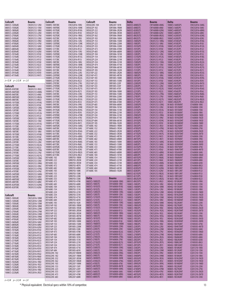| Coilcraft                  | <b>Bourns</b> | Coilcraft      | <b>Bourns</b> | Coilcraft      | <b>Bourns</b> | <b>Delta</b>   | <b>Bourns</b> | Delta                            | <b>Bourns</b> |
|----------------------------|---------------|----------------|---------------|----------------|---------------|----------------|---------------|----------------------------------|---------------|
| 0805CS-120XyBC             | CW201212-12NJ | 1008HS-100TJBC | CW252016-10NJ | D05022HC-104   | SDR2207-101K  | 0603CS-6N8EGTS | CW160808-6N8G | 1008CS-560EGPS                   | CW252016-56NG |
| 0805CS-150XyBC             | CW201212-15NJ | 1008HS-100TKBC | CW252016-10NK | D05022P-102    | SDR1806-1R0M  | 0603CS-6N8EJTS | CW160808-6N8J | 1008CS-560EJPS                   | CW252016-56NJ |
| 0805CS-180XyBC             | CW201212-18NJ | 1008HS-101TGBC | CW252016-R10G | D05022P-222    | SDR1806-2R2M  | 0603CS-820EGTS | CW160808-82NG | 1008CS-680EGPS                   | CW252016-68NG |
| 0805CS-220XyBC             | CW201212-22NJ | 1008HS-101TJBC | CW252016-R10J | D05022P-332    | SDR1806-3R3M  | 0603CS-820EJTS | CW160808-82NJ | 1008CS-680EJPS                   | CW252016-68NJ |
| 0805CS-270XyBC             | CW201212-27NJ | 1008HS-102TGBC | CW252016-1R0G | D05022P-562    | SDR1806-5R6M  | 0603CS-8N2EGTS | CW160808-8N2G | 1008CS-820EGPS                   | CW252016-82NG |
| 0805CS-330XyBC             | CW201212-33NJ | 1008HS-102TJBC | CW252016-1R0J | D05022P-103    | SDR1806-100M  | 0603CS-8N2EJTS | CW160808-8N2J | 1008CS-820EJPS                   | CW252016-82NJ |
| 0805CS-390XyBC             | CW201212-39NJ | 1008HS-120TJBC | CW252016-12NJ | D05022P-153    | SDR1806-150M  | 0805CS-100EGPS | CW201212-10NG | 1008CS-R10EGPS                   | CW252016-R10G |
| 0805CS-470XyBC             | CW201212-47NJ | 1008HS-120TKBC | CW252016-12NK | D05022P-223    | SDR1806-220M  | 0805CS-100EJPS | CW201212-10NJ | 1008CS-R10EJPS                   | CW252016-R10J |
| 0805CS-560XxBC             | CW201212-56NJ | 1008HS-121TGBC | CW252016-R12G | D05022P-333    | SDR1806-330M  | 0805CS-101EGPS | CW201212-R10G | 1008CS-R12EGPS                   | CW252016-R12G |
|                            |               |                |               | D05022P-473    |               | 0805CS-101EJPS |               |                                  |               |
| 0805CS-680XxBC             | CW201212-68NJ | 1008HS-121TJBC | CW252016-R12J |                | SDR1806-470M  |                | CW201212-R10J | 1008CS-R12EJPS                   | CW252016-R12J |
| 0805CS-820XxBC             | CW201212-82NJ | 1008HS-150TJBC | CW252016-15NJ | D05022P-683    | SDR1806-680M  | 0805CS-120EGPS | CW201212-12NG | 1008CS-R15EGPS                   | CW252016-R15G |
| 0805CS-101XxBC             | CW201212-R10J | 1008HS-150TKBC | CW252016-15NK | D05022P-104    | SDR1806-101M  | 0805CS-120EJPS | CW201212-12NJ | 1008CS-R15EJPS                   | CW252016-R15J |
| 0805CS-121XxBC             | CW201212-R12J | 1008HS-151TGBC | CW252016-R15G | D05022P-154    | SDR1806-151M  | 0805CS-121EGPS | CW201212-R12G | 1008CS-R18EGPS                   | CW252016-R18G |
| 0805CS-151XxBC             | CW201212-R15J | 1008HS-151TJBC | CW252016-R15J | D05022P-224    | SDR1806-221M  | 0805CS-121EJPS | CW201212-R12J | 1008CS-R18EJPS                   | CW252016-R18J |
| 0805CS-181XxBC             | CW201212-R18J | 1008HS-180TJBC | CW252016-18NJ | D05022P-334    | SDR1806-331M  | 0805CS-150EGPS | CW201212-15NG | 1008CS-R22EGPS                   | CW252016-R22G |
| 0805CS-221XxBC             | CW201212-R22J | 1008HS-180TKBC | CW252016-18NK | D05022P-474    | SDR1806-471M  | 0805CS-150EJPS | CW201212-15NJ | 1008CS-R22EJPS                   | CW252016-R22J |
| 0805CS-271XxBC             | CW201212-R27J | 1008HS-181TGBC | CW252016-R18G | D05022P-684    | SDR1806-681M  | 0805CS-151EGPS | CW201212-R15G | 1008CS-R27EGPS                   | CW252016-R27G |
| 0805CS-331XxBC             | CW201212-R33J | 1008HS-181TJBC | CW252016-R18J | D05022P-105    | SDR1806-102M  | 0805CS-151EJPS | CW201212-R15J | 1008CS-R27EJPS                   | CW252016-R27J |
| 0805CS-391XxBC             | CW201212-R39J | 1008HS-220TJBC | CW252016-22NJ | DS3316P-222    | SRR1005-2R2M  | 0805CS-180EGPS | CW201212-18NG | 1008CS-R33EGPS                   | CW252016-R33G |
| 0805CS-471XxBC             | CW201212-R47J | 1008HS-220TKBC | CW252016-22NK | DS3316P-472    | SRR1005-4R7M  | 0805CS-180EJPS | CW201212-18NJ | 1008CS-R33EJPS                   | CW252016-R33J |
|                            |               | 1008HS-221TGBC | CW252016-R22G | DS3316P-103    | SRR1005-100M  | 0805CS-181EGPS | CW201212-R18G | 1008CS-R39EGPS                   | CW252016-R39G |
| z= K, M y= J, K, M x= J, K |               | 1008HS-221TJBC | CW252016-R22J | DS3316P-153    | SRR1005-150M  | 0805CS-181EJPS | CW201212-R18J | 1008CS-R39EJPS                   | CW252016-R39J |
|                            |               | 1008HS-270TJBC | CW252016-27NJ | DS3316P-223    | SRR1005-220Y  | 0805CS-220EGPS | CW201212-22NG | 1008CS-R47EGPS                   | CW252016-R47G |
| Coilcraft                  | <b>Bourns</b> | 1008HS-270TKBC | CW252016-27NK | DS3316P-333    | SRR1005-330Y  | 0805CS-220EJPS | CW201212-22NJ | 1008CS-R47EJPS                   | CW252016-R47J |
| 0805HS-030TJBC             | CW201212-3N3J | 1008HS-271TGBC | CW252016-R27G | DS3316P-473    | SRR1005-470Y  | 0805CS-221EGPS | CW201212-R22G | 1008CS-R56EGPS                   | CW252016-R56G |
| 0805HS-060TGBC             | CW201212-6N8G | 1008HS-271TJBC | CW252016-R27J | DS5022P-103    | SRR1806-100M  | 0805CS-221EJPS | CW201212-R22J | 1008CS-R56EJPS                   | CW252016-R56J |
| 0805HS-060TJBC             | CW201212-6N8J | 1008HS-330TJBC | CW252016-33NJ | DS5022P-153    | SRR1806-150M  | 0805CS-270EGPS | CW201212-27NG | 1008CS-R68EGPS                   | CW252016-R68G |
| 0805HS-080TGBC             | CW201212-8N2G | 1008HS-330TKBC | CW252016-33NK | DS5022P-223    | SRR1806-220M  | 0805CS-270EJPS | CW201212-27NJ | 1008CS-R68EJPS                   | CW252016-R68J |
| 0805HS-080TJBC             | CW201212-8N2J | 1008HS-331TGBC | CW252016-R33G | DS5022P-333    | SRR1806-330M  | 0805CS-271EGPS | CW201212-R27G | 1008CS-R82EGPS                   | CW252016-R82G |
|                            |               | 1008HS-331TJBC | CW252016-R33J | DS5022P-473    | SRR1806-470M  | 0805CS-271EJPS | CW201212-R27J | 1008CS-R82EJPS                   | CW252016-R82J |
| 0805HS-101TGBC             | CW201212-R10G | 1008HS-390TJBC | CW252016-39NJ | DS5022P-683    | SRR1806-680M  | 0805CS-330EGPS | CW201212-33NG | M 0603-1B10NJNT                  | CI160808-10NJ |
| 0805HS-101TJBC             | CW201212-R10J | 1008HS-390TKBC | CW252016-39NK | DS5022P-104    | SRR1806-101M  | 0805CS-330EJPS | CW201212-33NJ | M 0603-1B12NJN1                  | CI160808-12NJ |
| 0805HS-120TGBC             | CW201212-12NG | 1008HS-391TGBC | CW252016-R39G | DS5022P-154    | SRR1806-151M  | 0805CS-331EGPS | CW201212-R33G | M 0603-1B15NJNT                  | CI160808-15NJ |
| 0805HS-120TJBC             | CW201212-12NJ |                |               |                |               |                |               |                                  |               |
| 0805HS-121TGBC             | CW201212-R12G | 1008HS-391TJBC | CW252016-R39J | DS5022P-224    | SRR1806-221M  | 0805CS-331EJPS | CW201212-R33J | M 0603-1B18NJNT                  | CI160808-18NJ |
| 0805HS-121TJBC             | CW201212-R12J | 1008HS-470TKBC | CW252016-47NK | DS5022P-334    | SRR1806-331M  | 0805CS-390EGPS | CW201212-39NG | M 0603-1B1N0DNT                  | CI160808-1N0D |
| 0805HS-150TGBC             | CW201212-15NG | 1008HS-470TKBC | CW252016-47NJ | DS5022P-474    | SRR1806-471M  | 0805CS-390EJPS | CW201212-39NJ | M 0603-1B1N2DNT                  | CI160808-1N2D |
| 0805HS-150TJBC             | CW201212-15NJ | 1008HS-471TGBC | CW252016-R47G | DS5022P-684    | SRR1806-681M  | 0805CS-391EGPS | CW201212-R39G | M 0603-1B1N5DNT                  | CI160808-1N5D |
| 0805HS-151TGBC             | CW201212-R15G | 1008HS-471TJBC | CW252016-R47J | DS5022P-105    | SRR1806-102M  | 0805CS-391EJPS | CW201212-R39J | M 0603-1B1N8DNT                  | CI160808-1N8D |
| 0805HS-151TJBC             | CW201212-R15J | 1008HS-560TGBC | CW252016-56NG | DT1608C-102    | SRR6603-1ROM  | 0805CS-3N3EJPS | CW201212-3N3J | M 0603-1B22NJNT                  | CI160808-22NJ |
| 0805HS-180TGBC             | CW201212-18NG | 1008HS-560TJBC | CW252016-56NJ | DT1608C-152    | SRR6603-1R5M  | 0805CS-470EGPS | CW201212-47NG | M 0603-1B27NJNT                  | CI160808-27NJ |
| 0805HS-180TJBC             | CW201212-18NJ | 1008HS-561TGBC | CW252016-R56G | DT1608C-222    | SRR6603-2R2M  | 0805CS-470EJPS | CW201212-47NJ | M 0603-1B2N2DNT                  | CI160808-2N2D |
| 0805HS-181TGBC             | CW201212-R18G | 1008HS-561TJBC | CW252016-R56J | DT1608C-332    | SRR6603-3R3M  | 0805CS-471EGPS | CW201212-R47G | M 0603-1B2N7DNT                  | CI160808-2N7D |
| 0805HS-181TJBC             | CW201212-R18J | 1008HS-680TGBC | CW252016-68NG | DT1608C-472    | SRR6603-4R7M  | 0805CS-471EJPS | CW201212-R47J | M 0603-1B33NJNT                  | CI160808-33NJ |
| 0805HS-220TGBC             | CW201212-22NG | 1008HS-680TJBC | CW252016-68NJ | DT1608C-682    | SRR6603-6R8M  | 0805CS-4N7EJPS | CW201212-4N7J | M 0603-1B39NJNT                  | CI160808-39NJ |
| 0805HS-220TJBC             | CW201212-22NJ | 1008HS-681TGBC | CW252016-R68G | DT1608C-103    | SRR6603-100M  | 0805CS-560EGPS | CW201212-56NG | M 0603-1B3N3DNT                  | CI160808-3N3D |
| 0805HS-221TGBC             | CW201212-R22G | 1008HS-681TJBC | CW252016-R68J | DT1608C-153    | SRR6603-150M  | 0805CS-560EJPS | CW201212-56NJ | M 0603-1B3N9DNT                  | CI160808-3N9D |
| 0805HS-221TJBC             | CW201212-R22J | 1008HS-820TGBC | CW252016-82NG | DT1608C-333    | SRR6603-330M  | 0805CS-561EGPS | CW201212-R56G | M 0603-1B47NJNT                  | CI160808-47NJ |
|                            |               | 1008HS-820TJBC | CW252016-82NJ | DT1608C-473    | SRR6603-470M  | 0805CS-561EJPS | CW201212-R56J | M 0603-1B4N7DNT                  | CI160808-4N7D |
| 0805HS-270TGBC             | CW201212-27NG | 1008HS-821TGBC | CW252016-R82G | DT1608C-683    | SRR6603-680M  | 0805CS-680EGPS | CW201212-68NG | M 0603-1B56NJNT                  | CI160808-56NJ |
| 0805HS-270TJBC             | CW201212-27NJ | 1008HS-821TJBC | CW252016-R82J | DT1608C-104    | SRR6603-101M  | 0805CS-680EJPS | CW201212-68NJ | M 0603-1B5N6DNT                  | CI160808-5N6D |
| 0805HS-271TGBC             | CW201212-R27G | D01608C-102    | SDR0703-1R0M  | DT1608C-154    | SRR6603-151M  | 0805CS-681EGPS | CW201212-R68G | M 0603-1B68NJNT                  | CI160808-68NJ |
| 0805HS-330TGBC             | CW201212-33NG | D01608C-222    | SDR0703-2R2M  | DT1608C-224    | SRR6603-221M  | 0805CS-681EJPS | CW201212-R68J | M 0603-1B6N8JNT                  | CI160808-6N8J |
| 0805HS-330TJBC             | CW201212-33NJ |                |               |                |               |                |               | M 0603-1B82NJNT                  |               |
| 0805HS-390TGBC             | CW201212-39NG | D01608C-332    | SDR0703-3R3M  | DT1608C-334    | SRR6603-331M  | 0805CS-6N8EGPS | CW201212-6N8G |                                  | CI160808-82NJ |
| 0805HS-390TJBC             | CW201212-39NJ | D01608C-472    | SDR0703-4R7K  | DT1608C-474    | SRR6603-471M  | 0805CS-6N8EJPS | CW201212-6N8J | M 0603-1B8N2JN1                  | CI160808-8N2J |
| 0805HS-470TGBC             | CW201212-47NG | D01608C-682    | SDR0703-6R8K  | DT1608C-684    | SRR6603-681M  | 0805CS-820EGPS | CW201212-82NG | M 0603-1BR10JNT                  | CI160808-R10J |
| 0805HS-470TJBC             | CW201212-47NJ | D01608C-103    | SDR0703-100K  | DT1608C-105    | SRR6603-102M  | 0805CS-820EJPS | CW201212-82NJ | M 0603-1BR12JNT                  | CI160808-R12J |
| 0805HS-560TGBC             | CW201212-56NG | D01608C-153    | SDR0703-150K  |                |               | 0805CS-821EGPS | CW201212-R82G | M 0603-1BR15JNT                  | CI160808-R15J |
| 0805HS-560TJBC             | CW201212-56NJ | D01608C-223    | SDR0703-220K  | <b>Delta</b>   |               | 0805CS-821EJPS | CW201212-R82J | M 0603-1BR18JNT                  | CI160808-R18J |
| 0805HS-680TGBC             | CW201212-68NG | D01608C-333    | SDR0703-330K  |                | <b>Bourns</b> | 0805CS-8N2EGPS | CW201212-8N2G | M 0603-1BR22JNT                  | CI160808-R22J |
| 0805HS-680TJBC             | CW201212-68NJ | D01608C-473    | SDR0703-470K  | 0603CS-100EGTS | CW160808-10NG | 0805CS-8N2EJPS | CW201212-8N2J | M0402-1B10NJMT                   | CI100505-10NJ |
| 0805HS-820TGBC             | CW201212-82NG | D01608C-683    | SDR0703-680K  | 0603CS-100EJTS | CW160808-10NJ | 1008CS-100EJPS | CW252016-10NJ | M0402-1B12NJMT                   | CI100505-12NJ |
| 0805HS-820TJBC             | CW201212-82NJ | D01608C-104    | SDR0703-101K  | 0603CS-101EGTS | CW160808-R10G | 1008CS-100EKPS | CW252016-10NK | M0402-1B15NJMT                   | CI100505-15NJ |
|                            |               | D01608C-154    | SDR0703-151K  | 0603CS-101EJTS | CW160808-R10J | 1008CS-120EJPS | CW252016-12NJ | M0402-1B18NJMT                   | CI100505-18NJ |
|                            |               | D01608C-224    | SDR0703-221K  | 0603CS-120EGTS | CW160808-12NG | 1008CS-120EKPS | CW252016-12NK | M0402-1B1N0DMT                   | CI100505-1N0D |
| Coilcraft                  | <b>Bourns</b> | D01608C-334    | SDR0703-331K  | 0603CS-120EJTS | CW160808-12NJ | 1008CS-150EJPS | CW252016-15NJ | M0402-1B1N2DMT                   | CI100505-1N2D |
| 1008CS-100XzBC             | CW252016-10NK | D01608C-474    | SDR0703-471K  | 0603CS-121EGTS | CW160808-R12G | 1008CS-150EKPS | CW252016-15NK | M0402-1B1N5DMT                   | CI100505-1N5D |
| 1008CS-120XzBC             | CW252016-12NK | D01608C-684    | SDR0703-681K  | 0603CS-121EJTS | CW160808-R12J | 1008CS-180EJPS | CW252016-18NJ | M0402-1B1N8DMT                   | CI100505-1N8D |
| 1008CS-150XzBC             | CW252016-15NK | D01608C-105    | SDR0703-102K  | 0603CS-150EGTS | CW160808-15NG | 1008CS-180EKPS | CW252016-18NK | M0402-1B22NJMT                   | CI100505-22NJ |
| 1008CS-180XzBC             | CW252016-18NK | D03316P-102    | SDR1005-1R0M  | 0603CS-150EJTS | CW160808-15NJ | 1008CS-1R0EGPS | CW252016-1R0G | M0402-1B27NJMT                   | CI100505-27NJ |
| 1008CS-220XzBC             | CW252016-22NK | D03316P-152    | SDR1005-1R5M  | 0603CS-151EGTS | CW160808-R15G | 1008CS-1R0EJPS | CW252016-1R0J | M0402-1B2N2DMT                   | CI100505-2N2D |
|                            | CW252016-27NK | D03316P-222    | SDR1005-2R5M  | 0603CS-151EJTS | CW160808-R15J | 1008CS-1R2EGPS | CW252016-1R2G | M0402-1B2N7DMT                   | CI100505-2N7D |
| 1008CS-270XzBC             |               | D03316P-332    | SDR1005-3R3M  | 0603CS-180EGTS | CW160808-18NG | 1008CS-1R2EJPS | CW252016-1R2J | M0402-1B33NJMT                   | CI100505-33NJ |
| 1008CS-330XzBC             | CW252016-33NK | D03316P-472    | SDR1005-4R7M  | 0603CS-180EJTS | CW160808-18NJ | 1008CS-1R5EGPS | CW252016-1R5G | M0402-1B39NJMT                   | CI100505-39NJ |
| 1008CS-390XzBC             | CW252016-39NK | D03316P-682    | SDR1005-6R8M  | 0603CS-181EGTS | CW160808-R18G | 1008CS-1R5EJPS | CW252016-1R5J | M0402-1B3N3DMT                   | CI100505-3N3D |
| 1008CS-470XzBC             | CW252016-47NK | D03316P-103    | SDR1005-100M  | 0603CS-181EJTS | CW160808-R18J | 1008CS-1R8EGPS | CW252016-1R8G | M0402-1B3N9DMT                   | CI100505-3N9D |
| 1008CS-560XyBC             | CW252016-56NJ | D03316P-153    | SDR1005-150M  | 0603CS-1N8EKTS | CW160808-1N8M | 1008CS-1R8EJPS | CW252016-1R8J | M0402-1B47NJMT                   | CI100505-47NJ |
| 1008CS-680XyBC             | CW252016-68NJ | D03316P-223    | SDR1005-220M  | 0603CS-220EGTS | CW160808-22NG | 1008CS-220EJPS | CW252016-22NJ | M0402-1B4N7DMT                   | CI100505-4N7D |
| 1008CS-820XyBC             | CW252016-82NJ | D03316P-333    | SDR1005-330K  | 0603CS-220EJTS | CW160808-22NJ | 1008CS-220EKPS | CW252016-22NK | M0402-1B56NJMT                   | CI100505-56NJ |
| 1008CS-101XyBC             | CW252016-R10J | D03316P-473    | SDR1005-470K  | 0603CS-221EGTS | CW160808-R22G | 1008CS-270EJPS | CW252016-27NJ |                                  | CI100505-5N6D |
| 1008CS-121XyBC             | CW252016-R12J | D03316P-683    | SDR1005-680K  | 0603CS-221EJTS | CW160808-R22J | 1008CS-270EKPS | CW252016-27NK | M0402-1B5N6DMT<br>M0402-1B68NJMT | CI100505-68NJ |
| 1008CS-151XyBC             | CW252016-R15J |                |               |                |               |                |               |                                  |               |
| 1008CS-181XyBC             | CW252016-R18J | D03316P-104    | SDR1005-101K  | 0603CS-270EGTS | CW160808-27NG | 1008CS-2R2EGPS | CW252016-2R2G | M0402-1B6N8JMT                   | CI100505-6N8J |
| 1008CS-221XyBC             | CW252016-R22J | D03316P-154    | SDR1005-151K  | 0603CS-270EJTS | CW160808-27NJ | 1008CS-2R2EJPS | CW252016-2R2J | M0402-1B82NJMT                   | CI100505-82NJ |
| 1008CS-271XyBC             | CW252016-R27J | D03316P-224    | SDR1005-221K  | 0603CS-271EGTS | CW160808-R27G | 1008CS-2R7EGPS | CW252016-2R7G | M0402-1B8N2JMT                   | CI100505-8N2J |
| 1008CS-331XyBC             | CW252016-R33J | D03316P-334    | SDR1005-331K  | 0603CS-271EJTS | CW160808-R27J | 1008CS-2R7EJPS | CW252016-2R7J | M0402-1BR10JMT                   | CI100505-R10J |
| 1008CS-391XyBC             | CW252016-R39J | D03316P-474    | SDR1005-471K  | 0603CS-330EGTS | CW160808-33NG | 1008CS-330EJPS | CW252016-33NJ | M0805-1B10NJNT                   | CI201210-10NJ |
| 1008CS-471XyBC             | CW252016-R47J | D03316P-684    | SDR1005-681K  | 0603CS-330EJTS | CW160808-33NJ | 1008CS-330EKPS | CW252016-33NK | M0805-1B12NJNT                   | CI201210-12NJ |
| 1008CS-561XyBC             | CW252016-R56J | D05022HC-102   | SDR2207-R80M  | 0603CS-390EGTS | CW160808-39NG | 1008CS-390EJPS | CW252016-39NJ | M0805-1B15NJNT                   | CI201210-15NJ |
| 1008CS-681XyBC             | CW252016-R68J | D05022HC-182   | SDR2207-1R8M  | 0603CS-390EJTS | CW160808-39NJ | 1008CS-390EKPS | CW252016-39NK | M0805-1B18NJNT                   | CI201210-18NJ |
| 1008CS-821XyBC             | CW252016-R82J | D05022HC-332   | SDR2207-3R3M  | 0603CS-3N9EKTS | CW160808-3N9K | 1008CS-3R3EGPS | CW252016-3R3G | M0805-1B1N2DNT                   | CI201210-1N2D |
| 1008CS-102XyBC             | CW252016-1R0J | D05022HC-562   | SDR2207-5R6M  | 0603CS-470EGTS | CW160808-47NG | 1008CS-3R3EJPS | CW252016-3R3J | M0805-1B1N5DNT                   | CI201210-1N5D |
| 1008CS-122XyBC             | CW252016-1R2J | D05022HC-103   | SDR2207-100M  | 0603CS-470EJTS | CW160808-47NJ | 1008CS-3R9EGPS | CW252016-3R9G | M0805-1B1N8DNT                   | CI201210-1N8D |
| 1008CS-152XyBC             | CW252016-1R5J | D05022HC-153   | SDR2207-150Y  | 0603CS-4N7EKTS | CW160808-4N7K | 1008CS-3R9EJPS | CW252016-3R9J | M0805-1B22NJNT                   | CI201210-22NJ |
| 1008CS-182XyBC             | CW252016-1R8J | D05022HC-223   | SDR2207-220Y  | 0603CS-560EGTS | CW160808-56NG | 1008CS-470EKPS | CW252016-47NK | M0805-1B27NJNT                   | CI201210-27NJ |
| 1008CS-222XyBC             | CW252016-2R2J | D05022HC-333   | SDR2207-330Y  | 0603CS-560EJTS | CW160808-56NJ | 1008CS-470EKPS | CW252016-47NJ | M0805-1B2N2DNT                   | CI201210-2N2D |
|                            |               | D05022HC-473   | SDR2207-470K  | 0603CS-680EGTS | CW160808-68NG | 1008CS-4R7EGPS | CW252016-4R7G | M0805-1B2N7DNT                   | CI201210-2N7D |
|                            |               | D05022HC-683   | SDR2207-680K  | 0603CS-680EJTS | CW160808-68NJ | 1008CS-4R7EJPS | CW252016-4R7J | M0805-1B33NJNT                   | CI201210-33NJ |
|                            |               |                |               |                |               |                |               |                                  |               |

*z= K, M y= J, K, M x= J, K*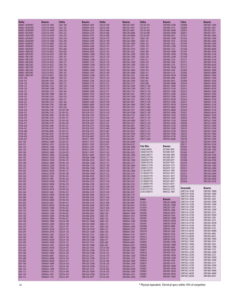| <b>Delta</b>                     | <b>Bourns</b>                  | <b>Delta</b>             | Bourns                       | <b>Delta</b>             | <b>Bourns</b>                | <b>Delta</b>                 | <b>Bourns</b>                       | Falco                        | Bourns                        |
|----------------------------------|--------------------------------|--------------------------|------------------------------|--------------------------|------------------------------|------------------------------|-------------------------------------|------------------------------|-------------------------------|
| M0805-1B39NJNT                   | CI201210-39NJ                  | SI65-180                 | SDR0604-180Y                 | SIQ124-500               | SRR1205-500Y                 | SIS136-470                   | SDR1806-470M                        | <b>DS0808</b>                | SRR1005-150M                  |
| M0805-1B3N3DNT                   | CI201210-3N3D                  | SI65-181                 | SDR0604-181K                 | SIQ124-560               | SRR1205-560Y                 | SIS136-471                   | SDR1806-471K                        | DS0809                       | SRR1005-220Y                  |
| M0805-1B3N9DN1                   | CI201210-3N9D                  | SI65-220                 | SDR0604-220Y                 | SI0124-680               | SRR1205-680Y                 | SIS136-5R6                   | SDR1806-5R6M                        | DS0810                       | SRR1005-330Y                  |
| M0805-1B47NJNT<br>M0805-1B4N7DNT | CI201210-47NJ<br>CI201210-4N7D | SI65-221<br>SI65-270     | SDR0604-221K<br>SDR0604-270Y | SIQ124-680<br>SIQ124-6R8 | SRR1240-680M<br>SRR1240-6R8M | SIS136-680<br>SIS136-681     | SDR1806-680M<br>SDR1806-681K        | DS0811<br><b>DS1301</b>      | SRR1005-470Y<br>SRR1806-100M  |
| M0805-1B56NJNT                   | CI201210-56NJ                  | SI65-330                 | SDR0604-330K                 | SIQ124-750               | SRR1205-750Y                 | SIS85-100                    | SDR1005-100M                        | <b>DS1302</b>                | SRR1806-150M                  |
| M0805-1B5N6DN1                   | CI201210-5N6D                  | SI65-390                 | SDR0604-390K                 | SIQ125-100<br>SI0125-100 | SRR1206-100M                 | SIS85-101                    | SDR1005-101K<br>SDR1005-102K        | DS1303<br>DS1304             | SRR1806-220M                  |
| M0805-1B68NJNT<br>M0805-1B6N8JNT | CI201210-68NJ<br>CI201210-6N8J | SI65-470<br>SI65-560     | SDR0604-470K<br>SDR0604-560K | SIQ125-101               | SRR1260-100M<br>SRR1206-101Y | SIS85-102<br>SIS85-150       | SDR1005-150M                        | <b>DS1305</b>                | SRR1806-330M<br>SRR1806-470M  |
| M0805-1B82NJNT                   | CI201210-82NJ                  | SI65-680                 | SDR0604-680K                 | SIQ125-101               | SRR1260-101M                 | SIS85-151                    | SDR1005-151K                        | DS1306                       | SRR1806-680M                  |
| M0805-1B8N2JNT                   | CI201210-8N2J                  | SI65-820                 | SDR0604-820K                 | SI0125-102               | SRR1206-102K                 | SIS85-1R0                    | SDR1005-1R0M                        | <b>DS1307</b>                | SRR1806-101M                  |
| M0805-1BR10JNT<br>M0805-1BR12JNT | CI201210-R10J<br>CI201210-R12J | SI85-100<br>SI85-101     | SDR0805-100M<br>SDR0805-101K | SIQ125-120<br>SIQ125-120 | SRR1206-120M<br>SRR1260-120M | SIS85-1R5<br>SIS85-220       | SDR1005-1R5M<br>SDR1005-220M        | <b>DS1308</b><br>DS1309      | SRR1806-151M<br>SRR1806-221M  |
| M0805-1BR15JNT                   | CI201210-R15J                  | SI85-120                 | SDR0805-120M                 | SI0125-121               | SRR1206-121Y                 | SIS85-221                    | SDR1005-221K                        | <b>DS1311</b>                | SRR1806-331M                  |
| M0805-1BR18JNT                   | CI201210-R18J                  | SI85-121                 | SDR0805-121K                 | SIQ125-150               | SRR1206-150M                 | SIS85-330                    | SDR1005-330K                        | <b>DS1311</b>                | SRR1806-471M                  |
| M0805-1BR22JNT<br>M0805-1BR27JNT | CI201210-R22J<br>CI201210-R27J | SI85-150<br>SI85-151     | SDR0805-150M<br>SDR0805-151K | SIQ125-150<br>SI0125-151 | SRR1260-150M<br>SRR1206-151K | SIS85-331<br>SIS85-3R3       | SDR1005-331K<br>SDR1005-3R3M        | DS1312<br>DS1313             | SRR1806-681M<br>SRR1806-102M  |
| M0805-1BR33JNT                   | CI201210-R33J                  | SI85-180                 | SDR0805-180M                 | SIQ125-180               | SRR1206-180M                 | SIS85-470                    | SDR1005-470K                        | DS3003                       | SRR6603-1ROM                  |
| M0805-1BR39JNT<br>M0805-1BR47JNT | CI201210-R39J<br>CI201210-R47J | SI85-181<br>SI85-220     | SDR0805-181K<br>SDR0805-220M | SIQ125-180<br>SIQ125-181 | SRR1260-180M<br>SRR1206-181K | SIS85-471<br>SIS85-4R7       | SDR1005-471K<br>SDR1005-4R7M        | DS3005<br>DS3006             | SRR6603-6R8M<br>SRR6603-100M  |
| SI106-100                        | SDR1006-100M                   | SI85-221                 | SDR0805-221K                 | SIQ125-220               | SRR1206-220M                 | SIS85-680                    | SDR1005-680K                        | DS3007                       | SRR6603-150M                  |
| SI106-101                        | SDR1006-101K                   | SI85-270                 | SDR0805-270K                 | SIQ125-220               | SRR1260-220M                 | SIS85-681                    | SDR1005-681K                        | DS3009                       | SRR6603-1R5M                  |
| SI106-120                        | SDR1006-120M                   | SI85-271                 | SDR0805-271K                 | SI0125-221               | SRR1206-221K                 | SIS85-6R8                    | SDR1005-6R8M                        | DS3010                       | SRR6603-2R2M                  |
| SI106-121<br>SI106-150           | SDR1006-121K<br>SDR1006-150M   | SI85-330<br>SI85-331     | SDR0805-330K<br>SDR0805-331K | SIQ125-270<br>SIQ125-270 | SRR1206-270M<br>SRR1260-270M | SIWC73-100<br>SIWC73-101     | SRR7032-100M<br>SRR7032-101M        | DS3011<br>DS3012             | SRR6603-3R3M<br>SRR6603-4R7M  |
| SI106-151                        | SDR1006-151K                   | SI85-390                 | SDR0805-390K                 | SI0125-271               | SRR1206-271K                 | SIWC73-150                   | SRR7032-150M                        | DS3013                       | SRR6603-330M                  |
| SI106-180                        | SDR1006-180M                   | SI85-391                 | SDR0805-391K                 | SIQ125-330               | SRR1206-330Y                 | SIWC73-220                   | SRR7032-220M                        | DS3014                       | SRR6603-470M                  |
| SI106-181<br>SI106-220           | SDR1006-181K<br>SDR1006-220M   | SI85-470<br>SI85-471     | SDR0805-470K<br>SDR0805-471K | SIQ125-330<br>SI0125-331 | SRR1260-330M<br>SRR1206-331K | SIWC73-330<br>SIWC73-3R3     | SRR7032-330M<br>SRR7032-3R3M        | DS3015<br>DS3016             | SRR6603-680M<br>SRR6603-101M  |
| SI106-221                        | SDR1006-221K                   | SI85-560                 | SDR0805-560K                 | SIQ125-390               | SRR1206-390Y                 | SIWC73-470                   | SRR7032-470M                        | DS3017                       | SRR6603-151M                  |
| SI106-270                        | SDR1006-270K                   | SI85-680                 | SDR0805-680K                 | SIQ125-390               | SRR1260-390M                 | SIWC73-4R7                   | SRR7032-4R7M                        | DS3018                       | SRR6603-221M                  |
| SI106-271<br>SI106-330           | SDR1006-271K<br>SDR1006-330K   | SI85-820<br>SIL104-100   | SDR0805-820K<br>SRU1038-100Y | SIQ125-391<br>SIQ125-470 | SRR1206-391K<br>SRR1206-470Y | SIWC73-680<br>SIWC73-6R8     | SRR7032-680M<br>SRR7032-6R8M        | DS3019<br>DS3020             | SRR6603-331M<br>SRR6603-471M  |
| SI106-331                        | SDR1006-331K                   | SIL104-101               | SRU1038-101Y                 | SIQ125-470               | SRR1260-470M                 | SIWC75-100                   | SRR7045-100M                        | DS3021                       | SRR6603-681M                  |
| SI106-390                        | SDR1006-390K                   | SIL104-150               | SRU1038-150Y                 | SIQ125-471               | SRR1206-471K                 | SIWC75-101                   | SRR7045-101M                        | DS3022                       | SRR6603-102M                  |
| SI106-391<br>SI106-470           | SDR1006-391K<br>SDR1006-470K   | SIL104-151<br>SIL104-1R5 | SRU1038-151Y<br>SRU1038-1R5Y | SIQ125-560<br>SIQ125-560 | SRR1206-560Y<br>SRR1260-560M | SIWC75-150<br>SIWC75-151     | SRR7045-150M<br>SRR7045-151M        | SD0502<br>SD0504             | SRR7032-100M<br>SRR7032-150M  |
| SI106-471                        | SDR1006-471K                   | SIL104-220               | SRU1038-220Y                 | SIQ125-561               | SRR1206-561K                 | SIWC75-220                   | SRR7045-220M                        | SD0506                       | SRR7032-220M                  |
| SI106-560                        | SDR1006-560K                   | SIL104-221               | SRU1038-221Y                 | SIQ125-680               | SRR1206-680Y                 | SIWC75-221                   | SRR7045-221M                        | SD0508                       | SRR7032-330M                  |
| SI106-561<br>SI106-680           | SDR1006-561K<br>SDR1006-680K   | SIL104-330<br>SIL104-331 | SRU1038-330Y<br>SRU1038-331Y | SIQ125-680<br>SIQ125-681 | SRR1260-680M<br>SRR1206-681K | SIWC75-330<br>SIWC75-331     | SRR7045-330M<br>SRR7045-331M        | SD0510<br>SD0702             | SRR7032-470M<br>SRR7045-220M  |
| SI106-681                        | SDR1006-681K                   | SIL104-470               | SRU1038-470Y                 | SIQ125-7R5               | SRR1206-7R5M                 | SIWC75-470                   | SRR7045-470M                        | SD0703                       | SRR7045-100M                  |
| SI106-820                        | SDR1006-820K                   | SIL104-680               | SRU1038-680Y                 | SIQ125-7R5               | SRR1260-7R6Y                 | SIWC75-471                   | SRR7045-471M                        | SD0705                       | SRR7045-150M                  |
| SI106-821<br>SI43-100            | SDR1006-821K<br>SDR0302-100M   | SIL520-100<br>SIL520-101 | SRU5011-100Y<br>SRU5011-101Y | SI0125-820<br>SIQ125-820 | SRR1206-820Y<br>SRR1260-820M | SIWC75-680                   | SRR7045-680M                        | SD0708<br>SD0710             | SRR7045-330M<br>SRR7045-470M  |
| SI43-101                         | SDR0302-101K                   | SIL520-150               | SRU5011-150Y                 | SIQ125-821               | SRR1206-821K                 |                              |                                     | SD0711                       | SRR7045-101M                  |
| SI43-120                         | SDR0302-120M                   | SIL520-220               | SRU5011-220Y                 | SIQ127-100               | SRR1208-100M                 | <b>Fair Rite</b>             | <b>Bourns</b>                       | SD1001                       | SRR1260-100M                  |
| SI43-150<br>SI43-180             | SDR0302-150M<br>SDR0302-180M   | SIL520-330<br>SIL520-470 | SRU5011-330Y<br>SRU5011-470Y | SIQ127-101<br>SIQ127-102 | SRR1208-101Y<br>SRR1208-102K | 250603300Y0<br>2506031027Y0  | MT1608-300Y<br>MZ1608-102Y          | SD1002<br>SD1003             | SRR1260-150M<br>SRR1260-4R7Y  |
| SI43-1R0                         | SDR0302-1R0M                   | SIL520-680               | SRU5011-680Y                 | SI0127-120               | SRR1208-120M                 | 2506033007Y1                 | MH1608-300Y                         | SD1006                       | SRR1260-270M                  |
| SI43-1R2                         | SDR0302-1R2M                   | SIP106-100               | SDR1006-100M                 | SIQ127-121               | SRR1208-121Y                 | 2506033317Y0                 | MU1608-301Y                         | SD1007                       | SRR1260-680M                  |
| SI43-1R5<br>SI43-1R8             | SDR0302-1R5M<br>SDR0302-1R8M   | SIP106-101<br>SIP106-120 | SDR1006-101K<br>SDR1006-120M | SIQ127-150<br>SI0127-151 | SRR1208-150M<br>SRR1208-151Y | 2506036017Y0<br>2508051027Y0 | MZ1608-601Y<br>MZ2029-102Y          | SD1008<br>SD1010             | SRR1260-470M<br>SRR1260-180M  |
| SI43-220                         | SDR0302-220M                   | SIP106-121               | SDR1006-121K                 | SIQ127-180               | SRR1208-180M                 | 2508051217Y0                 | MG2029-121Y                         | SD1014                       | SRR1260-120M                  |
| SI43-270                         | SDR0302-270M                   | SIP106-150               | SDR1006-150M                 | SIQ127-181               | SRR1208-181Y                 | 2508051527Y0                 | MG2029-152Y                         | SD1015                       | SRR1260-220M                  |
| SI43-2R2<br>SI43-2R7             | SDR0302-2R2M<br>SDR0302-2R7M   | SIP106-151<br>SIP106-180 | SDR1006-151K<br>SDR1006-180M | SIQ127-220<br>SIQ127-221 | SRR1208-220M<br>SRR1208-221K | 2512061907Y1<br>2512063017Y0 | MH3261-190Y<br>MG3261-301Y          | SD1016<br>SD1017             | SRR1260-330M<br>SRR1260-390M  |
| SI43-330                         | SDR0302-330K                   | SIP106-181               | SDR1006-181K                 | SIQ127-270               | SRR1208-270M                 | 2512063017Y0                 | MU3261-301Y                         | SD1018                       | SRR1260-560M                  |
| SI43-390                         | SDR0302-390K                   | SIP106-220               | SDR1006-220M                 | SIQ127-271               | SRR1208-271K                 | 2512065007Y3                 | MH3261-500Y                         | SD1019                       | SRR1260-820M                  |
| SI43-3R3<br>SI43-3R9             | SDR0302-3R3M<br>SDR0302-3R9M   | SIP106-221<br>SIP106-270 | SDR1006-221K<br>SDR1006-270K | SIQ127-330<br>SIQ127-331 | SRR1208-330Y<br>SRR1208-331K | 2512066017Y0<br>2512066017Y0 | MU3261-601Y<br>MZ3261-601Y          | SD1020                       | SRR1260-101M                  |
| SI43-470                         | SDR0302-470K                   | SIP106-271               | SDR1006-271K                 | SIQ127-390               | SRR1208-390Y                 | 2518066007Y3                 | MH4516-600Y                         |                              |                               |
| $ S143-4R7$                      | SDR0302-4R7M                   | SIP106-330               | SDR1006-330K                 | SIQ127-391               | SRR1208-391K                 | 2518121217Y6                 | MH4532-121Y                         | Gowanda<br>SMP3316-101M      | <b>Bourns</b><br>SDR1005-1R0M |
| SI43-560<br>SI43-5R6             | SDR0302-560K<br>SDR0302-5R6M   | SIP106-331<br>SIP106-390 | SDR1006-331K<br>SDR1006-390K | SIQ127-470<br>SIQ127-471 | SRR1208-470Y<br>SRR1208-471K | 2518127007Y3                 | MH4532-700Y                         | SMP3316-102M                 | SDR1005-100M                  |
| SI43-680                         | SDR0302-680K                   | SIP106-391               | SDR1006-391K                 | SIQ127-560               | SRR1208-560Y                 |                              |                                     | SMP3316-103M                 | SDR1005-101K                  |
| SI43-6R8                         | SDR0302-6R8M                   | SIP106-470               | SDR1006-470K                 | SIQ127-561               | SRR1208-561K                 | Falco                        | <b>Bourns</b>                       | SMP3316-103M<br>SMP3316-151M | SDR1005-102K<br>SDR1005-1R5M  |
| SI43-820<br>SI43-8R2             | SDR0302-820K<br>SDR0302-8R2M   | SIP106-471<br>SIP106-560 | SDR1006-471K<br>SDR1006-560K | SIQ127-680<br>SIQ127-681 | SRR1208-680Y<br>SRR1208-681K | D13021<br>D13023             | SDR2207-6R8M<br>SDR2207-100M        | SMP3316-152M                 | SDR1005-150M                  |
| SI54-100                         | SDR0403-100M                   | SIP106-561               | SDR1006-561K                 | SI0127-820               | SRR1208-820Y                 | D13024                       | SDR2207-150Y                        | SMP3316-153M                 | SDR1005-151K                  |
| SI54-120                         | SDR0403-120M                   | SIP106-680               | SDR1006-680K                 | SIQ127-821               | SRR1208-821K                 | D03002<br>D03003             | SDR0703-100K<br>SDR0703-4R7K        | SMP3316-222M<br>SMP3316-223M | SDR1005-220M<br>SDR1005-221K  |
| SI54-150<br>SI54-180             | SDR0403-150M<br>SDR0403-180M   | SIP106-681<br>SIP106-820 | SDR1006-681K<br>SDR1006-820K | SIQ65-100<br>SIQ65-101   | SRR0604-100M<br>SRR0604-101K | D03004                       | SDR0703-470K                        | SMP3316-331M                 | SDR1005-3R3M                  |
| SI54-1R0                         | SDR0403-1R0M                   | SIP106-821               | SDR1006-821K                 | SIQ65-102                | SRR0604-102K                 | D03005                       | SDR0703-1R0M                        | SMP3316-332M                 | SDR1005-330K                  |
| SI54-1R8                         | SDR0403-1R8M                   | SIQ124-100               | SRR1205-100M                 | SIQ65-150                | SRR0604-150M                 | D03006<br>D03007             | SDR0703-2R2M<br>SDR0703-3R3M        | SMP3316-333M<br>SMP3316-471M | SDR1005-331K<br>SDR1005-4R7M  |
| SI54-220<br>SI54-270             | SDR0403-220M<br>SDR0403-270K   | SIQ124-100<br>SIQ124-101 | SRR1240-100M<br>SRR1205-101K | SIQ65-151<br>SIQ65-220   | SRR0604-151K<br>SRR0604-220M | D03008                       | SDR0703-6R8K                        | SMP3316-472M                 | SDR1005-470K                  |
| SI54-2R2                         | SDR0403-2R2M                   | SIQ124-101               | SRR1240-101M                 | SIQ65-221                | SRR0604-221K                 | D03009                       | SDR0703-150K                        | SMP3316-473M                 | SDR1005-471K                  |
| SI54-2R7                         | SDR0403-2R7M                   | SIQ124-120               | SRR1205-120M                 | SIQ65-330                | SRR0604-330K                 | D03010<br>D03011             | SDR0703-220K<br>SDR0703-101K        | SMP3316-681M<br>SMP3316-682M | SDR1005-6R8M<br>SDR1005-680K  |
| SI54-330<br>SI54-390             | SDR0403-330K<br>SDR0403-390K   | SIQ124-121<br>SIQ124-150 | SRR1205-121K<br>SRR1205-150M | SIQ65-331<br>SIQ65-470   | SRR0604-331K<br>SRR0604-470K | D03012                       | SDR0703-471K                        | SMP3316-683M                 | SDR1005-681K                  |
| SI54-3R3                         | SDR0403-3R3M                   | SIQ124-150               | SRR1240-150M                 | SIQ65-471                | SRR0604-471K                 | D03013                       | SDR0703-2R2K                        | SMP5022-102M                 | SDR1806-100M                  |
| SI54-3R9                         | SDR0403-3R9M                   | SIQ124-151               | SRR1205-151K                 | SIQ65-680                | SRR0604-680K                 | D08002<br>D08003             | SDR1005-150M<br>SDR1005-1R0M        | SMP5022-103M<br>SMP5022-104M | SDR1806-101K<br>SDR1806-102K  |
| SI54-470<br>SI54-4R7             | SDR0403-470K<br>SDR0403-4R7M   | SIQ124-180<br>SIQ124-181 | SRR1205-180M<br>SRR1205-181K | SIQ65-681<br>SIS136-100  | SRR0604-681K<br>SDR1806-100M | D08008                       | SDR1005-680K                        | SMP5022-152M                 | SDR1806-150M                  |
| SI54-560                         | SDR0403-560K                   | SIQ124-220               | SRR1205-220M                 | SIS136-101               | SDR1806-101K                 | D08017                       | SDR1005-4R7M                        | SMP5022-153M                 | SDR1806-151K                  |
| SI54-5R6                         | SDR0403-5R6M                   | SIQ124-220               | SRR1240-220M                 | SIS136-102               | SDR1806-102K                 | D08018<br>D08020             | SDR1005-101K<br>SDR1005-1R5M        | SMP5022-222M<br>SMP5022-223M | SDR1806-220M<br>SDR1806-221K  |
| SI54-680<br>SI54-6R8             | SDR0403-680K<br>SDR0403-6R8M   | SIQ124-221<br>SIQ124-270 | SRR1205-221K<br>SRR1205-270M | SIS136-150<br>SIS136-151 | SDR1806-150M<br>SDR1806-151K | D08022                       | SDR1005-220M                        | SMP5022-331M                 | SDR1806-3R3M                  |
| SI54-8R2                         | SDR0403-8R2M                   | SIQ124-271               | SRR1205-271K                 | SIS136-1R0               | SDR1806-1R0M                 | D08024                       | SDR1005-470K                        | SMP5022-332M                 | SDR1806-330M                  |
| SI65-100                         | SDR0604-100M                   | SIQ124-330               | SRR1205-330M                 | SIS136-220               | SDR1806-220M                 | D08031<br>DS0801             | SDR1005-471K<br><b>SRR1005-1ROM</b> | SMP5022-333M<br>SMP5022-472M | SDR1806-331K<br>SDR1806-470M  |
| SI65-101<br>SI65-120             | SDR0604-101K<br>SDR0604-120M   | SIQ124-330<br>SIQ124-331 | SRR1240-330M<br>SRR1205-331K | SIS136-221<br>SIS136-2R2 | SDR1806-221K<br>SDR1806-2R2M | DS0802                       | SRR1005-1R5M                        | SMP5022-473M                 | SDR1806-471K                  |
| SI65-121                         | SDR0604-121K                   | SIQ124-390               | SRR1205-390M                 | SIS136-330               | SDR1806-330M                 | DS0803                       | SRR1005-2R2M                        | SMP5022-561M                 | SDR1806-5R6M                  |
| SI65-150                         | SDR0604-150Y                   | SIQ124-470               | SRR1240-470M                 | SIS136-331               | SDR1806-331K                 | DS0805<br><b>DS0807</b>      | SRR1005-4R7M<br>SRR1005-100M        | SMP5022-682M<br>SMP5022-683M | SDR1806-680M<br>SDR1806-681K  |
| SI65-151                         | SDR0604-151K                   | SIQ124-4R7               | SRR1240-4R7Y                 | SIS136-3R3               | SDR1806-3R3M                 |                              |                                     |                              |                               |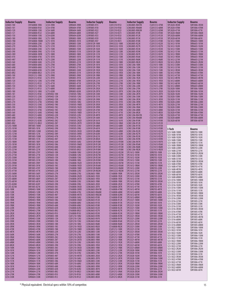| <b>Inductor Supply</b>     | Bourns                         | <b>Inductor Supply</b>                     | <b>Bourns</b>                  | <b>Inductor Supply</b>                       | Bourns                         | <b>Inductor Supply</b>                 | <b>Bourns</b>                  | <b>Inductor Supply</b>         | <b>Bourns</b>                |
|----------------------------|--------------------------------|--------------------------------------------|--------------------------------|----------------------------------------------|--------------------------------|----------------------------------------|--------------------------------|--------------------------------|------------------------------|
| LC0603-100                 | CW160808-10NJ                  | LC54-390K                                  | SDR0604-390K                   | LCHF0805-R15                                 | CI201210-R15J                  | LCML0805-R047M                         | CS201212-47NK                  | SPL5028-3R3M                   | SDR1806-3R3M                 |
| LC0603-101<br>LC0603-120   | CW160808-R10J<br>CW160808-12NJ | LC54-470K<br>LC54-560K                     | SDR0604-470K<br>SDR0604-560K   | <b>LCHF0805-R18</b><br>LCHF0805-R22          | CI201210-R18J<br>CI201210-R22J | LCML0805-R068M<br>LCML0805-R082M       | CS201212-68NK                  | SPL5028-470M<br>SPL5028-471M   | SDR1806-470M                 |
| LC0603-121                 | CW160808-R12J                  | LC54-680K                                  | SDR0604-680K                   | LCHF0805-R27                                 | CI201210-R27J                  | <b>LCML0805-R10K</b>                   | CS201212-82NK<br>CS201212-R10K | SPL5028-5R6M                   | SDR1806-471K<br>SDR1806-5R6M |
| LC0603-150                 | CW160808-15NJ                  | LC54-820K                                  | SDR0604-820K                   | LCHF0805-R33                                 | CI201210-R33J                  | <b>LCML0805-R12K</b>                   | CS201212-R12K                  | SPL5028-680M                   | SDR1806-680M                 |
| LC0603-180                 | CW160808-18NJ                  | LC75-100K                                  | SDR0805-100K                   | LCHF0805-R39                                 | CI201210-R39J                  | <b>LCML0805-R15K</b>                   | CS201212-R15K                  | SPL5028-681M                   | SDR1806-681K                 |
| LC0603-1N8<br>LC0603-220   | CW160808-1N8M<br>CW160808-22NJ | LC75-101K<br>LC75-120K                     | SDR0805-101K<br>SDR0805-120K   | LCHF0805-R47<br>LCM1812R-100K                | CI201210-R47J<br>CM453232-100K | <b>LCML0805-R18K</b><br>LCML0805-R22K  | CS201212-R18K<br>CS201212-R22K | SSL1612-100M<br>SSL1612-101M   | SRR6603-100M<br>SRR6603-101M |
| LC0603-270                 | CW160808-27NJ                  | LC75-121K                                  | SDR0805-121K                   | LCM1812R-101K                                | CM453232-101K                  | <b>LCML0805-R27K</b>                   | CS201212-R27K                  | SSL1612-102M                   | SRR6603-102M                 |
| LC0603-330                 | CW160808-33NJ                  | LC75-150K                                  | SDR0805-150K                   | LCM1812R-102K                                | CM453232-102K                  | LCML0805-R33K                          | CS201212-R33K                  | SSL1612-150M                   | SRR6603-150M                 |
| LC0603-390<br>LC0603-3N9   | CW160808-39NJ<br>CW160808-3N9K | LC75-151K<br>LC75-180K                     | SDR0805-151K<br>SDR0805-180K   | LCM1812R-120K<br>LCM1812R-121K               | CM453232-120K<br>CM453232-121K | LCML0805-R39K<br><b>LCML0805-R47K</b>  | CS201212-R39K<br>CS201212-R47K | SSL1612-151M<br>SSL1612-1R0M   | SRR6603-151M<br>SRR6603-1R0M |
| LC0603-470                 | CW160808-47NJ                  | LC75-181K                                  | SDR0805-181K                   | LCM1812R-150K                                | CM453232-150K                  | <b>LCML0805-R56K</b>                   | CS201212-R56K                  | SSL1612-1R5M                   | SRR6603-1R5M                 |
| LC0603-4N7                 | CW160808-4N7K                  | LC75-220K                                  | SDR0805-220K                   | LCM1812R-151K                                | CM453232-151K                  | LCML0805-R68K                          | CS201212-R68K                  | SSL1612-221M                   | SRR6603-221M                 |
| LC0603-560<br>LC0603-680   | CW160808-56NJ<br>CW160808-68NJ | LC75-221K<br>LC75-270K                     | SDR0805-221K<br>SDR0805-270K   | LCM1812R-180K<br>LCM1812R-181K               | CM453232-180K<br>CM453232-181K | <b>LCML0805-R82K</b><br>LCML1206-100K  | CS201212-R82K<br>CS321613-100K | SSL1612-2R2M<br>SSL1612-330M   | SRR6603-2R2M<br>SRR6603-330M |
| LC0603-6N8                 | CW160808-6N8J                  | LC75-271K                                  | SDR0805-271K                   | <b>LCM1812R-1R0K</b>                         | CM453232-1R0K                  | LCML1206-120K                          | CS321613-120K                  | SSL1612-331M                   | SRR6603-331M                 |
| LC0603-820                 | CW160808-82NJ                  | LC75-330K                                  | SDR0805-330K                   | LCM1812R-1R2K                                | CM453232-1R2K                  | LCML1206-150K                          | CS321613-150K                  | SSL1612-3R3M                   | SRR6603-3R3M                 |
| LC0603-8N2<br>LC0805-100   | CW160808-8N2J<br>CW201212-10NJ | LC75-331K<br>LC75-390K                     | SDR0805-331K<br>SDR0805-390K   | <b>LCM1812R-1R5K</b><br>LCM1812R-1R8K        | CM453232-1R5K<br>CM453232-1R8K | LCML1206-180K<br><b>LCML1206-1R0K</b>  | CS321613-180K<br>CS321613-1R0K | SSL1612-470M<br>SSL1612-471M   | SRR6603-470M<br>SRR6603-471M |
| LC0805-101                 | CW201212-R10J                  | LC75-391K                                  | SDR0805-391K                   | LCM1812R-220K                                | CM453232-220K                  | LCML1206-1R2K                          | CS321613-1R2K                  | SSL1612-4R7M                   | SRR6603-4R7M                 |
| LC0805-120                 | CW201212-12NJ                  | LC75-470K                                  | SDR0805-470K                   | LCM1812R-221K                                | CM453232-221K                  | LCML1206-1R5K                          | CS321613-1R5K                  | SSL1612-680M                   | SRR6603-680M                 |
| LC0805-121<br>LC0805-150   | CW201212-R12J<br>CW201212-15NJ | LC75-471K<br>LC75-560K                     | SDR0805-471K<br>SDR0805-560K   | LCM1812R-270K<br>LCM1812R-271K               | CM453232-270K<br>CM453232-271K | LCML1206-1R8K<br>LCML1206-220K         | CS321613-1R8K<br>CS321613-220K | SSL1612-681M<br>SSL1612-6R8M   | SRR6603-681M<br>SRR6603-6R8M |
| LC0805-151                 | CW201212-R15J                  | LC75-680K                                  | SDR0805-680K                   | LCM1812R-2R2K                                | CM453232-2R2K                  | LCML1206-270K                          | CS321613-270K                  | SSL5028-100M                   | SRR1806-100M                 |
| LC0805-180                 | CW201212-18NJ                  | LC75-820K                                  | SDR0805-820K                   | LCM1812R-2R7K                                | CM453232-2R7K                  | LCML1206-2R2K                          | CS321613-2R2K                  | SSL5028-101M                   | SRR1806-101M                 |
| LC0805-181<br>LC0805-220   | CW201212-R18J<br>CW201212-22NJ | <b>LCHF0402-10N</b><br>LCHF0402-12N        | CI100505-10NJ<br>CI100505-12NJ | LCM1812R-330K<br>LCM1812R-331K               | CM453232-330K<br>CM453232-331K | <b>LCML1206-2R7K</b><br>LCML1206-330K  | CS321613-2R7K<br>CS321613-330K | SSL5028-102M<br>SSL5028-150M   | SRR1806-102M<br>SRR1806-150M |
| LC0805-221                 | CW201212-R22J                  | LCHF0402-15N                               | CI100505-15NJ                  | LCM1812R-390K                                | CM453232-390K                  | LCML1206-3R3K                          | CS321613-3R3K                  | SSL5028-151M                   | SRR1806-151M                 |
| LC0805-270                 | CW201212-27NJ                  | <b>LCHF0402-18N</b>                        | CI100505-18NJ                  | LCM1812R-391K                                | CM453232-391K                  | LCML1206-3R9K                          | CS321613-3R9K                  | SSL5028-220M                   | SRR1806-220M                 |
| LC0805-330                 | CW201212-33NJ                  | LCHF0402-1N0                               | CI100505-1N0D                  | LCM1812R-3R3K                                | CM453232-3R3K                  | LCML1206-4R7K                          | CS321613-4R7K                  | SSL5028-221M                   | SRR1806-221M                 |
| LC0805-390<br>LC0805-470   | CW201212-39NJ<br>CW201212-47NJ | LCHF0402-1N2<br>LCHF0402-1N5               | CI100505-1N2D<br>CI100505-1N5D | LCM1812R-3R9K<br>LCM1812R-470K               | CM453232-3R9K<br>CM453232-470K | LCML1206-5R6K<br>LCML1206-6R8K         | CS321613-5R6K<br>CS321613-6R8K | SSL5028-330M<br>SSL5028-331M   | SRR1806-330M<br>SRR1806-331M |
| LC0805-560                 | CW201212-56NJ                  | LCHF0402-1N8                               | CI100505-1N8D                  | LCM1812R-471K                                | CM453232-471K                  | LCML1206-8R2K                          | CS321613-8R2K                  | SSL5028-470M                   | SRR1806-470M                 |
| LC0805-680                 | CW201212-68NJ                  | LCHF0402-22N                               | CI100505-22NJ                  | LCM1812R-4R7K                                | CM453232-4R7K                  | LCML1206-R047M                         | CS321613-47NK                  | SSL5028-471M                   | SRR1806-471M                 |
| LC0805-6N8<br>LC0805-820   | CW201212-6N8J<br>CW201212-82NJ | LCHF0402-27N<br>LCHF0402-2N2               | CI100505-27NJ<br>CI100505-2N2D | LCM1812R-560K<br>LCM1812R-561K               | CM453232-560K<br>CM453232-561K | LCML1206-R068M<br><b>LCML1206-R10K</b> | CS321613-68NK<br>CS321613-R10K | SSL5028-680M<br>SSL5028-681M   | SRR1806-680M<br>SRR1806-681M |
| LC0805-8N2                 | CW201212-8N2J                  | LCHF0402-2N7                               | CI100505-2N7D                  | LCM1812R-5R6K                                | CM453232-5R6K                  | LCML1206-R12K                          | CS321613-R12K                  |                                |                              |
| LC125S-100M                | SRR1005-100M                   | LCHF0402-33N                               | CI100505-33NJ                  | LCM1812R-680K                                | CM453232-680K                  | LCML1206-R15K                          | CS321613-R15K                  |                                |                              |
| LC125S-101M<br>LC125S-120M | SRR1005-101K<br>SRR1005-120M   | LCHF0402-39N<br>LCHF0402-3N3               | CI100505-39NJ<br>CI100505-3N3D | LCM1812R-681K<br>LCM1812R-6R8K               | CM453232-681K<br>CM453232-6R8K | <b>LCML1206-R18K</b><br>LCML1206-R22K  | CS321613-R18K<br>CS321613-R22K | I-Tech                         | <b>Bourns</b>                |
| LC125S-121M                | SRR1005-121K                   | LCHF0402-3N9                               | CI100505-3N9D                  | LCM1812R-820K                                | CM453232-820K                  | LCML1206-R27K                          | CS321613-R27K                  | 523-1608-100M<br>523-1608-101M | SDR0703-100K<br>SDR0703-101K |
| LC125S-150M                | SRR1005-150M                   | LCHF0402-47N                               | CI100505-47NJ                  | LCM1812R-821K                                | CM453232-821K                  | LCML1206-R33K                          | CS321613-R33K                  | 523-1608-102M                  | SDR0703-102K                 |
| LC125S-151M<br>LC125S-180M | SRR1005-151K<br>SRR1005-180Y   | LCHF0402-4N7<br>LCHF0402-56N               | CI100505-4N7D<br>CI100505-56NJ | LCM1812R-8R2K<br>LCM1812R-R10M               | CM453232-8R2K<br>CM453232-R10M | LCML1206-R39K<br>LCML1206-R47K         | CS321613-R39K<br>CS321613-R47K | 523-1608-150M                  | SDR0703-150K                 |
| LC125S-181M                | SRR1005-181K                   | LCHF0402-5N6                               | CI100505-5N6D                  | LCM1812R-R12M                                | CM453232-R12M                  | LCML1206-R56K                          | CS321613-R56K                  | 523-1608-151M<br>523-1608-1R0M | SDR0703-151K<br>SDR0703-1R0M |
| LC125S-220M                | SRR1005-220Y                   | LCHF0402-6N8                               | CI100505-6N8J                  | LCM1812R-R15M                                | CM453232-R15M                  | LCML1206-R68K                          | CS321613-R68K                  | 523-1608-220M                  | SDR0703-220K                 |
| LC125S-221M<br>LC125S-270M | SRR1005-221K<br>SRR1005-270Y   | LCHF0402-8N2<br><b>LCHF0603-10N</b>        | CI100505-8N2J<br>CI160808-10NJ | LCM1812R-R18M<br>LCM1812R-R22M               | CM453232-R18M<br>CM453232-R22M | LCML1206-R82K<br>SPL1612-100M          | CS321613-R82K<br>SDR0703-100K  | 523-1608-221M                  | SDR0703-221K                 |
| LC125S-271M                | SRR1005-271K                   | LCHF0603-12N                               | CI160808-12NJ                  | LCM1812R-R27M                                | CM453232-R27M                  | SPL1612-101M                           | SDR0703-101K                   | 523-1608-2R2M<br>523-1608-330M | SDR0703-2R2M<br>SDR0703-330K |
| LC125S-330M                | SRR1005-330Y                   | LCHF0603-15N                               | CI160808-15NJ                  | LCM1812R-R33M                                | CM453232-R33M                  | SPL1612-102M                           | SDR0703-102K                   | 523-1608-331M                  | SDR0703-331K                 |
| LC125S-331M<br>LC125S-390M | SRR1005-331K<br>SRR1005-390Y   | LCHF0603-18N<br>LCHF0603-1N2               | CI160808-18NJ<br>CI160808-1N2D | LCM1812R-R39M<br>LCM1812R-R47M               | CM453232-R39M<br>CM453232-R47M | SPL1612-150M<br>SPL1612-151M           | SDR0703-150K<br>SDR0703-151K   | 523-1608-3R3M                  | SDR0703-3R3M                 |
| LC125S-391M                | SRR1005-391K                   | LCHF0603-1N5                               | CI160808-1N5D                  | LCM1812R-R56M                                | CM453232-R56M                  | SPL1612-1R0M                           | SDR0703-1R0M                   | 523-1608-470M<br>523-1608-471M | SDR0703-470K<br>SDR0703-471K |
| LC125S-470M                | SRR1005-470Y                   | LCHF0603-1N8                               | CI160808-1N8D                  | LCM1812R-R68M                                | CM453232-R68M                  | SPL1612-220M                           | SDR0703-220K                   | 523-1608-4R7M                  | SDR0703-4R7K                 |
| LC125S-471M<br>LC125S-560M | SRR1005-471K<br>SRR1005-560Y   | LCHF0603-22N<br>LCHF0603-27N               | CI160808-22NJ<br>CI160808-27NJ | LCM1812R-R82M<br><b>LCML0603-1R0K</b>        | CM453232-R82M<br>CS160808-1R0K | SPL1612-221M<br>SPL1612-2R2M           | SDR0703-221K<br>SDR0703-2R2M   | 523-1608-680M                  | SDR0703-680K                 |
| LC125S-561M                | SRR1005-561K                   | LCHF0603-2N2                               | CI160808-2N2D                  | LCML0603-1R2K                                | CS160808-1R2K                  | SPL1612-330M                           | SDR0703-330K                   | 523-1608-681M<br>523-1608-6R8M | SDR0703-681K<br>SDR0703-6R8K |
| LC125S-680M                | SRR1005-680Y                   | LCHF0603-2N7                               | CI160808-2N7D                  | LCML0603-1R5K                                | CS160808-1R5K                  | SPL1612-331M                           | SDR0703-331K                   | 523-3316-100M                  | SDR1005-100M                 |
| LC125S-681M<br>LC125S-820M | SRR1005-681K<br>SRR1005-820Y   | LCHF0603-33N<br>LCHF0603-39N               | CI160808-33NJ<br>CI160808-39NJ | <b>LCML0603-1R8K</b><br><b>LCML0603-2R2K</b> | CS160808-1R8K<br>CS160808-2R2K | SPL1612-3R3M<br>SPL1612-470M           | SDR0703-3R3M<br>SDR0703-470K   | 523-3316-101M                  | SDR1005-101K                 |
| LC125S-821M                | SRR1005-821K                   | LCHF0603-3N3                               | CI160808-3N3D                  | LCML0603-2R7K                                | CS160808-2R7K                  | SPL1612-471M                           | SDR0703-471K                   | 523-3316-102M<br>523-3316-150M | SDR1005-102K<br>SDR1005-150M |
| LC43-100K                  | SDR0403-100K                   | LCHF0603-3N9                               | CI160808-3N9D                  | LCML0603-R047M                               | CS160808-47NK                  | SPL1612-4R7M                           | <b>SDR0703-4R7K</b>            | 523-3316-151M                  | SDR1005-151K                 |
| LC43-120K<br>LC43-150K     | SDR0403-120K<br>SDR0403-150K   | LCHF0603-47N<br>LCHF0603-4N7               | CI160808-47NJ<br>CI160808-4N7D | LCML0603-R068M<br>LCML0603-R082M             | CS160808-68NK<br>CS160808-82NK | SPL1612-680M<br>SPL1612-681M           | SDR0703-680K<br>SDR0703-681K   | 523-3316-1ROM                  | SDR1005-1R0M                 |
| LC43-180K                  | SDR0403-180K                   | LCHF0603-56N                               | CI160808-56NJ                  | LCML0603-R10K                                | CS160808-R10K                  | SPL1612-6R8M                           | SDR0703-6R8K                   | 523-3316-1R5M<br>523-3316-220M | SDR1005-1R5M<br>SDR1005-220M |
| <b>LC43-1R0K</b>           | <b>SDR0403-1R0K</b>            | LCHF0603-5N6                               | CI160808-5N6D                  | LCML0603-R12K                                | CS160808-R12K                  | SPL3321-100M                           | SDR1005-100M                   | 523-3316-221M                  | SDR1005-221K                 |
| LC43-1R4K<br>LC43-1R8K     | SDR0403-1R4K<br>SDR0403-1R8K   | LCHF0603-68N<br>LCHF0603-6N8               | CI160808-68NJ<br>CI160808-6N8J | LCML0603-R15K<br>LCML0603-R18K               | CS160808-R15K<br>CS160808-R18K | SPL3321-101M<br>SPL3321-102M           | SDR1005-101K<br>SDR1005-102K   | 523-3316-330M                  | SDR1005-330K                 |
| LC43-220K                  | SDR0403-220K                   | LCHF0603-82N                               | CI160808-82NJ                  | LCML0603-R22K                                | CS160808-R22K                  | SPL3321-150M                           | SDR1005-150M                   | 523-3316-331M<br>523-3316-3R3M | SDR1005-331K<br>SDR1005-3R3M |
| LC43-270K                  | SDR0403-270K                   | LCHF0603-8N2                               | CI160808-8N2J                  | LCML0603-R27K                                | CS160808-R27K<br>CS160808-R33K | SPL3321-151M<br>SPL3321-1R0M           | SDR1005-151K<br>SDR1005-1R0M   | 523-3316-470M                  | SDR1005-470K                 |
| LC43-2R2K<br>LC43-2R7K     | SDR0403-2R2K<br>SDR0403-2R7K   | LCHF0603-R10<br><b>LCHF0805-10N</b>        | CI160808-R10J<br>CI201210-10NJ | LCML0603-R33K<br>LCML0603-R39K               | CS160808-R39K                  | SPL3321-1R5M                           | SDR1005-1R5M                   | 523-3316-471M                  | SDR1005-471K                 |
| LC43-330K                  | SDR0403-330K                   | LCHF0805-12N                               | CI201210-12NJ                  | LCML0603-R47K                                | CS160808-R47K                  | SPL3321-220M                           | SDR1005-220M                   | 523-3316-4R7M<br>523-3316-680M | SDR1005-4R7M<br>SDR1005-680K |
| LC43-390K                  | SDR0403-390K                   | LCHF0805-15N                               | CI201210-15NJ                  | LCML0603-R56K                                | CS160808-R56K                  | SPL3321-221M                           | SDR1005-221K                   | 523-3316-681M                  | SDR1005-681K                 |
| LC43-3R3K<br>LC43-3R9K     | SDR0403-3R3K<br>SDR0403-3R9K   | <b>LCHF0805-18N</b><br><b>LCHF0805-1N5</b> | CI201210-18NJ<br>CI201210-1N5D | <b>LCML0603-R68K</b><br>LCML0603-R82K        | CS160808-R68K<br>CS160808-R82K | SPL3321-2R5M<br>SPL3321-330M           | SDR1005-2R5M<br>SDR1005-330K   | 523-3316-6R8M                  | SDR1005-6R8M                 |
| LC43-470K                  | SDR0403-470K                   | <b>LCHF0805-1N8</b>                        | CI201210-1N8D                  | LCML0805-100K                                | CS201212-100K                  | SPL3321-331M                           | SDR1005-331K                   | 523-5022-100M<br>523-5022-101M | SDR1806-100M<br>SDR1806-101K |
| LC43-4R7K                  | SDR0403-4R7K<br>SDR0403-560K   | <b>LCHF0805-22N</b>                        | CI201210-22NJ                  | LCML0805-120K<br><b>LCML0805-150K</b>        | CS201212-120K                  | SPL3321-3R3M                           | SDR1005-3R3M                   | 523-5022-102M                  | SDR1806-102K                 |
| LC43-560K<br>LC43-5R6K     | SDR0403-5R6K                   | LCHF0805-27N<br>LCHF0805-2N2               | CI201210-27NJ<br>CI201210-2N2D | LCML0805-180K                                | CS201212-150K<br>CS201212-180K | SPL3321-470M<br>SPL3321-471M           | SDR1005-470K<br>SDR1005-471K   | 523-5022-150M                  | SDR1806-150M                 |
| LC43-680K                  | SDR0403-680K                   | <b>LCHF0805-2N7</b>                        | CI201210-2N7D                  | <b>LCML0805-1R0K</b>                         | CS201212-1R0K                  | SPL3321-4R7M                           | SDR1005-4R7M                   | 523-5022-151M<br>523-5022-1R0M | SDR1806-151K<br>SDR1806-1R0M |
| LC43-6R8K                  | SDR0403-6R8K                   | LCHF0805-33N                               | CI201210-33NJ                  | LCML0805-1R2K                                | CS201212-1R2K                  | SPL3321-680M                           | SDR1005-680K                   | 523-5022-220M                  | SDR1806-220M                 |
| LC43-8R2K<br>LC54-100K     | SDR0403-8R2K<br>SDR0604-100K   | LCHF0805-39N<br>LCHF0805-3N3               | CI201210-39NJ<br>CI201210-3N3D | <b>LCML0805-1R5K</b><br><b>LCML0805-1R8K</b> | CS201212-1R5K<br>CS201212-1R8K | SPL3321-681M<br>SPL3321-6R8M           | SDR1005-681K<br>SDR1005-6R8M   | 523-5022-221M                  | SDR1806-221K                 |
| LC54-101K                  | SDR0604-101K                   | LCHF0805-3N9                               | CI201210-3N9D                  | LCML0805-220K                                | CS201212-220K                  | SPL5028-100M                           | SDR1806-100M                   | 523-5022-2R2M<br>523-5022-330M | SDR1806-2R2M<br>SDR1806-330M |
| LC54-120K                  | SDR0604-120K                   | LCHF0805-47N                               | CI201210-47NJ                  | LCML0805-270K                                | CS201212-270K                  | SPL5028-101M                           | SDR1806-101K                   | 523-5022-331M                  | SDR1806-331K                 |
| LC54-121K<br>LC54-150K     | SDR0604-121K<br>SDR0604-150K   | LCHF0805-4N7<br><b>LCHF0805-56N</b>        | CI201210-4N7D<br>CI201210-56NJ | LCML0805-2R2K<br><b>LCML0805-2R7K</b>        | CS201212-2R2K<br>CS201212-2R7K | SPL5028-102M<br>SPL5028-150M           | SDR1806-102K<br>SDR1806-150M   | 523-5022-3R3M                  | SDR1806-3R3M                 |
| LC54-151K                  | SDR0604-151K                   | LCHF0805-5N6                               | CI201210-5N6D                  | LCML0805-330K                                | CS201212-330K                  | SPL5028-151M                           | SDR1806-151K                   | 523-5022-470M<br>523-5022-471M | SDR1806-470M<br>SDR1806-471K |
| LC54-180K                  | SDR0604-180K                   | <b>LCHF0805-68N</b>                        | CI201210-68NJ                  | LCML0805-3R3K                                | CS201212-3R3K                  | SPL5028-1R0M                           | SDR1806-1R0M                   | 523-5022-5R6M                  | SDR1806-5R6M                 |
| LC54-181K<br>LC54-220K     | SDR0604-181K<br>SDR0604-220K   | LCHF0805-6N8<br>LCHF0805-82N               | CI201210-6N8J<br>CI201210-82NJ | LCML0805-3R9K<br>LCML0805-4R7K               | CS201212-3R9K<br>CS201212-4R7K | SPL5028-220M<br>SPL5028-221M           | SDR1806-220M<br>SDR1806-221K   | 523-5022-680M                  | SDR1806-680M                 |
| LC54-221K                  | SDR0604-221K                   | LCHF0805-8N2                               | CI201210-8N2J                  | LCML0805-5R6K                                | CS201212-5R6K                  | SPL5028-2R2M                           | SDR1806-2R2M                   | 523-5022-681M                  | SDR1806-681K                 |
| LC54-270K<br>LC54-330K     | SDR0604-270K<br>SDR0604-330K   | LCHF0805-R10<br>LCHF0805-R12               | CI201210-R10J<br>CI201210-R12J | LCML0805-6R8K<br><b>LCML0805-8R2K</b>        | CS201212-6R8K                  | SPL5028-330M<br>SPL5028-331M           | SDR1806-330M                   |                                |                              |
|                            |                                |                                            |                                |                                              | CS201212-8R2K                  |                                        | SDR1806-331K                   |                                |                              |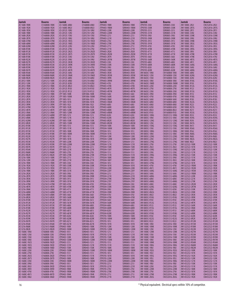|                                  | <b>Bourns</b>                  | Jantek                           | <b>Bourns</b>                  | Jantek                       | <b>Bourns</b>                |                                                |                                | Jantek                                         | Bourns                         |
|----------------------------------|--------------------------------|----------------------------------|--------------------------------|------------------------------|------------------------------|------------------------------------------------|--------------------------------|------------------------------------------------|--------------------------------|
| <b>Jantek</b><br>JCI 1608-1R0K   | CS160808-1R0K                  | JCI-1608C-6N8J                   | CI160808-6N8J                  | JTP0403-1R8K                 | SDR0403-1R8K                 | Jantek<br>JTP0705-330J                         | <b>Bourns</b><br>SDR0805-330J  | <b>JWI 1008C-2R2J</b>                          | CW252016-2R2J                  |
| JCI 1608-1R2K                    | CS160808-1R2K                  | JCI-1608C-8N2J                   | CI160808-8N2J                  | JTP0403-1R8M                 | SDR0403-1R8M                 | JTP0705-330K                                   | SDR0805-330K                   | <b>JWI 1008C-2R7G</b>                          | CW252016-2R7G                  |
| JCI 1608-1R5K                    | CS160808-1R5K                  | JCI-2012C-10NJ                   | CI201210-10NJ                  | JTP0403-220K                 | SDR0403-220K                 | JTP0705-331J                                   | SDR0805-331J                   | <b>JWI 1008C-2R7J</b>                          | CW252016-2R7J                  |
| JCI 1608-1R8K                    | CS160808-1R8K                  | JCI-2012C-12NJ                   | CI201210-12NJ                  | JTP0403-220M                 | SDR0403-220M                 | JTP0705-331K                                   | SDR0805-331K                   | <b>JWI 1008C-33NJ</b>                          | CW252016-33NJ                  |
| JCI 1608-2R2K                    | CS160808-2R2K                  | JCI-2012C-15NJ                   | CI201210-15NJ                  | JTP0403-221J                 | SDR0403-221J                 | JTP0705-390J                                   | SDR0805-390J                   | <b>JWI 1008C-33NK</b>                          | CW252016-33NK                  |
| JCI 1608-2R7K                    | CS160808-2R7K                  | JCI-2012C-18NJ                   | CI201210-18NJ                  | JTP0403-221K                 | SDR0403-221K                 | JTP0705-390K                                   | SDR0805-390K                   | <b>JWI 1008C-39NJ</b>                          | CW252016-39NJ                  |
| JCI 1608-47NK                    | CS160808-47NK                  | JCI-2012C-1N5S                   | CI201210-1N5D                  | JTP0403-270J                 | SDR0403-270J                 | JTP0705-391J                                   | SDR0805-391J                   | <b>JWI 1008C-39NK</b>                          | CW252016-39NK                  |
| JCI 1608-68NK                    | CS160808-68NK                  | JCI-2012C-1N8S                   | CI201210-1N8D                  | JTP0403-270K                 | SDR0403-270K                 | JTP0705-391K                                   | SDR0805-391K                   | JWI 1008C-3R3G                                 | CW252016-3R3G                  |
| JCI 1608-82NK                    | CS160808-82NK                  | JCI-2012C-22NJ                   | CI201210-22NJ                  | JTP0403-271J                 | SDR0403-271J                 | JTP0705-470J                                   | SDR0805-470J                   | <b>JWI 1008C-3R3J</b>                          | CW252016-3R3J                  |
| JCI 1608-R10K<br>JCI 1608-R12K   | CS160808-R10K<br>CS160808-R12K | JCI-2012C-27NJ<br>JCI-2012C-2N2S | CI201210-27NJ<br>CI201210-2N2D | JTP0403-271K<br>JTP0403-2R2K | SDR0403-271K<br>SDR0403-2R2K | JTP0705-470K<br>JTP0705-471J                   | SDR0805-470K<br>SDR0805-471J   | <b>JWI 1008C-3R9G</b><br>JWI 1008C-3R9J        | CW252016-3R9G<br>CW252016-3R9J |
| JCI 1608-R15K                    | CS160808-R15K                  | JCI-2012C-2N7S                   | CI201210-2N7D                  | JTP0403-2R2M                 | SDR0403-2R2M                 | JTP0705-471K                                   | SDR0805-471K                   | <b>JWI 1008C-47NK</b>                          | CW252016-47NK                  |
| JCI 1608-R18K                    | CS160808-R18K                  | JCI-2012C-33NJ                   | CI201210-33NJ                  | JTP0403-2R7K                 | SDR0403-2R7K                 | JTP0705-560J                                   | SDR0805-560J                   | <b>JWI 1008C-47NK</b>                          | CW252016-47NJ                  |
| JCI 1608-R22K                    | CS160808-R22K                  | JCI-2012C-39NJ                   | CI201210-39NJ                  | JTP0403-2R7M                 | SDR0403-2R7M                 | JTP0705-560K                                   | SDR0805-560K                   | <b>JWI 1008C-4R7G</b>                          | CW252016-4R7G                  |
| JCI 1608-R27K                    | CS160808-R27K                  | JCI-2012C-3N3K                   | CI201210-3N3D                  | JTP0403-330J                 | SDR0403-330J                 | JTP0705-680J                                   | SDR0805-680J                   | <b>JWI 1008C-4R7J</b>                          | CW252016-4R7J                  |
| JCI 1608-R33K                    | CS160808-R33K                  | JCI-2012C-3N9K                   | CI201210-3N9D                  | JTP0403-330K                 | SDR0403-330K                 | JTP0705-680K                                   | SDR0805-680K                   | <b>JWI 1008C-56NG</b>                          | CW252016-56NG                  |
| JCI 1608-R39K                    | CS160808-R39K                  | JCI-2012C-47NJ                   | CI201210-47NJ                  | JTP0403-390J                 | SDR0403-390J                 | JTP0705-820J                                   | SDR0805-820J                   | <b>JWI 1008C-56NJ</b>                          | CW252016-56NJ                  |
| JCI 1608-R47K                    | CS160808-R47K                  | JCI-2012C-4N7K                   | CI201210-4N7D                  | JTP0403-390K                 | SDR0403-390K                 | JTP0705-820K                                   | SDR0805-820K                   | <b>JWI 1008C-68NG</b>                          | CW252016-68NG                  |
| JCI 1608-R56K<br>JCI 1608-R68K   | CS160808-R56K<br>CS160808-R68K | JCI-2012C-56NJ<br>JCI-2012C-5N6K | CI201210-56NJ<br>CI201210-5N6D | JTP0403-3R3K<br>JTP0403-3R3M | SDR0403-3R3K<br>SDR0403-3R3M | JWI 0603C-10NJ<br>JWI 0603C-12NJ               | CW160808-10NJ<br>CW160808-12NJ | <b>JWI 1008C-68NJ</b><br><b>JWI 1008C-82NG</b> | CW252016-68NJ<br>CW252016-82NG |
| JCI 1608-R82K                    | CS160808-R82K                  | JCI-2012C-68NJ                   | CI201210-68NJ                  | JTP0403-3R9K                 | SDR0403-3R9K                 | <b>JWI 0603C-15NJ</b>                          | CW160808-15NJ                  | <b>JWI 1008C-82NJ</b>                          | CW252016-82NJ                  |
| JCI 2012-100K                    | CS201212-100K                  | JCI-2012C-6N8J                   | CI201210-6N8J                  | JTP0403-3R9M                 | SDR0403-3R9M                 | JWI 0603C-18NJ                                 | CW160808-18NJ                  | <b>JWI 1008C-R10G</b>                          | CW252016-R10G                  |
| JCI 2012-120K                    | CS201212-120K                  | JCI-2012C-82NJ                   | CI201210-82NJ                  | JTP0403-470J                 | SDR0403-470J                 | JWI 0603C-1N8D                                 | CW160808-1N8M                  | <b>JWI 1008C-R10J</b>                          | CW252016-R10J                  |
| JCI 2012-1R0K                    | CS201212-1R0K                  | JCI-2012C-8N2J                   | CI201210-8N2J                  | JTP0403-470K                 | SDR0403-470K                 | JWI 0603C-22NJ                                 | CW160808-22NJ                  | <b>JWI 1008C-R12G</b>                          | CW252016-R12G                  |
| JCI 2012-1R2K                    | CS201212-1R2K                  | JCI-2012C-R10J                   | CI201210-R10J                  | JTP0403-4R7K                 | SDR0403-4R7K                 | JWI 0603C-27NJ                                 | CW160808-27NJ                  | <b>JWI 1008C-R12J</b>                          | CW252016-R12J                  |
| JCI 2012-1R5K                    | CS201212-1R5K                  | JCI-2012C-R12J                   | CI201210-R12J                  | JTP0403-4R7M                 | SDR0403-4R7M                 | JWI 0603C-33NJ                                 | CW160808-33NJ                  | <b>JWI 1008C-R15G</b>                          | CW252016-R15G                  |
| JCI 2012-1R8K                    | CS201212-1R8K                  | JTP 1005-100K                    | SDR1006-100K                   | JTP0403-560J                 | SDR0403-560J                 | JWI 0603C-39NJ                                 | CW160808-39NJ                  | <b>JWI 1008C-R15J</b>                          | CW252016-R15J                  |
| JCI 2012-2R2K<br>JCI 2012-2R7K   | CS201212-2R2K<br>CS201212-2R7K | JTP 1005-100M<br>JTP 1005-101J   | SDR1006-100M<br>SDR1006-101J   | JTP0403-560K<br>JTP0403-5R6K | SDR0403-560K<br>SDR0403-5R6K | JWI 0603C-47NJ<br>JWI 0603C-56NJ               | CW160808-47NJ<br>CW160808-56NJ | <b>JWI 1008C-R18G</b><br><b>JWI 1008C-R18J</b> | CW252016-R18G<br>CW252016-R18J |
| JCI 2012-3R3K                    | CS201212-3R3K                  | JTP 1005-101K                    | SDR1006-101K                   | JTP0403-5R6M                 | SDR0403-5R6M                 | JWI 0603C-68NJ                                 | CW160808-68NJ                  | <b>JWI 1008C-R22G</b>                          | CW252016-R22G                  |
| JCI 2012-3R9K                    | CS201212-3R9K                  | JTP 1005-102J                    | SDR1006-102J                   | JTP0403-680J                 | SDR0403-680J                 | JWI 0603C-6N8J                                 | CW160808-6N8J                  | <b>JWI 1008C-R22J</b>                          | CW252016-R22J                  |
| JCI 2012-47NK                    | CS201212-47NK                  | JTP 1005-102K                    | SDR1006-102K                   | JTP0403-680K                 | SDR0403-680K                 | JWI 0603C-82NJ                                 | CW160808-82NJ                  | <b>JWI 1008C-R27G</b>                          | CW252016-R27G                  |
| JCI 2012-4R7K                    | CS201212-4R7K                  | JTP 1005-120K                    | SDR1006-120K                   | JTP0403-6R8K                 | SDR0403-6R8K                 | JWI 0603C-8N2J                                 | CW160808-8N2J                  | <b>JWI 1008C-R27J</b>                          | CW252016-R27J                  |
| JCI 2012-5R6K                    | CS201212-5R6K                  | JTP 1005-120M                    | SDR1006-120M                   | JTP0403-6R8M                 | SDR0403-6R8M                 | JWI 0603C-R10J                                 | CW160808-R10J                  | JWI 1008C-R33G                                 | CW252016-R33G                  |
| JCI 2012-68NK                    | CS201212-68NK                  | JTP 1005-121J                    | SDR1006-121J                   | JTP0403-820J                 | SDR0403-820J                 | <b>JWI 0805C-10NG</b>                          | CW201212-10NG                  | <b>JWI 1008C-R33J</b>                          | CW252016-R33J                  |
| JCI 2012-6R8K                    | CS201212-6R8K                  | JTP 1005-121K                    | SDR1006-121K                   | JTP0403-820K                 | SDR0403-820K                 | JWI 0805C-10NJ                                 | CW201212-10NJ                  | JWI 1008C-R39G                                 | CW252016-R39G                  |
| JCI 2012-82NK                    | CS201212-82NK                  | JTP 1005-150K                    | SDR1006-150K                   | JTP0403-8R2K                 | SDR0403-8R2K                 | JWI 0805C-12NG                                 | CW201212-12NG                  | JWI 1008C-R39J                                 | CW252016-R39J<br>CW252016-R47G |
| JCI 2012-8R2K<br>JCI 2012-R10K   | CS201212-8R2K<br>CS201212-R10K | JTP 1005-150M<br>JTP 1005-151J   | SDR1006-150M<br>SDR1006-151J   | JTP0403-8R2M<br>JTP0504-100K | SDR0403-8R2M<br>SDR0604-100K | JWI 0805C-12NJ<br>JWI 0805C-15NG               | CW201212-12NJ<br>CW201212-15NG | <b>JWI 1008C-R47G</b><br>JWI 1008C-R47J        | CW252016-R47J                  |
| JCI 2012-R12K                    | CS201212-R12K                  | JTP 1005-151K                    | SDR1006-151K                   | JTP0504-100M                 | SDR0604-100M                 | JWI 0805C-15NJ                                 | CW201212-15NJ                  | <b>JWI 1008C-R56G</b>                          | CW252016-R56G                  |
| JCI 2012-R15K                    | CS201212-R15K                  | JTP 1005-180K                    | SDR1006-180K                   | JTP0504-101J                 | SDR0604-101J                 | JWI 0805C-18NG                                 | CW201212-18NG                  | <b>JWI 1008C-R56J</b>                          | CW252016-R56J                  |
| JCI 2012-R18K                    | CS201212-R18K                  | JTP 1005-180M                    | SDR1006-180M                   | JTP0504-101K                 | SDR0604-101K                 | JWI 0805C-18NJ                                 | CW201212-18NJ                  | <b>JWI 1008C-R68G</b>                          | CW252016-R68G                  |
| JCI 2012-R22K                    | CS201212-R22K                  | JTP 1005-181J                    | SDR1006-181J                   | JTP0504-120K                 | SDR0604-120K                 | JWI 0805C-22NG                                 | CW201212-22NG                  | <b>JWI 1008C-R68J</b>                          | CW252016-R68J                  |
| JCI 2012-R27K                    | CS201212-R27K                  | JTP 1005-181K                    | SDR1006-181K                   | JTP0504-120M                 | SDR0604-120M                 | JWI 0805C-22NJ                                 | CW201212-22NJ                  | <b>JWI 1008C-R82G</b>                          | CW252016-R82G                  |
| JCI 2012-R33K                    | CS201212-R33K                  | JTP 1005-220K                    | SDR1006-220K                   | JTP0504-121J                 | SDR0604-121J                 | JWI 0805C-27NG                                 | CW201212-27NG                  | <b>JWI 1008C-R82J</b>                          | CW252016-R82J                  |
| JCI 2012-R39K                    | CS201212-R39K                  | JTP 1005-220M                    | SDR1006-220M                   | JTP0504-121K                 | SDR0604-121K                 | JWI 0805C-27NJ                                 | CW201212-27NJ                  | JWI 322522-100K                                | CM322522-100K                  |
| JCI 2012-R47K                    | CS201212-R47K                  | JTP 1005-221J                    | SDR1006-221J                   | JTP0504-150K                 | SDR0604-150K                 | JWI 0805C-2N2J                                 | CW201212-2N2J                  | JWI 322522-101K                                | CM322522-101K                  |
| JCI 2012-R56K<br>JCI 2012-R68K   | CS201212-R56K<br>CS201212-R68K | JTP 1005-221K<br>JTP 1005-270J   | SDR1006-221K<br>SDR1006-270J   | JTP0504-150Y<br>JTP0504-151J | SDR0604-150Y<br>SDR0604-151J | JWI 0805C-33NG<br>JWI 0805C-33NJ               | CW201212-33NG<br>CW201212-33NJ | JWI 322522-120K<br>JWI 322522-121K             | CM322522-120K<br>CM322522-121K |
| JCI 2012-R82K                    | CS201212-R82K                  | JTP 1005-270K                    | SDR1006-270K                   | JTP0504-151K                 | SDR0604-151K                 | JWI 0805C-39NG                                 | CW201212-39NG                  | JWI 322522-150K                                | CM322522-150K                  |
| JCI 3216-100K                    | CS321613-100K                  | JTP 1005-271J                    | SDR1006-271J                   | JTP0504-180K                 | SDR0604-180K                 | JWI 0805C-39NJ                                 | CW201212-39NJ                  | JWI 322522-151K                                | CM322522-151K                  |
| JCI 3216-120K                    | CS321613-120K                  | JTP 1005-271K                    | SDR1006-271K                   | JTP0504-180Y                 | SDR0604-180Y                 | JWI 0805C-3N3J                                 | CW201212-3N3J                  | JWI 322522-180K                                | CM322522-180K                  |
| JCI 3216-1R0K                    | CS321613-1R0K                  | JTP 1005-330J                    | SDR1006-330J                   | JTP0504-181J                 | SDR0604-181J                 | JWI 0805C-47NG                                 | CW201212-47NG                  | JWI 322522-181K                                | CM322522-181K                  |
| JCI 3216-1R2K                    | CS321613-1R2K                  | JTP 1005-330K                    | SDR1006-330K                   | JTP0504-181K                 | SDR0604-181K                 | JWI 0805C-47NJ                                 | CW201212-47NJ                  | JWI 322522-1R0M                                | CM322522-1R0K                  |
| JCI 3216-1R5K                    | CS321613-1R5K                  | JTP 1005-331J                    | SDR1006-331J                   | JTP0504-220K                 | SDR0604-220K                 | JWI 0805C-4N7J                                 | CW201212-4N7J                  | JWI 322522-1R2M                                | CM322522-1R2K                  |
| JCI 3216-1R8K                    | CS321613-1R8K                  | JTP 1005-331K                    | SDR1006-331K                   | JTP0504-220Y                 | SDR0604-220Y<br>SDR0604-221J | JWI 0805C-56NG                                 | CW201212-56NG                  | JWI 322522-1R5M                                | CM322522-1R5K                  |
| JCI 3216-2R2K<br>JCI 3216-2R7K   | CS321613-2R2K<br>CS321613-2R7K | JTP 1005-390J<br>JTP 1005-390K   | SDR1006-390J<br>SDR1006-390K   | JTP0504-221J<br>JTP0504-221K | SDR0604-221K                 | JWI 0805C-56NJ<br>JWI 0805C-68NG               | CW201212-56NJ<br>CW201212-68NG | JWI 322522-1R8M<br>JWI 322522-220K             | CM322522-1R8K<br>CM322522-220K |
| JCI 3216-3R3K                    | CS321613-3R3K                  | JTP 1005-391J                    | SDR1006-391J                   | JTP0504-270K                 | SDR0604-270K                 | JWI 0805C-68NJ                                 | CW201212-68NJ                  | JWI 322522-221K                                | CM322522-221K                  |
| JCI 3216-3R9K                    | CS321613-3R9K                  | JTP 1005-391K                    | SDR1006-391K                   | JTP0504-270Y                 | SDR0604-270Y                 | JWI 0805C-6N8G                                 | CW201212-6N8G                  | JWI 322522-270K                                | CM322522-270K                  |
| JCI 3216-47NK                    | CS321613-47NK                  | JTP 1005-470J                    | SDR1006-470J                   | JTP0504-330J                 | SDR0604-330J                 | JWI 0805C-6N8J                                 | CW201212-6N8J                  | <b>JWI 322522-2R2M</b>                         | CM322522-2R2K                  |
| <b>JCI 3216-4R7K</b>             | CS321613-4R7K                  | JTP 1005-470K                    | SDR1006-470K                   | JTP0504-330K                 | SDR0604-330K                 | <b>JWI 0805C-82NG</b>                          | CW201212-82NG                  | <b>JWI 322522-2R7M</b>                         | CM322522-2R7K                  |
| JCI 3216-5R6K                    | CS321613-5R6K                  | JIP 1005-471J                    | SDR1006-471J                   | JIP0504-390J                 | SDR0604-390J                 | <b>JWI 0805C-82NJ</b>                          | CW201212-82NJ                  | JWI 322522-330K                                | CM322522-330K                  |
| JCI 3216-68NK                    | CS321613-68NK                  | JTP 1005-471K                    | SDR1006-471K                   | JTP0504-390K                 | SDR0604-390K                 | JWI 0805C-8N2G                                 | CW201212-8N2G                  | JWI 322522-390K                                | CM322522-390K                  |
| JCI 3216-6R8K                    | CS321613-6R8K                  | JTP 1005-560J                    | SDR1006-560J                   | JTP0504-470J                 | SDR0604-470J                 | JWI 0805C-8N2J                                 | CW201212-8N2J                  | JWI 322522-3R3K                                | CM322522-3R3K                  |
| JCI 3216-8R2K<br>JCI 3216-R10K   | CS321613-8R2K<br>CS321613-R10K | JTP 1005-560K<br>JTP 1005-561J   | SDR1006-560K<br>SDR1006-561J   | JTP0504-470K<br>JTP0504-560J | SDR0604-470K<br>SDR0604-560J | JWI 0805C-R10G<br>JWI 0805C-R10J               | CW201212-R10G<br>CW201212-R10J | <b>JWI 322522-3R9K</b><br>JWI 322522-470K      | CM322522-3R9K<br>CM322522-470K |
| JCI 3216-R12K                    | CS321613-R12K                  | JTP 1005-561K                    | SDR1006-561K                   | JTP0504-560K                 | SDR0604-560K                 | JWI 0805C-R12G                                 | CW201212-R12G                  | <b>JWI 322522-4R7K</b>                         | CM322522-4R7K                  |
| JCI 3216-R15K                    | CS321613-R15K                  | JTP 1005-680J                    | SDR1006-680J                   | JTP0504-680J                 | SDR0604-680J                 | JWI 0805C-R12J                                 | CW201212-R12J                  | JWI 322522-560K                                | CM322522-560K                  |
| JCI 3216-R18K                    | CS321613-R18K                  | JTP 1005-680K                    | SDR1006-680K                   | JTP0504-680K                 | SDR0604-680K                 | JWI 0805C-R15G                                 | CW201212-R15G                  | JWI 322522-5R6K                                | CM322522-5R6K                  |
| JCI 3216-R22K                    | CS321613-R22K                  | JTP 1005-681J                    | SDR1006-681J                   | JTP0504-820J                 | SDR0604-820J                 | JWI 0805C-R15J                                 | CW201212-R15J                  | JWI 322522-680K                                | CM322522-680K                  |
| JCI 3216-R27K                    | CS321613-R27K                  | JTP 1005-681K                    | SDR1006-681K                   | JTP0504-820K                 | SDR0604-820K                 | JWI 0805C-R18G                                 | CW201212-R18G                  | JWI 322522-6R8K                                | CM322522-6R8K                  |
| JCI 3216-R33K                    | CS321613-R33K<br>CS321613-R39K | JTP 1005-820J                    | SDR1006-820J<br>SDR1006-820K   | JTP0705-100K<br>JTP0705-100M | SDR0805-100K<br>SDR0805-100M | JWI 0805C-R18J<br>JWI 0805C-R22G               | CW201212-R18J<br>CW201212-R22G | JWI 322522-820K<br><b>JWI 322522-8R2K</b>      | CM322522-820K<br>CM322522-8R2K |
| JCI 3216-R39K<br>JCI 3216-R47K   | CS321613-R47K                  | JTP 1005-820K<br>JTP 1005-821J   | SDR1006-821J                   | JTP0705-101J                 | SDR0805-101J                 | JWI 0805C-R22J                                 | CW201212-R22J                  | JWI 322522-R12M                                | CM322522-R12M                  |
| JCI 3216-R56K                    | CS321613-R56K                  | JTP 1005-821K                    | SDR1006-821K                   | JTP0705-101K                 | SDR0805-101K                 | <b>JWI 1008C-10NJ</b>                          | CW252016-10NJ                  | JWI 322522-R15M                                | CM322522-R15M                  |
| JCI 3216-R68K                    | CS321613-R68K                  | JTP0403-100K                     | SDR0403-100K                   | JTP0705-120K                 | SDR0805-120K                 | <b>JWI 1008C-10NK</b>                          | CW252016-10NK                  | JWI 322522-R18M                                | CM322522-R18M                  |
| JCI 3216-R82K                    | CS321613-R82K                  | JTP0403-100M                     | SDR0403-100M                   | JTP0705-120M                 | SDR0805-120M                 | <b>JWI 1008C-12NJ</b>                          | CW252016-12NJ                  | JWI 322522-R22M                                | CM322522-R22M                  |
| JCI-1608C-10NJ                   | CI160808-10NJ                  | JTP0403-101J                     | SDR0403-101J                   | JTP0705-121J                 | SDR0805-121J                 | <b>JWI 1008C-12NK</b>                          | CW252016-12NK                  | JWI 322522-R27M                                | CM322522-R27M                  |
| JCI-1608C-12NJ                   | CI160808-12NJ                  | JTP0403-101K                     | SDR0403-101K                   | JTP0705-121K                 | SDR0805-121K                 | <b>JWI 1008C-15NJ</b>                          | CW252016-15NJ                  | JWI 322522-R33M                                | CM322522-R33M                  |
| JCI-1608C-15NJ                   | CI160808-15NJ                  | JTP0403-120K                     | SDR0403-120K                   | JTP0705-150K                 | SDR0805-150K                 | <b>JWI 1008C-15NK</b>                          | CW252016-15NK                  | JWI 322522-R39M                                | CM322522-R39M                  |
| JCI-1608C-18NJ<br>JCI-1608C-1N2S | CI160808-18NJ<br>CI160808-1N2D | JTP0403-120M<br>JTP0403-121J     | SDR0403-120M<br>SDR0403-121J   | JTP0705-150M<br>JTP0705-151J | SDR0805-150M<br>SDR0805-151J | <b>JWI 1008C-18NJ</b><br><b>JWI 1008C-18NK</b> | CW252016-18NJ<br>CW252016-18NK | JWI 322522-R47M<br>JWI 322522-R56M             | CM322522-R47M<br>CM322522-R56M |
| JCI-1608C-1N5S                   | CI160808-1N5D                  | JTP0403-121K                     | SDR0403-121K                   | JTP0705-151K                 | SDR0805-151K                 | <b>JWI 1008C-1R0G</b>                          | CW252016-1R0G                  | JWI 322522-R68M                                | CM322522-R68M                  |
| JCI-1608C-1N8S                   | CI160808-1N8D                  | JTP0403-150K                     | SDR0403-150K                   | JTP0705-180K                 | SDR0805-180K                 | <b>JWI 1008C-1R0J</b>                          | CW252016-1R0J                  | JWI 322522-R82M                                | CM322522-R82M                  |
| JCI-1608C-22NJ                   | CI160808-22NJ                  | JTP0403-150M                     | SDR0403-150M                   | JTP0705-180M                 | SDR0805-180M                 | <b>JWI 1008C-1R2G</b>                          | CW252016-1R2G                  | JWI 453232-100K                                | CM453232-100K                  |
| JCI-1608C-27NJ                   | CI160808-27NJ                  | JTP0403-151J                     | SDR0403-151J                   | JTP0705-181J                 | SDR0805-181J                 | <b>JWI 1008C-1R2J</b>                          | CW252016-1R2J                  | JWI 453232-101K                                | CM453232-101K                  |
| JCI-1608C-2N2S                   | CI160808-2N2D                  | JTP0403-151K                     | SDR0403-151K                   | JTP0705-181K                 | SDR0805-181K                 | JWI 1008C-1R5G                                 | CW252016-1R5G                  | JWI 453232-102K                                | CM453232-102K                  |
| JCI-1608C-2N7S                   | CI160808-2N7D                  | JTP0403-180K                     | SDR0403-180K                   | JTP0705-220K                 | SDR0805-220K                 | <b>JWI 1008C-1R5J</b>                          | CW252016-1R5J                  | JWI 453232-120K                                | CM453232-120K                  |
| JCI-1608C-33NJ<br>JCI-1608C-39NJ | CI160808-33NJ<br>CI160808-39NJ | JTP0403-180M<br>JTP0403-181J     | SDR0403-180M<br>SDR0403-181J   | JTP0705-220M<br>JTP0705-221J | SDR0805-220M<br>SDR0805-221J | <b>JWI 1008C-1R8G</b><br><b>JWI 1008C-1R8J</b> | CW252016-1R8G<br>CW252016-1R8J | JWI 453232-121K<br>JWI 453232-150K             | CM453232-121K<br>CM453232-150K |
| JCI-1608C-3N3J                   | CI160808-3N3D                  | JTP0403-181K                     | SDR0403-181K                   | JTP0705-221K                 | SDR0805-221K                 | <b>JWI 1008C-22NJ</b>                          | CW252016-22NJ                  | JWI 453232-151K                                | CM453232-151K                  |
| JCI-1608C-3N9J                   | CI160808-3N9D                  | JTP0403-1R0K                     | SDR0403-1R0K                   | JTP0705-270J                 | SDR0805-270J                 | <b>JWI 1008C-22NK</b>                          | CW252016-22NK                  | JWI 453232-180K                                | CM453232-180K                  |
| JCI-1608C-47NJ                   | CI160808-47NJ                  | JTP0403-1R0M                     | SDR0403-1R0M                   | JTP0705-270K                 | SDR0805-270K                 | JWI 1008C-27NJ                                 | CW252016-27NJ                  | JWI 453232-181K                                | CM453232-181K                  |
| JCI-1608C-4N7J                   | CI160808-4N7D                  | JTP0403-1R4K                     | SDR0403-1R4K                   | JTP0705-271J                 | SDR0805-271J                 | <b>JWI 1008C-27NK</b>                          | CW252016-27NK                  | JWI 453232-1R0K                                | CM453232-1R0K                  |
| JCI-1608C-5N6J                   | CI160808-5N6D                  | JTP0403-1R4M                     | SDR0403-1R4M                   | JTP0705-271K                 | SDR0805-271K                 | <b>JWI 1008C-2R2G</b>                          | CW252016-2R2G                  | JWI 453232-1R2K                                | CM453232-1R2K                  |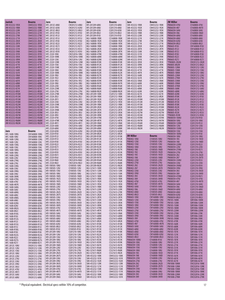| <b>Jantek</b>                         | Bourns                         | Jaro                               | <b>Bourns</b>                  | Jaro                               | <b>Bourns</b>                  | Jaro                               | <b>Bourns</b>                  | <b>JW Miller</b>                     | Bourns                         |
|---------------------------------------|--------------------------------|------------------------------------|--------------------------------|------------------------------------|--------------------------------|------------------------------------|--------------------------------|--------------------------------------|--------------------------------|
| JWI 453232-1R5K                       | CM453232-1R5K<br>CM453232-1R8K | HFC-2012C-6N8J                     | CW201212-6N8J<br>CW201212-82NJ | HFI-201209-68NJ                    | CI201210-68NJ<br>CI201210-6N8J | SMI-453232-1R0K                    | CM453232-1R0K<br>CM453232-1R2K | PM0603H-47NJ                         | CI160808-47NJ                  |
| JWI 453232-1R8K<br>JWI 453232-220K    | CM453232-220K                  | HFC-2012C-82NJ<br>HFC-2012C-8N2J   | CW201212-8N2J                  | HFI-201209-6N8J<br>HFI-201209-82NJ | CI201210-82NJ                  | SMI-453232-1R2K<br>SMI-453232-1R5K | CM453232-1R5K                  | PM0603H-4N7<br>PM0603H-56NJ          | CI160808-4N7D<br>CI160808-56NJ |
| JWI 453232-221K                       | CM453232-221K                  | HFC-2012C-R10J                     | CW201212-R10J                  | HFI-201209-8N2J                    | CI201210-8N2J                  | SMI-453232-1R8K                    | CM453232-1R8K                  | PM0603H-5N6                          | CI160808-5N6D                  |
| JWI 453232-270K                       | CM453232-270K                  | HFC-2012C-R12J                     | CW201212-R12J                  | HFI-201209-R10J                    | CI201210-R10J                  | SMI-453232-220K                    | CM453232-220K                  | PM0603H-68NJ                         | CI160808-68NJ                  |
| JWI 453232-271K                       | CM453232-271K                  | HFC-2012C-R15J                     | CW201212-R15J                  | MLI-160808-1R0K                    | CS160808-1R0K                  | SMI-453232-221K                    | CM453232-221K                  | PM0603H-6N8J                         | CI160808-6N8J                  |
| JWI 453232-2R2K                       | CM453232-2R2K                  | HFC-2012C-R18J                     | CW201212-R18J                  | MLI-160808-1R2K                    | CS160808-1R2K                  | SMI-453232-270K                    | CM453232-270K                  | PM0603H-82NJ                         | CI160808-82NJ                  |
| JWI 453232-2R7K                       | CM453232-2R7K                  | HFC-2012C-R22J                     | CW201212-R22J                  | MLI-160808-1R5K                    | CS160808-1R5K                  | SMI-453232-271K                    | CM453232-271K                  | PM0603H-8N2J                         | CI160808-8N2J                  |
| JWI 453232-330K                       | CM453232-330K                  | HFC-2012C-R27J                     | CW201212-R27J                  | MLI-160808-1R8K                    | CS160808-1R8K                  | SMI-453232-2R2K                    | CM453232-2R2K                  | PM0603-R10J                          | CW160808-R10J                  |
| JWI 453232-331K                       | CM453232-331K                  | HFC-2012C-R33J                     | CW201212-R33J                  | MLI-160808-2R2K                    | CS160808-2R2K                  | SMI-453232-2R7K                    | CM453232-2R7K                  | PM0603-R12J                          | CW160808-R12J                  |
| JWI 453232-390K                       | CM453232-390K                  | HFC-2012C-R39J                     | CW201212-R39J                  | MLI-160808-2R7K                    | CS160808-2R7K                  | SMI-453232-330K                    | CM453232-330K                  | PM0603-R15J                          | CW160808-R15J                  |
| JWI 453232-391K                       | CM453232-391K                  | HFC-2520-10NJ                      | CW252016-10NJ                  | MLI-160808-47NK                    | CS160808-47NK                  | SMI-453232-331K                    | CM453232-331K                  | PM0603-R18J                          | CW160808-R18J                  |
| JWI 453232-3R3K                       | CM453232-3R3K                  | <b>HFC-2520-10NK</b>               | CW252016-10NK                  | MLI-160808-68NK                    | CS160808-68NK                  | SMI-453232-390K                    | CM453232-390K                  | PM0603-R22J                          | CW160808-R22J                  |
| JWI 453232-3R9K                       | CM453232-3R9K                  | HFC-2520-12NJ                      | CW252016-12NJ                  | MLI-160808-82NK                    | CS160808-82NK                  | SMI-453232-391K                    | CM453232-391K                  | PM0603-R27J                          | CW160808-R27J                  |
| JWI 453232-470K                       | CM453232-470K                  | HFC-2520-12NK                      | CW252016-12NK                  | MLI-160808-R10K<br>MLI-160808-R12K | CS160808-R10K                  | SMI-453232-3R3K                    | CM453232-3R3K<br>CM453232-3R9K | *PM0805-2N2M                         | CW201212-2N2K                  |
| JWI 453232-471K<br>JWI 453232-4R7K    | CM453232-471K<br>CM453232-4R7K | HFC-2520-15NJ<br>HFC-2520-15NK     | CW252016-15NJ<br>CW252016-15NK | MLI-160808-R15K                    | CS160808-R12K<br>CS160808-R15K | SMI-453232-3R9K<br>SMI-453232-470K | CM453232-470K                  | PM0805-8N2M<br>PM0805-12NM           | CW201212-8N2J<br>CW201212-12NJ |
| JWI 453232-560K                       | CM453232-560K                  | HFC-2520-18NJ                      | CW252016-18NJ                  | MLI-160808-R18K                    | CS160808-R18K                  | SMI-453232-471K                    | CM453232-471K                  | PM0805-15NM                          | CW201212-15NJ                  |
| JWI 453232-561K                       | CM453232-561K                  | HFC-2520-18NK                      | CW252016-18NK                  | MLI-160808-R22K                    | CS160808-R22K                  | SMI-453232-4R7K                    | CM453232-4R7K                  | PM0805-18NM                          | CW201212-18NJ                  |
| JWI 453232-5R6K                       | CM453232-5R6K                  | HFC-2520-1R0J                      | CW252016-1R0J                  | MLI-160808-R27K                    | CS160808-R27K                  | SMI-453232-560K                    | CM453232-560K                  | PM0805-22NM                          | CW201212-22NJ                  |
| JWI 453232-680K                       | CM453232-680K                  | HFC-2520-1R2J                      | CW252016-1R2J                  | MLI-160808-R33K                    | CS160808-R33K                  | SMI-453232-561K                    | CM453232-561K                  | <b>PM0805-27NM</b>                   | CW201212-27NJ                  |
| JWI 453232-681K                       | CM453232-681K                  | HFC-2520-1R5J                      | CW252016-1R5J                  | MLI-160808-R39K                    | CS160808-R39K                  | SMI-453232-5R6K                    | CM453232-5R6K                  | PM0805-33NM                          | CW201212-33NJ                  |
| JWI 453232-6R8K                       | CM453232-6R8K                  | HFC-2520-1R8J                      | CW252016-1R8J                  | MLI-160808-R47K                    | CS160808-R47K                  | SMI-453232-680K                    | CM453232-680K                  | PM0805-39NM                          | CW201212-39NJ                  |
| JWI 453232-820K                       | CM453232-820K                  | HFC-2520-22NJ                      | CW252016-22NJ                  | MLI-160808-R56K                    | CS160808-R56K                  | SMI-453232-681K                    | CM453232-681K                  | PM0805-47NM                          | CW201212-47NJ                  |
| JWI 453232-821K                       | CM453232-821K                  | HFC-2520-22NK                      | CW252016-22NK                  | MLI-160808-R68K                    | CS160808-R68K                  | SMI-453232-6R8K                    | CM453232-6R8K                  | <b>PM0805-56NK</b>                   | CW201212-56NJ                  |
| JWI 453232-8R2K                       | CM453232-8R2K                  | HFC-2520-27NJ                      | CW252016-27NJ                  | MLI-160808-R82K                    | CS160808-R82K                  | SMI-453232-820K                    | CM453232-820K                  | <b>PM0805-68NK</b>                   | CW201212-68NJ                  |
| JWI 453232-R10M                       | CM453232-R10M                  | HFC-2520-27NK                      | CW252016-27NK                  | MLI-201209-100K                    | CS201212-100K                  | SMI-453232-821K                    | CM453232-821K                  | <b>PM0805-82NK</b>                   | CW201212-82NJ                  |
| JWI 453232-R12M                       | CM453232-R12M                  | HFC-2520-2R2J                      | CW252016-2R2J                  | MLI-201209-1R0K                    | CS201212-1R0K                  | SMI-453232-8R2K                    | CM453232-8R2K                  | <b>PM0805-R10K</b>                   | CW201212-R10J                  |
| JWI 453232-R15M                       | CM453232-R15M                  | HFC-2520-2R7J                      | CW252016-2R7J                  | MLI-201209-1R2K                    | CS201212-1R2K                  | SMI-453232-R10M                    | CM453232-R10M                  | <b>PM0805-R12K</b>                   | CW201212-R12J                  |
| JWI 453232-R18M                       | CM453232-R18M                  | HFC-2520-33NJ                      | CW252016-33NJ                  | MLI-201209-1R5K                    | CS201212-1R5K                  | SMI-453232-R12M                    | CM453232-R12M                  | <b>PM0805-R15K</b>                   | CW201212-R15J                  |
| JWI 453232-R22M<br>JWI 453232-R27M    | CM453232-R22M<br>CM453232-R27M | HFC-2520-33NK<br>HFC-2520-39NJ     | CW252016-33NK<br>CW252016-39NJ | MLI-201209-1R8K<br>MLI-201209-2R2K | CS201212-1R8K<br>CS201212-2R2K | SMI-453232-R15M<br>SMI-453232-R18M | CM453232-R15M<br>CM453232-R18M | <b>PM0805-R18K</b><br>PM0805-R22K    | CW201212-R18J<br>CW201212-R22J |
| JWI 453232-R33M                       | CM453232-R33M                  | HFC-2520-39NK                      | CW252016-39NK                  | MLI-201209-2R7K                    | CS201212-2R7K                  | SMI-453232-R22M                    | CM453232-R22M                  | <b>PM0805-R27K</b>                   | CW201212-R27J                  |
| JWI 453232-R39M                       | CM453232-R39M                  | HFC-2520-3R3J                      | CW252016-3R3J                  | MLI-201209-3R3K                    | CS201212-3R3K                  | SMI-453232-R27M                    | CM453232-R27M                  | PM0805-R33K                          | CW201212-R33J                  |
| JWI 453232-R47M                       | CM453232-R47M                  | HFC-2520-3R9J                      | CW252016-3R9J                  | MLI-201209-3R9K                    | CS201212-3R9K                  | SMI-453232-R33M                    | CM453232-R33M                  | *PM0805-R39K                         | CW201212-R39J                  |
| JWI 453232-R56M                       | CM453232-R56M                  | HFC-2520-47NJ                      | CW252016-47NJ                  | MLI-201209-47NK                    | CS201212-47NK                  | SMI-453232-R39M                    | CM453232-R39M                  | PM0805H-100NJ                        | CI201210-R10J                  |
| JWI 453232-R68M                       | CM453232-R68M                  | HFC-2520-47NK                      | CW252016-47NK                  | MLI-201209-4R7K                    | CS201212-4R7K                  | SMI-453232-R47M                    | CM453232-R47M                  | <b>PM0805H-10NJ</b>                  | CI201210-10NJ                  |
| JWI 453232-R82M                       | CM453232-R82M                  | HFC-2520-4R7J                      | CW252016-4R7J                  | MLI-201209-5R6K                    | CS201212-5R6K                  | SMI-453232-R56M                    | CM453232-R56M                  | PM0805H-120NJ                        | CI201210-R12J                  |
|                                       |                                | HFC-2520-56NJ                      | CW252016-56NJ                  | MLI-201209-68NK                    | CS201212-68NK                  | SMI-453232-R68M                    | CM453232-R68M                  | <b>PM0805H-12NJ</b>                  | CI201210-12NJ                  |
|                                       |                                | HFC-2520-68NJ                      | CW252016-68NJ                  | MLI-201209-6R8K                    | CS201212-6R8K                  | SMI-453232-R82M                    | CM453232-R82M                  | <b>PM0805H-150NJ</b>                 | CI201210-R15J                  |
| <b>Jaro</b>                           | Bourns                         | HFC-2520-82NJ                      | CW252016-82NJ                  | MLI-201209-82NK                    | CS201212-82NK                  |                                    |                                | PM0805H-15NJ                         | CI201210-15NJ                  |
| HFC-1608-10NG                         | CW160808-10NG                  | HFC-2520-R10J                      | CW252016-R10J                  | MLI-201209-8R2K                    | CS201212-8R2K                  |                                    |                                | PM0805H-180NJ                        | CI201210-R18J                  |
| <b>HFC-1608-10NJ</b>                  | CW160808-10NJ                  | HFC-2520-R12J                      | CW252016-R12J                  | MLI-201209-R10K                    | CS201212-R10K                  | <b>JW Miller</b>                   | <b>Bourns</b>                  | <b>PM0805H-18NJ</b>                  | CI201210-18NJ                  |
| HFC-1608-12NG                         | CW160808-12NG                  | HFC-2520-R15J                      | CW252016-R15J                  | MLI-201209-R12K                    | CS201212-R12K                  | <b>PM0402-10NJ</b>                 | CI100505-10NJ                  | PM0805H-1N5                          | CI201210-1N5D                  |
| HFC-1608-12NJ                         | CW160808-12NJ                  | HFC-2520-R18J                      | CW252016-R18J                  | MLI-201209-R15K                    | CS201212-R15K                  | PM0402-12NJ                        | CI100505-12NJ                  | <b>PM0805H-1N8</b>                   | CI201210-1N8D                  |
| HFC-1608-15NG                         | CW160808-15NG                  | HFC-2520-R22J<br>HFC-2520-R27J     | CW252016-R22J<br>CW252016-R27J | MLI-201209-R18K<br>MLI-201209-R22K | CS201212-R18K<br>CS201212-R22K | PM0402-15NJ<br>PM0402-18NJ         | CI100505-15NJ<br>CI100505-18NJ | PM0805H-220NJ<br><b>PM0805H-22NJ</b> | CI201210-R22J<br>CI201210-22NJ |
| HFC-1608-15NJ                         | CW160808-15NJ                  | HFC-2520-R33J                      | CW252016-R33J                  | MLI-201209-R27K                    | CS201212-R27K                  | PM0402-1N0                         | CI100505-1N0D                  | <b>PM0805H-270NJ</b>                 | CI201210-R27J                  |
| HFC-1608-18NG                         | CW160808-18NG                  | HFC-2520-R39J                      | CW252016-R39J                  | MLI-201209-R33K                    | CS201212-R33K                  | PM0402-1N2                         | CI100505-1N2D                  | <b>PM0805H-27NJ</b>                  | CI201210-27NJ                  |
| <b>HFC-1608-18NJ</b><br>HFC-1608-22NG | CW160808-18NJ<br>CW160808-22NG | HFC-2520-R47J                      | CW252016-R47J                  | MLI-201209-R39K                    | CS201212-R39K                  | PM0402-1N5                         | CI100505-1N5D                  | PM0805H-2N2                          | CI201210-2N2D                  |
| HFC-1608-22NJ                         | CW160808-22NJ                  | HFC-2520-R56J                      | CW252016-R56J                  | MLI-201209-R47K                    | CS201212-R47K                  | PM0402-1N8                         | CI100505-1N8D                  | PM0805H-2N7                          | CI201210-2N7D                  |
| HFC-1608-27NG                         | CW160808-27NG                  | HFC-2520-R68J                      | CW252016-R68J                  | MLI-201209-R56K                    | CS201212-R56K                  | PM0402-22NJ                        | CI100505-22NJ                  | PM0805H-330NJ                        | CI201210-R33J                  |
| HFC-1608-27NJ                         | CW160808-27NJ                  | HFC-2520-R82J                      | CW252016-R82J                  | MLI-201209-R68K                    | CS201212-R68K                  | PM0402-27NJ                        | CI100505-27NJ                  | PM0805H-33NJ                         | CI201210-33NJ                  |
| HFC-1608-33NG                         | CW160808-33NG                  | HFI-100505-10NJ                    | CI100505-10NJ                  | MLI-201209-R82K                    | CS201212-R82K                  | PM0402-2N2                         | CI100505-2N2D                  | PM0805H-390NJ                        | CI201210-R39J                  |
| HFC-1608-33NJ                         | CW160808-33NJ                  | HFI-100505-12NJ                    | CI100505-12NJ                  | MLI-321611-100K                    | CS321613-100K                  | PM0402-2N7                         | CI100505-2N7D                  | PM0805H-39NJ                         | CI201210-39NJ                  |
| HFC-1608-39NG                         | CW160808-39NG                  | HFI-100505-15NJ                    | CI100505-15NJ                  | MLI-321611-120K                    | CS321613-120K                  | PM0402-33NJ                        | CI100505-33NJ                  | PM0805H-3N3                          | CI201210-3N3D                  |
| HFC-1608-39NJ                         | CW160808-39NJ                  | HFI-100505-18NJ                    | CI100505-18NJ                  | MLI-321611-150K                    | CS321613-150K                  | PM0402-39NJ                        | CI100505-39NJ                  | PM0805H-3N9                          | CI201210-3N9D                  |
| HFC-1608-3N9K                         | CW160808-3N9K                  | HFI-100505-1N0S                    | CI100505-1N0D                  | MLI-321611-180K                    | CS321613-180K                  | PM0402-3N3                         | CI100505-3N3D                  | <b>PM0805H-470NJ</b>                 | CI201210-R47J                  |
| HFC-1608-47NG                         | CW160808-47NG                  | HFI-100505-1N2S                    | CI100505-1N2D                  | MLI-321611-1R0K                    | CS321613-1R0K                  | PM0402-3N9<br>PM0402-47NJ          | CI100505-3N9D                  | <b>PM0805H-47NJ</b>                  | CI201210-47NJ                  |
| HFC-1608-47NJ                         | CW160808-47NJ                  | HFI-100505-1N5S                    | CI100505-1N5D<br>CI100505-1N8D | MLI-321611-1R2K                    | CS321613-1R2K                  | PM0402-4N7                         | CI100505-47NJ<br>CI100505-4N7D | PM0805H-4N7                          | CI201210-4N7D                  |
| HFC-1608-4N7K                         | CW160808-4N7K                  | HFI-100505-1N8S<br>HFI-100505-22NJ | CI100505-22NJ                  | MLI-321611-1R5K<br>MLI-321611-1R8K | CS321613-1R5K<br>CS321613-1R8K | PM0402-56NJ                        | CI100505-56NJ                  | PM0805H-56NJ<br>PM0805H-5N6          | CI201210-56NJ<br>CI201210-5N6D |
| HFC-1608-56NG                         | CW160808-56NG<br>CW160808-56NJ | HH-100505-27NJ                     | CI100505-27NJ                  | MLI-321611-220K                    | CS321613-220K                  | PM0402-5N6                         | CH00505-5N6D                   | PM0805H-68NJ                         | CI201210-68NJ                  |
| HFC-1608-56NJ<br>HFC-1608-68NG        | CW160808-68NG                  | HFI-100505-2N2S                    | CI100505-2N2D                  | MLI-321611-270K                    | CS321613-270K                  | PM0402-6N8J                        | CI100505-6N8J                  | PM0805H-6N8J                         | CI201210-6N8J                  |
| HFC-1608-68NJ                         | CW160808-68NJ                  | HFI-100505-2N7S                    | CI100505-2N7D                  | MLI-321611-2R2K                    | CS321613-2R2K                  | PM0402-8N2J                        | CI100505-8N2J                  | <b>PM0805H-82NJ</b>                  | CI201210-82NJ                  |
| HFC-1608-6N8G                         | CW160808-6N8G                  | HFI-100505-33NJ                    | CI100505-33NJ                  | MLI-321611-2R7K                    | CS321613-2R7K                  | PM0603-10NJ                        | CW160808-10NJ                  | PM0805H-8N2J                         | CI201210-8N2J                  |
| HFC-1608-6N8J                         | CW160808-6N8J                  | HFI-100505-39NJ                    | CI100505-39NJ                  | MLI-321611-330K                    | CS321613-330K                  | PM0603-12NJ                        | CW160808-12NJ                  | PM105-100M                           | SDR1006-100M                   |
| HFC-1608-82NG                         | CW160808-82NG                  | HFI-100505-3N3S                    | CI100505-3N3D                  | MLI-321611-3R3K                    | CS321613-3R3K                  | PM0603-15NJ                        | CW160808-15NJ                  | PM105-120M                           | SDR1006-120M                   |
| HFC-1608-82NJ                         | CW160808-82NJ                  | HFI-100505-3N9S                    | CI100505-3N9D                  | MLI-321611-3R9K                    | CS321613-3R9K                  | PM0603-18NJ                        | CW160808-18NJ                  | PM105-150M                           | SDR1006-150M                   |
| HFC-1608-8N2G                         | CW160808-8N2G                  | HFI-100505-47NJ                    | CI100505-47NJ                  | MLI-321611-47NK                    | CS321613-47NK                  | PM0603-22NJ                        | CW160808-22NJ                  | PM105-180M                           | SDR1006-180M                   |
| HFC-1608-8N2J                         | CW160808-8N2J                  | HFI-100505-4N7S                    | CI100505-4N7D                  | MLI-321611-4R7K                    | CS321613-4R7K                  | PM0603-27NJ                        | CW160808-27NJ                  | PM105-220M                           | SDR1006-220M                   |
| HFC-1608-R10G                         | CW160808-R10G                  | HFI-100505-56NJ                    | CI100505-56NJ                  | MLI-321611-5R6K                    | CS321613-5R6K                  | PM0603-33NJ                        | CW160808-33NJ<br>CW160808-39NJ | PM105-270M                           | SDR1006-270K                   |
| HFC-1608-R10J                         | CW160808-R10J                  | HFI-100505-5N6S<br>HFI-100505-68NJ | CI100505-5N6D<br>CI100505-68NJ | MLI-321611-68NK<br>MLI-321611-6R8K | CS321613-68NK<br>CS321613-6R8K | PM0603-39NJ<br>PM0603-3N9          | CW160808-3N9K                  | PM105-330M<br>PM105-390M             | SDR1006-330K<br>SDR1006-390K   |
| HFC-1608-R12G                         | CW160808-R12G                  | HFI-100505-6N8J                    | CI100505-6N8J                  | MLI-321611-8R2K                    | CS321613-8R2K                  | PM0603-47NJ                        | CW160808-47NJ                  | PM105-470K                           | SDR1006-470K                   |
| HFC-1608-R12J                         | CW160808-R12J                  | HFI-100505-82NJ                    | CI100505-82NJ                  | MLI-321611-R10K                    | CS321613-R10K                  | PM0603-4N7                         | CW160808-4N7K                  | PM105-560K                           | SDR1006-560K                   |
| HFC-1608-R15G<br>HFC-1608-R15J        | CW160808-R15G<br>CW160808-R15J | HFI-100505-8N2J                    | CI100505-8N2J                  | MLI-321611-R12K                    | CS321613-R12K                  | PM0603-56NJ                        | CW160808-56NJ                  | PM105-680K                           | SDR1006-680K                   |
| HFC-1608-R18G                         | CW160808-R18G                  | HFI-100505-R10J                    | CI100505-R10J                  | MLI-321611-R15K                    | CS321613-R15K                  | PM0603-68NJ                        | CW160808-68NJ                  | PM105-820K                           | SDR1006-820K                   |
| HFC-1608-R18J                         | CW160808-R18J                  | HFI-201209-10NJ                    | CI201210-10NJ                  | MLI-321611-R18K                    | CS321613-R18K                  | PM0603-6N8J                        | CW160808-6N8J                  | PM105-101K                           | SDR1006-101K                   |
| HFC-1608-R22G                         | CW160808-R22G                  | HFI-201209-12NJ                    | CI201210-12NJ                  | MLI-321611-R22K                    | CS321613-R22K                  | PM0603-82NJ                        | CW160808-82NJ                  | PM105-121K                           | SDR1006-121K                   |
| HFC-1608-R22J                         | CW160808-R22J                  | HFI-201209-15NJ                    | CI201210-15NJ                  | MLI-321611-R27K                    | CS321613-R27K                  | PM0603-8N2J                        | CW160808-8N2J                  | PM105-151K                           | SDR1006-151K                   |
| HFC-1608-R27G                         | CW160808-R27G                  | HFI-201209-18NJ                    | CI201210-18NJ                  | MLI-321611-R33K                    | CS321613-R33K                  | PM0603H-100NJ                      | CI160808-R10J                  | PM105-181K                           | SDR1006-181K                   |
| HFC-1608-R27J                         | CW160808-R27J                  | HFI-201209-1N5S                    | CI201210-1N5D                  | MLI-321611-R39K                    | CS321613-R39K                  | PM0603H-10NJ                       | CI160808-10NJ                  | PM105-221K                           | SDR1006-221K                   |
| <b>HFC-2012C-10NJ</b>                 | CW201212-10NJ                  | HFI-201209-1N8S                    | CI201210-1N8D                  | MLI-321611-R47K                    | CS321613-R47K                  | PM0603H-12NJ                       | CI160808-12NJ                  | PM105-271K                           | SDR1006-271K                   |
| HFC-2012C-12NJ                        | CW201212-12NJ                  | HFI-201209-22NJ                    | CI201210-22NJ                  | MLI-321611-R56K                    | CS321613-R56K                  | PM0603H-15NJ                       | CI160808-15NJ                  | PM105-331K                           | SDR1006-331K                   |
| HFC-2012C-15NJ                        | CW201212-15NJ                  | HFI-201209-27NJ                    | CI201210-27NJ                  | MLI-321611-R68K                    | CS321613-R68K                  | PM0603H-18NJ                       | CI160808-18NJ                  | PM105-391K                           | SDR1006-391K                   |
| HFC-2012C-18NJ                        | CW201212-18NJ                  | HFI-201209-2N2S<br>HFI-201209-2N7S | CI201210-2N2D<br>CI201210-2N7D | MLI-321611-R82K<br>SMI-453232-100K | CS321613-R82K<br>CM453232-100K | PM0603H-1N5<br>PM0603H-1N8         | CI160808-1N5D<br>CI160808-1N8D | PM105-471K<br>PM105-561K             | SDR1006-471K<br>SDR1006-561K   |
| HFC-2012C-22NJ                        | CW201212-22NJ                  | HFI-201209-33NJ                    | CI201210-33NJ                  | SMI-453232-101K                    | CM453232-101K                  | PM0603H-22NJ                       | CI160808-22NJ                  | PM105-681K                           | SDR1006-681K                   |
| HFC-2012C-27NJ                        | CW201212-27NJ                  | HFI-201209-39NJ                    | CI201210-39NJ                  | SMI-453232-102K                    | CM453232-102K                  | PM0603H-27NJ                       | CI160808-27NJ                  | PM105-821K                           | SDR1006-821K                   |
| HFC-2012C-33NJ<br>HFC-2012C-39NJ      | CW201212-33NJ<br>CW201212-39NJ | HFI-201209-3N3S                    | CI201210-3N3D                  | SMI-453232-120K                    | CM453232-120K                  | PM0603H-2N2                        | CI160808-2N2D                  | PM1008-10NM                          | <b>CW252016-10NK</b>           |
| HFC-2012C-3N3J                        | CW201212-3N3J                  | HFI-201209-3N9S                    | CI201210-3N9D                  | SMI-453232-121K                    | CM453232-121K                  | PM0603H-2N7                        | CI160808-2N7D                  | PM1008-12NM                          | CW252016-12NK                  |
| HFC-2012C-47NJ                        | CW201212-47NJ                  | HFI-201209-47NJ                    | CI201210-47NJ                  | SMI-453232-150K                    | CM453232-150K                  | PM0603H-33NJ                       | CI160808-33NJ                  | PM1008-15NM                          | CW252016-15NK                  |
| HFC-2012C-4N7J                        | CW201212-4N7J                  | HFI-201209-4N7S                    | CI201210-4N7D                  | SMI-453232-151K                    | CM453232-151K                  | PM0603H-39NJ                       | CI160808-39NJ                  | PM1008-18NM                          | CW252016-18NK                  |
| HFC-2012C-56NJ                        | CW201212-56NJ                  | HFI-201209-56NJ                    | CI201210-56NJ                  | SMI-453232-180K                    | CM453232-180K                  | PM0603H-3N3                        | CI160808-3N3D                  | PM1008-22NM                          | CW252016-22NK                  |
| <b>HFC-2012C-68NJ</b>                 | CW201212-68NJ                  | HFI-201209-5N6S                    | CI201210-5N6D                  | SMI-453232-181K                    | CM453232-181K                  | PM0603H-3N9                        | CI160808-3N9D                  | PM1008-27NM                          | CW252016-27NK                  |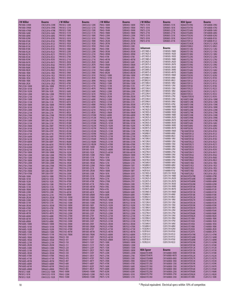| <b>JW</b> Miller                         | <b>Bourns</b>                  | J W Miller                          | <b>Bourns</b>                  | J W Miller                           | Bourns                       | J W Miller                                 | <b>Bourns</b>                  | KOA Speer                                  | <b>Bourns</b>                  |
|------------------------------------------|--------------------------------|-------------------------------------|--------------------------------|--------------------------------------|------------------------------|--------------------------------------------|--------------------------------|--------------------------------------------|--------------------------------|
| PM1008-33NM                              | CW252016-33NK                  | PM1812-120K                         | CM453232-120K                  | PM43-180M                            | SDR0403-180M                 | <b>PM75-151K</b>                           | SDR0805-151K                   | KQ0603TE39NJ                               | CW160808-39NJ                  |
| PM1008-39NM                              | CW252016-39NK                  | PM1812-121K                         | CM453232-121K                  | <b>PM43-1R0M</b>                     | SDR0403-1R0M                 | PM75-181K                                  | SDR0805-181K                   | KQ0603TE47NJ                               | CW160808-47NJ                  |
| PM1008-47NM                              | CW252016-47NK                  | PM1812-150K                         | CM453232-150K                  | <b>PM43-1R4M</b>                     | SDR0403-1R4M                 | <b>PM75-221K</b>                           | SDR0805-221K                   | KQ0603TE56NJ                               | CW160808-56NJ                  |
| <b>PM1008-56NK</b>                       | CW252016-56NJ                  | PM1812-151K                         | CM453232-151K                  | <b>PM43-1R8M</b>                     | SDR0403-1R8M                 | <b>PM75-271K</b>                           | SDR0805-271K                   | <b>KQ0603TE68NJ</b>                        | CW160808-68NJ                  |
| <b>PM1008-68NK</b>                       | CW252016-68NJ                  | PM1812-180K                         | CM453232-180K                  | PM43-220M                            | SDR0403-220M                 | PM75-331K                                  | SDR0805-331K                   | <b>KQ0603TE82NJ</b>                        | CW160808-82NJ                  |
| <b>PM1008-82NK</b>                       | CW252016-82NJ                  | PM1812-181K<br><b>PM1812-1R0K</b>   | CM453232-181K<br>CM453232-1R0K | PM43-270M<br><b>PM43-2R2M</b>        | SDR0403-270K<br>SDR0403-2R2M | PM75-391K<br>PM75-471K                     | SDR0805-391K<br>SDR0805-471K   | KQ0603TER10J<br>KQ0603TER12J               | CW160808-R10J<br>CW160808-R12J |
| <b>PM1008-R10K</b><br>PM1008-R12K        | CW252016-R10J<br>CW252016-R12J | <b>PM1812-1R2K</b>                  | CM453232-1R2K                  | <b>PM43-2R7M</b>                     | SDR0403-2R7M                 |                                            |                                | <b>KQ0805TE3N3K</b>                        | CW201212-2N2K                  |
| PM1008-R15K                              | CW252016-R15J                  | <b>PM1812-1R5K</b>                  | CM453232-1R5K                  | PM43-330K                            | SDR0403-330K                 |                                            |                                | K00805TE8N2J                               | CW201212-8N2J                  |
| <b>PM1008-R18K</b>                       | CW252016-R18J                  | <b>PM1812-1R8K</b>                  | CM453232-1R8K                  | PM43-390K                            | SDR0403-390K                 | Johanson                                   | <b>Bourns</b>                  | <b>KQ0805TE12NJ</b>                        | CW201212-12NJ                  |
| PM1008-R22K                              | CW252016-R22J                  | PM1812-220K                         | CM453232-220K                  | <b>PM43-3R3M</b>                     | SDR0403-3R3M                 | L-07C1N0S-E                                | CI100505-1N0D                  | <b>KQ0805TE15NJ</b>                        | CW201212-15NJ                  |
| <b>PM1008-R27K</b>                       | CW252016-R27J                  | PM1812-221K                         | CM453232-221K                  | <b>PM43-3R9M</b>                     | SDR0403-3R9M                 | L-07C1N2S-E<br>L-07C1N5S-E                 | CI100505-1N2D<br>CI100505-1N5D | <b>KQ0805TE18NJ</b>                        | CW201212-18NJ                  |
| PM1008-R33K<br>PM1008-R39K               | CW252016-R33J<br>CW252016-R39J | PM1812-270K<br>PM1812-271K          | CM453232-270K<br>CM453232-271K | PM43-470K<br><b>PM43-4R7M</b>        | SDR0403-470K<br>SDR0403-4R7M | L-07C1N8S-E                                | CI100505-1N8D                  | <b>KQ0805TE22NJ</b><br><b>KQ0805TE27NJ</b> | CW201212-22NJ<br>CW201212-27NJ |
| PM1008-R47K                              | CW252016-R47J                  | <b>PM1812-2R2K</b>                  | CM453232-2R2K                  | PM43-560K                            | SDR0403-560K                 | L-07C2N2S-E                                | CI100505-2N2D                  | <b>KQ0805TE33NJ</b>                        | CW201212-33NJ                  |
| <b>PM1008-R56K</b>                       | CW252016-R56J                  | <b>PM1812-2R7K</b>                  | CM453232-2R7K                  | <b>PM43-5R6M</b>                     | SDR0403-5R6M                 | L-07C2N7S-E                                | CI100505-2N7D                  | K00805TE39NJ                               | CW201212-39NJ                  |
| <b>PM1008-R68K</b>                       | CW252016-R68J                  | PM1812-330K                         | CM453232-330K                  | PM43-680K                            | SDR0403-680K                 | L-07C3N3S-E                                | CI100505-3N3D                  | <b>KQ0805TE47NJ</b>                        | CW201212-47NJ                  |
| <b>PM1008-R82K</b>                       | CW252016-R82J                  | PM1812-331K                         | CM453232-331K                  | <b>PM43-6R8M</b>                     | SDR0403-6R8M                 | L-07C3N9S-E                                | CI100505-3N9D<br>CI100505-4N7D | <b>KQ0805TE56NJ</b>                        | CW201212-56NJ                  |
| <b>PM1008-1R0K</b><br><b>PM1008-1R2K</b> | CW252016-1R0J<br>CW252016-1R2J | PM1812-390K<br>PM1812-391K          | CM453232-390K<br>CM453232-391K | <b>PM43-8R2M</b><br>PM5022-100M      | SDR0403-8R2M<br>SDR1806-100M | L-07C4N7S-E<br>L-07C5N6S-E                 | CI100505-5N6D                  | <b>KQ0805TE68NJ</b><br><b>KQ0805TE82NJ</b> | CW201212-68NJ<br>CW201212-82NJ |
| <b>PM1008-1R5K</b>                       | CW252016-1R5J                  | PM1812-3R3K                         | CM453232-3R3K                  | PM5022-101M                          | SDR1806-101K                 | L-07C6N8J-E                                | CI100505-6N8J                  | <b>KQ0805TER10J</b>                        | CW201212-R10J                  |
| <b>PM1008-1R8K</b>                       | CW252016-1R8J                  | PM1812-3R9K                         | CM453232-3R9K                  | PM5022-102M                          | SDR1806-102K                 | L-07C8N2J-E                                | CI100505-8N2J                  | KQ0805TER12J                               | CW201212-R12J                  |
| <b>PM1008-2R2K</b>                       | CW252016-2R2J                  | PM1812-470K                         | CM453232-470K                  | PM5022-150M                          | SDR1806-150M                 | L-07C10NJ-E                                | CI100505-10NJ                  | <b>KQ0805TER15J</b>                        | CW201212-R15J                  |
| <b>PM125SH-100M</b>                      | SRR1206-100M                   | PM1812-471K                         | CM453232-471K                  | PM5022-151M                          | SDR1806-151K                 | L-07C12NJ-E<br>L-07C15NJ-E                 | CI100505-12NJ<br>CI100505-15NJ | <b>KQ0805TER18J</b>                        | CW201212-R18J                  |
| PM125SH-101M<br>PM125SH-102M             | SRR1206-101Y<br>SRR1206-102K   | PM1812-4R7K<br>PM1812-560K          | CM453232-4R7K<br>CM453232-560K | <b>PM5022-1R0M</b><br>PM5022-220M    | SDR1806-1R0M<br>SDR1806-220M | L-07C18NJ-E                                | CI100505-18NJ                  | KQ0805TER22J<br><b>KQ0805TER27J</b>        | CW201212-R22J<br>CW201212-R27J |
| <b>PM125SH-120M</b>                      | SRR1206-120M                   | PM1812-561K                         | CM453232-561K                  | PM5022-221M                          | SDR1806-221K                 | L-07C22NJ-E                                | CI100505-22NJ                  | KQ0805TER33J                               | CW201212-R33J                  |
| <b>PM125SH-121M</b>                      | SRR1206-121Y                   | PM1812-5R6K                         | CM453232-5R6K                  | <b>PM5022-2R2M</b>                   | SDR1806-2R2M                 | L-07C27NJ-E                                | CI100505-27NJ                  | *K00805TER39J                              | CW201212-R39J                  |
| <b>PM125SH-150M</b>                      | SRR1206-150M                   | PM1812-680K                         | CM453232-680K                  | PM5022-330M                          | SDR1806-330M                 | L-07C33NJ-E                                | CI100505-33NJ                  | <b>KQ1008TE10NK</b>                        | CW252016-10NK                  |
| <b>PM125SH-151M</b>                      | SRR1206-151K                   | PM1812-681K                         | CM453232-681K                  | PM5022-331M                          | SDR1806-331K                 | L-07C39NJ-E                                | CI100505-39NJ                  | K01008TE12NK                               | CW252016-12NK                  |
| <b>PM125SH-180M</b>                      | SRR1206-180M                   | PM1812-6R8K                         | CM453232-6R8K<br>CM453232-820K | PM5022-3R3M<br>PM5022-470M           | SDR1806-3R3M<br>SDR1806-470M | L-07C47NJ-E<br>L-14C1N0S-E                 | CI100505-47NJ<br>CI160808-1N0D | <b>KQ1008TE15NK</b><br><b>KQ1008TE18NK</b> | CW252016-15NK<br>CW252016-18NK |
| PM125SH-181M<br><b>PM125SH-220M</b>      | SRR1206-181K<br>SRR1206-220M   | PM1812-820K<br>PM1812-821K          | CM453232-821K                  | PM5022-471M                          | SDR1806-471K                 | L-14C1N2S-E                                | CI160808-1N2D                  | <b>KQ1008TE22NK</b>                        | CW252016-22NK                  |
| PM125SH-221M                             | SRR1206-221K                   | <b>PM1812-8R2K</b>                  | CM453232-8R2K                  | PM5022-5R6M                          | SDR1806-5R6M                 | L-14C1N5S-E                                | CI160808-1N5D                  | K01008TE27NK                               | CW252016-27NK                  |
| <b>PM125SH-270M</b>                      | SRR1206-270M                   | PM1812-R10M                         | CM453232-R10M                  | PM5022-680M                          | SDR1806-680M                 | L-14C1N8S-E                                | CI160808-1N8D                  | <b>KQ1008TE33NK</b>                        | CW252016-33NK                  |
| <b>PM125SH-271M</b>                      | SRR1206-271K                   | PM1812-R12M                         | CM453232-R12M                  | PM5022-681M                          | SDR1806-681K                 | L-14C2N2S-E                                | CI160808-2N2D                  | K01008TE39NK                               | CW252016-39NK                  |
| PM125SH-330M                             | SRR1206-330Y                   | PM1812-R15M                         | CM453232-R15M                  | PM5022S-100M                         | SRR1806-100M                 | L-14C2N7S-E                                | CI160808-2N7D                  | <b>KQ1008TE47NK</b>                        | CW252016-47NK                  |
| PM125SH-331M                             | SRR1206-331K<br>SRR1206-390Y   | PM1812-R18M<br>PM1812-R22M          | CM453232-R18M<br>CM453232-R22M | PM5022S-101M<br>PM5022S-102M         | SRR1806-101M<br>SRR1806-102M | L-14C3N3S-E<br>L-14C3N9S-E                 | CI160808-3N3D<br>CI160808-3N9D | K01008TE56NJ<br><b>KQ1008TE68NJ</b>        | CW252016-56NJ<br>CW252016-68NJ |
| <b>PM125SH-390M</b><br>PM125SH-391M      | SRR1206-391K                   | PM1812-R27M                         | CM453232-R27M                  | PM5022S-150M                         | SRR1806-150M                 | L-14C4N7S-E                                | CI160808-4N7D                  | <b>KQ1008TE82NJ</b>                        | CW252016-82NJ                  |
| PM125SH-470M                             | SRR1206-470Y                   | PM1812-R33M                         | CM453232-R33M                  | PM5022S-151M                         | SRR1806-151M                 | L-14C5N6S-E                                | CI160808-5N6D                  | *KQ1008TER10J                              | CW252016-R10J                  |
| <b>PM125SH-471M</b>                      | SRR1206-471K                   | PM1812-R39M                         | CM453232-R39M                  | PM5022S-220M                         | SRR1806-220M                 | L-14C6N8J-E                                | CI160808-6N8J                  | *KQ1008TER12J                              | CW252016-R12J                  |
| <b>PM125SH-560M</b>                      | SRR1206-560Y                   | PM1812-R47M                         | CM453232-R47M                  | PM5022S-221M                         | SRR1806-221M                 | L-14C8N2J-E                                | CI160808-8N2J                  | *KQ1008TER15J                              | CW252016-R15J                  |
| PM125SH-561M                             | SRR1206-561K                   | PM1812-R56M                         | CM453232-R56M                  | PM5022S-330M                         | SRR1806-330M                 | L-14C10NJ-E<br>L-14C12NJ-E                 | CI160808-10NJ<br>CI160808-12NJ | *KQ1008TER18J                              | CW252016-R18J                  |
| PM125SH-680M<br>PM125SH-681M             | SRR1206-680Y<br>SRR1206-681K   | PM1812-R68M<br>PM1812-R82M          | CM453232-R68M<br>CM453232-R82M | PM5022S-331M<br>PM5022S-470M         | SRR1806-331M<br>SRR1806-470M | L-14C15NJ-E                                | CI160808-15NJ                  | *KQ1008TER22J<br>*KQ1008TER27J             | CW252016-R22J<br>CW252016-R27J |
| PM125SH-820M                             | SRR1206-820Y                   | PM3316-100M                         | SDR1005-100M                   | PM5022S-471M                         | SRR1806-471M                 | L-14C18NJ-E                                | CI160808-18NJ                  | *KQ1008TER33J                              | CW252016-R33J                  |
| <b>PM125SH-821M</b>                      | SRR1206-821K                   | PM3316-101M                         | SDR1005-101K                   | PM5022S-680M                         | SRR1806-680M                 | L-14C22NJ-E                                | CI160808-22NJ                  | *KQ1008TER39J                              | CW252016-R39J                  |
| PM127SH-100M                             | SRR1208-100M                   | PM3316-102M                         | SDR1005-102K                   | PM5022S-681M                         | SRR1806-681M                 | L-14C27NJ-E                                | CI160808-27NJ                  | *KQ1008TER47J                              | CW252016-R47J                  |
| PM127SH-120M                             | SRR1208-120M                   | PM3316-150M                         | SDR1005-150M                   | PM54-100M                            | SDR0604-100M                 | L-14C33NJ-E<br>L-14C39NJ-E                 | CI160808-33NJ<br>CI160808-39NJ | *KQ1008TER56J                              | CW252016-R56J                  |
| PM127SH-150M                             | SRR1208-150M<br>SRR1208-180M   | PM3316-151M<br>PM3316-1R0M          | SDR1005-151K<br>SDR1005-1R0M   | <b>PM54-101K</b><br>PM54-120M        | SDR0604-101K<br>SDR0604-120M | L-14C47NJ-E                                | CI160808-47NJ                  | *KQ1008TER68J<br>*KQ1008TER82J             | CW252016-R68J<br>CW252016-R82J |
| PM127SH-180M<br><b>PM127SH-220M</b>      | SRR1208-220M                   | PM3316-1R5M                         | SDR1005-1R5M                   | <b>PM54-121K</b>                     | SDR0604-121K                 | L-14C56NJ-E                                | CI160808-56NJ                  | *KQ1008TE1R0J                              | CW252016-1R0J                  |
| <b>PM127SH-270M</b>                      | SRR1208-270M                   | PM3316-220M                         | SDR1005-220M                   | PM54-150M                            | SDR0604-150Y                 | L-14C68NJ-E                                | CI160808-68NJ                  | *K01008TE1R2J                              | CW252016-1R2J                  |
| PM127SH-330M                             | SRR1208-330Y                   | PM3316-221M                         | SDR1005-221K                   | PM54-151K                            | SDR0604-151K                 | L-14C82NJ-E                                | CI160808-82NJ                  | *KQ1008TE1R5J                              | CW252016-1R5J                  |
| PM127SH-390M                             | SRR1208-390Y                   | PM3316-2R5M                         | SDR1005-2R5M                   | PM54-180M                            | SDR0604-180Y                 | L-14CR10J-E                                | CI160808-R10J                  | *KQ1008TE1R8J                              | CW252016-1R8J                  |
| PM127SH-470M                             | SRR1208-470Y                   | PM3316-330M                         | SDR1005-330K                   | <b>PM54-181K</b>                     | SDR0604-181K                 | L-15C1N5S-E<br>L-15C1N8S-E                 | CI201210-1N5D<br>CI201210-1N8D | *KQ1008TE2R2J                              | CW252016-2R2J                  |
| PM1608-100M<br>PM1608-101M               | SDR0703-100K<br>SDR0703-101K   | PM3316-331M<br>PM3316-3R3M          | SDR1005-331K<br>SDR1005-3R3M   | PM54-220M<br><b>PM54-221K</b>        | SDR0604-220Y<br>SDR0604-221K | L-15C2N2S-E                                | CI201210-2N2D                  | MCI0603HTE47NK<br>MCI0603HTE56NK           | CS160808-47NK<br>CS160808-56NK |
| PM1608-102M                              | SDR0703-102K                   | PM3316-470M                         | SDR1005-470K                   | PM54-270M                            | SDR0604-270Y                 | L-15C2N7S-E                                | CI201210-2N7D                  | MCI0603HTE68NK                             | CS160808-68NK                  |
| PM1608-150M                              | SDR0703-150K                   | PM3316-471M                         | SDR1005-471K                   | PM54-330L                            | SDR0604-330K                 | L-15C3N3S-E                                | CI201210-3N3D                  | MCI0603HTE82NK                             | CS160808-82NK                  |
| PM1608-151M                              | SDR0703-151K                   | PM3316-4R7M                         | SDR1005-4R7M                   | PM54-390L                            | SDR0604-390K                 | L-15C3N9S-E                                | CI201210-3N9D                  | MCI0603HTER10K                             | CS160808-R10K                  |
| <b>PM1608-1R0M</b>                       | SDR0703-1R0M                   | PM3316-680M                         | <b>SDR1005-680K</b>            | PM54-470L                            | SDR0604-470K                 | L-15C4N7S-E<br>L-15C5N6S-E                 | CI201210-4N7D<br>CI201210-5N6D | MCI0603HIER12K                             | CS160808-R12K                  |
| PM1608-220M<br>PM1608-221M               | SDR0703-220K<br>SDR0703-221K   | PM3316-681M<br>PM3316-6R8M          | SDR1005-681K<br>SDR1005-6R8M   | <b>PM54-560K</b><br>PM54-680K        | SDR0604-560K<br>SDR0604-680K | L-15C6N8J-E                                | CI201210-6N8J                  | MCI0603HTER15K<br>MCI0603HTER18K           | CS160808-R15K<br>CS160808-R18K |
| <b>PM1608-2R2M</b>                       | SDR0703-2R2M                   | PM3316S-100M                        | SRR1005-100M                   | <b>PM54-820K</b>                     | SDR0604-820K                 | L-15C8N2J-E                                | CI201210-8N2J                  | MCI0603HTER22K                             | CS160808-R22K                  |
| PM1608-330M                              | SDR0703-330K                   | PM3316S-120M                        | SRR1005-120M                   | PM7032S-100M                         | SRR7032-100M                 | L-15C10NJ-E                                | CI201210-10NJ                  | MCI0603HTER27K                             | CS160808-R27K                  |
| PM1608-331M                              | SDR0703-331K                   | PM3316S-150M                        | SRR1005-150M                   | PM7032S-101M                         | SRR7032-101M                 | L-15C12NJ-E                                | CI201210-12NJ                  | MCI0603HTER33K                             | CS160808-R33K                  |
| PM1608-3R3M                              | SDR0703-3R3M                   | PM3316S-180M<br><b>PM3316S-1ROM</b> | SRR1005-180Y                   | PM7032S-102M                         | SRR7032-102M                 | L-15C15NJ-E<br>L-15C18NJ-E                 | CI201210-15NJ<br>CI201210-18NJ | MCI0603HTER39K                             | CS160808-R39K<br>CS160808-R47K |
| PM1608-470M<br>PM1608-471M               | SDR0703-470K<br>SDR0703-471K   | PM3316S-1R5M                        | SRR1005-1R0M<br>SRR1005-1R5M   | PM7032S-150M<br>PM7032S-151M         | SRR7032-150M<br>SRR7032-151M | L-15C22NJ-E                                | CI201210-22NJ                  | MCI0603HTER47K<br>MCI0603HTER56K           | CS160808-R56K                  |
| PM1608-4R7M                              | SDR0703-4R7K                   | PM3316S-220M                        | SRR1005-220Y                   | PM7032S-220M                         | SRR7032-220M                 | L-15C27NJ-E                                | CI201210-27NJ                  | MCI0603HTER68K                             | CS160808-R68K                  |
| PM1608-680M                              | SDR0703-680K                   | PM3316S-270M                        | SRR1005-270Y                   | PM7032S-221M                         | SRR7032-221M                 | L-15C33NJ-E                                | CI201210-33NJ                  | MCI0603HTER82K                             | CS160808-R82K                  |
| PM1608-681M                              | SDR0703-681K                   | PM3316S-2R2M                        | SRR1005-2R2M                   | PM7032S-330M                         | SRR7032-330M                 | L-15C39NJ-E                                | CI201210-39NJ                  | MCI0603JTE1R0K                             | CS160808-1R0K                  |
| <b>PM1608-6R8M</b>                       | SDR0703-6R8K                   | PM3316S-330M                        | SRR1005-330Y                   | PM7032S-331M                         | SRR7032-331M                 | L-15C47NJ-E                                | CI201210-47NJ                  | MCI0603JTE1R2K                             | CS160808-1R2K                  |
| PM1608S-100M                             | SRR6603-100M                   | PM3316S-390M<br>PM3316S-3R0M        | SRR1005-390Y<br>SRR1005-3R0M   | PM7032S-3R3M<br>PM7032S-470M         | SRR7032-3R3M<br>SRR7032-470M | L-15C56NJ-E<br>L-15C68NJ-E                 | CI201210-56NJ<br>CI201210-68NJ | MCI0603JTE1R5K<br>MCI0603JTE1R8K           | CS160808-1R5K<br>CS160808-1R8K |
| PM1608S-101M<br>PM1608S-102M             | SRR6603-101M<br>SRR6603-102M   | PM3316S-470M                        | SRR1005-470Y                   | PM7032S-471M                         | SRR7032-471M                 | L-15C82NJ-E                                | CI201210-82NJ                  | MCI0603JTE2R2K                             | CS160808-2R2K                  |
| PM1608S-150M                             | SRR6603-150M                   | PM3316S-4R7M                        | SRR1005-4R7M                   | PM7032S-4R7M                         | SRR7032-4R7M                 | L-15CR10J-E                                | CI201210-R10J                  | MCI0603JTE2R7K                             | CS160808-2R7K                  |
| PM1608S-151M                             | SRR6603-151M                   | PM3316S-7R0M                        | <b>SRR1005-7R0M</b>            | PM7032S-680M                         | SRR7032-680M                 | L-15CR12J-E                                | CI201210-R12J                  | MCI0805HTE47NK                             | CS201212-47NK                  |
| <b>PM1608S-1R0M</b>                      | SRR6603-1R0M                   | PM42S-100                           | SRR4011-100Y                   | PM7032S-681M                         | SRR7032-681M                 | L-15CR15J-E                                | CI201210-R15J                  | MCI0805HTE56NK                             | CS201212-56NK                  |
| PM1608S-1R5M                             | SRR6603-1R5M                   | PM42S-101                           | SRR4011-101Y<br>SRR4011-150Y   | PM7032S-6R8M                         | SRR7032-6R8M                 | L-15CR18J-E<br>$L-15CR22J-E$               | CI201210-R18J<br>CI201210-R22J | MCI0805HTE68NK<br>MCI0805HTE82NK           | CS201212-68NK                  |
| PM1608S-221M<br><b>PM1608S-2R2M</b>      | SRR6603-221M<br>SRR6603-2R2M   | PM42S-150<br>PM42S-151              | SRR4011-151Y                   | <b>PM75-100K</b><br><b>PM75-120K</b> | SDR0805-100M<br>SDR0805-120M |                                            |                                | MCI0805HTER10K                             | CS201212-82NK<br>CS201212-R10K |
| PM1608S-330M                             | SRR6603-330M                   | PM42S-220                           | SRR4011-220Y                   | <b>PM75-150K</b>                     | SDR0805-150M                 |                                            |                                | MCI0805HTER12K                             | CS201212-R12K                  |
| PM1608S-331M                             | SRR6603-331M                   | <b>PM42S-2R2</b>                    | SRR4011-2R2Y                   | <b>PM75-180K</b>                     | SDR0805-180M                 | <b>KOA Speer</b>                           | <b>Bourns</b>                  | MCI0805HTER15K                             | CS201212-R15K                  |
| <b>PM1608S-3R3M</b>                      | SRR6603-3R3M                   | PM42S-330                           | SRR4011-330Y                   | <b>PM75-220K</b>                     | SDR0805-220M                 | KQ0603TE3N9K                               | CW160808-3N9D                  | MCI0805HTER18K                             | CS201212-R18K                  |
| PM1608S-470M                             | SRR6603-470M                   | PM42S-3R3                           | SRR4011-3R3Y                   | <b>PM75-270K</b>                     | SDR0805-270K                 | KQ0603TE4N7K                               | CW160808-4N7D                  | MCI0805HTER22K                             | CS201212-R22K                  |
| PM1608S-471M                             | SRR6603-471M                   | PM42S-470<br><b>PM42S-4R7</b>       | SRR4011-470Y<br>SRR4011-4R7Y   | PM75-330K<br><b>PM75-390K</b>        | SDR0805-330K<br>SDR0805-390K | <b>KQ0603TE6N8K</b><br><b>KQ0603TE10NJ</b> | CW160808-6N8J<br>CW160808-10NJ | MCI0805HTER27K<br>MCI0805HTER33K           | CS201212-R27K<br>CS201212-R33K |
| <b>PM1608S-4R7M</b><br>PM1608S-680M      | SRR6603-4R7M<br>SRR6603-680M   | PM42S-680                           | SRR4011-680Y                   | <b>PM75-470K</b>                     | SDR0805-470K                 | KQ0603TE12NJ                               | CW160808-12NJ                  | MCI0805HTER39K                             | CS201212-R39K                  |
| PM1608S-681M                             | SRR6603-681M                   | PM42S-820                           | SRR4011-820Y                   | <b>PM75-560K</b>                     | SDR0805-560K                 | KQ0603TE15NJ                               | CW160808-15NJ                  | MCI0805HTER47K                             | CS201212-R47K                  |
| PM1608S-6R8M                             | SRR6603-6R8M                   | <b>PM42S-8R2</b>                    | SRR4011-8R2Y                   | <b>PM75-680K</b>                     | SDR0805-680K                 | <b>KQ0603TE18NJ</b>                        | CW160808-18NJ                  | MCI0805HTER56K                             | CS201212-R56K                  |
| PM1812-100K                              | CM453232-100K                  | PM43-100M                           | SDR0403-100M                   | <b>PM75-820K</b>                     | SDR0805-820K                 | KQ0603TE22NJ                               | CW160808-22NJ                  | MCI0805HTER68K                             | CS201212-R68K                  |
| PM1812-101K<br>PM1812-102K               | CM453232-101K<br>CM453232-102K | PM43-120M<br>PM43-150M              | SDR0403-120M<br>SDR0403-150M   | PM75-101K<br><b>PM75-121K</b>        | SDR0805-101K<br>SDR0805-121K | KQ0603TE27NJ<br>KQ0603TE33NJ               | CW160808-27NJ<br>CW160808-33NJ | MCI0805HTER82K<br>MCI0805JTE10RK           | CS201212-R82K<br>CS201212-100K |
|                                          |                                |                                     |                                |                                      |                              |                                            |                                |                                            |                                |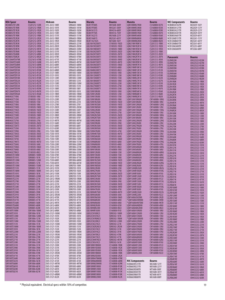| <b>KOA Speer</b>                             | Bourns                         | Midcom                         | <b>Bourns</b>                | <b>Murata</b>                          | Bourns                         | Murata                                       | Bourns                         | <b>NIC Components</b>                        | <b>Bourns</b>                  |
|----------------------------------------------|--------------------------------|--------------------------------|------------------------------|----------------------------------------|--------------------------------|----------------------------------------------|--------------------------------|----------------------------------------------|--------------------------------|
| MCI0805JTE12RK                               | CS201212-120K                  | DSS-2612-100R                  | SRR6603-100M                 | <b>BLM11P300S</b>                      | MH1608-300Y                    | LQM18NNR27K00                                | CS160808-R27K                  | <b>NCB0805A102TR</b>                         | MZ2029-102Y                    |
| MCI0805JTE1R0K                               | CS201212-1R0K                  | DSS-2612-101R                  | SRR6603-101M                 | <b>BLM31P500S</b>                      | MH3261-500Y                    | LQM18NNR33K00                                | CS160808-R33K                  | <b>NCB0805A121TR</b>                         | MG2029-121Y                    |
| MCI0805JTE1R2K                               | CS201212-1R2K                  | DSS-2612-102R<br>DSS-2612-150R | SRR6603-102M                 | <b>BLM41A151S</b>                      | MH4516-600Y                    | LQM18NNR39K00                                | CS160808-R39K                  | <b>NCB0805A221TR</b>                         | MU2029-221Y                    |
| MCI0805JTE1R5K<br>MCI0805JTE1R8K             | CS201212-1R5K<br>CS201212-1R8K | DSS-2612-151R                  | SRR6603-150M<br>SRR6603-151M | <b>BLM41P750S</b><br><b>BLM11A221S</b> | MH4516-750Y<br>MU1608-221Y     | LQM18NNR47K00<br>LQM18NNR56K00               | CS160808-R47K<br>CS160808-R56K | <b>NCB0805A301TR</b><br><b>NCB0805A601TR</b> | MU2029-301Y<br>MZ2029-601Y     |
| MCI0805JTE2R2K                               | CS201212-2R2K                  | DSS-2612-1R0R                  | SRR6603-1R0M                 | <b>BLM31A601S</b>                      | MU3261-601Y                    | LOM18NNR68K00                                | CS160808-R68K                  | <b>NCB1206B151TR</b>                         | MG3261-151Y                    |
| MCI0805JTE2R7K                               | CS201212-2R7K                  | DSS-2612-1R5R                  | SRR6603-1R5M                 | <b>BLM11A2102S</b>                     | MZ1608-102Y                    | LQM18NNR82K00                                | CS160808-R82K                  | <b>NCB1206B601TR</b>                         | MU3261-601Y                    |
| MCI0805JTE3R3K<br>MCI0805JTE3R9K             | CS201212-3R3K<br>CS201212-3R9K | DSS-2612-221R<br>DSS-2612-2R2R | SRR6603-221M<br>SRR6603-2R2M | LQG10A1N2S00T1<br>LQG10A1N5S00T1       | CI100505-1N2D<br>CI100505-1N5D | LQM21NN1R0K10<br>LOM21NN1R2K10               | CS201212-1R0K<br>CS201212-1R2K | <b>NCB1206B601TR</b><br><b>NCB1206C600TR</b> | MZ3261-601Y<br>MT3225-600Y     |
| MCI0805JTE4R7K                               | CS201212-4R7K                  | DSS-2612-330R                  | SRR6603-330M                 | LQG10A1N8S00T1                         | CI100505-1N8D                  | LQM21NN1R5K10                                | CS201212-1R5K                  | <b>NCB1206E600TR</b>                         | MT3266-600Y                    |
| MCI0805JTE5R6K                               | CS201212-5R6K                  | DSS-2612-331R                  | SRR6603-331M                 | LQG10A2N2S00T1                         | CI100505-2N2D                  | LQM21NN1R8K10                                | CS201212-1R8K                  |                                              |                                |
| MCI0805JTE6R8K                               | CS201212-6R8K                  | DSS-2612-3R3R                  | SRR6603-3R3M                 | LQG10A2N7S00T1                         | CI100505-2N7D                  | LQM21NN2R2K10                                | CS201212-2R2K                  |                                              |                                |
| MCI0805JTE8R2K<br>MCI1206HTE47NK             | CS201212-8R2K<br>CS321613-47NK | DSS-2612-470R<br>DSS-2612-471R | SRR6603-470M<br>SRR6603-471M | LQG10A3N3S00T1<br>LQG10A3N9S00T1       | CI100505-3N3D<br>CI100505-3N9D | LQM21NN2R7K10<br>LQM21NN3R3K10               | CS201212-2R7K<br>CS201212-3R3K | <b>Panasonic</b>                             | <b>Bourns</b>                  |
| MCI1206HTE56NK                               | CS321613-56NK                  | DSS-2612-4R7R                  | SRR6603-4R7M                 | LQG10A4N7S00T1                         | CI100505-4N7D                  | LQM21NN3R9K10                                | CS201212-3R9K                  | ELJFAR22M<br>ELJFAR27M                       | CM322522-R22M<br>CM322522-R27M |
| MCI1206HTE68NK                               | CS321613-68NK                  | DSS-2612-680R                  | SRR6603-680M                 | LQG10A5N6S00T1                         | CI100505-5N6D                  | LQM21NN4R7K10                                | CS201212-4R7K                  | ELJFAR33M                                    | CM322522-R33M                  |
| MCI1206HTE82NK                               | CS321613-82NK                  | DSS-2612-681R                  | SRR6603-681M                 | LQG10A6N8J00T1<br>LOG10A8N2J00T1       | CI100505-6N8J                  | LQM21NNR10K10                                | CS201212-R10K                  | ELJFAR39M                                    | CM322522-R39M                  |
| MCI1206HTER10K<br>MCI1206HTER12K             | CS321613-R10K<br>CS321613-R12K | DSS-2612-6R8R<br>DSS-5121-100R | SRR6603-6R8M<br>SRR1005-100M | LQG10A10NJ00T1                         | CI100505-8N2J<br>CI100505-10NJ | <b>LQM21NNR12K10</b><br>LQM21NNR15K10        | CS201212-R12K<br>CS201212-R15K | ELJFAR47M                                    | CM322522-R47M                  |
| MCI1206HTER15K                               | CS321613-R15K                  | DSS-5121-101K                  | SRR1005-101K                 | LQG10A12NJ00T1                         | CI100505-12NJ                  | <b>LQM21NNR18K10</b>                         | CS201212-R18K                  | ELJFAR56M<br>ELJFAR68M                       | CM322522-R56M<br>CM322522-R68M |
| MCI1206HTER18K                               | CS321613-R18K                  | DSS-5121-120R                  | SRR1005-120M                 | LQG10A15NJ00T1                         | CI100505-15NJ                  | <b>LQM21NNR22K10</b>                         | CS201212-R22K                  | ELJFAR82M                                    | CM322522-R82M                  |
| MCI1206HTER22K<br>MCI1206HTER27K             | CS321613-R22K<br>CS321613-R27K | DSS-5121-121K<br>DSS-5121-150R | SRR1005-121K<br>SRR1005-150M | LQG10A18NJ00T1<br>LQG10A22NJ00T1       | CI100505-18NJ<br>CI100505-22NJ | <b>LQM21NNR27K10</b><br><b>LQM21NNR33K10</b> | CS201212-R27K<br>CS201212-R33K | ELJFA1R0K                                    | CM322522-1R0K                  |
| MCI1206HTER33K                               | CS321613-R33K                  | DSS-5121-151K                  | SRR1005-151K                 | LQG10A27NJ00T1                         | CI100505-27NJ                  | <b>LQM21NNR39K10</b>                         | CS201212-R39K                  | ELJFA1R2K<br>ELJFA1R5K                       | CM322522-1R2K<br>CM322522-1R5K |
| MCI1206HTER39K                               | CS321613-R39K                  | DSS-5121-180R                  | SRR1005-180Y                 | LQG10A33NJ00T1                         | CI100505-33NJ                  | LQM21NNR47K10                                | CS201212-R47K                  | ELJFA1R8K                                    | CM322522-1R8K                  |
| MCI1206HTER47K                               | CS321613-R47K                  | DSS-5121-181K                  | SRR1005-181K                 | LQG15HN10NJ00                          | CI100505-10NJ                  | LQM21NNR56K10                                | CS201212-R56K                  | ELJFA2R2K                                    | CM322522-2R2K                  |
| MCI1206HTER56K<br>MHI0402CT10NJ              | CS321613-R56K<br>CI100505-10NJ | DSS-5121-1R0R<br>DSS-5121-1R5R | SRR1005-1R0M<br>SRR1005-1R5M | LQG15HN12NJ00<br>LQG15HN15NJ00         | CI100505-12NJ<br>CI100505-15NJ | <b>LOM21NNR68K10</b><br>LQM21NNR82K10        | CS201212-R68K<br>CS201212-R82K | ELJFA2R7K                                    | CM322522-2R7K                  |
| MHI0402CT12NJ                                | CI100505-12NJ                  | DSS-5121-220R                  | SRR1005-220Y                 | LQG15HN18NJ00                          | CI100505-18NJ                  | LQW15AN10NG00                                | CW160808-10NG                  | ELJFA3R3K<br>ELJFA3R9K                       | CM322522-3R3K<br>CM322522-3R9K |
| <b>MHI0402CT15NJ</b>                         | CI100505-15NJ                  | DSS-5121-221K                  | SRR1005-221K                 | LQG15HN1N2S00                          | CI100505-1N2D                  | LQW15AN10NJ00                                | CW160808-10NJ                  | ELJFA4R7K                                    | CM322522-4R7K                  |
| MHI0402CT18NJ                                | CI100505-18NJ<br>CI100505-1N0D | DSS-5121-270R                  | SRR1005-270Y                 | LOG15HN1N5S00                          | CI100505-1N5D<br>CI100505-1N8D | LQW15AN12NG00                                | CW160808-12NG                  | ELJFA5R6K                                    | CM322522-5R6K                  |
| MHI0402CT1N0S<br><b>MHI0402CT1N2S</b>        | CI100505-1N2D                  | DSS-5121-2R2R<br>DSS-5121-330R | SRR1005-2R2M<br>SRR1005-330Y | LQG15HN1N8S00<br>LQG15HN22NJ00         | CI100505-22NJ                  | LQW15AN12NJ00<br>LQW15AN15NG00               | CW160808-12NJ<br>CW160808-15NG | ELJFA6R8K                                    | CM322522-6R8K                  |
| <b>MHI0402CT1N5S</b>                         | CI100505-1N5D                  | DSS-5121-390R                  | SRR1005-390Y                 | LQG15HN27NJ00                          | CI100505-27NJ                  | LQW15AN15NJ00                                | CW160808-15NJ                  | ELJFA8R2K<br>ELJFA100K                       | CM322522-8R2K<br>CM322522-100K |
| MHI0402CT1N8S                                | CI100505-1N8D                  | DSS-5121-3ROR                  | SRR1005-3R0M                 | LQG15HN2N2S00                          | CI100505-2N2D                  | LQW15AN18NG00                                | CW160808-18NG                  | ELJFA120K                                    | CM322522-120K                  |
| MHI0402CT22NJ<br><b>MHI0402CT27NJ</b>        | CI100505-22NJ<br>CI100505-27NJ | DSS-5121-470R<br>DSS-5121-4R7R | SRR1005-470Y<br>SRR1005-4R7M | LOG15HN2N7S00<br>LQG15HN33NJ00         | CI100505-2N7D<br>CI100505-33NJ | LOW15AN18NJ00<br>LOW15AN22NG00               | CW160808-18NJ<br>CW160808-22NG | ELJFA150K                                    | CM322522-150K                  |
| <b>MHI0402CT2N2S</b>                         | CI100505-2N2D                  | DSS-5121-560R                  | SRR1005-560Y                 | LQG15HN39NJ00                          | CI100505-39NJ                  | LQW15AN22NJ00                                | CW160808-22NJ                  | ELJFA180K<br>ELJFA220K                       | CM322522-180K<br>CM322522-220K |
| <b>MHI0402CT2N7S</b>                         | CI100505-2N7D                  | DSS-5121-680R                  | SRR1005-680Y                 | LQG15HN3N3S00                          | CI100505-3N3D                  | LQW15AN27NG00                                | CW160808-27NG                  | ELJFA270K                                    | CM322522-270K                  |
| <b>MHI0402CT33NJ</b>                         | CI100505-33NJ                  | DSS-5121-820R                  | SRR1005-820Y                 | LQG15HN3N9S00                          | CI100505-3N9D                  | LQW15AN27NJ00                                | CW160808-27NJ                  | ELJFA330K                                    | CM322522-330K                  |
| MHI0402CT39NJ<br>MHI0402CT3N3S               | CI100505-39NJ<br>CI100505-3N3D | DSS-7330-100R<br>DSS-7330-101R | SRR1806-100M<br>SRR1806-101M | LQG15HN47NJ00<br>LQG15HN4N7S00         | CI100505-47NJ<br>CI100505-4N7D | LQW15AN33NG00<br>LQW15AN33NJ00               | CW160808-33NG<br>CW160808-33NJ | ELJFA390K                                    | CM322522-390K                  |
| MHI0402CT3N9S                                | CI100505-3N9D                  | DSS-7330-102R                  | SRR1806-102M                 | LQG15HN56NJ00                          | CI100505-56NJ                  | LQW15AN39NG00                                | CW160808-39NG                  | ELJFA470K<br>ELJFA560K                       | CM322522-470K<br>CM322522-560K |
| <b>MHI0402CT47NJ</b>                         | CI100505-47NJ                  | DSS-7330-150R                  | SRR1806-150M                 | LQG15HN5N6S00                          | CI100505-5N6D                  | LQW15AN39NJ00                                | CW160808-39NJ                  | ELJFA680K                                    | CM322522-680K                  |
| <b>MHI0402CT4N7S</b>                         | CI100505-4N7D                  | DSS-7330-151R                  | SRR1806-151M                 | LQG15HN68NJ00                          | CI100505-68NJ                  | LQW15AN47NG00                                | CW160808-47NG                  | ELJFA820K                                    | CM322522-820K                  |
| MHI0402CT56NJ<br>MHI0402CT5N6S               | CI100505-56NJ<br>CI100505-5N6D | DSS-7330-220R<br>DSS-7330-221R | SRR1806-220M<br>SRR1806-221M | LQG15HN6N8J00<br>LQG15HN8N2J00         | CI100505-6N8J<br>CI100505-8N2J | LQW15AN47NJ00<br>LQW15AN56NG00               | CW160808-47NJ<br>CW160808-56NG | ELJFA101K                                    | CM322522-101K                  |
| <b>MHI0402CT6N8J</b>                         | CI100505-6N8J                  | DSS-7330-330R                  | SRR1806-330M                 | LQG18HN10NJ00                          | CI160808-10NJ                  | LQW15AN56NJ00                                | CW160808-56NJ                  | ELJFA121K<br>ELJFA151K                       | CM322522-121K<br>CM322522-151K |
| MHI0402CT8N2J                                | CI100505-8N2J                  | DSS-7330-331R                  | SRR1806-331M                 | LQG18HN12NJ00                          | CI160808-12NJ                  | LQW15AN68NG00                                | CW160808-68NG                  | ELJFA181K                                    | CM322522-181K                  |
| SDR0805TE100M<br><b>SDR0805TE101K</b>        | SDR0805-100M<br>SDR0805-101K   | DSS-7330-470R<br>DSS-7330-471R | SRR1806-470M<br>SRR1806-471M | LQG18HN15NJ00<br>LQG18HN18NJ00         | CI160808-15NJ<br>CI160808-18NJ | LQW15AN68NJ00<br>LQW15AN6N8G00               | CW160808-68NJ<br>CW160808-6N8G | ELJFA221K                                    | CM322522-221K                  |
| SDR0805TE120M                                | SDR0805-120M                   | DSS-7330-680R                  | SRR1806-680M                 | LQG18HN1N2S00                          | CI160808-1N2D                  | LQW15AN6N8J00                                | CW160808-6N8J                  | ELJFB101K<br>ELJFB121K                       | CM453232-101K<br>CM453232-121K |
| SDR0805TE121K                                | SDR0805-121K                   | DSS-7330-681R                  | SRR1806-681M                 | LQG18HN1N5S00                          | CI160808-1N5D                  | LQW15AN82NG00                                | CW160808-82NG                  | ELJFB151K                                    | CM453232-151K                  |
| SDR0805TE150M                                | SDR0805-150M                   | DUS-2612-100K                  | SDR0703-100K                 | LQG18HN1N8S00                          | CI160808-1N8D                  | LQW15AN82NJ00                                | CW160808-82NJ                  | ELJFB181K                                    | CM453232-181K                  |
| <b>SDR0805TE151K</b><br>SDR0805TE180M        | SDR0805-151K<br>SDR0805-180M   | DUS-2612-101K<br>DUS-2612-102K | SDR0703-101K<br>SDR0703-102K | LQG18HN22NJ00<br>LQG18HN27NJ00         | CI160808-22NJ<br>CI160808-27NJ | LOW15AN8N2G00<br>LQW15ANR10G00               | CW160808-8N2G<br>CW160808-R10G | ELJFB221K                                    | CM453232-221K                  |
| <b>SDR0805TE181K</b>                         | SDR0805-181K                   | DUS-2612-150K                  | SDR0703-150K                 | LOG18HN2N2S00                          | CI160808-2N2D                  | LQW15ANR10J00                                | CW160808-R10J                  | ELJFB271K<br>ELJFB331K                       | CM453232-271K<br>CM453232-331K |
| SDR0805TE220M                                | SDR0805-220M                   | DUS-2612-151K                  | SDR0703-151K                 | LQG18HN2N7S00                          | CI160808-2N7D                  | LOW15ANR12G00                                | CW160808-R12G                  | ELJFB391K                                    | CM453232-391K                  |
| SDR0805TE221K<br><b>SDR0805TE270K</b>        | SDR0805-221K<br>SDR0805-270K   | DUS-2612-1R0M<br>DUS-2612-220K | SDR0703-1R0M<br>SDR0703-220K | LQG18HN33NJ00<br>LQG18HN39NJ00         | CI160808-33NJ<br>CI160808-39NJ | LQW15ANR12J00<br>LQW15ANR15G00               | CW160808-R12J<br>CW160808-R15G | ELJFB471K                                    | CM453232-471K                  |
| SDR0805TE271K                                | SDR0805-271K                   | DUS-2612-221K                  | SDR0703-221K                 | LQG18HN3N3S00                          | CI160808-3N3D                  | LQW15ANR15J00                                | CW160808-R15J                  | ELJFB561K<br>ELJFB681K                       | CM453232-561K<br>CM453232-681K |
| SDR0805TE330K                                | SDR0805-330K                   | DUS-2612-2R2M                  | SDR0703-2R2M                 | LQG18HN3N9S00                          | CI160808-3N9D                  | LQW15ANR18G00                                | CW160808-R18G                  | ELJFB100KF                                   | CM453232-100K                  |
| <b>SDR0805TE331K</b>                         | SDR0805-331K                   | DUS-2612-330K                  | SDR0703-330K                 | LQG18HN47NJ00                          | CI160808-47NJ                  | LQW15ANR18J00                                | CW160808-R18J                  | ELJFB101KF                                   | CM453232-101K                  |
| SDR0805TE390K<br>SDR0805TE391K               | SDR0805-390K<br>SDR0805-391K   | DUS-2612-331K<br>DUS-2612-3R3M | SDR0703-331K<br>SDR0703-3R3M | LQG18HN4N7S00<br>LQG18HN56NJ00         | CI160808-4N7D<br>CI160808-56NJ | LQW15ANR22G00<br>LQW15ANR22J00               | CW160808-R22G<br>CW160808-R22J | ELJFB102KF                                   | CM453232-102K                  |
| SDR0805TE470K                                | SDR0805-470K                   | DUS-2612-470K                  | SDR0703-470K                 | LQG18HN5N6S00                          | CI160808-5N6D                  | LQW1608A2N2D00                               | CW160808-2N2D                  | ELJFB120KF<br>ELJFB121KF                     | CM453232-120K<br>CM453232-121K |
| SDR0805TE471K                                | SDR0805-471K                   | DUS-2612-471K                  | SDR0703-471K                 | LQG18HN68NJ00                          | CI160808-68NJ                  | *LOW1608A3N9D00                              | CW160808-3N9D                  | ELJFB150KF                                   | CM453232-150K                  |
| <b>SDR0805TE560K</b><br><b>SDR0805TE680K</b> | SDR0805-560K<br>SDR0805-680K   | DUS-2612-4R7K<br>DUS-2612-680K | SDR0703-4R7K<br>SDR0703-680K | LQG18HN6N8J00<br>LQG18HN82NJ00         | CI160808-6N8J<br>CI160808-82NJ | *LQW1608A4N7D00<br>LOW1608A6N8D00            | CW160808-4N7D<br>CW160808-6N8J | ELJFB151KF                                   | CM453232-151K                  |
| <b>SDR0805TE820K</b>                         | SDR0805-820K                   | DUS-2612-681K                  | SDR0703-681K                 | LQG18HN8N2J00                          | CI160808-8N2J                  | LOW1608A8N2D00                               | CW160808-8N2J                  | ELJFB180KF<br>ELJFB181KF                     | CM453232-180K<br>CM453232-181K |
| SDR100TE100M                                 | SDR1006-100M                   | DUS-2612-6R8K                  | SDR0703-6R8K                 | LQG18HNR10J00                          | CI160808-R10J                  | LQW1608A10NJ00                               | CW160808-10NJ                  | <b>ELJFB1ROKF</b>                            | CM453232-1R0K                  |
| SDR100TE101K                                 | SDR1006-101K                   | DUS-5121-100M                  | SDR1005-100M                 | LQH32CN100K23                          | SDR0302-100M                   | LQW1608A12NJ00                               | CW160808-12NJ                  | ELJFB1R2KF                                   | CM453232-1R2K                  |
| SDR100TE120M<br><b>SDR100TE121K</b>          | SDR1006-120M<br>SDR1006-121K   | DUS-5121-101K<br>DUS-5121-102K | SDR1005-101K<br>SDR1005-102K | LQH32CN101K23<br>LQH32CN1R0M23         | SDR0302-101K<br>SDR0302-1R0M   | LQW1608A15NJ00<br>*LQW1608A18NJ00            | CW160808-15NJ<br>CW160808-18NJ | ELJFB1R5KF                                   | CM453232-1R5K                  |
| <b>SDR100TE150M</b>                          | SDR1006-150M                   | DUS-5121-103K                  | SDR1005-103K                 | LQH32CN220K23                          | SDR0302-220M                   | LQW1608A22NJ00                               | CW160808-22NJ                  | ELJFB1R8KF<br>ELJFB220KF                     | CM453232-1R8K<br>CM453232-220K |
| <b>SDR100TE151K</b>                          | SDR1006-151K                   | DUS-5121-150M                  | SDR1005-150M                 | LQH32CN221K23                          | SDR0302-221K                   | LQW1608A27NJ00                               | CW160808-27NJ                  | ELJFB221KF                                   | CM453232-221K                  |
| SDR100TE180M<br>SDR100TE181K                 | SDR1006-180M                   | DUS-5121-151K                  | SDR1005-151K                 | LQH32CN2R2M23                          | SDR0302-2R2M                   | LQW1608A33NJ00                               | CW160808-33NJ                  | ELJFB270KF                                   | CM453232-270K                  |
| SDR100TE220M                                 | SDR1006-181K<br>SDR1006-220M   | DUS-5121-152K<br>DUS-5121-1R0M | SDR1005-152K<br>SDR1005-1R0M | LQH32CN331K23<br>LQH32CN391K23         | SDR0302-331K<br>SDR0302-391K   | LQW1608A39NJ00<br>LQW1608A47NJ00             | CW160808-39NJ<br>CW160808-47NJ | ELJFB271KF                                   | CM453232-271K                  |
| <b>SDR100TE221K</b>                          | SDR1006-221K                   | DUS-5121-1R5M                  | SDR1005-1R5M                 | LQH32CN470K23                          | SDR0302-470K                   | LQW1608A56NJ00                               | CW160808-56NJ                  | ELJFB2R2KF<br>ELJFB2R7KF                     | CM453232-2R2K<br>CM453232-2R7K |
| <b>SDR100TE270K</b>                          | SDR1006-270K                   | DUS-5121-220M                  | SDR1005-220M                 | LQH32CN471K23                          | SDR0302-471K                   | LQW1608A68NJ00                               | CW160808-68NJ                  | ELJFB330KF                                   | CM453232-330K                  |
| <b>SDR100TE271K</b><br><b>SDR100TE330K</b>   | SDR1006-271K<br>SDR1006-330K   | DUS-5121-221K<br>DUS-5121-222K | SDR1005-221K<br>SDR1005-222K | LQH32CN4R7M23<br>LQH32CN561K23         | SDR0302-4R7M<br>SDR0302-561K   | LQW1608A82NJ00<br>LQW1608AR10J00             | CW160808-82NJ<br>CW160808-R10J | ELJFB331KF                                   | CM453232-331K                  |
| SDR100TE331K                                 | SDR1006-331K                   | DUS-5121-330K                  | SDR1005-330K                 | LQM18NN1R0K00                          | CS160808-1R0K                  | LQW1608AR12J00                               | CW160808-R12J                  | ELJFB390KF<br>ELJFB391KF                     | CM453232-390K<br>CM453232-391K |
| <b>SDR100TE390K</b>                          | SDR1006-390K                   | DUS-5121-331K                  | SDR1005-331K                 | LQM18NN1R2K00                          | CS160808-1R2K                  | LQW1608AR15J00                               | CW160808-R15J                  | ELJFB3R3KF                                   | CM453232-3R3K                  |
| <b>SDR100TE391K</b>                          | SDR1006-391K                   | DUS-5121-332K                  | SDR1005-332K                 | LQM18NN1R5K00                          | CS160808-1R5K                  | LQW1608AR18J00                               | CW160808-R18J                  | ELJFB3R9KF                                   | CM453232-3R9K                  |
| <b>SDR100TE470K</b><br><b>SDR100TE471K</b>   | SDR1006-470K<br>SDR1006-471K   | DUS-5121-3R3M<br>DUS-5121-470K | SDR1005-3R3M<br>SDR1005-470K | LQM18NN1R8K00<br>LQM18NN2R2K00         | CS160808-1R8K<br>CS160808-2R2K | LQW1608AR22J00                               | CW160808-R22J                  | ELJFB470KF                                   | CM453232-470K                  |
| <b>SDR100TE560K</b>                          | SDR1006-560K                   | DUS-5121-471K                  | SDR1005-471K                 | LQM18NN47NM00                          | CS160808-47NK                  |                                              |                                | ELJFB471KF<br>ELJFB4R7KF                     | CM453232-471K<br>CM453232-4R7K |
| <b>SDR100TE561K</b>                          | SDR1006-561K                   | DUS-5121-472K                  | SDR1005-472K                 | LQM18NN68NM00                          | CS160808-68NK                  | <b>NIC Components</b>                        | Bourns                         | ELJFB560KF                                   | CM453232-560K                  |
| <b>SDR100TE680K</b><br><b>SDR100TE681K</b>   | SDR1006-680K<br>SDR1006-681K   | DUS-5121-4R7M<br>DUS-5121-680K | SDR1005-4R7M<br>SDR1005-680K | LQM18NN82NM00<br>LQM18NNR10K00         | CS160808-82NK<br>CS160808-R10K | <b>NCB0603R121TR</b>                         | MG1608-121Y                    | ELJFB561KF                                   | CM453232-561K                  |
| <b>SDR100TE820K</b>                          | SDR1006-820K                   | DUS-5121-681K                  | SDR1005-681K                 | LQM18NNR12K00                          | CS160808-R12K                  | <b>NCB0603R221TR</b><br><b>NCB0603R300TR</b> | MU1608-221Y<br>MT1608-300Y     | ELJFB5R6KF<br>ELJFB680KF                     | CM453232-5R6K<br>CM453232-680K |
| <b>SDR100TE821K</b>                          | SDR1006-821K                   | DUS-5121-682K                  | SDR1005-682K                 | LQM18NNR15K00                          | CS160808-R15K                  | <b>NCB0603R301TR</b>                         | MU1608-301Y                    | ELJFB681KF                                   | CM453232-681K                  |
|                                              |                                | DUS-5121-6R8M                  | SDR1005-6R8M                 | LQM18NNR18K00                          | CS160808-R18K                  | <b>NCB0603R601TR</b>                         | MZ1608-601Y                    | ELJFB6R8KF                                   | CM453232-6R8K                  |
|                                              |                                | DUS-5121-822K                  | SDR1005-822K                 | LQM18NNR22K00                          | CS160808-R22K                  | <b>NCB0603R800TR</b>                         | MG1608-800Y                    | ELJFB820KF                                   | CM453232-820K                  |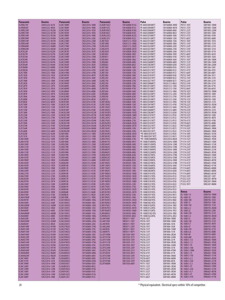| <b>Panasonic</b>              | <b>Bourns</b>                  | Panasonic                              | <b>Bourns</b>                  | Panasonic                       | Bourns                                | <b>Pulse</b>                        | <b>Bourns</b>                  | Pulse                          | <b>Bourns</b>                |
|-------------------------------|--------------------------------|----------------------------------------|--------------------------------|---------------------------------|---------------------------------------|-------------------------------------|--------------------------------|--------------------------------|------------------------------|
| ELJFB821KF                    | CM453232-821K                  | ELJNC18NKF                             | CM252016-18NK                  | ELJNJR15GF2                     | CW160808-R15G                         | PE-0603CD030KTT                     | CW160808-3N9D                  | P0751.103T                     | SDR1005-100M                 |
| ELJFB8R2KF<br>ELJFBR22MF      | CM453232-8R2K<br>CM453232-R22M | <b>ELJNC1ROKF</b><br>ELJNC1R2KF        | CM252016-1R0K<br>CM252016-1R2K | ELJNJR15JF2<br>ELJNJR18GF2      | CW160808-R15J<br>CW160808-R18G        | PE-0603CD040KTT<br>PE-0603CD060KTT  | CW160808-4N7D<br>CW160808-6N8J | P0751.153T<br>P0751.223T       | SDR1005-150M<br>SDR1005-220M |
| ELJFBR27MF                    | CM453232-R27M                  | ELJNC1R5KF                             | CM252016-1R5K                  | ELJNJR18JF2                     | CW160808-R18J                         | PE-0603CD080KTT                     | CW160808-8N2J                  | P0751.333T                     | SDR1005-330K                 |
| ELJFBR33MF<br>ELJFBR39MF      | CM453232-R33M<br>CM453232-R39M | ELJNC1R8KF<br>ELJNC220KF               | CM252016-1R8K<br>CM252016-220K | ELJNJR22GF2<br>ELJNJR22JF2      | CW160808-R22G<br>CW160808-R22J        | PE-0603CD100KTT<br>PE-0603CD120KTT  | CW160808-10NJ<br>CW160808-12NJ | P0751.473T<br>P0751.683T       | SDR1005-470K<br>SDR1005-680K |
| ELJFBR47MF                    | CM453232-R47M                  | <b>ELJNC22NKF</b>                      | CM252016-22NK                  | ELJRE1N5D                       | CM201212-1N5D                         | PE-0603CD150KTT                     | CW160808-15NJ                  | P0751.104T                     | SDR1005-101K                 |
| ELJFBR56MF                    | CM453232-R56M                  | ELJNC270KF                             | CM252016-270K                  | ELJRE1N8D                       | CM201212-1N8D                         | PE-0603CD180KTT                     | CW160808-18NJ                  | P0751.154T                     | SDR1005-151K                 |
| ELJFBR68MF<br>ELJFBR82MF      | CM453232-R68M<br>CM453232-R82M | <b>ELJNC27NKF</b><br><b>ELJNC2R2KF</b> | CM252016-27NK<br>CM252016-2R2K | ELJRE2N2D<br>ELJRE2N7D          | CM201212-2N2D<br>CM160808-2N7D        | PE-0603CD220KTT<br>PE-0603CD270KTT  | CW160808-22NJ<br>CW160808-27NJ | P0751.224T<br>P0751.334T       | SDR1005-221K<br>SDR1005-331K |
| ELJFCR22M                     | CM453232-R22M                  | <b>ELJNC2R7KF</b>                      | CM252016-2R7K                  | ELJRE3N3D                       | CM160808-3N3D                         | PE-0603CD330KTT                     | CW160808-33NJ                  | P0751.474T                     | SDR1005-471K                 |
| ELJFCR27M                     | CM453232-R27M<br>CM453232-R33M | ELJNC330KF<br>ELJNC33NKF               | CM252016-330K<br>CM252016-33NK | ELJRE3N9J<br>ELJRE4N7J          | CM160808-3N9J<br>CM160808-4N7J        | PE-0603CD390KTT<br>PE-0603CD470KTT  | CW160808-39NJ<br>CW160808-47NJ | P0751.684T<br>P0751.105T       | SDR1005-681K<br>SDR1005-102K |
| ELJFCR33M<br>ELJFCR39M        | CM453232-R39M                  | ELJNC390KF                             | CM252016-390K                  | ELJRE5N6J                       | CM160808-5N6J                         | PE-0603CD560KTT                     | CW160808-56NJ                  | P0751.103T                     | SRR1206-100M                 |
| ELJFCR47M                     | CM453232-R47M                  | ELJNC39NKF                             | CM252016-39NK                  | ELJRE6N8J                       | CM160808-6N8J                         | PE-0603CD680KTT                     | CW160808-68NJ                  | P0751.153T                     | SRR1206-150M                 |
| ELJFCR56M<br>ELJFCR68M        | CM453232-R56M<br>CM453232-R68M | ELJNC3R3KF<br><b>ELJNC3R9KF</b>        | CM252016-3R3K<br>CM252016-3R9K | ELJRE8N2J<br>ELJRE10NJ          | CM160808-8N2J<br>CM160808-10NJ        | PE-0603CD820KTT<br>PE-0603CD101KTT  | CW160808-82NJ<br>CW160808-R10J | P0751.223T<br>P0751.333T       | SRR1206-220M<br>SRR1206-330Y |
| ELJFCR82M                     | CM453232-R82M                  | ELJNC470KF                             | CM252016-470K                  | ELJRE12NJ                       | CM160808-12NJ                         | PE-0603CD121KTT                     | CW160808-R12J                  | P0751.473T                     | SRR1206-470Y                 |
| <b>ELJFC1ROK</b><br>ELJFC1R2K | CM453232-1R0K<br>CM453232-1R2K | ELJNC47NKF<br><b>ELJNC4R7KF</b>        | CM252016-47NK<br>CM252016-4R7K | ELJRE15NJ<br>ELJRE18NJ          | CM160808-15NJ<br>CM160808-18NJ        | PE-0603CD151KTT<br>PE-0603CD181KTT  | CW160808-R15J<br>CW160808-R18J | P0751.684T<br>P0752.104T       | SRR1206-680Y<br>SRR1206-101Y |
| ELJFC1R5K                     | CM453232-1R5K                  | ELJNC560KF                             | CM252016-560K                  | ELJRE22NJ                       | CM160808-22NJ                         | PE-0603CD221KTT                     | CW160808-R22J                  | P0752.154T                     | SRR1206-151K                 |
| ELJFC1R8K                     | CM453232-1R8K                  | ELJNC56NKF                             | CM252016-56NK                  | ELJRE27NJ                       | CM160808-27NJ                         | PE-0603CD271KTT                     | CW160808-R27J                  | P0752.224T                     | SRR1206-221K                 |
| ELJFC2R2K<br>ELJFC2R7K        | CM453232-2R2K<br>CM453232-2R7K | <b>ELJNC5R6KF</b><br>ELJNC680KF        | CM252016-5R6K<br>CM252016-680K | ELJRE33NJ<br>ELJRE39NJ          | CM160808-33NJ<br>CM160808-39NJ        | PE-0805CD080KTT<br>PE-0805CD120KTT  | CW201212-8N2J<br>CW201212-12NJ | P0752.334T<br>P0752.474T       | SRR1206-331K<br>SRR1206-471K |
| ELJFC3R3K                     | CM453232-3R3K                  | ELJNC68NKF                             | CM252016-68NK                  | ELJRE47NJ                       | CM160808-47NJ                         | PE-0805CD150KTT                     | CW201212-15NJ                  | P0752.684T                     | SRR1206-681K                 |
| ELJFC3R9K<br>ELJFC4R7K        | CM453232-3R9K<br>CM453232-4R7K | <b>ELJNC6R8KF</b><br>ELJNC820KF        | CM252016-6R8K<br>CM252016-820K | ELJRE56NJ<br>ELJRE68NJ          | CM160808-56NJ<br>CM160808-68NJ        | PE-0805CD180KTT<br>PE-0805CD220KTT  | CW201212-18NJ<br>CW201212-22NJ | P0770.102T<br>P0770.103T       | SDR0703-1R0M<br>SDR0703-100K |
| ELJFC5R6K                     | CM453232-5R6K                  | <b>ELJNC82NKF</b>                      | CM252016-82NK                  | ELJRE82NJ                       | CM160808-82NJ                         | PE-0805CD270KTT                     | CW201212-27NJ                  | P0770.104T                     | SDR0703-101K                 |
| ELJFC6R8K                     | CM453232-6R8K                  | <b>ELJNC8R2KF</b>                      | CM252016-8R2K                  | ELJRER10J                       | CM160808-R10J                         | PE-0805CD330KTT                     | CW201212-33NJ                  | P0770.153T                     | SDR0703-150K                 |
| ELJFC8R2K<br>ELJFC100K        | CM453232-8R2K<br>CM453232-100K | <b>ELJNCR10KF</b><br><b>ELJNCR12KF</b> | CM252016-R10K<br>CM252016-R12K | ELJRE10NJF2<br>ELJRE12NJF2      | CM160808-10NJ<br>CM160808-12NJ        | PE-0805CD390KTT<br>PE-0805CD470KTT  | CW201212-39NJ<br>CW201212-47NJ | P0770.154T<br>P0770.222T       | SDR0703-151K<br>SDR0703-2R2M |
| ELJFC120K                     | CM453232-120K                  | <b>ELJNCR15KF</b>                      | CM252016-R15K                  | ELJRE15NJF2                     | CM160808-15NJ                         | PE-0805CD560KTT                     | CW201212-56NJ                  | P0770.223T                     | SDR0703-220K                 |
| ELJFC150K                     | CM453232-150K                  | <b>ELJNCR18KF</b>                      | CM252016-R18K                  | ELJRE18NJF2                     | CM160808-18NJ                         | PE-0805CD680KTT<br>PE-0805CD820KTT  | CW201212-68NJ                  | P0770.224T<br>P0770.332T       | SDR0703-221K                 |
| ELJFC180K<br>ELJFC220K        | CM453232-180K<br>CM453232-220K | <b>ELJNCR22MF</b><br><b>ELJNCR27MF</b> | CM252016-R22M<br>CM252016-R27M | ELJRE1N5DF2<br>ELJRE1N8DF2      | CM160808-1N5D<br>CM160808-1N8D        | PE-0805CD101KTT                     | CW201212-82NJ<br>CW201212-R10J | P0770.333T                     | SDR0703-3R3M<br>SDR0703-330K |
| ELJFC270K                     | CM453232-270K                  | <b>ELJNCR33MF</b>                      | CM252016-R33M                  | ELJRE22NJF2                     | CM160808-22NJ                         | PE-0805CD121KTT                     | CW201212-R12J                  | P0770.472T                     | SDR0703-4R7K                 |
| ELJFC330K<br>ELJFC390K        | CM453232-330K<br>CM453232-390K | ELJNCR39MF<br><b>ELJNCR47MF</b>        | CM252016-R39M<br>CM252016-R47M | ELJRE27NJF2<br>ELJRE2N2DF2      | CM160808-27NJ<br>CM160808-2N2D        | PE-0805CD151KTT<br>PE-0805CD181KTT  | CW201212-R15J<br>CW201212-R18J | P0770.473T<br>P0770.682T       | SDR0703-470K<br>SDR0703-6R8K |
| ELJFC470K                     | CM453232-470K                  | <b>ELJNCR56MF</b>                      | CM252016-R56M                  | ELJRE2N7DF2                     | CM160808-2N7D                         | PE-0805CD221KTT                     | CW201212-R22J                  | P0770.683T                     | SDR0703-680K                 |
| ELJFC560K                     | CM453232-560K                  | <b>ELJNCR68MF</b>                      | CM252016-R68M                  | ELJRE33NJF2                     | CM160808-33NJ                         | PE-0805CD271KTT                     | CW201212-R27J                  | P1174.102T                     | SRR6603-1R0M                 |
| ELJFC680K<br>ELJFC820K        | CM453232-680K<br>CM453232-820K | <b>ELJNCR82MF</b><br><b>ELJND10NK</b>  | CM252016-R82M<br>CM201212-10NK | ELJRE39NJF2<br>ELJRE3N3DF2      | CM160808-39NJ<br>CM160808-3N3D        | PE-0805CD331KTT<br>*PE-0805CD391KTT | CW201212-R33J<br>CW201212-R39J | P1174.103T<br>P1174.104T       | SRR6603-100M<br>SRR6603-101M |
| ELJFC101K                     | CM453232-101K                  | ELJND12NK                              | CM201212-12NK                  | ELJRE3N9JF2                     | CM160808-3N9J                         | *PE-0805CD471KTT                    | CW201212-R47J                  | P1174.105T                     | SRR6603-102M                 |
| ELJNA100KF<br>ELJNA101KF      | CM322522-100K<br>CM322522-101K | ELJND15NK<br>ELJND18NK                 | CM201212-15NK<br>CM201212-18NK | ELJRE47NJF2<br>ELJRE4N7JF2      | CM160808-47NJ<br>CM160808-4N7J        | *PE-1008CX080MTG<br>PE-1008CX100MTG | CW252016-8N2K<br>CW252016-10NK | P1174.152T<br>P1174.153T       | SRR6603-1R5M<br>SRR6603-150M |
| ELJNA120KF                    | CM322522-120K                  | ELJND22NK                              | CM201212-22NK                  | ELJRE56NJF3                     | CM160808-56NJ                         | PE-1008CX120MTG                     | CW252016-12NK                  | P1174.154T                     | SRR6603-151M                 |
| ELJNA121KF                    | CM322522-121K                  | ELJND27NK                              | CM201212-27NK                  | ELJRE5N6JF2                     | CM160808-5N6J                         | PE-1008CX150MTG                     | CW252016-15NK                  | P1174.222T                     | SRR6603-2R2M                 |
| ELJNA150KF<br>ELJNA151KF      | CM322522-150K<br>CM322522-151K | ELJND33NK<br>ELJND39NK                 | CM201212-33NK<br>CM201212-39NK | ELJRE68NJF3<br>ELJRE6N8JF2      | CM160808-68NJ<br>CM160808-6N8J        | PE-1008CX180MTG<br>PE-1008CX220MTG  | CW252016-18NK<br>CW252016-22NK | P1174.224T<br>P1174.332T       | SRR6603-221M<br>SRR6603-3R3M |
| ELJNA180KF                    | CM322522-180K                  | ELJND47NK                              | CM201212-47NK                  | ELJRE82NJF3                     | CM160808-82NJ                         | PE-1008CX270KTG                     | CW252016-27NK                  | P1174.333T                     | SRR6603-330M                 |
| ELJNA181KF<br>ELJNA1ROKF      | CM322522-181K<br>CM322522-1R0K | <b>ELJND56NK</b><br>ELJND68NK          | CM201212-56NK<br>CM201212-68NK | ELJRE8N2JF2<br>ELJRER10JF3      | CM160808-8N2J<br>CM160808-R10J        | PE-1008CX330KTG<br>PE-1008CX390KTG  | CW252016-33NK<br>CW252016-39NK | P1174.334T<br>P1174.472T       | SRR6603-331M<br>SRR6603-4R7M |
| ELJNA1R2KF                    | CM322522-1R2K                  | ELJND82NK                              | CM201212-82NK                  | ELJRF10NJF2                     | CM100505-10NJ                         | PE-1008CX470KTG                     | CW252016-47NK                  | P1174.473T                     | SRR6603-470M                 |
| ELJNA1R5KF                    | CM322522-1R5K                  | ELJNDR10K                              | CM201212-R10K                  | ELJRF12NJF2                     | CM100505-12NJ                         | PE-1008CX560KTG                     | CW252016-56NJ                  | P1174.474T                     | SRR6603-471M                 |
| ELJNA1R8KF<br>ELJNA220KF      | CM322522-1R8K<br>CM322522-220K | ELJNDR12K<br>ELJNDR15K                 | CM201212-R12K<br>CM201212-R15K | ELJRF15NJF2<br>ELJRF18NJF2      | CM100505-15NJ<br>CM100505-18NJ        | PE-1008CX680KTG<br>PE-1008CX820KTG  | CW252016-68NJ<br>CW252016-82NJ | P1174.682T<br>P1174.683T       | SRR6603-6R8M<br>SRR6603-680M |
| ELJNA221KF                    | CM322522-221K                  | ELJNDR18K                              | CM201212-R18K                  | ELJRF1NODF2                     | CM100505-1N0D                         | PE-1008CX101KTG                     | CW252016-R10J                  | P1174.684T                     | SRR6603-681M                 |
| ELJNA270KF<br>ELJNA2R2KF      | CM322522-270K<br>CM322522-2R2K | ELJNDR22K<br>ELJNDR27K                 | CM201212-R22K<br>CM201212-R27K | ELJRF1N2DF2<br>ELJRF1N5DF2      | CM100505-1N2D<br>CM100505-1N5D        | PE-1008CX121KTG<br>PE-1008CX151KTG  | CW252016-R12J<br>CW252016-R15J | P1252.103T<br>P1252.332T       | SDR2207-120Y<br>SDR2207-4R7M |
| ELJNA2R7KF                    | CM322522-2R7K                  | ELJNDR33K                              | CM201212-R33K                  | ELJRF1N8DF2                     | CM100505-1N8D                         | PE-1008CX181KTG                     | CW252016-R18J                  | P1252.472T                     | SDR2207-5R6M                 |
| ELJNA330KF                    | CM322522-330K                  | ELJNDR39K                              | CM201212-R39K                  | ELJRF22NJF2                     | CM100505-22NJ                         | PE-1008CX221KTG                     | CW252016-R22J                  | P1252.781T                     | SDR2207-R80M                 |
| ELJNA390KF<br>ELJNA3R3KF      | CM322522-390K<br>CM322522-3R3K | ELJNDR47K<br>ELJNDR56K                 | CM201212-R47K<br>CM201212-R56K | ELJRF27NJF2<br>ELJRF2N2DFZ      | CM100505-27NJ<br><b>CM100505-ZNZD</b> | PE-1008CX271KTG<br>PE-1008CX331K1G  | CW252016-R27J<br>CW252016-R33J |                                |                              |
| ELJNA3R9KF                    | CM322522-3R9K                  | ELJNDR68K                              | CM201212-R68K                  | ELJRF2N7DF2                     | CM100505-2N7D                         | PE-1008CX391KTG                     | CW252016-R39J                  | Renco                          | <b>Bourns</b>                |
| ELJNA470KF<br>ELJNA47NMF      | CM322522-470K<br>CM322522-47NM | ELJNDR82K<br><b>ELJND1ROK</b>          | CM201212-R82K<br>CM201212-1R0K | ELJRF33NJF2<br>ELJRF39NJF2      | CM100505-33NJ<br>CM100505-39NJ        | PE-1008CX471KTG<br>PE-1008CX561KTG  | CW252016-R47J<br>CW252016-R56J | RL-1608-1.0<br>RL-1608-10      | SDR0703-1R0M<br>SDR0703-100K |
| ELJNA4R7KF                    | CM322522-4R7K                  | ELJNJ10NGF2                            | CW160808-10NG                  | ELJRF3N3DF2                     | CM100505-3N3D                         | PE-1008CX681KTG                     | CW252016-R68J                  | RL-1608-100                    | SDR0703-101K                 |
| ELJNA560KF                    | CM322522-560K                  | ELJNJ10NJF2                            | CW160808-10NJ                  | ELJRF3N9DF2                     | CM100505-3N9D                         | PE-1008CX821KTG                     | CW252016-R82J                  | RL-1608-15                     | SDR0703-150K                 |
| ELJNA56NMF<br>ELJNA5R6KF      | CM322522-56NM<br>CM322522-5R6K | ELJNJ12NGF2<br>ELJNJ12NJF2             | CW160808-12NG<br>CW160808-12NJ | ELJRF47NJF2<br>ELJRF4N7DF2      | CM100505-47NJ<br>CM100505-4N7D        | PE-1008CX102KTG<br>PE-1008CX122KTG  | CW252016-1R0J<br>CW252016-1R2J | RL-1608-150<br>RL-1608-2.2     | SDR0703-151K<br>SDR0703-2R2M |
| ELJNA680KF                    | CM322522-680K                  | ELJNJ15NGF2                            | CW160808-15NG                  | ELJRF5N6DF2                     | CM100505-5N6D                         | PE-1008CX152KTG                     | CW252016-1R5J                  | RL-1608-22                     | SDR0703-220K                 |
| ELJNA68NMF<br>ELJNA6R8KF      | CM322522-68NM<br>CM322522-6R8K | ELJNJ15NJF2<br>ELJNJ18NGF2             | CW160808-15NJ<br>CW160808-18NG | ELJRF6N8JF2<br>ELJRF8N2JF2      | CM100505-6N8J<br>CM100505-8N2J        | PE-1008CX182 KTG<br>PE-1008CX222KTG | CW252016-1R8J<br>CW252016-2R2J | RL-1608-220<br>RL-1608-3.3     | SDR0703-221K<br>SDR0703-3R3M |
| ELJNA820KF                    | CM322522-820K                  | ELJNJ18NJF2                            | CW160808-18NJ                  | ELL4M100M                       | SRR3011-100Y                          | P0250.102T                          | SDR1806-1R0M                   | RL-1608-33                     | SDR0703-330K                 |
| ELJNA82NMF                    | CM322522-82NM                  | ELJNJ22NGF2                            | CW160808-22NG                  | ELL4M150M                       | SRR3011-150Y                          | P0250.103T                          | SDR1806-100M                   | RL-1608-330<br>RL-1608-4.7     | SDR0703-331K                 |
| ELJNA8R2KF<br>ELJNAR10MF      | CM322522-8R2K<br>CM322522-R10M | ELJNJ22NJF2<br>ELJNJ27NGF2             | CW160808-22NJ<br>CW160808-27NG | ELL4M1R5N<br><b>ELL4M220M</b>   | SRR3011-1R5Y<br>SRR3011-220Y          | P0250.104T<br>P0250.105T            | SDR1806-101K<br>SDR1806-102K   | RL-1608-47                     | SDR0703-4R7K<br>SDR0703-470K |
| ELJNAR12MF                    | CM322522-R12M                  | ELJNJ27NJF2                            | CW160808-27NJ                  | ELL4M3R3N                       | SRR3011-3R3Y                          | P0250.153T                          | SDR1806-150M                   | RL-1608-470                    | SDR0703-471K                 |
| ELJNAR15MF<br>ELJNAR18MF      | CM322522-R15M<br>CM322522-R18M | ELJNJ33NGF2<br>ELJNJ33NJF2             | CW160808-33NG<br>CW160808-33NJ | ELL4M4R7N<br>ELLATV100M         | SRR3011-4R7Y<br>SRU1038-100Y          | P0250.154T<br>P0250.222T            | SDR1806-151K<br>SDR1806-2R2M   | RL-1608-6.8<br>RL-1608-68      | SDR0703-6R8K<br>SDR0703-680K |
| ELJNAR22MF                    | CM322522-R22M                  | ELJNJ39NGF2                            | CW160808-39NG                  | ELLATV101M                      | SRU1038-101Y                          | P0250.223T                          | SDR1806-220M                   | RL-1608-680                    | SDR0703-681K                 |
| ELJNAR27MF                    | CM322522-R27M                  | ELJNJ39NJF2                            | CW160808-39NJ                  | ELLATV150M                      | SRU1038-150Y                          | P0250.224T                          | SDR1806-221K                   | RL-1608-S-1.0                  | SRR6603-1R0M                 |
| ELJNAR33MF<br>ELJNAR39MF      | CM322522-R33M<br>CM322522-R39M | ELJNJ47NGF2<br>ELJNJ47NJF2             | CW160808-47NG<br>CW160808-47NJ | ELLATV151M<br>ELLATV1R5N        | SRU1038-151Y<br>SRU1038-1R5Y          | P0250.332T<br>P0250.333T            | SDR1806-3R3M<br>SDR1806-330M   | RL-1608-S-1.5<br>RL-1608-S-10  | SRR6603-1R5M<br>SRR6603-100M |
| ELJNAR47MF                    | CM322522-R47M                  | ELJNJ56NGF2                            | CW160808-56NG                  | ELLATV220M                      | SRU1038-220Y                          | P0250.334T                          | SDR1806-331K                   | RL-1608-S-100                  | SRR6603-101M                 |
| ELJNAR56MF<br>ELJNAR68MF      | CM322522-R56M<br>CM322522-R68M | ELJNJ56NJF2<br>ELJNJ68NGF2             | CW160808-56NJ<br>CW160808-68NG | ELLATV221M<br><b>ELLATV2R2N</b> | SRU1038-221Y<br>SRU1038-2R2Y          | P0250.473T<br>P0250.474T            | SDR1806-470M<br>SDR1806-471K   | RL-1608-S-1000<br>RL-1608-S-15 | SRR6603-102M<br>SRR6603-150M |
| ELJNAR82MF                    | CM322522-R82M                  | ELJNJ68NJF2                            | CW160808-68NJ                  | ELLATV330M                      | SRU1038-330Y                          | P0250.562T                          | SDR1806-5R6M                   | RL-1608-S-150                  | SRR6603-151M                 |
| ELJNC100KF                    | CM252016-100K                  | ELJNJ6N8EF2                            | CW160808-6N8J                  | ELLATV331M                      | SRU1038-331Y                          | P0250.683T                          | SDR1806-680M                   | RL-1608-S-2.2                  | SRR6603-2R2M                 |
| ELJNC101KF<br>ELJNC10NKF      | CM252016-101K<br>CM252016-10NK | ELJNJ82NGF2<br>ELJNJ82NJF2             | CW160808-82NG<br>CW160808-82NJ | ELLATV470M<br>ELLATV680M        | SRU1038-470Y<br>SRU1038-680Y          | P0250.684T<br>P0751.102T            | SDR1806-681K<br>SDR1005-1R0M   | RL-1608-S-220<br>RL-1608-S-3.3 | SRR6603-221M<br>SRR6603-3R3M |
| ELJNC120KF                    | CM252016-120K                  | ELJNJ8N2EF2                            | CW160808-8N2J                  |                                 |                                       | P0751.152T                          | SDR1005-1R5M                   | RL-1608-S-33                   | SRR6603-330M                 |
| ELJNC12NKF<br>ELJNC150KF      | CM252016-12NK<br>CM252016-150K | ELJNJR10GF2<br>ELJNJR10JF2             | CW160808-R10G<br>CW160808-R10J |                                 |                                       | P0751.222T<br>P0751.332T            | SDR1005-2R5M<br>SDR1005-3R3M   | RL-1608-S-330<br>RL-1608-S-4.7 | SRR6603-331M<br>SRR6603-4R7M |
| ELJNC15NKF                    | CM252016-15NK                  | ELJNJR12GF2                            | CW160808-R12G                  |                                 |                                       | P0751.472T                          | SDR1005-4R7M                   | RL-1608-S-47                   | SRR6603-470M                 |
| ELJNC180KF                    | CM252016-180K                  | ELJNJR12JF2                            | CW160808-R12J                  |                                 |                                       | P0751.682T                          | SDR1005-6R8M                   | RL-1608-S-470                  | SRR6603-471M                 |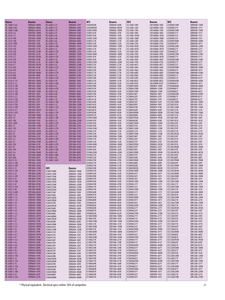| Renco                          | <b>Bourns</b>                | Renco                         | <b>Bourns</b>                | RFE                      | Bourns                       | RFE                                 | Bourns                         | <b>RFE</b>                        | <b>Bourns</b>                |
|--------------------------------|------------------------------|-------------------------------|------------------------------|--------------------------|------------------------------|-------------------------------------|--------------------------------|-----------------------------------|------------------------------|
| RL-1608-S-6.8                  | SRR6603-6R8M                 | RL-6280-2-27                  | SDR0604-270Y                 | IC0604820K               | SDR0604-820K                 | ICL1608-10NJ                        | CM160808-10NJ                  | ICS0908120M                       | SRR0908-120M                 |
| RL-1608-S-68                   | SRR6603-680M                 | RL-6280-2-33                  | SDR0604-330K                 | IC06048R2M               | SDR0604-8R2M                 | ICL1608-12NJ                        | CM160808-12NJ                  | ICS0908121Y                       | SRR0908-121Y                 |
| RL-1608-S-680                  | SRR6603-681M                 | RL-6280-2-39                  | SDR0604-390K                 | IC0805100M               | SDR0805-100M                 | ICL1608-15NJ                        | CM160808-15NJ                  | ICS0908150M                       | SRR0908-150M                 |
| RL-3316-1.0                    | SDR1005-1R0M                 | RL-6280-2-47                  | SDR0604-470K                 | IC0805101K               | SDR0805-101K                 | ICL1608-18NJ                        | CM160808-18NJ                  | ICS0908151Y                       | SRR0908-151Y                 |
| RL-3316-1.5<br>RL-3316-100     | SDR1005-1R5M<br>SDR1005-100M | RL-6280-2-56<br>RL-6280-2-68  | SDR0604-560K<br>SDR0604-680K | IC0805102K<br>IC0805120M | SDR0805-102K<br>SDR0805-120M | ICL1608-1N5M<br><b>ICL1608-1N8K</b> | CM160808-1N5D<br>CM160808-1N8D | ICS0908152Y<br>ICS0908153Y        | SRR0908-152Y<br>SRR0908-153Y |
| RL-3316-100                    | SDR1005-101K                 | RL-6280-2-82                  | SDR0604-820K                 | IC0805121K               | SDR0805-121K                 | ICL1608-22NJ                        | CM160808-22NJ                  | ICS0908180M                       | SRR0908-180M                 |
| RL-3316-1000                   | SDR1005-102K                 | RL-6280-4-10                  | SDR0805-100M                 | IC0805122K               | SDR0805-122K                 | ICL1608-27NJ                        | CM160808-27NJ                  | ICS0908181Y                       | SRR0908-181Y                 |
| RL-3316-150                    | SDR1005-150M                 | RL-6280-4-100                 | SDR0805-101K                 | IC0805150M               | SDR0805-150M                 | ICL1608-2N2K                        | CM160808-2N2D                  | ICS0908220M                       | SRR0908-220M                 |
| RL-3316-150                    | SDR1005-151K                 | RL-6280-4-12                  | SDR0805-120M                 | IC0805151K               | SDR0805-151K                 | <b>ICL1608-2N7K</b>                 | CM160808-2N7D                  | ICS0908221Y                       | SRR0908-221Y                 |
| RL-3316-220                    | SDR1005-220M                 | RL-6280-4-120                 | SDR0805-121K                 | IC0805152K               | SDR0805-152K                 | ICL1608-33NJ                        | CM160808-33NJ                  | ICS0908222Y                       | SRR0908-222Y                 |
| RL-3316-220<br>RL-3316-3.3     | SDR1005-221K<br>SDR1005-3R3M | RL-6280-4-15<br>RL-6280-4-150 | SDR0805-150M<br>SDR0805-151K | IC0805180M<br>IC0805181K | SDR0805-180M<br>SDR0805-181K | ICL1608-39NJ<br>ICL1608-3N3K        | CM160808-39NJ<br>CM160808-3N3D | ICS0908270M<br>ICS0908271Y        | SRR0908-270M<br>SRR0908-271Y |
| RL-3316-330                    | SDR1005-330K                 | RL-6280-4-18                  | SDR0805-180M                 | IC0805182K               | SDR0805-182K                 | ICL1608-3N9J                        | CM160808-3N9J                  | ICS0908330M                       | SRR0908-330M                 |
| RL-3316-330                    | SDR1005-331K                 | RL-6280-4-180                 | SDR0805-181K                 | IC0805220M               | SDR0805-220M                 | ICL1608-47NJ                        | CM160808-47NJ                  | ICS0908331Y                       | SRR0908-331Y                 |
| RL-3316-4.7                    | SDR1005-4R7M                 | RL-6280-4-22                  | SDR0805-220M                 | IC0805221K               | SDR0805-221K                 | ICL1608-4N7J                        | CM160808-4N7J                  | ICS0908332Y                       | SRR0908-332Y                 |
| RL-3316-470                    | SDR1005-470K                 | RL-6280-4-220                 | SDR0805-221K                 | IC0805222K               | SDR0805-222K                 | ICL1608-56NJ                        | CM160808-56NJ                  | ICS0908390M                       | SRR0908-390M                 |
| RL-3316-470<br>RL-3316-6.8     | SDR1005-471K<br>SDR1005-6R8M | RL-6280-4-27<br>RL-6280-4-270 | SDR0805-270K<br>SDR0805-271K | IC0805270K<br>IC0805271K | SDR0805-270K<br>SDR0805-271K | ICL1608-5N6J<br>ICL1608-68NJ        | CM160808-5N6J<br>CM160808-68NJ | ICS0908391Y<br>ICS0908470M        | SRR0908-391Y<br>SRR0908-470M |
| RL-3316-680                    | SDR1005-680K                 | RL-6280-4-33                  | SDR0805-330K                 | IC0805272K               | SDR0805-272K                 | ICL1608-6N8J                        | CM160808-6N8J                  | ICS0908471Y                       | SRR0908-471Y                 |
| RL-3316-680                    | SDR1005-681K                 | RL-6280-4-330                 | SDR0805-331K                 | IC0805330K               | SDR0805-330K                 | ICL1608-82NJ                        | CM160808-82NJ                  | ICS0908472Y                       | SRR0908-472Y                 |
| RL-3316-S-1.0                  | <b>SRR1005-1ROM</b>          | RL-6280-4-39                  | SDR0805-390K                 | IC0805331K               | SDR0805-331K                 | ICL1608-8N2J                        | CM160808-8N2J                  | ICS0908560M                       | SRR0908-560M                 |
| RL-3316-S-1.5                  | SRR1005-1R5M                 | RL-6280-4-390                 | SDR0805-391K                 | IC0805332K               | SDR0805-332K                 | ICL1608-R10J                        | CM160808-R10J                  | ICS0908561Y                       | SRR0908-561Y                 |
| RL-3316-S-100<br>RL-3316-S-120 | SRR1005-100M<br>SRR1005-120M | RL-6280-4-47<br>RL-6280-4-470 | SDR0805-470K<br>SDR0805-471K | IC0805390K<br>IC0805391K | SDR0805-390K<br>SDR0805-391K | ICS0804100M<br>ICS0804120M          | SRR0804-100M<br>SRR0804-120M   | ICS0908680M<br>ICS0908681Y        | SRR0908-680M<br>SRR0908-681Y |
| RL-3316-S-150                  | SRR1005-150M                 | RL-6280-4-56                  | SDR0805-560K                 | IC0805392K               | SDR0805-392K                 | ICS0804150M                         | SRR0804-150M                   | ICS0908682Y                       | SRR0908-682Y                 |
| RL-3316-S-180                  | SRR1005-180Y                 | RL-6280-4-68                  | SDR0805-680K                 | IC0805470K               | SDR0805-470K                 | ICS0804180Y                         | SRR0804-180Y                   | ICS0908820M                       | SRR0908-820M                 |
| RL-3316-S-2.2                  | SRR1005-2R2M                 | RL-6280-4-82                  | SDR0805-820K                 | IC0805471K               | SDR0805-471K                 | ICS0804220Y                         | SRR0804-220Y                   | ICS0908821Y                       | SRR0908-821Y                 |
| RL-3316-S-220                  | SRR1005-220Y                 | RL-6280-5-10                  | SDR1006-100M                 | IC0805472K               | SDR0805-472K                 | ICS0804270Y                         | SRR0804-270Y                   | ICS0908822Y                       | SRR0908-822Y                 |
| RL-3316-S-270                  | SRR1005-270Y                 | RL-6280-5-100                 | SDR1006-101K                 | IC0805560K               | SDR0805-560K                 | ICS0804330Y                         | SRR0804-330Y                   | ICS1005100M                       | SRR1005-100M                 |
| RL-3316-S-330<br>RL-3316-S-390 | SRR1005-330Y<br>SRR1005-390Y | RL-6280-5-12<br>RL-6280-5-120 | SDR1006-120M<br>SDR1006-121K | IC0805561K<br>IC0805680K | SDR0805-561K<br>SDR0805-680K | ICS0804390Y<br><b>ICS0804470K</b>   | SRR0804-390Y<br>SRR0804-470K   | ICS1005101K<br>ICS1005120M        | SRR1005-101K<br>SRR1005-120M |
| RL-3316-S-4.7                  | SRR1005-4R7M                 | RL-6280-5-15                  | SDR1006-150M                 | IC0805681K               | SDR0805-681K                 | ICS0804560K                         | SRR0804-560K                   | ICS1005121K                       | SRR1005-121K                 |
| RL-3316-S-470                  | SRR1005-470Y                 | RL-6280-5-150                 | SDR1006-151K                 | IC0805820K               | SDR0805-820K                 | ICS08045R0M                         | SRR0804-5R0M                   | ICS1005150M                       | SRR1005-150M                 |
| RL-5022-1.0                    | SDR1806-1R0M                 | RL-6280-5-18                  | SDR1006-180M                 | IC0805821K               | SDR0805-821K                 | ICS0804680K                         | SRR0804-680K                   | ICS1005151K                       | SRR1005-151K                 |
| RL-5022-10                     | SDR1806-100M                 | RL-6280-5-180                 | SDR1006-181K                 | IC0906100M               | SDR0906-100M                 | <b>ICS08047R5M</b>                  | SRR0804-7R5M                   | ICS1005180Y                       | SRR1005-180Y                 |
| RL-5022-100<br>RL-5022-1000    | SDR1806-101K<br>SDR1806-102K | RL-6280-5-22<br>RL-6280-5-220 | SDR1006-220M<br>SDR1006-221K | IC0906101K<br>IC0906102K | SDR0906-101K<br>SDR0906-102K | <b>ICS0804820K</b><br>ICS0805100M   | SRR0804-820K<br>SRR0805-100M   | ICS1005181K<br>ICS1005220Y        | SRR1005-181K<br>SRR1005-220Y |
| RL-5022-15                     | SDR1806-150M                 | RL-6280-5-27                  | SDR1006-270K                 | IC0906103K               | SDR0906-103K                 | ICS0805101K                         | SRR0805-101K                   | ICS1005221K                       | SRR1005-221K                 |
| RL-5022-150                    | SDR1806-151K                 | RL-6280-5-270                 | SDR1006-271K                 | IC0906120M               | SDR0906-120M                 | ICS0805120M                         | SRR0805-120M                   | ICS1005270Y                       | SRR1005-270Y                 |
| RL-5022-2.2                    | SDR1806-2R2M                 | RL-6280-5-33                  | SDR1006-330K                 | IC0906121K               | SDR0906-121K                 | ICS0805121K                         | SRR0805-121K                   | ICS1005271K                       | SRR1005-271K                 |
| RL-5022-22                     | SDR1806-220M                 | RL-6280-5-330                 | SDR1006-331K                 | IC0906122K               | SDR0906-122K                 | ICS0805150M                         | SRR0805-150M                   | <b>ICS10052R2M</b>                | SRR1005-2R2M                 |
| RL-5022-220                    | SDR1806-221K                 | RL-6280-5-39                  | SDR1006-390K                 | IC0906150M               | SDR0906-150M                 | ICS0805180Y                         | SRR0805-180Y                   | ICS1005330Y                       | SRR1005-330Y                 |
| RL-5022-3.3<br>RL-5022-33      | SDR1806-3R3M<br>SDR1806-330M | RL-6280-5-390<br>RL-6280-5-47 | SDR1006-391K<br>SDR1006-470K | IC0906151K<br>IC0906152K | SDR0906-151K<br>SDR0906-152K | ICS0805220Y<br>ICS0805270Y          | SRR0805-220Y<br>SRR0805-270Y   | ICS1005331K<br>ICS1005390Y        | SRR1005-331K<br>SRR1005-390Y |
| RL-5022-330                    | SDR1806-331K                 | RL-6280-5-470                 | SDR1006-471K                 | IC0906180M               | SDR0906-180M                 | <b>ICS08052R2M</b>                  | SRR0805-2R2M                   | ICS1005391K                       | SRR1005-391K                 |
| RL-5022-47                     | SDR1806-470M                 | RL-6280-5-56                  | SDR1006-560K                 | IC0906181K               | SDR0906-181K                 | ICS0805330Y                         | SRR0805-330Y                   | <b>ICS10053R0M</b>                | SRR1005-3R0M                 |
| RL-5022-470                    | SDR1806-471K                 | RL-6280-5-560                 | SDR1006-561K                 | IC0906182K               | SDR0906-182K                 | ICS0805390Y                         | SRR0805-390Y                   | ICS1005470Y                       | SRR1005-470Y                 |
| RL-5022-5.6                    | SDR1806-5R6M                 | RL-6280-5-68                  | SDR1006-680K                 | IC0906220M               | SDR0906-220M                 | <b>ICS08053R9M</b>                  | SRR0805-3R9M                   | <b>ICS10054R7M</b>                | SRR1005-4R7M                 |
| RL-5022-68<br>RL-5022-680      | SDR1806-680M<br>SDR1806-681K | RL-6280-5-680<br>RL-6280-5-82 | SDR1006-681K<br>SDR1006-820K | IC0906221K<br>IC0906222K | SDR0906-221K<br>SDR0906-222K | ICS0805470Y<br><b>ICS0805560K</b>   | SRR0805-470Y<br>SRR0805-560K   | ICS1005560Y<br>ICS1005680Y        | SRR1005-560Y<br>SRR1005-680Y |
| RL-5022-S-10                   | SRR1806-100M                 | RL-6280-5-820                 | SDR1006-821K                 | IC0906270K               | SDR0906-270K                 | <b>ICS08055R6M</b>                  | SRR0805-5R6M                   | <b>ICS10057R0M</b>                | SRR1005-7R0M                 |
| RL-5022-S-100                  | SRR1806-101M                 |                               |                              | IC0906271K               | SDR0906-271K                 | ICS0805680K                         | SRR0805-680K                   | ICS1005820Y                       | SRR1005-820Y                 |
| RL-5022-S-100                  | SRR1806-102M                 |                               |                              | IC0906272K               | SDR0906-272K                 | <b>ICS0805820K</b>                  | SRR0805-820K                   | ICS1205100M                       | SRR1205-100M                 |
| RL-5022-S-15                   | SRR1806-150M                 | <b>RFE</b>                    | <b>Bourns</b>                | IC0906330K               | SDR0906-330K                 | <b>ICS08058R2M</b>                  | SRR0805-8R2M                   | ICS1205101K                       | SRR1205-101K                 |
| RL-5022-S-150<br>RL-5022-S-22  | SRR1806-151M                 | IC0603100M                    | SDR0603-100M                 | IC0906331K<br>IC0906332K | SDR0906-331K                 | ICS0906100M                         | SRR0906-100M                   | ICS12052R5M                       | SRR1205-2R5M                 |
| RL-5022-S-220                  | SRR1806-220M<br>SRR1806-221M | IC0603120M<br>IC0603150M      | SDR0603-120M<br>SDR0603-150M | IC0906390K               | SDR0906-332K<br>SDR0906-390K | ICS0906101Y<br>ICS0906102Y          | SRR0906-101Y<br>SRR0906-102Y   | <b>ICS12055R0M</b><br>ICS1206100M | SRR1205-5R0M<br>SRR1206-100M |
| RL-5022-S-33                   | SRR1806-330M                 | IC0603180M                    | SDR0603-180M                 | IC0906391K               | SDR0906-391K                 | ICS0906103Y                         | SRR0906-103Y                   | ICS1206101Y                       | SRR1206-101Y                 |
| RL-5022-S-330                  | SRR1806-331M                 | IC06031R5M                    | SDR0603-1R5M                 | IC0906392K               | SDR0906-392K                 | ICS0906120M                         | SRR0906-120M                   | ICS1206120M                       | SRR1206-120M                 |
| RL-5022-S-47                   | SRR1806-470M                 | IC0603220M                    | SDR0603-220M                 | IC0906470K               | SDR0906-470K                 | ICS0906121Y                         | SRR0906-121Y                   | ICS1206121Y                       | SRR1206-121Y                 |
| RL-5022-S-470                  | SRR1806-471M                 | IC0603270M                    | SDR0603-270M                 | IC0906471K               | SDR0906-471K                 | ICS0906122Y                         | SRR0906-122Y                   | ICS1206150M                       | SRR1206-150M                 |
| RL-5022-S-68<br>RL-5022-S-680  | SRR1806-680M<br>SRR1806-681M | IC06032R5M                    | SDR0603-2R5M                 | IC0906472K<br>IC0906560K | SDR0906-472K<br>SDR0906-560K | ICS0906150M<br>ICS0906151Y          | SRR0906-150M<br>SRR0906-151Y   | ICS1206151K<br>ICS1206180M        | SRR1206-151K<br>SRR1206-180M |
| RL-6280-1-1.0                  | SDR0403-1R0M                 | IC0603330K<br>IC0603390K      | SDR0603-330K<br>SDR0603-390K | IC0906561K               | SDR0906-561K                 | ICS0906152Y                         | SRR0906-152Y                   | ICS1206181K                       | SRR1206-181K                 |
| RL-6280-1-1.4                  | SDR0403-1R4M                 | IC06033R3M                    | SDR0603-3R3M                 | IC0906562K               | SDR0906-562K                 | ICS0906180M                         | SRR0906-180M                   | ICS1206220M                       | SRR1206-220M                 |
| RL-6280-1-1.8                  | SDR0403-1R8M                 | IC06033R9M                    | SDR0603-3R9M                 | IC0906680K               | SDR0906-680K                 | ICS0906181Y                         | SRR0906-181Y                   | ICS1206221K                       | SRR1206-221K                 |
| RL-6280-1-10                   | SDR0403-100M                 | IC0603470K                    | SDR0603-470K                 | IC0906681K               | SDR0906-681K                 | ICS0906182Y<br>ICS0906220M          | SRR0906-182Y<br>SRR0906-220M   | ICS1206270M<br>ICS1206271K        | SRR1206-270M                 |
| RL-6280-1-12<br>RL-6280-1-15   | SDR0403-120M<br>SDR0403-150M | IC06034R7M<br>IC0603560K      | SDR0603-4R7M<br>SDR0603-560K | IC0906682K<br>IC0906820K | SDR0906-682K<br>SDR0906-820K | ICS0906221Y                         | SRR0906-221Y                   | ICS12062R5M                       | SRR1206-271K<br>SRR1206-2R5M |
| RL-6280-1-18                   | SDR0403-180M                 | IC06035R0M                    | SDR0603-5R0M                 | IC0906821K               | SDR0906-821K                 | ICS0906222Y                         | SRR0906-222Y                   | ICS1206330Y                       | SRR1206-330Y                 |
| RL-6280-1-2.2                  | SDR0403-2R2M                 | IC0603680K                    | SDR0603-680K                 | IC0906822K               | SDR0906-822K                 | ICS0906270M                         | SRR0906-270M                   | ICS1206331K                       | SRR1206-331K                 |
| RL-6280-1-2.7                  | SDR0403-2R7M                 | IC06036R8M                    | SDR0603-6R8M                 | IC1006100M               | SDR1006-100M                 | ICS0906271Y                         | SRR0906-271Y                   | ICS1206390Y                       | SRR1206-390Y                 |
| RL-6280-1-22                   | SDR0403-220M                 | IC06037R5M                    | SDR0603-7R5M                 | IC1006101K               | SDR1006-101K                 | ICS0906272Y                         | SRR0906-272Y                   | ICS1206391K                       | SRR1206-391K                 |
| RL-6280-1-27<br>RL-6280-1-3.3  | SDR0403-270K<br>SDR0403-3R3M | IC0603820K                    | SDR0603-820K<br>SDR0604-100M | IC1006120M<br>IC1006121K | SDR1006-120M<br>SDR1006-121K | ICS0906330M<br>ICS0906331Y          | SRR0906-330M<br>SRR0906-331Y   | ICS1206470Y<br>ICS1206471K        | SRR1206-470Y<br>SRR1206-471K |
| RL-6280-1-3.9                  | SDR0403-3R9M                 | IC0604100M<br>IC0604101K      | SDR0604-101K                 | IC1006150M               | SDR1006-150M                 | ICS0906332Y                         | SRR0906-332Y                   | ICS1206560Y                       | SRR1206-560Y                 |
| RL-6280-1-33                   | SDR0403-330K                 | IC0604120M                    | SDR0604-120M                 | IC1006151K               | SDR1006-151K                 | ICS0906390M                         | SRR0906-390M                   | ICS1206561K                       | SRR1206-561K                 |
| RL-6280-1-39                   | SDR0403-390K                 | IC0604121K                    | SDR0604-121K                 | IC1006180M               | SDR1006-180M                 | ICS0906391Y                         | SRR0906-391Y                   | <b>ICS12065R0M</b>                | SRR1206-5R0M                 |
| RL-6280-1-4.7                  | SDR0403-4R7M                 | IC0604150Y                    | SDR0604-150Y                 | IC1006181K               | SDR1006-181K                 | ICS0906392Y                         | SRR0906-392Y                   | ICS1206680Y                       | SRR1206-680Y                 |
| RL-6280-1-47<br>RL-6280-1-5.6  | SDR0403-470K<br>SDR0403-5R6M | IC0604151K                    | SDR0604-151K                 | IC1006220M<br>IC1006221K | SDR1006-220M<br>SDR1006-221K | ICS0906470M<br>ICS0906471Y          | SRR0906-470M<br>SRR0906-471Y   | ICS1206681K<br>ICS12067R5M        | SRR1206-681K<br>SRR1206-7R5M |
| RL-6280-1-56                   | SDR0403-560K                 | IC0604180Y<br>IC0604181K      | SDR0604-180Y<br>SDR0604-181K | IC1006270K               | SDR1006-270K                 | ICS0906472Y                         | SRR0906-472Y                   | ICS1206820Y                       | SRR1206-820Y                 |
| RL-6280-1-6.8                  | SDR0403-6R8M                 | IC0604220Y                    | SDR0604-220Y                 | IC1006271K               | SDR1006-271K                 | ICS0906560M                         | SRR0906-560M                   | ICS1206821K                       | SRR1206-821K                 |
| RL-6280-1-68                   | SDR0403-680K                 | IC0604221K                    | SDR0604-221K                 | IC1006330K               | SDR1006-330K                 | ICS0906561Y                         | SRR0906-561Y                   | ICS1208100M                       | SRR1208-100M                 |
| RL-6280-1-8.2                  | SDR0403-8R2M                 | IC0604270Y                    | SDR0604-270Y                 | IC1006331K               | SDR1006-331K                 | ICS0906562Y                         | SRR0906-562Y                   | ICS1208101Y                       | SRR1208-101Y                 |
| RL-6280-2-10<br>RL-6280-2-100  | SDR0604-100M<br>SDR0604-101K | IC0604330K                    | SDR0604-330K                 | IC1006390K<br>IC1006391K | SDR1006-390K<br>SDR1006-391K | ICS0906680M<br>ICS0906681Y          | SRR0906-680M<br>SRR0906-681Y   | ICS1208102K<br>ICS1208120M        | SRR1208-102K<br>SRR1208-120M |
| RL-6280-2-12                   | SDR0604-120M                 | IC0604390K<br>IC06043R3M      | SDR0604-390K<br>SDR0604-3R3M | IC1006470K               | SDR1006-470K                 | ICS0906682Y                         | SRR0906-682Y                   | ICS1208121Y                       | SRR1208-121Y                 |
| RL-6280-2-120                  | SDR0604-121K                 | IC06043R9M                    | SDR0604-3R9M                 | IC1006471K               | SDR1006-471K                 | ICS0906820M                         | SRR0906-820M                   | ICS1208150M                       | SRR1208-150M                 |
| RL-6280-2-15                   | SDR0604-150Y                 | IC0604470K                    | SDR0604-470K                 | IC1006560K               | SDR1006-560K                 | ICS0906821Y                         | SRR0906-821Y                   | ICS1208151Y                       | SRR1208-151Y                 |
| RL-6280-2-150                  | SDR0604-151K                 | IC06044R7M                    | SDR0604-4R7M                 | IC1006561K               | SDR1006-561K                 | ICS0906822Y                         | SRR0906-822Y                   | ICS1208180M                       | SRR1208-180M                 |
| RL-6280-2-18                   | SDR0604-180Y                 | IC0604560K                    | SDR0604-560K                 | IC1006680K               | SDR1006-680K                 | ICS0908100M                         | SRR0908-100M                   | ICS1208181Y                       | SRR1208-181Y                 |
| RL-6280-2-180<br>RL-6280-2-22  | SDR0604-181K<br>SDR0604-220Y | IC06045R6M<br>IC0604680K      | SDR0604-5R6M<br>SDR0604-680K | IC1006681K<br>IC1006820K | SDR1006-681K<br>SDR1006-820K | ICS0908101Y<br>ICS0908102Y          | SRR0908-101Y<br>SRR0908-102Y   | ICS1208220M<br>ICS1208221K        | SRR1208-220M<br>SRR1208-221K |
| RL-6280-2-220                  | SDR0604-221K                 | IC06046R8M                    | SDR0604-6R8M                 | IC1006821K               | SDR1006-821K                 | ICS0908103Y                         | SRR0908-103Y                   | ICS1208270M                       | SRR1208-270M                 |
|                                |                              |                               |                              |                          |                              |                                     |                                |                                   |                              |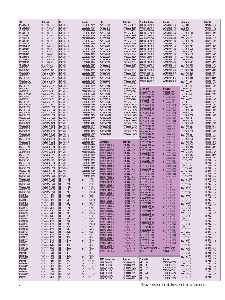| <b>RFE</b>                        | Bourns                         | <b>RFE</b>                      | Bourns                         | <b>RFE</b>                             | <b>Bourns</b>                  | <b>SMD Inductors</b>                  | <b>Bourns</b>                  | Sumida                                     |                               |
|-----------------------------------|--------------------------------|---------------------------------|--------------------------------|----------------------------------------|--------------------------------|---------------------------------------|--------------------------------|--------------------------------------------|-------------------------------|
| ICS1208271K                       | SRR1208-271K                   | II2012K2R7                      | CS201212-2R7K                  | IW4532180K                             | CM453232-180K                  | 0603LC-033N0-J                        | CW160808-33NJ                  | CD73-331                                   | <b>Bourns</b><br>SDR7030-331K |
| ICS12082R5M                       | SRR1208-2R5M                   | II2012K330                      | CS201212-330K                  | IW4532181K                             | CM453232-181K                  | 0603LC-039N0-J                        | CW160808-39NJ                  | CD73-470                                   | SDR7030-470K                  |
| ICS1208330Y                       | SRR1208-330Y                   | II2012K3R3                      | CS201212-3R3K                  | <b>IW45321R0K</b>                      | CM453232-1R0K                  | 0603LC-047N0-J                        | CW160808-47NJ                  | CD73-680                                   | SDR7030-680K                  |
| ICS1208331K                       | SRR1208-331K                   | II2012K3R9                      | CS201212-3R9K                  | <b>IW45321R2K</b>                      | CM453232-1R2K                  | 0603LC-056N0-J                        | CW160808-56NJ                  | CDRH103R-100                               | SRU1028-100Y                  |
| ICS1208390Y                       | SRR1208-390Y                   | <b>II2012K47N</b>               | CS201212-47NK                  | <b>IW45321R5K</b>                      | CM453232-1R5K                  | 0603LC-068N0-J                        | CW160808-68NJ                  | CDRH103R-101                               | SRU1028-101Y                  |
| ICS1208391K                       | SRR1208-391K                   | II2012K4R7                      | CS201212-4R7K                  | <b>IW45321R8K</b>                      | CM453232-1R8K                  | 0805LC-008N2-J                        | CW201212-8N2J                  | CDRH103R-121                               | SRU1028-121Y                  |
| ICS1208470Y                       | SRR1208-470Y                   | II2012K56N                      | CS201212-56NK                  | IW4532220K                             | CM453232-220K                  | 0805LC-010N0-J                        | CW201212-10NJ                  | CDRH103R-150                               | SRU1028-150Y                  |
| ICS1208471K                       | SRR1208-471K                   | II2012K5R6                      | CS201212-5R6K                  | IW4532221K                             | CM453232-221K                  | 0805LC-012N0-J                        | CW201212-12NJ                  | CDRH103R-151                               | SRU1028-151Y                  |
| ICS12084R5M<br>ICS1208560Y        | SRR1208-4R5M<br>SRR1208-560Y   | <b>II2012K68N</b><br>II2012K6R8 | CS201212-68NK<br>CS201212-6R8K | IW4532270K<br>IW4532271K               | CM453232-270K<br>CM453232-271K | 0805LC-015N0-J<br>0805LC-018N0-J      | CW201212-15NJ<br>CW201212-18NJ | CDRH103R-1R5<br>CDRH103R-220               | SRU1028-1R5Y<br>SRU1028-220Y  |
| ICS1208561K                       | SRR1208-561K                   | <b>II2012K82N</b>               | CS201212-82NK                  | <b>IW45322R2K</b>                      | CM453232-2R2K                  | 0805LC-022N0-J                        | CW201212-22NJ                  | CDRH103R-2R2                               | SRU1028-2R2Y                  |
| ICS1208680Y                       | SRR1208-680Y                   | II2012K8R2                      | CS201212-8R2K                  | <b>IW45322R7K</b>                      | CM453232-2R7K                  | 0805LC-027N0-J                        | CW201212-27NJ                  | CDRH103R-330                               | SRU1028-330Y                  |
| ICS1208681K                       | SRR1208-681K                   | II2012KR10                      | CS201212-R10K                  | IW4532330K                             | CM453232-330K                  | 0805LC-033N0-J                        | CW201212-33NJ                  | CDRH103R-3R3                               | SRU1028-3R3Y                  |
| <b>ICS12086R5M</b>                | SRR1208-6R5M                   | II2012KR12                      | CS201212-R12K                  | IW4532331K                             | CM453232-331K                  | 0805LC-039N0-J                        | CW201212-39NJ                  | CDRH103R-470                               | SRU1028-470Y                  |
| ICS1208820Y                       | SRR1208-820Y                   | <b>II2012KR15</b>               | CS201212-R15K                  | IW4532390K                             | CM453232-390K                  | 0805LC-047N0-J                        | CW201212-47NJ                  | CDRH103R-4R7                               | SRU1028-4R7Y                  |
| ICS1208821K                       | SRR1208-821K                   | <b>II2012KR18</b>               | CS201212-R18K                  | IW4532391K                             | CM453232-391K                  | 0805LC-056N0-J                        | CW201212-56NJ                  | CDRH103R-560                               | SRU1028-560Y                  |
| <b>ICW201010NJ</b><br>ICW201012NJ | CW201212-10NJ<br>CW201212-12NJ | <b>II2012KR22</b><br>II2012KR27 | CS201212-R22K<br>CS201212-R27K | IW45323R3K<br><b>IW45323R9K</b>        | CM453232-3R3K<br>CM453232-3R9K | 0805LC-068N0-J<br>0805LC-082N0-J      | CW201212-68NJ<br>CW201212-82NJ | CDRH103R-680<br><b>CDRH103R-6R8</b>        | SRU1028-680Y<br>SRU1028-6R8Y  |
| ICW201015NJ                       | CW201212-15NJ                  | II2012KR33                      | CS201212-R33K                  | IW4532470K                             | CM453232-470K                  | 0805LC100N0-J                         | CW201212-R10J                  | CDRH103R-820                               | SRU1028-820Y                  |
| ICW201018NJ                       | CW201212-18NJ                  | II2012KR39                      | CS201212-R39K                  | IW4532471K                             | CM453232-471K                  | 0805LC-120N0-J                        | CW201212-R12J                  | CDRH103R-8R2                               | SRU1028-8R2Y                  |
| ICW201022NJ                       | CW201212-22NJ                  | II2012KR47                      | CS201212-R47K                  | <b>IW45324R7K</b>                      | CM453232-4R7K                  | 0805LC-150N0-J                        | CW201212-R15J                  | <b>CDRH103R-R80</b>                        | SRU1028-R80Y                  |
| <b>ICW201027NJ</b>                | CW201212-27NJ                  | II2012KR56                      | CS201212-R56K                  | IW4532560K                             | CM453232-560K                  | 0805LC-180N0-J                        | CW201212-R18J                  | CDRH104-100                                | SRU1038-100Y                  |
| ICW20102N2M                       | CW201212-2N2J                  | II2012KR68                      | CS201212-R68K                  | IW4532561K                             | CM453232-561K                  |                                       |                                | CDRH104-101                                | SRU1038-101Y                  |
| <b>ICW201033NJ</b>                | CW201212-33NJ                  | II2012KR82                      | CS201212-R82K                  | <b>IW45325R6K</b>                      | CM453232-5R6K                  |                                       |                                | CDRH104-150                                | SRU1038-150Y                  |
| ICW201039NJ<br><b>ICW201047NJ</b> | CW201212-39NJ<br>CW201212-47NJ | II3216K100<br>II3216K120        | CS321613-100K<br>CS321613-120K | IW4532680K<br>IW4532681K               | CM453232-680K<br>CM453232-681K | <b>Steward</b>                        | <b>Bourns</b>                  | CDRH104-151<br><b>CDRH104-1R5</b>          | SRU1038-151Y<br>SRU1038-1R5Y  |
| ICW20104N7M                       | CW201212-4N7J                  | II3216K150                      | CS321613-150K                  | <b>IW45326R8K</b>                      | CM453232-6R8K                  | HI1206N800R-00<br>HI1806N750R-00      | MH3261-800Y<br>MH4516-750Y     | CDRH104-220                                | SRU1038-220Y                  |
| ICW201056NJ                       | CW201212-56NJ                  | II3216K180                      | CS321613-180K                  | IW4532820K                             | CM453232-820K                  | IH0402B100R-00                        | CI100505-10NJ                  | CDRH104-221                                | SRU1038-221Y                  |
| <b>ICW201068NJ</b>                | CW201212-68NJ                  | II3216K1R0                      | CS321613-1R0K                  | IW4532821K                             | CM453232-821K                  | IH0402B6D8R-00                        | CI100505-6N8J                  | CDRH104-330                                | SRU1038-330Y                  |
| <b>ICW201082NJ</b>                | CW201212-82NJ                  | II3216K1R2                      | CS321613-1R2K                  | <b>IW45328R2K</b>                      | CM453232-8R2K                  | IH0402B8D2R-00                        | CI100505-8N2J                  | CDRH104-331                                | SRU1038-331Y                  |
| ICW20108N2M                       | CW201212-8N2J                  | II3216K1R5                      | CS321613-1R5K                  | <b>IW4532R10M</b>                      | CM453232-R10M                  | IH0402C2D7R-00                        | CI100505-2N7D                  | CDRH104-470                                | SRU1038-470Y                  |
| ICW2010R10J                       | CW201212-R10J                  | <b>II3216K1R8</b>               | CS321613-1R8K                  | <b>IW4532R12M</b>                      | CM453232-R12M                  | IH0402C3D3R-00                        | CI100505-3N3D                  | CDRH104-680                                | SRU1038-680Y                  |
| ICW2010R12J                       | CW201212-R12J                  | II3216K220                      | CS321613-220K                  | <b>IW4532R15M</b><br><b>IW4532R18M</b> | CM453232-R15M                  | IH0402C3D9R-00                        | CI100505-3N9D                  | CDRH105R-100                               | SRU1048-100Y                  |
| ICW2010R15J<br>ICW2010R18J        | CW201212-R15J<br>CW201212-R18J | II3216K270<br>II3216K2R2        | CS321613-270K<br>CS321613-2R2K | IW4532R22M                             | CM453232-R18M<br>CM453232-R22M | IH0402C4D7R-00                        | CI100505-4N7D                  | CDRH105R-101<br>CDRH105R-150               | SRU1048-101Y<br>SRU1048-150Y  |
| ICW2010R22J                       | CW201212-R22J                  | II3216K2R7                      | CS321613-2R7K                  | <b>IW4532R27M</b>                      | CM453232-R27M                  | IH0402C5D6R-00<br>IH0402D1D5R-00      | CI100505-5N6D<br>CI100505-1N5D | CDRH105R-151                               | SRU1048-151Y                  |
| <b>ICW252010NK</b>                | CW252016-10NK                  | II3216K330                      | CS321613-330K                  | IW4532R33M                             | CM453232-R33M                  | IH0402D1D8R-00                        | CI100505-1N8D                  | <b>CDRH105R-1R5</b>                        | SRU1048-1R5Y                  |
| <b>ICW252012NK</b>                | CW252016-12NK                  | II3216K3R3                      | CS321613-3R3K                  | IW4532R39M                             | CM453232-R39M                  | IH0402D2D2R-00                        | CI100505-2N2D                  | CDRH105R-220                               | SRU1048-220Y                  |
| <b>ICW252015NK</b>                | CW252016-15NK                  | II3216K3R9                      | CS321613-3R9K                  | <b>IW4532R47M</b>                      | CM453232-R47M                  | IH0603A330R-00                        | CI160808-33NJ                  | CDRH105R-221                               | SRU1048-221Y                  |
| <b>ICW252018NK</b>                | CW252016-18NK                  | <b>II3216K47N</b>               | CS321613-47NK                  | <b>IW4532R56M</b>                      | CM453232-R56M                  | IH0603A390R-00                        | CI160808-39NJ                  | <b>CDRH105R-2R2</b>                        | SRU1048-2R2Y                  |
| ICW25201R0J                       | CW252016-1R0J                  | II3216K4R7                      | CS321613-4R7K                  | <b>IW4532R68M</b>                      | CM453232-R68M                  | IH0603A470R-00                        | CI160808-47NJ                  | CDRH105R-330                               | SRU1048-330Y                  |
| ICW25201R2J<br>ICW25201R5J        | CW252016-1R2J<br>CW252016-1R5J | II3216K5R6<br><b>II3216K68N</b> | CS321613-5R6K<br>CS321613-68NK | IW4532R82M                             | CM453232-R82M                  | IH0603A560R-00                        | CI160808-56NJ                  | CDRH105R-331<br><b>CDRH105R-3R0</b>        | SRU1048-331Y<br>SRU1048-3R0Y  |
| ICW25201R8J                       | CW252016-1R8J                  | II3216K6R8                      | CS321613-6R8K                  |                                        |                                | IH0603B100R-00<br>IH0603B120R-00      | CI160808-10NJ<br>CI160808-12NJ | CDRH105R-470                               | SRU1048-470Y                  |
| <b>ICW252022NK</b>                | CW252016-22NK                  | <b>II3216K82N</b>               | CS321613-82NK                  | <b>Siemens</b>                         | <b>Bourns</b>                  | IH0603B150R-00                        | CI160808-15NJ                  | <b>CDRH105R-4R7</b>                        | SRU1048-4R7Y                  |
| <b>ICW252027NK</b>                | CW252016-27NK                  | II3216K8R2                      | CS321613-8R2K                  | B82464-A4103-M                         | SDR1045-100M                   | IH0603B180R-00                        | CI160808-18NJ                  | CDRH105R-560                               | SRU1048-560Y                  |
| <b>ICW252033NK</b>                | CW252016-33NK                  | <b>II3216KR10</b>               | CS321613-R10K                  | B82464-A4104-K                         | SDR1045-101K                   | IH0603B220R-00                        | CI160808-22NJ                  | CDRH105R-680                               | SRU1048-680Y                  |
| <b>ICW252039NK</b>                | CW252016-39NK                  | <b>II3216KR12</b>               | CS321613-R12K                  | B82464-A4105-K                         | SDR1045-102K                   | IH0603B270R-00                        | CI160808-27NJ                  | CDRH105R-6R8                               | SRU1048-6R8Y                  |
| <b>ICW252047NK</b>                | CW252016-47NK                  | II3216KR15                      | CS321613-R15K                  | B82464-A4153-K                         | SDR1045-150M                   | IH0603B4R7D-00                        | CI160808-4N7D                  | CDRH105R-820                               | SRU1048-820Y                  |
| <b>ICW252056NJ</b><br>ICW252068NJ | CW252016-56NJ<br>CW252016-68NJ | <b>II3216KR18</b><br>II3216KR22 | CS321613-R18K<br>CS321613-R22K | B82464-A4154-K                         | SDR1045-151K                   | IH0603B5R6D-00                        | CI160808-5N6D                  | <b>CDRH105R-8R2</b><br><b>CDRH105R-R80</b> | SRU1048-8R2Y<br>SRU1048-R80Y  |
| ICW252082NJ                       | CW252016-82NJ                  | II3216KR27                      | CS321613-R27K                  | B82464-A4223-K                         | SDR1045-220M                   | IH0603B6D8R-00                        | CI160808-6N8J                  | CDRH124-100                                | SRR1240-100M                  |
| ICW2520R10J                       | CW252016-R10J                  | II3216KR33                      | CS321613-R33K                  | B82464-A4224-K<br>B82464-A4333-K       | SDR1045-221K<br>SDR1045-330M   | IH0603B8D2R-00<br>IH0603C2D7R-00      | CI160808-8N2J<br>CI160808-2N7D | CDRH124-101                                | SRR1240-101M                  |
| ICW2520R12J                       | CW252016-R12J                  | II3216KR39                      | CS321613-R39K                  | B82464-A4334-K                         | SDR1045-331K                   | IH0603C3D3R-00                        | CI160808-3N3D                  | CDRH124-150                                | SRR1240-150M                  |
| ICW2520R15J                       | CW252016-R15J                  | II3216KR47                      | CS321613-R47K                  | B82464-A4472-M                         | SDR1045-4R5M                   | IH0603C3R9R-00                        | CI160808-3N9D                  | CDRH124-220                                | SRR1240-220M                  |
| ICW2520R18J                       | CW252016-R18J                  | II3216KR56                      | CS321613-R56K                  | B82464-A4473-K                         | SDR1045-470M                   | IH0603D1D5R-00                        | CI160808-1N5D                  | CDRH124-330                                | SRR1240-330M                  |
| ICW2520R22J                       | CW252016-R22J                  | II3216KR68                      | CS321613-R68K                  | B82464-A4474-K                         | SDR1045-471K                   | IH0603D1D8R-00                        | CI160808-1N8D                  | CDRH124-470                                | SRR1240-470M                  |
| ICW2520R27J<br>ICW2520R33J        | CW252016-R27J<br>CW252016-R33J | II3216KR82<br>IIH2012F-10NJ     | CS321613-R82K<br>CI201210-10NJ | B82464-A4682-M                         | SDR1045-6R8M                   | IH0603D2D2R-00                        | CI160808-2N2D                  | CDRH124-680<br><b>CDRH124-6R8</b>          | SRR1240-680M<br>SRR1240-6R8M  |
| ICW2520R39J                       | CW252016-R39J                  | IIH2012F-12NJ                   | CI201210-12NJ                  | B82464-A4683-K                         | SDR1045-680M                   | IH0805A101R-00                        | CI201210-R10J                  | <b>CDRH1257R5</b>                          | SRR1206-7R5M                  |
| ICW2520R47J                       | CW252016-R47J                  | IIH2012F-15NJ                   | CI201210-15NJ                  | B82464-A4684-K<br>B82464-G4103-M       | SDR1045-681K<br>SRU1048-100Y   | IH0805A121R-00<br>IH0805A151R-00      | CI201210-R12J<br>CI201210-R15J | CDRH125100                                 | SRR1206-100M                  |
| ICW2520R56J                       | CW252016-R56J                  | IIH2012F-18NJ                   | CI201210-18NJ                  | B82464-G4104-M                         | SRU1048-101Y                   | IH0805A181R-00                        | CI201210-R18J                  | CDRH125120                                 | SRR1206-120M                  |
| <b>ICW2520R68J</b>                | CW252016-R68J                  | IIH2012F-1N5S                   | CI201210-1N5D                  | B82464-G4152-M                         | SRU1048-1R5Y                   | IH0805A390R-00                        | CI201210-39NJ                  | <b>CDRH125150</b>                          | SRR1206-150M                  |
| ICW2520R82J                       | CW252016-R82J                  | IIH2012F-1N8S                   | CI201210-1N8D                  | B82464-G4153-M                         | SRU1048-150Y                   | IH0805A470R-00                        | CI201210-47NJ                  | CDRH125180                                 | SRR1206-180M                  |
| <b>II1608K1R0</b>                 | CS160808-1R0K                  | IIH2012F-22NJ                   | CI201210-22NJ                  | B82464-G4154-M                         | SRU1048-151Y                   | IH0805A560R-00                        | CI201210-56NJ                  | CDRH125220                                 | SRR1206-220M                  |
| II1608K1R2                        | CS160808-1R2K                  | IIH2012F-27NJ<br>IIH2012F-2N2S  | CI201210-27NJ<br>CI201210-2N2D | B82464-G4222-M                         | SRU1048-2R2Y                   | IH0805A680R-00                        | CI201210-68NJ                  | CDRH125270                                 | SRR1206-270M<br>SRR1206-330Y  |
| II1608K1R5<br>II1608K1R8          | CS160808-1R5K<br>CS160808-1R8K | IIH2012F-2N7S                   | CI201210-2N7D                  | B82464-G4223-M                         | SRU1048-220Y                   | IH0805A820R-00<br>IH0805B100R-00      | CI201210-82NJ                  | CDRH125330<br>CDRH125390                   | SRR1206-390Y                  |
| II1608K2R2                        | CS160808-2R2K                  | IIH2012F-33NJ                   | CI201210-33NJ                  | B82464-G4224-M<br>B82464-G4333-M       | SRU1048-221Y<br>SRU1048-330Y   | IH0805B120R-00                        | CI201210-10NJ<br>CI201210-12NJ | CDRH125470                                 | SRR1206-470Y                  |
| II1608K2R7                        | CS160808-2R7K                  | IIH2012F-39NJ                   | CI201210-39NJ                  | B82464-G4334-M                         | SRU1048-331Y                   | IH0805B150R-00                        | CI201210-15NJ                  | CDRH125560                                 | SRR1206-560Y                  |
| II1608K47M                        | CS160808-47NK                  | IIH2012F-3N3S                   | CI201210-3N3D                  | B82464-G4472-M                         | SRU1048-4R7Y                   | IH0805B180R-00                        | CI201210-18NJ                  | CDRH125680                                 | SRR1206-680Y                  |
| <b>II1608K68M</b>                 | CS160808-68NK                  | IIH2012F-3N9S                   | CI201210-3N9D                  | B82464-G4473-M                         | SRU1048-470Y                   | IH0805B220R-00                        | CI201210-22NJ                  | CDRH125750                                 | SRR1206-820Y                  |
| II1608K82M                        | CS160808-82NK                  | IIH2012F-47NJ                   | CI201210-47NJ                  | B82464-G4682-M                         | SRU1048-6R8Y                   | IH0805B270R-00                        | CI201210-27NJ                  | CDRH125101                                 | SRR1206-101Y                  |
| II1608KR10<br>II1608KR12          | CS160808-R10K<br>CS160808-R12K | IIH2012F-4N7S<br>IIH2012F-56NJ  | CI201210-4N7D<br>CI201210-56NJ | B82464-G4683-M                         | SRU1048-680Y                   | IH0805B330R-00                        | CI201210-33NJ                  | CDRH125121<br>CDRH125151                   | SRR1206-121Y<br>SRR1206-151K  |
| II1608KR15                        | CS160808-R15K                  | IIH2012F-5N6S                   | CI201210-5N6D                  | B82472-G4103-M<br>B82472-G4104-M       | SRR7032-100M                   | IH0805C4D7R-00<br>IH0805C5D6R-00      | CI201210-4N7D<br>CI201210-5N6D | CDRH125181                                 | SRR1206-181K                  |
| <b>II1608KR18</b>                 | CS160808-R18K                  | IIH2012F-68NJ                   | CI201210-68NJ                  | B82472-G4153-M                         | SRR7032-101M                   | IH0805C6D8R-00                        | CI201210-6N8J                  | CDRH125221                                 | SRR1206-221K                  |
| II1608KR22                        | CS160808-R22K                  | IIH2012F-6N8J                   | CI201210-6N8J                  | B82472-G4154-M                         | SRR7032-150M<br>SRR7032-151M   | IH0805C8D2R-00                        | CI201210-8N2J                  | CDRH125271                                 | SRR1206-271K                  |
| II1608KR27                        | CS160808-R27K                  | IIH2012F-82NJ                   | CI201210-82NJ                  | B82472-G4223-M                         | SRR7032-220M                   | IH0805D1D5R-00                        | CI201210-1N5D                  | CDRH125331                                 | SRR1206-331K                  |
| II1608KR33                        | CS160808-R33K                  | IIH2012F-8N2J                   | CI201210-8N2J                  | B82472-G4224-M                         | SRR7032-221M                   | IH0805D1D8R-00                        | CI201210-1N8D                  | CDRH125391                                 | SRR1206-391K                  |
| II1608KR39                        | CS160808-R39K                  | IIH2012F-R10J                   | CI201210-R10J                  | B82472-G4332-M                         | SRR7032-3R3M                   | IH0805D2D2R-00                        | CI201210-2N2D                  | CDRH125471                                 | SRR1206-471K                  |
| II1608KR47<br>II1608KR56          | CS160808-R47K<br>CS160808-R56K | IIH2012F-R12J<br>IIH2012F-R15J  | CI201210-R12J<br>CI201210-R15J | B82472-G4333-M                         | SRR7032-330M                   | IH0805D2D7R-00                        | CI201210-2N7D                  | CDRH125561                                 | SRR1206-561K<br>SRR1206-681K  |
| II1608KR68                        | CS160808-R68K                  | IIH2012F-R18J                   | CI201210-R18J                  | B82472-G4472-M                         | SRR7032-4R7M                   | IH0805D3D7R-00                        | CI201210-3N3D                  | CDRH125681<br>CDRH125821                   | SRR1206-821K                  |
| II1608KR82                        | CS160808-R82K                  | IIH2012F-R22J                   | CI201210-R22J                  | B82472-G4473-M                         | SRR7032-470M                   | IH0805D3D9R-00<br>3N9DMI0805J0707R-00 | CI201210-<br>MH2029-070Y       | <b>CDRH1272R4</b>                          | SRR1208-2R5M                  |
| II2012K100                        | CS201212-100K                  | IIH2012F-R27J                   | CI201210-R27J                  | B82472-G4682-M<br>B82472-G4683-M       | SRR7032-6R8M<br>SRR7032-680M   | MI1812K121R-00                        | MH4532-121Y                    | <b>CDRH1274R7</b>                          | SRR1208-4R5M                  |
| II2012K120                        | CS201212-120K                  | IIH2012F-R33J                   | CI201210-R33J                  |                                        |                                |                                       |                                | <b>CDRH1276R1</b>                          | SRR1208-6R5M                  |
| II2012K150                        | CS201212-150K                  | IIH2012F-R39J                   | CI201210-R39J                  |                                        |                                |                                       |                                | CDRH127100                                 | SRR1208-100M                  |
| II2012K180                        | CS201212-180K                  | IIH2012F-R47J                   | CI201210-R47J                  | <b>SMD Inductors</b>                   | <b>Bourns</b>                  | Sumida                                | <b>Bourns</b>                  | CDRH127120                                 | SRR1208-120M                  |
| II2012K1R0                        | CS201212-1R0K                  | IW4532100K                      | CM453232-100K                  | 0603LC-006N8-J                         | CW160808-6N8J                  | CD73-100                              | SDR7030-100M                   | CDRH127150                                 | SRR1208-150M                  |
| II2012K1R2<br>II2012K1R5          | CS201212-1R2K<br>CS201212-1R5K | IW4532101K<br>IW4532102K        | CM453232-101K<br>CM453232-102K | 0603LC-010N0-J                         | CW160808-10NJ                  | CD73-101                              | SDR7030-101K                   | CDRH127180<br>CDRH127220                   | SRR1208-180M<br>SRR1208-220M  |
| <b>II2012K1R8</b>                 | CS201212-1R8K                  | IW4532120K                      | CM453232-120K                  | 0603LC-012N0-J                         | CW160808-12NJ                  | CD73-150                              | SDR7030-150M                   | CDRH127270                                 | SRR1208-270M                  |
| II2012K220                        | CS201212-220K                  | IW4532121K                      | CM453232-121K                  | 0603LC-015N0-J                         | CW160808-15NJ                  | CD73-151                              | SDR7030-151K                   | CDRH127330                                 | SRR1208-330Y                  |
| II2012K270                        | CS201212-270K                  | IW4532150K                      | CM453232-150K                  | 0603LC-018N0-J<br>0603LC-022N0-J       | CW160808-18NJ<br>CW160808-22NJ | CD73-220<br>CD73-221                  | SDR7030-220M<br>SDR7030-221K   | CDRH127390                                 | SRR1208-390Y                  |
| II2012K2R2                        | CS201212-2R2K                  | IW4532151K                      | CM453232-151K                  | 0603LC-027N0-J                         | CW160808-27NJ                  | CD73-330                              | SDR7030-330M                   | CDRH127470                                 | SRR1208-470Y                  |
|                                   |                                |                                 |                                |                                        |                                |                                       |                                |                                            |                               |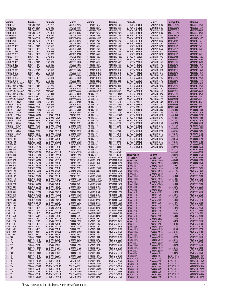| Sumida                                     | <b>Bourns</b>                | Sumida                                             | <b>Bourns</b>                  | Sumida                                      | <b>Bourns</b>                  | Sumida                                   | <b>Bourns</b>                  | Taiyoyuden                             | <b>Bourns</b>                  |
|--------------------------------------------|------------------------------|----------------------------------------------------|--------------------------------|---------------------------------------------|--------------------------------|------------------------------------------|--------------------------------|----------------------------------------|--------------------------------|
| CDRH127560                                 | SRR1208-560Y                 | CR43-2R7                                           | SDR0403-2R7M                   | SCI-B2012-1N8SJT                            | CI201210-1N8D                  | SFI-A2012-R10KJT                         | CS201212-R10K                  | <b>HK1680847NJ</b>                     | CI160808-47NJ                  |
| <b>CDRH127680</b>                          | SRR1208-680Y                 | CR43-330                                           | SDR0403-330K                   | <b>SCI-B2012-22NJJT</b>                     | CI201210-22NJ                  | SFI-A2012-R12KJT                         | CS201212-R12K                  | HK1680856NJ                            | CI160808-56NJ                  |
| <b>CDRH127820</b>                          | SRR1208-820Y                 | CR43-390                                           | SDR0403-390K                   | <b>SCI-B2012-27NJJT</b>                     | CI201210-27NJ                  | SFI-A2012-R15KJT                         | CS201212-R15K                  | <b>HK1680868NJ</b>                     | CI160808-68NJ                  |
| CDRH127101<br><b>CDRH127221</b>            | SRR1208-101Y<br>SRR1208-221K | CR43-3R3<br>CR43-3R9                               | SDR0403-3R3M<br>SDR0403-3R9M   | SCI-B2012-2N2SJT<br>SCI-B2012-2N7SJT        | CI201210-2N2D<br>CI201210-2N7D | SFI-A2012-R18KJT<br>SFI-A2012-R22KJT     | CS201212-R18K<br>CS201212-R22K | HK1680882NJ<br>HK16808R10J             | CI160808-82NJ<br>CI160808-R10J |
| CDRH127331                                 | SRR1208-331K                 | CR43-470                                           | SDR0403-470K                   | <b>SCI-B2012-33NJJT</b>                     | CI201210-33NJ                  | SFI-A2012-R27KJT                         | CS201212-R27K                  | <b>HK21251N5S</b>                      | CI201210-1N5D                  |
| CDRH127471                                 | SRR1208-471K                 | CR43-4R7                                           | SDR0403-4R7M                   | SCI-B2012-39NJJT                            | CI201210-39NJ                  | SFI-A2012-R33KJT                         | CS201212-R33K                  | <b>HK21251N8S</b>                      | CI201210-1N8D                  |
| CDRH127102<br>CDRH2D11-100                 | SRR1208-102K<br>SRU3011-100Y | CR43-560<br>CR43-5R6                               | SDR0403-560K<br>SDR0403-5R6M   | SCI-B2012-3N3SJT<br>SCI-B2012-3N9SJT        | CI201210-3N3D<br>CI201210-3N9D | SFI-A2012-R39KJT<br>SFI-A2012-R47KJT     | CS201212-R39K<br>CS201212-R47K | <b>HK21252N2S</b><br><b>HK21252N7S</b> | CI201210-2N2D<br>CI201210-2N7D |
| <b>CDRH2D11-1R5</b>                        | SRU3011-1R5Y                 | CR43-680                                           | SDR0403-680K                   | <b>SCI-B2012-47NJJT</b>                     | CI201210-47NJ                  | SFI-A2012-R56KJT                         | CS201212-R56K                  | HK21253N3S                             | CI201210-3N3D                  |
| CDRH2D11-2R5                               | SRU3011-2R5Y                 | CR43-6R8                                           | SDR0403-6R8M                   | SCI-B2012-4N7SJT                            | CI201210-4N7D                  | SFI-A2012-R68KJT                         | CS201212-R68K                  | <b>HK21253N9S</b>                      | CI201210-3N9D                  |
| CDRH2D11-3R3                               | SRU3011-3R3Y                 | CR43-820                                           | SDR0403-820K                   | <b>SCI-B2012-56NJJT</b>                     | CI201210-56NJ                  | SFI-A2012-R82KJT                         | CS201212-R82K                  | <b>HK21254N7S</b>                      | CI201210-4N7D                  |
| <b>CDRH2D11-4R7</b><br><b>CDRH2D11-6R8</b> | SRU3011-4R7Y<br>SRU3011-6R8Y | CR43-8R2<br>CR75-100                               | SDR0403-8R2M<br>SDR0805-100M   | SCI-B2012-5N6SJT<br><b>SCI-B2012-68NJJT</b> | CI201210-5N6D<br>CI201210-68NJ | SFI-A3216-100KJT<br>SFI-A3216-120KJT     | CS321613-100K<br>CS321613-120K | <b>HK21255N6S</b><br><b>HK21256N8J</b> | CI201210-5N6D<br>CI201210-6N8J |
| CDRH4D18-100                               | SRU5018-100Y                 | CR75-101                                           | SDR0805-101K                   | SCI-B2012-6N8JJT                            | CI201210-6N8J                  | SFI-A3216-150KJT                         | CS321613-150K                  | <b>HK21258N2J</b>                      | CI201210-8N2J                  |
| CDRH4D18-150                               | SRU5018-150Y                 | CR75-120                                           | SDR0805-120M                   | <b>SCI-B2012-82NJJT</b>                     | CI201210-82NJ                  | SFI-A3216-180KJT                         | CS321613-180K                  | <b>HK212510NJ</b>                      | CI201210-10NJ                  |
| <b>CDRH4D18-1R0</b><br>CDRH4D18-220        | SRU5018-1R0Y<br>SRU5018-220Y | CR75-121<br>CR75-150                               | SDR0805-121K<br>SDR0805-150M   | <b>SCI-B2012-8N2JJT</b><br>SCI-B2012-R10JJT | CI201210-8N2J<br>CI201210-R10J | SFI-A3216-1ROKJT<br>SFI-A3216-1R2KJT     | CS321613-1R0K<br>CS321613-1R2K | <b>HK212512NJ</b><br><b>HK212515NJ</b> | CI201210-12NJ<br>CI201210-15NJ |
| CDRH4D18-2R2                               | SRU5018-2R2Y                 | CR75-151                                           | SDR0805-151K                   | <b>SCI-B2012-R12JJT</b>                     | CI201210-R12J                  | SFI-A3216-1R5KJT                         | CS321613-1R5K                  | <b>HK212518NJ</b>                      | CI201210-18NJ                  |
| CDRH4D18-330                               | SRU5018-330Y                 | CR75-180                                           | SDR0805-180M                   | <b>SCI-B2012-R15JJT</b>                     | CI201210-R15J                  | SFI-A3216-1R8KJT                         | CS321613-1R8K                  | <b>HK212522NJ</b>                      | CI201210-22NJ                  |
| <b>CDRH4D18-4R7</b><br><b>CDRH4D18-6R8</b> | SRU5018-4R7Y<br>SRU5018-6R8Y | CR75-181<br>CR75-220                               | SDR0805-181K<br>SDR0805-220M   | <b>SCI-B2012-R18JJT</b><br>SCI-B2012-R22JJT | CI201210-R18J<br>CI201210-R22J | SFI-A3216-220KJT<br>SFI-A3216-270KJT     | CS321613-220K<br>CS321613-270K | <b>HK212527NJ</b><br><b>HK212533NJ</b> | CI201210-27NJ<br>CI201210-33NJ |
| CDRH5D16F/LD-150NC                         | SRU5016-150Y                 | CR75-221                                           | SDR0805-221K                   | SCI-B2012-R27JJT                            | CI201210-R27J                  | SFI-A3216-2R2KJT                         | CS321613-2R2K                  | <b>HK212539NJ</b>                      | CI201210-39NJ                  |
| CDRH5D16F/LD-200NC                         | SRU5016-100Y                 | CR75-270                                           | SDR0805-270K                   | SCI-B2012-R33JJT                            | CI201210-R33J                  | SFI-A3216-2R7KJT                         | CS321613-2R7K                  | <b>HK212547NJ</b>                      | CI201210-47NJ                  |
| CDRH5D16F/LD-220NC<br>CDRH5D16F/LD-330NC   | SRU5016-220Y<br>SRU5016-330Y | CR75-271<br>CR75-330                               | SDR0805-271K<br>SDR0805-330K   | SCI-B2012-R39JJT<br>SCI-B2012-R47JJT        | CI201210-R39J<br>CI201210-R47J | SFI-A3216-330KJT<br>SFI-A3216-3R3KJT     | CS321613-330K<br>CS321613-3R3K | <b>HK212556NJ</b><br><b>HK212568NJ</b> | CI201210-56NJ<br>CI201210-68NJ |
| CDRH5D16F/LD-470NC                         | SRU5016-470Y                 | CR75-331                                           | SDR0805-331K                   | SDR1006-100                                 | SDR1006-100M                   | SFI-A3216-3R9KJT                         | CS321613-3R9K                  | <b>HK212582NJ</b>                      | CI201210-82NJ                  |
| CDRH5D16F/LD-4R7NC                         | SRU5016-4R7Y                 | CR75-390                                           | SDR0805-390K                   | SDR1006-101                                 | SDR1006-101K                   | SFI-A3216-47NKJT                         | CS321613-47NK                  | HK2125R10J                             | CI201210-R10J                  |
| CDRH5D16F/LD-6R8NC                         | SRU5016-6R8Y                 | CR75-391                                           | SDR0805-391K                   | SDR1006-120                                 | SDR1006-120M                   | SFI-A3216-4R7KJT                         | CS321613-4R7K                  | HK2125R12J                             | CI201210-R12J                  |
| CDRH64B-100MC<br>CDRH64B-101MC             | SRR0604-100M<br>SRR0604-101K | CR75-470<br>CR75-471                               | SDR0805-470K<br>SDR0805-471K   | SDR1006-121<br>SDR1006-150                  | SDR1006-121K<br>SDR1006-150M   | SFI-A3216-56NKJT<br>SFI-A3216-5R6KJT     | CS321613-56NK<br>CS321613-5R6K | <b>HK2125R15J</b><br><b>HK2125R18J</b> | CI201210-R15J<br>CI201210-R18J |
| CDRH64B-102MC                              | SRR0604-102K                 | CR75-560                                           | SDR0805-560K                   | SDR1006-151                                 | SDR1006-151K                   | SFI-A3216-68NKJT                         | CS321613-68NK                  | <b>HK2125R22J</b>                      | CI201210-R22J                  |
| CDRH64B-150MC                              | SRR0604-150M                 | CR75-680                                           | SDR0805-680K                   | SDR1006-180                                 | SDR1006-180M                   | SFI-A3216-6R8KJT                         | CS321613-6R8K                  | <b>LK16081R0K</b>                      | CS160808-1R0K                  |
| CDRH64B-151MC<br>CDRH64B-220MC             | SRR0604-151K<br>SRR0604-220M | CR75-820<br><b>SCI-B1005-10NJJT</b>                | SDR0805-820K<br>CI100505-10NJ  | SDR1006-181<br>SDR1006-220                  | SDR1006-181K<br>SDR1006-220M   | SFI-A3216-82NKJT<br>SFI-A3216-8R2KJT     | CS321613-82NK<br>CS321613-8R2K | LK16081R2K<br>LK16081R5K               | CS160808-1R2K<br>CS160808-1R5K |
| CDRH64B-221MC                              | SRR0604-221K                 | <b>SCI-B1005-12NJJT</b>                            | CI100505-12NJ                  | SDR1006-221                                 | SDR1006-221K                   | SFI-A3216-R10KJT                         | CS321613-R10K                  | <b>LK16081R8K</b>                      | CS160808-1R8K                  |
| CDRH64B-330MC                              | SRR0604-330K                 | <b>SCI-B1005-15NJJT</b>                            | CI100505-15NJ                  | SDR1006-270                                 | SDR1006-270K                   | SFI-A3216-R12KJT                         | CS321613-R12K                  | LK16082R2K                             | CS160808-2R2K                  |
| CDRH64B-331MC<br>CDRH64B-470MC             | SRR0604-331K<br>SRR0604-470K | <b>SCI-B1005-18NJJT</b><br>SCI-B1005-1N0SJT        | CI100505-18NJ<br>CI100505-1N0D | SDR1006-271<br>SDR1006-330                  | SDR1006-271K<br>SDR1006-330K   | SFI-A3216-R15KJT<br>SFI-A3216-R18KJT     | CS321613-R15K<br>CS321613-R18K | <b>LK16082R7K</b><br>LK160847NM        | CS160808-2R7K<br>CS160808-47NK |
| CDRH64B-471MC                              | SRR0604-471K                 | SCI-B1005-1N2SJT                                   | CI100505-1N2D                  | SDR1006-331                                 | SDR1006-331K                   | SFI-A3216-R22KJT                         | CS321613-R22K                  | LK160868NM                             | CS160808-68NK                  |
| CDRH64B-680MC                              | SRR0604-680K                 | <b>SCI-B1005-1N5SJT</b>                            | CI100505-1N5D                  | SDR1006-390                                 | SDR1006-390K                   | SFI-A3216-R27KJT                         | CS321613-R27K                  | LK160882NM                             | CS160808-82NK                  |
| CDRH64B-681MC                              | SRR0604-681K                 | SCI-B1005-1N8SJT                                   | CI100505-1N8D                  | SDR1006-391                                 | SDR1006-391K                   | SFI-A3216-R33KJT                         | CS321613-R33K                  | <b>LK1608R10K</b>                      | CS160808-R10K                  |
| <b>CDRH73-100</b><br><b>CDRH73-101</b>     | SRR7032-100M<br>SRR7032-101M | <b>SCI-B1005-22NJJT</b><br><b>SCI-B1005-27NJJT</b> | CI100505-22NJ<br>CI100505-27NJ | SDR1006-470<br>SDR1006-471                  | SDR1006-470K<br>SDR1006-471K   | SFI-A3216-R39KJT<br>SFI-A3216-R47KJT     | CS321613-R39K<br>CS321613-R47K | <b>LK1608R12K</b><br><b>LK1608R15K</b> | CS160808-R12K<br>CS160808-R15K |
| <b>CDRH73-102</b>                          | SRR7032-102M                 | SCI-B1005-2N2SJT                                   | CI100505-2N2D                  | SDR1006-560                                 | SDR1006-560K                   | SFI-A3216-R56KJT                         | CS321613-R56K                  | <b>LK1608R18K</b>                      | CS160808-R18K                  |
| <b>CDRH73-150</b>                          | SRR7032-150M                 | SCI-B1005-2N7SJT                                   | CI100505-2N7D                  | SDR1006-561                                 | SDR1006-561K                   | SFI-A3216-R68KJT                         | CS321613-R68K                  | <b>LK1608R22K</b>                      | CS160808-R22K                  |
| CDRH73-151<br><b>CDRH73-220</b>            | SRR7032-151M<br>SRR7032-220M | SCI-B1005-33NJJT<br>SCI-B1005-39NJJT               | CI100505-33NJ<br>CI100505-39NJ | SDR1006-680<br>SDR1006-681                  | SDR1006-680K<br>SDR1006-681K   | SFI-A3216-R82KJT                         | CS321613-R82K                  | <b>LK1608R27K</b><br>LK1608R33K        | CS160808-R27K<br>CS160808-R33K |
| <b>CDRH73-221</b>                          | SRR7032-221M                 | SCI-B1005-3N3SJT                                   | CI100505-3N3D                  | SDR1006-820                                 | SDR1006-820K                   |                                          |                                | <b>LK1608R39K</b>                      | CS160808-R39K                  |
| CDRH73-330                                 | SRR7032-330M                 | SCI-B1005-3N9SJT                                   | CI100505-3N9D                  | SDR1006-821                                 | SDR1006-821K                   | Taiyoyuden                               | <b>Bourns</b>                  | <b>LK1608R47K</b>                      | CS160808-R47K                  |
| CDRH73-331<br>CDRH73-470                   | SRR7032-331M<br>SRR7032-470M | SCI-B1005-47NJJT<br>SCI-B1005-4N7SJT               | CI100505-47NJ<br>CI100505-4N7D | SFI-A1608-1R0KJT<br>SFI-A1608-1R2KJT        | CS160808-1R0K<br>CS160808-1R2K | BK 1608 HM 102<br><b>HK10051N0S</b>      | MZ1608-102Y<br>CI100505-1N0D   | <b>LK1608R56K</b><br><b>LK1608R68K</b> | CS160808-R56K<br>CS160808-R68K |
| CDRH73-471                                 | SRR7032-471M                 | SCI-B1005-56NJJT                                   | CI100505-56NJ                  | SFI-A1608-1R5KJT                            | CS160808-1R5K                  | <b>HK10051N2S</b>                        | CI100505-1N2D                  | <b>LK1608R82K</b>                      | CS160808-R82K                  |
| CDRH73-680                                 | SRR7032-680M                 | SCI-B1005-5N6SJT                                   | CI100505-5N6D                  | SFI-A1608-1R8KJT                            | CS160808-1R8K                  | <b>HK10051N5S</b>                        | CI100505-1N5D                  | LK2125100K                             | CS201212-100K                  |
| CDRH73-681<br><b>CDRH74-100</b>            | SRR7032-681M<br>SRR7045-100M | <b>SCI-B1005-68NJJT</b><br><b>SCI-B1005-6N8JJT</b> | CI100505-68NJ<br>CI100505-6N8J | SFI-A1608-27NKJT<br>SFI-A1608-2R2KJT        | CS160808-27NK<br>CS160808-2R2K | <b>HK10051N8S</b><br><b>HK10052N2S</b>   | CI100505-1N8D<br>CI100505-2N2D | LK2125120K<br>LK2125150K               | CS201212-120K<br>CS201212-150K |
| CDRH74-101                                 | SRR7045-101M                 | SCI-B1005-82NJJT                                   | CI100505-82NJ                  | SFI-A1608-2R7KJT                            | CS160808-2R7K                  | <b>HK10052N7S</b>                        | CI100505-2N7D                  | LK2125180K                             | CS201212-180K                  |
| <b>CDRH74-102</b>                          | SRR7045-102M                 | SCI-B1005-8N2JJT                                   | CI100505-8N2J                  | SFI-A1608-47NKJT                            | CS160808-47NK                  | <b>HK10053N3S</b>                        | CI100505-3N3D                  | <b>LK21251R0K</b>                      | CS201212-1R0K                  |
| CDRH74-150<br>CDRH74-151                   | SRR7045-150M<br>SRR7045-151M | <b>SCI-B1005-R10JJT</b><br><b>SCI-B1608-10NJJT</b> | CI100505-R10J<br>CI160808-10NJ | <b>SFI-A1608-56NKJT</b><br>SFI-A1608-68NKJT | CS160808-56NK<br>CS160808-68NK | <b>HK10053N9S</b>                        | CI100505-3N9D                  | <b>LK21251R2K</b><br><b>LK21251R5K</b> | CS201212-1R2K<br>CS201212-1R5K |
| <b>CDRH74-220</b>                          | SRR7045-220M                 | <b>SCI-B1608-12NJJT</b>                            | CI160808-12NJ                  | SFI-A1608-82NKJT                            | CS160808-82NK                  | <b>HK10054N7S</b><br><b>HK10055N6S</b>   | CI100505-4N7D<br>CI100505-5N6D | <b>LK21251R8K</b>                      | CS201212-1R8K                  |
| CDRH74-221                                 | SRR7045-221M                 | <b>SCI-B1608-15NJJT</b>                            | CI160808-15NJ                  | SFI-A1608-R10KJT                            | CS160808-R10K                  | <b>HK10056N8J</b>                        | CI100505-6N8J                  | LK2125220K                             | CS201212-220K                  |
| <b>CDRH74-330</b>                          | SRR7045-330M                 | <b>SCI-B1608-18NJJI</b>                            | CI160808-18NJ                  | SFI-A1608-R12KJI                            | CS160808-R12K                  | <b>HK10058N2J</b>                        | CI100505-8N2J                  | LK2125270K                             | CS201212-270K                  |
| CDRH74-331<br>CDRH74-470                   | SRR7045-331M<br>SRR7045-470M | SCI-B1608-1N0SJT<br>SCI-B1608-1N2SJT               | CI160808-1N0D<br>CI160808-1N2D | SFI-A1608-R15KJT<br>SFI-A1608-R18KJT        | CS160808-R15K<br>CS160808-R18K | <b>HK100510NJ</b><br><b>HK100512NJ</b>   | CI100505-10NJ<br>CI100505-12NJ | <b>LK21252R2K</b><br><b>LK21252R7K</b> | CS201212-2R2K<br>CS201212-2R7K |
| CDRH74-471                                 | SRR7045-471M                 | SCI-B1608-1N5SJT                                   | CI160808-1N5D                  | SFI-A1608-R22KJT                            | CS160808-R22K                  | <b>HK100515NJ</b>                        | CI100505-15NJ                  | LK2125330K                             | CS201212-330K                  |
| CDRH74-680                                 | SRR7045-680M                 | SCI-B1608-1N8SJT                                   | CI160808-1N8D                  | SFI-A1608-R27KJT                            | CS160808-R27K                  | <b>HK100518NJ</b>                        | CI100505-18NJ                  | LK21253R3K                             | CS201212-3R3K                  |
| CDRH74-681<br>CLS4D11-100                  | SRR7045-681M<br>SRU5011-100Y | SCI-B1608-22NJJT<br>SCI-B1608-27NJJT               | CI160808-22NJ<br>CI160808-27NJ | SFI-A1608-R33KJT<br>SFI-A1608-R39KJT        | CS160808-R33K<br>CS160808-R39K | <b>HK100522NJ</b><br><b>HK100527NJ</b>   | CI100505-22NJ<br>CI100505-27NJ | <b>LK21253R9K</b><br>LK212547NM        | CS201212-3R9K<br>CS201212-47NK |
| CLS4D11-101                                | SRU5011-101Y                 | SCI-B1608-2N2SJT                                   | CI160808-2N2D                  | SFI-A1608-R47KJT                            | CS160808-R47K                  | <b>HK100533NJ</b>                        | CI100505-33NJ                  | LK21254R7K                             | CS201212-4R7K                  |
| CLS4D11-150                                | SRU5011-150Y                 | SCI-B1608-2N7SJT                                   | CI160808-2N7D                  | SFI-A1608-R56KJT                            | CS160808-R56K                  | <b>HK100539NJ</b>                        | CI100505-39NJ                  | LK21255R6K                             | CS201212-5R6K                  |
| CLS4D11-1R5<br>CLS4D11-220                 | SRU5011-1R5Y<br>SRU5011-220Y | SCI-B1608-33NJJT<br>SCI-B1608-39NJJT               | CI160808-33NJ<br>CI160808-39NJ | SFI-A1608-R68KJT<br><b>SFI-A1608-R82KJT</b> | CS160808-R68K<br>CS160808-R82K | <b>HK100547NJ</b><br><b>HK100556NJ</b>   | CI100505-47NJ<br>CI100505-56NJ | LK212568NM<br><b>LK21256R8K</b>        | CS201212-68NK<br>CS201212-6R8K |
| CLS4D11-2R5                                | SRU5011-2R5Y                 | SCI-B1608-3N3SJT                                   | CI160808-3N3D                  | SFI-A2012-100KJT                            | CS201212-100K                  | <b>HK100568NJ</b>                        | CI100505-68NJ                  | LK212582NM                             | CS201212-82NK                  |
| CLS4D11-330                                | SRU5011-330Y                 | SCI-B1608-3N9SJT                                   | CI160808-3N9D                  | SFI-A2012-120KJT                            | CS201212-120K                  | <b>HK100582NJ</b>                        | CI100505-82NJ                  | LK21258R2K                             | CS201212-8R2K                  |
| CLS4D11-3R3<br>CLS4D11-470                 | SRU5011-3R3Y<br>SRU5011-470Y | <b>SCI-B1608-47NJJT</b><br>SCI-B1608-4N7SJT        | CI160808-47NJ<br>CI160808-4N7D | SFI-A2012-150KJT<br>SFI-A2012-180KJT        | CS201212-150K<br>CS201212-180K | <b>HK1005R10J</b>                        | CI100505-R10J                  | <b>LK2125R10K</b><br><b>LK2125R12K</b> | CS201212-R10K<br>CS201212-R12K |
| CLS4D11-4R7                                | SRU5011-4R7Y                 | SCI-B1608-56NJJT                                   | CI160808-56NJ                  | SFI-A2012-1ROKJT                            | CS201212-1R0K                  | <b>HK16081N0S</b><br>HK16081N2S          | CI160808-1N0D<br>CI160808-1N2D | <b>LK2125R15K</b>                      | CS201212-R15K                  |
| CLS4D11-680                                | SRU5011-680Y                 | SCI-B1608-5N6SJT                                   | CI160808-5N6D                  | SFI-A2012-1R2KJT                            | CS201212-1R2K                  | <b>HK16081N5S</b>                        | CI160808-1N5D                  | <b>LK2125R18K</b>                      | CS201212-R18K                  |
| CLS4D11-6R8                                | SRU5011-6R8Y                 | <b>SCI-B1608-68NJJT</b>                            | CI160808-68NJ                  | SFI-A2012-1R5KJT                            | CS201212-1R5K                  | <b>HK16081N8S</b>                        | CI160808-1N8D                  | <b>LK2125R22K</b>                      | CS201212-R22K                  |
| CR43-100<br>CR43-101                       | SDR0403-100M<br>SDR0403-101K | SCI-B1608-6N8JJT<br><b>SCI-B1608-82NJJT</b>        | CI160808-6N8J<br>CI160808-82NJ | SFI-A2012-1R8KJT<br>SFI-A2012-220KJT        | CS201212-1R8K<br>CS201212-220K | HK16082N2S<br><b>HK16082N7S</b>          | CI160808-2N2D<br>CI160808-2N7D | <b>LK2125R27K</b><br>LK2125R33K        | CS201212-R27K<br>CS201212-R33K |
| CR43-120                                   | SDR0403-120M                 | SCI-B1608-8N2JJT                                   | CI160808-8N2J                  | SFI-A2012-270KJT                            | CS201212-270K                  | HK16083N3S                               | CI160808-3N3D                  | LK2125R39K                             | CS201212-R39K                  |
| CR43-121                                   | SDR0403-121K                 | SCI-B1608-R10JJT                                   | CI160808-R10J                  | SFI-A2012-2R2KJT                            | CS201212-2R2K                  | HK16083N9S                               | CI160808-3N9D                  | <b>LK2125R47K</b>                      | CS201212-R47K                  |
| CR43-150<br>CR43-151                       | SDR0403-150M<br>SDR0403-151K | SCI-B1608-R12JJT<br>SCI-B1608-R15JJT               | CI160808-R12J<br>CI160808-R15J | SFI-A2012-2R7KJT<br>SFI-A2012-330KJT        | CS201212-2R7K<br>CS201212-330K | <b>HK16084N7S</b><br><b>HK16085N6S</b>   | CI160808-4N7D<br>CI160808-5N6D | <b>LK2125R56K</b><br><b>LK2125R68K</b> | CS201212-R56K<br>CS201212-R68K |
| CR43-180                                   | SDR0403-180M                 | <b>SCI-B1608-R18JJT</b>                            | CI160808-R18J                  | SFI-A2012-3R3KJT                            | CS201212-3R3K                  | <b>HK16086N8J</b>                        | CI160808-6N8J                  | <b>LK2125R82K</b>                      | CS201212-R82K                  |
| CR43-181                                   | SDR0403-181K                 | SCI-B1608-R22JJT                                   | CI160808-R22J                  | SFI-A2012-3R9KJT                            | CS201212-3R9K                  | HK16088N2J                               | CI160808-8N2J                  | NLV25T-1R0K                            | CM252016-1R0K                  |
| CR43-1R0<br>CR43-1R4                       | SDR0403-1R0M<br>SDR0403-1R4M | SCI-B1608-R27JJT<br><b>SCI-B2012-10NJJT</b>        | CI160808-R27J<br>CI201210-10NJ | SFI-A2012-47NKJT<br>SFI-A2012-4R7KJT        | CS201212-47NK<br>CS201212-4R7K | <b>HK1680810NJ</b><br><b>HK1680812NJ</b> | CI160808-10NJ<br>CI160808-12NJ | NLV25T-1R2K<br>NLV25T-1R5K             | CM252016-1R2K<br>CM252016-1R5K |
| CR43-1R8                                   | SDR0403-1R8M                 | <b>SCI-B2012-12NJJT</b>                            | CI201210-12NJ                  | SFI-A2012-56NKJT                            | CS201212-56NK                  | <b>HK1680815NJ</b>                       | CI160808-15NJ                  | <b>NLV25T-1R8K</b>                     | CM252016-1R8K                  |
| CR43-220                                   | SDR0403-220M                 | SCI-B2012-15NJJT                                   | CI201210-15NJ                  | SFI-A2012-5R6KJT                            | CS201212-5R6K                  | <b>HK1680818NJ</b>                       | CI160808-18NJ                  | NLV25T-2R2K                            | CM252016-2R2K                  |
| CR43-221<br>CR43-270                       | SDR0403-221K<br>SDR0403-270K | <b>SCI-B2012-18NJJT</b><br>SCI-B2012-1N0SJT        | CI201210-18NJ<br>CI201210-1N0D | SFI-A2012-68NKJT<br>SFI-A2012-6R8KJT        | CS201212-68NK<br>CS201212-6R8K | <b>HK1680822NJ</b><br><b>HK1680827NJ</b> | CI160808-22NJ<br>CI160808-27NJ | NLV25T-2R7K<br>NLV25T-3R3K             | CM252016-2R7K<br>CM252016-3R3K |
| CR43-271                                   | SDR0403-271K                 | SCI-B2012-1N2SJT                                   | CI201210-1N2D                  | SFI-A2012-82NKJT                            | CS201212-82NK                  | <b>HK1680833NJ</b>                       | CI160808-33NJ                  | NLV25T-3R9K                            | CM252016-3R9K                  |
| CR43-2R2                                   | SDR0403-2R2M                 | SCI-B2012-1N5SJT                                   | CI201210-1N5D                  | SFI-A2012-8R2KJT                            | CS201212-8R2K                  | HK1680839NJ                              | CI160808-39NJ                  | NLV25T-4R7K                            | CM252016-4R7K                  |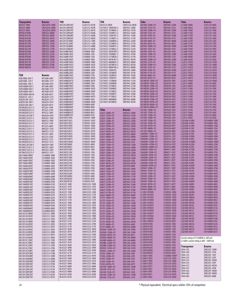| Taiyoyuden                               | <b>Bourns</b>                  | TDK                                        | <b>Bourns</b>                  | TDK                                      | <b>Bourns</b>                 | Toko                                | Bourns<br>SDR1045-220M         | <b>Toko</b>                                                                        | <b>Bourns</b><br>CI201210-6N8J |
|------------------------------------------|--------------------------------|--------------------------------------------|--------------------------------|------------------------------------------|-------------------------------|-------------------------------------|--------------------------------|------------------------------------------------------------------------------------|--------------------------------|
| NLV25T-5R6K<br>NLV25T-6R8K               | CM252016-5R6K<br>CM252016-6R8K | MLF2012DR33KT<br>MLF2012DR39KT             | CS201212-R33K<br>CS201212-R39K | NL4532T-8R2K<br>SLF7032T-100M1R4-2       | CM453232-8R2K<br>SRR7032-100M | A814AY-220M=P3<br>A814AY-221K=P3    | SDR1045-221K                   | LL1608-F6N8J<br>LL1608-F8N2J                                                       | CI201210-8N2J                  |
| NLV25T-8R2K                              | CM252016-8R2K                  | MLF2012DR47KT                              | CS201212-R47K                  | SLF7032T-101MR45-2                       | SRR7032-101M                  | A814AY-330M=P3                      | SDR1045-330M                   | LL1608-F10NJ                                                                       | CI201210-10NJ                  |
| <b>NP06D B100M</b>                       | SRR7032-6R8M                   | MLF2012DR56KT                              | CS201212-R56K                  | SLF7032T-102MR13-2                       | SRR7032-102M                  | A814AY-331K=P3                      | SDR1045-331K                   | LL1608-F12NJ                                                                       | CI201210-12NJ                  |
| <b>NP06D B101M</b>                       | SRR7032-680M                   | MLF2012DR68KT                              | CS201212-R68K                  | SLF7032T-150M1R1-2                       | SRR7032-150M                  | A814AY-470K=P3                      | SDR1045-470M                   | LL1608-F15NJ                                                                       | CI201210-15NJ                  |
| <b>NP06D B102M</b>                       | SRR7032-681M                   | MLF2012DR82KT                              | CS201212-R82K                  | SLF7032T-151MR37-2                       | SRR7032-151M                  | A814AY-471K=P3                      | SDR1045-471K                   | LL1608-F18NJ                                                                       | CI201210-18NJ                  |
| <b>NP06D B150M</b>                       | SRR7032-100M                   | MLF2012E100KT                              | CS201212-100K                  | SLF7032T-220MR96-2                       | SRR7032-220M                  | A814AY-680K=P3                      | SDR1045-680M                   | LL1608-F22NJ                                                                       | CI201210-22NJ                  |
| <b>NP06D B151M</b><br><b>NP06D B220M</b> | SRR7032-101M<br>SRR7032-150M   | MLF2012E120KT<br>MLF2012E6R8KT             | CS201212-120K<br>CS201212-6R8K | SLF7032T-221MR29-2<br>SLF7032T-330MR75-2 | SRR7032-221M<br>SRR7032-330M  | A814AY-681K=P3<br>A879AY-100M=P3    | SDR1045-681K<br>SDR1030-100M   | LL1608-F27NJ<br>LL1608-F33NJ                                                       | CI201210-27NJ<br>CI201210-33NJ |
| <b>NP06D B221M</b>                       | SRR7032-151M                   | MLF2012E8R2KT                              | CS201212-8R2K                  | SLF7032T-331MR22-2                       | SRR7032-331M                  | A879AY-101K=P3                      | SDR1030-101K                   | LL1608-F39NJ                                                                       | CI201210-39NJ                  |
| <b>NP06D B330M</b>                       | SRR7032-220M                   | MLG1608B10NJT                              | CI160808-10NJ                  | SLF7032T-3R3M1R9-2                       | SRR7032-3R3M                  | A879AY-102K=P3                      | SDR1030-102K                   | LL1608-F47NJ                                                                       | CI201210-47NJ                  |
| <b>NP06D B331M</b>                       | SRR7032-221M                   | <b>MLG1608B12NJT</b>                       | CI160808-12NJ                  | SLF7032T-470MR67-2                       | SRR7032-470M                  | A879AY-150M=P3                      | SDR1030-150M                   | LL1608-F56NJ                                                                       | CI201210-56NJ                  |
| NP06D B3R3M                              | SRR7032-3R3M                   | <b>MLG1608B15NJT</b>                       | CI160808-15NJ                  | SLF7032T-471MR20-2                       | SRR7032-471M                  | A879AY-151K=P3                      | SDR1030-151K                   | LL1608-F68NJ                                                                       | CI201210-68NJ                  |
| <b>NP06D B470M</b>                       | SRR7032-330M                   | MLG1608B18NJT                              | CI160808-18NJ                  | SLF7032T-4R7M1R7-2                       | SRR7032-4R7M                  | A879AY-220M=P3                      | SDR1030-220M                   | LL1608-F82NJ                                                                       | CI201210-82NJ                  |
| <b>NP06D B471M</b><br><b>NP06D B680M</b> | SRR7032-331M<br>SRR7032-470M   | MLG1608B1N0ST<br>MLG1608B1N2ST             | CI160808-1N0D<br>CI160808-1N2D | SLF7032T-680MR59-2<br>SLF7032T-681MR16-2 | SRR7032-680M<br>SRR7032-681M  | A879AY-221K=P3<br>A879AY-330M=P3    | SDR1030-221K<br>SDR1030-330M   | LL2012-F1N5S<br>LL2012-F1N8S                                                       | CI201210-1N5D<br>CI201210-1N8D |
| <b>NP06D B681M</b>                       | SRR7032-471M                   | MLG1608B1N5ST                              | CI160808-1N5D                  | SLF7032T-6R8M1R6-2                       | SRR7032-6R8M                  | A879AY-331K=P3                      | SDR1030-331K                   | LL2012-F2N2S                                                                       | CI201210-2N2D                  |
|                                          |                                | MLG1608B1N8ST                              | CI160808-1N8D                  | SLF7045T-100M1R3                         | SRR7045-100M                  | A879AY-470K=P3                      | SDR1030-470M                   | LL2012-F2N7S                                                                       | CI201210-2N7D                  |
|                                          |                                | <b>MLG1608B22NJT</b>                       | CI160808-22NJ                  | SLF7045T-101MR50                         | SRR7045-101M                  | A879AY-471K=P3                      | SDR1030-471K                   | LL2012-F3N3S                                                                       | CI201210-3N3D                  |
| <b>TDK</b>                               | <b>Bourns</b>                  | MLG1608B27NJT                              | CI160808-27NJ                  | SLF7045T-102MR14                         | SRR7045-102M                  | A879AY-680K=P3                      | SDR1030-680M                   | LL2012-F3N9S                                                                       | CI201210-3N9D                  |
| ACB1608L-030-T                           | MT1608-300Y                    | MLG1608B2N2ST                              | CI160808-2N2D<br>CI160808-2N7D | SLF7045T-150M1R1                         | SRR7045-150M<br>SRR7045-151M  | A879AY-681K=P3<br>A914BYW-100M=P3   | SDR1030-681K                   | LL2012-F4N7S<br>LL2012-F5N6S                                                       | CI201210-4N7D<br>CI201210-5N6D |
| ACB1608L-120-T                           | MG1608-121Y<br>MU1608-301Y     | MLG1608B2N7ST<br>MLG1608B33NJT             | CI160808-33NJ                  | SLF7045T-151MR40<br>SLF7045T-220MR90     | SRR7045-220M                  | A914BYW-102M=P3                     | SRU5018-100Y<br>SRU5018-101Y   | LL2012-F6N8J                                                                       | CI201210-6N8J                  |
| ACB1608L-300-T<br>ACB1608M-030-T         | MT1608-300Y                    | <b>MLG1608B39NJT</b>                       | CI160808-39NJ                  | SLF7045T-221MR33                         | SRR7045-221M                  | A914BYW-150M=P3                     | SRU5018-150Y                   | LL2012-F8N2J                                                                       | CI201210-8N2J                  |
| ACB1608M-030-T                           | MG1608-121Y                    | MLG1608B3N3ST                              | CI160808-3N3D                  | SLF7045T-330MR82                         | SRR7045-330M                  | A914BYW-220M=P3                     | SRU5018-220Y                   | LL2012-F10NJ                                                                       | CI201210-10NJ                  |
| ACB1608M-300-T                           | MU1608-301Y                    | MLG1608B3N9ST                              | CI160808-3N9D                  | SLF7045T-331MR25                         | SRR7045-331M                  | A914BYW-2R2M=P3                     | SRU5018-2R2Y                   | LL2012-F12NJ                                                                       | CI201210-12NJ                  |
| ACB1608M-600-M                           | MZ1608-601Y                    | MLG1608B47NJT                              | CI160808-47NJ                  | SLF7045T-470MR75                         | SRR7045-470M                  | A914BYW-330M=P3                     | SRU5018-330Y                   | LL2012-F15NJ                                                                       | CI201210-15NJ                  |
| ACB2012L-120-T                           | MG2029-121Y                    | MLG1608B4N7ST                              | CI160808-4N7D                  | SLF7045T-471MR22                         | SRR7045-471M                  | A914BYW-3R5M=P3                     | SRU5018-3R5Y                   | LL2012-F18NJ                                                                       | CI201210-18NJ                  |
| ACB2012M-120-T                           | MG2029-121Y                    | MLG1608B56NJT<br>MLG1608B5N6ST             | CI160808-56NJ<br>CI160808-5N6D | SLF7045T-680MR60<br>SLF7045T-681MR20     | SRR7045-680M<br>SRR7045-681M  | A914BYW-470M=P3<br>A914BYW-4R7M=P3  | SRU5018-470Y<br>SRU5018-4R7Y   | LL2012-F22NJ<br>LL2012-F27NJ                                                       | CI201210-22NJ<br>CI201210-27NJ |
| ACB2012M-300-T<br>ACB2012M-300-T         | MU2029-301Y<br>MZ2029-601Y     | MLG1608B68NJT                              | CI160808-68NJ                  |                                          |                               | A914BYW-680M=P3                     | SRU5018-680Y                   | LL2012-F33NJ                                                                       | CI201210-33NJ                  |
| HF30ACB321611-T                          | MT3261-190Y                    | MLG1608B6N8JT                              | CI160808-6N8J                  |                                          |                               | A914BYW-6R8M=P3                     | SRU5018-6R8Y                   | LL2012-F39NJ                                                                       | CI201210-39NJ                  |
| HF30ACB322513-T                          | MT3225-310Y                    | <b>MLG1608B82NJT</b>                       | CI160808-82NJ                  | Toko                                     | <b>Bourns</b>                 | A915BY-100M=P3                      | SRU5028-100Y                   | LL2012-F47NJ                                                                       | CI201210-47NJ                  |
| HF30ACB453215-T                          | MT4532-700Y                    | <b>MLG1608B8N2JT</b>                       | CI160808-8N2J                  | 636CY-100M=P3                            | SRR7032-100M                  | A915BY-101M=P3                      | SRU5028-101Y                   | LL2012-F56NJ                                                                       | CI201210-56NJ                  |
| HF30ACC201209-T                          | MH2029-070Y                    | MLG1608BR10JT                              | CI160808-R10J                  | 636CY-101M=P3                            | SRR7032-101M                  | A915BY-150M=P3                      | SRU5028-150Y                   | LL2012-F68NJ                                                                       | CI201210-68NJ                  |
| HF30ACC321611-T                          | MH3261-190Y                    | <b>MLK1005S1N0S</b>                        | CI100505-1N0D<br>CI100505-1N2D | 636CY-150M=P3                            | SRR7032-150M                  | A915BY-220M=P3<br>A915BY-330M=P3    | SRU5028-220Y                   | LL2012-F82NJ<br>LL01608-A10NG                                                      | CI201210-82NJ<br>CW160808-10NG |
| HF30ACC453215-T<br>HF50ACB321611-T       | MH4532-700Y                    | <b>MLK1005S1N2S</b><br><b>MLK1005S1N5S</b> | CI100505-1N5D                  | 636CY-220M=P3                            | SRR7032-220M                  | A915BY-470M=P3                      | SRU5028-330Y<br>SRU5028-470Y   | LLQ1608-A10NJ                                                                      | CW160808-10NJ                  |
| HF50ACB322513-T                          | MT3261-310Y<br>MT3225-600Y     | <b>MLK1005S1N8S</b>                        | CI100505-1N8D                  | 636CY-330M=P3<br>636CY-3R3M=P3           | SRR7032-330M<br>SRR7032-3R3M  | A915BY-4R7M=P3                      | SRU5028-4R7Y                   | LLQ1608-A12NG                                                                      | CW160808-12NG                  |
| HF50ACC321611-T                          | MH3261-310Y                    | MLK1005S2N2S                               | CI100505-2N2D                  | 636CY-470M=P3                            | SRR7032-470M                  | A915BY-680M=P3                      | SRU5028-680Y                   | LLQ1608-A12NJ                                                                      | CW160808-12NJ                  |
| HF50ACC453215-T                          | MH4532-131Y                    | MLK1005S2N7S                               | CI100505-2N7D                  | 636CY-4R7M=P3                            | SRR7032-4R7M                  | A915BY-6R8M=P3                      | SRU5028-6R8Y                   | LLQ1608-A15NG                                                                      | CW160808-15NG                  |
| HF70ACB321611-T                          | MT3261-260Y                    | MLK1005S3N3S                               | CI100505-3N3D                  | 636CY-680M=P3                            | SRR7032-680M                  | A960AW=100M=P3                      | SRU5016-100Y                   | LLQ1608-A15NJ                                                                      | CW160808-15NJ                  |
| HF70ACB322513-T                          | MT3225-520Y                    | MLK1005S3N9S                               | CI100505-3N9D                  | 636CY-6R8M=P3                            | SRR7032-6R8M                  | A960AW=150M=P3                      | SRU5016-150Y                   | LLQ1608-A18NG                                                                      | CW160808-18NG                  |
| HF70ACB453215-T                          | MT4532-121Y                    | MLK1005S4N7S<br>MLK1005S5N6D               | CI100505-4N7D<br>CI100505-5N6D | 636FY-100M=P3                            | SDR7030-100M                  | A960AW=220M=P3<br>A960AW=330M=P3    | SRU5016-220Y<br>SRU5016-330Y   | LLQ1608-A18NJ<br>LLQ1608-A1N8M                                                     | CW160808-18NJ<br>CW160808-1N8M |
| HF70ACB453215-T<br>HF70ACC201209-T       | MT4532-131Y<br>MH2029-100Y     | <b>MLK1005S6N8J</b>                        | CI100505-6N8J                  | 636FY-101M=P3<br>636FY-150M=P3           | SDR7030-101K<br>SDR7030-150M  | A960AW=470M=P3                      | SRU5016-470Y                   | LLQ1608-A22NG                                                                      | CW160808-22NG                  |
| HF70ACC321611-T                          | MH3261-260Y                    | MLK1005S8N2J                               | CI100505-8N2J                  | 636FY-1R0M=P3                            | SDR7030-1R0M                  | A960AW=6R8M=P3                      | SRU5016-6R8Y                   | LLQ1608-A22NJ                                                                      | CW160808-22NJ                  |
| HF70ACC322513-T                          | MH3225-520Y                    | <b>MLK1005S10NJ</b>                        | CI100505-10NJ                  | 636FY-1R5M=P3                            | SDR7030-1R5M                  | A960AW-100M=P3                      | SRR4011-100Y                   | LLQ1608-A27NG                                                                      | CW160808-27NG                  |
| HF70ACC453215-T                          | MH4532-121Y                    | <b>MLK1005S12NJ</b>                        | CI100505-12NJ                  | 636FY-220M=P3                            | SDR7030-220M                  | A960AW-150M=P3                      | SRR4011-150Y                   | LLQ1608-A27NJ                                                                      | CW160808-27NJ                  |
| MLF1608A1R0KT                            | CS160808-1R0K                  | <b>MLK1005S15NJ</b>                        | CI100505-15NJ                  | 636FY-2R2M=P3                            | SDR7030-2R2M                  | A960AW-1R2M=P3                      | SRR4011-1R2Y                   | LLQ1608-A33NG                                                                      | CW160808-33NG                  |
| MLF1608A1R2KT                            | CS160808-1R2K                  | <b>MLK1005S18NJ</b>                        | CI100505-18NJ<br>CI100505-22NJ | 636FY-330M=P3                            | SDR7030-330M                  | A960AW-220M=P3                      | SRR4011-220Y<br>SRR4011-2R2Y   | LLQ1608-A33NJ                                                                      | CW160808-33NJ                  |
| MLF1608A1R5KT<br>MLF1608A1R8KT           | CS160808-1R5K<br>CS160808-1R8K | <b>MLK1005S22NJ</b><br><b>MLK1005S27NJ</b> | CI100505-27NJ                  | 636FY-470M=P3                            | SDR7030-470K                  | A960AW-2R3M=P3<br>A960AW-330M=P3    | SRR4011-330Y                   | LLQ1608-A39NG<br>LLQ1608-A39NJ                                                     | CW160808-39NG<br>CW160808-39NJ |
| MLF1608A2R2KT                            | CS160808-2R2K                  | <b>MLK1005S33NJ</b>                        | CI100505-33NJ                  | 636FY-4R7M=P3<br>636FY-680M=P3           | SDR7030-4R7M<br>SDR7030-680K  | A960AW-470M=P3                      | SRR4011-470Y                   | LLQ1608-A3N9K                                                                      | CW160808-3N9K                  |
| MLF1608A2R7KT                            | CS160808-2R7K                  | <b>MLK1005S39NJ</b>                        | CI100505-39NJ                  | 646CY-100M=P3                            | SRR7045-100M                  | A994AY-100M=P3                      | SRU5011-100Y                   | LLQ1608-A47NG                                                                      | CW160808-47NG                  |
| MLF1608D47NKT                            | CS160808-47NK                  | <b>MLK1005S47NJ</b>                        | CI100505-47NJ                  | 646CY-101M=P3                            | SRR7045-101M                  | A994AY-101M=P3                      | SRU5011-101Y                   | LLQ1608-A47NJ                                                                      | CW160808-47NJ                  |
| MLF1608D56NKT                            | CS160808-56NK                  | <b>MLK1005S56NJ</b>                        | CI100505-56NJ                  | 646CY-150M=P3                            | SRR7045-150M                  | A994AY-150M=P3                      | SRU5011-150Y                   | LL01608-A4N7K                                                                      | CW160808-4N7K                  |
| MLF1608D68NKT                            | CS160808-68NK                  | <b>MLK1005S68NJ</b><br><b>MLK1005S82NJ</b> | CI100505-68NJ<br>CI100505-82NJ | 646CY-151M=P3                            | SRR7045-151M                  | A994AY-220M=P3<br>A994AY-330M=P3    | SRU5011-220Y<br>SRU5011-330Y   | LLQ1608-A56NG<br>LLQ1608-A56NJ                                                     | CW160808-56NG<br>CW160808-56NJ |
| MLF1608D82NKT<br>MLF1608DR10KT           | CS160808-82NK<br>CS160808-R10K | <b>MLK1005SR10J</b>                        | CI100505-R10J                  | 646CY-220M=P3<br>646CY-221M=P3           | SRR7045-220M<br>SRR7045-221M  | A994AY-470M=P3                      | SRU5011-470Y                   | LLQ1608-A68NG                                                                      | CW160808-68NG                  |
| MLF1608DR12KT                            | CS160808-R12K                  | NL4532T-100K                               | CM453232-100K                  | 646CY-330M=P3                            | SRR7045-330M                  | A994AY-4R7M=P3                      | SRU5011-4R7Y                   | LLQ1608-A68NJ                                                                      | CW160808-68NJ                  |
| MLF1608DR15KT                            | CS160808-R15K                  | NL4532T-101K                               | CM453232-101K                  | 646CY-331M=P3                            | SRR7045-331M                  | A994AY-680M=P3                      | SRU5011-680Y                   | LLQ1608-A6N8G                                                                      | CW160808-6N8G                  |
| MLF1608DR18KT                            | CS160808-R18K                  | NL4532T-102K                               | CM453232-102K                  | 646CY-470M=P3                            | SRR7045-470M                  | A994AY-6R8M=P3                      | SRU5011-6R8Y                   | LLQ1608-A6N8J                                                                      | CW160808-6N8J                  |
| MLF1608DR22KT                            | CS160808-R22K                  | NL4532T-120K                               | CM453232-120K                  | 646CY-471M=P3                            | SRR7045-471M                  | LL1005-FH1N0S                       | CI100505-1N0D                  | LLQ1608-A82NG                                                                      | CW160808-82NG                  |
| MLF1608DR27KT                            | CS160808-R27K                  | NL4532T-121K<br>NL4532T-150K               | CM453232-121K<br>CM453232-150K | 646CY-680M=P3                            | SRR7045-680M                  | LL1005-FH1N2S<br>LL1005-FH1N5S      | CI100505-1N2D<br>CI100505-1N5D | LLQ1608-A82NJ<br>LLQ1608-A8N2G                                                     | CW160808-82NJ<br>CW160808-8N2G |
| MLF1608DR33KT<br>MLF1608DR39KT           | CS160808-R33K<br>CS160808-R39K | NL4532T-151K                               | CM453232-151K                  | 817FY-100M=P3<br>817FY-101M=P3           | SDR7045-100M                  | LL1005-FH1N8S                       | CI100505-1N8D                  | LLQ1608-A8N2J                                                                      | CW160808-8N2J                  |
| MLF1608DR47KT                            | CS160808-R47K                  | NL4532T-180K                               | CM453232-180K                  | 817FY-150M=P3                            | SDR7045-101K<br>SDR7045-150M  | LL1005-FH2N2S                       | CI100505-2N2D                  | LLQ1608-AR10G                                                                      | CW160808-R10G                  |
| MLF1608DR56KT                            | CS160808-R56K                  | NL4532T-181K                               | CM453232-181K                  | 817FY-1R5M=P3                            | SDR7045-1R5M                  | LL1005-FH2N7S                       | CI100505-2N7D                  | LLQ1608-AR10J                                                                      | CW160808-R10J                  |
| MLF1608DR68KT                            | CS160808-R68K                  | NL4532T-1R0K                               | CM453232-1R0K                  | 817FY-220M=P3                            | SDR7045-220M                  | LL1005-FH3N3S                       | CI100505-3N3D                  | LLQ1608-AR12G                                                                      | CW160808-R12G                  |
| MLF1608DR82KT                            | CS160808-R82K                  | NL4532T-1R2K                               | CM453232-1R2K                  | 817FY-2R2M=P3                            | SDR7045-2R2M                  | LL1005-FH3N9S                       | CI100505-3N9D                  | LLQ1608-AR12J                                                                      | CW160808-R12J                  |
| MLF2012A1R0KT                            | CS201212-1R0K<br>CS201212-1R2K | NL4532T-1R5K<br>NL4532T-1R8K               | CM453232-1R5K<br>CM453232-1R8K | 817FY-330M=P3                            | SDR7045-330M                  | LL1005-FH4N7S<br>LL1005-FH5N6S      | CI100505-4N7D<br>CI100505-5N6D | LLQ1608-AR15G<br>LLQ1608-AR15J                                                     | CW160808-R15G<br>CW160808-R15J |
| MLF2012A1R2KT<br>MLF2012A1R5KT           | CS201212-1R5K                  | NL4532T-220K                               | CM453232-220K                  | 817FY-3R3M=P3<br>817FY-470M=P3           | SDR7045-3R3M<br>SDR7045-470K  | LL1005-FH6N8J                       | CI100505-6N8J                  | LLQ1608-AR18G                                                                      | CW160808-R18G                  |
| MLF2012A1R8KT                            | CS201212-1R8K                  | NL4532T-221K                               | CM453232-221K                  | 817FY-4R7M=P3                            | SDR7045-4R7M                  | LL1005-FH8N2J                       | CI100505-8N2J                  | LLQ1608-AR18J                                                                      | CW160808-R18J                  |
| MLF2012A2R2KT                            | CS201212-2R2K                  | NL4532T-270K                               | CM453232-270K                  | 817FY-680M=P3                            | SDR7045-680K                  | LL1005FH10NJ                        | CI100505-10NJ                  | LL01608-AR22G                                                                      | CW160808-R22G                  |
| MLF2012A2R7KT                            | CS201212-2R7K                  | NL4532T-271K                               | CM453232-271K                  | 817FY-6R8M=P3                            | SDR7045-6R8M                  | <b>LL1005FH12NJ</b>                 | CI100505-12NJ                  | LLQ1608-AR22J                                                                      | CW160808-R22J                  |
| MLF2012A3R3KT                            | CS201212-3R3K                  | NL4532T-2R2K                               | CM453232-2R2K                  | 892NAS-100M=P3                           | SRR1240-100M                  | <b>LL1005FH15NJ</b>                 | CI100505-15NJ                  | LLQ1608-AR27G                                                                      | CW160808-R27G                  |
| MLF2012A3R9KT<br>MLF2012A4R7KT           | CS201212-3R9K<br>CS201212-4R7K | NL4532T-2R7K<br>NL4532T-330K               | CM453232-2R7K<br>CM453232-330K | 892NAS-150M=P3                           | SRR1240-150M                  | <b>LL1005FH18NJ</b><br>LL1005FH22NJ | CI100505-18NJ<br>CI100505-22NJ | LLQ1608-AR27J                                                                      | CW160808-R27J                  |
| MLF2012A5R6KT                            | CS201212-5R6K                  | NL4532T-331K                               | CM453232-331K                  | 892NAS-4R7M=P3<br>892NAS-6R8M=P3         | SRR1240-4R7Y<br>SRR1240-6R8M  | <b>LL1005FH27NJ</b>                 | CI100505-27NJ                  |                                                                                    |                                |
| MLF2012C150KT                            | CS201212-150K                  | NL4532T-390K                               | CM453232-390K                  | 892NBF-680M=P3                           | SRR1240-680M                  | LL1005FH33NJ                        | CI100505-33NJ                  | Current rating of Cl160808 is 300 mA.<br>LL1608's current rating is 400 - 1000 mA. |                                |
| MLF2012C180KT                            | CS201212-180K                  | NL4532T-391K                               | CM453232-391K                  | 892NBS-220M=P3                           | SRR1240-220M                  | LL1005FH39NJ                        | CI100505-39NJ                  |                                                                                    |                                |
| MLF2012C220KT                            | CS201212-220K                  | NL4532T-3R3K                               | CM453232-3R3K                  | 892NBS-470M=P3                           | SRR1240-470M                  | <b>LL1005FH47NJ</b>                 | CI100505-47NJ                  | <b>Transpower</b>                                                                  | <b>Bourns</b>                  |
| MLF2012C270KT                            | CS201212-270K                  | NL4532T-3R9K                               | CM453232-3R9K<br>CM453232-470K | 892NCF-101M=P3                           | SRR1240-101M                  | <b>LL1005FH56NJ</b><br>LL1005FH68NJ | CI100505-56NJ<br>CI100505-68NJ | SD44-103                                                                           | SDR2207-100M                   |
| MLF2012C330KT<br>MLF2012D47NKT           | CS201212-330K<br>CS201212-47NK | NL4532T-470K<br>NL4532T-471K               | CM453232-471K                  | 892NCS-330M=P3                           | SRR1240-330M                  | <b>LL1005FH82NJ</b>                 | CI100505-82NJ                  | SD44-104                                                                           | SDR2207-101K                   |
| MLF2012D56NKT                            | CS201212-56NK                  | NL4532T-4R7K                               | CM453232-4R7K                  | 919AS-100M=P3<br>919AS-220M=P3           | SRU1048-100Y<br>SRU1048-220Y  | LL1608-F1N0S                        | CI160808-1N0D*                 | SD44-153                                                                           | SDR2207-150Y                   |
| MLF2012D68NKT                            | CS201212-68NK                  | NL4532T-560K                               | CM453232-560K                  | 919AS-330M=P3                            | SRU1048-330Y                  | LL1608-F1N5S                        | CI201210-1N5D                  | SD44-223                                                                           | SDR2207-220Y                   |
| MLF2012D82NKT                            | CS201212-82NK                  | NL4532T-561K                               | CM453232-561K                  | 919AS-470M=P3                            | SRU1048-470Y                  | LL1608-F1N8S                        | CI201210-1N8D                  | SD44-332                                                                           | SDR2207-3R3M                   |
| MLF2012DR10KT                            | CS201212-R10K                  | NL4532T-5R6K                               | CM453232-5R6K                  | 919AS-4R7M=P3                            | SRU1048-4R7Y                  | LL1608-F2N2S                        | CI201210-2N2D                  | SD44-333<br>SD44-472                                                               | SDR2207-330Y<br>SDR2207-4R7M   |
| MLF2012DR12KT                            | CS201212-R12K                  | NL4532T-680K<br>NL4532T-681K               | CM453232-680K<br>CM453232-681K | A814AY-100M=P3                           | SDR1045-100M                  | LL1608-F2N7S<br>LL1608-F3N3J        | CI201210-2N7D<br>CI201210-3N3D | SD44-473                                                                           | SDR2207-470K                   |
| MLF2012DR15KT<br>MLF2012DR18KT           | CS201212-R15K<br>CS201212-R18K | NL4532T-6R8K                               | CM453232-6R8K                  | A814AY-101K=P3<br>A814AY-102K=P3         | SDR1045-101K<br>SDR1045-102K  | LL1608-F3N9J                        | CI201210-3N9D                  | SD44-562                                                                           | SDR2207-5R6M                   |
| MLF2012DR22KT                            | CS201212-R22K                  | NL4532T-820K                               | CM453232-820K                  | A814AY-150M=P3                           | SDR1045-150M                  | LL1608-F4N7J                        | CI201210-4N7D                  | SD44-682                                                                           | SDR2207-6R8M                   |
| MLF2012DR27KT                            | CS201212-R27K                  | NL4532T-821K                               | CM453232-821K                  | A814AY-151K=P3                           | SDR1045-151K                  | LL1608-F5N6J                        | CI201210-5N6D                  | SD44-683                                                                           | SDR2207-680K                   |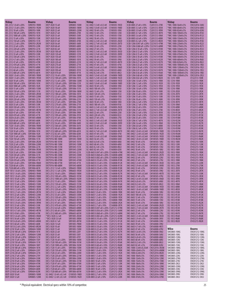| <b>Vishay</b>                                            | Bourns                       | <b>Vishay</b>                                                     | Bourns                              | Vishay                                                                            | <b>Bourns</b>                  | Vishay                                                                            | <b>Bourns</b>                  | Vishay                                       | <b>Bourns</b>                         |
|----------------------------------------------------------|------------------------------|-------------------------------------------------------------------|-------------------------------------|-----------------------------------------------------------------------------------|--------------------------------|-----------------------------------------------------------------------------------|--------------------------------|----------------------------------------------|---------------------------------------|
| IDC-2512 1.0 uH $\pm$ 20%<br>IDC-2512 1.5 uH ±20%        | SDR0703-1R0M<br>SDR0703-1R2M | IDCP-3020 15 uH<br>IDCP-3020 18 uH                                | SDR0805-150M<br>SDR0805-180M        | ILC-0402 1.5 nH $\pm$ 0.3 nH<br>ILC-0402 1.8 nH $\pm$ 0.3 nH                      | CI100505-1N5D<br>CI100505-1N8D | ILSB-0805 27 uH $\pm$ 10%<br>ILSB-0805 3.3 uH $\pm$ 10%                           | CS201212-270K<br>CS201212-3R3K | *IMC-1008-56nH±5%<br>*IMC-1008-68nH±5%       | <b>CW252016-56NJ</b><br>CW252016-68NJ |
| IDC-2512 10 uH $\pm$ 20%                                 | SDR0703-100K                 | IDCP-3020 22 uH                                                   | SDR0805-220M                        | ILC-0402 10 nH $\pm$ 5%                                                           | CI100505-10NJ                  | ILSB-0805 3.9 uH $\pm$ 10%                                                        | CS201212-3R9K                  | *IMC-1008-82nH±5%                            | CW252016-82NJ                         |
| IDC-2512 100 uH $\pm$ 20%<br>IDC-2512 1000 uH $\pm$ 20%  | SDR0703-101K<br>SDR0703-102K | IDCP-3020 27 uH<br>IDCP-3020 33 uH                                | SDR0805-270K<br>SDR0805-330K        | ILC-0402 12 nH $\pm$ 5%<br>ILC-0402 15 nH ±5%                                     | CI100505-12NJ<br>CI100505-15NJ | ILSB-0805 4.7 uH $\pm$ 10%<br>ILSB-0805 5.6 uH $\pm$ 10%                          | CS201212-4R7K<br>CS201212-5R6K | *IMC-1008-100nH±5%<br>*IMC-1008-120nH±5%     | CW252016-R10J<br>CW252016-R12J        |
| IDC-2512 15 uH $\pm$ 20%                                 | SDR0703-150K                 | IDCP-3020 39 uH                                                   | SDR0805-390K                        | ILC-0402 18 nH $\pm$ 5%                                                           | CI100505-18NJ                  | ILSB-0805 6.8 uH $\pm$ 10%                                                        | CS201212-6R8K                  | *IMC-1008-150nH±5%                           | CW252016-R15J                         |
| IDC-2512 150 uH $\pm$ 20%<br>IDC-2512 2.2 uH ±20%        | SDR0703-151K<br>SDR0703-2R2M | IDCP-3020 47 uH<br>IDCP-3020 56 uH                                | SDR0805-470K<br>SDR0805-560K        | ILC-0402 2.2 nH $\pm$ 0.3 nH<br>ILC-0402 2.7 nH $\pm$ 0.3 nH                      | CI100505-2N2D<br>CI100505-2N7D | ILSB-0805 8.2 uH $\pm$ 10%<br>ILSB-1206 0.047 uH ±20% CS321613-47NK               | CS201212-8R2K                  | *IMC-1008-180nH±5%<br>*IMC-1008-220nH±5%     | CW252016-R18J<br>CW252016-R22J        |
| IDC-2512 22 uH ±20%                                      | SDR0703-220K                 | IDCP-3020 68 uH                                                   | SDR0805-680K                        | ILC-0402 22 nH $\pm$ 5%                                                           | CI100505-22NJ                  | ILSB-1206 0.068 uH $\pm$ 20% CS321613-68NK                                        |                                | *IMC-1008-270nH±5%                           | CW252016-R27J                         |
| IDC-2512 220 uH $\pm$ 20%<br>IDC-2512 3.3 uH ± 20%       | SDR0703-221K<br>SDR0703-3R3M | IDCP-3020 82 uH<br>IDCP-3020 100 uH                               | SDR0805-820K<br>SDR0805-101K        | ILC-0402 27 nH $\pm$ 5%<br>ILC-0402 3.3 nH $\pm$ 0.3 nH                           | CI100505-27NJ<br>CI100505-3N3D | ILSB-1206 0.10 uH $\pm$ 10% CS321613-R10K<br>ILSB-1206 0.12 uH ±10% CS321613-R12K |                                | *IMC-1008-330nH±5%<br>*IMC-1008-390nH±5%     | CW252016-R33J<br>CW252016-R39J        |
| IDC-2512 33 uH $\pm$ 20%<br>IDC-2512 330 uH $\pm$ 20%    | SDR0703-330K<br>SDR0703-331K | IDCP-3020 120 uH<br>IDCP-3020 150 uH                              | SDR0805-121K<br>SDR0805-151K        | ILC-0402 3.9 nH $\pm$ 0.3 nH<br>ILC-0402 33 nH $\pm$ 5%                           | CI100505-3N9D<br>CI100505-33NJ | ILSB-1206 0.15 uH $\pm$ 10% CS321613-R15K<br>ILSB-1206 0.18 uH $\pm$ 10%          | CS321613-R18K                  | *IMC-1008-470nH±5%<br>*IMC-1008-560nH±5%     | CW252016-R47J<br>CW252016-R56J        |
| IDC-2512 4.7 uH ±20%                                     | SDR0703-4R7K                 | IDCP-3020 180 uH                                                  | SDR0805-181K                        | ILC-0402 39 nH ±5%                                                                | CI100505-39NJ                  | ILSB-1206 0.22 uH $\pm$ 10%                                                       | CS321613-R22K                  | *IMC-1008-680nH±5%                           | CW252016-R68J                         |
| IDC-2512 47 uH $\pm$ 20%<br>IDC-2512 470 uH $\pm$ 20%    | SDR0703-470K<br>SDR0703-471K | IDCP-3020 220 uH<br>IDCP-3020 270 uH                              | SDR0805-221K<br>SDR0805-271K        | ILC-0402 4.7 nH $\pm$ 0.3 nH<br>ILC-0402 47 nH $\pm$ 5%                           | CI100505-4N7D<br>CI100505-47NJ | ILSB-1206 0.27 uH ±10% CS321613-R27K<br>ILSB-1206 0.33 uH ±10% CS321613-R33K      |                                | *IMC-1008-820nH±5%<br>*IMC-1008-1000nH±5%    | CW252016-R82J<br>CW252016-1R0J        |
| IDC-2512 6.8 uH ±20%                                     | SDR0703-6R8K                 | IDCP-3020 330 uH                                                  | SDR0805-331K                        | ILC-0402 5.6 nH $\pm$ 0.3 nH                                                      | CI100505-5N6D                  | ILSB-1206 0.39 uH $\pm$ 10%                                                       | CS321613-R39K                  | *IMC-1008-1200nH±5%                          | CW252016-1R2J                         |
| IDC-2512 68 uH $\pm$ 20%<br>IDC-2512 680 uH $\pm$ 20%    | SDR0703-680K<br>SDR0703-681K | IDCP-3020 390 uH<br>IDCP-3020 470 uH                              | SDR0805-391K<br>SDR0805-471K        | ILC-0402 6.8 nH $\pm$ 5%<br>ILC-0402 8.2 nH $\pm$ 5%                              | CI100505-6N8J<br>CI100505-8N2J | ILSB-1206 0.47 uH ±10% CS321613-R47K<br>ILSB-1206 0.56 uH $\pm$ 10%               | CS321613-R56K                  | *IMC-1008-1500nH±5%<br>*IMC-1008-1800nH±5%   | CW252016-1R5J<br>CW252016-1R8J        |
| IDC-5020 1.0 uH $\pm$ 20%<br>IDC-5020 1.5 uH $\pm$ 20%   | SDR1005-1R0M<br>SDR1005-1R5M | IDCP-3722 10 uH ±20%<br>IDCP-3722 100 uH $\pm$ 20%                | SDR1006-100M<br>SDR1006-101K        | ILC-0603 1.0 nH $\pm$ 0.3 nH<br>ILC-0603 1.2 nH $\pm$ 0.3 nH                      | CI160808-1NOD<br>CI160808-1N2D | ILSB-1206 0.68 uH $\pm$ 10%<br>ILSB-1206 0.82 uH $\pm$ 10%                        | CS321613-R68K<br>CS321613-R82K | *IMC-1008-2200nH±5%<br>ISC-1210-100K         | CW252016-2R2J<br>CF322513-100K        |
| IDC-5020 10 uH $\pm$ 20%                                 | SDR1005-100M                 | IDCP-3722 12 uH $\pm$ 20%                                         | SDR1006-120M                        | ILC-0603 1.5 nH $\pm$ 0.3 nH                                                      | CI160808-1N5D                  | ILSB-1206 1.0 uH $\pm$ 10%                                                        | CS321613-1R0K                  | ISC-1210-1R0K                                | CF322513-1R0K                         |
| IDC-5020 100 uH $\pm$ 20%<br>IDC-5020 1000 uH $\pm$ 20%  | SDR1005-101K<br>SDR1005-102K | IDCP-3722 120 uH ±20%<br>IDCP-3722 15 uH $\pm$ 20%                | SDR1006-121K<br>SDR1006-150M        | ILC-0603 1.8 nH $\pm$ 0.3 nH<br>ILC-0603 10 nH $\pm$ 5%                           | CI160808-1N8D<br>CI160808-10NJ | ILSB-1206 1.2 uH $\pm$ 10%<br>ILSB-1206 1.5 uH $\pm$ 10%                          | CS321613-1R2K<br>CS321613-1R5K | ISC-1210-1R2K<br>ISC-1210-1R5K               | CF322513-1R2K<br>CF322513-1R5K        |
| IDC-5020 15 uH $\pm$ 20%                                 | SDR1005-150M                 | IDCP-3722 150 uH $\pm$ 20%                                        | SDR1006-151K                        | ILC-0603 100 nH $\pm$ 5%                                                          | CI160808-R10J                  | ILSB-1206 1.8 uH $\pm$ 10%                                                        | CS321613-1R8K                  | ISC-1210-1R8K                                | CF322513-1R8K                         |
| IDC-5020 150 uH $\pm$ 20%<br>IDC-5020 2.5 uH ±20%        | SDR1005-151K<br>SDR1005-2R5M | IDCP-3722 18 uH ±20%<br>IDCP-3722 180 uH $\pm$ 20%                | SDR1006-180M<br>SDR1006-181K        | ILC-0603 12 nH $\pm$ 5%<br>ILC-0603 120 nH $\pm$ 5%                               | CI160808-12NJ<br>CI160808-R12J | ILSB-1206 10 uH $\pm$ 10%<br>ILSB-1206 12 uH $\pm$ 10%                            | CS321613-100K<br>CS321613-120K | ISC-1210-2R2K<br>ISC-1210-2R7K               | CF322513-2R2K<br>CF322513-2R7K        |
| IDC-5020 22 uH $\pm$ 20%<br>IDC-5020 220 uH $\pm$ 20%    | SDR1005-220M<br>SDR1005-221K | IDCP-3722 22 uH $\pm$ 20%<br>IDCP-3722 220 uH ±20%                | SDR1006-220M<br>SDR1006-221K        | ILC-0603 15 nH $\pm$ 5%                                                           | CI160808-15NJ<br>CI160808-R15J | ILSB-1206 15 uH $\pm$ 10%<br>ILSB-1206 18 uH ±10%                                 | CS321613-150K<br>CS321613-180K | ISC-1210-3R3K<br>ISC-1210-3R9K               | CF322513-3R3K<br>CF322513-3R9K        |
| IDC-5020 3.3 uH $\pm$ 20%                                | SDR1005-3R3M                 | IDCP-3722 27 uH ±20%                                              | SDR1006-270K                        | ILC-0603 150 nH $\pm$ 5%<br>ILC-0603 18 nH $\pm$ 5%                               | CI160808-18NJ                  | ILSB-1206 2.2 uH $\pm$ 10%                                                        | CS321613-2R2K                  | ISC-1210-4R7K                                | CF322513-4R7K                         |
| IDC-5020 33 uH $\pm$ 20%<br>IDC-5020 330 uH $\pm$ 20%    | SDR1005-330K<br>SDR1005-331K | IDCP-3722 270 uH $\pm$ 20%<br>IDCP-3722 33 uH ±20%                | SDR1006-271K<br>SDR1006-330K        | ILC-0603 180 nH $\pm$ 5%<br>ILC-0603 2.2 nH $\pm$ 0.3 nH                          | CI160808-R18J<br>CI160808-2N2D | ILSB-1206 2.7 uH $\pm$ 10%<br>ILSB-1206 22 uH $\pm$ 10%                           | CS321613-2R7K<br>CS321613-220K | ISC-1210-5R6K<br>ISC-1210-6R8K               | CF322513-5R6K<br>CF322513-6R8K        |
| IDC-5020 4.7 uH $\pm$ 20%                                | SDR1005-4R7M                 | IDCP-3722 330 uH $\pm$ 20%                                        | SDR1006-331K                        | ILC-0603 2.7 nH $\pm$ 0.3 nH                                                      | CI160808-2N7D                  | ILSB-1206 27 uH $\pm$ 10%                                                         | CS321613-270K                  | ISC-1210-8R2K                                | CF322513-8R2K                         |
| IDC-5020 47 uH $\pm$ 20%<br>IDC-5020 470 uH $\pm$ 20%    | SDR1005-470K<br>SDR1005-471K | IDCP-3722 39 uH $\pm$ 20%<br>IDCP-3722 390 uH ±20%                | SDR1006-390K<br>SDR1006-391K        | ILC-0603 22 nH $\pm$ 5%<br>ILC-0603 220 nH $\pm$ 5%                               | CI160808-22NJ<br>CI160808-R22J | ILSB-1206 3.3 uH $\pm$ 10%<br>ILSB-1206 3.9 uH ±10%                               | CS321613-3R3K<br>CS321613-3R9K | ISC-1210-R12M<br>ISC-1210-R15M               | CF322513-R12K<br>CF322513-R15K        |
| IDC-5020 6.8 uH $\pm$ 20%                                | SDR1005-6R8M                 | IDCP-3722 47 uH ±20%                                              | SDR1006-470K                        | ILC-0603 27 nH $\pm$ 5%                                                           | CI160808-27NJ                  | ILSB-1206 33 uH $\pm$ 10%                                                         | CS321613-330K                  | <b>ISC-1210-R18M</b>                         | CF322513-R18K                         |
| IDC-5020 68 uH $\pm$ 20%<br>IDC-5020 680 uH $\pm$ 20%    | SDR1005-680K<br>SDR1005-681K | IDCP-3722 470 uH $\pm$ 20%<br>IDCP-3722 56 uH ±20%                | SDR1006-471K<br>SDR1006-560K        | ILC-0603 3.3 nH $\pm$ 0.3 nH<br>ILC-0603 3.9 nH $\pm$ 0.3 nH                      | CI160808-3N3D<br>CI160808-3N9D | ILSB-1206 4.7 uH $\pm$ 10%<br>ILSB-1206 5.6 uH $\pm$ 10%                          | CS321613-4R7K<br>CS321613-5R6K | ISC-1210-R22M<br>ISC-1210-R27M               | CF322513-R22K<br>CF322513-R27K        |
| IDC-7328 1.0 uH $\pm$ 20%                                | SDR1806-1R0M                 | IDCP-3722 560 uH $\pm$ 20%                                        | SDR1006-561K                        | ILC-0603 33 nH $\pm$ 5%                                                           | CI160808-33NJ                  | ILSB-1206 6.8 uH $\pm$ 10%                                                        | CS321613-6R8K                  | ISC-1210-R33M                                | CF322513-R33K                         |
| IDC-7328 10 uH $\pm$ 20%<br>IDC-7328 10 uH ±20%          | SDR1806-100M<br>SDR1806-101K | IDCP-3722 68 uH $\pm$ 20%<br>IDCP-3722 680 uH ±20%                | SDR1006-680K<br>SDR1006-681K        | ILC-0603 39 nH $\pm$ 5%<br>ILC-0603 4.7 nH $\pm$ 0.3 nH                           | CI160808-39NJ<br>CI160808-4N7D | ILSB-1206 8.2 uH $\pm$ 10%<br>$IMC-0402 1.0 nH \pm 0.3 nH$                        | CS321613-8R2K<br>CM100505-1N0D | ISC-1210-R39M<br>ISC-1210-R47M               | CF322513-R39K<br>CF322513-R47K        |
| IDC-7328 1000 uH $\pm$ 20%<br>IDC-7328 15 uH $\pm$ 20%   | SDR1806-102K<br>SDR1806-150M | IDCP-3722 82 uH $\pm$ 20%<br>IDCP-3722 820 uH $\pm$ 20%           | SDR1006-820K<br>SDR1006-821K        | ILC-0603 47 nH $\pm$ 5%<br>ILC-0603 5.6 nH $\pm$ 0.3 nH                           | CI160808-47NJ<br>CI160808-5N6D | $IMC-0402$ 1.2 nH $\pm$ 0.3 nH<br>IMC-0402 1.5 nH $\pm$ 0.3 nH                    | CM100505-1N2D<br>CM100505-1N5D | ISC-1210-R56M<br>ISC-1210-R68M               | CF322513-R56K<br>CF322513-R68K        |
| IDC-7328 150 uH $\pm$ 20%                                | SDR1806-151K                 | IDCP3916-NB-100M                                                  | SDR1045-100M                        | ILC-0603 56 nH $\pm$ 5%                                                           | CI160808-56NJ                  | IMC-0402 1.8 nH $\pm$ 0.3 nH                                                      | CM100505-1N8D                  | ISC-1210-R82M                                | CF322513-R82K                         |
| IDC-7328 2.2 uH $\pm$ 20%<br>IDC-7328 22 uH $\pm$ 20%    | SDR1806-2R2M<br>SDR1806-220M | IDCP3916-NB-101M<br><b>IDCP3916-NB-150M</b>                       | SDR1045-101K<br>SDR1045-150M        | ILC-0603 6.8 nH $\pm$ 5%<br>ILC-0603 68 nH $\pm$ 5%                               | CI160808-6N8J<br>CI160808-68NJ | IMC-0402 10 nH $\pm$ 5%<br>IMC-0402 12 nH $\pm$ 5%                                | CM100505-10NJ<br>CM100505-12NJ | ISC-1812-100K<br>ISC-1812-120K               | CF453215-100K<br>CF453215-120K        |
| IDC-7328 220 uH ± 20%                                    | SDR1806-221K                 | IDCP3916-NB-151M                                                  | SDR1045-151K                        | ILC-0603 8.2 nH $\pm$ 5%                                                          | CI160808-8N2J                  | IMC-0402 15 nH ±5%                                                                | CM100505-15NJ                  | ISC-1812-150K                                | CF453215-150K                         |
| IDC-7328 3.3 uH $\pm$ 20%<br>IDC-7328 33 uH $\pm$ 20%    | SDR1806-3R3M<br>SDR1806-330M | IDCP3916-NB-220M<br>IDCP3916-NB-221M                              | SDR1045-220M<br>SDR1045-221K        | ILC-0603 82 nH $\pm$ 5%<br>ILSB-0603 0.047 uH $\pm$ 20% CS160808-47NK             | CI160808-82NJ                  | IMC-0402 18 nH $\pm$ 5%<br>$IMC-0402$ 2.2 nH $\pm$ 0.3 nH                         | CM100505-18NJ<br>CM100505-2N2D | ISC-1812-180K<br><b>ISC-1812-1R0K</b>        | CF453215-180K<br>CF453215-1R0K        |
| IDC-7328 330 uH $\pm$ 20%                                | SDR1806-331K                 | IDCP3916-NB-330M                                                  | SDR1045-330M<br>SDR1045-331K        | ILSB-0603 0.068 uH ±20% CS160808-68NK<br>ILSB-0603 0.082 uH ±20% CS160808-82NK    |                                | IMC-0402 2.7 nH $\pm$ 0.3 nH<br>IMC-0402 22 nH $\pm$ 5%                           | CM100505-2N7D<br>CM100505-22NJ | ISC-1812-1R2K                                | CF453215-1R2K                         |
| IDC-7328 47 uH $\pm$ 20%<br>IDC-7328 470 uH $\pm$ 20%    | SDR1806-470M<br>SDR1806-471K | IDCP3916-NB-331M<br>IDCP3916-NB-470M                              | SDR1045-470M                        | ILSB-0603 0.10 uH $\pm$ 10% CS160808-R10K                                         |                                | IMC-0402 27 nH $\pm$ 5%                                                           | CM100505-27NJ                  | <b>ISC-1812-1R5K</b><br><b>ISC-1812-1R8K</b> | CF453215-1R5K<br>CF453215-1R8K        |
| IDC-7328 5.6 uH $\pm$ 20%<br>IDC-7328 68 uH $\pm$ 20%    | SDR1806-5R6M<br>SDR1806-680M | IDCP3916-NB-471M<br><b>IDCP3916-NB-680M</b>                       | SDR1045-471K<br>SDR1045-680M        | ILSB-0603 0.12 uH $\pm$ 10% CS160808-R12K<br>ILSB-0603 0.15 uH ±10% CS160808-R15K |                                | IMC-0402 3.3 nH $\pm$ 0.3 nH<br>IMC-0402 3.9 nH $\pm$ 0.3 nH                      | CM100505-3N3D<br>CM100505-3N9D | ISC-1812-220K<br>ISC-1812-270K               | CF453215-220K<br>CF453215-270K        |
| IDC-7328 680 uH $\pm$ 20%                                | SDR1806-681K                 | IDCS-2512 1.0 uH $\pm$ 20%                                        | SRR6603-1R0M                        | ILSB-0603 0.18 uH $\pm$ 10%                                                       | CS160808-R18K                  | IMC-0402 33 nH $\pm$ 5%                                                           | CM100505-33NJ                  | <b>ISC-1812-2R2K</b>                         | CF453215-2R2K                         |
| IDCP-1813 1.0 uH $\pm$ 20%<br>IDCP-1813 1.4 uH $\pm$ 20% | SDR0403-1R0M<br>SDR0403-1R4M | IDCS-2512 1.5 uH $\pm$ 20%<br>IDCS-2512 10 uH ±20%                | <b>SRR6603-1R5M</b><br>SRR6603-100M | ILSB-0603 0.22 uH $\pm$ 10%<br>ILSB-0603 0.27 uH ±10% CS160808-R27K               | CS160808-R22K                  | IMC-0402 39 nH $\pm$ 5%<br>IMC-0402 4.7 nH $\pm$ 0.3 nH                           | CM100505-39NJ<br>CM100505-4N7D | ISC-1812-2R7K<br>ISC-1812-330K               | CF453215-2R7K<br>CF453215-330K        |
| IDCP-1813 1.8 uH $\pm$ 20%                               | SDR0403-1R8M                 | IDCS-2512 100 uH $\pm$ 20%                                        | SRR6603-101M                        | ILSB-0603 0.33 uH $\pm$ 10% CS160808-R33K                                         |                                | IMC-0402 47 nH $\pm$ 5%                                                           | CM100505-47NJ                  | ISC-1812-3R3K                                | CF453215-3R3K                         |
| IDCP-1813 10 uH ±20%<br>IDCP-1813 12 uH ± 20%            | SDR0403-100M<br>SDR0403-120M | IDCS-2512 1000 uH ±20%<br>IDCS-2512 15 uH ±20%                    | SRR6603-102M<br>SRR6603-150M        | ILSB-0603 0.39 uH $\pm$ 10%<br>ILSB-0603 0.47 uH ±10% CS160808-R47K               | CS160808-R39K                  | IMC-0402 5.6 nH ±0.3nH<br>IMC-0402 6.8 nH ±5%                                     | CM100505-5N6D<br>CM100505-6N8J | <b>ISC-1812-3R9K</b><br><b>ISC-1812-4R7K</b> | CF453215-3R9K<br>CF453215-4R7K        |
| IDCP-1813 15 uH $\pm$ 20%<br>IDCP-1813 18 uH $\pm$ 20%   | SDR0403-150M<br>SDR0403-180M | IDCS-2512 150 uH $\pm$ 20%                                        | SRR6603-151M<br>SRR6603-2R2M        | ILSB-0603 0.56 uH $\pm$ 10% CS160808-R56K                                         |                                | IMC-0402 8.2 nH $\pm$ 5%                                                          | CM100505-8N2J<br>CM160808-1N5D | ISC-1812-5R6K                                | CF453215-5R6K                         |
| IDCP-1813 2.2 uH ± 20%                                   | SDR0403-2R2M                 | IDCS-2512 2.2 uH $\pm$ 20%<br>IDCS-2512 220 uH ± 20% SRR6603-221M |                                     | ILSB-0603 0.68 uH $\pm$ 10% CS160808-R68K<br>ILSB-0603 0.82 uH ±10% CS160808-R82K |                                | IMC-0603 1.5 nH $\pm$ 0.3 nH<br>IMC-0603 1.8 nH $\pm$ 0.3 nH                      | CM160808-1N8D                  | ISC-1812-6R8K<br>ISC-1812-8R2K               | CF453215-6R8K<br>CF453215-8R2K        |
| IDCP-1813 2.7 uH $\pm$ 20%<br>IDCP-1813 22 uH ±20%       | SDR0403-2R7M<br>SDR0403-220M | IDCS-2512 3.3 uH $\pm$ 20%<br>IDCS-2512 33 uH $\pm$ 20%           | SRR6603-3R3M<br>SRR6603-330M        | ILSB-0603 1.0 uH $\pm$ 10%<br>ILSB-0603 1.2 uH $\pm$ 10%                          | CS160808-1R0K<br>CS160808-1R2K | IMC-0603 10 nH $\pm$ 5%<br>IMC-0603 100 nH $\pm$ 5%                               | CM160808-10NJ<br>CM160808-R10J | <b>ISC-1812-R10K</b><br>ISC-1812-R12K        | CF453215-R10K<br>CF453215-R12K        |
| IDCP-1813 27 uH ±20%                                     | SDR0403-270K                 | IDCS-2512 330 uH $\pm$ 20%                                        | SRR6603-331M                        | ILSB-0603 1.5 uH $\pm$ 10%                                                        | CS160808-1R5K                  | IMC-0603 12 nH $\pm$ 5%                                                           | CM160808-12NJ                  | ISC-1812-R15K                                | CF453215-R15K                         |
| IDCP-1813 3.3 uH ± 20%<br>IDCP-1813 3.9 uH $\pm$ 20%     | SDR0403-3R3M<br>SDR0403-3R9M | IDCS-2512 4.7 uH $\pm$ 20%<br>IDCS-2512 47 uH $\pm$ 20%           | SRR6603-4R7M<br>SRR6603-470M        | ILSB-0603 1.8 uH $\pm$ 10%<br>ILSB-0603 2.2 uH $\pm$ 10%                          | CS160808-1R8K<br>CS160808-2R2K | IMC-0603 15 nH ±5%<br>IMC-0603 18 nH $\pm$ 5%                                     | CM160808-15NJ<br>CM160808-18NJ | ISC-1812-R18K<br>ISC-1812-R22K               | CF453215-R18K<br>CF453215-R22K        |
| IDCP-1813 33 uH ±20%                                     | SDR0403-330K                 | IDCS-2512 470 uH $\pm$ 20%                                        | SRR6603-471M                        | ILSB-0603 2.7 uH $\pm$ 10%                                                        | CS160808-2R7K                  | IMC-0603 2.2 nH $\pm$ 0.3 nH                                                      | CM160808-2N2D                  | ISC-1812-R27K                                | CF453215-R27K                         |
| IDCP-1813 39 uH $\pm$ 20%<br>IDCP-1813 4.7 uH $\pm$ 20%  | SDR0403-390K<br>SDR0403-4R7M | IDCS-2512 6.8 uH $\pm$ 20%<br>IDCS-2512 68 uH $\pm$ 20%           | SRR6603-6R8M<br>SRR6603-680M        | ILSB-0805 0.047 uH ±20% CS201212-47NK<br>ILSB-0805 0.056 uH ±20% CS201212-56NK    |                                | IMC-0603 2.7 nH $\pm$ 0.3 nH<br>IMC-0603 22 nH $\pm$ 5%                           | CM160808-2N7D<br>CM160808-22NJ | ISC-1812-R33K<br>ISC-1812-R39K               | CF453215-R33K<br>CF453215-R39K        |
| IDCP-1813 47uH $\pm$ 20%<br>IDCP-1813 5.6 uH $\pm$ 20%   | SDR0403-470K<br>SDR0403-5R6M | IDCS-2512 680 uH ±20%<br>*IDCS-5020 2.2 uH                        | SRR6603-681M<br>SRR1005-2R2M        | ILSB-0805 0.068 uH ±20% CS201212-68NK<br>ILSB-0805 0.082 uH ±20% CS201212-82NK    |                                | IMC-0603 27 nH $\pm$ 5%<br>IMC-0603 3.3 nH $\pm$ 0.3 nH                           | CM160808-27NJ<br>CM160808-3N3D | ISC-1812-R47K<br>ISC-1812-R56K               | CF453215-R47K<br>CF453215-R56K        |
| IDCP-1813 56 uH ±20%                                     | SDR0403-560K                 | *IDCS-5020 3.0 uH                                                 | SRR1005-3R0M                        | ILSB-0805 0.10 uH ±10% CS201212-R10K                                              |                                | IMC-0603 3.9 nH $\pm$ 5%                                                          | CM160808-3N9J                  | ISC-1812-R68K                                | CF453215-R68K                         |
| IDCP-1813 6.8 uH $\pm$ 20%<br>IDCP-1813 68 uH $\pm$ 20%  | SDR0403-6R8M<br>SDR0403-680K | IDCS-5020 4.7 uH<br>IDCS-5020 7.0 uH                              | SRR1005-4R7M<br>SRR1005-7R0M        | ILSB-0805 0.12 uH ±10% CS201212-R12K<br>ILSB-0805 0.15 uH ±10% CS201212-R15K      |                                | IMC-0603 33 nH ±5%<br>IMC-0603 39 nH $\pm$ 5%                                     | CM160808-33NJ<br>CM160808-39NJ | ISC-1812-R82K                                | CF453215-R82K                         |
| IDCP-1813 8.2 uH $\pm$ 20%                               | SDR0403-8R2M                 | IDCS-5020 10 uH                                                   | SRR1005-100M                        | ILSB-0805 0.18 uH ±10% CS201212-R18K                                              |                                | IMC-0603 4.7 nH $\pm$ 5%                                                          | CM160808-4N7J                  | Wilco                                        | <b>Bourns</b>                         |
| IDCP-2218 10 uH ±20%<br>IDCP-2218 100 uH ± 20%           | SDR0604-100M<br>SDR0604-101K | IDCS-5020 15 uH<br>IDCS-5020 22 uH                                | SRR1005-150M<br>SRR1005-220Y        | ILSB-0805 0.22 uH ±10% CS201212-R22K<br>ILSB-0805 0.27 uH ±10% CS201212-R27K      |                                | IMC-0603 47 nH $\pm$ 5%<br>IMC-0603 5.6 nH $\pm$ 5%                               | CM160808-47NJ<br>CM160808-5N6J | SMC0805-10NG                                 | CW201212-10NG                         |
| IDCP-2218 12 uH ±20%<br>IDCP-2218 120 uH ±20%            | SDR0604-120M<br>SDR0604-121K | IDCS-5020 33 uH<br>IDCS-5020 47 uH                                | SRR1005-330Y<br>SRR1005-470Y        | ILSB-0805 0.33 uH ±10% CS201212-R33K<br>ILSB-0805 0.39 uH ±10% CS201212-R39K      |                                | IMC-0603 56 nH $\pm$ 5%<br>IMC-0603 6.8 nH $\pm$ 5%                               | CM160808-56NJ<br>CM160808-6N8J | SMC0805-10NJ<br>SMC0805-12NG                 | CW201212-10NJ<br>CW201212-12NG        |
| IDCP-2218 15 uH $\pm$ 20%                                | SDR0604-150Y                 | IDCS-7328 10 uH $\pm$ 20%                                         | SRR1806-100M                        | ILSB-0805 0.47 uH ±10% CS201212-R47K                                              |                                | IMC-0603 68 nH $\pm$ 5%                                                           | CM160808-68NJ                  | SMC0805-12NJ                                 | CW201212-12NJ                         |
| IDCP-2218 150 uH $\pm$ 20%<br>IDCP-2218 18 uH ±20%       | SDR0604-151K<br>SDR0604-180Y | IDCS-7328 100 uH $\pm$ 20%<br>IDCS-7328 1000 uH ±20% SRR1806-102M | SRR1806-101M                        | ILSB-0805 0.56 uH ±10% CS201212-R56K<br>ILSB-0805 0.68 uH ±10% CS201212-R68K      |                                | IMC-0603 8.2 nH $\pm$ 5%<br>IMC-0603 82 nH $\pm$ 5%                               | CM160808-8N2J<br>CM160808-82NJ | SMC0805-15NG<br>SMC0805-15NJ                 | CW201212-15NG<br>CW201212-15NJ        |
| IDCP-2218 180 uH $\pm$ 20%                               | SDR0604-181K                 | IDCS-7328 15 uH $\pm$ 20%                                         | SRR1806-150M                        | ILSB-0805 0.82 uH ±10% CS201212-R82K                                              |                                | IMC-1008-3.3nH $\pm$ 0.25nH                                                       | CW252016-3N3M                  | SMC0805-18NG                                 | CW201212-18NG                         |
| IDCP-2218 22 uH $\pm$ 20%<br>IDCP-2218 220 uH $\pm$ 20%  | SDR0604-220Y<br>SDR0604-221K | IDCS-7328 150 uH $\pm$ 20%<br>IDCS-7328 22 uH $\pm$ 20%           | SRR1806-151M<br>SRR1806-220M        | ILSB-0805 1.0 uH $\pm$ 10%<br>ILSB-0805 1.2 uH $\pm$ 10%                          | CS201212-1R0K<br>CS201212-1R2K | IMC-1008-6.8nH $\pm$ 5%<br>IMC-1008-8.2nH±5%                                      | CW252016-6N8M<br>CW252016-8N2K | SMC0805-18NJ<br>SMC0805-22NG                 | CW201212-18NJ<br>CW201212-22NG        |
| IDCP-2218 27 uH ± 20%<br>IDCP-2218 33 uH $\pm$ 20%       | SDR0604-270Y<br>SDR0604-330K | IDCS-7328 220 uH $\pm$ 20%<br>IDCS-7328 33 uH ±20%                | SRR1806-221M<br>SRR1806-330M        | ILSB-0805 1.5 uH $\pm$ 10%<br>ILSB-0805 1.8 uH $\pm$ 10%                          | CS201212-1R5K<br>CS201212-1R8K | IMC-1008-10nH±5%<br>IMC-1008-12nH±5%                                              | CW252016-10NK<br>CW252016-12NK | SMC0805-22NJ<br>SMC0805-27NG                 | CW201212-22NJ<br>CW201212-27NG        |
| IDCP-2218 39 uH $\pm$ 20%                                | SDR0604-390K                 | IDCS-7328 330 uH $\pm$ 20%                                        | SRR1806-331M                        | ILSB-0805 10 uH $\pm$ 10%                                                         | CS201212-100K                  | IMC-1008-15nH±5%                                                                  | CW252016-15NK                  | SMC0805-27NJ                                 | CW201212-27NJ                         |
| IDCP-2218 47 uH $\pm$ 20%<br>IDCP-2218 56 uH $\pm$ 20%   | SDR0604-470K<br>SDR0604-560K | IDCS-7328 47 uH $\pm$ 20%<br>IDCS-7328 470 uH $\pm$ 20%           | SRR1806-470M<br>SRR1806-471M        | ILSB-0805 12 uH $\pm$ 10%<br>ILSB-0805 15 uH $\pm$ 10%                            | CS201212-120K<br>CS201212-150K | IMC-1008-18nH±5%<br>IMC-1008-22nH±5%                                              | CW252016-18NK<br>CW252016-22NK | SMC0805-2N2J<br>SMC0805-33NG                 | CW201212-2N2J<br>CW201212-33NG        |
| IDCP-2218 68 uH ±20%                                     | SDR0604-680K                 | IDCS-7328 68 uH $\pm$ 20%                                         | SRR1806-680M                        | ILSB-0805 18 uH $\pm$ 10%                                                         | CS201212-180K                  | IMC-1008-27nH±5%                                                                  | CW252016-27NK                  | SMC0805-33NJ                                 | CW201212-33NJ                         |
| IDCP-2218 82 uH ±20%<br>IDCP-3020 10 uH                  | SDR0604-820K<br>SDR0805-100M | IDCS-7328 680 uH $\pm$ 20%<br>ILC-0402 1.0 nH $\pm$ 0.3 nH        | SRR1806-681M<br>CI100505-1N0D       | ILSB-0805 2.2 uH $\pm$ 10%<br>ILSB-0805 2.7 uH $\pm$ 10%                          | CS201212-2R2K<br>CS201212-2R7K | IMC-1008-33nH±5%<br>IMC-1008-39nH±5%                                              | CW252016-33NK<br>CW252016-39NK | SMC0805-39NG<br>SMC0805-39NJ                 | CW201212-39NG<br>CW201212-39NJ        |
| IDCP-3020 12 uH                                          | SDR0805-120M                 | ILC-0402 1.2 nH $\pm$ 0.3 nH Cl100505-1N2D                        |                                     | ILSB-0805 22 uH $\pm$ 10%                                                         | CS201212-220K                  | IMC-1008-47nH±5%                                                                  | CW252016-47NK                  | SMC0805-3N3J                                 | CW201212-3N3J                         |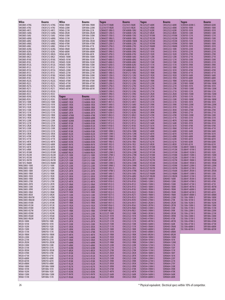| Wilco                                        | <b>Bourns</b>                  | Wilco                            | Bourns                         | Yageo                                     | <b>Bourns</b>                  | Yageo                            | <b>Bourns</b>                  | Yageo                                     | Bourns                       |
|----------------------------------------------|--------------------------------|----------------------------------|--------------------------------|-------------------------------------------|--------------------------------|----------------------------------|--------------------------------|-------------------------------------------|------------------------------|
| SMC0805-47NG<br>SMC0805-47NJ                 | CW201212-47NG<br>CW201212-47NJ | W060-1R0M<br>W060-220M           | SDR1806-1R0M<br>SDR1806-220M   | CL321611T-R68K<br>CL321611T-R82K          | CS321613-R68K<br>CS321613-R82K | NL322522T-680K<br>NL322522T-6R8K | CM322522-680K<br>CM322522-6R8K | SCD0504-820M-S<br>SCD0705-100K            | SDR0604-820K<br>SDR0805-100K |
| SMC0805-4N7J                                 | CW201212-4N7J                  | W060-221M                        | SDR1806-221K                   | <b>LCN0603T-10NJ-S</b>                    | CW160808-10NJ                  | NL322522T-820K                   | CM322522-820K                  | SCD0705-101K                              | SDR0805-101K                 |
| SMC0805-56NG                                 | CW201212-56NG                  | W060-2R2M                        | SDR1806-2R2M                   | LCN0603T-12NJ-S                           | CW160808-12NJ                  | NL322522T-8R2K                   | CM322522-8R2K                  | SCD0705-120K                              | SDR0805-120K                 |
| SMC0805-56NJ                                 | CW201212-56NJ                  | W060-330M                        | SDR1806-330M                   | LCN0603T-15NJ-S                           | CW160808-15NJ                  | NL322522T-R10M                   | CM322522-R10M                  | SCD0705-121K                              | SDR0805-121K                 |
| SMC0805-68NG                                 | CW201212-68NG                  | W060-331M                        | SDR1806-331K                   | LCN0603T-18NJ-S                           | CW160808-18NJ                  | NL322522T-R22M                   | CM322522-R22M                  | SCD0705-150K                              | SDR0805-150K                 |
| SMC0805-68NJ                                 | CW201212-68NJ                  | W060-3R3M                        | SDR1806-3R3M                   | LCN0603T-1N8D-S                           | CW160808-1N8M                  | NL322522T-R33M                   | CM322522-R33M                  | SCD0705-151K                              | SDR0805-151K                 |
| SMC0805-6N8G                                 | CW201212-6N8G                  | W060-470M                        | SDR1806-470M                   | LCN0603T-22NJ-S                           | CW160808-22NJ                  | NL322522T-R39M                   | CM322522-R39M                  | SCD0705-180K                              | SDR0805-180K                 |
| SMC0805-6N8J<br>SMC0805-82NG                 | CW201212-6N8J<br>CW201212-82NG | W060-471M<br>W060-5R6M           | SDR1806-471K<br>SDR1806-5R6M   | LCN0603T-27NJ-S<br>LCN0603T-33NJ-S        | CW160808-27NJ<br>CW160808-33NJ | NL322522T-R68M<br>NL453232T-100K | CM322522-R68M<br>CM453232-100K | SCD0705-181K<br>SCD0705-220K              | SDR0805-181K<br>SDR0805-220K |
| SMC0805-82NJ                                 | CW201212-82NJ                  | W060-680M                        | SDR1806-680M                   | LCN0603T-39NJ-S                           | CW160808-39NJ                  | NL453232T-101K                   | CM453232-101K                  | SCD0705-221K                              | SDR0805-221K                 |
| SMC0805-8N2G                                 | CW201212-8N2G                  | W060-681M                        | SDR1806-681K                   | LCN0603T-47NJ-S                           | CW160808-47NJ                  | NL453232T-102K                   | CM453232-102K                  | SCD0705-270K                              | SDR0805-270K                 |
| SMC0805-8N2J                                 | CW201212-8N2J                  | W060S-100M                       | SRR1806-100M                   | LCN0603T-56NJ-S                           | CW160808-56NJ                  | NL453232T-120K                   | CM453232-120K                  | SCD0705-271K                              | SDR0805-271K                 |
| SMC0805-R10G                                 | CW201212-R10G                  | W060S-101M<br>W060S-102M         | SRR1806-101M                   | LCN0603T-68NJ-S                           | CW160808-68NJ<br>CW160808-6N8J | NL453232T-121K                   | CM453232-121K                  | SCD0705-330K                              | SDR0805-330K                 |
| SMC0805-R10J<br>SMC0805-R12G                 | CW201212-R10J<br>CW201212-R12G | W060S-150M                       | SRR1806-102M<br>SRR1806-150M   | LCN0603T-6N8J-S<br><b>LCN0603T-82NJ-S</b> | CW160808-82NJ                  | NL453232T-150K<br>NL453232T-151K | CM453232-150K<br>CM453232-151K | SCD0705-331K<br>SCD0705-390K              | SDR0805-331K<br>SDR0805-390K |
| SMC0805-R12J                                 | CW201212-R12J                  | W060S-151M                       | SRR1806-151M                   | LCN0603T-8N2J-S                           | CW160808-8N2J                  | NL453232T-180K                   | CM453232-180K                  | SCD0705-391K                              | SDR0805-391K                 |
| SMC0805-R15G                                 | CW201212-R15G                  | W060S-220M                       | SRR1806-220M                   | LCN0603T-R10J-S                           | CW160808-R10J                  | NL453232T-181K                   | CM453232-181K                  | SCD0705-470K                              | SDR0805-470K                 |
| SMC0805-R15J                                 | CW201212-R15J                  | W060S-221M                       | SRR1806-221M                   | <b>LCN0805T-10NJ-S</b>                    | CW201212-10NJ                  | NL453232T-1R0K                   | CM453232-1R0K                  | SCD0705-471K                              | SDR0805-471K                 |
| SMC0805-R18G<br>SMC0805-R18J                 | CW201212-R18G<br>CW201212-R18J | W060S-330M<br>W060S-331M         | SRR1806-330M<br>SRR1806-331M   | LCN0805T-12NJ-S<br>LCN0805T-15NJ-S        | CW201212-12NJ<br>CW201212-15NJ | NL453232T-1R2K<br>NL453232T-1R5K | CM453232-1R2K<br>CM453232-1R5K | SCD0705-560K<br>SCD0705-680K              | SDR0805-560K<br>SDR0805-680K |
| SMC0805-R22G                                 | CW201212-R22G                  | W060S-470M                       | SRR1806-470M                   | <b>LCN0805T-18NJ-S</b>                    | CW201212-18NJ                  | NL453232T-1R8K                   | CM453232-1R8K                  | SCD0705-820K                              | SDR0805-820K                 |
| SMC0805-R22J                                 | CW201212-R22J                  | W060S-471M                       | SRR1806-471M                   | LCN0805T-22NJ-S                           | CW201212-22NJ                  | NL453232T-220K                   | CM453232-220K                  | SCD1005-100M                              | SDR1006-100M                 |
| SMC0805-R27G                                 | CW201212-R27G                  | W060S-680M                       | SRR1806-680M                   | <b>LCN0805T-27NJ-S</b>                    | CW201212-27NJ                  | NL453232T-221K                   | CM453232-221K                  | SCD1005-101K                              | SDR1006-101K                 |
| SMC0805-R27J                                 | CW201212-R27J                  | W060S-681M                       | SRR1806-681M                   | LCN0805T-2N2J-S                           | CW201212-2N2J                  | NL453232T-270K                   | CM453232-270K                  | SCD1005-120M                              | SDR1006-120M                 |
| SMC0805-R33G                                 | CW201212-R33G                  |                                  |                                | LCN0805T-33NJ-S<br>LCN0805T-39NJ-S        | CW201212-33NJ<br>CW201212-39NJ | NL453232T-271K<br>NL453232T-2R2K | CM453232-271K<br>CM453232-2R2K | SCD1005-121K<br>SCD1005-150M              | SDR1006-121K<br>SDR1006-150M |
| SMC0805-R33J<br>SMC0805-R39G                 | CW201212-R33J<br>CW201212-R39G | Yageo                            | Bourns                         | LCN0805T-3N3J-S                           | CW201212-3N3J                  | NL453232T-2R7K                   | CM453232-2R7K                  | SCD1005-151K                              | SDR1006-151K                 |
| SMC0805-R39J                                 | CW201212-R39J                  | CL160808T-1R0K                   | CS160808-1R0K                  | LCN0805T-47NJ-S                           | CW201212-47NJ                  | NL453232T-330K                   | CM453232-330K                  | SCD1005-180M                              | SDR1006-180M                 |
| SMC1812-100K                                 | CM453232-100K                  | CL160808T-1R2K                   | CS160808-1R2K                  | <b>LCN0805T-4N7J-S</b>                    | CW201212-4N7J                  | NL453232T-331K                   | CM453232-331K                  | SCD1005-181K                              | SDR1006-181K                 |
| SMC1812-101K                                 | CM453232-101K                  | CL160808T-1R5K                   | CS160808-1R5K                  | LCN0805T-56NJ-S                           | CW201212-56NJ                  | NL453232T-390K                   | CM453232-390K                  | SCD1005-220M                              | SDR1006-220M                 |
| SMC1812-102K                                 | CM453232-102K                  | CL160808T-1R8K                   | CS160808-1R8K                  | LCN0805T-68NJ-S                           | CW201212-68NJ                  | NL453232T-391K                   | CM453232-391K                  | SCD1005-221K                              | SDR1006-221K                 |
| SMC1812-150K<br>SMC1812-151K                 | CM453232-150K<br>CM453232-151K | CL160808T-2R2K<br>CL160808T-2R7K | CS160808-2R2K<br>CS160808-2R7K | LCN0805T-6N8J-S<br>LCN0805T-82NJ-S        | CW201212-6N8J<br>CW201212-82NJ | NL453232T-3R3K<br>NL453232T-3R9K | CM453232-3R3K<br>CM453232-3R9K | SCD1005-270M<br>SCD1005-271K              | SDR1006-270K<br>SDR1006-271K |
| SMC1812-1R0K                                 | CM453232-1R0K                  | CL160808T-47NM                   | CS160808-47NK                  | LCN0805T-8N2J-S                           | CW201212-8N2J                  | NL453232T-470K                   | CM453232-470K                  | SCD1005-330M                              | SDR1006-330K                 |
| SMC1812-1R5K                                 | CM453232-1R5K                  | CL160808T-68NM                   | CS160808-68NK                  | LCN0805T-R10J-S                           | CW201212-R10J                  | NL453232T-471K                   | CM453232-471K                  | SCD1005-331K                              | SDR1006-331K                 |
| SMC1812-220K                                 | CM453232-220K                  | CL160808T-82NM                   | CS160808-82NK                  | LCN0805T-R12J-S                           | CW201212-R12J                  | NL453232T-4R7K                   | CM453232-4R7K                  | SCD1005-390K                              | SDR1006-390K                 |
| SMC1812-221K                                 | CM453232-221K                  | CL160808T-R10K                   | CS160808-R10K                  | LCN0805T-R15J-S                           | CW201212-R15J                  | NL453232T-560K                   | CM453232-560K                  | SCD1005-391K                              | SDR1006-391K                 |
| SMC1812-2R2K<br>SMC1812-330K                 | CM453232-2R2K<br>CM453232-330K | CL160808T-R12K<br>CL160808T-R15K | CS160808-R12K<br>CS160808-R15K | LCN0805T-R18J-S<br>LCN0805T-R22J-S        | CW201212-R18J<br>CW201212-R22J | NL453232T-561K<br>NL453232T-5R6K | CM453232-561K<br>CM453232-5R6K | SCD1005-470K<br>SCD1005-471K              | SDR1006-470K<br>SDR1006-471K |
| SMC1812-331K                                 | CM453232-331K                  | CL160808T-R18K                   | CS160808-R18K                  | <b>LCN1008T-10NK-S</b>                    | CW252016-10NK                  | NL453232T-680K                   | CM453232-680K                  | SCD1005-560K                              | SDR1006-560K                 |
| SMC1812-3R3K                                 | CM453232-3R3K                  | CL160808T-R22K                   | CS160808-R22K                  | <b>LCN1008T-12NK-S</b>                    | CW252016-12NK                  | NL453232T-681K                   | CM453232-681K                  | SCD1005-561K                              | SDR1006-561K                 |
| SMC1812-470K                                 | CM453232-470K                  | CL160808T-R27K                   | CS160808-R27K                  | <b>LCN1008T-15NK-S</b>                    | CW252016-15NK                  | NL453232T-6R8K                   | CM453232-6R8K                  | SCD1005-680K                              | SDR1006-680K                 |
| SMC1812-471K                                 | CM453232-471K                  | CL160808T-R33K                   | CS160808-R33K                  | <b>LCN1008T-18NK-S</b>                    | CW252016-18NK                  | NL453232T-820K                   | CM453232-820K                  | SCD1005-681K                              | SDR1006-681K                 |
| SMC1812-4R7K<br>SMC1812-680K                 | CM453232-4R7K<br>CM453232-680K | CL160808T-R39K<br>CL160808T-R47K | CS160808-R39K<br>CS160808-R47K | LCN1008T-1R0J-S<br>LCN1008T-1R2J-S        | CW252016-1R0J<br>CW252016-1R2J | NL453232T-821K<br>NL453232T-8R2K | CM453232-821K<br>CM453232-8R2K | SCD1005-820K<br>SCD1005-821K              | SDR1006-820K<br>SDR1006-821K |
| SMC1812-681K                                 | CM453232-681K                  | CL160808T-R56K                   | CS160808-R56K                  | LCN1008T-1R5J-S                           | CW252016-1R5J                  | NL453232T-R10M                   | CM453232-R10M                  | SSL0804T-100M-S                           | SDR1005-100M                 |
| SMC1812-6R8K                                 | CM453232-6R8K                  | CL160808T-R68K                   | CS160808-R68K                  | <b>LCN1008T-1R8J-S</b>                    | CW252016-1R8J                  | NL453232T-R12M                   | CM453232-R12M                  | SSL0804T-101M-S                           | SDR1005-101K                 |
| SMC1812-R10M                                 | CM453232-R10M                  | CL160808T-R82K                   | CS160808-R82K                  | <b>LCN1008T-22NK-S</b>                    | CW252016-22NK                  | NL453232T-R15M                   | CM453232-R15M                  | SSL0804T-102M-S                           | SDR1005-102K                 |
| SMC1812-R22M                                 | CM453232-R22M                  | CL201212T-100K                   | CS201212-100K                  | <b>LCN1008T-27NK-S</b>                    | CW252016-27NK                  | NL453232T-R18M                   | CM453232-R18M                  | SSL0804T-150M-S                           | SDR1005-150M                 |
| SMC1812-R33M<br>SMC1812-R47M                 | CM453232-R33M<br>CM453232-R47M | CL201212T-120K<br>CL201212T-150K | CS201212-120K<br>CS201212-150K | LCN1008T-2R2J-S<br>LCN1008T-2R7J-S        | CW252016-2R2J<br>CW252016-2R7J | NL453232T-R22M<br>NL453232T-R27M | CM453232-R22M<br>CM453232-R27M | SSL0804T-151M-S<br><b>SSL0804T-1R0M-S</b> | SDR1005-151K<br>SDR1005-1R0M |
| SMC1812-R68M                                 | CM453232-R68M                  | CL201212T-180K                   | CS201212-180K                  | LCN1008T-33NK-S                           | CW252016-33NK                  | NL453232T-R33M                   | CM453232-R33M                  | SSL0804T-1R5M-S                           | SDR1005-1R5M                 |
| <b>WMLC0805-100K</b>                         | CS201212-100K                  | CL201212T-220K                   | CS201212-220K                  | LCN1008T-39NK-S                           | CW252016-39NK                  | NL453232T-R39M                   | CM453232-R39M                  | SSL0804T-220M-S                           | SDR1005-220M                 |
| WMLC0805-120K                                | CS201212-120K                  | CL201212T-270K                   | CS201212-270K                  | LCN1008T-3R3J-S                           | CW252016-3R3J                  | NL453232T-R47M                   | CM453232-R47M                  | SSL0804T-221M-S                           | SDR1005-221K                 |
| <b>WMLC0805-180K</b>                         | CS201212-180K                  | CL201212T-2R7K                   | CS201212-2R7K                  | <b>LCN1008T-47NK-S</b>                    | CW252016-47NK                  | NL453232T-R56M<br>NL453232T-R68M | CM453232-R56M                  | SSL0804T-2R5M-S                           | SDR1005-2R5M                 |
| WMLC0805-1R0K<br><b>WMLC0805-1R2K</b>        | CS201212-1R0K<br>CS201212-1R2K | CL201212T-330K<br>CL201212T-3R3K | CS201212-330K<br>CS201212-3R3K | LCN1008T-56NJ-S<br>LCN1008T-68NJ-S        | CW252016-56NJ<br>CW252016-68NJ | NL453232T-R82M                   | CM453232-R68M<br>CM453232-R82M | SSL0804T-330M-S<br>SSL0804T-331M-S        | SDR1005-330K<br>SDR1005-331K |
| <b>WMLC0805-1R8K</b>                         | CS201212-1R8K                  | CL201212T-3R9K                   | CS201212-3R9K                  | LCN1008T-82NJ-S                           | CW252016-82NJ                  | SCD0403-100M-S                   | SDR0403-100M                   | SSL0804T-3R3M-S                           | SDR1005-3R3M                 |
| <b>WMLC0805-270K</b>                         | CS201212-270K                  | CL201212T-4R7K                   | CS201212-4R7K                  | LCN1008T-R10J-S                           | CW252016-R10J                  | SCD0403-120M-S                   | SDR0403-120M                   | SSL0804T-470M-S                           | SDR1005-470K                 |
| <b>WMLC0805-2R7K</b>                         | CS201212-2R7K                  | CL201212T-5R6K                   | CS201212-5R6K                  | LCN1008T-R12J-S                           | CW252016-R12J                  | SCD0403-150M-S                   | SDR0403-150M                   | SSL0804T-471M-S                           | SDR1005-471K                 |
| <b>WMLC0805-330K</b>                         | CS201212-330K                  | CL201212T-6R8K                   | CS201212-6R8K                  | LCN1008T-R15J-S                           | CW252016-R15J                  | SCD0403-180M-S                   | SDR0403-180M                   | SSL0804T-4R7M-S                           | SDR1005-4R7M                 |
| <b>WMLC0805-3R9K</b><br><b>WMLC0805-5R6K</b> | CS201212-3R9K<br>CS201212-5R6K | CL201212T-8R2K<br>CL321611T-100K | CS201212-8R2K<br>CS321613-100K | LCN1008T-R18J-S<br>LCN1008T-R22J-S        | CW252016-R18J<br>CW252016-R22J | SCD0403-1R0M-S<br>SCD0403-1R4M-S | SDR0403-1R0M<br>SDR0403-1R4M   | SSL0804T-680M-S<br>SSL0804T-681M-S        | SDR1005-680K<br>SDR1005-681K |
| <b>WMLC0805-8R2K</b>                         | CS201212-8R2K                  | CL321611T-120K                   | CS321613-120K                  | LCN1008T-R27J-S                           | CW252016-R27J                  | SCD0403-1R8M-S                   | SDR0403-1R8M                   | SSL0804T-6R8M-S                           | SDR1005-6R8M                 |
| WMLC0805-R047M                               | CS201212-47NK                  | CL321611T-150K                   | CS321613-150K                  | LCN1008T-R33J-S                           | CW252016-R33J                  | SCD0403-220M-S                   | SDR0403-220M                   | SSL1306-100M-S                            | SRR1806-100M                 |
| WMLC0805-R082M                               | CS201212-82NK                  | CL321611T-180K                   | CS321613-180K                  | LCN1008T-R39J-S                           | CW252016-R39J                  | SCD0403-270M-S                   | SDR0403-270K                   | SSL1306-101M-S                            | SRR1806-101M                 |
| <b>WMLC0805-R10M</b><br>WMLC0805-R12M        | CS201212-R10K<br>CS201212-R12K | CL321611T-1R0K<br>CL321611T-1R2K | CS321613-1R0K<br>CS321613-1R2K | LCN1008T-R47J-S<br>LCN1008T-R56J-S        | CW252016-R47J<br>CW252016-R56J | SCD0403-2R2M-S<br>SCD0403-2R7M-S | SDR0403-2R2M<br>SDR0403-2R7M   | SSL1306-102M-S<br>SSL1306-150M-S          | SRR1806-102M<br>SRR1806-150M |
| <b>WMLC0805-R18M</b>                         | CS201212-R18K                  | CL321611T-1R5K                   | CS321613-1R5K                  | LCN1008T-R68J-S                           | CW252016-R68J                  | SCD0403-330M-S                   | SDR0403-330K                   | SSL1306-151M-S                            | SRR1806-151M                 |
| <b>WMLC0805-R27M</b>                         | CS201212-R27K                  | CL321611T-1R8K                   | CS321613-1R8K                  | LCN1008T-R82J-S                           | CW252016-R82J                  | SCD0403-390M-S                   | SDR0403-390K                   | SSL1306-220M-S                            | SRR1806-220M                 |
| WMLC0805-R39M                                | CS201212-R39K                  | CL321611T-220K                   | CS321613-220K                  | NL322522T-100K                            | CM322522-100K                  | SCD0403-3R3M-S                   | SDR0403-3R3M                   | SSL1306-221M-S                            | SRR1806-221M                 |
| <b>WMLC0805-R56M</b>                         | CS201212-R56K<br>CS201212-R82K | CL321611T-270K                   | CS321613-270K                  | NL322522T-101K                            | CM322522-101K                  | SCD0403-3R9M-S                   | SDR0403-3R9M                   | SSL1306-330M-S                            | SRR1806-330M                 |
| WMLC0805-R82M<br>W020-100M                   | SDR0703-100K                   | CL321611T-2R2K<br>CL321611T-2R7K | CS321613-2R2K<br>CS321613-2R7K | NL322522T-120K<br>NL322522T-121K          | CM322522-120K<br>CM322522-121K | SCD0403-470M-S<br>SCD0403-4R7M-S | SDR0403-470K<br>SDR0403-4R7M   | SSL1306-331M-S<br>SSL1306-470M-S          | SRR1806-331M<br>SRR1806-470M |
| W020-101M                                    | SDR0703-101K                   | CL321611T-330K                   | CS321613-330K                  | NL322522T-150K                            | CM322522-150K                  | SCD0403-560M-S                   | SDR0403-560K                   | SSL1306-471M-S                            | SRR1806-471M                 |
| W020-102M                                    | SDR0703-102K                   | CL321611T-3R3K                   | CS321613-3R3K                  | NL322522T-151K                            | CM322522-151K                  | SCD0403-5R6M-S                   | SDR0403-5R6M                   | SSL1306-680M-S                            | SRR1806-680M                 |
| W020-150M                                    | SDR0703-150K                   | CL321611T-3R9K                   | CS321613-3R9K                  | NL322522T-180K                            | CM322522-180K                  | SCD0403-680M-S                   | SDR0403-680K                   | SSL1306-681M-S                            | SRR1806-681M                 |
| W020-151M                                    | SDR0703-151K                   | CL321611T-47NK                   | CS321613-47NK                  | NL322522T-181K                            | CM322522-181K                  | SCD0403-6R8M-S                   | SDR0403-6R8M                   |                                           |                              |
| W020-1R0M<br>W020-220M                       | SDR0703-1R0M<br>SDR0703-220K   | CL321611T-4R7K<br>CL321611T-56NK | CS321613-4R7K<br>CS321613-56NK | NL322522T-1R0K<br>NL322522T-1R2K          | CM322522-1R0K<br>CM322522-1R2K | SCD0403-8R2M-S<br>SCD0504-100M-S | SDR0403-8R2M<br>SDR0604-100M   |                                           |                              |
| W020-221M                                    | SDR0703-221K                   | CL321611T-5R6K                   | CS321613-5R6K                  | NL322522T-1R5K                            | CM322522-1R5K                  | SCD0504-101M-S                   | SDR0604-101K                   |                                           |                              |
| W020-2R2M                                    | SDR0703-2R2M                   | CL321611T-68NK                   | CS321613-68NK                  | NL322522T-1R8K                            | CM322522-1R8K                  | SCD0504-120M-S                   | SDR0604-120M                   |                                           |                              |
| W020-330M                                    | SDR0703-330K                   | CL321611T-6R8K                   | CS321613-6R8K                  | NL322522T-220K                            | CM322522-220K                  | SCD0504-121M-S                   | SDR0604-121K                   |                                           |                              |
| W020-331M<br>W020-3R3M                       | SDR0703-331K<br>SDR0703-3R3M   | CL321611T-82NK                   | CS321613-82NK                  | NL322522T-221K<br>NL322522T-270K          | CM322522-221K<br>CM322522-270K | SCD0504-150M-S<br>SCD0504-151M-S | SDR0604-150Y<br>SDR0604-151K   |                                           |                              |
| W020-470M                                    | SDR0703-470K                   | CL321611T-8R2K<br>CL321611T-R10K | CS321613-8R2K<br>CS321613-R10K | NL322522T-2R2K                            | CM322522-2R2K                  | SCD0504-180M-S                   | SDR0604-180Y                   |                                           |                              |
| W020-471M                                    | SDR0703-471K                   | CL321611T-R12K                   | CS321613-R12K                  | NL322522T-2R7K                            | CM322522-2R7K                  | SCD0504-181M-S                   | SDR0604-181K                   |                                           |                              |
| W020-680M                                    | SDR0703-680K                   | CL321611T-R15K                   | CS321613-R15K                  | NL322522T-330K                            | CM322522-330K                  | SCD0504-220M-S                   | SDR0604-220Y                   |                                           |                              |
| W020-681M                                    | SDR0703-681K                   | CL321611T-R18K                   | CS321613-R18K                  | NL322522T-390K                            | CM322522-390K                  | SCD0504-221M-S                   | SDR0604-221K                   |                                           |                              |
| W020-6R8M<br>W060-100M                       | SDR0703-6R8K<br>SDR1806-100M   | CL321611T-R22K<br>CL321611T-R27K | CS321613-R22K<br>CS321613-R27K | NL322522T-3R3K<br>NL322522T-3R9K          | CM322522-3R3K<br>CM322522-3R9K | SCD0504-270M-S<br>SCD0504-330M-S | SDR0604-270Y<br>SDR0604-330K   |                                           |                              |
| W060-101M                                    | SDR1806-101K                   | CL321611T-R33K                   | CS321613-R33K                  | NL322522T-470K                            | CM322522-470K                  | SCD0504-390M-S                   | SDR0604-390K                   |                                           |                              |
| W060-102M                                    | SDR1806-102K                   | CL321611T-R39K                   | CS321613-R39K                  | NL322522T-4R7K                            | CM322522-4R7K                  | SCD0504-470M-S                   | SDR0604-470K                   |                                           |                              |
| W060-150M                                    | SDR1806-150M                   | CL321611T-R47K                   | CS321613-R47K                  | NL322522T-560K                            | CM322522-560K                  | SCD0504-560M-S                   | SDR0604-560K                   |                                           |                              |
| W060-151M                                    | SDR1806-151K                   | CL321611T-R56K                   | CS321613-R56K                  | NL322522T-5R6K                            | CM322522-5R6K                  | SCD0504-680M-S                   | SDR0604-680K                   |                                           |                              |